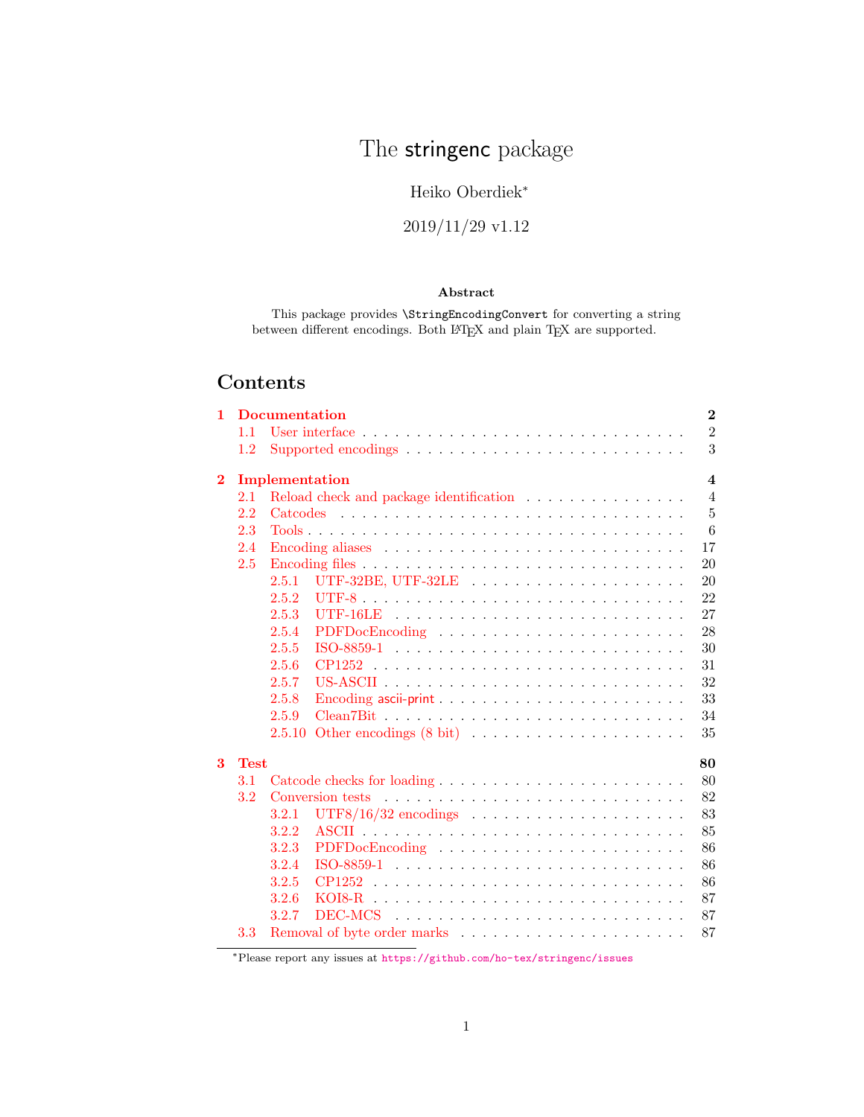# The stringenc package

# Heiko Oberdiek<sup>∗</sup>

# 2019/11/29 v1.12

### Abstract

This package provides \StringEncodingConvert for converting a string between different encodings. Both  $\mathbb{M}\mathrm{F}\mathrm{X}$  and plain T<sub>E</sub>X are supported.

# Contents

| 1        |             | $\bf{2}$<br><b>Documentation</b>                                                        |  |                         |
|----------|-------------|-----------------------------------------------------------------------------------------|--|-------------------------|
|          | 1.1         | User interface $\ldots \ldots \ldots \ldots \ldots \ldots \ldots \ldots \ldots \ldots$  |  | $\overline{2}$          |
|          | $1.2\,$     |                                                                                         |  | 3                       |
| $\bf{2}$ |             | Implementation                                                                          |  | $\overline{\mathbf{4}}$ |
|          | 2.1         | Reload check and package identification                                                 |  | $\overline{4}$          |
|          | 2.2         |                                                                                         |  | $\overline{5}$          |
|          | 2.3         |                                                                                         |  | $6\phantom{.}6$         |
|          | 2.4         |                                                                                         |  | 17                      |
|          | 2.5         |                                                                                         |  | 20                      |
|          |             | UTF-32BE, UTF-32LE $\ldots \ldots \ldots \ldots \ldots$<br>2.5.1                        |  | 20                      |
|          |             | 2.5.2                                                                                   |  | 22                      |
|          |             | 2.5.3                                                                                   |  | 27                      |
|          |             | 2.5.4                                                                                   |  | 28                      |
|          |             | 2.5.5                                                                                   |  | 30                      |
|          |             | 2.5.6                                                                                   |  | 31                      |
|          |             | 2.5.7                                                                                   |  | 32                      |
|          |             | 2.5.8<br>Encoding ascii-print $\ldots \ldots \ldots \ldots \ldots \ldots \ldots \ldots$ |  | 33                      |
|          |             | 2.5.9                                                                                   |  | 34                      |
|          |             | 2.5.10                                                                                  |  | 35                      |
| 3        | <b>Test</b> |                                                                                         |  | 80                      |
|          | 3.1         | Catcode checks for loading                                                              |  | 80                      |
|          | $3.2\,$     |                                                                                         |  | 82                      |
|          |             | UTF8/16/32 encodings $\ldots \ldots \ldots \ldots \ldots \ldots$<br>3.2.1               |  | 83                      |
|          |             | 3.2.2                                                                                   |  | 85                      |
|          |             | 3.2.3<br>PDFDocEncoding                                                                 |  | 86                      |
|          |             | 3.2.4                                                                                   |  | 86                      |
|          |             | 3.2.5<br>CP1252                                                                         |  | 86                      |
|          |             | 3.2.6                                                                                   |  | 87                      |
|          |             | 3.2.7                                                                                   |  | 87                      |
|          | 3.3         |                                                                                         |  | 87                      |

<sup>∗</sup>Please report any issues at <https://github.com/ho-tex/stringenc/issues>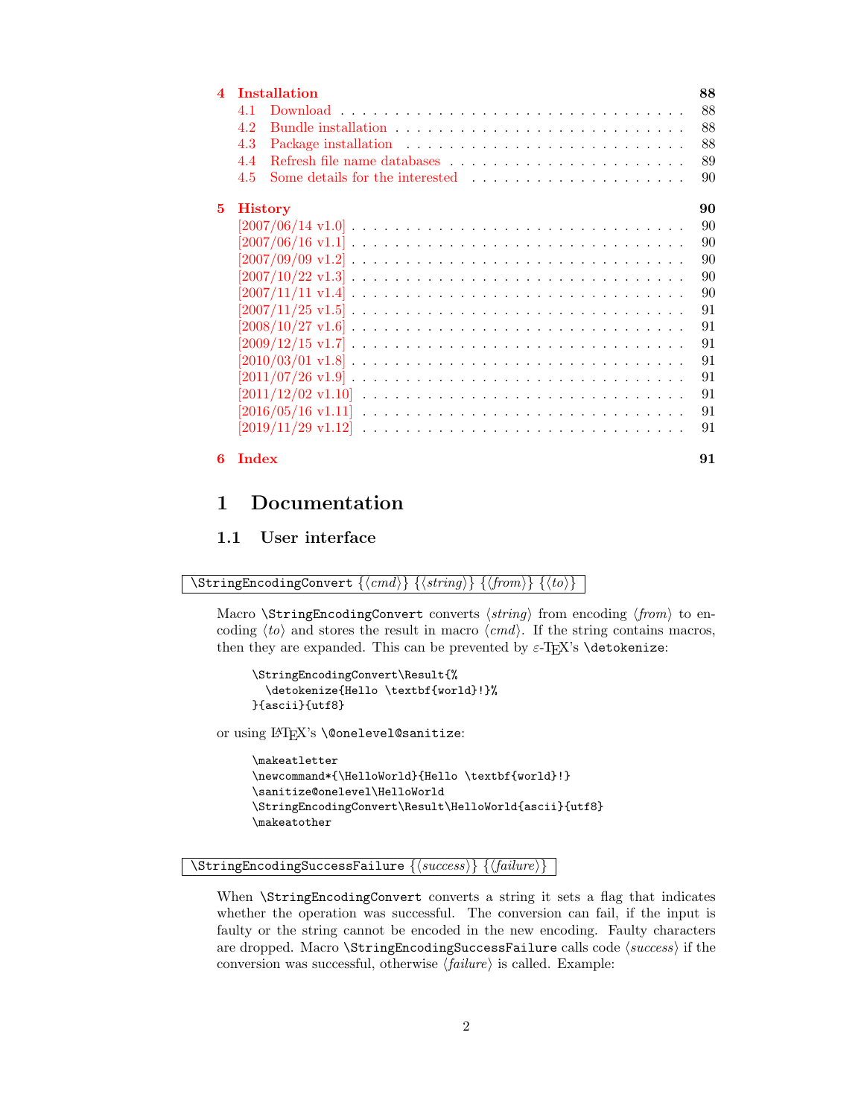| 4  |     | <b>Installation</b>                                                                                             | 88 |
|----|-----|-----------------------------------------------------------------------------------------------------------------|----|
|    | 41  |                                                                                                                 | 88 |
|    | 42  |                                                                                                                 | 88 |
|    | 4.3 |                                                                                                                 | 88 |
|    | 44  |                                                                                                                 | 89 |
|    | 4.5 | Some details for the interested $\ldots$ , , , , ,                                                              | 90 |
| 5. |     | <b>History</b>                                                                                                  | 90 |
|    |     | $[2007/06/14 \text{ v}1.0] \ldots \ldots \ldots \ldots \ldots \ldots \ldots \ldots \ldots \ldots \ldots$        | 90 |
|    |     |                                                                                                                 | 90 |
|    |     | $[2007/09/09 \text{ v}1.2] \ldots \ldots \ldots \ldots \ldots \ldots \ldots \ldots \ldots \ldots \ldots \ldots$ | 90 |
|    |     |                                                                                                                 | 90 |
|    |     |                                                                                                                 | 90 |
|    |     |                                                                                                                 | 91 |
|    |     |                                                                                                                 | 91 |
|    |     |                                                                                                                 | 91 |
|    |     |                                                                                                                 | 91 |
|    |     |                                                                                                                 | 91 |
|    |     |                                                                                                                 | 91 |
|    |     |                                                                                                                 | 91 |
|    |     |                                                                                                                 | 91 |

## [6 Index](#page-90-8) 91

# <span id="page-1-0"></span>1 Documentation

# <span id="page-1-1"></span>1.1 User interface

\StringEncodingConvert  $\{\langle cmd \rangle\}$   $\{\langle from \rangle\}$   $\{\langle to \rangle\}$ 

Macro  $\Set{StringEncoder}$  converts  $\Set{string}$  from encoding  $\from$  to encoding  $\langle to \rangle$  and stores the result in macro  $\langle cmd \rangle$ . If the string contains macros, then they are expanded. This can be prevented by  $\varepsilon$ -T<sub>E</sub>X's **\detokenize:** 

```
\StringEncodingConvert\Result{%
  \detokenize{Hello \textbf{world}!}%
}{ascii}{utf8}
```
or using LAT<sub>E</sub>X's **\@onelevel@sanitize:** 

```
\makeatletter
\newcommand*{\HelloWorld}{Hello \textbf{world}!}
\sanitize@onelevel\HelloWorld
\StringEncodingConvert\Result\HelloWorld{ascii}{utf8}
\makeatother
```
#### $\exists$ StringEncodingSuccessFailure { $\langle success \rangle$ } { $\langle failure \rangle$ }

When **\StringEncodingConvert** converts a string it sets a flag that indicates whether the operation was successful. The conversion can fail, if the input is faulty or the string cannot be encoded in the new encoding. Faulty characters are dropped. Macro  $\StringEncodingSuccessFailure calls code \succeq$  if the conversion was successful, otherwise  $\langle failure \rangle$  is called. Example: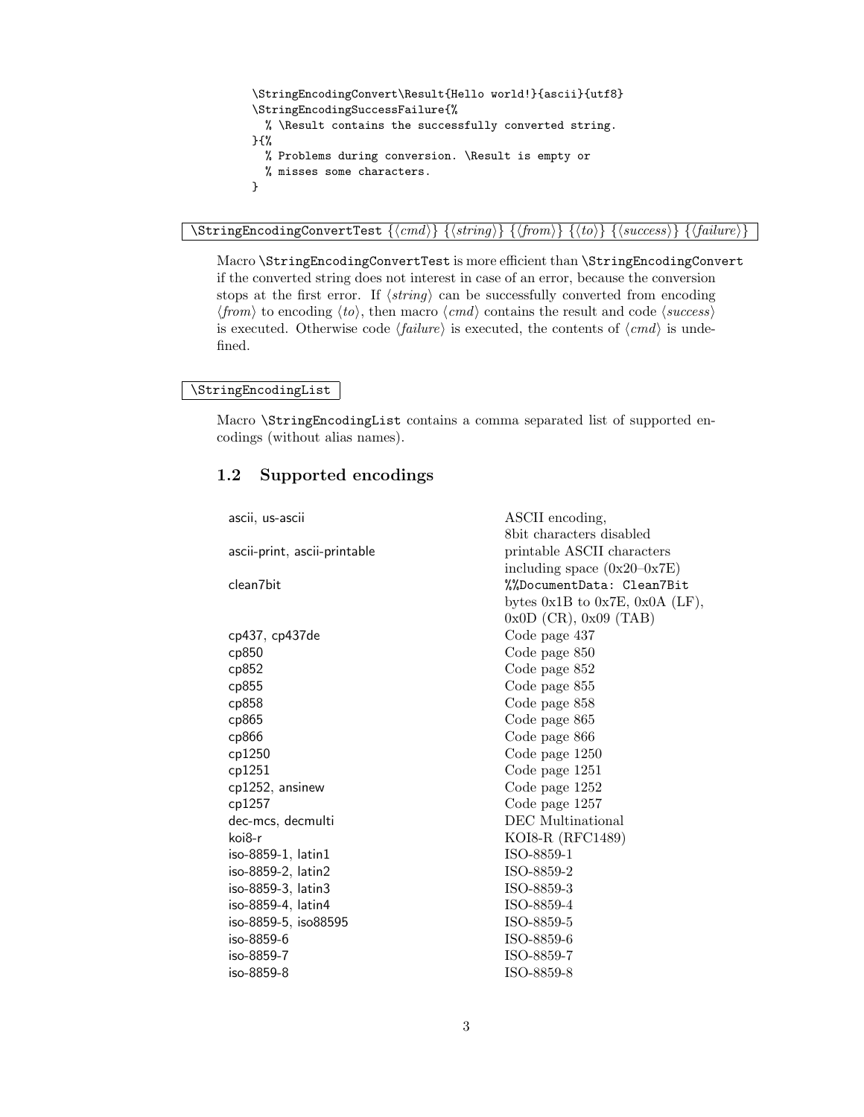```
\StringEncodingConvert\Result{Hello world!}{ascii}{utf8}
\StringEncodingSuccessFailure{%
  % \Result contains the successfully converted string.
}{%
  % Problems during conversion. \Result is empty or
  % misses some characters.
}
```
### \StringEncodingConvertTest  ${\langle \langle \textit{cmd} \rangle} {\langle \langle \textit{string} \rangle} {\langle \langle \textit{from} \rangle} {\langle \langle \textit{to} \rangle} {\langle \langle \textit{success} \rangle} {\langle \langle \textit{failure} \rangle} {\rangle}$

Macro \StringEncodingConvertTest is more efficient than \StringEncodingConvert if the converted string does not interest in case of an error, because the conversion stops at the first error. If  $\langle string \rangle$  can be successfully converted from encoding  $\langle from \rangle$  to encoding  $\langle to \rangle$ , then macro  $\langle cmd \rangle$  contains the result and code  $\langle success \rangle$ is executed. Otherwise code  $\langle failure \rangle$  is executed, the contents of  $\langle cmd \rangle$  is undefined.

### \StringEncodingList

Macro \StringEncodingList contains a comma separated list of supported encodings (without alias names).

### <span id="page-2-0"></span>1.2 Supported encodings

| ascii, us-ascii              | ASCII encoding,                       |
|------------------------------|---------------------------------------|
|                              | 8bit characters disabled              |
| ascii-print, ascii-printable | printable ASCII characters            |
|                              | including space $(0x20-0x7E)$         |
| clean7bit                    | %%DocumentData: Clean7Bit             |
|                              | bytes $0x1B$ to $0x7E$ , $0x0A$ (LF), |
|                              | $0x0D$ (CR), $0x09$ (TAB)             |
| cp437, cp437de               | Code page 437                         |
| cp850                        | Code page 850                         |
| cp852                        | Code page 852                         |
| cp855                        | Code page 855                         |
| cp858                        | Code page 858                         |
| cp865                        | Code page 865                         |
| cp866                        | Code page $866$                       |
| cp1250                       | Code page 1250                        |
| cp1251                       | Code page 1251                        |
| $cpl252$ , ansinew           | Code page $1252$                      |
| cp1257                       | Code page 1257                        |
| dec-mcs, decmulti            | DEC Multinational                     |
| koi8-r                       | KOI8-R (RFC1489)                      |
| iso-8859-1, latin1           | ISO-8859-1                            |
| iso-8859-2, latin2           | ISO-8859-2                            |
| iso-8859-3, latin3           | ISO-8859-3                            |
| iso-8859-4, latin4           | ISO-8859-4                            |
| iso-8859-5, iso88595         | ISO-8859-5                            |
| iso-8859-6                   | ISO-8859-6                            |
| iso-8859-7                   | ISO-8859-7                            |
| iso-8859-8                   | ISO-8859-8                            |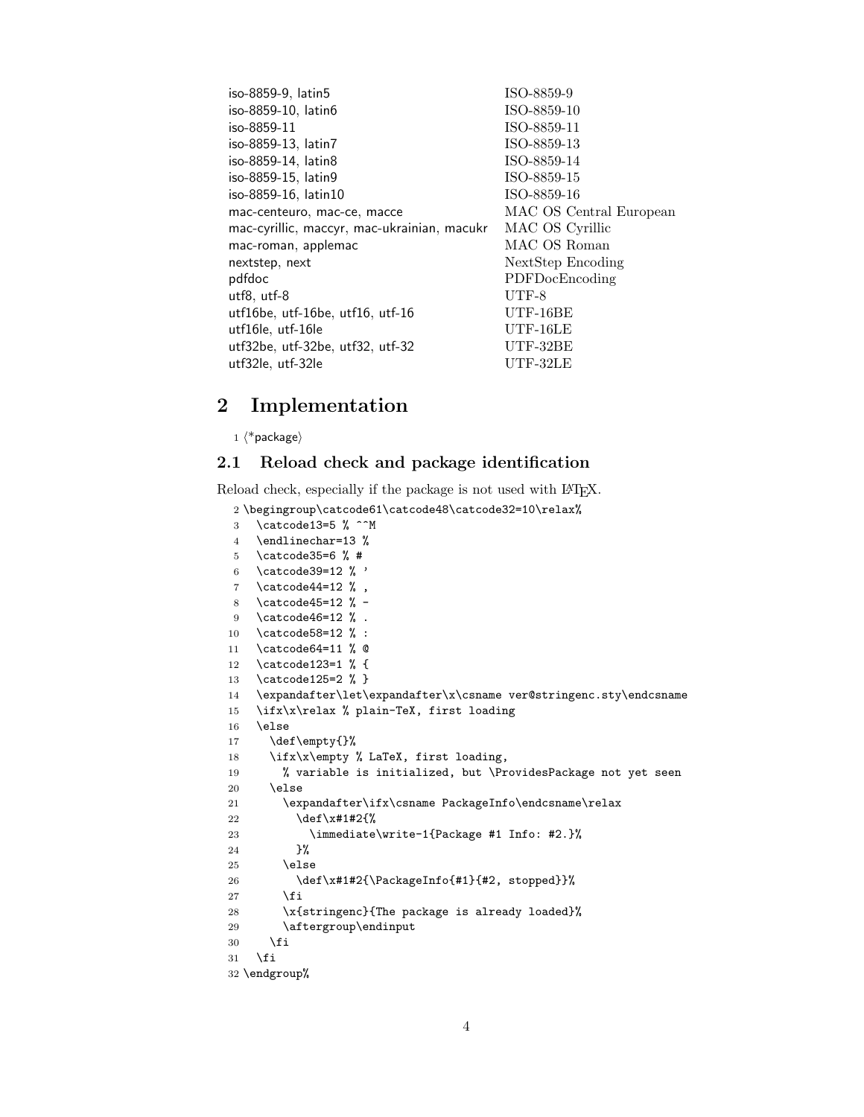| iso-8859-9, latin5                          | ISO-8859-9              |
|---------------------------------------------|-------------------------|
| iso-8859-10, latin6                         | ISO-8859-10             |
| iso-8859-11                                 | ISO-8859-11             |
| iso-8859-13, latin7                         | ISO-8859-13             |
| iso-8859-14, latin8                         | ISO-8859-14             |
| iso-8859-15, latin9                         | ISO-8859-15             |
| iso-8859-16, latin10                        | ISO-8859-16             |
| mac-centeuro, mac-ce, macce                 | MAC OS Central European |
| mac-cyrillic, maccyr, mac-ukrainian, macukr | MAC OS Cyrillic         |
| mac-roman, applemac                         | MAC OS Roman            |
| nextstep, next                              | NextStep Encoding       |
| pdfdoc                                      | PDFDocEncoding          |
| utf8, utf-8                                 | UTF-8                   |
| utf16be, utf-16be, utf16, utf-16            | UTF-16BE                |
| utf16le, utf-16le                           | $UTF-16LE$              |
| utf32be, utf-32be, utf32, utf-32            | UTF-32BE                |
| utf32le, utf-32le                           | $UTF-32LE$              |

# <span id="page-3-0"></span>2 Implementation

 $1$   $\langle$ \*package $\rangle$ 

# <span id="page-3-1"></span>2.1 Reload check and package identification

Reload check, especially if the package is not used with L<sup>AT</sup>EX.

```
2 \begingroup\catcode61\catcode48\catcode32=10\relax%
```

```
3 \catcode13=5 % ^^M
4 \endlinechar=13 %
5 \catcode35=6 % #
6 \catcode39=12 \% '
7 \catcode44=12 \%,
8 \catcode45=12 % -
9 \catcode46=12 %.
10 \catcode58=12 % :
11 \catcode64=11 % @
12 \catcode123=1 % {
13 \catcode125=2 % }
14 \expandafter\let\expandafter\x\csname ver@stringenc.sty\endcsname
15 \ifx\x\relax % plain-TeX, first loading
16 \else
17 \def\empty{}%
18 \ifx\x\empty % LaTeX, first loading,
19 % variable is initialized, but \ProvidesPackage not yet seen
20 \else
21 \expandafter\ifx\csname PackageInfo\endcsname\relax
22 \det\{x\#1\#2\23 \immediate\write-1{Package #1 Info: #2.}%
24 }%
25 \else
26 \def\x#1#2{\PackageInfo{#1}{#2, stopped}}%
27 \setminusfi
28 \x{stringenc}{The package is already loaded}%
29 \aftergroup\endinput
30 \foralli
31 \fi
32 \endgroup%
```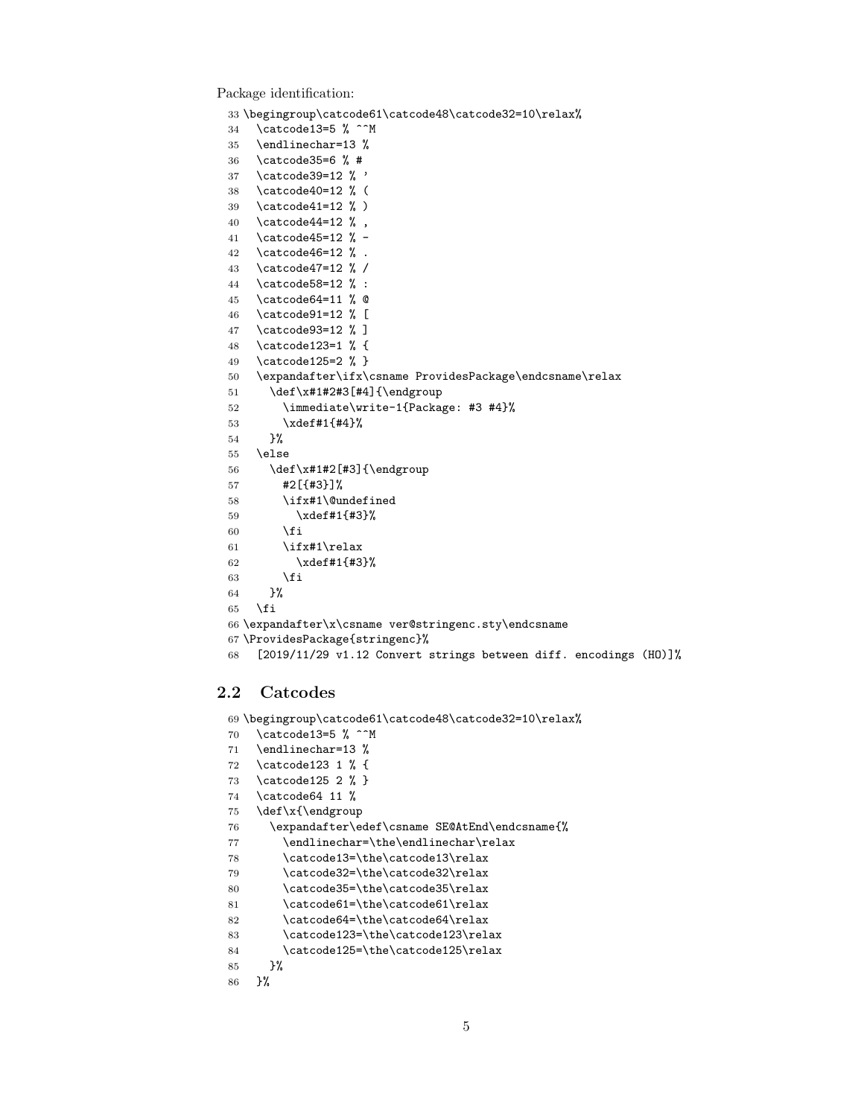Package identification:

```
33 \begingroup\catcode61\catcode48\catcode32=10\relax%
34 \catcode13=5 % ^^M
35 \endlinechar=13 %
36 \catcode35=6 % #
37 \catcode39=12 % '
38 \catcode40=12 % (
39 \catcode41=12 % )
40 \catcode44=12 % ,
41 \catcode45=12 % -
42 \catcode46=12 % .
43 \catcode47=12 % /
44 \catcode58=12 % :
45 \catcode64=11 % @
46 \catcode91=12 % [
47 \catcode93=12 % ]
48 \catcode123=1 % {
49 \catcode125=2 % }
50 \expandafter\ifx\csname ProvidesPackage\endcsname\relax
51 \def\x#1#2#3[#4]{\endgroup
52 \immediate\write-1{Package: #3 #4}%
53 \xdef#1{#4}%
54 }%
55 \else
56 \def\x#1#2[#3]{\endgroup
57 #2[{#3}]%
58 \ifx#1\@undefined
59 \xdef#1{#3}%
60 \overrightarrow{fi}61 \ifx#1\relax
62 \xdef#1{#3}%
63 \overline{\text{1}}64 }%
65 \fi
66 \expandafter\x\csname ver@stringenc.sty\endcsname
67 \ProvidesPackage{stringenc}%
68 [2019/11/29 v1.12 Convert strings between diff. encodings (HO)]%
```
### <span id="page-4-0"></span>2.2 Catcodes

```
69 \begingroup\catcode61\catcode48\catcode32=10\relax%
70 \catcode13=5 % ^^M
71 \endlinechar=13 %
72 \catcode123 1 % {
73 \catcode125 2 % }
74 \catcode64 11 %
75 \def\x{\endgroup
76 \expandafter\edef\csname SE@AtEnd\endcsname{%
77 \endlinechar=\the\endlinechar\relax
78 \catcode13=\the\catcode13\relax
79 \catcode32=\the\catcode32\relax
80 \catcode35=\the\catcode35\relax
81 \catcode61=\the\catcode61\relax
82 \catcode64=\the\catcode64\relax
83 \catcode123=\the\catcode123\relax
84 \catcode125=\the\catcode125\relax
85 }%
86 }%
```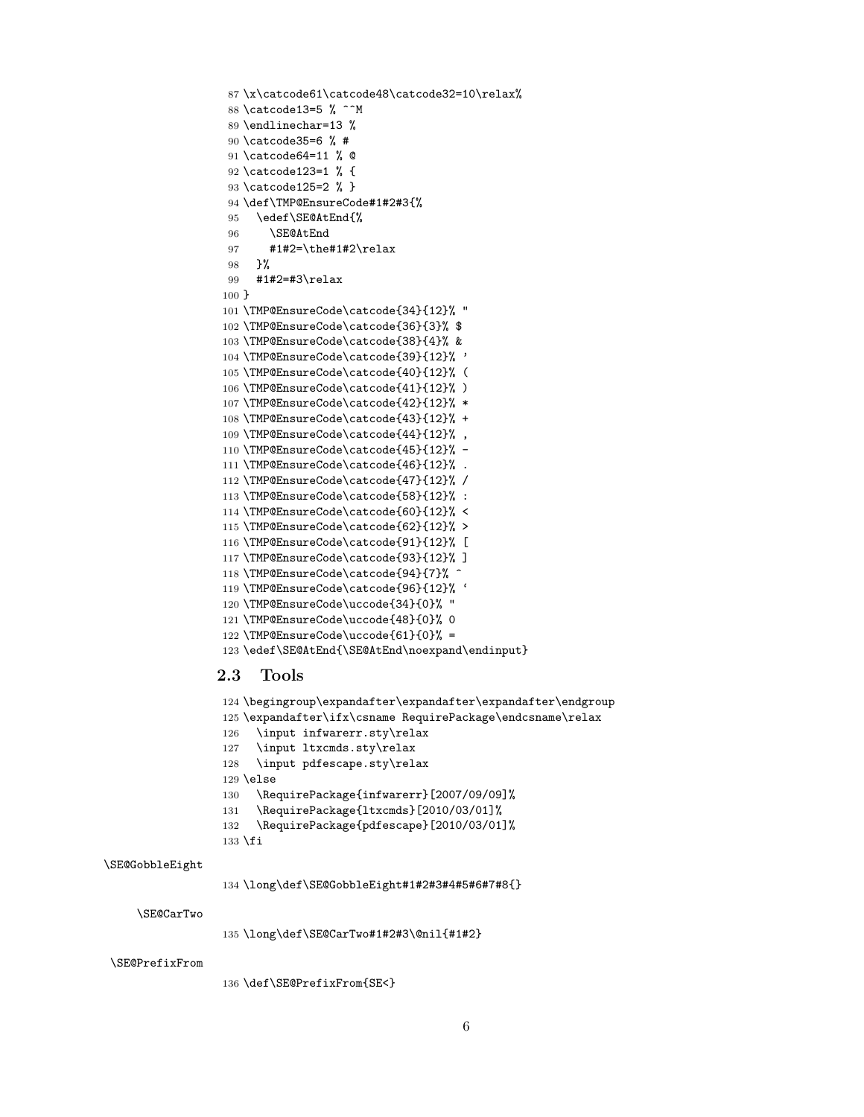```
87 \x\catcode61\catcode48\catcode32=10\relax%
88 \catcode13=5 % ^^M
89 \endlinechar=13 %
90 \catcode35=6 % #
91 \catcode64=11 % @
92 \catcode123=1 % {
93 \catcode125=2 % }
94 \def\TMP@EnsureCode#1#2#3{%
95 \edef\SE@AtEnd{%
96 \SE@AtEnd
97 #1#2=\the#1#2\relax
98 }%
99 #1#2=#3\relax
100 }
101 \TMP@EnsureCode\catcode{34}{12}% "
102 \TMP@EnsureCode\catcode{36}{3}% $
103 \TMP@EnsureCode\catcode{38}{4}% &
104 \TMP@EnsureCode\catcode{39}{12}% '
105 \TMP@EnsureCode\catcode{40}{12}% (
106 \TMP@EnsureCode\catcode{41}{12}% )
107 \TMP@EnsureCode\catcode{42}{12}% *
108 \TMP@EnsureCode\catcode{43}{12}% +
109 \TMP@EnsureCode\catcode{44}{12}% ,
110 \TMP@EnsureCode\catcode{45}{12}% -
111 \TMP@EnsureCode\catcode{46}{12}% .
112 \TMP@EnsureCode\catcode{47}{12}% /
113 \TMP@EnsureCode\catcode{58}{12}% :
114 \TMP@EnsureCode\catcode{60}{12}% <
115 \TMP@EnsureCode\catcode{62}{12}% >
116 \TMP@EnsureCode\catcode{91}{12}% [
117 \TMP@EnsureCode\catcode{93}{12}% ]
118 \TMP@EnsureCode\catcode{94}{7}% ^
119 \TMP@EnsureCode\catcode{96}{12}% '
120 \TMP@EnsureCode\uccode{34}{0}% "
121 \TMP@EnsureCode\uccode{48}{0}% 0
122 \TMP@EnsureCode\uccode{61}{0}% =
123 \edef\SE@AtEnd{\SE@AtEnd\noexpand\endinput}
```
### <span id="page-5-0"></span>2.3 Tools

```
124 \begingroup\expandafter\expandafter\expandafter\endgroup
                 125 \expandafter\ifx\csname RequirePackage\endcsname\relax
                 126 \input infwarerr.sty\relax
                 127 \input ltxcmds.sty\relax
                 128 \input pdfescape.sty\relax
                 129 \else
                 130 \RequirePackage{infwarerr}[2007/09/09]%
                 131 \RequirePackage{ltxcmds}[2010/03/01]%
                 132 \RequirePackage{pdfescape}[2010/03/01]%
                 133 \fi
\SE@GobbleEight
                 134 \long\def\SE@GobbleEight#1#2#3#4#5#6#7#8{}
     \SE@CarTwo
                 135 \long\def\SE@CarTwo#1#2#3\@nil{#1#2}
\SE@PrefixFrom
```
\def\SE@PrefixFrom{SE<}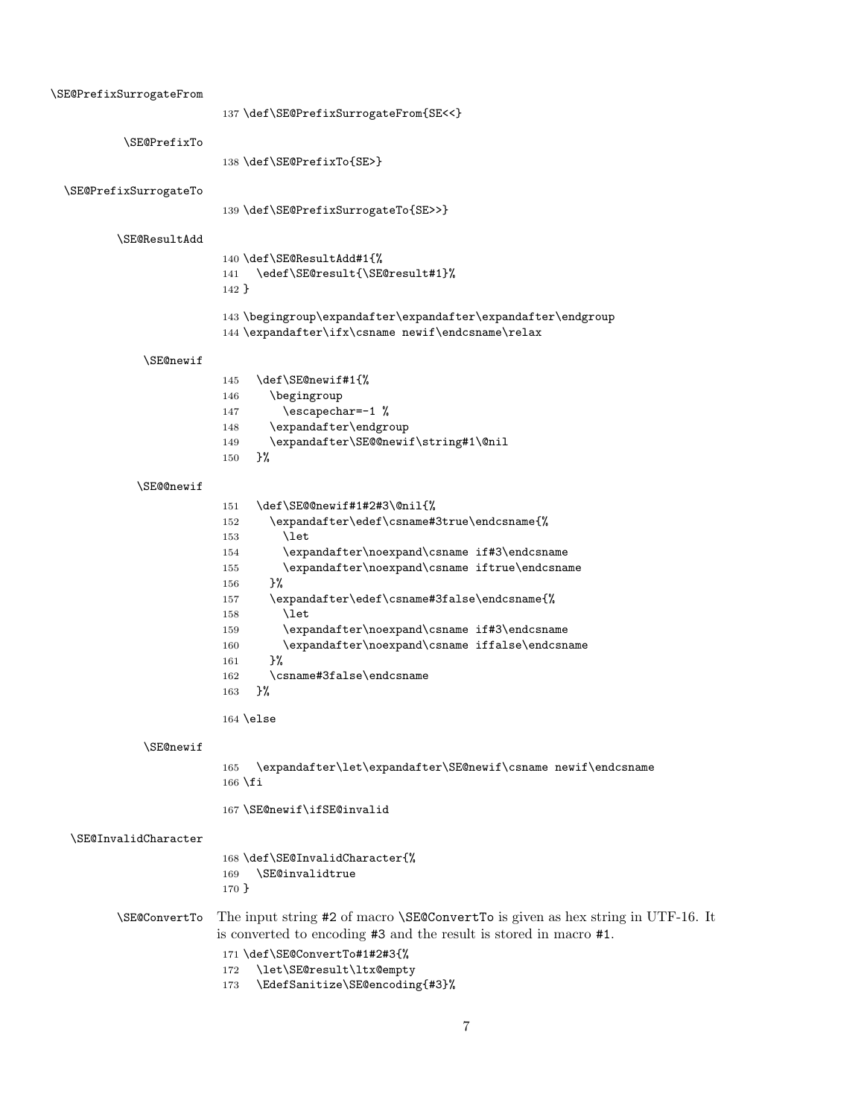| \SE@PrefixSurrogateFrom |                                                                                 |
|-------------------------|---------------------------------------------------------------------------------|
|                         | 137 \def\SE@PrefixSurrogateFrom{SE<<}                                           |
| \SE@PrefixTo            | 138 \def\SE@PrefixTo{SE>}                                                       |
|                         |                                                                                 |
| \SE@PrefixSurrogateTo   |                                                                                 |
|                         | 139 \def\SE@PrefixSurrogateTo{SE>>}                                             |
| \SE@ResultAdd           |                                                                                 |
|                         | 140 \def\SE@ResultAdd#1{%                                                       |
|                         | \edef\SE@result{\SE@result#1}%<br>141                                           |
|                         | $142$ }                                                                         |
|                         | 143 \begingroup\expandafter\expandafter\expandafter\endgroup                    |
|                         | 144 \expandafter\ifx\csname newif\endcsname\relax                               |
| \SE@newif               |                                                                                 |
|                         | \def\SE@newif#1{%<br>145                                                        |
|                         | \begingroup<br>146                                                              |
|                         | \escapechar=-1 %<br>147                                                         |
|                         | \expandafter\endgroup<br>148                                                    |
|                         | \expandafter\SE@@newif\string#1\@nil<br>149                                     |
|                         | }‰<br>150                                                                       |
| \SE@@newif              |                                                                                 |
|                         | \def\SE@@newif#1#2#3\@nil{%<br>151                                              |
|                         | \expandafter\edef\csname#3true\endcsname{%<br>152                               |
|                         | \let<br>153                                                                     |
|                         | \expandafter\noexpand\csname if#3\endcsname<br>154                              |
|                         | \expandafter\noexpand\csname iftrue\endcsname<br>155                            |
|                         | }‰<br>156                                                                       |
|                         | \expandafter\edef\csname#3false\endcsname{%<br>157                              |
|                         | \let<br>158                                                                     |
|                         | \expandafter\noexpand\csname if#3\endcsname<br>159                              |
|                         | \expandafter\noexpand\csname iffalse\endcsname<br>160                           |
|                         | }‰<br>161                                                                       |
|                         | \csname#3false\endcsname<br>162                                                 |
|                         | }‰<br>163                                                                       |
|                         | $164$ \else                                                                     |
| <b>\SE@newif</b>        |                                                                                 |
|                         | \expandafter\let\expandafter\SE@newif\csname newif\endcsname                    |
|                         | 165<br>$166$ \fi                                                                |
|                         |                                                                                 |
|                         | 167 \SE@newif\ifSE@invalid                                                      |
| \SE@InvalidCharacter    |                                                                                 |
|                         | 168 \def\SE@InvalidCharacter{%                                                  |
|                         | \SE@invalidtrue<br>169                                                          |
|                         | $170$ }                                                                         |
| \SE@ConvertTo           | The input string #2 of macro \SE@ConvertTo is given as hex string in UTF-16. It |
|                         | is converted to encoding #3 and the result is stored in macro #1.               |
|                         | 171 \def\SE@ConvertTo#1#2#3{%                                                   |
|                         | \let\SE@result\ltx@empty<br>172                                                 |
|                         | \EdefSanitize\SE@encoding{#3}%<br>173                                           |
|                         |                                                                                 |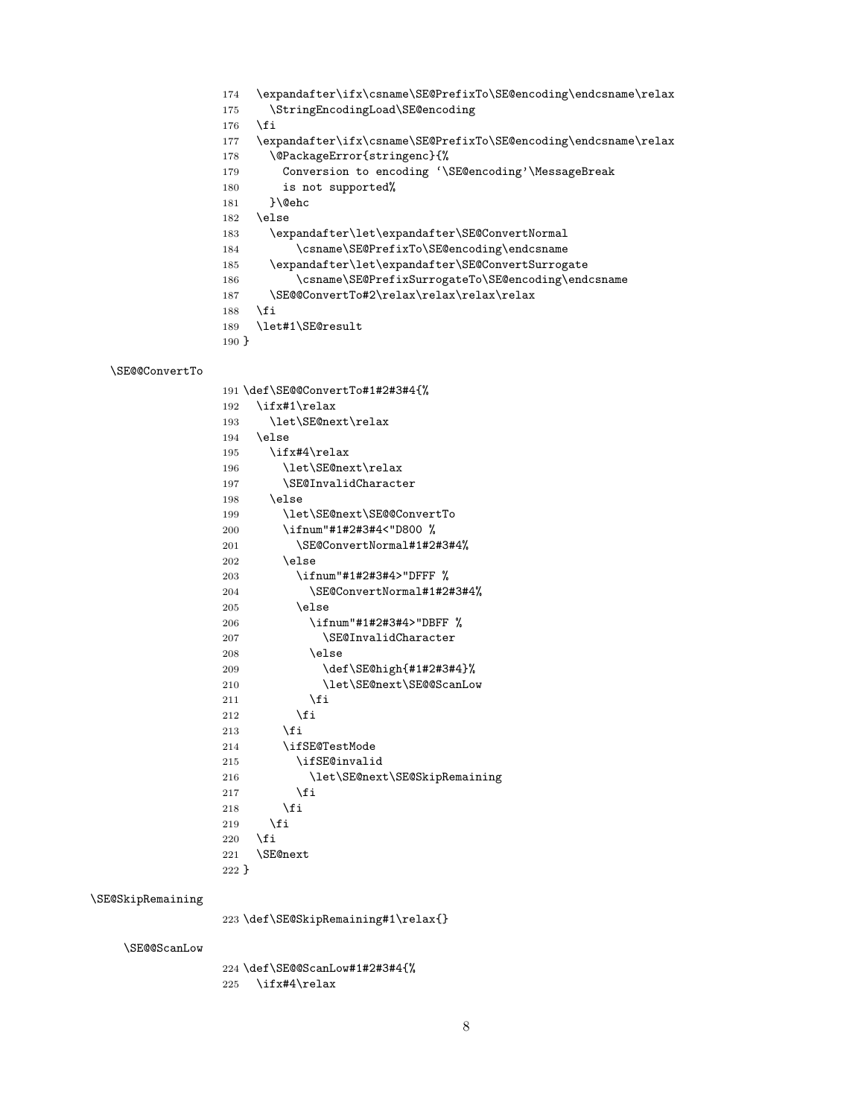```
174 \expandafter\ifx\csname\SE@PrefixTo\SE@encoding\endcsname\relax
                 175 \StringEncodingLoad\SE@encoding
                 176 \fi
                 177 \expandafter\ifx\csname\SE@PrefixTo\SE@encoding\endcsname\relax
                 178 \@PackageError{stringenc}{%
                 179 Conversion to encoding '\SE@encoding'\MessageBreak
                 180 is not supported%
                 181 }\@ehc
                 182 \else
                 183 \expandafter\let\expandafter\SE@ConvertNormal
                 184 \csname\SE@PrefixTo\SE@encoding\endcsname
                 185 \expandafter\let\expandafter\SE@ConvertSurrogate
                 186 \csname\SE@PrefixSurrogateTo\SE@encoding\endcsname
                 187 \SE@@ConvertTo#2\relax\relax\relax\relax
                 188 \fi
                 189 \let#1\SE@result
                 190 }
  \SE@@ConvertTo
                 191 \def\SE@@ConvertTo#1#2#3#4{%
                 192 \ifx#1\relax
                 193 \let\SE@next\relax
                 194 \else
                 195 \ifx#4\relax
                 196 \let\SE@next\relax
                 197 \SE@InvalidCharacter
                 198 \else
                 199 \let\SE@next\SE@@ConvertTo
                 200 \ifnum"#1#2#3#4<"D800 %
                 201 \SE@ConvertNormal#1#2#3#4%
                 202 \else
                 203 \ifnum"#1#2#3#4>"DFFF %
                 204 \SE@ConvertNormal#1#2#3#4%
                 205 \else
                 206 \ifnum"#1#2#3#4>"DBFF %
                 207 \SE@InvalidCharacter
                 208 \else
                 209 \def\SE@high{#1#2#3#4}%
                 210 \let\SE@next\SE@@ScanLow
                 211 \overrightarrow{f_i}212 \qquad \qquad \int f213 \setminusfi
                 214 \ifSE@TestMode
                 215 \ifSE@invalid
                 216 \let\SE@next\SE@SkipRemaining
                 217 \fi
                 218 \setminusfi
                 219 \forallfi
                 220 \forallfi
                 221 \SE@next
                 222 }
\SE@SkipRemaining
                 223 \def\SE@SkipRemaining#1\relax{}
    \SE@@ScanLow
```
 \def\SE@@ScanLow#1#2#3#4{% \ifx#4\relax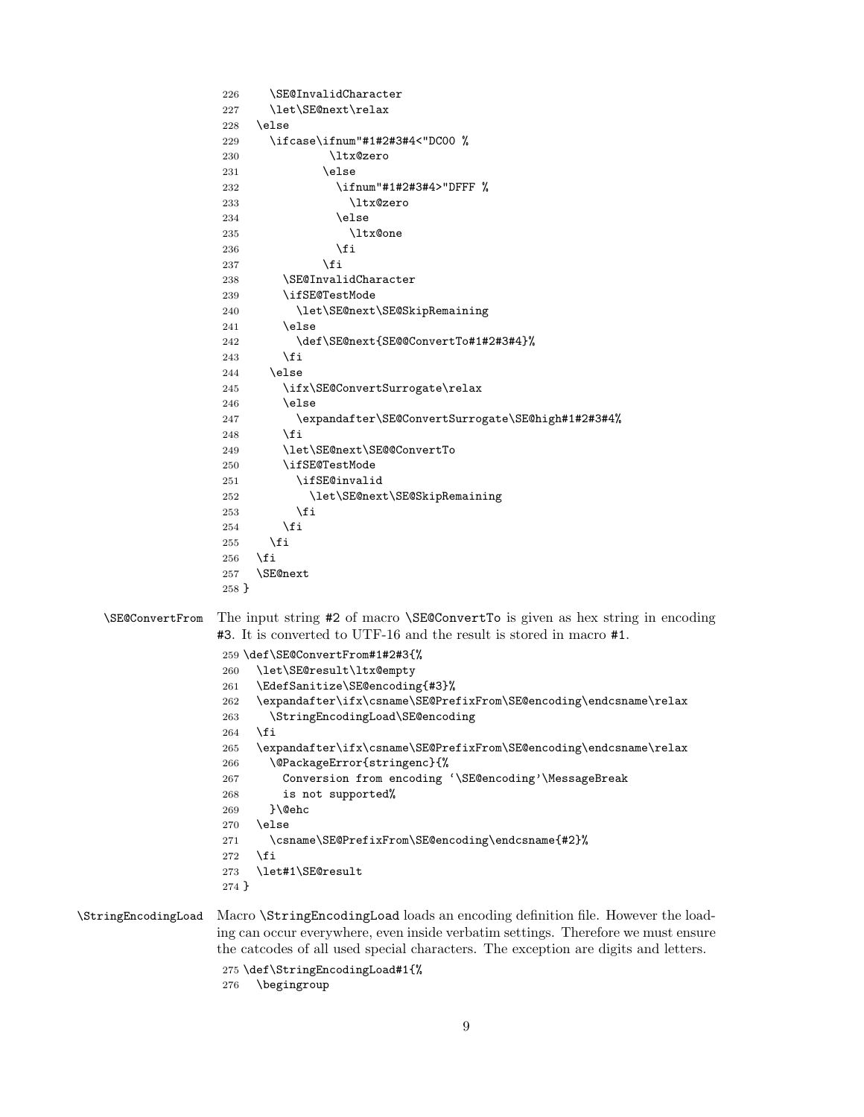```
226 \SE@InvalidCharacter
                    227 \let\SE@next\relax
                    228 \else
                    229 \ifcase\ifnum"#1#2#3#4<"DC00 %
                    230 \ltx@zero
                    231 \else
                    232 \ifnum"#1#2#3#4>"DFFF %
                    233 \ltx@zero
                    234 \else
                    235 \ltx@one
                    236 \quad \text{if} \quad237 \fi
                    238 \SE@InvalidCharacter
                    239 \ifSE@TestMode
                    240 \let\SE@next\SE@SkipRemaining
                    241 \else
                    242 \def\SE@next{SE@@ConvertTo#1#2#3#4}%
                    243 \setminusfi
                    244 \else
                    245 \ifx\SE@ConvertSurrogate\relax
                    246 \else
                    247 \expandafter\SE@ConvertSurrogate\SE@high#1#2#3#4%
                    248 \overrightarrow{f_1}249 \let\SE@next\SE@@ConvertTo
                    250 \ifSE@TestMode
                    251 \ifSE@invalid
                    252 \let\SE@next\SE@SkipRemaining
                    253 \overrightarrow{1}254 \fi
                    255 \quad \text{Vfi}256 \fi
                    257 \SE@next
                    258 }
   \SE@ConvertFrom The input string #2 of macro \SE@ConvertTo is given as hex string in encoding
                   #3. It is converted to UTF-16 and the result is stored in macro #1.
                    259 \def\SE@ConvertFrom#1#2#3{%
                    260 \let\SE@result\ltx@empty
                    261 \EdefSanitize\SE@encoding{#3}%
                    262 \expandafter\ifx\csname\SE@PrefixFrom\SE@encoding\endcsname\relax
                    263 \StringEncodingLoad\SE@encoding
                    264 \fi
                    265 \expandafter\ifx\csname\SE@PrefixFrom\SE@encoding\endcsname\relax
                    266 \@PackageError{stringenc}{%
                    267 Conversion from encoding '\SE@encoding'\MessageBreak
                    268 is not supported%
                    269 }\@ehc
                    270 \else
                    271 \csname\SE@PrefixFrom\SE@encoding\endcsname{#2}%
                    272 \fi
                    273 \let#1\SE@result
                    274 }
\StringEncodingLoad Macro \StringEncodingLoad loads an encoding definition file. However the load-
                   ing can occur everywhere, even inside verbatim settings. Therefore we must ensure
                   the catcodes of all used special characters. The exception are digits and letters.
                    275 \def\StringEncodingLoad#1{%
                    276 \begingroup
```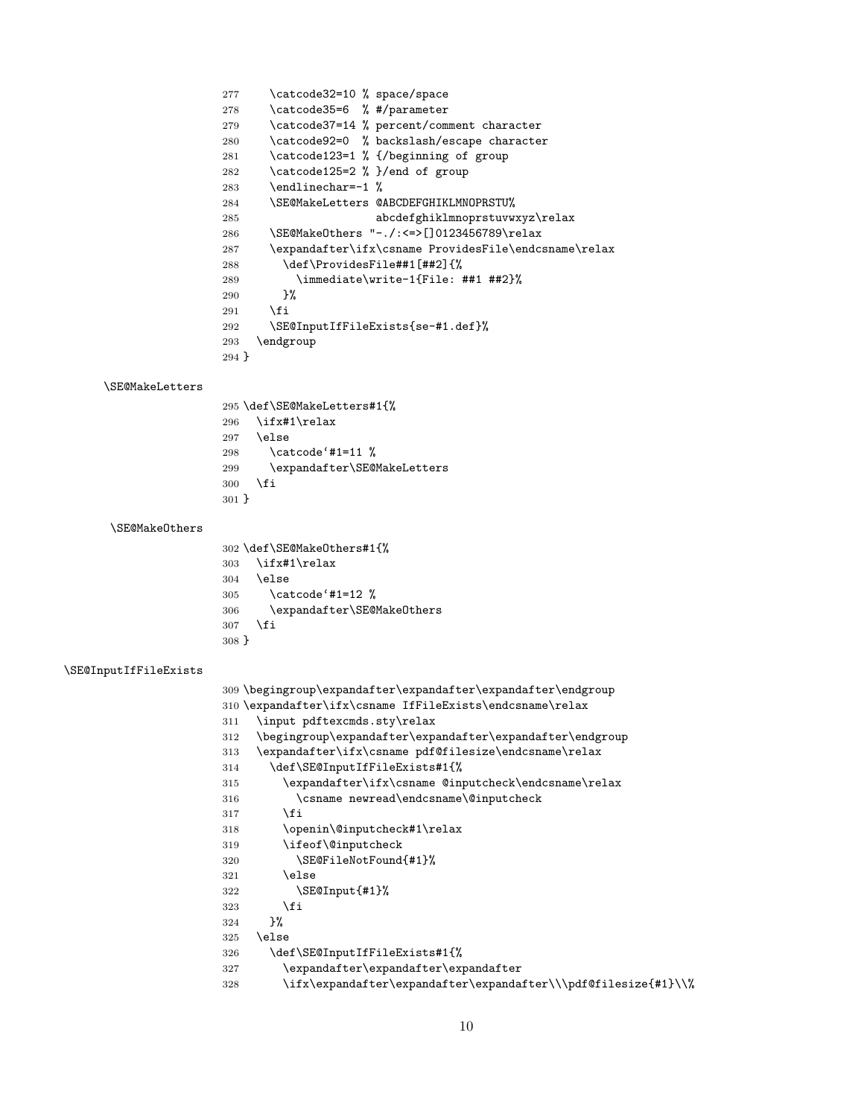\catcode32=10 % space/space \catcode35=6 % #/parameter \catcode37=14 % percent/comment character \catcode92=0 % backslash/escape character \catcode123=1 % {/beginning of group \catcode125=2 % }/end of group \endlinechar=-1 % \SE@MakeLetters @ABCDEFGHIKLMNOPRSTU% abcdefghiklmnoprstuvwxyz\relax \SE@MakeOthers "-./:<=>[]0123456789\relax \expandafter\ifx\csname ProvidesFile\endcsname\relax 288 \def\ProvidesFile##1[##2]{% \immediate\write-1{File: ##1 ##2}% }%  $\qquad \qquad$  \fi \SE@InputIfFileExists{se-#1.def}% \endgroup } \SE@MakeLetters \def\SE@MakeLetters#1{% \ifx#1\relax \else \catcode'#1=11 % \expandafter\SE@MakeLetters \fi } \SE@MakeOthers \def\SE@MakeOthers#1{% \ifx#1\relax \else \catcode'#1=12 % \expandafter\SE@MakeOthers \fi } \SE@InputIfFileExists \begingroup\expandafter\expandafter\expandafter\endgroup \expandafter\ifx\csname IfFileExists\endcsname\relax \input pdftexcmds.sty\relax \begingroup\expandafter\expandafter\expandafter\endgroup \expandafter\ifx\csname pdf@filesize\endcsname\relax \def\SE@InputIfFileExists#1{% \expandafter\ifx\csname @inputcheck\endcsname\relax \csname newread\endcsname\@inputcheck \fi \openin\@inputcheck#1\relax \ifeof\@inputcheck \SE@FileNotFound{#1}% \else \SE@Input{#1}% 323 \fi }% \else \def\SE@InputIfFileExists#1{% \expandafter\expandafter\expandafter 328 \ifx\expandafter\expandafter\expandafter\\\pdf@filesize{#1}\\%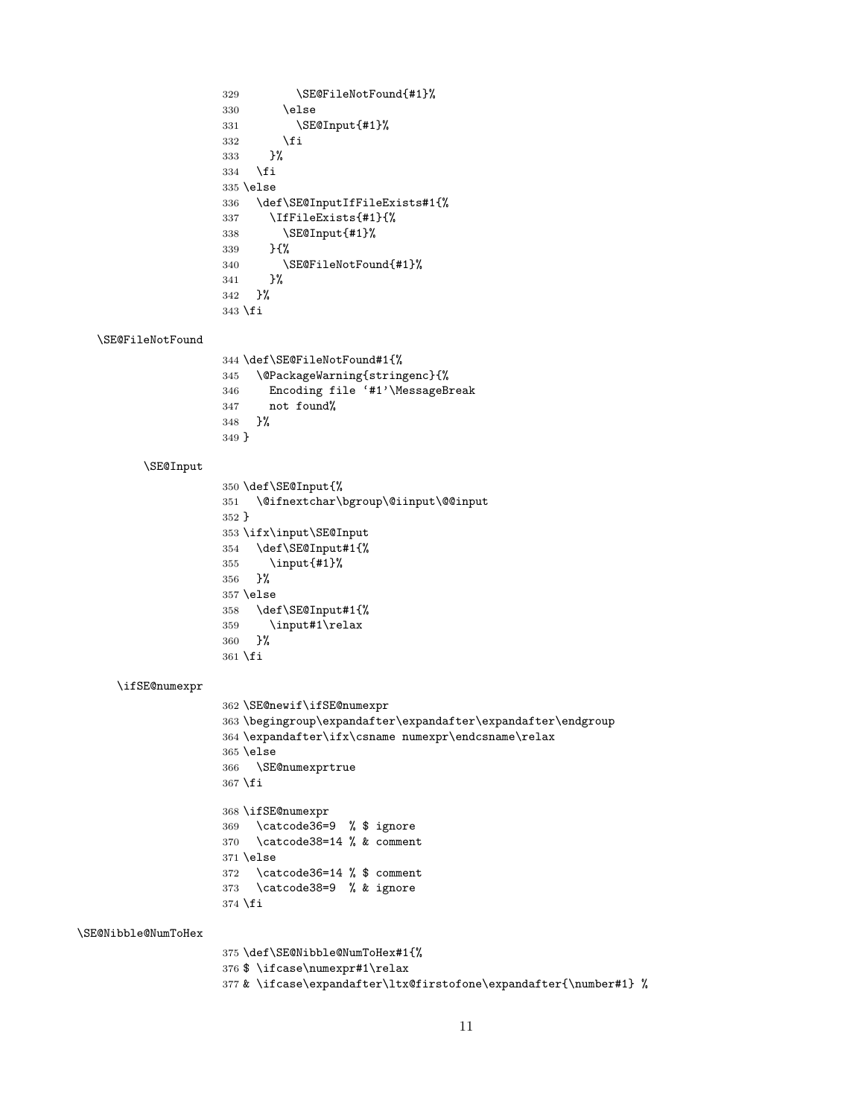```
329 \SE@FileNotFound{#1}%
                     330 \else
                     331 \SE@Input{#1}%
                     332 \setminusfi
                     333 }%
                     334 \fi
                     335 \else
                     336 \def\SE@InputIfFileExists#1{%
                     337 \IfFileExists{#1}{%
                     338 \SE@Input{#1}%
                     339 }{%
                     340 \SE@FileNotFound{#1}%
                     341 }%
                     342 }%
                     343 \fi
  \SE@FileNotFound
                     344 \def\SE@FileNotFound#1{%
                     345 \@PackageWarning{stringenc}{%
                     346 Encoding file '#1'\MessageBreak
                     347 not found%
                     348 }%
                     349 }
         \SE@Input
                     350 \def\SE@Input{%
                     351 \@ifnextchar\bgroup\@iinput\@@input
                     352 }
                     353 \ifx\input\SE@Input
                     354 \def\SE@Input#1{%
                     355 \input{#1}%
                     356 }%
                     357 \else
                     358 \def\SE@Input#1{%
                     359 \input#1\relax
                     360 }%
                     361 \fi
     \ifSE@numexpr
                     362 \SE@newif\ifSE@numexpr
                     363 \begingroup\expandafter\expandafter\expandafter\endgroup
                     364 \expandafter\ifx\csname numexpr\endcsname\relax
                     365 \else
                     366 \SE@numexprtrue
                     367\mathcal{I}i
                     368 \ifSE@numexpr
                     369 \catcode36=9 % $ ignore
                     370 \catcode38=14 % & comment
                     371 \else
                     372 \catcode36=14 % $ comment
                     373 \catcode38=9 % & ignore
                     374 \fi
\SE@Nibble@NumToHex
                     375 \def\SE@Nibble@NumToHex#1{%
                     376 $ \ifcase\numexpr#1\relax
                     377 & \ifcase\expandafter\ltx@firstofone\expandafter{\number#1} %
```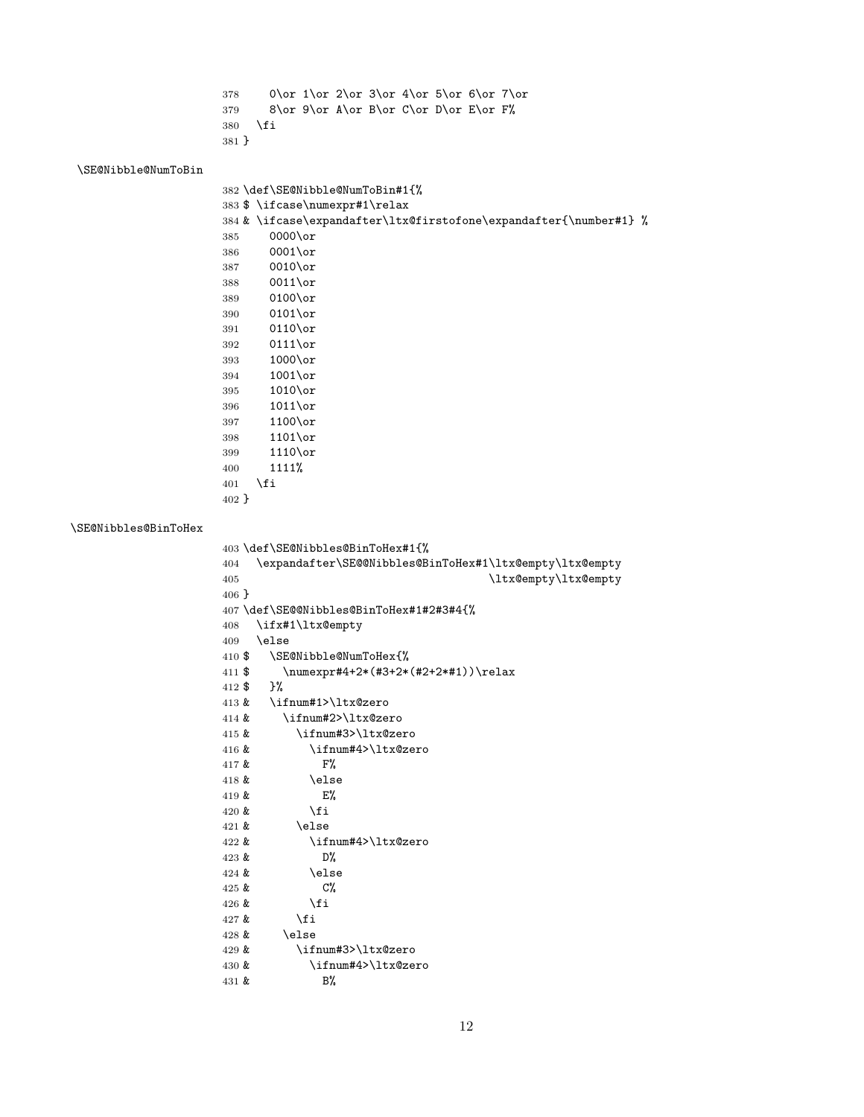378 0\or 1\or 2\or 3\or 4\or 5\or 6\or 7\or 8\or 9\or A\or B\or C\or D\or E\or F% \fi }

\SE@Nibble@NumToBin

\SE@Nibbles@BinToHex

```
382 \def\SE@Nibble@NumToBin#1{%
383 $ \ifcase\numexpr#1\relax
384 & \ifcase\expandafter\ltx@firstofone\expandafter{\number#1} %
385 0000\or
386 0001\or
387 0010\or
388 0011\or
389 0100\or
390 0101\or
391 0110\or
392 0111\sqrt{or}393 1000\or
394 1001\or
395 1010\or
396 1011\or
397 1100\or
398 1101\or
399 1110\or
400 1111%
401 \fi
402 }
403 \def\SE@Nibbles@BinToHex#1{%
404 \expandafter\SE@@Nibbles@BinToHex#1\ltx@empty\ltx@empty
405 \ltx@empty\ltx@empty
406 }
407 \def\SE@@Nibbles@BinToHex#1#2#3#4{%
408 \ifx#1\ltx@empty
409 \else
410 $ \SE@Nibble@NumToHex{%
411 $ \numexpr#4+2*(#3+2*(#2+2*#1))\relax
412 $ }%
413 & \ifnum#1>\ltx@zero
414 & \ifnum#2>\ltx@zero
415 & \ifnum#3>\ltx@zero
416 & \ifnum#4>\ltx@zero
417 \& F%
418 & \else
```
 & \else 422 & \ifnum#4>\ltx@zero & D% 424  $\&$  \else & C%  $426 \&$  \fi 427  $\&$  \fi  $428 \&$  \else & \ifnum#3>\ltx@zero & \ifnum#4>\ltx@zero & B%

419 & E% <br>420 & \fi

 $420 \; \text{\&}$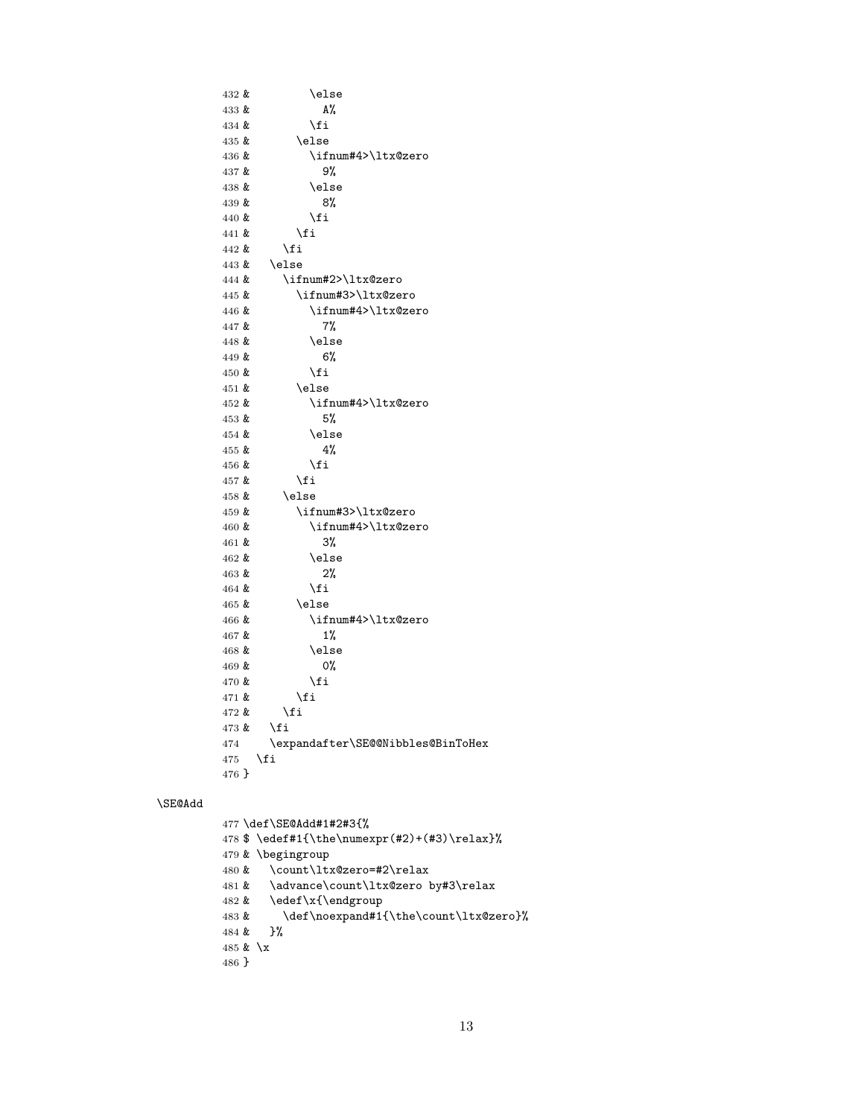```
432 \& \text{le}433 & A%<br>434 & \fi
434 \; \pmb{\&}435 & \else
436 & \ifnum#4>\ltx@zero
437 & 9%
438 & \else
439 & 8%
440 \& \fi
441 & \setminusfi
442 & \bigcup \{i\}443 & \else
444 & \ifnum#2>\ltx@zero
445 & \ifnum#3>\ltx@zero
446 & \ifnum#4>\ltx@zero
447 & 7%
448 & \else
449 & 6%
450 \& \fi
451 \& \text{else}452 & \ifnum#4>\ltx@zero
453 & 5%
454 & \else
455 & 4% 4%
456 &
457 \& \fi
458 & \else
459 & \ifnum#3>\ltx@zero
460 & \lim#4>\lt1tx@zero<br>461 & 3%
461 &462 \& \else
463 & 2%
464 & \setminusfi
465 & \else
466 & \ifnum#4>\ltx@zero
467 & 1%
468 & \else
469 & 0%
470 & \chi<br>471 & \chi471 \; \text{&}472 \& \fi
473 & \bigcupfi
474 \expandafter\SE@@Nibbles@BinToHex
475 \fi
476 }
477 \def\SE@Add#1#2#3{%
```

```
\SE@Add
```

```
478 $ \edef#1{\the\numexpr(#2)+(#3)\relax}%
479 & \begingroup
480 & \count\ltx@zero=#2\relax
481 & \advance\count\ltx@zero by#3\relax
482 & \edef\x{\endgroup
483 & \def\noexpand#1{\the\count\ltx@zero}%<br>484 & }%
484 &485 &\,\mathrm{\backslash x}486 }
```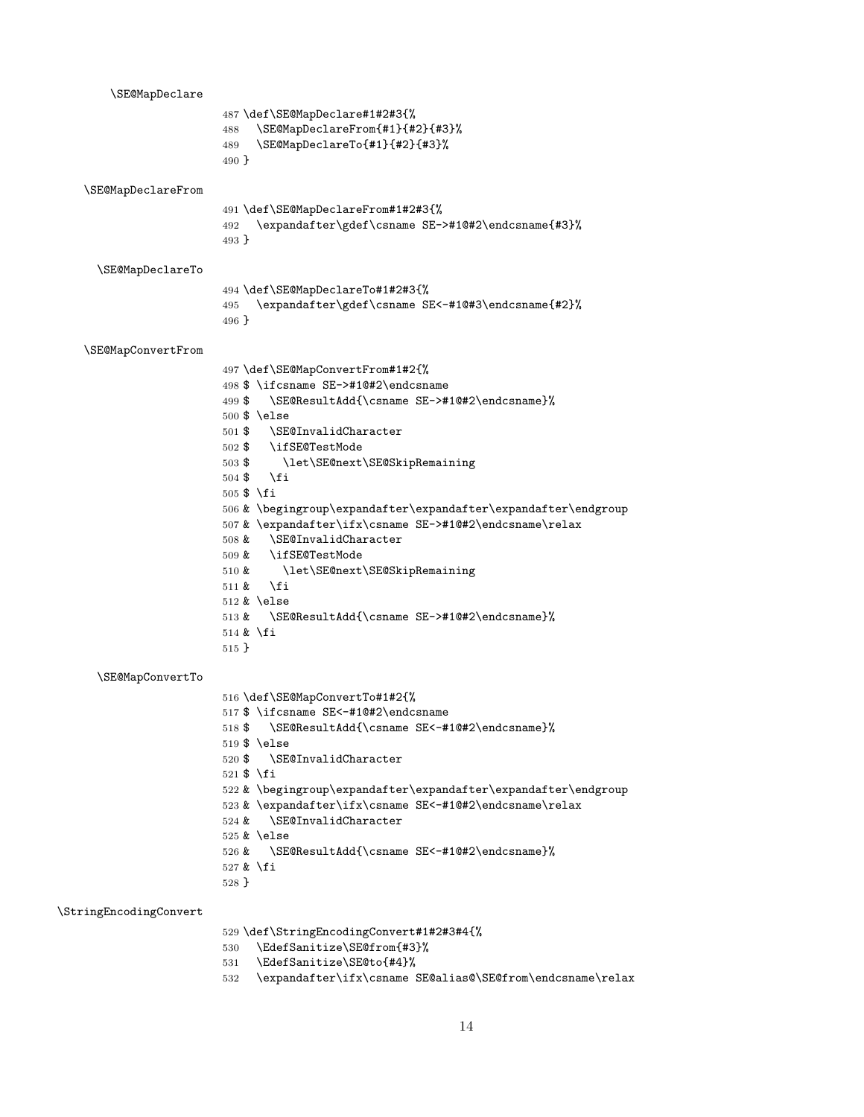| \SE@MapDeclare         |                                                                         |
|------------------------|-------------------------------------------------------------------------|
|                        | 487 \def\SE@MapDeclare#1#2#3{%                                          |
|                        | \SE@MapDeclareFrom{#1}{#2}{#3}%<br>488                                  |
|                        | \SE@MapDeclareTo{#1}{#2}{#3}%<br>489                                    |
|                        | 490 }                                                                   |
| \SE@MapDeclareFrom     |                                                                         |
|                        | 491 \def\SE@MapDeclareFrom#1#2#3{%                                      |
|                        | \expandafter\gdef\csname SE->#10#2\endcsname{#3}%<br>492                |
|                        | 493 }                                                                   |
| \SE@MapDeclareTo       |                                                                         |
|                        | 494 \def\SE@MapDeclareTo#1#2#3{%                                        |
|                        | \expandafter\gdef\csname SE<-#1@#3\endcsname{#2}%<br>495                |
|                        | 496 }                                                                   |
| \SE@MapConvertFrom     |                                                                         |
|                        | 497 \def\SE@MapConvertFrom#1#2{%                                        |
|                        | 498 \$ \ifcsname SE->#10#2\endcsname                                    |
|                        | \SE@ResultAdd{\csname SE->#1@#2\endcsname}%<br>499 \$<br>$500$ \$ \else |
|                        | \SE@InvalidCharacter<br>501 \$                                          |
|                        | \ifSE@TestMode<br>$502$ \$                                              |
|                        | $503$ \$<br>\let\SE@next\SE@SkipRemaining                               |
|                        | $504$ \$<br>\fi                                                         |
|                        | $505$ \$ \fi                                                            |
|                        | 506 & \begingroup\expandafter\expandafter\expandafter\endgroup          |
|                        | 507 & \expandafter\ifx\csname SE->#10#2\endcsname\relax                 |
|                        | 508 & \SE@InvalidCharacter<br>509 & \ifSE@TestMode                      |
|                        | \let\SE@next\SE@SkipRemaining<br>510 &                                  |
|                        | \fi<br>511 &                                                            |
|                        | $512 \&$ \else                                                          |
|                        | \SE@ResultAdd{\csname SE->#1@#2\endcsname}%<br>513 &                    |
|                        | $514 \& \forall$ fi                                                     |
|                        | $515 \}$                                                                |
| \SE@MapConvertTo       |                                                                         |
|                        | 516 \def\SE@MapConvertTo#1#2{%                                          |
|                        | 517 \$ \ifcsname SE<-#10#2\endcsname                                    |
|                        | \SE@ResultAdd{\csname SE<-#1@#2\endcsname}%<br>518 \$<br>$519$ \$ \else |
|                        | $520$ \$<br>\SE@InvalidCharacter                                        |
|                        | $521$ \$\fi                                                             |
|                        | 522 & \begingroup\expandafter\expandafter\expandafter\endgroup          |
|                        | 523 & \expandafter\ifx\csname SE<-#10#2\endcsname\relax                 |
|                        | \SE@InvalidCharacter<br>524 &                                           |
|                        | $525 \&$ \else                                                          |
|                        | \SE@ResultAdd{\csname SE<-#1@#2\endcsname}%<br>$526$ &                  |
|                        | 527 & \fi                                                               |
|                        | $528$ }                                                                 |
| \StringEncodingConvert |                                                                         |
|                        | 529 \def\StringEncodingConvert#1#2#3#4{%                                |
|                        | \EdefSanitize\SE@from{#3}%<br>530                                       |
|                        | \EdefSanitize\SE@to{#4}%<br>531                                         |
|                        | \expandafter\ifx\csname SE@alias@\SE@from\endcsname\relax<br>532        |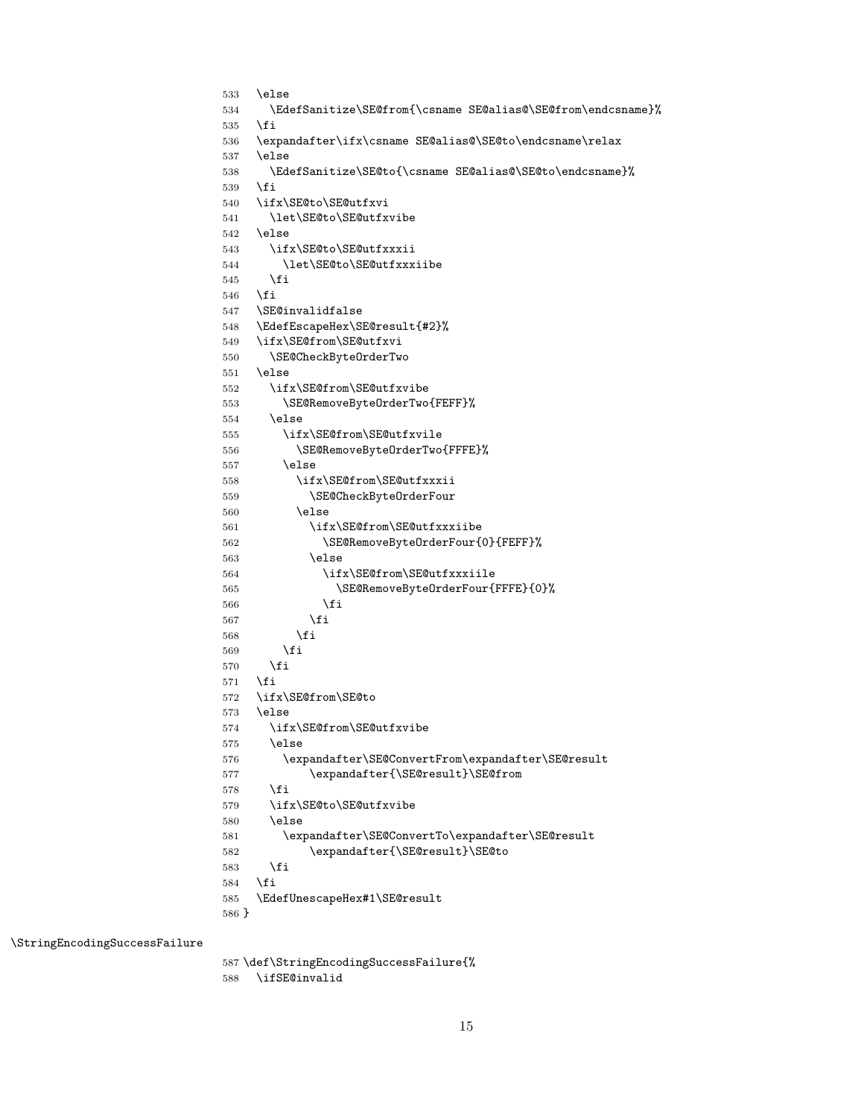```
533 \else
534 \EdefSanitize\SE@from{\csname SE@alias@\SE@from\endcsname}%
535 \fi
536 \expandafter\ifx\csname SE@alias@\SE@to\endcsname\relax
537 \else
538 \EdefSanitize\SE@to{\csname SE@alias@\SE@to\endcsname}%
539 \fi
540 \ifx\SE@to\SE@utfxvi
541 \let\SE@to\SE@utfxvibe
542 \else
543 \ifx\SE@to\SE@utfxxxii
544 \let\SE@to\SE@utfxxxiibe
545 \fi
546 \fi
547 \SE@invalidfalse
548 \EdefEscapeHex\SE@result{#2}%
549 \ifx\SE@from\SE@utfxvi
550 \SE@CheckByteOrderTwo
551 \else
552 \ifx\SE@from\SE@utfxvibe
553 \SE@RemoveByteOrderTwo{FEFF}%
554 \else
555 \ifx\SE@from\SE@utfxvile
556 \SE@RemoveByteOrderTwo{FFFE}%
557 \else
558 \ifx\SE@from\SE@utfxxxii
559 \SE@CheckByteOrderFour
560 \else
561 \ifx\SE@from\SE@utfxxxiibe
562 \SE@RemoveByteOrderFour{0}{FEFF}%
563 \else
564 \ifx\SE@from\SE@utfxxxiile
565 \SE@RemoveByteOrderFour{FFFE}{0}%
566 \fi
567 \setminusfi
568 \fi
569 \fi
570 \fi
571 \fi
572 \ifx\SE@from\SE@to
573 \else
574 \ifx\SE@from\SE@utfxvibe
575 \else
576 \expandafter\SE@ConvertFrom\expandafter\SE@result
577 \expandafter{\SE@result}\SE@from
578 \fi
579 \ifx\SE@to\SE@utfxvibe
580 \else
581 \expandafter\SE@ConvertTo\expandafter\SE@result
582 \expandafter{\SE@result}\SE@to
583 \fi
584 \fi
585 \EdefUnescapeHex#1\SE@result
586 }
```
\StringEncodingSuccessFailure

 \def\StringEncodingSuccessFailure{% \ifSE@invalid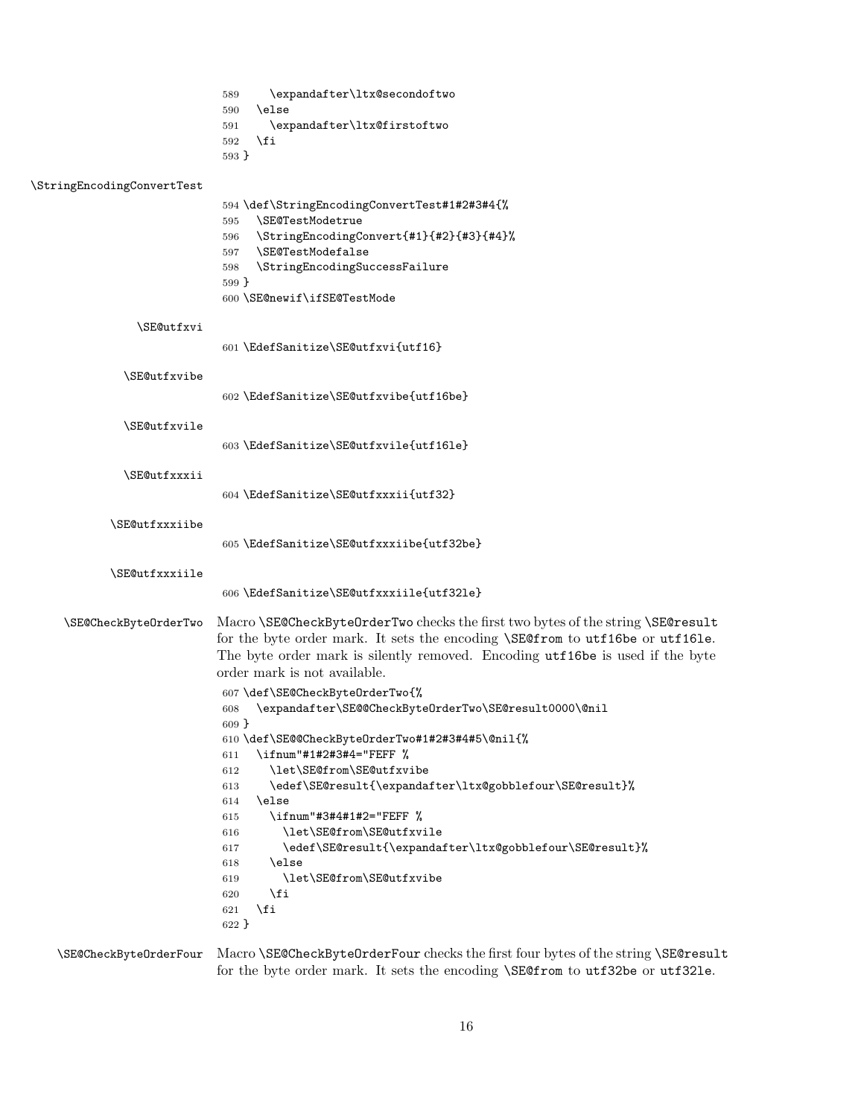|                            | \expandafter\ltx@secondoftwo<br>589<br>\else<br>590                                                                                                                                                                                                                                                                                                                                                                                              |
|----------------------------|--------------------------------------------------------------------------------------------------------------------------------------------------------------------------------------------------------------------------------------------------------------------------------------------------------------------------------------------------------------------------------------------------------------------------------------------------|
|                            | \expandafter\ltx@firstoftwo<br>591<br>\fi<br>592<br>593 }                                                                                                                                                                                                                                                                                                                                                                                        |
| \StringEncodingConvertTest |                                                                                                                                                                                                                                                                                                                                                                                                                                                  |
|                            | 594 \def\StringEncodingConvertTest#1#2#3#4{%<br>\SE@TestModetrue<br>595<br>\StringEncodingConvert{#1}{#2}{#3}{#4}%<br>596<br>\SE@TestModefalse<br>597<br>\StringEncodingSuccessFailure<br>598<br>599 }<br>600 \SE@newif\ifSE@TestMode                                                                                                                                                                                                            |
| \SE@utfxvi                 |                                                                                                                                                                                                                                                                                                                                                                                                                                                  |
|                            | 601 \EdefSanitize\SE@utfxvi{utf16}                                                                                                                                                                                                                                                                                                                                                                                                               |
| \SE@utfxvibe               | 602 \EdefSanitize\SE@utfxvibe{utf16be}                                                                                                                                                                                                                                                                                                                                                                                                           |
| \SE@utfxvile               |                                                                                                                                                                                                                                                                                                                                                                                                                                                  |
|                            | 603 \EdefSanitize\SE@utfxvile{utf16le}                                                                                                                                                                                                                                                                                                                                                                                                           |
| \SE@utfxxxii               | 604 \EdefSanitize\SE@utfxxxii{utf32}                                                                                                                                                                                                                                                                                                                                                                                                             |
| \SE@utfxxxiibe             | 605 \EdefSanitize\SE@utfxxxiibe{utf32be}                                                                                                                                                                                                                                                                                                                                                                                                         |
| \SE@utfxxxiile             |                                                                                                                                                                                                                                                                                                                                                                                                                                                  |
|                            | 606 \EdefSanitize\SE@utfxxxiile{utf32le}                                                                                                                                                                                                                                                                                                                                                                                                         |
| \SE@CheckByteOrderTwo      | Macro \SE@CheckByteOrderTwo checks the first two bytes of the string \SE@result<br>for the byte order mark. It sets the encoding \SE@from to utf16be or utf16le.<br>The byte order mark is silently removed. Encoding utf16be is used if the byte<br>order mark is not available.<br>607 \def\SE@CheckByteOrderTwo{%<br>\expandafter\SE@@CheckByteOrderTwo\SE@result0000\@nil<br>608                                                             |
|                            | $609$ }<br>610 \def\SE@@CheckByteOrderTwo#1#2#3#4#5\@nil{%<br>\ifnum"#1#2#3#4="FEFF %<br>611<br>\let\SE@from\SE@utfxvibe<br>612<br>\edef\SE@result{\expandafter\ltx@gobblefour\SE@result}%<br>613<br>\else<br>614<br>\ifnum"#3#4#1#2="FEFF %<br>615<br>\let\SE@from\SE@utfxvile<br>616<br>\edef\SE@result{\expandafter\ltx@gobblefour\SE@result}%<br>617<br>\else<br>618<br>\let\SE@from\SE@utfxvibe<br>619<br>\fi<br>620<br>\fi<br>621<br>622 } |

\SE@CheckByteOrderFour Macro \SE@CheckByteOrderFour checks the first four bytes of the string \SE@result for the byte order mark. It sets the encoding \SE@from to utf32be or utf32le.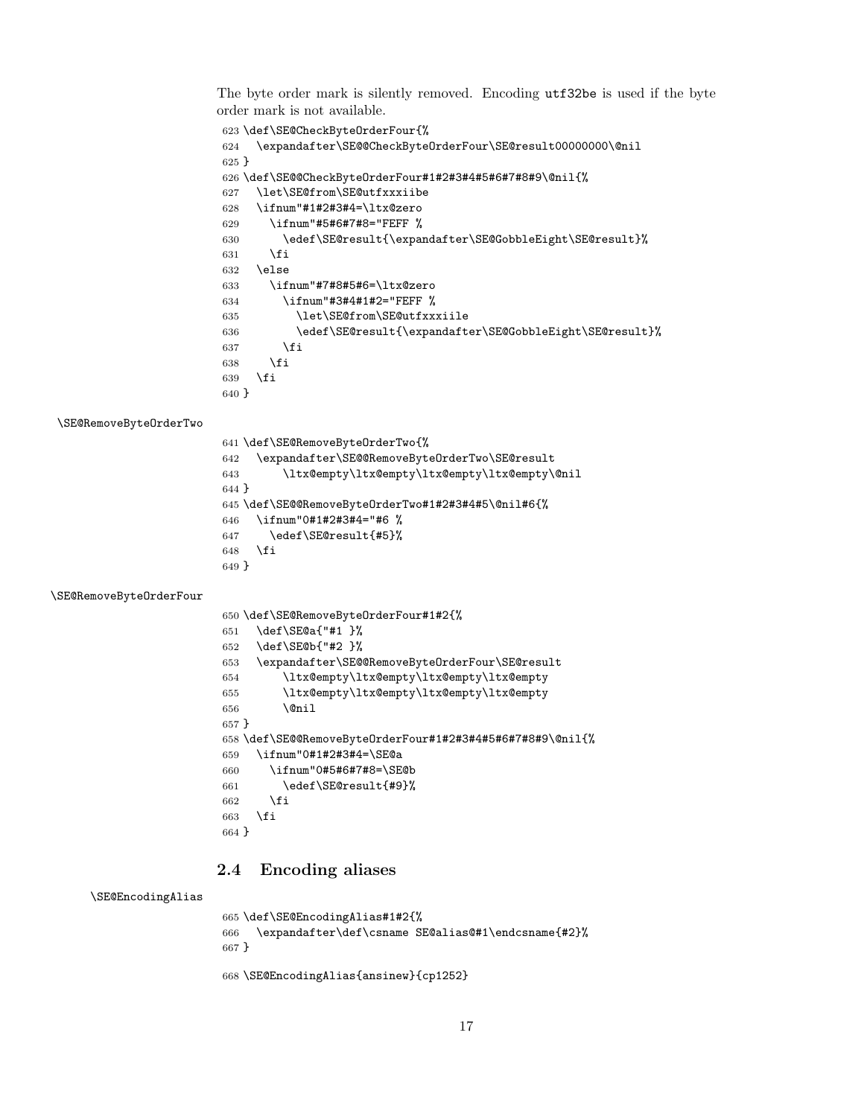The byte order mark is silently removed. Encoding utf32be is used if the byte order mark is not available.

```
623 \def\SE@CheckByteOrderFour{%
                        624 \expandafter\SE@@CheckByteOrderFour\SE@result00000000\@nil
                        625 }
                        626 \def\SE@@CheckByteOrderFour#1#2#3#4#5#6#7#8#9\@nil{%
                        627 \let\SE@from\SE@utfxxxiibe
                        628 \ifnum"#1#2#3#4=\ltx@zero
                        629 \ifnum"#5#6#7#8="FEFF %
                        630 \textcolor{red}{\texttt{expandafter}\texttt{GobbleEight}\texttt{%}631 \fi
                        632 \else
                        633 \ifnum"#7#8#5#6=\ltx@zero
                        634 \ifnum"#3#4#1#2="FEFF %
                        635 \let\SE@from\SE@utfxxxiile
                        636 \edef\SE@result{\expandafter\SE@GobbleEight\SE@result}%
                        637 \fi
                        638 \fi
                        639 \fi
                        640 }
 \SE@RemoveByteOrderTwo
                        641 \def\SE@RemoveByteOrderTwo{%
                        642 \expandafter\SE@@RemoveByteOrderTwo\SE@result
                        643 \ltx@empty\ltx@empty\ltx@empty\ltx@empty\@nil
                        644 }
                        645 \def\SE@@RemoveByteOrderTwo#1#2#3#4#5\@nil#6{%
                        646 \ifnum"0#1#2#3#4="#6 %
                        647 \edef\SE@result{#5}%
                        648 \fi
                        649 }
\SE@RemoveByteOrderFour
                        650 \def\SE@RemoveByteOrderFour#1#2{%
                        651 \def\SE@a{"#1 }%
                        652 \def\SE@b{"#2 }%
                        653 \expandafter\SE@@RemoveByteOrderFour\SE@result
                        654 \ltx@empty\ltx@empty\ltx@empty\ltx@empty
                        655 \ltx@empty\ltx@empty\ltx@empty\ltx@empty
                        656 \@nil
                        657 }
                        658 \def\SE@@RemoveByteOrderFour#1#2#3#4#5#6#7#8#9\@nil{%
                        659 \ifnum"0#1#2#3#4=\SE@a
                        660 \ifnum"0#5#6#7#8=\SE@b
                        661 \edef\SE@result{#9}%
                        662 \fi
                        663 \fi
                        664 }
```
## <span id="page-16-0"></span>2.4 Encoding aliases

```
\SE@EncodingAlias
```

```
665 \def\SE@EncodingAlias#1#2{%
666 \expandafter\def\csname SE@alias@#1\endcsname{#2}%
667 }
```

```
668 \SE@EncodingAlias{ansinew}{cp1252}
```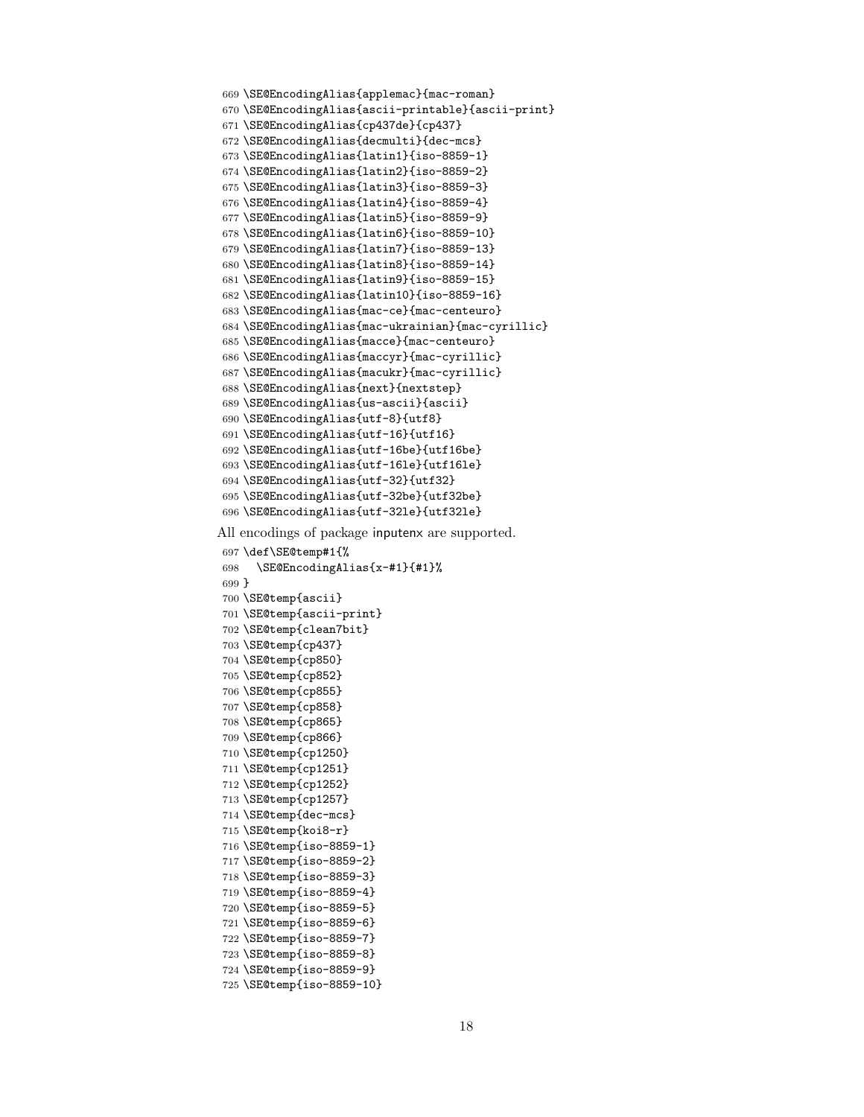```
669 \SE@EncodingAlias{applemac}{mac-roman}
670 \SE@EncodingAlias{ascii-printable}{ascii-print}
671 \SE@EncodingAlias{cp437de}{cp437}
672 \SE@EncodingAlias{decmulti}{dec-mcs}
673 \SE@EncodingAlias{latin1}{iso-8859-1}
674 \SE@EncodingAlias{latin2}{iso-8859-2}
675 \SE@EncodingAlias{latin3}{iso-8859-3}
676 \SE@EncodingAlias{latin4}{iso-8859-4}
677 \SE@EncodingAlias{latin5}{iso-8859-9}
678 \SE@EncodingAlias{latin6}{iso-8859-10}
679 \SE@EncodingAlias{latin7}{iso-8859-13}
680 \SE@EncodingAlias{latin8}{iso-8859-14}
681 \SE@EncodingAlias{latin9}{iso-8859-15}
682 \SE@EncodingAlias{latin10}{iso-8859-16}
683 \SE@EncodingAlias{mac-ce}{mac-centeuro}
684 \SE@EncodingAlias{mac-ukrainian}{mac-cyrillic}
685 \SE@EncodingAlias{macce}{mac-centeuro}
686 \SE@EncodingAlias{maccyr}{mac-cyrillic}
687 \SE@EncodingAlias{macukr}{mac-cyrillic}
688 \SE@EncodingAlias{next}{nextstep}
689 \SE@EncodingAlias{us-ascii}{ascii}
690 \SE@EncodingAlias{utf-8}{utf8}
691 \SE@EncodingAlias{utf-16}{utf16}
692 \SE@EncodingAlias{utf-16be}{utf16be}
693 \SE@EncodingAlias{utf-16le}{utf16le}
694 \SE@EncodingAlias{utf-32}{utf32}
695 \SE@EncodingAlias{utf-32be}{utf32be}
696 \SE@EncodingAlias{utf-32le}{utf32le}
All encodings of package inputenx are supported.
```

```
697 \def\SE@temp#1{%
698 \SE@EncodingAlias{x-#1}{#1}%
699 }
700 \SE@temp{ascii}
701 \SE@temp{ascii-print}
702 \SE@temp{clean7bit}
703 \SE@temp{cp437}
704 \SE@temp{cp850}
705 \SE@temp{cp852}
706 \SE@temp{cp855}
707 \SE@temp{cp858}
708 \SE@temp{cp865}
709 \SE@temp{cp866}
710 \SE@temp{cp1250}
711 \SE@temp{cp1251}
712 \SE@temp{cp1252}
713 \SE@temp{cp1257}
714 \SE@temp{dec-mcs}
715 \SE@temp{koi8-r}
716 \SE@temp{iso-8859-1}
717 \SE@temp{iso-8859-2}
718 \SE@temp{iso-8859-3}
719 \SE@temp{iso-8859-4}
720 \SE@temp{iso-8859-5}
721 \SE@temp{iso-8859-6}
722 \SE@temp{iso-8859-7}
723 \SE@temp{iso-8859-8}
724 \SE@temp{iso-8859-9}
```
\SE@temp{iso-8859-10}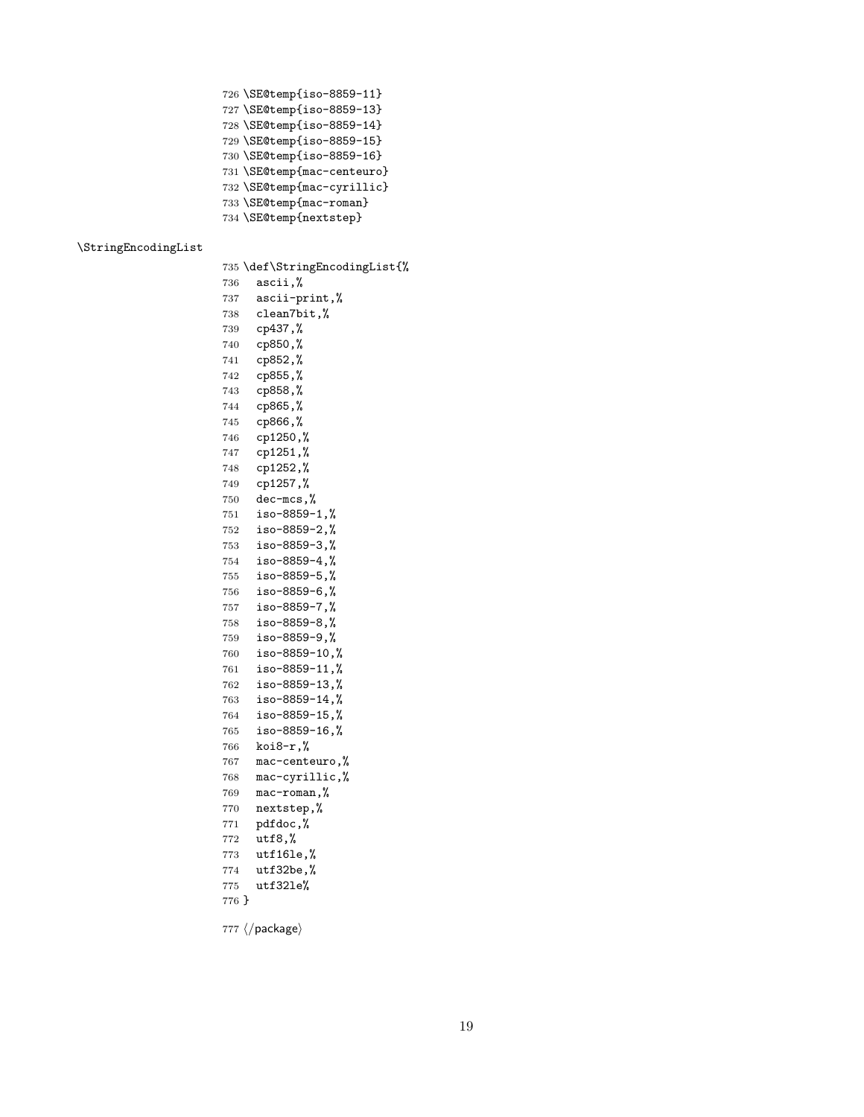- \SE@temp{iso-8859-11} \SE@temp{iso-8859-13} \SE@temp{iso-8859-14} \SE@temp{iso-8859-15} \SE@temp{iso-8859-16} \SE@temp{mac-centeuro} \SE@temp{mac-cyrillic} \SE@temp{mac-roman}
- \SE@temp{nextstep}

### \StringEncodingList

|            | 735 \def\StringEncodingList{%  |
|------------|--------------------------------|
| 736        | ascii,%                        |
| 737        | ascii-print,%                  |
| 738        | clean7bit,%                    |
| 739        | %, cp437                       |
| 740        | ср850,%                        |
| 741        | ср852,%                        |
| 742        | cp855,%                        |
| 743        | ср858,%                        |
| 744        | cp865,%                        |
| 745        | ср866,%                        |
| 746        | cp1250,%                       |
| 747        | cp1251,%                       |
| 748        | cp1252,%                       |
| 749        | cp1257,%                       |
| 750        | dec-mcs,%                      |
| 751        | iso-8859-1,%                   |
| 752        | iso-8859-2,%                   |
| 753        | iso-8859-3,%                   |
| 754        | iso-8859-4,%                   |
| 755        | iso-8859-5,%                   |
| 756        | %,iso-8859-6                   |
| 757        | %, iso-8859-7                  |
| 758        | iso-8859-8,%                   |
| 759        | iso-8859-9,%                   |
| 760        | iso-8859-10,%                  |
| 761        | iso-8859-11,%                  |
| 762        | iso-8859-13,%                  |
| 763        | iso-8859-14,%                  |
| 764        | iso-8859-15,%<br>iso-8859-16,% |
| 765        | koi8-r,%                       |
| 766<br>767 | mac-centeuro,%                 |
| 768        | mac-cyrillic,%                 |
| 769        | mac-roman,%                    |
| 770        | nextstep,%                     |
| 771        | .%, pdfdoc                     |
| 772        | utf8,%                         |
| 773        | %,utf161e                      |
| 774        | utf32be,%                      |
| 775        | utf321e%                       |
| 776 }      |                                |
|            |                                |

777  $\langle$ /package $\rangle$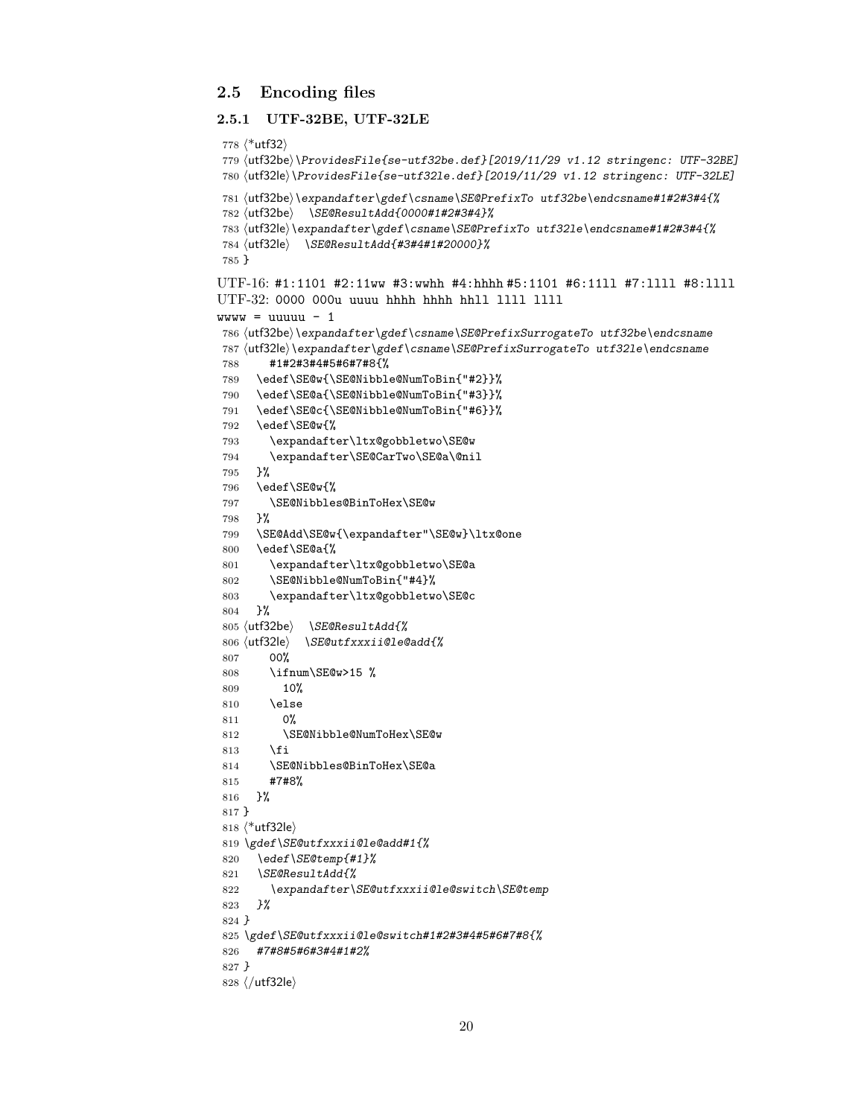### <span id="page-19-0"></span>2.5 Encoding files

### <span id="page-19-1"></span>2.5.1 UTF-32BE, UTF-32LE

```
778 \langle*utf32\rangle779 (utf32be) \ProvidesFile{se-utf32be.def}[2019/11/29 v1.12 stringenc: UTF-32BE]
780 \utf32le\\ProvidesFile{se-utf32le.def}[2019/11/29 v1.12 stringenc: UTF-32LE]
781 \utf32be\expandafter\gdef\csname\SE@PrefixTo utf32be\endcsname#1#2#3#4{%
782 \utf32be\ \SE@ResultAdd{0000#1#2#3#4}%
783 \utf32le\expandafter\gdef\csname\SE@PrefixTo utf32le\endcsname#1#2#3#4{%
784 \utf32le\ \SE@ResultAdd{#3#4#1#20000}%
785 }
UTF-16: #1:1101 #2:11ww #3:wwhh #4:hhhh #5:1101 #6:11ll #7:llll #8:llll
UTF-32: 0000 000u uuuu hhhh hhhh hhll llll llll
www = uuuuu - 1786 \utf32be\expandafter\gdef\csname\SE@PrefixSurrogateTo utf32be\endcsname
787 \utf32le\expandafter\gdef\csname\SE@PrefixSurrogateTo utf32le\endcsname
788 #1#2#3#4#5#6#7#8{%
789 \edef\SE@w{\SE@Nibble@NumToBin{"#2}}%
790 \edef\SE@a{\SE@Nibble@NumToBin{"#3}}%
791 \edef\SE@c{\SE@Nibble@NumToBin{"#6}}%
792 \edef\SE@w{%
793 \expandafter\ltx@gobbletwo\SE@w
794 \expandafter\SE@CarTwo\SE@a\@nil
795 }%
796 \edef\SE@w{%
797 \SE@Nibbles@BinToHex\SE@w
798 }%
799 \SE@Add\SE@w{\expandafter"\SE@w}\ltx@one
800 \edef\SE@a{%
801 \expandafter\ltx@gobbletwo\SE@a
802 \SE@Nibble@NumToBin{"#4}%
803 \expandafter\ltx@gobbletwo\SE@c
804 }%
805 (utf32be) \SE@ResultAdd{%
806 \langleutf32le\rangle \SE@utfxxxii@le@add{%
807 00%
808 \ifnum\SE@w>15 %
809 10%
810 \else
811 0%
812 \SE@Nibble@NumToHex\SE@w
813 \fi
814 \SE@Nibbles@BinToHex\SE@a
815 #7#8%
816 }%
817 }
818 (*utf32le)
819 \gdef\SE@utfxxxii@le@add#1{%
820 \edef\SE@temp{#1}%
821 \SE@ResultAdd{%
822 \expandafter\SE@utfxxxii@le@switch\SE@temp
823 }%
824 }
825 \gdef\SE@utfxxxii@le@switch#1#2#3#4#5#6#7#8{%
826 #7#8#5#6#3#4#1#2%
827 }
828 (/utf32le)
```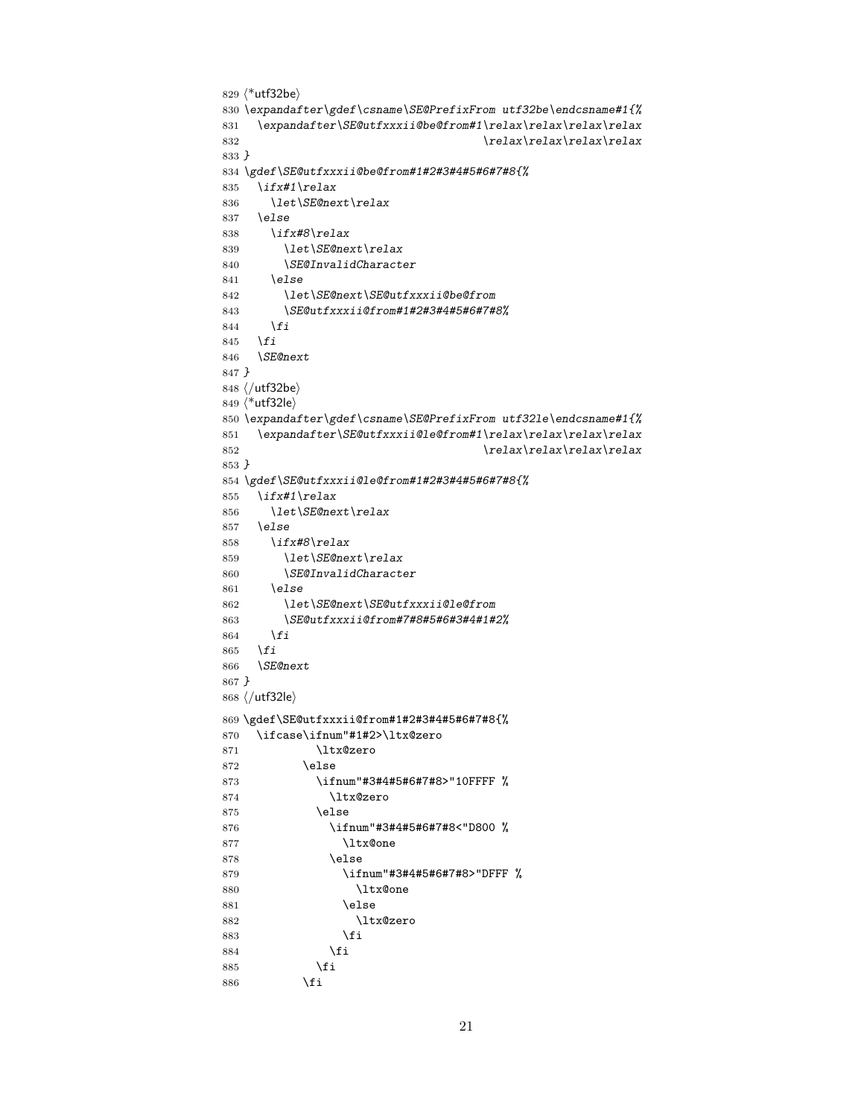```
829 (*utf32be)
830 \expandafter\gdef\csname\SE@PrefixFrom utf32be\endcsname#1{%
831 \expandafter\SE@utfxxxii@be@from#1\relax\relax\relax\relax
832 \relax\relax\relax\relax\relax\relax
833 }
834 \gdef\SE@utfxxxii@be@from#1#2#3#4#5#6#7#8{%
835 \i{fx#1\relax}836 \let\SE@next\relax
837 \else
838 \ifx#8\relax
839 \let\SE@next\relax
840 \SE@InvalidCharacter
841 \else
842 \let\SE@next\SE@utfxxxii@be@from
843 \SE@utfxxxii@from#1#2#3#4#5#6#7#8%
844 \overline{\phantom{0}} \overline{\phantom{0}}845 \{f_i\}846 \SE@next
847 }
848 (/utf32be)
849 \langle*utf32le\rangle850 \expandafter\gdef\csname\SE@PrefixFrom utf32le\endcsname#1{%
851 \expandafter\SE@utfxxxii@le@from#1\relax\relax\relax\relax
852 \relax\relax\relax\relax\relax\relax\relax
853 }
854 \gdef\SE@utfxxxii@le@from#1#2#3#4#5#6#7#8{%
855 \ifx#1\relax
856 \let\SE@next\relax
857 \else
858 \ifx#8\relax
859 \let\SE@next\relax
860 \SE@InvalidCharacter
861 \else
862 \let\SE@next\SE@utfxxxii@le@from
863 \SE@utfxxxii@from#7#8#5#6#3#4#1#2%
864 \fi
865 \big\}866 \SE@next
867 }
868\langle/\mathsf{utf32le}\rangle869 \gdef\SE@utfxxxii@from#1#2#3#4#5#6#7#8{%
870 \ifcase\ifnum"#1#2>\ltx@zero
871 \ltx@zero
872 \else
873 \ifnum"#3#4#5#6#7#8>"10FFFF %
874 \ltx@zero
875 \else
876 \ifnum"#3#4#5#6#7#8<"D800 %
877 \ltx@one
878 \else
879 \ifnum"#3#4#5#6#7#8>"DFFF %
880 \ltx@one
881 \else
882 \ltx@zero
883 \overline{) \text{f}i}884 \fi
885 \overline{\text{f}i}886 \fi
```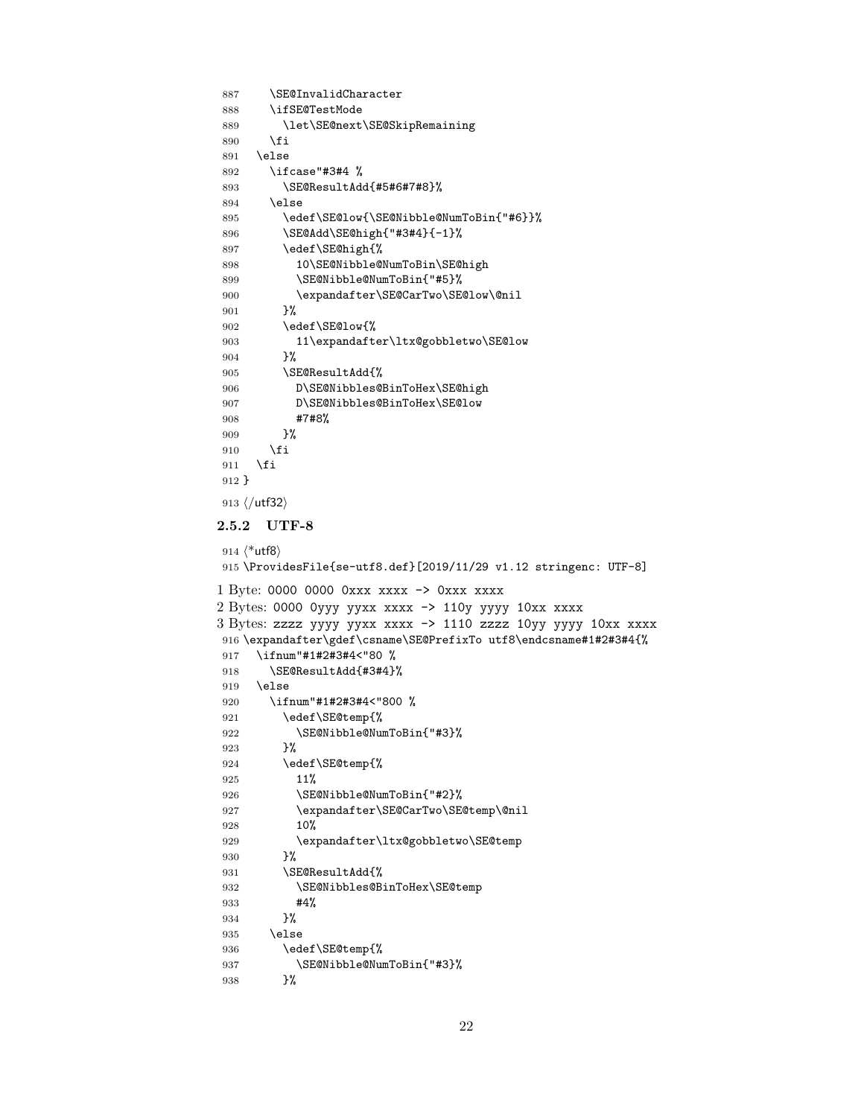```
887 \SE@InvalidCharacter
888 \ifSE@TestMode
889 \let\SE@next\SE@SkipRemaining
890 \fi
891 \else
892 \ifcase"#3#4 %
893 \SE@ResultAdd{#5#6#7#8}%
894 \else
895 \edef\SE@low{\SE@Nibble@NumToBin{"#6}}%
896 \SE@Add\SE@high{"#3#4}{-1}%
897 \edef\SE@high{%
898 10\SE@Nibble@NumToBin\SE@high
899 \SE@Nibble@NumToBin{"#5}%
900 \expandafter\SE@CarTwo\SE@low\@nil<br>901 }%
901 }%
902 \edef\SE@low{%
903 11\expandafter\ltx@gobbletwo\SE@low
904 }%
905 \SE@ResultAdd{%
906 D\SE@Nibbles@BinToHex\SE@high
907 D\SE@Nibbles@BinToHex\SE@low
908 #7#8%
909 }%
910 \fi
911 \fi
912 }
913 \langle/utf32}
2.5.2 UTF-8
914 \langle*utf8\rangle915 \ProvidesFile{se-utf8.def}[2019/11/29 v1.12 stringenc: UTF-8]
1 Byte: 0000 0000 0xxx xxxx -> 0xxx xxxx
2 Bytes: 0000 0yyy yyxx xxxx -> 110y yyyy 10xx xxxx
3 Bytes: zzzz yyyy yyxx xxxx -> 1110 zzzz 10yy yyyy 10xx xxxx
916 \expandafter\gdef\csname\SE@PrefixTo utf8\endcsname#1#2#3#4{%
917 \ifnum"#1#2#3#4<"80 %
918 \SE@ResultAdd{#3#4}%
919 \else
920 \ifnum"#1#2#3#4<"800 %
921 \edef\SE@temp{%
922 \SE@Nibble@NumToBin{"#3}%
923 }%
924 \edef\SE@temp{%
925 11%
926 \SE@Nibble@NumToBin{"#2}%
927 \expandafter\SE@CarTwo\SE@temp\@nil
928 10%
929 \expandafter\ltx@gobbletwo\SE@temp
930 }%
931 \SE@ResultAdd{%
932 \SE@Nibbles@BinToHex\SE@temp
933 #4%
934 }%
935 \else
```
<span id="page-21-0"></span>\edef\SE@temp{%

}%

937 \SE@Nibble@NumToBin{"#3}%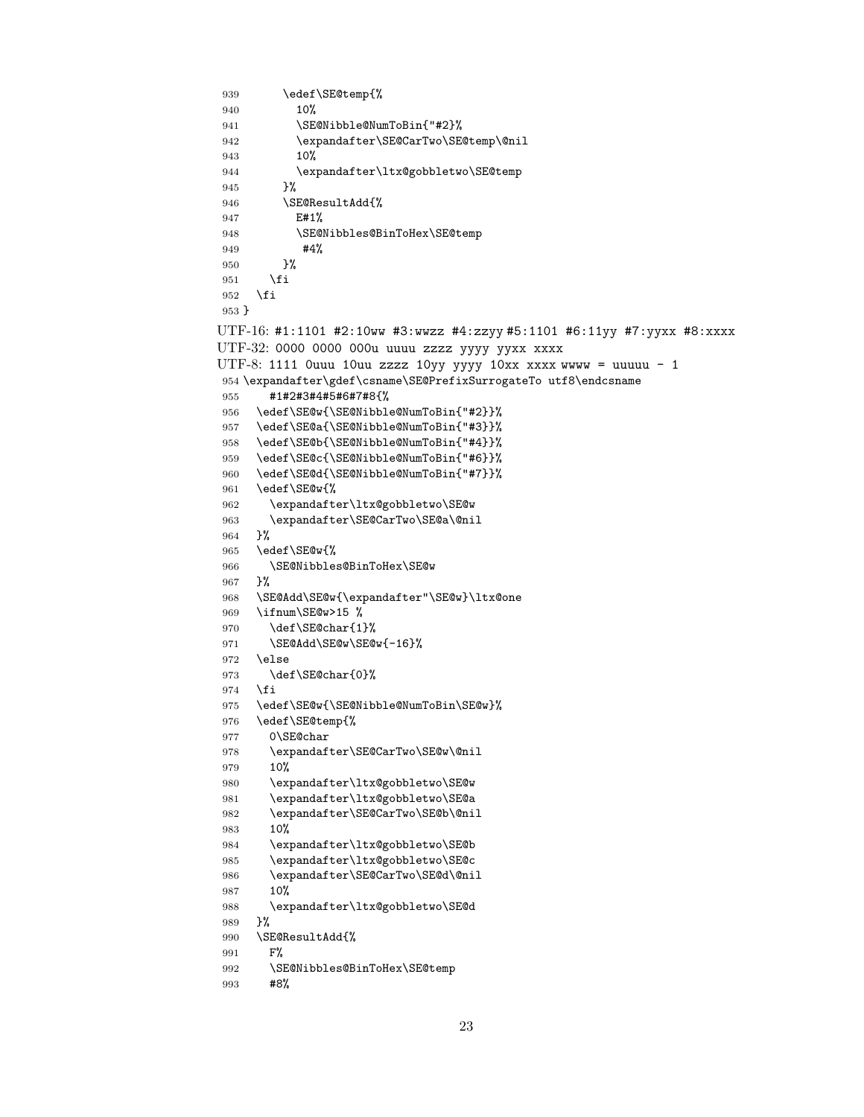```
939 \edef\SE@temp{%
940 10%
941 \SE@Nibble@NumToBin{"#2}%
942 \expandafter\SE@CarTwo\SE@temp\@nil
943 10%
944 \expandafter\ltx@gobbletwo\SE@temp
945 }%
946 \SE@ResultAdd{%
947 E#1%
948 \SE@Nibbles@BinToHex\SE@temp
949 #4%
950 }%
951 \fi
952 \fi
953 }
UTF-16: #1:1101 #2:10ww #3:wwzz #4:zzyy #5:1101 #6:11yy #7:yyxx #8:xxxx
UTF-32: 0000 0000 000u uuuu zzzz yyyy yyxx xxxx
UTF-8: 1111 0uuu 10uu zzzz 10yy yyyy 10xx xxxx wwww = uuuuu - 1
954 \expandafter\gdef\csname\SE@PrefixSurrogateTo utf8\endcsname
955 #1#2#3#4#5#6#7#8{%
956 \edef\SE@w{\SE@Nibble@NumToBin{"#2}}%
957 \edef\SE@a{\SE@Nibble@NumToBin{"#3}}%
958 \edef\SE@b{\SE@Nibble@NumToBin{"#4}}%
959 \edef\SE@c{\SE@Nibble@NumToBin{"#6}}%
960 \edef\SE@d{\SE@Nibble@NumToBin{"#7}}%
961 \edef\SE@w{%
962 \expandafter\ltx@gobbletwo\SE@w
963 \expandafter\SE@CarTwo\SE@a\@nil
964 }%
965 \edef\SE@w{%
966 \SE@Nibbles@BinToHex\SE@w
967 }%
968 \SE@Add\SE@w{\expandafter"\SE@w}\ltx@one
969 \ifnum\SE@w>15 %
970 \def\SE@char{1}%
971 \SE@Add\SE@w\SE@w{-16}%
972 \else
973 \def\SE@char{0}%
974 \fi
975 \edef\SE@w{\SE@Nibble@NumToBin\SE@w}%
976 \edef\SE@temp{%
977 0\SE@char
978 \expandafter\SE@CarTwo\SE@w\@nil
979 10%
980 \expandafter\ltx@gobbletwo\SE@w
981 \expandafter\ltx@gobbletwo\SE@a
982 \expandafter\SE@CarTwo\SE@b\@nil
983 10%
984 \expandafter\ltx@gobbletwo\SE@b
985 \expandafter\ltx@gobbletwo\SE@c
986 \expandafter\SE@CarTwo\SE@d\@nil
987 10%
988 \expandafter\ltx@gobbletwo\SE@d
989 }%
990 \SE@ResultAdd{%
991 F%
992 \SE@Nibbles@BinToHex\SE@temp
993 #8%
```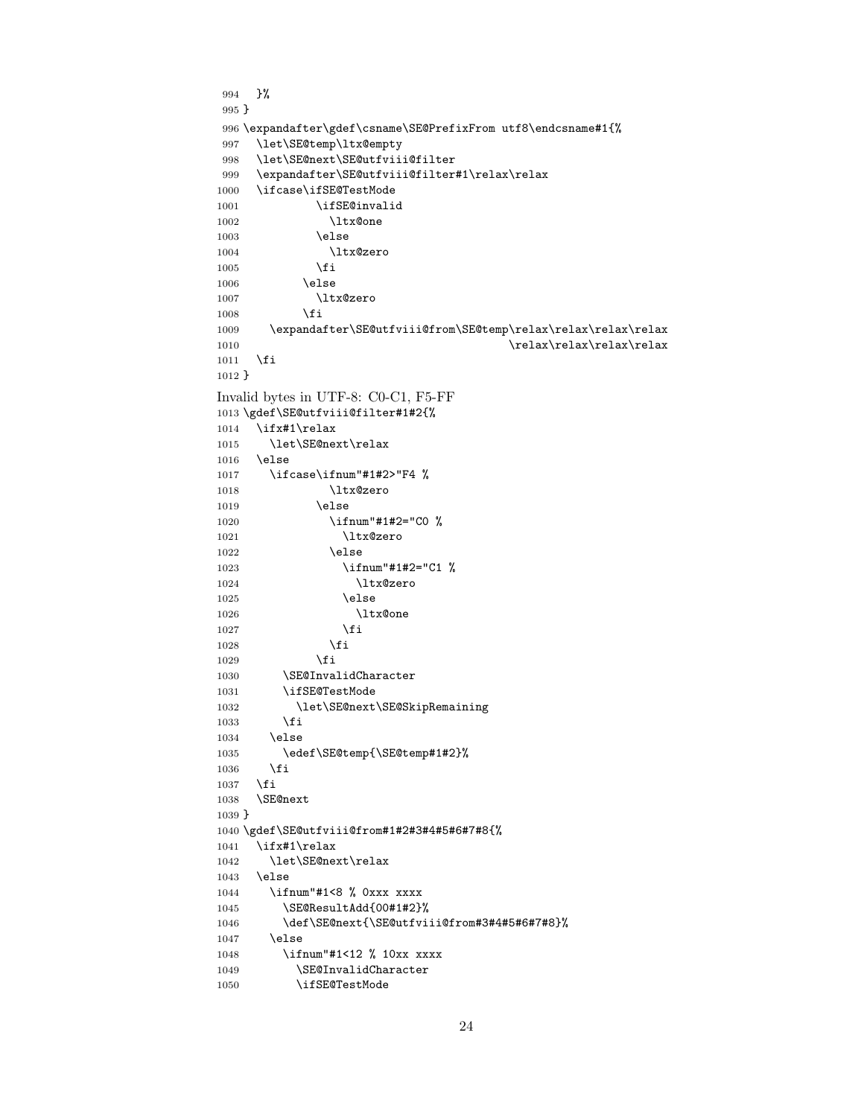```
994 }%
995 }
996 \expandafter\gdef\csname\SE@PrefixFrom utf8\endcsname#1{%
997 \let\SE@temp\ltx@empty
998 \let\SE@next\SE@utfviii@filter
999 \expandafter\SE@utfviii@filter#1\relax\relax
1000 \ifcase\ifSE@TestMode
1001 \ifSE@invalid
1002 \ltx@one
1003 \else
1004 \ltx@zero
1005 \fi
1006 \else
1007 \ltx@zero
1008 \fi
1009 \expandafter\SE@utfviii@from\SE@temp\relax\relax\relax\relax
1010 \relax\relax\relax\relax\relax\relax\relax\relax\relax\relax\relax\relax\relax\relax\relax\relax\relax\relax\relax\relax\relax\relax\relax\relax\relax\relax\relax\relax\relax\relax\relax\relax\relax\relax\relax\relax\
1011 \fi
1012 }
Invalid bytes in UTF-8: C0-C1, F5-FF
1013 \gdef\SE@utfviii@filter#1#2{%
1014 \ifx#1\relax
1015 \let\SE@next\relax
1016 \else
1017 \ifcase\ifnum"#1#2>"F4 \!\%1018 \ltx@zero
1019 \else
1020 \ifnum"#1#2="CO %
1021 \ltx@zero
1022 \else
1023 \ifnum"#1#2="C1 %
1024 \ltx@zero
1025 \else
1026 \ltx@one
1027 \qquad \qquad \int fi
1028 \fi
1029 \fi
1030 \SE@InvalidCharacter
1031 \ifSE@TestMode
1032 \let\SE@next\SE@SkipRemaining
1033 \fi
1034 \else
1035 \edef\SE@temp{\SE@temp#1#2}%
1036 \fi
1037 \fi
1038 \SE@next
1039 }
1040 \gdef\SE@utfviii@from#1#2#3#4#5#6#7#8{%
1041 \ifx#1\relax
1042 \let\SE@next\relax
1043 \else
1044 \ifnum"#1<8 % 0xxx xxxx
1045 \SE@ResultAdd{00#1#2}%
1046 \def\SE@next{\SE@utfviii@from#3#4#5#6#7#8}%
1047 \else
1048 \ifnum"#1<12 % 10xx xxxx
1049 \SE@InvalidCharacter
1050 \ifSE@TestMode
```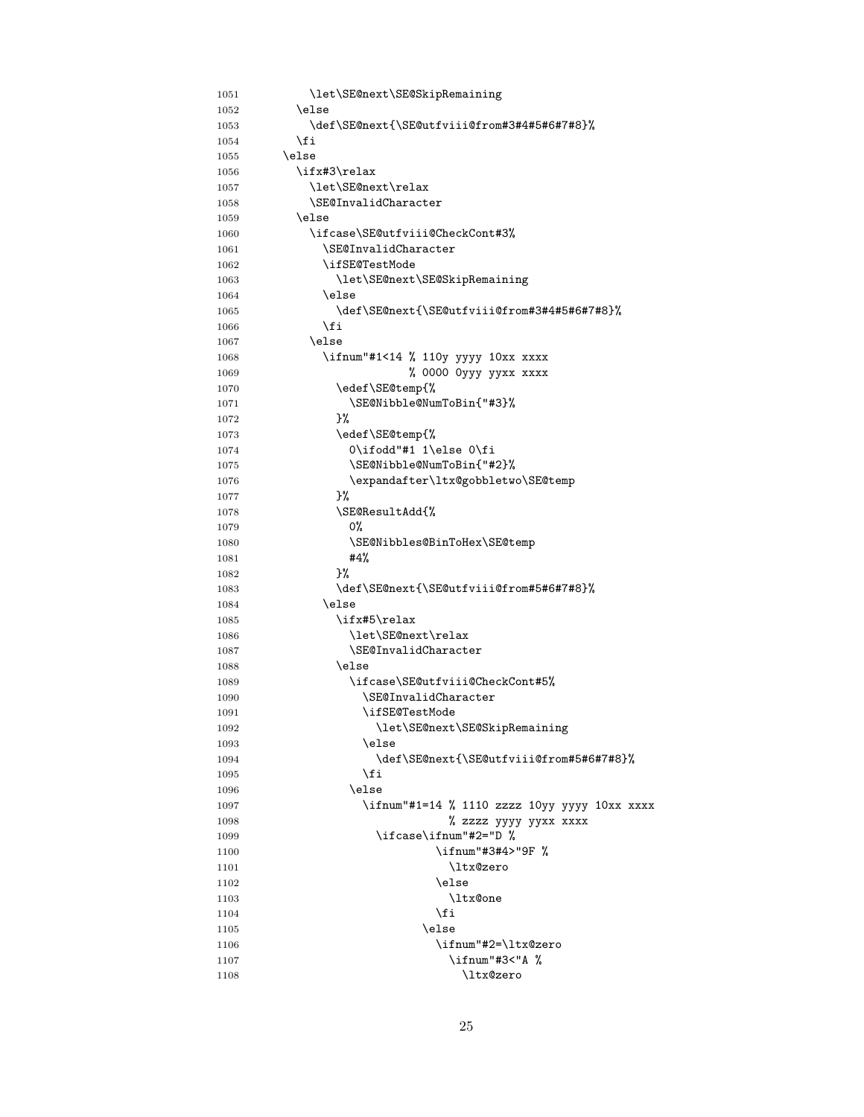```
1051 \let\SE@next\SE@SkipRemaining
1052 \else
1053 \def\SE@next{\SE@utfviii@from#3#4#5#6#7#8}%
1054 \overrightarrow{fi}1055 \else
1056 \ifx#3\relax
1057 \let\SE@next\relax
1058 \SE@InvalidCharacter
1059 \else
1060 \ifcase\SE@utfviii@CheckCont#3%
1061 \SE@InvalidCharacter
1062 \ifSE@TestMode
1063 \let\SE@next\SE@SkipRemaining
1064 \else
1065 \def\SE@next{\SE@utfviii@from#3#4#5#6#7#8}%
1066 \qquad \qquad \int fi
1067 \else
1068 \ifnum"#1<14 % 110y yyyy 10xx xxxx
1069 % 0000 0yyy yyxx xxxx
1070 \edef\SE@temp{%
1071 \SE@Nibble@NumToBin{"#3}%
1072 }%
1073 \edef\SE@temp{%
1074 0\ifodd"#1 1\else 0\fi
1075 \SE@Nibble@NumToBin{"#2}%
1076 \expandafter\ltx@gobbletwo\SE@temp
1077 }%
1078 \SE@ResultAdd{%
1079 0%
1080 \SE@Nibbles@BinToHex\SE@temp
1081 #4%
1082 }%
1083 \def\SE@next{\SE@utfviii@from#5#6#7#8}%
1084 \else
1085 \iint x#5\relax1086 \let\SE@next\relax
1087 \SE@InvalidCharacter
1088 \else
1089 \ifcase\SE@utfviii@CheckCont#5%
1090 \SE@InvalidCharacter
1091 \ifSE@TestMode
1092 \let\SE@next\SE@SkipRemaining
1093 \else
1094 \def\SE@next{\SE@utfviii@from#5#6#7#8}%
1095 \fi
1096 \else
1097 \ifnum"#1=14 % 1110 zzzz 10yy yyyy 10xx xxxx
1098 % zzzz yyyy yyxx xxxx
1099 \iint case\ifnum" #2="D %1100 \ifnum"#3#4>"9F %
1101 \ltx@zero
1102 \text{else}1103 \ltx@one
1104 \fi
1105 \text{else}1106 \ifnum"#2=\ltx@zero
1107 \ifnum"#3<"A %
1108 \ltx@zero
```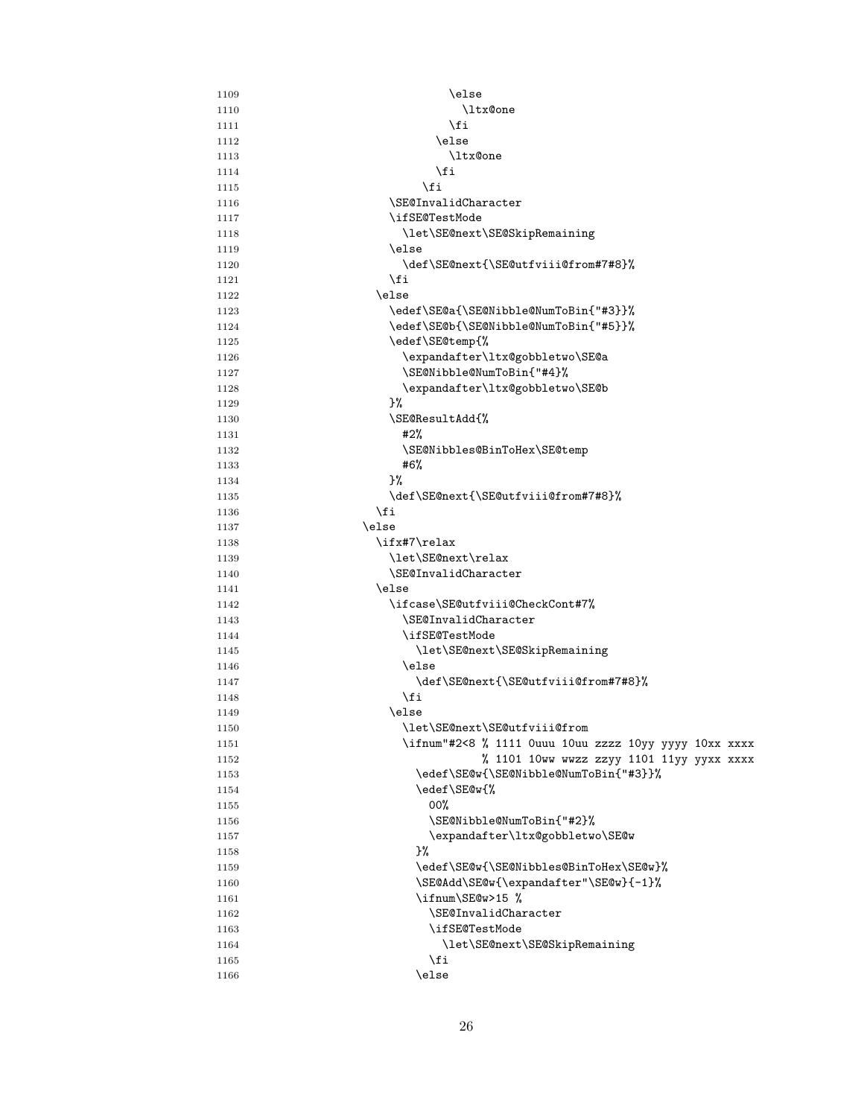| 1109 | \else                                                 |
|------|-------------------------------------------------------|
| 1110 | \ltx@one                                              |
| 1111 | \fi                                                   |
| 1112 | \else                                                 |
| 1113 | \ltx@one                                              |
| 1114 | \fi                                                   |
| 1115 | \fi                                                   |
| 1116 | \SE@InvalidCharacter                                  |
| 1117 | \ifSE@TestMode                                        |
| 1118 | \let\SE@next\SE@SkipRemaining                         |
| 1119 | \else                                                 |
| 1120 | \def\SE@next{\SE@utfviii@from#7#8}%                   |
| 1121 | \fi                                                   |
| 1122 | \else                                                 |
| 1123 | \edef\SE@a{\SE@Nibble@NumToBin{"#3}}%                 |
| 1124 | \edef\SE@b{\SE@Nibble@NumToBin{"#5}}%                 |
| 1125 | \edef\SE@temp{%                                       |
| 1126 | \expandafter\ltx@gobbletwo\SE@a                       |
| 1127 | \SE@Nibble@NumToBin{"#4}%                             |
| 1128 | \expandafter\ltx@gobbletwo\SE@b                       |
| 1129 | }‰                                                    |
| 1130 | \SE@ResultAdd{%                                       |
| 1131 | #2%                                                   |
| 1132 | \SE@Nibbles@BinToHex\SE@temp                          |
| 1133 | #6%                                                   |
| 1134 | }‰                                                    |
| 1135 | \def\SE@next{\SE@utfviii@from#7#8}%                   |
| 1136 | \fi                                                   |
| 1137 | \else                                                 |
| 1138 | \ifx#7\relax                                          |
| 1139 | \let\SE@next\relax                                    |
| 1140 | \SE@InvalidCharacter                                  |
| 1141 | \else                                                 |
| 1142 | \ifcase\SE@utfviii@CheckCont#7%                       |
| 1143 | \SE@InvalidCharacter                                  |
| 1144 | \ifSE@TestMode                                        |
| 1145 | \let\SE@next\SE@SkipRemaining                         |
| 1146 | \else                                                 |
| 1147 | \def\SE@next{\SE@utfviii@from#7#8}%                   |
| 1148 | \fi                                                   |
| 1149 | \else                                                 |
| 1150 | \let\SE@next\SE@utfviii@from                          |
| 1151 | \ifnum"#2<8 % 1111 Ouuu 10uu zzzz 10yy yyyy 10xx xxxx |
| 1152 | % 1101 10ww wwzz zzyy 1101 11yy yyxx xxxx             |
| 1153 | \edef\SE@w{\SE@Nibble@NumToBin{"#3}}%                 |
| 1154 | \edef\SE@w{%                                          |
| 1155 | 00%                                                   |
| 1156 | \SE@Nibble@NumToBin{"#2}%                             |
| 1157 | \expandafter\ltx@gobbletwo\SE@w                       |
| 1158 | }%                                                    |
| 1159 | \edef\SE@w{\SE@Nibbles@BinToHex\SE@w}%                |
| 1160 | \SE@Add\SE@w{\expandafter"\SE@w}{-1}%                 |
| 1161 | \ifnum\SE@w>15 %                                      |
| 1162 | \SE@InvalidCharacter                                  |
| 1163 | \ifSE@TestMode                                        |
| 1164 | \let\SE@next\SE@SkipRemaining                         |
| 1165 | \fi                                                   |
| 1166 | \else                                                 |
|      |                                                       |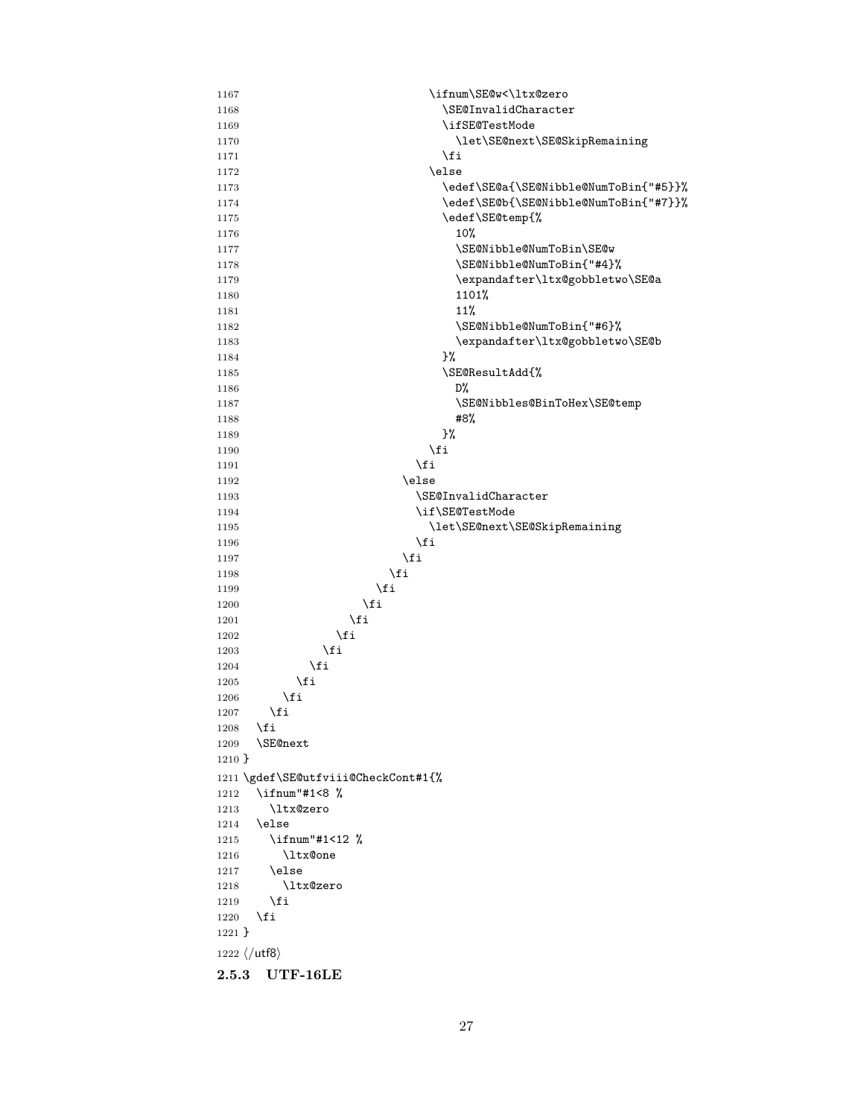```
1167 \ifnum\SE@w<\ltx@zero
1168 \SE@InvalidCharacter
1169 \ifSE@TestMode
1170 \let\SE@next\SE@SkipRemaining
1171 \fi
1172 \else
1173 \edef\SE@a{\SE@Nibble@NumToBin{"#5}}%
1174 \edef\SE@b{\SE@Nibble@NumToBin{"#7}}%
1175 \edef\SE@temp{%
1176 10%
1177 \SE@Nibble@NumToBin\SE@w
1178 \SE@Nibble@NumToBin{"#4}%
1179 \expandafter\ltx@gobbletwo\SE@a
1180 1101%<br>1181 1181
1181 11%1182 \SE@Nibble@NumToBin{"#6}%
1183 \expandafter\ltx@gobbletwo\SE@b<br>1184 }% }
1184 }%
1185 \SE@ResultAdd{%
1186 D%
1187 \SE@Nibbles@BinToHex\SE@temp
1188 #8%1189 } %
1190 \quad \text{if}1191 \quad \text{if}1192 \text{else}1193 \SE@InvalidCharacter
1194 \if\SE@TestMode
1195 \let\SE@next\SE@SkipRemaining<br>1196 \fi
1196 \quad \text{if}1197 \qquad \qquad \int fi
1198 \setminusfi
1199 \qquad \qquad \text{if }\begin{tabular}{ll} 1200 & \f{1} \\ 1201 & \f{1} \\ \end{tabular}12011202 \qquad \qquad \int fi
1203 \setminusfi
1204 \fi
1205 \fi<br>1206 \fi
12061207 \ifmmode \overline{1207}\else 1207 \fi1208 \fi
1209 \SE@next
1210 }
1211 \gdef\SE@utfviii@CheckCont#1{%
1212 \ifnum"#1<8 %
1213 \ltx@zero
1214 \else
1215 \ifnum"#1<12 %
1216 \ltx@one
1217 \else
1218 \ltx@zero
1219 \overrightarrow{fi}1220 \overline{f}1221 }
1222 \langle/utf8\rangle2.5.3 UTF-16LE
```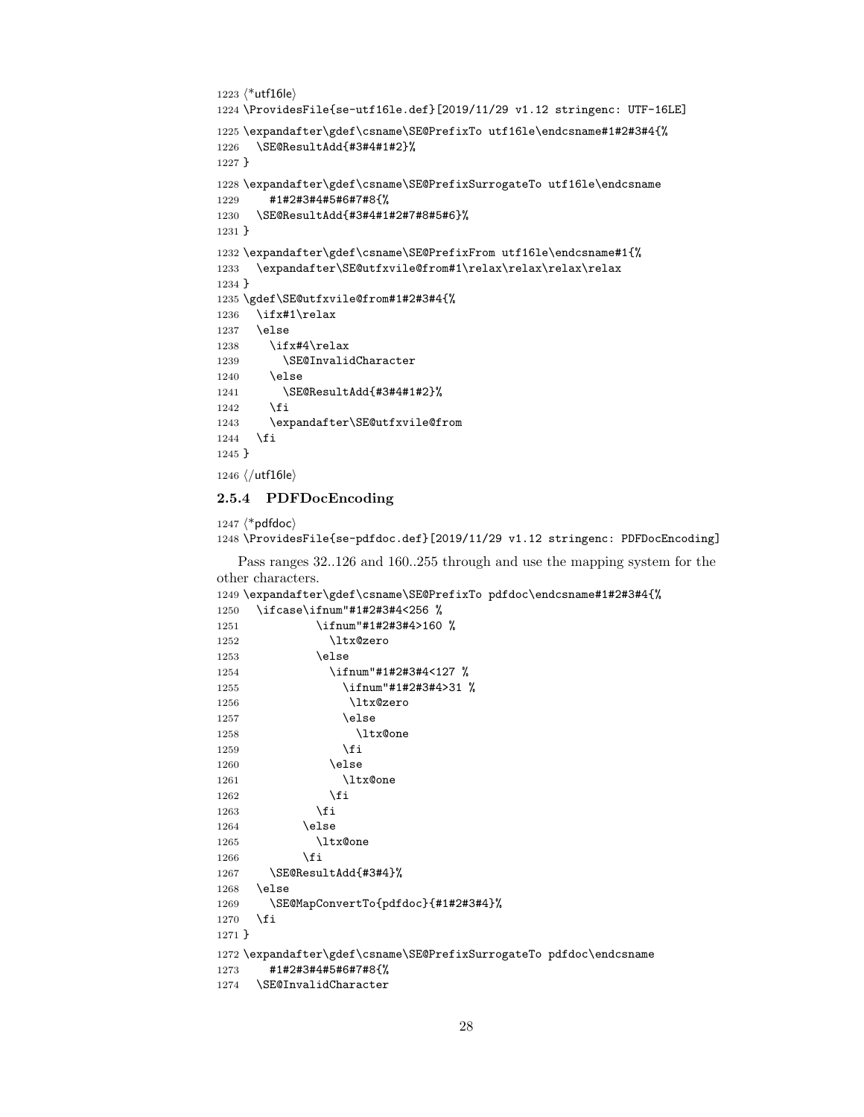```
1223 \langle *utf16le\rangle1224 \ProvidesFile{se-utf16le.def}[2019/11/29 v1.12 stringenc: UTF-16LE]
1225 \expandafter\gdef\csname\SE@PrefixTo utf16le\endcsname#1#2#3#4{%
1226 \SE@ResultAdd{#3#4#1#2}%
1227 }
1228 \expandafter\gdef\csname\SE@PrefixSurrogateTo utf16le\endcsname
1229 #1#2#3#4#5#6#7#8{%
1230 \SE@ResultAdd{#3#4#1#2#7#8#5#6}%
1231 }
1232 \expandafter\gdef\csname\SE@PrefixFrom utf16le\endcsname#1{%
1233 \expandafter\SE@utfxvile@from#1\relax\relax\relax\relax
1234 }
1235 \gdef\SE@utfxvile@from#1#2#3#4{%
1236 \ifx#1\relax
1237 \else
1238 \ifx#4\relax
1239 \SE@InvalidCharacter
1240 \else
1241 \SE@ResultAdd{#3#4#1#2}%
1242 \fi
1243 \expandafter\SE@utfxvile@from
1244 \fi
1245 }
1246 (/utf16le)
```
#### <span id="page-27-0"></span>2.5.4 PDFDocEncoding

```
1247 \langle*pdfdoc\rangle1248 \ProvidesFile{se-pdfdoc.def}[2019/11/29 v1.12 stringenc: PDFDocEncoding]
```
Pass ranges 32..126 and 160..255 through and use the mapping system for the other characters.

```
1249 \expandafter\gdef\csname\SE@PrefixTo pdfdoc\endcsname#1#2#3#4{%
1250 \ifcase\ifnum"#1#2#3#4<256 %
```

```
1251 \ifnum"#1#2#3#4>160 %
1252 \ltx@zero
1253 \else
1254 \ifnum"#1#2#3#4<127 %
1255 \ifnum"#1#2#3#4>31 %
1256 \ltx@zero
1257 \else
1258 \ltx@one
1259 \fi
1260 \else
1261 \ltx@one
1262 \qquad \qquad \int fi
1263 \fi
1264 \else
1265 \ltx@one
1266 \fi
1267 \SE@ResultAdd{#3#4}%
1268 \else
1269 \SE@MapConvertTo{pdfdoc}{#1#2#3#4}%
1270 \ifmmode{\big\vert} \else{ 1270 \fi \ifmmode{\big\vert} \else{ 1270 \fi \ifmmode{\big\vert} \else{ 1270 \fi \ifmmode{\big\vert} \else{ 1270 \fi \ifmmode{\big\vert} \else{ 1270 \fi \fi \ifmmode{\big\vert} \else{ 1270 \fi \ifmmode{\big\vert} \else{ 1270 \fi \fi \ifmmode{\big\vert} \else{ 1270 \fi \fi1271 }
1272 \expandafter\gdef\csname\SE@PrefixSurrogateTo pdfdoc\endcsname
1273 #1#2#3#4#5#6#7#8{%
1274 \SE@InvalidCharacter
```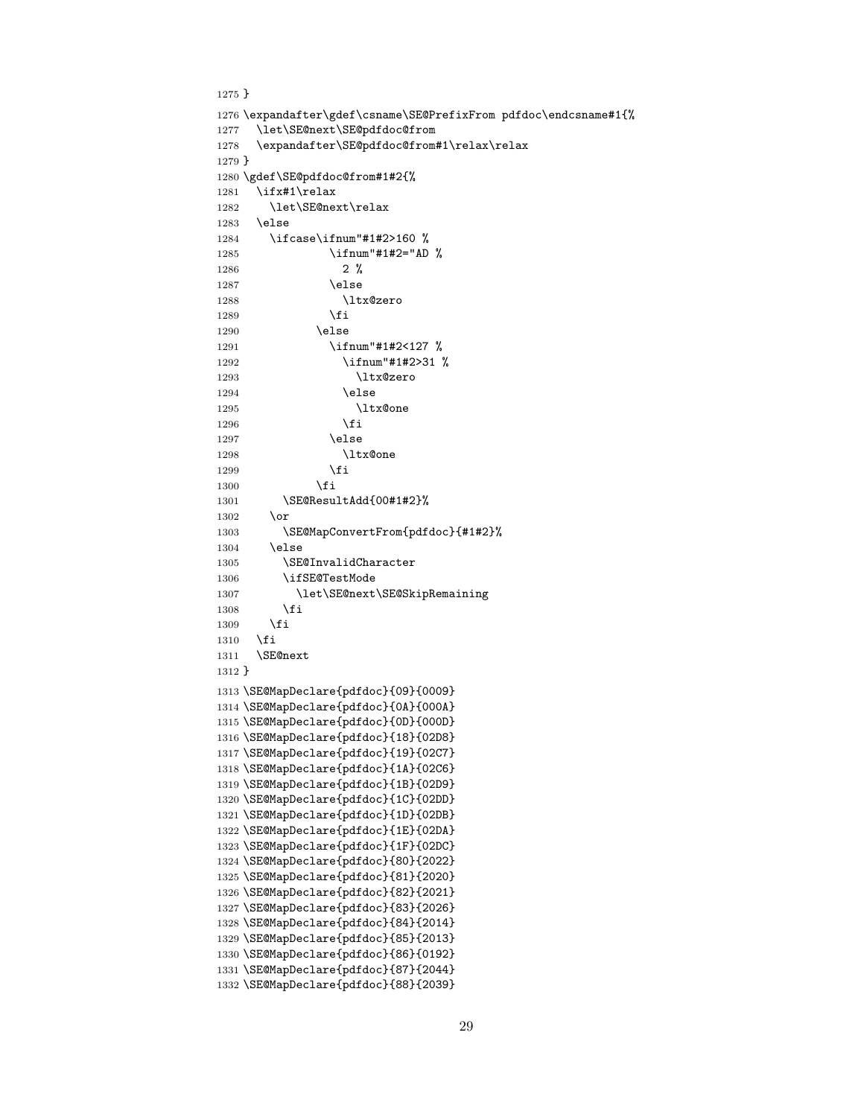```
1275 }
1276 \expandafter\gdef\csname\SE@PrefixFrom pdfdoc\endcsname#1{%
1277 \let\SE@next\SE@pdfdoc@from
1278 \expandafter\SE@pdfdoc@from#1\relax\relax
1279 }
1280 \gdef\SE@pdfdoc@from#1#2{%
1281 \ifx#1\relax
1282 \let\SE@next\relax
1283 \else
1284 \ifcase\ifnum"#1#2>160 %
1285 \ifnum"#1#2="AD %
1286 2 %
1287 \else
1288 \lambda] \pm x0zero
1289 \fi
1290 \else
1291 \ifnum"#1#2<127 %
1292 \ifnum"#1#2>31 %
1293 \ltx@zero
1294 \text{lele}1295 \ltx@one
1296 \fi
1297 \else
1298 \ltx@one
1299 \qquad \qquad \text{if}1300 \quad \text{if}1301 \SE@ResultAdd{00#1#2}%
1302 \qquad \text{or}1303 \SE@MapConvertFrom{pdfdoc}{#1#2}%
1304 \else
1305 \SE@InvalidCharacter
1306 \ifSE@TestMode
1307 \let\SE@next\SE@SkipRemaining
1308 \fi
1309 \fi
1310 \fi
1311 \SE@next
1312 }
1313 \SE@MapDeclare{pdfdoc}{09}{0009}
1314 \SE@MapDeclare{pdfdoc}{0A}{000A}
1315 \SE@MapDeclare{pdfdoc}{0D}{000D}
1316 \SE@MapDeclare{pdfdoc}{18}{02D8}
1317 \SE@MapDeclare{pdfdoc}{19}{02C7}
1318 \SE@MapDeclare{pdfdoc}{1A}{02C6}
1319 \SE@MapDeclare{pdfdoc}{1B}{02D9}
1320 \SE@MapDeclare{pdfdoc}{1C}{02DD}
1321 \SE@MapDeclare{pdfdoc}{1D}{02DB}
1322 \SE@MapDeclare{pdfdoc}{1E}{02DA}
1323 \SE@MapDeclare{pdfdoc}{1F}{02DC}
1324 \SE@MapDeclare{pdfdoc}{80}{2022}
1325 \SE@MapDeclare{pdfdoc}{81}{2020}
1326 \SE@MapDeclare{pdfdoc}{82}{2021}
1327 \SE@MapDeclare{pdfdoc}{83}{2026}
1328 \SE@MapDeclare{pdfdoc}{84}{2014}
1329 \SE@MapDeclare{pdfdoc}{85}{2013}
1330 \SE@MapDeclare{pdfdoc}{86}{0192}
1331 \SE@MapDeclare{pdfdoc}{87}{2044}
1332 \SE@MapDeclare{pdfdoc}{88}{2039}
```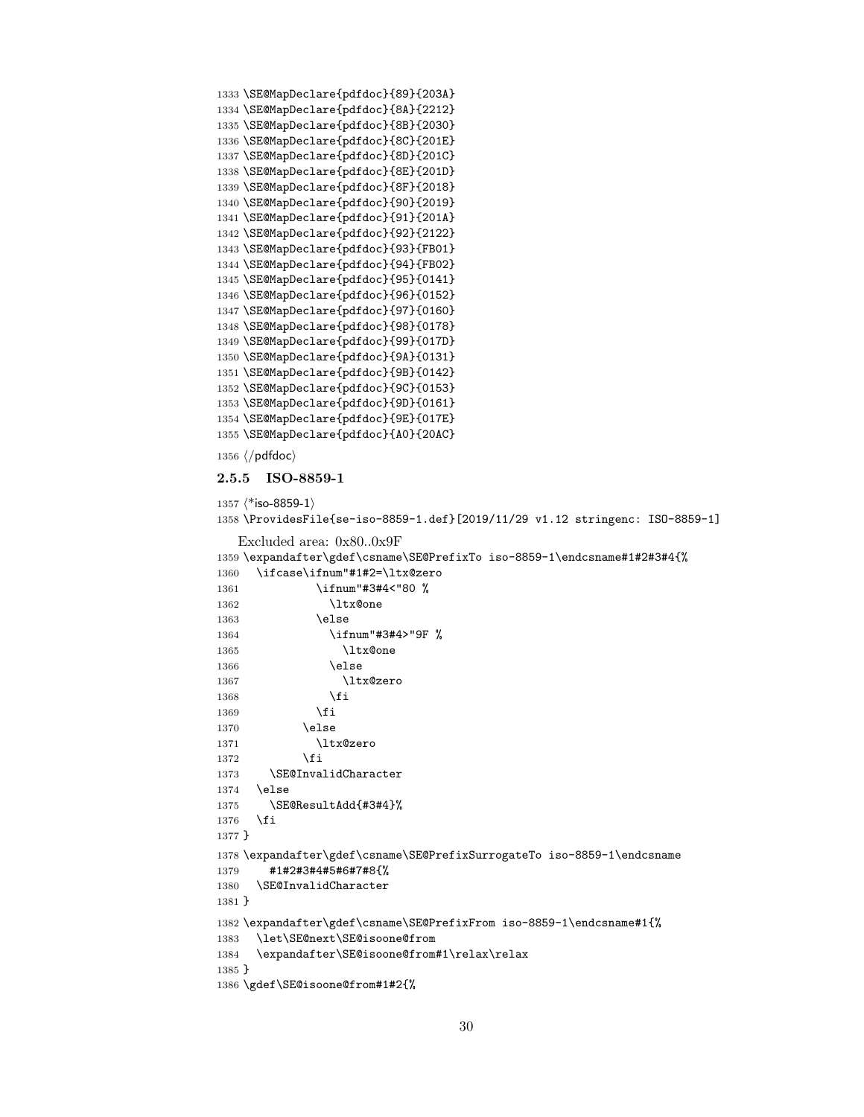```
1333 \SE@MapDeclare{pdfdoc}{89}{203A}
1334 \SE@MapDeclare{pdfdoc}{8A}{2212}
1335 \SE@MapDeclare{pdfdoc}{8B}{2030}
1336 \SE@MapDeclare{pdfdoc}{8C}{201E}
1337 \SE@MapDeclare{pdfdoc}{8D}{201C}
1338 \SE@MapDeclare{pdfdoc}{8E}{201D}
1339 \SE@MapDeclare{pdfdoc}{8F}{2018}
1340 \SE@MapDeclare{pdfdoc}{90}{2019}
1341 \SE@MapDeclare{pdfdoc}{91}{201A}
1342 \SE@MapDeclare{pdfdoc}{92}{2122}
1343 \SE@MapDeclare{pdfdoc}{93}{FB01}
1344 \SE@MapDeclare{pdfdoc}{94}{FB02}
1345 \SE@MapDeclare{pdfdoc}{95}{0141}
1346 \SE@MapDeclare{pdfdoc}{96}{0152}
1347 \SE@MapDeclare{pdfdoc}{97}{0160}
1348 \SE@MapDeclare{pdfdoc}{98}{0178}
1349 \SE@MapDeclare{pdfdoc}{99}{017D}
1350 \SE@MapDeclare{pdfdoc}{9A}{0131}
1351 \SE@MapDeclare{pdfdoc}{9B}{0142}
1352 \SE@MapDeclare{pdfdoc}{9C}{0153}
1353 \SE@MapDeclare{pdfdoc}{9D}{0161}
1354 \SE@MapDeclare{pdfdoc}{9E}{017E}
1355 \SE@MapDeclare{pdfdoc}{A0}{20AC}
```
1356  $\langle$ /pdfdoc $\rangle$ 

### <span id="page-29-0"></span>2.5.5 ISO-8859-1

```
1357 (*iso-8859-1)
1358 \ProvidesFile{se-iso-8859-1.def}[2019/11/29 v1.12 stringenc: ISO-8859-1]
  Excluded area: 0x80..0x9F
1359 \expandafter\gdef\csname\SE@PrefixTo iso-8859-1\endcsname#1#2#3#4{%
1360 \ifcase\ifnum"#1#2=\ltx@zero
1361 \ifnum"#3#4<"80 %
1362 \ltx@one
1363 \text{delse}1364 \ifnum"#3#4>"9F %
1365 \ltx@one
1366 \else
1367 \ltx@zero
1368 \fi
1369 \fi
1370 \else
1371 \ltx@zero
1372 \setminusfi
1373 \SE@InvalidCharacter
1374 \else
1375 \SE@ResultAdd{#3#4}%
1376 \fi
1377 }
1378 \expandafter\gdef\csname\SE@PrefixSurrogateTo iso-8859-1\endcsname
1379 #1#2#3#4#5#6#7#8{%
1380 \SE@InvalidCharacter
1381 }
1382 \expandafter\gdef\csname\SE@PrefixFrom iso-8859-1\endcsname#1{%
1383 \let\SE@next\SE@isoone@from
1384 \expandafter\SE@isoone@from#1\relax\relax
1385 }
1386 \gdef\SE@isoone@from#1#2{%
```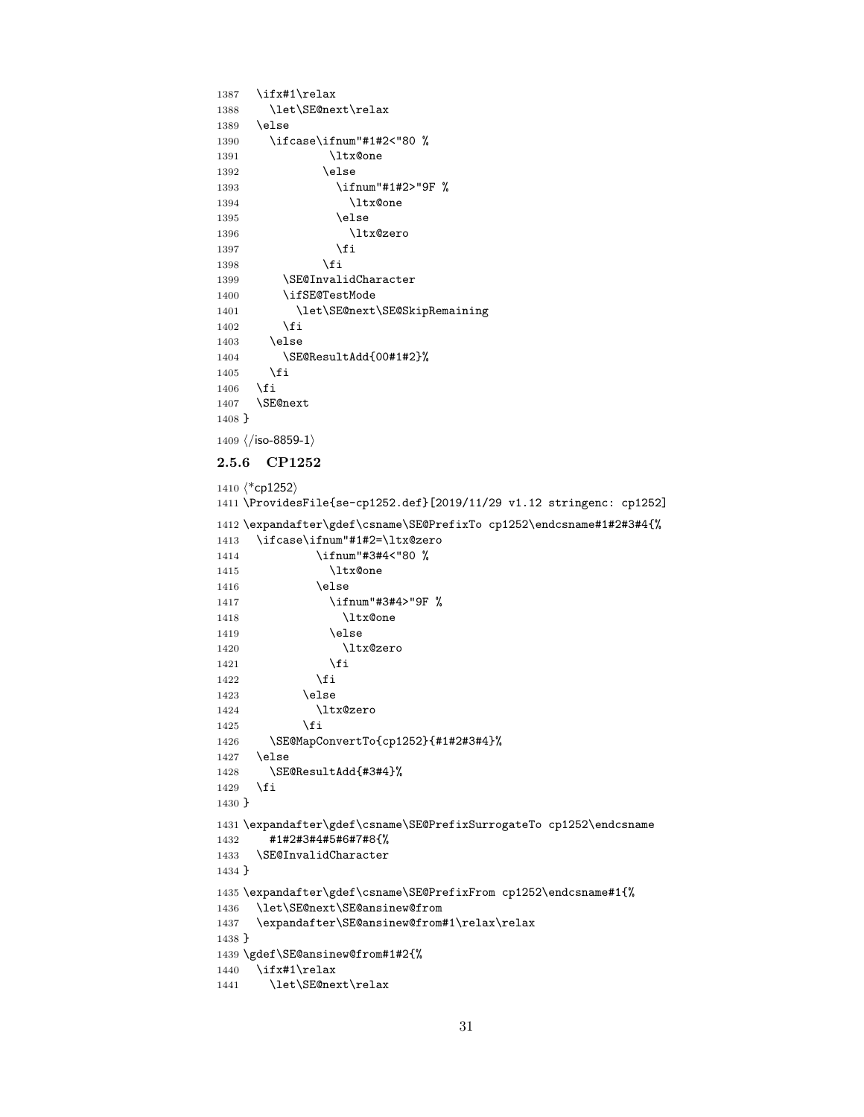```
1387 \ifx#1\relax
1388 \let\SE@next\relax
1389 \else
1390 \ifcase\ifnum"#1#2<"80 %
1391 \ltx@one
1392 \else
1393 \ifnum"#1#2>"9F %
1394 \ltx@one
1395 \else
1396 \ltx@zero
\begin{matrix}\n1397 \\
1398\n\end{matrix}\n\quad\n\begin{matrix}\n\text{fi} \\
\text{fi}\n\end{matrix}13981399 \SE@InvalidCharacter
1400 \ifSE@TestMode
1401 \let\SE@next\SE@SkipRemaining
1402 \qquad \qquad \int fi
1403 \else
1404 \SE@ResultAdd{00#1#2}%
1405 \fi
1406 \fi
1407 \SE@next
1408 }
1409 \langle/iso-8859-1\rangle2.5.6 CP1252
1410 \langle*cp1252)
1411 \ProvidesFile{se-cp1252.def}[2019/11/29 v1.12 stringenc: cp1252]
1412 \expandafter\gdef\csname\SE@PrefixTo cp1252\endcsname#1#2#3#4{%
1413 \ifcase\ifnum"#1#2=\ltx@zero
1414 \ifnum"#3#4<"80 %
1415 \ltx@one
1416 \else
1417 \ifnum"#3#4>"9F %
1418 \ltx@one
1419 \else
1420 \ltx@zero
1421 \fi
1422 \fi
1423 \else
1424 \ltx@zero
1425 \setminusfi
1426 \SE@MapConvertTo{cp1252}{#1#2#3#4}%
1427 \else
1428 \SE@ResultAdd{#3#4}%
1429 \overline{1429}1430 }
1431 \expandafter\gdef\csname\SE@PrefixSurrogateTo cp1252\endcsname
1432 #1#2#3#4#5#6#7#8{%
1433 \SE@InvalidCharacter
1434 }
1435 \expandafter\gdef\csname\SE@PrefixFrom cp1252\endcsname#1{%
1436 \let\SE@next\SE@ansinew@from
1437 \expandafter\SE@ansinew@from#1\relax\relax
1438 }
1439 \gdef\SE@ansinew@from#1#2{%
1440 \ifx#1\relax
1441 \let\SE@next\relax
```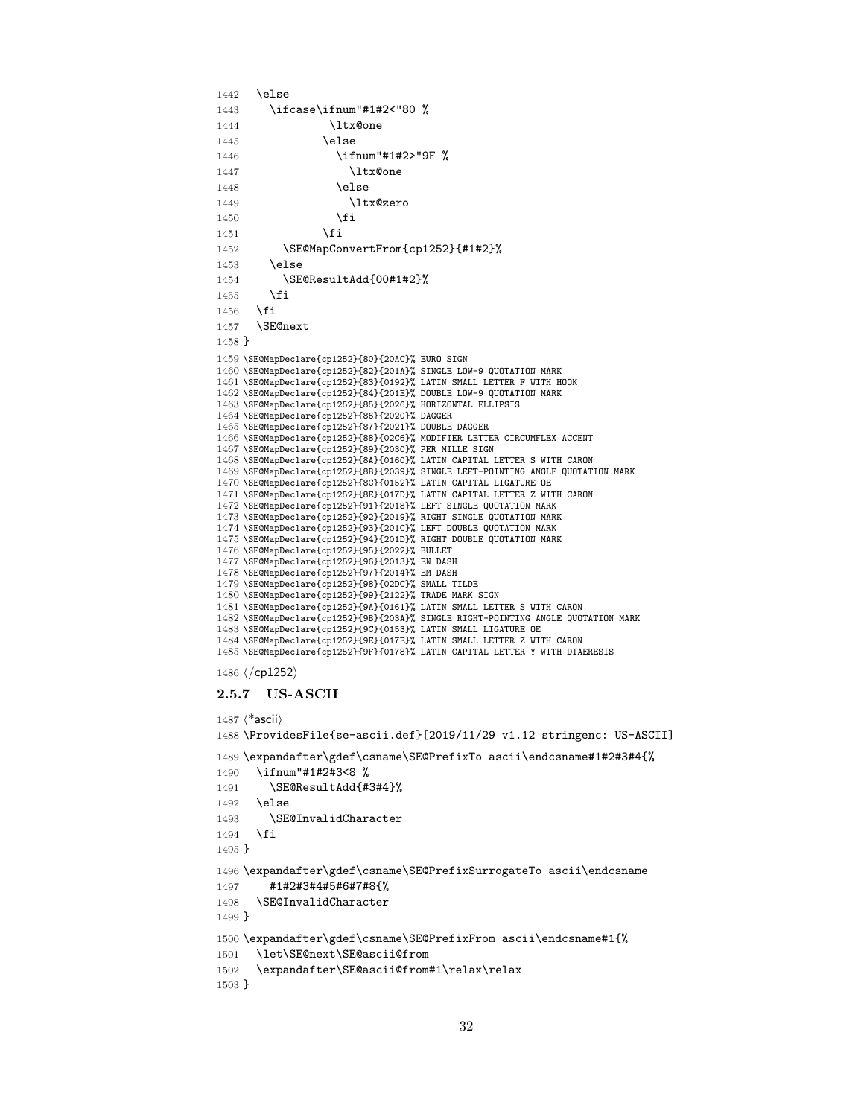```
1442 \else
1443 \ifcase\ifnum"#1#2<"80 %
1444 \ltx@one
1445 \else
1446 \ifnum"#1#2>"9F %
1447 \ltx@one
1448 \else
1449 \text{lyqzero}1450 \quad \text{if}1451 \fi
1452 \SE@MapConvertFrom{cp1252}{#1#2}%
1453 \else
1454 \SE@ResultAdd{00#1#2}%
1455 \fi
1456 \fi
1457 \SE@next
1458 }
1459 \SE@MapDeclare{cp1252}{80}{20AC}% EURO SIGN
1460 \SE@MapDeclare{cp1252}{82}{201A}% SINGLE LOW-9 QUOTATION MARK
1461 \SE@MapDeclare{cp1252}{83}{0192}% LATIN SMALL LETTER F WITH HOOK
1462 \SE@MapDeclare{cp1252}{84}{201E}% DOUBLE LOW-9 QUOTATION MARK
1463 \SE@MapDeclare{cp1252}{85}{2026}% HORIZONTAL ELLIPSIS
1464 \SE@MapDeclare{cp1252}{86}{2020}% DAGGER
1465 \SE@MapDeclare{cp1252}{87}{2021}% DOUBLE DAGGER
1466 \SE@MapDeclare{cp1252}{88}{02C6}% MODIFIER LETTER CIRCUMFLEX ACCENT
1467 \SE@MapDeclare{cp1252}{89}{2030}% PER MILLE SIGN
1468 \SE@MapDeclare{cp1252}{8A}{0160}% LATIN CAPITAL LETTER S WITH CARON
1469 \SE@MapDeclare{cp1252}{8B}{2039}% SINGLE LEFT-POINTING ANGLE QUOTATION MARK
1470 \SE@MapDeclare{cp1252}{8C}{0152}% LATIN CAPITAL LIGATURE OE
1471 \SE@MapDeclare{cp1252}{8E}{017D}% LATIN CAPITAL LETTER Z WITH CARON
1472 \SE@MapDeclare{cp1252}{91}{2018}% LEFT SINGLE QUOTATION MARK
1473 \SE@MapDeclare{cp1252}{92}{2019}% RIGHT SINGLE QUOTATION MARK
1474 \SE@MapDeclare{cp1252}{93}{201C}% LEFT DOUBLE QUOTATION MARK
1475 \SE@MapDeclare{cp1252}{94}{201D}% RIGHT DOUBLE QUOTATION MARK
1476 \SE@MapDeclare{cp1252}{95}{2022}% BULLET
1477 \SE@MapDeclare{cp1252}{96}{2013}% EN DASH
1478 \SE@MapDeclare{cp1252}{97}{2014}% EM DASH
1479 \SE@MapDeclare{cp1252}{98}{02DC}% SMALL TILDE
1480 \SE@MapDeclare{cp1252}{99}{2122}% TRADE MARK SIGN
1481 \SE@MapDeclare{cp1252}{9A}{0161}% LATIN SMALL LETTER S WITH CARON
1482 \SE@MapDeclare{cp1252}{9B}{203A}% SINGLE RIGHT-POINTING ANGLE QUOTATION MARK
1483 \SE@MapDeclare{cp1252}{9C}{0153}% LATIN SMALL LIGATURE OE
1484 \SE@MapDeclare{cp1252}{9E}{017E}% LATIN SMALL LETTER Z WITH CARON
1485 \SE@MapDeclare{cp1252}{9F}{0178}% LATIN CAPITAL LETTER Y WITH DIAERESIS
1486 (/cp1252)
2.5.7 US-ASCII
1487 \langle*ascii\rangle1488 \ProvidesFile{se-ascii.def}[2019/11/29 v1.12 stringenc: US-ASCII]
1489 \expandafter\gdef\csname\SE@PrefixTo ascii\endcsname#1#2#3#4{%
1490 \ifnum"#1#2#3<8 %
1491 \SE@ResultAdd{#3#4}%
1492 \else
1493 \SE@InvalidCharacter
1494 \fi
1495 }
1496 \expandafter\gdef\csname\SE@PrefixSurrogateTo ascii\endcsname
1497 #1#2#3#4#5#6#7#8{%
1498 \SE@InvalidCharacter
1499 }
1500 \expandafter\gdef\csname\SE@PrefixFrom ascii\endcsname#1{%
1501 \let\SE@next\SE@ascii@from
1502 \expandafter\SE@ascii@from#1\relax\relax
1503 }
```

```
32
```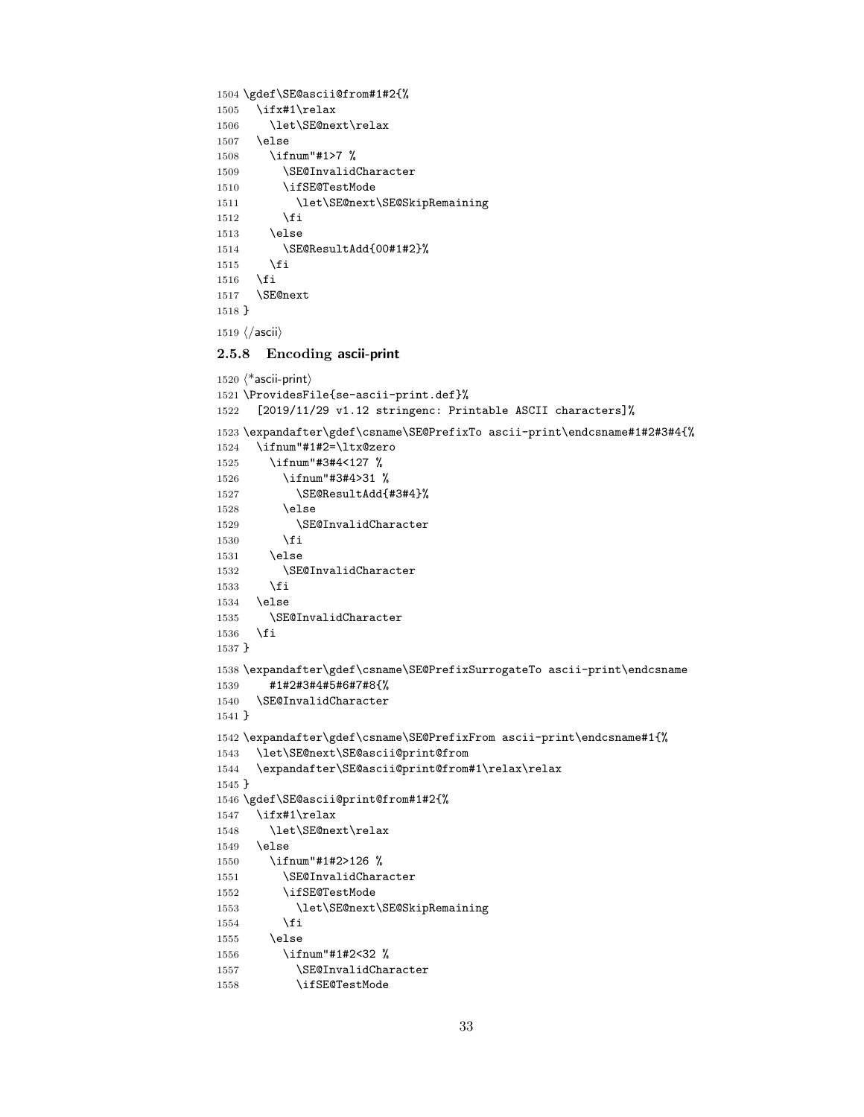```
1504 \gdef\SE@ascii@from#1#2{%
1505 \ifx#1\relax
1506 \let\SE@next\relax
1507 \else
1508 \ifnum"#1>7 %
1509 \SE@InvalidCharacter
1510 \ifSE@TestMode
1511 \let\SE@next\SE@SkipRemaining
1512 \overrightarrow{fi}1513 \else
1514 \SE@ResultAdd{00#1#2}%
1515 \overrightarrow{fi}1516 \fi
1517 \SE@next
1518 }
```

```
1519 \langle /ascii\rangle
```
### <span id="page-32-0"></span>2.5.8 Encoding ascii-print

```
1520 \langle*ascii-print\rangle1521 \ProvidesFile{se-ascii-print.def}%
1522 [2019/11/29 v1.12 stringenc: Printable ASCII characters]%
1523 \expandafter\gdef\csname\SE@PrefixTo ascii-print\endcsname#1#2#3#4{%
1524 \ifnum"#1#2=\ltx@zero
1525 \ifnum"#3#4<127 %
1526 \ifnum"#3#4>31 %
1527 \SE@ResultAdd{#3#4}%
1528 \else
1529 \SE@InvalidCharacter
1530 \fi
1531 \else
1532 \SE@InvalidCharacter
1533 \fi
1534 \else
1535 \SE@InvalidCharacter
1536 \fi
1537 }
1538 \expandafter\gdef\csname\SE@PrefixSurrogateTo ascii-print\endcsname
1539 #1#2#3#4#5#6#7#8{%
1540 \SE@InvalidCharacter
1541 }
1542 \expandafter\gdef\csname\SE@PrefixFrom ascii-print\endcsname#1{%
1543 \let\SE@next\SE@ascii@print@from
1544 \expandafter\SE@ascii@print@from#1\relax\relax
1545 }
1546 \gdef\SE@ascii@print@from#1#2{%
1547 \ifx#1\relax
1548 \let\SE@next\relax
1549 \else
1550 \ifnum"#1#2>126 %
1551 \SE@InvalidCharacter
1552 \ifSE@TestMode
1553 \let\SE@next\SE@SkipRemaining
1554 \fi
1555 \else
1556 \ifnum"#1#2<32 %
1557 \SE@InvalidCharacter
1558 \ifSE@TestMode
```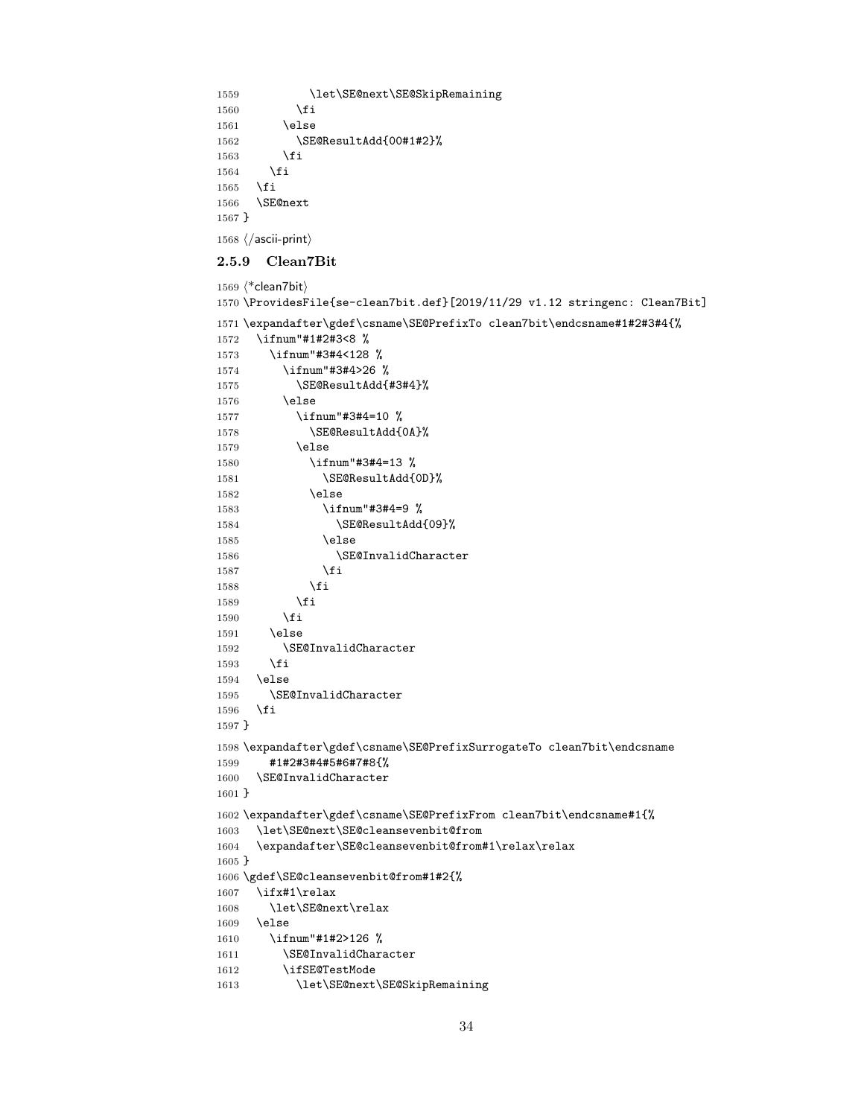```
1559 \let\SE@next\SE@SkipRemaining
1560 \fi
1561 \else
1562 \SE@ResultAdd{00#1#2}%
1563 \fi
1564 \fi
1565 \fi
1566 \SE@next
1567 }
1568 \langle/ascii-print\rangle2.5.9 Clean7Bit
1569 \langle*clean7bit\rangle1570 \ProvidesFile{se-clean7bit.def}[2019/11/29 v1.12 stringenc: Clean7Bit]
1571 \expandafter\gdef\csname\SE@PrefixTo clean7bit\endcsname#1#2#3#4{%
1572 \ifnum"#1#2#3<8 %
1573 \ifnum"#3#4<128 %
1574 \ifnum"#3#4>26 %
1575 \SE@ResultAdd{#3#4}%
1576 \else
1577 \ifnum"#3#4=10 %
1578 \SE@ResultAdd{0A}%
1579 \else
1580 \ifnum"#3#4=13 %
1581 \SE@ResultAdd{0D}%
1582 \else
1583 \ifnum"#3#4=9 %
1584 \SE@ResultAdd{09}%
1585 \else
1586 \SE@InvalidCharacter
1587 \fi
1588 \fi
1589 \fi
1590 \fi
1591 \else
1592 \SE@InvalidCharacter
1593 \fi
1594 \else
1595 \SE@InvalidCharacter
1596 \fi
1597 }
1598 \expandafter\gdef\csname\SE@PrefixSurrogateTo clean7bit\endcsname
1599 #1#2#3#4#5#6#7#8{%
1600 \SE@InvalidCharacter
1601 }
1602 \expandafter\gdef\csname\SE@PrefixFrom clean7bit\endcsname#1{%
1603 \let\SE@next\SE@cleansevenbit@from
1604 \expandafter\SE@cleansevenbit@from#1\relax\relax
1605 }
1606 \gdef\SE@cleansevenbit@from#1#2{%
1607 \ifx#1\relax
1608 \let\SE@next\relax
1609 \else
1610 \ifnum"#1#2>126 %
1611 \SE@InvalidCharacter
1612 \ifSE@TestMode
1613 \let\SE@next\SE@SkipRemaining
```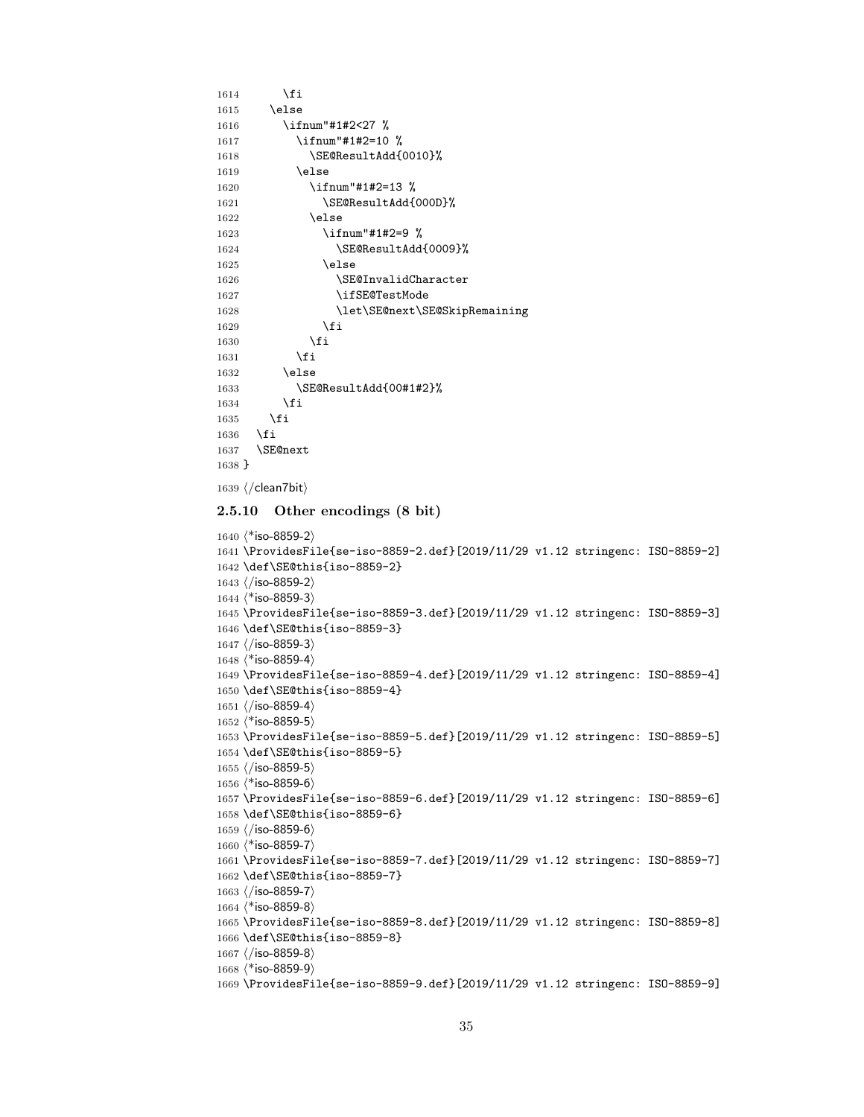```
1614 \fi
1615 \else
1616 \ifnum"#1#2<27 %
1617 \ifnum"#1#2=10 %
1618 \SE@ResultAdd{0010}%
1619 \else
1620 \ifnum"#1#2=13 %
1621 \SE@ResultAdd{000D}%
1622 \else
1623 \ifnum"#1#2=9 %
1624 \SE@ResultAdd{0009}%
1625 \else
1626 \SE@InvalidCharacter
1627 \ifSE@TestMode
1628 \let\SE@next\SE@SkipRemaining
1629 \setminusfi
1630 \setminusfi
1631 \fi
1632 \else
1633 \SE@ResultAdd{00#1#2}%
1634 \fi
1635 \setminusfi
1636 \fi
1637 \SE@next
1638 }
1639 \langle/clean7bit\rangle2.5.10 Other encodings (8 bit)
1640 (*iso-8859-2)
1641 \ProvidesFile{se-iso-8859-2.def}[2019/11/29 v1.12 stringenc: ISO-8859-2]
1642 \def\SE@this{iso-8859-2}
1643 (/iso-8859-2)
1644 (*iso-8859-3)
1645 \ProvidesFile{se-iso-8859-3.def}[2019/11/29 v1.12 stringenc: ISO-8859-3]
1646 \def\SE@this{iso-8859-3}
1647 (/iso-8859-3)
1648 (*iso-8859-4)
1649 \ProvidesFile{se-iso-8859-4.def}[2019/11/29 v1.12 stringenc: ISO-8859-4]
1650 \def\SE@this{iso-8859-4}
1651 \langle/iso-8859-4\rangle1652 (*iso-8859-5)
1653 \ProvidesFile{se-iso-8859-5.def}[2019/11/29 v1.12 stringenc: ISO-8859-5]
1654 \def\SE@this{iso-8859-5}
1655 \langle/iso-8859-5\rangle1656 \langle*iso-8859-6\rangle1657 \ProvidesFile{se-iso-8859-6.def}[2019/11/29 v1.12 stringenc: ISO-8859-6]
1658 \def\SE@this{iso-8859-6}
1659 \langle/iso-8859-6\rangle1660 (*iso-8859-7)
1661 \ProvidesFile{se-iso-8859-7.def}[2019/11/29 v1.12 stringenc: ISO-8859-7]
1662 \def\SE@this{iso-8859-7}
1663 \langle/iso-8859-7\rangle1664 (*iso-8859-8)
1665 \ProvidesFile{se-iso-8859-8.def}[2019/11/29 v1.12 stringenc: ISO-8859-8]
1666 \def\SE@this{iso-8859-8}
1667 (/iso-8859-8)
1668 \langle*iso-8859-9)
1669 \ProvidesFile{se-iso-8859-9.def}[2019/11/29 v1.12 stringenc: ISO-8859-9]
```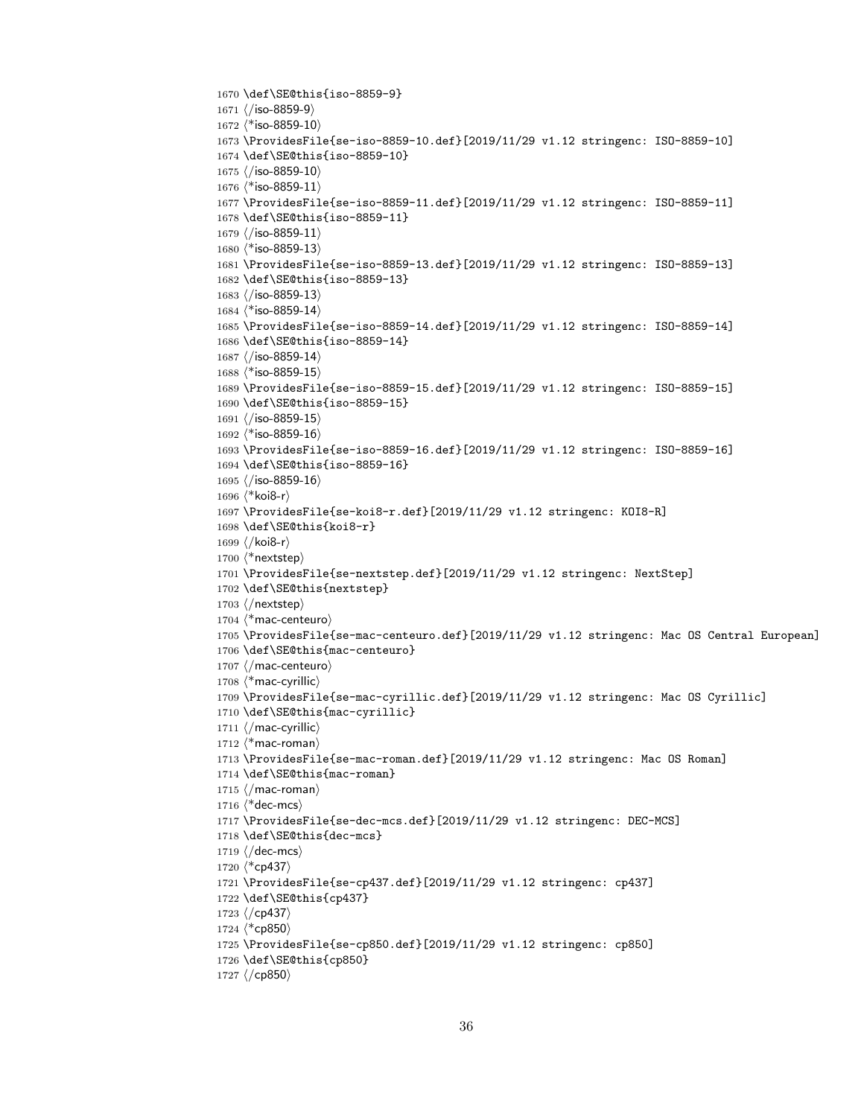```
1670 \def\SE@this{iso-8859-9}
1671 (/iso-8859-9)
1672 \langle*iso-8859-10\rangle1673 \ProvidesFile{se-iso-8859-10.def}[2019/11/29 v1.12 stringenc: ISO-8859-10]
1674 \def\SE@this{iso-8859-10}
1675 (/iso-8859-10)
1676 \langle*iso-8859-11\rangle1677 \ProvidesFile{se-iso-8859-11.def}[2019/11/29 v1.12 stringenc: ISO-8859-11]
1678 \def\SE@this{iso-8859-11}
1679 \langle/iso-8859-11\rangle1680 \langle*iso-8859-13\rangle1681 \ProvidesFile{se-iso-8859-13.def}[2019/11/29 v1.12 stringenc: ISO-8859-13]
1682 \def\SE@this{iso-8859-13}
1683 (/iso-8859-13)
1684 \langle*iso-8859-14\rangle1685 \ProvidesFile{se-iso-8859-14.def}[2019/11/29 v1.12 stringenc: ISO-8859-14]
1686 \def\SE@this{iso-8859-14}
1687 \langle/iso-8859-14\rangle1688 (*iso-8859-15)
1689 \ProvidesFile{se-iso-8859-15.def}[2019/11/29 v1.12 stringenc: ISO-8859-15]
1690 \def\SE@this{iso-8859-15}
1691 \langle/iso-8859-15\rangle1692 (*iso-8859-16)
1693 \ProvidesFile{se-iso-8859-16.def}[2019/11/29 v1.12 stringenc: ISO-8859-16]
1694 \def\SE@this{iso-8859-16}
1695 \langle/iso-8859-16\rangle1696 \langle*koi8-r\rangle1697 \ProvidesFile{se-koi8-r.def}[2019/11/29 v1.12 stringenc: KOI8-R]
1698 \def\SE@this{koi8-r}
1699 \langle/koi8-r\rangle1700 \langle*nextstep\rangle1701 \ProvidesFile{se-nextstep.def}[2019/11/29 v1.12 stringenc: NextStep]
1702 \def\SE@this{nextstep}
1703 \langle/nextstep\rangle1704 \langle*mac-centeuro\rangle1705 \ProvidesFile{se-mac-centeuro.def}[2019/11/29 v1.12 stringenc: Mac OS Central European]
1706 \def\SE@this{mac-centeuro}
1707 \langle/mac\text{-}centeuro\rangle1708 \langle*mac-cyrillic\rangle1709 \ProvidesFile{se-mac-cyrillic.def}[2019/11/29 v1.12 stringenc: Mac OS Cyrillic]
1710 \def\SE@this{mac-cyrillic}
1711 \langle/mac-cyrillic\rangle1712 \langle*mac-roman\rangle1713 \ProvidesFile{se-mac-roman.def}[2019/11/29 v1.12 stringenc: Mac OS Roman]
1714 \def\SE@this{mac-roman}
1715 \langle/mac-roman\rangle1716 \langle*dec-mcs\rangle1717 \ProvidesFile{se-dec-mcs.def}[2019/11/29 v1.12 stringenc: DEC-MCS]
1718 \def\SE@this{dec-mcs}
1719 \langle/dec-mcs\rangle1720 \langle*cp437\rangle1721 \ProvidesFile{se-cp437.def}[2019/11/29 v1.12 stringenc: cp437]
1722 \def\SE@this{cp437}
1723 \langle/cp437\rangle1724 \langle*cp850\rangle1725 \ProvidesFile{se-cp850.def}[2019/11/29 v1.12 stringenc: cp850]
1726 \def\SE@this{cp850}
1727 (/cp850)
```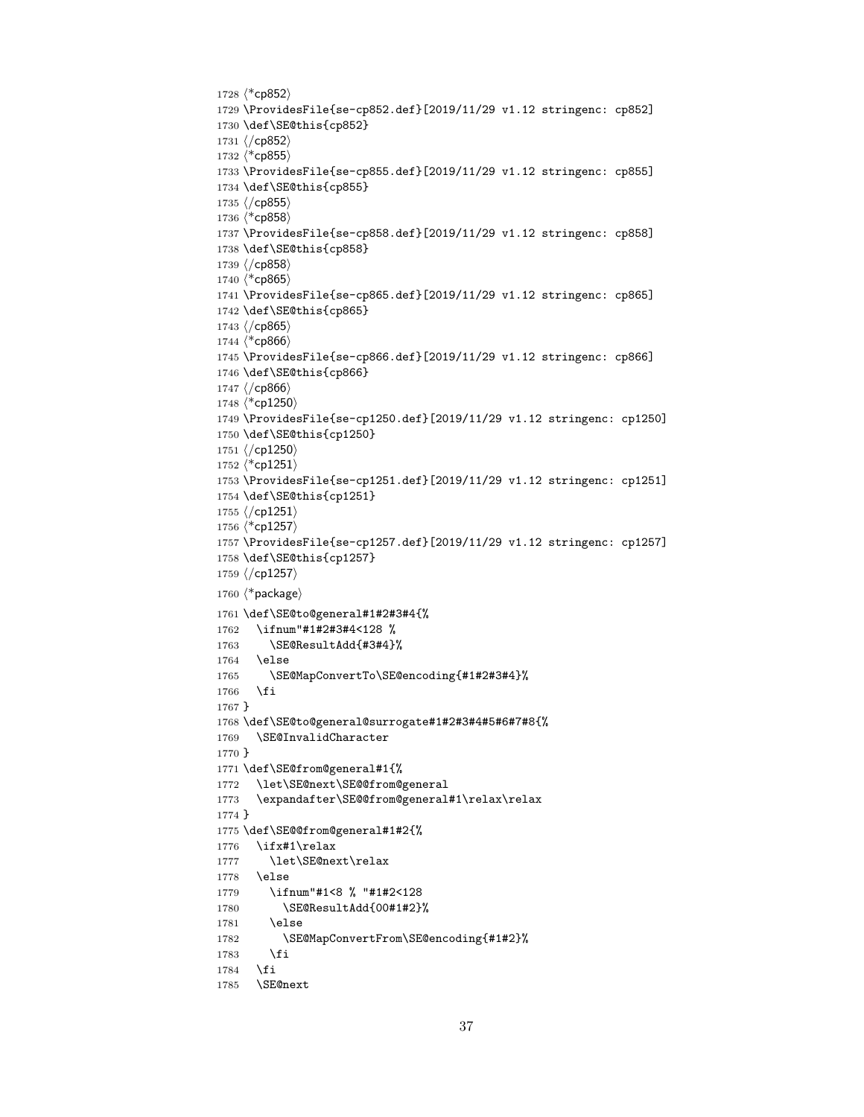```
1728 \langle*cp852\rangle1729 \ProvidesFile{se-cp852.def}[2019/11/29 v1.12 stringenc: cp852]
1730 \def\SE@this{cp852}
1731 \langle/cp852)
1732 *cp855)
1733 \ProvidesFile{se-cp855.def}[2019/11/29 v1.12 stringenc: cp855]
1734 \def\SE@this{cp855}
1735 \langle/cp855}
1736 *cp858)
1737 \ProvidesFile{se-cp858.def}[2019/11/29 v1.12 stringenc: cp858]
1738 \def\SE@this{cp858}
1739 (/cp858)
1740 *cp865)
1741 \ProvidesFile{se-cp865.def}[2019/11/29 v1.12 stringenc: cp865]
1742 \def\SE@this{cp865}
1743 \langle (cp865)
1744 *cp866)
1745 \ProvidesFile{se-cp866.def}[2019/11/29 v1.12 stringenc: cp866]
1746 \def\SE@this{cp866}
1747 \langle/cp866\rangle1748 \langle*cp1250\rangle1749 \ProvidesFile{se-cp1250.def}[2019/11/29 v1.12 stringenc: cp1250]
1750 \def\SE@this{cp1250}
1751 \langle/cp1250\rangle1752 \langle*cp1251)
1753 \ProvidesFile{se-cp1251.def}[2019/11/29 v1.12 stringenc: cp1251]
1754 \def\SE@this{cp1251}
1755 \langle \text{/cp1251} \rangle1756 \langle*cp1257\rangle1757 \ProvidesFile{se-cp1257.def}[2019/11/29 v1.12 stringenc: cp1257]
1758 \def\SE@this{cp1257}
1759 \langle/cp1257\rangle1760 \langle*package\rangle1761 \def\SE@to@general#1#2#3#4{%
1762 \ifnum"#1#2#3#4<128 %
1763 \SE@ResultAdd{#3#4}%
1764 \else
1765 \SE@MapConvertTo\SE@encoding{#1#2#3#4}%
1766 \fi
1767 }
1768 \def\SE@to@general@surrogate#1#2#3#4#5#6#7#8{%
1769 \SE@InvalidCharacter
1770 }
1771 \def\SE@from@general#1{%
1772 \let\SE@next\SE@@from@general
1773 \expandafter\SE@@from@general#1\relax\relax
1774 }
1775 \def\SE@@from@general#1#2{%
1776 \ifx#1\relax
1777 \let\SE@next\relax
1778 \else
1779 \ifnum"#1<8 % "#1#2<128
1780 \SE@ResultAdd{00#1#2}%
1781 \else
1782 \SE@MapConvertFrom\SE@encoding{#1#2}%
1783 \fi
1784 \fi
1785 \SE@next
```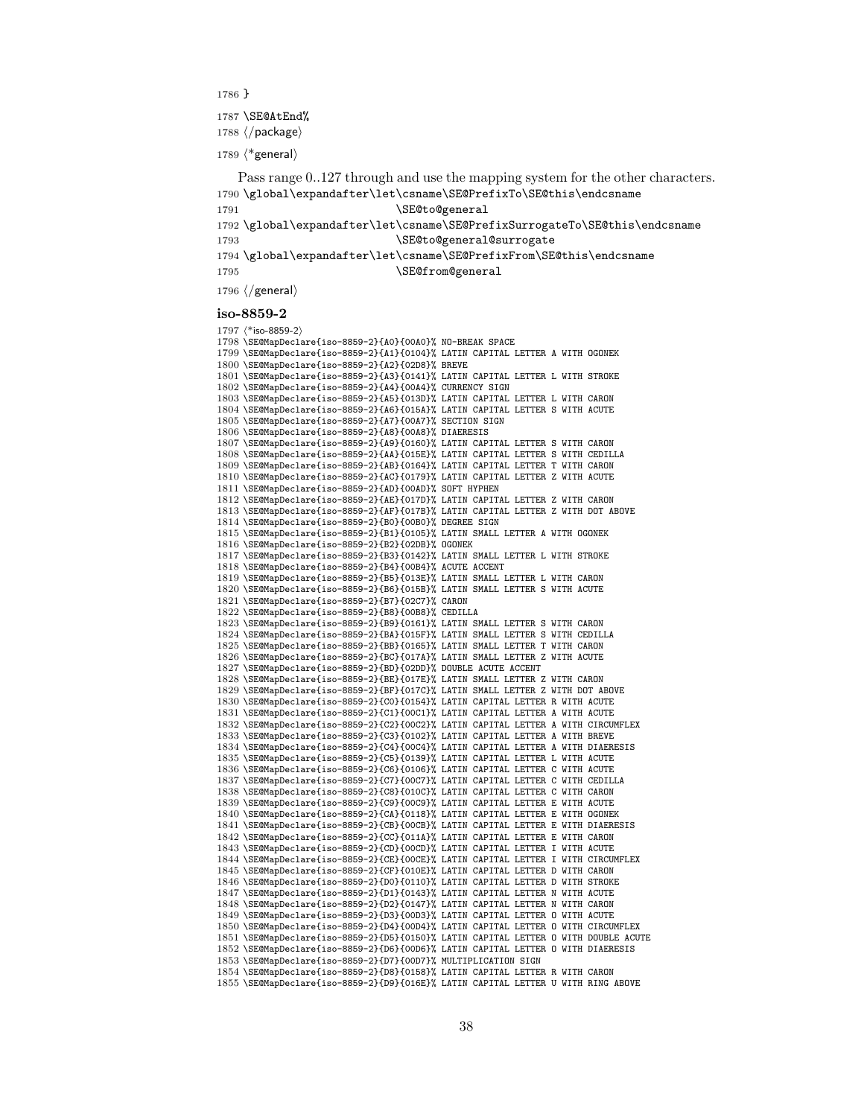}

\SE@AtEnd%

 $\langle$ /package $\rangle$ 

1789  $\langle$ \*general $\rangle$ 

Pass range 0..127 through and use the mapping system for the other characters. \global\expandafter\let\csname\SE@PrefixTo\SE@this\endcsname 1791 \SE@to@general \global\expandafter\let\csname\SE@PrefixSurrogateTo\SE@this\endcsname 1793 \SE@to@general@surrogate \global\expandafter\let\csname\SE@PrefixFrom\SE@this\endcsname 1795 \SE@from@general 1796  $\langle$ /general $\rangle$ 

## iso-8859-2

1797 (\*iso-8859-2) \SE@MapDeclare{iso-8859-2}{A0}{00A0}% NO-BREAK SPACE \SE@MapDeclare{iso-8859-2}{A1}{0104}% LATIN CAPITAL LETTER A WITH OGONEK \SE@MapDeclare{iso-8859-2}{A2}{02D8}% BREVE \SE@MapDeclare{iso-8859-2}{A3}{0141}% LATIN CAPITAL LETTER L WITH STROKE \SE@MapDeclare{iso-8859-2}{A4}{00A4}% CURRENCY SIGN \SE@MapDeclare{iso-8859-2}{A5}{013D}% LATIN CAPITAL LETTER L WITH CARON \SE@MapDeclare{iso-8859-2}{A6}{015A}% LATIN CAPITAL LETTER S WITH ACUTE \SE@MapDeclare{iso-8859-2}{A7}{00A7}% SECTION SIGN \SE@MapDeclare{iso-8859-2}{A8}{00A8}% DIAERESIS \SE@MapDeclare{iso-8859-2}{A9}{0160}% LATIN CAPITAL LETTER S WITH CARON \SE@MapDeclare{iso-8859-2}{AA}{015E}% LATIN CAPITAL LETTER S WITH CEDILLA \SE@MapDeclare{iso-8859-2}{AB}{0164}% LATIN CAPITAL LETTER T WITH CARON \SE@MapDeclare{iso-8859-2}{AC}{0179}% LATIN CAPITAL LETTER Z WITH ACUTE \SE@MapDeclare{iso-8859-2}{AD}{00AD}% SOFT HYPHEN \SE@MapDeclare{iso-8859-2}{AE}{017D}% LATIN CAPITAL LETTER Z WITH CARON \SE@MapDeclare{iso-8859-2}{AF}{017B}% LATIN CAPITAL LETTER Z WITH DOT ABOVE \SE@MapDeclare{iso-8859-2}{B0}{00B0}% DEGREE SIGN \SE@MapDeclare{iso-8859-2}{B1}{0105}% LATIN SMALL LETTER A WITH OGONEK \SE@MapDeclare{iso-8859-2}{B2}{02DB}% OGONEK \SE@MapDeclare{iso-8859-2}{B3}{0142}% LATIN SMALL LETTER L WITH STROKE \SE@MapDeclare{iso-8859-2}{B4}{00B4}% ACUTE ACCENT \SE@MapDeclare{iso-8859-2}{B5}{013E}% LATIN SMALL LETTER L WITH CARON \SE@MapDeclare{iso-8859-2}{B6}{015B}% LATIN SMALL LETTER S WITH ACUTE \SE@MapDeclare{iso-8859-2}{B7}{02C7}% CARON \SE@MapDeclare{iso-8859-2}{B8}{00B8}% CEDILLA \SE@MapDeclare{iso-8859-2}{B9}{0161}% LATIN SMALL LETTER S WITH CARON \SE@MapDeclare{iso-8859-2}{BA}{015F}% LATIN SMALL LETTER S WITH CEDILLA \SE@MapDeclare{iso-8859-2}{BB}{0165}% LATIN SMALL LETTER T WITH CARON \SE@MapDeclare{iso-8859-2}{BC}{017A}% LATIN SMALL LETTER Z WITH ACUTE \SE@MapDeclare{iso-8859-2}{BD}{02DD}% DOUBLE ACUTE ACCENT \SE@MapDeclare{iso-8859-2}{BE}{017E}% LATIN SMALL LETTER Z WITH CARON \SE@MapDeclare{iso-8859-2}{BF}{017C}% LATIN SMALL LETTER Z WITH DOT ABOVE \SE@MapDeclare{iso-8859-2}{C0}{0154}% LATIN CAPITAL LETTER R WITH ACUTE \SE@MapDeclare{iso-8859-2}{C1}{00C1}% LATIN CAPITAL LETTER A WITH ACUTE \SE@MapDeclare{iso-8859-2}{C2}{00C2}% LATIN CAPITAL LETTER A WITH CIRCUMFLEX \SE@MapDeclare{iso-8859-2}{C3}{0102}% LATIN CAPITAL LETTER A WITH BREVE \SE@MapDeclare{iso-8859-2}{C4}{00C4}% LATIN CAPITAL LETTER A WITH DIAERESIS \SE@MapDeclare{iso-8859-2}{C5}{0139}% LATIN CAPITAL LETTER L WITH ACUTE \SE@MapDeclare{iso-8859-2}{C6}{0106}% LATIN CAPITAL LETTER C WITH ACUTE \SE@MapDeclare{iso-8859-2}{C7}{00C7}% LATIN CAPITAL LETTER C WITH CEDILLA \SE@MapDeclare{iso-8859-2}{C8}{010C}% LATIN CAPITAL LETTER C WITH CARON \SE@MapDeclare{iso-8859-2}{C9}{00C9}% LATIN CAPITAL LETTER E WITH ACUTE \SE@MapDeclare{iso-8859-2}{CA}{0118}% LATIN CAPITAL LETTER E WITH OGONEK \SE@MapDeclare{iso-8859-2}{CB}{00CB}% LATIN CAPITAL LETTER E WITH DIAERESIS \SE@MapDeclare{iso-8859-2}{CC}{011A}% LATIN CAPITAL LETTER E WITH CARON \SE@MapDeclare{iso-8859-2}{CD}{00CD}% LATIN CAPITAL LETTER I WITH ACUTE \SE@MapDeclare{iso-8859-2}{CE}{00CE}% LATIN CAPITAL LETTER I WITH CIRCUMFLEX \SE@MapDeclare{iso-8859-2}{CF}{010E}% LATIN CAPITAL LETTER D WITH CARON \SE@MapDeclare{iso-8859-2}{D0}{0110}% LATIN CAPITAL LETTER D WITH STROKE \SE@MapDeclare{iso-8859-2}{D1}{0143}% LATIN CAPITAL LETTER N WITH ACUTE \SE@MapDeclare{iso-8859-2}{D2}{0147}% LATIN CAPITAL LETTER N WITH CARON \SE@MapDeclare{iso-8859-2}{D3}{00D3}% LATIN CAPITAL LETTER O WITH ACUTE \SE@MapDeclare{iso-8859-2}{D4}{00D4}% LATIN CAPITAL LETTER O WITH CIRCUMFLEX \SE@MapDeclare{iso-8859-2}{D5}{0150}% LATIN CAPITAL LETTER O WITH DOUBLE ACUTE \SE@MapDeclare{iso-8859-2}{D6}{00D6}% LATIN CAPITAL LETTER O WITH DIAERESIS \SE@MapDeclare{iso-8859-2}{D7}{00D7}% MULTIPLICATION SIGN \SE@MapDeclare{iso-8859-2}{D8}{0158}% LATIN CAPITAL LETTER R WITH CARON \SE@MapDeclare{iso-8859-2}{D9}{016E}% LATIN CAPITAL LETTER U WITH RING ABOVE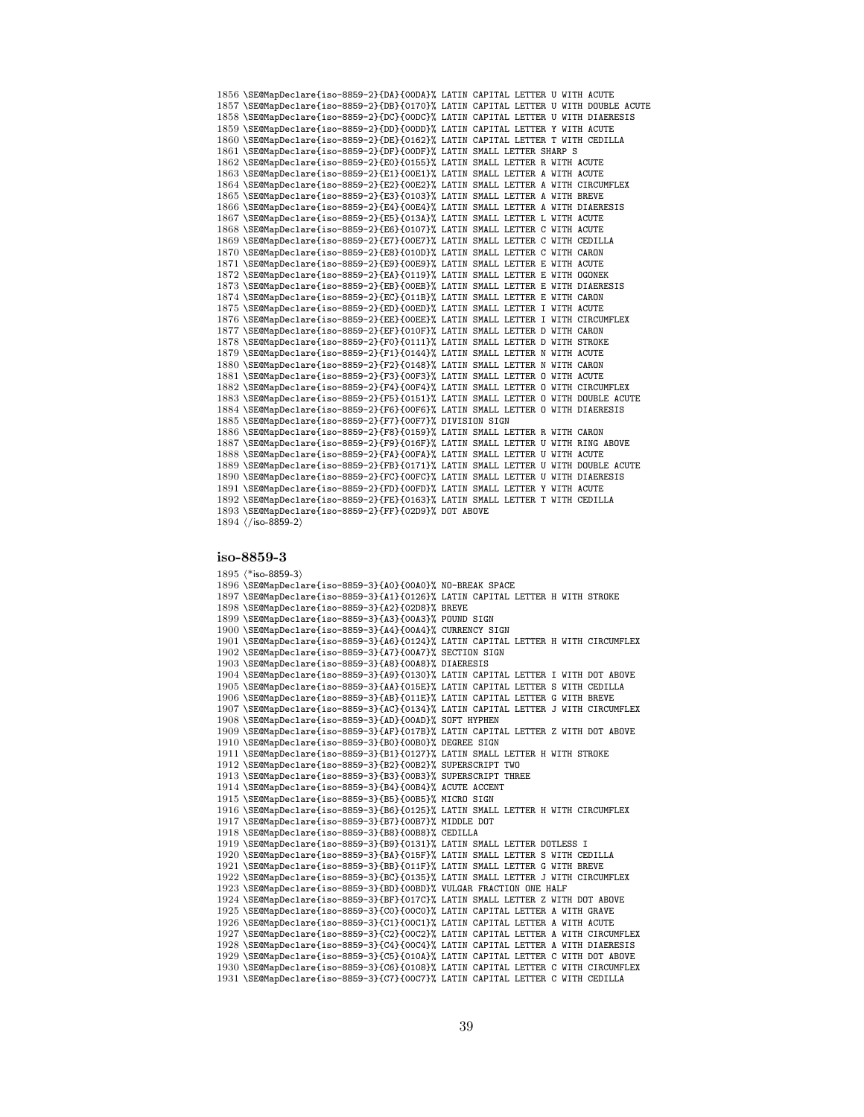```
1856 \SE@MapDeclare{iso-8859-2}{DA}{00DA}% LATIN CAPITAL LETTER U WITH ACUTE
1857 \SE@MapDeclare{iso-8859-2}{DB}{0170}% LATIN CAPITAL LETTER U WITH DOUBLE ACUTE
1858 \SE@MapDeclare{iso-8859-2}{DC}{00DC}% LATIN CAPITAL LETTER U WITH DIAERESIS
1859 \SE@MapDeclare{iso-8859-2}{DD}{00DD}% LATIN CAPITAL LETTER Y WITH ACUTE
1860 \SE@MapDeclare{iso-8859-2}{DE}{0162}% LATIN CAPITAL LETTER T WITH CEDILLA
1861 \SE@MapDeclare{iso-8859-2}{DF}{00DF}% LATIN SMALL LETTER SHARP S
1862 \SE@MapDeclare{iso-8859-2}{E0}{0155}% LATIN SMALL LETTER R WITH ACUTE
1863 \SE@MapDeclare{iso-8859-2}{E1}{00E1}% LATIN SMALL LETTER A WITH ACUTE
1864 \SE@MapDeclare{iso-8859-2}{E2}{00E2}% LATIN SMALL LETTER A WITH CIRCUMFLEX
1865 \SE@MapDeclare{iso-8859-2}{E3}{0103}% LATIN SMALL LETTER A WITH BREVE
1866 \SE@MapDeclare{iso-8859-2}{E4}{00E4}% LATIN SMALL LETTER A WITH DIAERESIS
1867 \SE@MapDeclare{iso-8859-2}{E5}{013A}% LATIN SMALL LETTER L WITH ACUTE
1868 \SE@MapDeclare{iso-8859-2}{E6}{0107}% LATIN SMALL LETTER C WITH ACUTE
1869 \SE@MapDeclare{iso-8859-2}{E7}{00E7}% LATIN SMALL LETTER C WITH CEDILLA
1870 \SE@MapDeclare{iso-8859-2}{E8}{010D}% LATIN SMALL LETTER C WITH CARON
1871 \SE@MapDeclare{iso-8859-2}{E9}{00E9}% LATIN SMALL LETTER E WITH ACUTE
1872 \SE@MapDeclare{iso-8859-2}{EA}{0119}% LATIN SMALL LETTER E WITH OGONEK
1873 \SE@MapDeclare{iso-8859-2}{EB}{00EB}% LATIN SMALL LETTER E WITH DIAERESIS
1874 \SE@MapDeclare{iso-8859-2}{EC}{011B}% LATIN SMALL LETTER E WITH CARON
1875 \SE@MapDeclare{iso-8859-2}{ED}{00ED}% LATIN SMALL LETTER I WITH ACUTE
1876 \SE@MapDeclare{iso-8859-2}{EE}{00EE}% LATIN SMALL LETTER I WITH CIRCUMFLEX
1877 \SE@MapDeclare{iso-8859-2}{EF}{010F}% LATIN SMALL LETTER D WITH CARON
1878 \SE@MapDeclare{iso-8859-2}{F0}{0111}% LATIN SMALL LETTER D WITH STROKE
1879 \SE@MapDeclare{iso-8859-2}{F1}{0144}% LATIN SMALL LETTER N WITH ACUTE
1880 \SE@MapDeclare{iso-8859-2}{F2}{0148}% LATIN SMALL LETTER N WITH CARON
1881 \SE@MapDeclare{iso-8859-2}{F3}{00F3}% LATIN SMALL LETTER O WITH ACUTE
1882 \SE@MapDeclare{iso-8859-2}{F4}{00F4}% LATIN SMALL LETTER O WITH CIRCUMFLEX
1883 \SE@MapDeclare{iso-8859-2}{F5}{0151}% LATIN SMALL LETTER O WITH DOUBLE ACUTE
1884 \SE@MapDeclare{iso-8859-2}{F6}{00F6}% LATIN SMALL LETTER O WITH DIAERESIS
1885 \SE@MapDeclare{iso-8859-2}{F7}{00F7}% DIVISION SIGN
1886 \SE@MapDeclare{iso-8859-2}{F8}{0159}% LATIN SMALL LETTER R WITH CARON
1887 \SE@MapDeclare{iso-8859-2}{F9}{016F}% LATIN SMALL LETTER U WITH RING ABOVE
1888 \SE@MapDeclare{iso-8859-2}{FA}{00FA}% LATIN SMALL LETTER U WITH ACUTE
1889 \SE@MapDeclare{iso-8859-2}{FB}{0171}% LATIN SMALL LETTER U WITH DOUBLE ACUTE
1890 \SE@MapDeclare{iso-8859-2}{FC}{00FC}% LATIN SMALL LETTER U WITH DIAERESIS
1891 \SE@MapDeclare{iso-8859-2}{FD}{00FD}% LATIN SMALL LETTER Y WITH ACUTE
1892 \SE@MapDeclare{iso-8859-2}{FE}{0163}% LATIN SMALL LETTER T WITH CEDILLA
1893 \SE@MapDeclare{iso-8859-2}{FF}{02D9}% DOT ABOVE
```

```
1894 \; \langle \text{/iso-8859-2} \rangle
```
1895 (\*iso-8859-3) \SE@MapDeclare{iso-8859-3}{A0}{00A0}% NO-BREAK SPACE \SE@MapDeclare{iso-8859-3}{A1}{0126}% LATIN CAPITAL LETTER H WITH STROKE \SE@MapDeclare{iso-8859-3}{A2}{02D8}% BREVE \SE@MapDeclare{iso-8859-3}{A3}{00A3}% POUND SIGN \SE@MapDeclare{iso-8859-3}{A4}{00A4}% CURRENCY SIGN \SE@MapDeclare{iso-8859-3}{A6}{0124}% LATIN CAPITAL LETTER H WITH CIRCUMFLEX \SE@MapDeclare{iso-8859-3}{A7}{00A7}% SECTION SIGN \SE@MapDeclare{iso-8859-3}{A8}{00A8}% DIAERESIS \SE@MapDeclare{iso-8859-3}{A9}{0130}% LATIN CAPITAL LETTER I WITH DOT ABOVE \SE@MapDeclare{iso-8859-3}{AA}{015E}% LATIN CAPITAL LETTER S WITH CEDILLA \SE@MapDeclare{iso-8859-3}{AB}{011E}% LATIN CAPITAL LETTER G WITH BREVE \SE@MapDeclare{iso-8859-3}{AC}{0134}% LATIN CAPITAL LETTER J WITH CIRCUMFLEX \SE@MapDeclare{iso-8859-3}{AD}{00AD}% SOFT HYPHEN \SE@MapDeclare{iso-8859-3}{AF}{017B}% LATIN CAPITAL LETTER Z WITH DOT ABOVE \SE@MapDeclare{iso-8859-3}{B0}{00B0}% DEGREE SIGN \SE@MapDeclare{iso-8859-3}{B1}{0127}% LATIN SMALL LETTER H WITH STROKE \SE@MapDeclare{iso-8859-3}{B2}{00B2}% SUPERSCRIPT TWO \SE@MapDeclare{iso-8859-3}{B3}{00B3}% SUPERSCRIPT THREE \SE@MapDeclare{iso-8859-3}{B4}{00B4}% ACUTE ACCENT \SE@MapDeclare{iso-8859-3}{B5}{00B5}% MICRO SIGN \SE@MapDeclare{iso-8859-3}{B6}{0125}% LATIN SMALL LETTER H WITH CIRCUMFLEX \SE@MapDeclare{iso-8859-3}{B7}{00B7}% MIDDLE DOT \SE@MapDeclare{iso-8859-3}{B8}{00B8}% CEDILLA \SE@MapDeclare{iso-8859-3}{B9}{0131}% LATIN SMALL LETTER DOTLESS I \SE@MapDeclare{iso-8859-3}{BA}{015F}% LATIN SMALL LETTER S WITH CEDILLA \SE@MapDeclare{iso-8859-3}{BB}{011F}% LATIN SMALL LETTER G WITH BREVE \SE@MapDeclare{iso-8859-3}{BC}{0135}% LATIN SMALL LETTER J WITH CIRCUMFLEX \SE@MapDeclare{iso-8859-3}{BD}{00BD}% VULGAR FRACTION ONE HALF \SE@MapDeclare{iso-8859-3}{BF}{017C}% LATIN SMALL LETTER Z WITH DOT ABOVE \SE@MapDeclare{iso-8859-3}{C0}{00C0}% LATIN CAPITAL LETTER A WITH GRAVE \SE@MapDeclare{iso-8859-3}{C1}{00C1}% LATIN CAPITAL LETTER A WITH ACUTE \SE@MapDeclare{iso-8859-3}{C2}{00C2}% LATIN CAPITAL LETTER A WITH CIRCUMFLEX \SE@MapDeclare{iso-8859-3}{C4}{00C4}% LATIN CAPITAL LETTER A WITH DIAERESIS \SE@MapDeclare{iso-8859-3}{C5}{010A}% LATIN CAPITAL LETTER C WITH DOT ABOVE \SE@MapDeclare{iso-8859-3}{C6}{0108}% LATIN CAPITAL LETTER C WITH CIRCUMFLEX \SE@MapDeclare{iso-8859-3}{C7}{00C7}% LATIN CAPITAL LETTER C WITH CEDILLA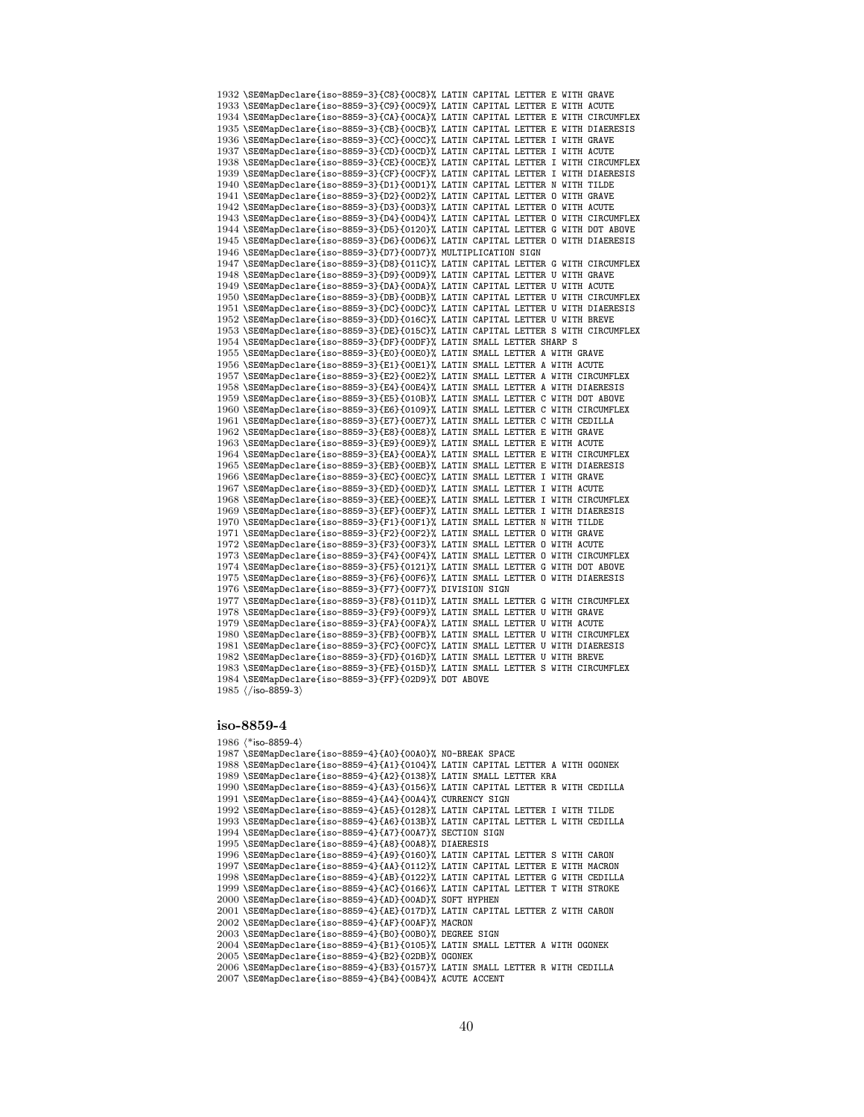\SE@MapDeclare{iso-8859-3}{C8}{00C8}% LATIN CAPITAL LETTER E WITH GRAVE \SE@MapDeclare{iso-8859-3}{C9}{00C9}% LATIN CAPITAL LETTER E WITH ACUTE \SE@MapDeclare{iso-8859-3}{CA}{00CA}% LATIN CAPITAL LETTER E WITH CIRCUMFLEX \SE@MapDeclare{iso-8859-3}{CB}{00CB}% LATIN CAPITAL LETTER E WITH DIAERESIS \SE@MapDeclare{iso-8859-3}{CC}{00CC}% LATIN CAPITAL LETTER I WITH GRAVE \SE@MapDeclare{iso-8859-3}{CD}{00CD}% LATIN CAPITAL LETTER I WITH ACUTE \SE@MapDeclare{iso-8859-3}{CE}{00CE}% LATIN CAPITAL LETTER I WITH CIRCUMFLEX \SE@MapDeclare{iso-8859-3}{CF}{00CF}% LATIN CAPITAL LETTER I WITH DIAERESIS \SE@MapDeclare{iso-8859-3}{D1}{00D1}% LATIN CAPITAL LETTER N WITH TILDE \SE@MapDeclare{iso-8859-3}{D2}{00D2}% LATIN CAPITAL LETTER O WITH GRAVE \SE@MapDeclare{iso-8859-3}{D3}{00D3}% LATIN CAPITAL LETTER O WITH ACUTE \SE@MapDeclare{iso-8859-3}{D4}{00D4}% LATIN CAPITAL LETTER O WITH CIRCUMFLEX \SE@MapDeclare{iso-8859-3}{D5}{0120}% LATIN CAPITAL LETTER G WITH DOT ABOVE \SE@MapDeclare{iso-8859-3}{D6}{00D6}% LATIN CAPITAL LETTER O WITH DIAERESIS \SE@MapDeclare{iso-8859-3}{D7}{00D7}% MULTIPLICATION SIGN \SE@MapDeclare{iso-8859-3}{D8}{011C}% LATIN CAPITAL LETTER G WITH CIRCUMFLEX \SE@MapDeclare{iso-8859-3}{D9}{00D9}% LATIN CAPITAL LETTER U WITH GRAVE \SE@MapDeclare{iso-8859-3}{DA}{00DA}% LATIN CAPITAL LETTER U WITH ACUTE \SE@MapDeclare{iso-8859-3}{DB}{00DB}% LATIN CAPITAL LETTER U WITH CIRCUMFLEX \SE@MapDeclare{iso-8859-3}{DC}{00DC}% LATIN CAPITAL LETTER U WITH DIAERESIS \SE@MapDeclare{iso-8859-3}{DD}{016C}% LATIN CAPITAL LETTER U WITH BREVE \SE@MapDeclare{iso-8859-3}{DE}{015C}% LATIN CAPITAL LETTER S WITH CIRCUMFLEX \SE@MapDeclare{iso-8859-3}{DF}{00DF}% LATIN SMALL LETTER SHARP S \SE@MapDeclare{iso-8859-3}{E0}{00E0}% LATIN SMALL LETTER A WITH GRAVE \SE@MapDeclare{iso-8859-3}{E1}{00E1}% LATIN SMALL LETTER A WITH ACUTE \SE@MapDeclare{iso-8859-3}{E2}{00E2}% LATIN SMALL LETTER A WITH CIRCUMFLEX \SE@MapDeclare{iso-8859-3}{E4}{00E4}% LATIN SMALL LETTER A WITH DIAERESIS \SE@MapDeclare{iso-8859-3}{E5}{010B}% LATIN SMALL LETTER C WITH DOT ABOVE \SE@MapDeclare{iso-8859-3}{E6}{0109}% LATIN SMALL LETTER C WITH CIRCUMFLEX \SE@MapDeclare{iso-8859-3}{E7}{00E7}% LATIN SMALL LETTER C WITH CEDILLA \SE@MapDeclare{iso-8859-3}{E8}{00E8}% LATIN SMALL LETTER E WITH GRAVE \SE@MapDeclare{iso-8859-3}{E9}{00E9}% LATIN SMALL LETTER E WITH ACUTE \SE@MapDeclare{iso-8859-3}{EA}{00EA}% LATIN SMALL LETTER E WITH CIRCUMFLEX \SE@MapDeclare{iso-8859-3}{EB}{00EB}% LATIN SMALL LETTER E WITH DIAERESIS \SE@MapDeclare{iso-8859-3}{EC}{00EC}% LATIN SMALL LETTER I WITH GRAVE \SE@MapDeclare{iso-8859-3}{ED}{00ED}% LATIN SMALL LETTER I WITH ACUTE \SE@MapDeclare{iso-8859-3}{EE}{00EE}% LATIN SMALL LETTER I WITH CIRCUMFLEX \SE@MapDeclare{iso-8859-3}{EF}{00EF}% LATIN SMALL LETTER I WITH DIAERESIS \SE@MapDeclare{iso-8859-3}{F1}{00F1}% LATIN SMALL LETTER N WITH TILDE \SE@MapDeclare{iso-8859-3}{F2}{00F2}% LATIN SMALL LETTER O WITH GRAVE \SE@MapDeclare{iso-8859-3}{F3}{00F3}% LATIN SMALL LETTER O WITH ACUTE \SE@MapDeclare{iso-8859-3}{F4}{00F4}% LATIN SMALL LETTER O WITH CIRCUMFLEX \SE@MapDeclare{iso-8859-3}{F5}{0121}% LATIN SMALL LETTER G WITH DOT ABOVE \SE@MapDeclare{iso-8859-3}{F6}{00F6}% LATIN SMALL LETTER O WITH DIAERESIS \SE@MapDeclare{iso-8859-3}{F7}{00F7}% DIVISION SIGN \SE@MapDeclare{iso-8859-3}{F8}{011D}% LATIN SMALL LETTER G WITH CIRCUMFLEX \SE@MapDeclare{iso-8859-3}{F9}{00F9}% LATIN SMALL LETTER U WITH GRAVE \SE@MapDeclare{iso-8859-3}{FA}{00FA}% LATIN SMALL LETTER U WITH ACUTE \SE@MapDeclare{iso-8859-3}{FB}{00FB}% LATIN SMALL LETTER U WITH CIRCUMFLEX \SE@MapDeclare{iso-8859-3}{FC}{00FC}% LATIN SMALL LETTER U WITH DIAERESIS \SE@MapDeclare{iso-8859-3}{FD}{016D}% LATIN SMALL LETTER U WITH BREVE \SE@MapDeclare{iso-8859-3}{FE}{015D}% LATIN SMALL LETTER S WITH CIRCUMFLEX \SE@MapDeclare{iso-8859-3}{FF}{02D9}% DOT ABOVE

```
1985 (/iso-8859-3)
```
## iso-8859-4

  $(*iso-8859-4)$  \SE@MapDeclare{iso-8859-4}{A0}{00A0}% NO-BREAK SPACE \SE@MapDeclare{iso-8859-4}{A1}{0104}% LATIN CAPITAL LETTER A WITH OGONEK \SE@MapDeclare{iso-8859-4}{A2}{0138}% LATIN SMALL LETTER KRA \SE@MapDeclare{iso-8859-4}{A3}{0156}% LATIN CAPITAL LETTER R WITH CEDILLA \SE@MapDeclare{iso-8859-4}{A4}{00A4}% CURRENCY SIGN \SE@MapDeclare{iso-8859-4}{A5}{0128}% LATIN CAPITAL LETTER I WITH TILDE \SE@MapDeclare{iso-8859-4}{A6}{013B}% LATIN CAPITAL LETTER L WITH CEDILLA \SE@MapDeclare{iso-8859-4}{A7}{00A7}% SECTION SIGN \SE@MapDeclare{iso-8859-4}{A8}{00A8}% DIAERESIS \SE@MapDeclare{iso-8859-4}{A9}{0160}% LATIN CAPITAL LETTER S WITH CARON \SE@MapDeclare{iso-8859-4}{AA}{0112}% LATIN CAPITAL LETTER E WITH MACRON \SE@MapDeclare{iso-8859-4}{AB}{0122}% LATIN CAPITAL LETTER G WITH CEDILLA \SE@MapDeclare{iso-8859-4}{AC}{0166}% LATIN CAPITAL LETTER T WITH STROKE \SE@MapDeclare{iso-8859-4}{AD}{00AD}% SOFT HYPHEN \SE@MapDeclare{iso-8859-4}{AE}{017D}% LATIN CAPITAL LETTER Z WITH CARON \SE@MapDeclare{iso-8859-4}{AF}{00AF}% MACRON \SE@MapDeclare{iso-8859-4}{B0}{00B0}% DEGREE SIGN \SE@MapDeclare{iso-8859-4}{B1}{0105}% LATIN SMALL LETTER A WITH OGONEK \SE@MapDeclare{iso-8859-4}{B2}{02DB}% OGONEK \SE@MapDeclare{iso-8859-4}{B3}{0157}% LATIN SMALL LETTER R WITH CEDILLA \SE@MapDeclare{iso-8859-4}{B4}{00B4}% ACUTE ACCENT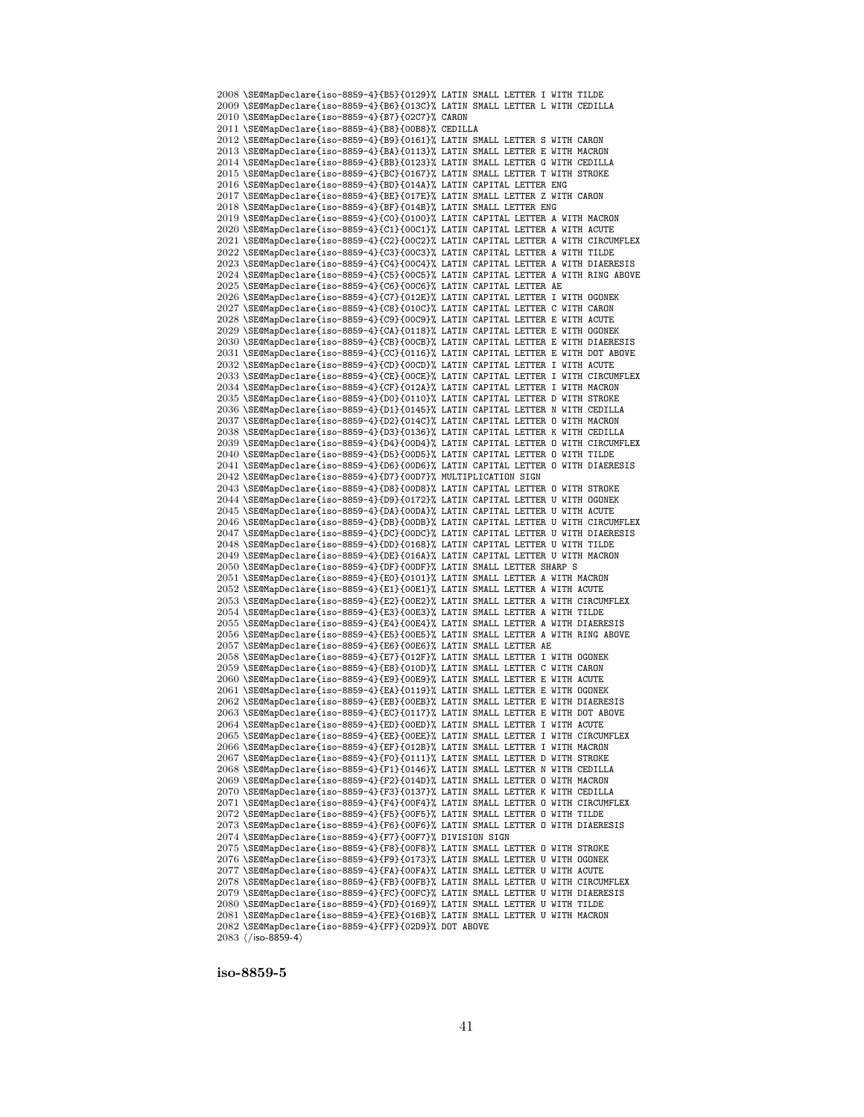\SE@MapDeclare{iso-8859-4}{B5}{0129}% LATIN SMALL LETTER I WITH TILDE \SE@MapDeclare{iso-8859-4}{B6}{013C}% LATIN SMALL LETTER L WITH CEDILLA \SE@MapDeclare{iso-8859-4}{B7}{02C7}% CARON \SE@MapDeclare{iso-8859-4}{B8}{00B8}% CEDILLA \SE@MapDeclare{iso-8859-4}{B9}{0161}% LATIN SMALL LETTER S WITH CARON \SE@MapDeclare{iso-8859-4}{BA}{0113}% LATIN SMALL LETTER E WITH MACRON \SE@MapDeclare{iso-8859-4}{BB}{0123}% LATIN SMALL LETTER G WITH CEDILLA \SE@MapDeclare{iso-8859-4}{BC}{0167}% LATIN SMALL LETTER T WITH STROKE \SE@MapDeclare{iso-8859-4}{BD}{014A}% LATIN CAPITAL LETTER ENG \SE@MapDeclare{iso-8859-4}{BE}{017E}% LATIN SMALL LETTER Z WITH CARON \SE@MapDeclare{iso-8859-4}{BF}{014B}% LATIN SMALL LETTER ENG \SE@MapDeclare{iso-8859-4}{C0}{0100}% LATIN CAPITAL LETTER A WITH MACRON \SE@MapDeclare{iso-8859-4}{C1}{00C1}% LATIN CAPITAL LETTER A WITH ACUTE \SE@MapDeclare{iso-8859-4}{C2}{00C2}% LATIN CAPITAL LETTER A WITH CIRCUMFLEX \SE@MapDeclare{iso-8859-4}{C3}{00C3}% LATIN CAPITAL LETTER A WITH TILDE \SE@MapDeclare{iso-8859-4}{C4}{00C4}% LATIN CAPITAL LETTER A WITH DIAERESIS \SE@MapDeclare{iso-8859-4}{C5}{00C5}% LATIN CAPITAL LETTER A WITH RING ABOVE \SE@MapDeclare{iso-8859-4}{C6}{00C6}% LATIN CAPITAL LETTER AE \SE@MapDeclare{iso-8859-4}{C7}{012E}% LATIN CAPITAL LETTER I WITH OGONEK \SE@MapDeclare{iso-8859-4}{C8}{010C}% LATIN CAPITAL LETTER C WITH CARON \SE@MapDeclare{iso-8859-4}{C9}{00C9}% LATIN CAPITAL LETTER E WITH ACUTE \SE@MapDeclare{iso-8859-4}{CA}{0118}% LATIN CAPITAL LETTER E WITH OGONEK \SE@MapDeclare{iso-8859-4}{CB}{00CB}% LATIN CAPITAL LETTER E WITH DIAERESIS \SE@MapDeclare{iso-8859-4}{CC}{0116}% LATIN CAPITAL LETTER E WITH DOT ABOVE \SE@MapDeclare{iso-8859-4}{CD}{00CD}% LATIN CAPITAL LETTER I WITH ACUTE \SE@MapDeclare{iso-8859-4}{CE}{00CE}% LATIN CAPITAL LETTER I WITH CIRCUMFLEX \SE@MapDeclare{iso-8859-4}{CF}{012A}% LATIN CAPITAL LETTER I WITH MACRON \SE@MapDeclare{iso-8859-4}{D0}{0110}% LATIN CAPITAL LETTER D WITH STROKE \SE@MapDeclare{iso-8859-4}{D1}{0145}% LATIN CAPITAL LETTER N WITH CEDILLA \SE@MapDeclare{iso-8859-4}{D2}{014C}% LATIN CAPITAL LETTER O WITH MACRON \SE@MapDeclare{iso-8859-4}{D3}{0136}% LATIN CAPITAL LETTER K WITH CEDILLA \SE@MapDeclare{iso-8859-4}{D4}{00D4}% LATIN CAPITAL LETTER O WITH CIRCUMFLEX \SE@MapDeclare{iso-8859-4}{D5}{00D5}% LATIN CAPITAL LETTER O WITH TILDE \SE@MapDeclare{iso-8859-4}{D6}{00D6}% LATIN CAPITAL LETTER O WITH DIAERESIS \SE@MapDeclare{iso-8859-4}{D7}{00D7}% MULTIPLICATION SIGN \SE@MapDeclare{iso-8859-4}{D8}{00D8}% LATIN CAPITAL LETTER O WITH STROKE \SE@MapDeclare{iso-8859-4}{D9}{0172}% LATIN CAPITAL LETTER U WITH OGONEK \SE@MapDeclare{iso-8859-4}{DA}{00DA}% LATIN CAPITAL LETTER U WITH ACUTE \SE@MapDeclare{iso-8859-4}{DB}{00DB}% LATIN CAPITAL LETTER U WITH CIRCUMFLEX \SE@MapDeclare{iso-8859-4}{DC}{00DC}% LATIN CAPITAL LETTER U WITH DIAERESIS \SE@MapDeclare{iso-8859-4}{DD}{0168}% LATIN CAPITAL LETTER U WITH TILDE \SE@MapDeclare{iso-8859-4}{DE}{016A}% LATIN CAPITAL LETTER U WITH MACRON \SE@MapDeclare{iso-8859-4}{DF}{00DF}% LATIN SMALL LETTER SHARP S \SE@MapDeclare{iso-8859-4}{E0}{0101}% LATIN SMALL LETTER A WITH MACRON \SE@MapDeclare{iso-8859-4}{E1}{00E1}% LATIN SMALL LETTER A WITH ACUTE \SE@MapDeclare{iso-8859-4}{E2}{00E2}% LATIN SMALL LETTER A WITH CIRCUMFLEX \SE@MapDeclare{iso-8859-4}{E3}{00E3}% LATIN SMALL LETTER A WITH TILDE \SE@MapDeclare{iso-8859-4}{E4}{00E4}% LATIN SMALL LETTER A WITH DIAERESIS \SE@MapDeclare{iso-8859-4}{E5}{00E5}% LATIN SMALL LETTER A WITH RING ABOVE \SE@MapDeclare{iso-8859-4}{E6}{00E6}% LATIN SMALL LETTER AE \SE@MapDeclare{iso-8859-4}{E7}{012F}% LATIN SMALL LETTER I WITH OGONEK \SE@MapDeclare{iso-8859-4}{E8}{010D}% LATIN SMALL LETTER C WITH CARON \SE@MapDeclare{iso-8859-4}{E9}{00E9}% LATIN SMALL LETTER E WITH ACUTE \SE@MapDeclare{iso-8859-4}{EA}{0119}% LATIN SMALL LETTER E WITH OGONEK \SE@MapDeclare{iso-8859-4}{EB}{00EB}% LATIN SMALL LETTER E WITH DIAERESIS \SE@MapDeclare{iso-8859-4}{EC}{0117}% LATIN SMALL LETTER E WITH DOT ABOVE \SE@MapDeclare{iso-8859-4}{ED}{00ED}% LATIN SMALL LETTER I WITH ACUTE \SE@MapDeclare{iso-8859-4}{EE}{00EE}% LATIN SMALL LETTER I WITH CIRCUMFLEX \SE@MapDeclare{iso-8859-4}{EF}{012B}% LATIN SMALL LETTER I WITH MACRON \SE@MapDeclare{iso-8859-4}{F0}{0111}% LATIN SMALL LETTER D WITH STROKE \SE@MapDeclare{iso-8859-4}{F1}{0146}% LATIN SMALL LETTER N WITH CEDILLA \SE@MapDeclare{iso-8859-4}{F2}{014D}% LATIN SMALL LETTER O WITH MACRON \SE@MapDeclare{iso-8859-4}{F3}{0137}% LATIN SMALL LETTER K WITH CEDILLA \SE@MapDeclare{iso-8859-4}{F4}{00F4}% LATIN SMALL LETTER O WITH CIRCUMFLEX \SE@MapDeclare{iso-8859-4}{F5}{00F5}% LATIN SMALL LETTER O WITH TILDE \SE@MapDeclare{iso-8859-4}{F6}{00F6}% LATIN SMALL LETTER O WITH DIAERESIS \SE@MapDeclare{iso-8859-4}{F7}{00F7}% DIVISION SIGN \SE@MapDeclare{iso-8859-4}{F8}{00F8}% LATIN SMALL LETTER O WITH STROKE \SE@MapDeclare{iso-8859-4}{F9}{0173}% LATIN SMALL LETTER U WITH OGONEK \SE@MapDeclare{iso-8859-4}{FA}{00FA}% LATIN SMALL LETTER U WITH ACUTE \SE@MapDeclare{iso-8859-4}{FB}{00FB}% LATIN SMALL LETTER U WITH CIRCUMFLEX \SE@MapDeclare{iso-8859-4}{FC}{00FC}% LATIN SMALL LETTER U WITH DIAERESIS \SE@MapDeclare{iso-8859-4}{FD}{0169}% LATIN SMALL LETTER U WITH TILDE \SE@MapDeclare{iso-8859-4}{FE}{016B}% LATIN SMALL LETTER U WITH MACRON \SE@MapDeclare{iso-8859-4}{FF}{02D9}% DOT ABOVE (/iso-8859-4)

iso-8859-5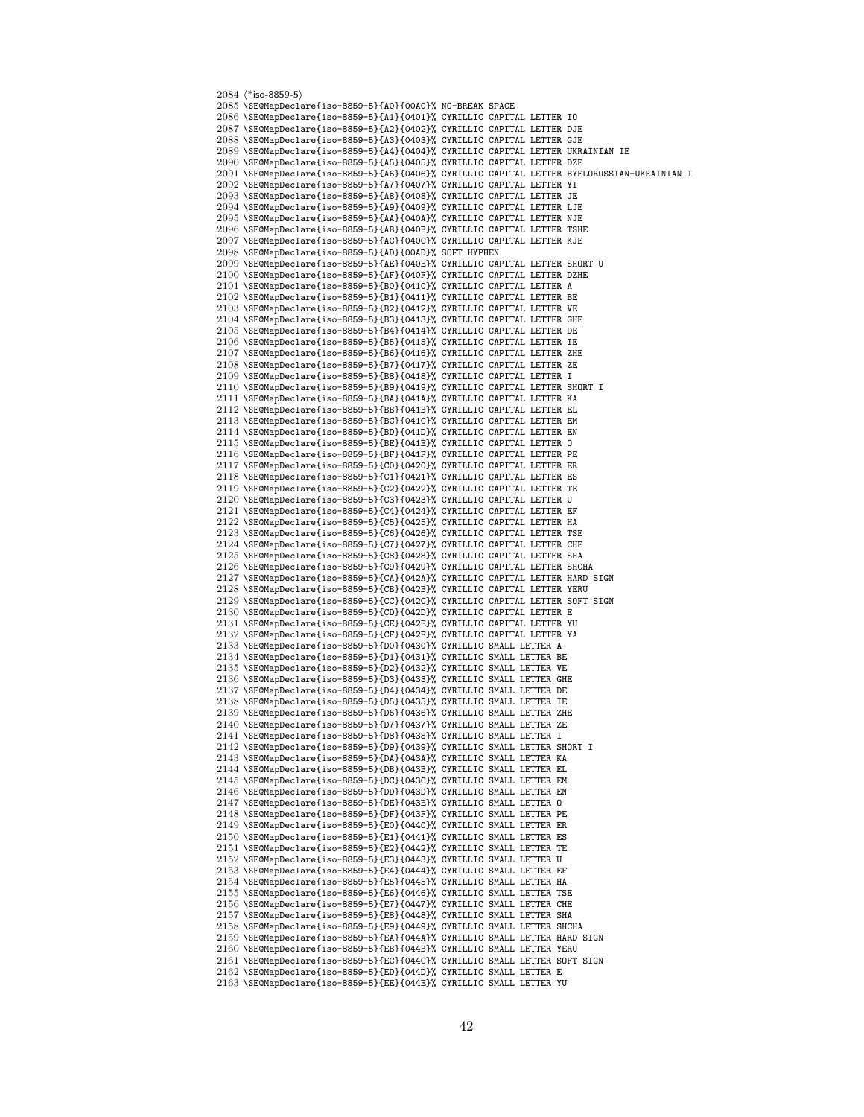$(*iso-8859-5)$  \SE@MapDeclare{iso-8859-5}{A0}{00A0}% NO-BREAK SPACE \SE@MapDeclare{iso-8859-5}{A1}{0401}% CYRILLIC CAPITAL LETTER IO \SE@MapDeclare{iso-8859-5}{A2}{0402}% CYRILLIC CAPITAL LETTER DJE \SE@MapDeclare{iso-8859-5}{A3}{0403}% CYRILLIC CAPITAL LETTER GJE \SE@MapDeclare{iso-8859-5}{A4}{0404}% CYRILLIC CAPITAL LETTER UKRAINIAN IE \SE@MapDeclare{iso-8859-5}{A5}{0405}% CYRILLIC CAPITAL LETTER DZE \SE@MapDeclare{iso-8859-5}{A6}{0406}% CYRILLIC CAPITAL LETTER BYELORUSSIAN-UKRAINIAN I \SE@MapDeclare{iso-8859-5}{A7}{0407}% CYRILLIC CAPITAL LETTER YI \SE@MapDeclare{iso-8859-5}{A8}{0408}% CYRILLIC CAPITAL LETTER JE \SE@MapDeclare{iso-8859-5}{A9}{0409}% CYRILLIC CAPITAL LETTER LJE \SE@MapDeclare{iso-8859-5}{AA}{040A}% CYRILLIC CAPITAL LETTER NJE \SE@MapDeclare{iso-8859-5}{AB}{040B}% CYRILLIC CAPITAL LETTER TSHE \SE@MapDeclare{iso-8859-5}{AC}{040C}% CYRILLIC CAPITAL LETTER KJE \SE@MapDeclare{iso-8859-5}{AD}{00AD}% SOFT HYPHEN \SE@MapDeclare{iso-8859-5}{AE}{040E}% CYRILLIC CAPITAL LETTER SHORT U \SE@MapDeclare{iso-8859-5}{AF}{040F}% CYRILLIC CAPITAL LETTER DZHE \SE@MapDeclare{iso-8859-5}{B0}{0410}% CYRILLIC CAPITAL LETTER A \SE@MapDeclare{iso-8859-5}{B1}{0411}% CYRILLIC CAPITAL LETTER BE \SE@MapDeclare{iso-8859-5}{B2}{0412}% CYRILLIC CAPITAL LETTER VE \SE@MapDeclare{iso-8859-5}{B3}{0413}% CYRILLIC CAPITAL LETTER GHE \SE@MapDeclare{iso-8859-5}{B4}{0414}% CYRILLIC CAPITAL LETTER DE \SE@MapDeclare{iso-8859-5}{B5}{0415}% CYRILLIC CAPITAL LETTER IE \SE@MapDeclare{iso-8859-5}{B6}{0416}% CYRILLIC CAPITAL LETTER ZHE \SE@MapDeclare{iso-8859-5}{B7}{0417}% CYRILLIC CAPITAL LETTER ZE \SE@MapDeclare{iso-8859-5}{B8}{0418}% CYRILLIC CAPITAL LETTER I \SE@MapDeclare{iso-8859-5}{B9}{0419}% CYRILLIC CAPITAL LETTER SHORT I \SE@MapDeclare{iso-8859-5}{BA}{041A}% CYRILLIC CAPITAL LETTER KA \SE@MapDeclare{iso-8859-5}{BB}{041B}% CYRILLIC CAPITAL LETTER EL \SE@MapDeclare{iso-8859-5}{BC}{041C}% CYRILLIC CAPITAL LETTER EM \SE@MapDeclare{iso-8859-5}{BD}{041D}% CYRILLIC CAPITAL LETTER EN \SE@MapDeclare{iso-8859-5}{BE}{041E}% CYRILLIC CAPITAL LETTER O \SE@MapDeclare{iso-8859-5}{BF}{041F}% CYRILLIC CAPITAL LETTER PE \SE@MapDeclare{iso-8859-5}{C0}{0420}% CYRILLIC CAPITAL LETTER ER \SE@MapDeclare{iso-8859-5}{C1}{0421}% CYRILLIC CAPITAL LETTER ES \SE@MapDeclare{iso-8859-5}{C2}{0422}% CYRILLIC CAPITAL LETTER TE \SE@MapDeclare{iso-8859-5}{C3}{0423}% CYRILLIC CAPITAL LETTER U \SE@MapDeclare{iso-8859-5}{C4}{0424}% CYRILLIC CAPITAL LETTER EF \SE@MapDeclare{iso-8859-5}{C5}{0425}% CYRILLIC CAPITAL LETTER HA \SE@MapDeclare{iso-8859-5}{C6}{0426}% CYRILLIC CAPITAL LETTER TSE \SE@MapDeclare{iso-8859-5}{C7}{0427}% CYRILLIC CAPITAL LETTER CHE \SE@MapDeclare{iso-8859-5}{C8}{0428}% CYRILLIC CAPITAL LETTER SHA \SE@MapDeclare{iso-8859-5}{C9}{0429}% CYRILLIC CAPITAL LETTER SHCHA \SE@MapDeclare{iso-8859-5}{CA}{042A}% CYRILLIC CAPITAL LETTER HARD SIGN \SE@MapDeclare{iso-8859-5}{CB}{042B}% CYRILLIC CAPITAL LETTER YERU \SE@MapDeclare{iso-8859-5}{CC}{042C}% CYRILLIC CAPITAL LETTER SOFT SIGN \SE@MapDeclare{iso-8859-5}{CD}{042D}% CYRILLIC CAPITAL LETTER E \SE@MapDeclare{iso-8859-5}{CE}{042E}% CYRILLIC CAPITAL LETTER YU \SE@MapDeclare{iso-8859-5}{CF}{042F}% CYRILLIC CAPITAL LETTER YA \SE@MapDeclare{iso-8859-5}{D0}{0430}% CYRILLIC SMALL LETTER A \SE@MapDeclare{iso-8859-5}{D1}{0431}% CYRILLIC SMALL LETTER BE \SE@MapDeclare{iso-8859-5}{D2}{0432}% CYRILLIC SMALL LETTER VE \SE@MapDeclare{iso-8859-5}{D3}{0433}% CYRILLIC SMALL LETTER GHE \SE@MapDeclare{iso-8859-5}{D4}{0434}% CYRILLIC SMALL LETTER DE \SE@MapDeclare{iso-8859-5}{D5}{0435}% CYRILLIC SMALL LETTER IE \SE@MapDeclare{iso-8859-5}{D6}{0436}% CYRILLIC SMALL LETTER ZHE \SE@MapDeclare{iso-8859-5}{D7}{0437}% CYRILLIC SMALL LETTER ZE \SE@MapDeclare{iso-8859-5}{D8}{0438}% CYRILLIC SMALL LETTER I \SE@MapDeclare{iso-8859-5}{D9}{0439}% CYRILLIC SMALL LETTER SHORT I \SE@MapDeclare{iso-8859-5}{DA}{043A}% CYRILLIC SMALL LETTER KA \SE@MapDeclare{iso-8859-5}{DB}{043B}% CYRILLIC SMALL LETTER EL \SE@MapDeclare{iso-8859-5}{DC}{043C}% CYRILLIC SMALL LETTER EM \SE@MapDeclare{iso-8859-5}{DD}{043D}% CYRILLIC SMALL LETTER EN \SE@MapDeclare{iso-8859-5}{DE}{043E}% CYRILLIC SMALL LETTER O \SE@MapDeclare{iso-8859-5}{DF}{043F}% CYRILLIC SMALL LETTER PE \SE@MapDeclare{iso-8859-5}{E0}{0440}% CYRILLIC SMALL LETTER ER \SE@MapDeclare{iso-8859-5}{E1}{0441}% CYRILLIC SMALL LETTER ES \SE@MapDeclare{iso-8859-5}{E2}{0442}% CYRILLIC SMALL LETTER TE \SE@MapDeclare{iso-8859-5}{E3}{0443}% CYRILLIC SMALL LETTER U \SE@MapDeclare{iso-8859-5}{E4}{0444}% CYRILLIC SMALL LETTER EF \SE@MapDeclare{iso-8859-5}{E5}{0445}% CYRILLIC SMALL LETTER HA \SE@MapDeclare{iso-8859-5}{E6}{0446}% CYRILLIC SMALL LETTER TSE \SE@MapDeclare{iso-8859-5}{E7}{0447}% CYRILLIC SMALL LETTER CHE \SE@MapDeclare{iso-8859-5}{E8}{0448}% CYRILLIC SMALL LETTER SHA \SE@MapDeclare{iso-8859-5}{E9}{0449}% CYRILLIC SMALL LETTER SHCHA \SE@MapDeclare{iso-8859-5}{EA}{044A}% CYRILLIC SMALL LETTER HARD SIGN \SE@MapDeclare{iso-8859-5}{EB}{044B}% CYRILLIC SMALL LETTER YERU \SE@MapDeclare{iso-8859-5}{EC}{044C}% CYRILLIC SMALL LETTER SOFT SIGN \SE@MapDeclare{iso-8859-5}{ED}{044D}% CYRILLIC SMALL LETTER E \SE@MapDeclare{iso-8859-5}{EE}{044E}% CYRILLIC SMALL LETTER YU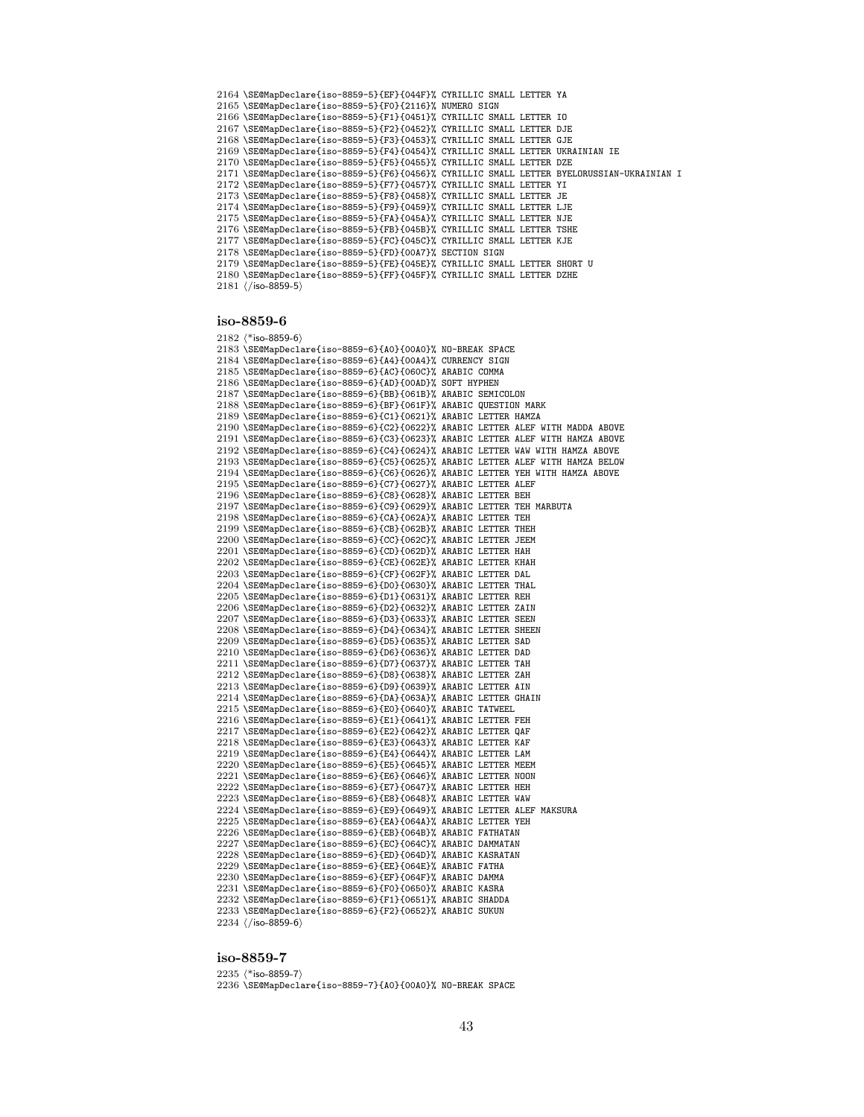```
2164 \SE@MapDeclare{iso-8859-5}{EF}{044F}% CYRILLIC SMALL LETTER YA
2165 \SE@MapDeclare{iso-8859-5}{F0}{2116}% NUMERO SIGN
2166 \SE@MapDeclare{iso-8859-5}{F1}{0451}% CYRILLIC SMALL LETTER IO
2167 \SE@MapDeclare{iso-8859-5}{F2}{0452}% CYRILLIC SMALL LETTER DJE
2168 \SE@MapDeclare{iso-8859-5}{F3}{0453}% CYRILLIC SMALL LETTER GJE
2169 \SE@MapDeclare{iso-8859-5}{F4}{0454}% CYRILLIC SMALL LETTER UKRAINIAN IE
2170 \SE@MapDeclare{iso-8859-5}{F5}{0455}% CYRILLIC SMALL LETTER DZE
2171 \SE@MapDeclare{iso-8859-5}{F6}{0456}% CYRILLIC SMALL LETTER BYELORUSSIAN-UKRAINIAN I
2172 \SE@MapDeclare{iso-8859-5}{F7}{0457}% CYRILLIC SMALL LETTER YI
2173 \SE@MapDeclare{iso-8859-5}{F8}{0458}% CYRILLIC SMALL LETTER JE
2174 \SE@MapDeclare{iso-8859-5}{F9}{0459}% CYRILLIC SMALL LETTER LJE
2175 \SE@MapDeclare{iso-8859-5}{FA}{045A}% CYRILLIC SMALL LETTER NJE
2176 \SE@MapDeclare{iso-8859-5}{FB}{045B}% CYRILLIC SMALL LETTER TSHE
2177 \SE@MapDeclare{iso-8859-5}{FC}{045C}% CYRILLIC SMALL LETTER KJE
2178 \SE@MapDeclare{iso-8859-5}{FD}{00A7}% SECTION SIGN
2179 \SE@MapDeclare{iso-8859-5}{FE}{045E}% CYRILLIC SMALL LETTER SHORT U
2180 \SE@MapDeclare{iso-8859-5}{FF}{045F}% CYRILLIC SMALL LETTER DZHE
2181 \; \langle \text{/iso-8859-5} \rangle
```
 (\*iso-8859-6) \SE@MapDeclare{iso-8859-6}{A0}{00A0}% NO-BREAK SPACE \SE@MapDeclare{iso-8859-6}{A4}{00A4}% CURRENCY SIGN \SE@MapDeclare{iso-8859-6}{AC}{060C}% ARABIC COMMA \SE@MapDeclare{iso-8859-6}{AD}{00AD}% SOFT HYPHEN \SE@MapDeclare{iso-8859-6}{BB}{061B}% ARABIC SEMICOLON \SE@MapDeclare{iso-8859-6}{BF}{061F}% ARABIC QUESTION MARK \SE@MapDeclare{iso-8859-6}{C1}{0621}% ARABIC LETTER HAMZA \SE@MapDeclare{iso-8859-6}{C2}{0622}% ARABIC LETTER ALEF WITH MADDA ABOVE \SE@MapDeclare{iso-8859-6}{C3}{0623}% ARABIC LETTER ALEF WITH HAMZA ABOVE \SE@MapDeclare{iso-8859-6}{C4}{0624}% ARABIC LETTER WAW WITH HAMZA ABOVE \SE@MapDeclare{iso-8859-6}{C5}{0625}% ARABIC LETTER ALEF WITH HAMZA BELOW \SE@MapDeclare{iso-8859-6}{C6}{0626}% ARABIC LETTER YEH WITH HAMZA ABOVE \SE@MapDeclare{iso-8859-6}{C7}{0627}% ARABIC LETTER ALEF \SE@MapDeclare{iso-8859-6}{C8}{0628}% ARABIC LETTER BEH \SE@MapDeclare{iso-8859-6}{C9}{0629}% ARABIC LETTER TEH MARBUTA \SE@MapDeclare{iso-8859-6}{CA}{062A}% ARABIC LETTER TEH \SE@MapDeclare{iso-8859-6}{CB}{062B}% ARABIC LETTER THEH \SE@MapDeclare{iso-8859-6}{CC}{062C}% ARABIC LETTER JEEM \SE@MapDeclare{iso-8859-6}{CD}{062D}% ARABIC LETTER HAH \SE@MapDeclare{iso-8859-6}{CE}{062E}% ARABIC LETTER KHAH \SE@MapDeclare{iso-8859-6}{CF}{062F}% ARABIC LETTER DAL \SE@MapDeclare{iso-8859-6}{D0}{0630}% ARABIC LETTER THAL \SE@MapDeclare{iso-8859-6}{D1}{0631}% ARABIC LETTER REH \SE@MapDeclare{iso-8859-6}{D2}{0632}% ARABIC LETTER ZAIN \SE@MapDeclare{iso-8859-6}{D3}{0633}% ARABIC LETTER SEEN \SE@MapDeclare{iso-8859-6}{D4}{0634}% ARABIC LETTER SHEEN \SE@MapDeclare{iso-8859-6}{D5}{0635}% ARABIC LETTER SAD \SE@MapDeclare{iso-8859-6}{D6}{0636}% ARABIC LETTER DAD \SE@MapDeclare{iso-8859-6}{D7}{0637}% ARABIC LETTER TAH \SE@MapDeclare{iso-8859-6}{D8}{0638}% ARABIC LETTER ZAH \SE@MapDeclare{iso-8859-6}{D9}{0639}% ARABIC LETTER AIN \SE@MapDeclare{iso-8859-6}{DA}{063A}% ARABIC LETTER GHAIN \SE@MapDeclare{iso-8859-6}{E0}{0640}% ARABIC TATWEEL \SE@MapDeclare{iso-8859-6}{E1}{0641}% ARABIC LETTER FEH \SE@MapDeclare{iso-8859-6}{E2}{0642}% ARABIC LETTER QAF \SE@MapDeclare{iso-8859-6}{E3}{0643}% ARABIC LETTER KAF \SE@MapDeclare{iso-8859-6}{E4}{0644}% ARABIC LETTER LAM \SE@MapDeclare{iso-8859-6}{E5}{0645}% ARABIC LETTER MEEM \SE@MapDeclare{iso-8859-6}{E6}{0646}% ARABIC LETTER NOON \SE@MapDeclare{iso-8859-6}{E7}{0647}% ARABIC LETTER HEH \SE@MapDeclare{iso-8859-6}{E8}{0648}% ARABIC LETTER WAW \SE@MapDeclare{iso-8859-6}{E9}{0649}% ARABIC LETTER ALEF MAKSURA \SE@MapDeclare{iso-8859-6}{EA}{064A}% ARABIC LETTER YEH \SE@MapDeclare{iso-8859-6}{EB}{064B}% ARABIC FATHATAN \SE@MapDeclare{iso-8859-6}{EC}{064C}% ARABIC DAMMATAN \SE@MapDeclare{iso-8859-6}{ED}{064D}% ARABIC KASRATAN \SE@MapDeclare{iso-8859-6}{EE}{064E}% ARABIC FATHA \SE@MapDeclare{iso-8859-6}{EF}{064F}% ARABIC DAMMA \SE@MapDeclare{iso-8859-6}{F0}{0650}% ARABIC KASRA \SE@MapDeclare{iso-8859-6}{F1}{0651}% ARABIC SHADDA \SE@MapDeclare{iso-8859-6}{F2}{0652}% ARABIC SUKUN  $2234 \langle$ /iso-8859-6)

## iso-8859-7

  $(*$ iso-8859-7) \SE@MapDeclare{iso-8859-7}{A0}{00A0}% NO-BREAK SPACE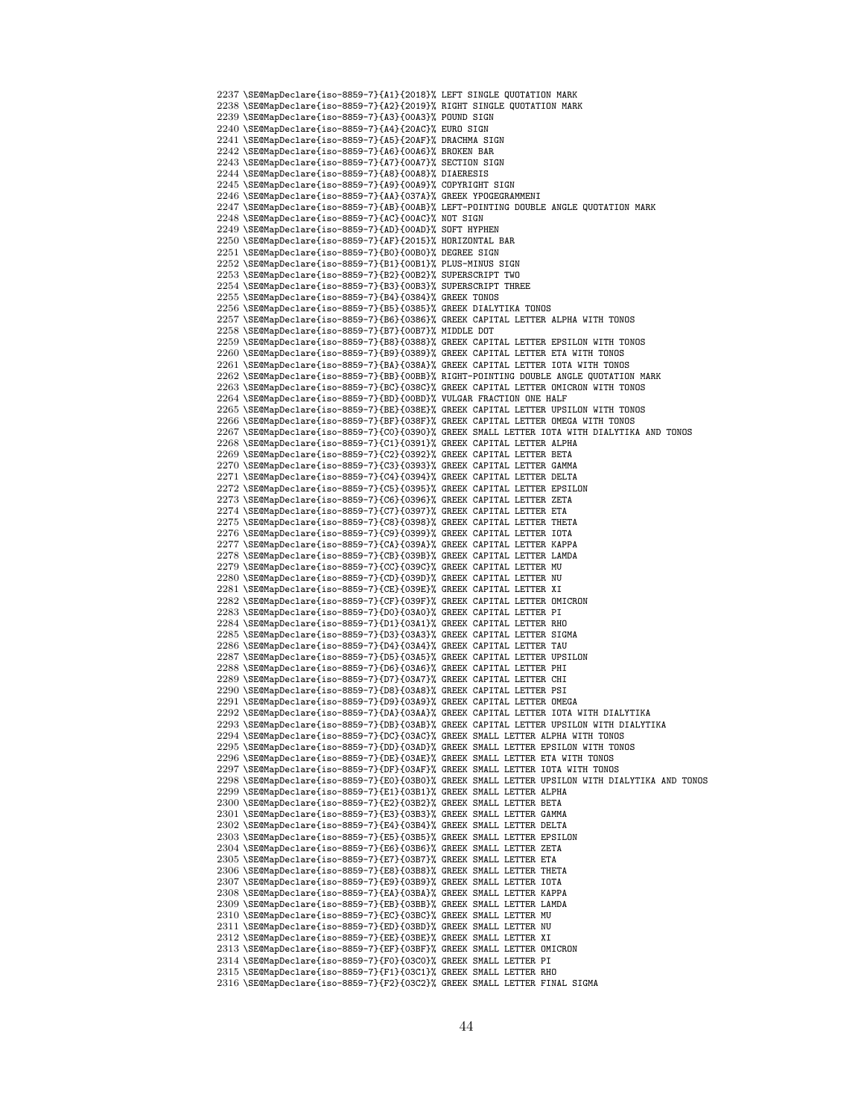\SE@MapDeclare{iso-8859-7}{A1}{2018}% LEFT SINGLE QUOTATION MARK \SE@MapDeclare{iso-8859-7}{A2}{2019}% RIGHT SINGLE QUOTATION MARK \SE@MapDeclare{iso-8859-7}{A3}{00A3}% POUND SIGN \SE@MapDeclare{iso-8859-7}{A4}{20AC}% EURO SIGN \SE@MapDeclare{iso-8859-7}{A5}{20AF}% DRACHMA SIGN \SE@MapDeclare{iso-8859-7}{A6}{00A6}% BROKEN BAR \SE@MapDeclare{iso-8859-7}{A7}{00A7}% SECTION SIGN \SE@MapDeclare{iso-8859-7}{A8}{00A8}% DIAERESIS \SE@MapDeclare{iso-8859-7}{A9}{00A9}% COPYRIGHT SIGN \SE@MapDeclare{iso-8859-7}{AA}{037A}% GREEK YPOGEGRAMMENI \SE@MapDeclare{iso-8859-7}{AB}{00AB}% LEFT-POINTING DOUBLE ANGLE QUOTATION MARK \SE@MapDeclare{iso-8859-7}{AC}{00AC}% NOT SIGN \SE@MapDeclare{iso-8859-7}{AD}{00AD}% SOFT HYPHEN \SE@MapDeclare{iso-8859-7}{AF}{2015}% HORIZONTAL BAR \SE@MapDeclare{iso-8859-7}{B0}{00B0}% DEGREE SIGN \SE@MapDeclare{iso-8859-7}{B1}{00B1}% PLUS-MINUS SIGN \SE@MapDeclare{iso-8859-7}{B2}{00B2}% SUPERSCRIPT TWO \SE@MapDeclare{iso-8859-7}{B3}{00B3}% SUPERSCRIPT THREE \SE@MapDeclare{iso-8859-7}{B4}{0384}% GREEK TONOS \SE@MapDeclare{iso-8859-7}{B5}{0385}% GREEK DIALYTIKA TONOS \SE@MapDeclare{iso-8859-7}{B6}{0386}% GREEK CAPITAL LETTER ALPHA WITH TONOS \SE@MapDeclare{iso-8859-7}{B7}{00B7}% MIDDLE DOT \SE@MapDeclare{iso-8859-7}{B8}{0388}% GREEK CAPITAL LETTER EPSILON WITH TONOS \SE@MapDeclare{iso-8859-7}{B9}{0389}% GREEK CAPITAL LETTER ETA WITH TONOS \SE@MapDeclare{iso-8859-7}{BA}{038A}% GREEK CAPITAL LETTER IOTA WITH TONOS \SE@MapDeclare{iso-8859-7}{BB}{00BB}% RIGHT-POINTING DOUBLE ANGLE QUOTATION MARK \SE@MapDeclare{iso-8859-7}{BC}{038C}% GREEK CAPITAL LETTER OMICRON WITH TONOS \SE@MapDeclare{iso-8859-7}{BD}{00BD}% VULGAR FRACTION ONE HALF \SE@MapDeclare{iso-8859-7}{BE}{038E}% GREEK CAPITAL LETTER UPSILON WITH TONOS \SE@MapDeclare{iso-8859-7}{BF}{038F}% GREEK CAPITAL LETTER OMEGA WITH TONOS \SE@MapDeclare{iso-8859-7}{C0}{0390}% GREEK SMALL LETTER IOTA WITH DIALYTIKA AND TONOS \SE@MapDeclare{iso-8859-7}{C1}{0391}% GREEK CAPITAL LETTER ALPHA \SE@MapDeclare{iso-8859-7}{C2}{0392}% GREEK CAPITAL LETTER BETA \SE@MapDeclare{iso-8859-7}{C3}{0393}% GREEK CAPITAL LETTER GAMMA \SE@MapDeclare{iso-8859-7}{C4}{0394}% GREEK CAPITAL LETTER DELTA \SE@MapDeclare{iso-8859-7}{C5}{0395}% GREEK CAPITAL LETTER EPSILON \SE@MapDeclare{iso-8859-7}{C6}{0396}% GREEK CAPITAL LETTER ZETA \SE@MapDeclare{iso-8859-7}{C7}{0397}% GREEK CAPITAL LETTER ETA \SE@MapDeclare{iso-8859-7}{C8}{0398}% GREEK CAPITAL LETTER THETA \SE@MapDeclare{iso-8859-7}{C9}{0399}% GREEK CAPITAL LETTER IOTA \SE@MapDeclare{iso-8859-7}{CA}{039A}% GREEK CAPITAL LETTER KAPPA \SE@MapDeclare{iso-8859-7}{CB}{039B}% GREEK CAPITAL LETTER LAMDA \SE@MapDeclare{iso-8859-7}{CC}{039C}% GREEK CAPITAL LETTER MU \SE@MapDeclare{iso-8859-7}{CD}{039D}% GREEK CAPITAL LETTER NU \SE@MapDeclare{iso-8859-7}{CE}{039E}% GREEK CAPITAL LETTER XI \SE@MapDeclare{iso-8859-7}{CF}{039F}% GREEK CAPITAL LETTER OMICRON \SE@MapDeclare{iso-8859-7}{D0}{03A0}% GREEK CAPITAL LETTER PI \SE@MapDeclare{iso-8859-7}{D1}{03A1}% GREEK CAPITAL LETTER RHO \SE@MapDeclare{iso-8859-7}{D3}{03A3}% GREEK CAPITAL LETTER SIGMA \SE@MapDeclare{iso-8859-7}{D4}{03A4}% GREEK CAPITAL LETTER TAU \SE@MapDeclare{iso-8859-7}{D5}{03A5}% GREEK CAPITAL LETTER UPSILON \SE@MapDeclare{iso-8859-7}{D6}{03A6}% GREEK CAPITAL LETTER PHI \SE@MapDeclare{iso-8859-7}{D7}{03A7}% GREEK CAPITAL LETTER CHI \SE@MapDeclare{iso-8859-7}{D8}{03A8}% GREEK CAPITAL LETTER PSI \SE@MapDeclare{iso-8859-7}{D9}{03A9}% GREEK CAPITAL LETTER OMEGA \SE@MapDeclare{iso-8859-7}{DA}{03AA}% GREEK CAPITAL LETTER IOTA WITH DIALYTIKA \SE@MapDeclare{iso-8859-7}{DB}{03AB}% GREEK CAPITAL LETTER UPSILON WITH DIALYTIKA \SE@MapDeclare{iso-8859-7}{DC}{03AC}% GREEK SMALL LETTER ALPHA WITH TONOS \SE@MapDeclare{iso-8859-7}{DD}{03AD}% GREEK SMALL LETTER EPSILON WITH TONOS \SE@MapDeclare{iso-8859-7}{DE}{03AE}% GREEK SMALL LETTER ETA WITH TONOS \SE@MapDeclare{iso-8859-7}{DF}{03AF}% GREEK SMALL LETTER IOTA WITH TONOS \SE@MapDeclare{iso-8859-7}{E0}{03B0}% GREEK SMALL LETTER UPSILON WITH DIALYTIKA AND TONOS \SE@MapDeclare{iso-8859-7}{E1}{03B1}% GREEK SMALL LETTER ALPHA \SE@MapDeclare{iso-8859-7}{E2}{03B2}% GREEK SMALL LETTER BETA \SE@MapDeclare{iso-8859-7}{E3}{03B3}% GREEK SMALL LETTER GAMMA \SE@MapDeclare{iso-8859-7}{E4}{03B4}% GREEK SMALL LETTER DELTA \SE@MapDeclare{iso-8859-7}{E5}{03B5}% GREEK SMALL LETTER EPSILON \SE@MapDeclare{iso-8859-7}{E6}{03B6}% GREEK SMALL LETTER ZETA \SE@MapDeclare{iso-8859-7}{E7}{03B7}% GREEK SMALL LETTER ETA \SE@MapDeclare{iso-8859-7}{E8}{03B8}% GREEK SMALL LETTER THETA \SE@MapDeclare{iso-8859-7}{E9}{03B9}% GREEK SMALL LETTER IOTA \SE@MapDeclare{iso-8859-7}{EA}{03BA}% GREEK SMALL LETTER KAPPA \SE@MapDeclare{iso-8859-7}{EB}{03BB}% GREEK SMALL LETTER LAMDA \SE@MapDeclare{iso-8859-7}{EC}{03BC}% GREEK SMALL LETTER MU \SE@MapDeclare{iso-8859-7}{ED}{03BD}% GREEK SMALL LETTER NU \SE@MapDeclare{iso-8859-7}{EE}{03BE}% GREEK SMALL LETTER XI \SE@MapDeclare{iso-8859-7}{EF}{03BF}% GREEK SMALL LETTER OMICRON \SE@MapDeclare{iso-8859-7}{F0}{03C0}% GREEK SMALL LETTER PI \SE@MapDeclare{iso-8859-7}{F1}{03C1}% GREEK SMALL LETTER RHO \SE@MapDeclare{iso-8859-7}{F2}{03C2}% GREEK SMALL LETTER FINAL SIGMA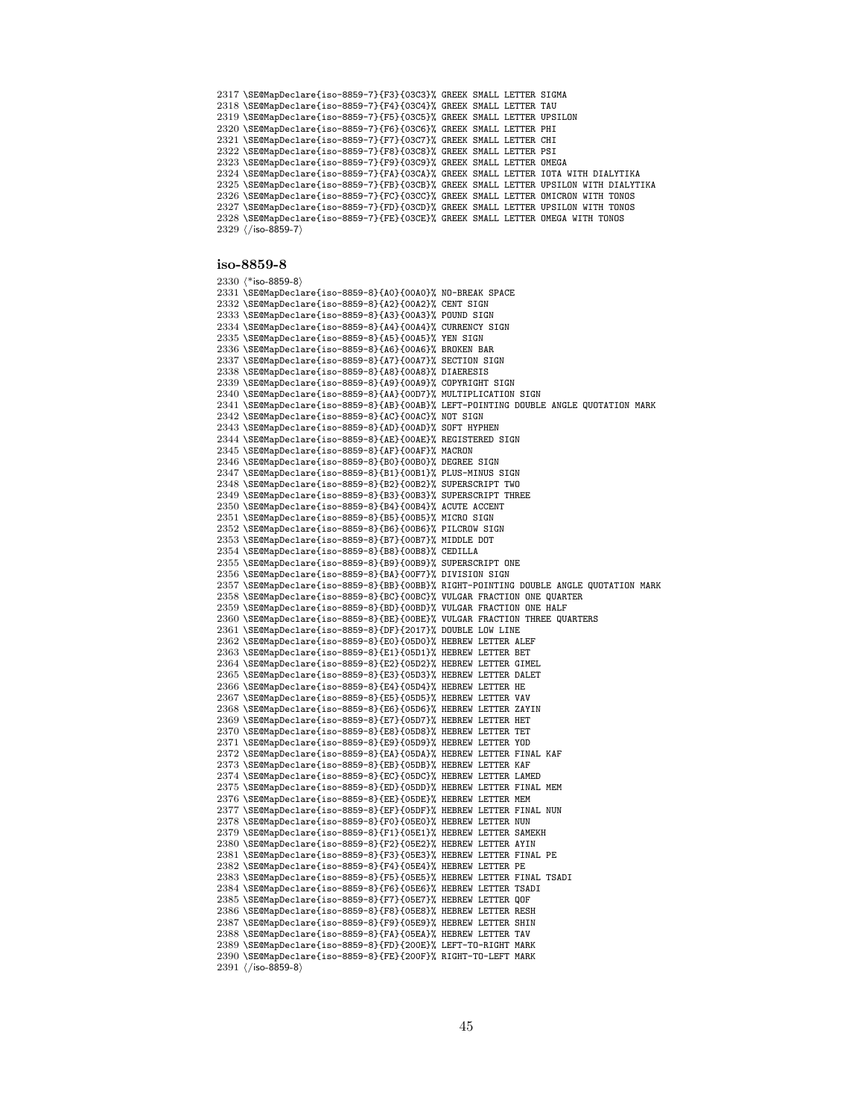\SE@MapDeclare{iso-8859-7}{F3}{03C3}% GREEK SMALL LETTER SIGMA \SE@MapDeclare{iso-8859-7}{F4}{03C4}% GREEK SMALL LETTER TAU \SE@MapDeclare{iso-8859-7}{F5}{03C5}% GREEK SMALL LETTER UPSILON \SE@MapDeclare{iso-8859-7}{F6}{03C6}% GREEK SMALL LETTER PHI \SE@MapDeclare{iso-8859-7}{F7}{03C7}% GREEK SMALL LETTER CHI \SE@MapDeclare{iso-8859-7}{F8}{03C8}% GREEK SMALL LETTER PSI \SE@MapDeclare{iso-8859-7}{F9}{03C9}% GREEK SMALL LETTER OMEGA \SE@MapDeclare{iso-8859-7}{FA}{03CA}% GREEK SMALL LETTER IOTA WITH DIALYTIKA \SE@MapDeclare{iso-8859-7}{FB}{03CB}% GREEK SMALL LETTER UPSILON WITH DIALYTIKA \SE@MapDeclare{iso-8859-7}{FC}{03CC}% GREEK SMALL LETTER OMICRON WITH TONOS \SE@MapDeclare{iso-8859-7}{FD}{03CD}% GREEK SMALL LETTER UPSILON WITH TONOS \SE@MapDeclare{iso-8859-7}{FE}{03CE}% GREEK SMALL LETTER OMEGA WITH TONOS  $\langle$  /iso-8859-7)

# iso-8859-8

 /\*iso-8859-8) \SE@MapDeclare{iso-8859-8}{A0}{00A0}% NO-BREAK SPACE \SE@MapDeclare{iso-8859-8}{A2}{00A2}% CENT SIGN \SE@MapDeclare{iso-8859-8}{A3}{00A3}% POUND SIGN \SE@MapDeclare{iso-8859-8}{A4}{00A4}% CURRENCY SIGN \SE@MapDeclare{iso-8859-8}{A5}{00A5}% YEN SIGN \SE@MapDeclare{iso-8859-8}{A6}{00A6}% BROKEN BAR \SE@MapDeclare{iso-8859-8}{A7}{00A7}% SECTION SIGN \SE@MapDeclare{iso-8859-8}{A8}{00A8}% DIAERESIS \SE@MapDeclare{iso-8859-8}{A9}{00A9}% COPYRIGHT SIGN \SE@MapDeclare{iso-8859-8}{AA}{00D7}% MULTIPLICATION SIGN \SE@MapDeclare{iso-8859-8}{AB}{00AB}% LEFT-POINTING DOUBLE ANGLE QUOTATION MARK \SE@MapDeclare{iso-8859-8}{AC}{00AC}% NOT SIGN \SE@MapDeclare{iso-8859-8}{AD}{00AD}% SOFT HYPHEN \SE@MapDeclare{iso-8859-8}{AE}{00AE}% REGISTERED SIGN \SE@MapDeclare{iso-8859-8}{AF}{00AF}% MACRON \SE@MapDeclare{iso-8859-8}{B0}{00B0}% DEGREE SIGN \SE@MapDeclare{iso-8859-8}{B1}{00B1}% PLUS-MINUS SIGN \SE@MapDeclare{iso-8859-8}{B2}{00B2}% SUPERSCRIPT TWO \SE@MapDeclare{iso-8859-8}{B3}{00B3}% SUPERSCRIPT THREE \SE@MapDeclare{iso-8859-8}{B4}{00B4}% ACUTE ACCENT \SE@MapDeclare{iso-8859-8}{B5}{00B5}% MICRO SIGN \SE@MapDeclare{iso-8859-8}{B6}{00B6}% PILCROW SIGN \SE@MapDeclare{iso-8859-8}{B7}{00B7}% MIDDLE DOT \SE@MapDeclare{iso-8859-8}{B8}{00B8}% CEDILLA \SE@MapDeclare{iso-8859-8}{B9}{00B9}% SUPERSCRIPT ONE \SE@MapDeclare{iso-8859-8}{BA}{00F7}% DIVISION SIGN \SE@MapDeclare{iso-8859-8}{BB}{00BB}% RIGHT-POINTING DOUBLE ANGLE QUOTATION MARK \SE@MapDeclare{iso-8859-8}{BC}{00BC}% VULGAR FRACTION ONE QUARTER \SE@MapDeclare{iso-8859-8}{BD}{00BD}% VULGAR FRACTION ONE HALF \SE@MapDeclare{iso-8859-8}{BE}{00BE}% VULGAR FRACTION THREE QUARTERS \SE@MapDeclare{iso-8859-8}{DF}{2017}% DOUBLE LOW LINE \SE@MapDeclare{iso-8859-8}{E0}{05D0}% HEBREW LETTER ALEF \SE@MapDeclare{iso-8859-8}{E1}{05D1}% HEBREW LETTER BET \SE@MapDeclare{iso-8859-8}{E2}{05D2}% HEBREW LETTER GIMEL \SE@MapDeclare{iso-8859-8}{E3}{05D3}% HEBREW LETTER DALET \SE@MapDeclare{iso-8859-8}{E4}{05D4}% HEBREW LETTER HE \SE@MapDeclare{iso-8859-8}{E5}{05D5}% HEBREW LETTER VAV \SE@MapDeclare{iso-8859-8}{E6}{05D6}% HEBREW LETTER ZAYIN \SE@MapDeclare{iso-8859-8}{E7}{05D7}% HEBREW LETTER HET \SE@MapDeclare{iso-8859-8}{E8}{05D8}% HEBREW LETTER TET \SE@MapDeclare{iso-8859-8}{E9}{05D9}% HEBREW LETTER YOD \SE@MapDeclare{iso-8859-8}{EA}{05DA}% HEBREW LETTER FINAL KAF \SE@MapDeclare{iso-8859-8}{EB}{05DB}% HEBREW LETTER KAF \SE@MapDeclare{iso-8859-8}{EC}{05DC}% HEBREW LETTER LAMED \SE@MapDeclare{iso-8859-8}{ED}{05DD}% HEBREW LETTER FINAL MEM \SE@MapDeclare{iso-8859-8}{EE}{05DE}% HEBREW LETTER MEM \SE@MapDeclare{iso-8859-8}{EF}{05DF}% HEBREW LETTER FINAL NUN \SE@MapDeclare{iso-8859-8}{F0}{05E0}% HEBREW LETTER NUN \SE@MapDeclare{iso-8859-8}{F1}{05E1}% HEBREW LETTER SAMEKH \SE@MapDeclare{iso-8859-8}{F2}{05E2}% HEBREW LETTER AYIN \SE@MapDeclare{iso-8859-8}{F3}{05E3}% HEBREW LETTER FINAL PE \SE@MapDeclare{iso-8859-8}{F4}{05E4}% HEBREW LETTER PE \SE@MapDeclare{iso-8859-8}{F5}{05E5}% HEBREW LETTER FINAL TSADI \SE@MapDeclare{iso-8859-8}{F6}{05E6}% HEBREW LETTER TSADI \SE@MapDeclare{iso-8859-8}{F7}{05E7}% HEBREW LETTER QOF \SE@MapDeclare{iso-8859-8}{F8}{05E8}% HEBREW LETTER RESH \SE@MapDeclare{iso-8859-8}{F9}{05E9}% HEBREW LETTER SHIN \SE@MapDeclare{iso-8859-8}{FA}{05EA}% HEBREW LETTER TAV \SE@MapDeclare{iso-8859-8}{FD}{200E}% LEFT-TO-RIGHT MARK \SE@MapDeclare{iso-8859-8}{FE}{200F}% RIGHT-TO-LEFT MARK  $2391 \; \langle \text{/iso-8859-8} \rangle$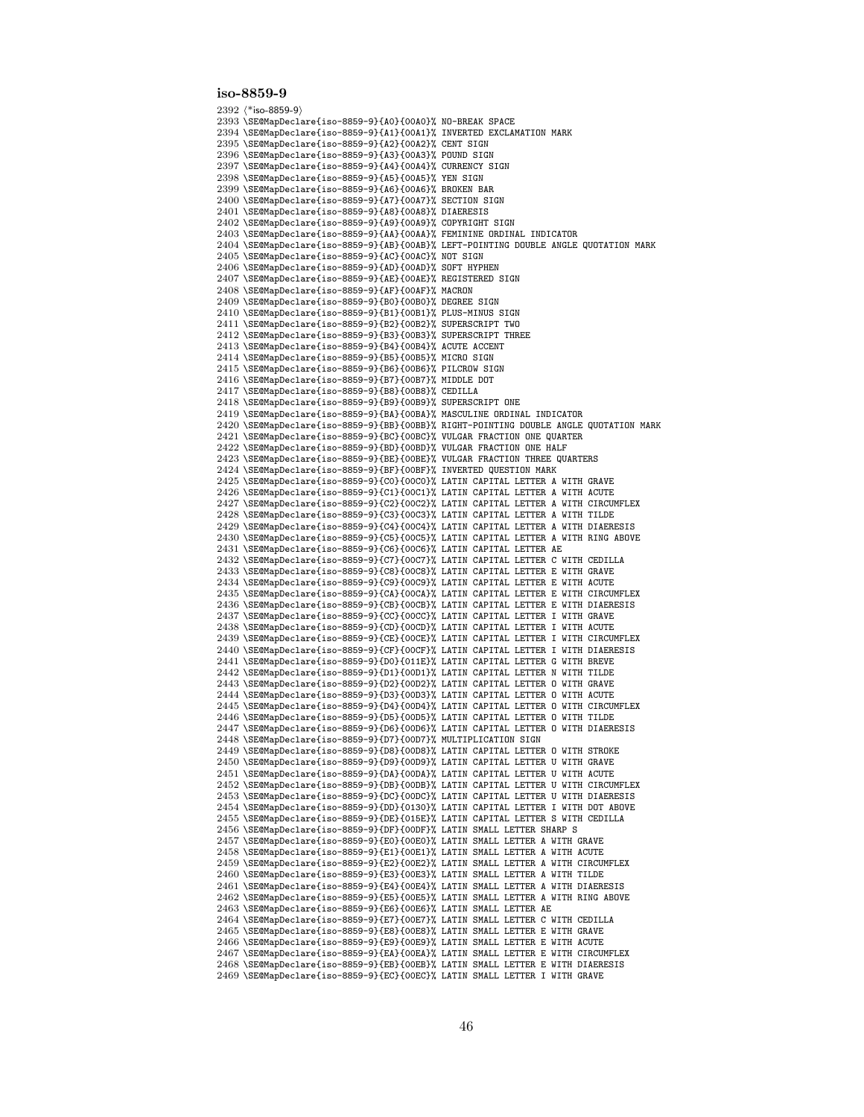/\*iso-8859-9) \SE@MapDeclare{iso-8859-9}{A0}{00A0}% NO-BREAK SPACE \SE@MapDeclare{iso-8859-9}{A1}{00A1}% INVERTED EXCLAMATION MARK \SE@MapDeclare{iso-8859-9}{A2}{00A2}% CENT SIGN \SE@MapDeclare{iso-8859-9}{A3}{00A3}% POUND SIGN \SE@MapDeclare{iso-8859-9}{A4}{00A4}% CURRENCY SIGN \SE@MapDeclare{iso-8859-9}{A5}{00A5}% YEN SIGN \SE@MapDeclare{iso-8859-9}{A6}{00A6}% BROKEN BAR \SE@MapDeclare{iso-8859-9}{A7}{00A7}% SECTION SIGN \SE@MapDeclare{iso-8859-9}{A8}{00A8}% DIAERESIS \SE@MapDeclare{iso-8859-9}{A9}{00A9}% COPYRIGHT SIGN \SE@MapDeclare{iso-8859-9}{AA}{00AA}% FEMININE ORDINAL INDICATOR \SE@MapDeclare{iso-8859-9}{AB}{00AB}% LEFT-POINTING DOUBLE ANGLE QUOTATION MARK \SE@MapDeclare{iso-8859-9}{AC}{00AC}% NOT SIGN \SE@MapDeclare{iso-8859-9}{AD}{00AD}% SOFT HYPHEN \SE@MapDeclare{iso-8859-9}{AE}{00AE}% REGISTERED SIGN \SE@MapDeclare{iso-8859-9}{AF}{00AF}% MACRON \SE@MapDeclare{iso-8859-9}{B0}{00B0}% DEGREE SIGN \SE@MapDeclare{iso-8859-9}{B1}{00B1}% PLUS-MINUS SIGN \SE@MapDeclare{iso-8859-9}{B2}{00B2}% SUPERSCRIPT TWO \SE@MapDeclare{iso-8859-9}{B3}{00B3}% SUPERSCRIPT THREE \SE@MapDeclare{iso-8859-9}{B4}{00B4}% ACUTE ACCENT \SE@MapDeclare{iso-8859-9}{B5}{00B5}% MICRO SIGN \SE@MapDeclare{iso-8859-9}{B6}{00B6}% PILCROW SIGN \SE@MapDeclare{iso-8859-9}{B7}{00B7}% MIDDLE DOT \SE@MapDeclare{iso-8859-9}{B8}{00B8}% CEDILLA \SE@MapDeclare{iso-8859-9}{B9}{00B9}% SUPERSCRIPT ONE \SE@MapDeclare{iso-8859-9}{BA}{00BA}% MASCULINE ORDINAL INDICATOR \SE@MapDeclare{iso-8859-9}{BB}{00BB}% RIGHT-POINTING DOUBLE ANGLE QUOTATION MARK \SE@MapDeclare{iso-8859-9}{BC}{00BC}% VULGAR FRACTION ONE QUARTER \SE@MapDeclare{iso-8859-9}{BD}{00BD}% VULGAR FRACTION ONE HALF \SE@MapDeclare{iso-8859-9}{BE}{00BE}% VULGAR FRACTION THREE QUARTERS \SE@MapDeclare{iso-8859-9}{BF}{00BF}% INVERTED QUESTION MARK \SE@MapDeclare{iso-8859-9}{C0}{00C0}% LATIN CAPITAL LETTER A WITH GRAVE \SE@MapDeclare{iso-8859-9}{C1}{00C1}% LATIN CAPITAL LETTER A WITH ACUTE \SE@MapDeclare{iso-8859-9}{C2}{00C2}% LATIN CAPITAL LETTER A WITH CIRCUMFLEX \SE@MapDeclare{iso-8859-9}{C3}{00C3}% LATIN CAPITAL LETTER A WITH TILDE \SE@MapDeclare{iso-8859-9}{C4}{00C4}% LATIN CAPITAL LETTER A WITH DIAERESIS \SE@MapDeclare{iso-8859-9}{C5}{00C5}% LATIN CAPITAL LETTER A WITH RING ABOVE \SE@MapDeclare{iso-8859-9}{C6}{00C6}% LATIN CAPITAL LETTER AE \SE@MapDeclare{iso-8859-9}{C7}{00C7}% LATIN CAPITAL LETTER C WITH CEDILLA \SE@MapDeclare{iso-8859-9}{C8}{00C8}% LATIN CAPITAL LETTER E WITH GRAVE \SE@MapDeclare{iso-8859-9}{C9}{00C9}% LATIN CAPITAL LETTER E WITH ACUTE \SE@MapDeclare{iso-8859-9}{CA}{00CA}% LATIN CAPITAL LETTER E WITH CIRCUMFLEX \SE@MapDeclare{iso-8859-9}{CB}{00CB}% LATIN CAPITAL LETTER E WITH DIAERESIS \SE@MapDeclare{iso-8859-9}{CC}{00CC}% LATIN CAPITAL LETTER I WITH GRAVE \SE@MapDeclare{iso-8859-9}{CD}{00CD}% LATIN CAPITAL LETTER I WITH ACUTE \SE@MapDeclare{iso-8859-9}{CE}{00CE}% LATIN CAPITAL LETTER I WITH CIRCUMFLEX \SE@MapDeclare{iso-8859-9}{CF}{00CF}% LATIN CAPITAL LETTER I WITH DIAERESIS \SE@MapDeclare{iso-8859-9}{D0}{011E}% LATIN CAPITAL LETTER G WITH BREVE \SE@MapDeclare{iso-8859-9}{D1}{00D1}% LATIN CAPITAL LETTER N WITH TILDE \SE@MapDeclare{iso-8859-9}{D2}{00D2}% LATIN CAPITAL LETTER O WITH GRAVE \SE@MapDeclare{iso-8859-9}{D3}{00D3}% LATIN CAPITAL LETTER O WITH ACUTE \SE@MapDeclare{iso-8859-9}{D4}{00D4}% LATIN CAPITAL LETTER O WITH CIRCUMFLEX \SE@MapDeclare{iso-8859-9}{D5}{00D5}% LATIN CAPITAL LETTER O WITH TILDE \SE@MapDeclare{iso-8859-9}{D6}{00D6}% LATIN CAPITAL LETTER O WITH DIAERESIS \SE@MapDeclare{iso-8859-9}{D7}{00D7}% MULTIPLICATION SIGN \SE@MapDeclare{iso-8859-9}{D8}{00D8}% LATIN CAPITAL LETTER O WITH STROKE \SE@MapDeclare{iso-8859-9}{D9}{00D9}% LATIN CAPITAL LETTER U WITH GRAVE \SE@MapDeclare{iso-8859-9}{DA}{00DA}% LATIN CAPITAL LETTER U WITH ACUTE \SE@MapDeclare{iso-8859-9}{DB}{00DB}% LATIN CAPITAL LETTER U WITH CIRCUMFLEX \SE@MapDeclare{iso-8859-9}{DC}{00DC}% LATIN CAPITAL LETTER U WITH DIAERESIS \SE@MapDeclare{iso-8859-9}{DD}{0130}% LATIN CAPITAL LETTER I WITH DOT ABOVE \SE@MapDeclare{iso-8859-9}{DE}{015E}% LATIN CAPITAL LETTER S WITH CEDILLA \SE@MapDeclare{iso-8859-9}{DF}{00DF}% LATIN SMALL LETTER SHARP S \SE@MapDeclare{iso-8859-9}{E0}{00E0}% LATIN SMALL LETTER A WITH GRAVE \SE@MapDeclare{iso-8859-9}{E1}{00E1}% LATIN SMALL LETTER A WITH ACUTE \SE@MapDeclare{iso-8859-9}{E2}{00E2}% LATIN SMALL LETTER A WITH CIRCUMFLEX \SE@MapDeclare{iso-8859-9}{E3}{00E3}% LATIN SMALL LETTER A WITH TILDE \SE@MapDeclare{iso-8859-9}{E4}{00E4}% LATIN SMALL LETTER A WITH DIAERESIS \SE@MapDeclare{iso-8859-9}{E5}{00E5}% LATIN SMALL LETTER A WITH RING ABOVE \SE@MapDeclare{iso-8859-9}{E6}{00E6}% LATIN SMALL LETTER AE \SE@MapDeclare{iso-8859-9}{E7}{00E7}% LATIN SMALL LETTER C WITH CEDILLA \SE@MapDeclare{iso-8859-9}{E8}{00E8}% LATIN SMALL LETTER E WITH GRAVE \SE@MapDeclare{iso-8859-9}{E9}{00E9}% LATIN SMALL LETTER E WITH ACUTE \SE@MapDeclare{iso-8859-9}{EA}{00EA}% LATIN SMALL LETTER E WITH CIRCUMFLEX \SE@MapDeclare{iso-8859-9}{EB}{00EB}% LATIN SMALL LETTER E WITH DIAERESIS \SE@MapDeclare{iso-8859-9}{EC}{00EC}% LATIN SMALL LETTER I WITH GRAVE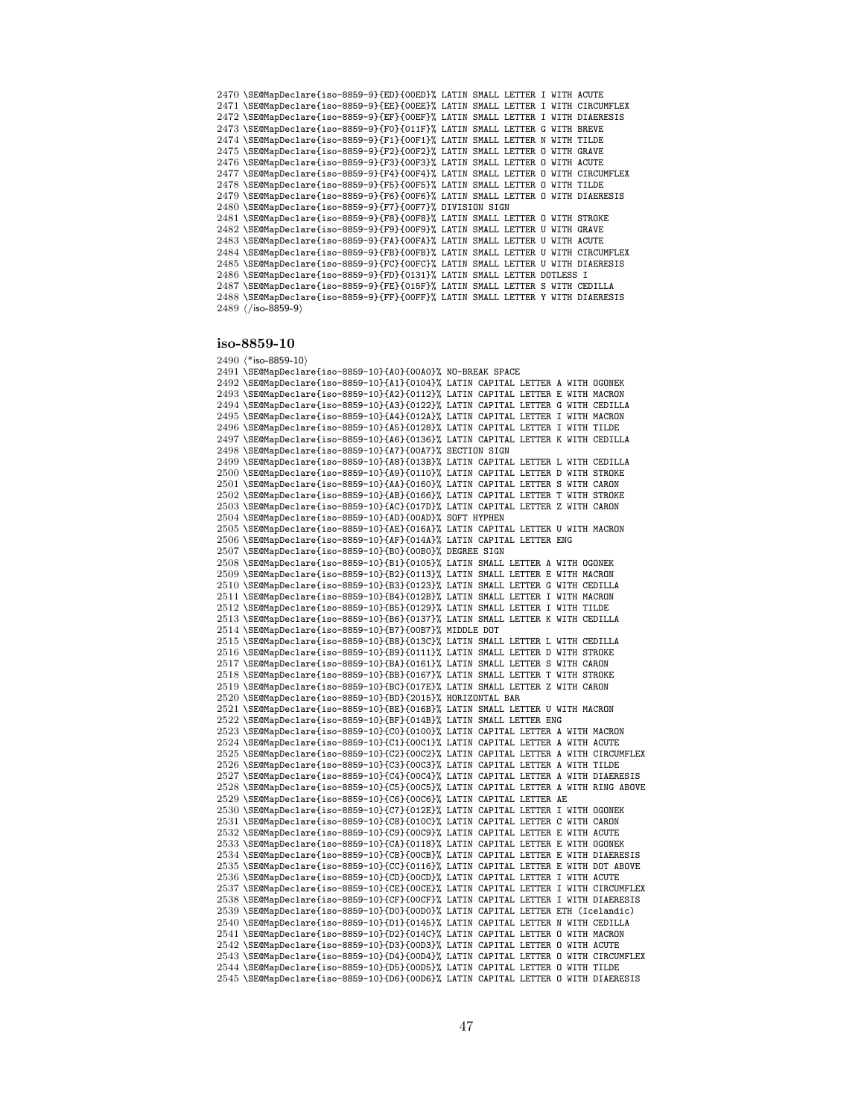\SE@MapDeclare{iso-8859-9}{ED}{00ED}% LATIN SMALL LETTER I WITH ACUTE \SE@MapDeclare{iso-8859-9}{EE}{00EE}% LATIN SMALL LETTER I WITH CIRCUMFLEX \SE@MapDeclare{iso-8859-9}{EF}{00EF}% LATIN SMALL LETTER I WITH DIAERESIS \SE@MapDeclare{iso-8859-9}{F0}{011F}% LATIN SMALL LETTER G WITH BREVE \SE@MapDeclare{iso-8859-9}{F1}{00F1}% LATIN SMALL LETTER N WITH TILDE \SE@MapDeclare{iso-8859-9}{F2}{00F2}% LATIN SMALL LETTER O WITH GRAVE \SE@MapDeclare{iso-8859-9}{F3}{00F3}% LATIN SMALL LETTER O WITH ACUTE \SE@MapDeclare{iso-8859-9}{F4}{00F4}% LATIN SMALL LETTER O WITH CIRCUMFLEX \SE@MapDeclare{iso-8859-9}{F5}{00F5}% LATIN SMALL LETTER O WITH TILDE \SE@MapDeclare{iso-8859-9}{F6}{00F6}% LATIN SMALL LETTER O WITH DIAERESIS \SE@MapDeclare{iso-8859-9}{F7}{00F7}% DIVISION SIGN \SE@MapDeclare{iso-8859-9}{F8}{00F8}% LATIN SMALL LETTER O WITH STROKE \SE@MapDeclare{iso-8859-9}{F9}{00F9}% LATIN SMALL LETTER U WITH GRAVE \SE@MapDeclare{iso-8859-9}{FA}{00FA}% LATIN SMALL LETTER U WITH ACUTE \SE@MapDeclare{iso-8859-9}{FB}{00FB}% LATIN SMALL LETTER U WITH CIRCUMFLEX \SE@MapDeclare{iso-8859-9}{FC}{00FC}% LATIN SMALL LETTER U WITH DIAERESIS \SE@MapDeclare{iso-8859-9}{FD}{0131}% LATIN SMALL LETTER DOTLESS I \SE@MapDeclare{iso-8859-9}{FE}{015F}% LATIN SMALL LETTER S WITH CEDILLA \SE@MapDeclare{iso-8859-9}{FF}{00FF}% LATIN SMALL LETTER Y WITH DIAERESIS 2489 (/iso-8859-9)

## iso-8859-10

2490 (\*iso-8859-10) \SE@MapDeclare{iso-8859-10}{A0}{00A0}% NO-BREAK SPACE \SE@MapDeclare{iso-8859-10}{A1}{0104}% LATIN CAPITAL LETTER A WITH OGONEK \SE@MapDeclare{iso-8859-10}{A2}{0112}% LATIN CAPITAL LETTER E WITH MACRON \SE@MapDeclare{iso-8859-10}{A3}{0122}% LATIN CAPITAL LETTER G WITH CEDILLA \SE@MapDeclare{iso-8859-10}{A4}{012A}% LATIN CAPITAL LETTER I WITH MACRON \SE@MapDeclare{iso-8859-10}{A5}{0128}% LATIN CAPITAL LETTER I WITH TILDE \SE@MapDeclare{iso-8859-10}{A6}{0136}% LATIN CAPITAL LETTER K WITH CEDILLA \SE@MapDeclare{iso-8859-10}{A7}{00A7}% SECTION SIGN \SE@MapDeclare{iso-8859-10}{A8}{013B}% LATIN CAPITAL LETTER L WITH CEDILLA \SE@MapDeclare{iso-8859-10}{A9}{0110}% LATIN CAPITAL LETTER D WITH STROKE \SE@MapDeclare{iso-8859-10}{AA}{0160}% LATIN CAPITAL LETTER S WITH CARON \SE@MapDeclare{iso-8859-10}{AB}{0166}% LATIN CAPITAL LETTER T WITH STROKE \SE@MapDeclare{iso-8859-10}{AC}{017D}% LATIN CAPITAL LETTER Z WITH CARON \SE@MapDeclare{iso-8859-10}{AD}{00AD}% SOFT HYPHEN \SE@MapDeclare{iso-8859-10}{AE}{016A}% LATIN CAPITAL LETTER U WITH MACRON \SE@MapDeclare{iso-8859-10}{AF}{014A}% LATIN CAPITAL LETTER ENG \SE@MapDeclare{iso-8859-10}{B0}{00B0}% DEGREE SIGN \SE@MapDeclare{iso-8859-10}{B1}{0105}% LATIN SMALL LETTER A WITH OGONEK \SE@MapDeclare{iso-8859-10}{B2}{0113}% LATIN SMALL LETTER E WITH MACRON \SE@MapDeclare{iso-8859-10}{B3}{0123}% LATIN SMALL LETTER G WITH CEDILLA \SE@MapDeclare{iso-8859-10}{B4}{012B}% LATIN SMALL LETTER I WITH MACRON \SE@MapDeclare{iso-8859-10}{B5}{0129}% LATIN SMALL LETTER I WITH TILDE \SE@MapDeclare{iso-8859-10}{B6}{0137}% LATIN SMALL LETTER K WITH CEDILLA \SE@MapDeclare{iso-8859-10}{B7}{00B7}% MIDDLE DOT \SE@MapDeclare{iso-8859-10}{B8}{013C}% LATIN SMALL LETTER L WITH CEDILLA \SE@MapDeclare{iso-8859-10}{B9}{0111}% LATIN SMALL LETTER D WITH STROKE \SE@MapDeclare{iso-8859-10}{BA}{0161}% LATIN SMALL LETTER S WITH CARON \SE@MapDeclare{iso-8859-10}{BB}{0167}% LATIN SMALL LETTER T WITH STROKE \SE@MapDeclare{iso-8859-10}{BC}{017E}% LATIN SMALL LETTER Z WITH CARON \SE@MapDeclare{iso-8859-10}{BD}{2015}% HORIZONTAL BAR \SE@MapDeclare{iso-8859-10}{BE}{016B}% LATIN SMALL LETTER U WITH MACRON \SE@MapDeclare{iso-8859-10}{BF}{014B}% LATIN SMALL LETTER ENG \SE@MapDeclare{iso-8859-10}{C0}{0100}% LATIN CAPITAL LETTER A WITH MACRON \SE@MapDeclare{iso-8859-10}{C1}{00C1}% LATIN CAPITAL LETTER A WITH ACUTE \SE@MapDeclare{iso-8859-10}{C2}{00C2}% LATIN CAPITAL LETTER A WITH CIRCUMFLEX \SE@MapDeclare{iso-8859-10}{C3}{00C3}% LATIN CAPITAL LETTER A WITH TILDE \SE@MapDeclare{iso-8859-10}{C4}{00C4}% LATIN CAPITAL LETTER A WITH DIAERESIS \SE@MapDeclare{iso-8859-10}{C5}{00C5}% LATIN CAPITAL LETTER A WITH RING ABOVE \SE@MapDeclare{iso-8859-10}{C6}{00C6}% LATIN CAPITAL LETTER AE \SE@MapDeclare{iso-8859-10}{C7}{012E}% LATIN CAPITAL LETTER I WITH OGONEK \SE@MapDeclare{iso-8859-10}{C8}{010C}% LATIN CAPITAL LETTER C WITH CARON \SE@MapDeclare{iso-8859-10}{C9}{00C9}% LATIN CAPITAL LETTER E WITH ACUTE \SE@MapDeclare{iso-8859-10}{CA}{0118}% LATIN CAPITAL LETTER E WITH OGONEK \SE@MapDeclare{iso-8859-10}{CB}{00CB}% LATIN CAPITAL LETTER E WITH DIAERESIS \SE@MapDeclare{iso-8859-10}{CC}{0116}% LATIN CAPITAL LETTER E WITH DOT ABOVE \SE@MapDeclare{iso-8859-10}{CD}{00CD}% LATIN CAPITAL LETTER I WITH ACUTE \SE@MapDeclare{iso-8859-10}{CE}{00CE}% LATIN CAPITAL LETTER I WITH CIRCUMFLEX \SE@MapDeclare{iso-8859-10}{CF}{00CF}% LATIN CAPITAL LETTER I WITH DIAERESIS \SE@MapDeclare{iso-8859-10}{D0}{00D0}% LATIN CAPITAL LETTER ETH (Icelandic) \SE@MapDeclare{iso-8859-10}{D1}{0145}% LATIN CAPITAL LETTER N WITH CEDILLA \SE@MapDeclare{iso-8859-10}{D2}{014C}% LATIN CAPITAL LETTER O WITH MACRON \SE@MapDeclare{iso-8859-10}{D3}{00D3}% LATIN CAPITAL LETTER O WITH ACUTE \SE@MapDeclare{iso-8859-10}{D4}{00D4}% LATIN CAPITAL LETTER O WITH CIRCUMFLEX \SE@MapDeclare{iso-8859-10}{D5}{00D5}% LATIN CAPITAL LETTER O WITH TILDE \SE@MapDeclare{iso-8859-10}{D6}{00D6}% LATIN CAPITAL LETTER O WITH DIAERESIS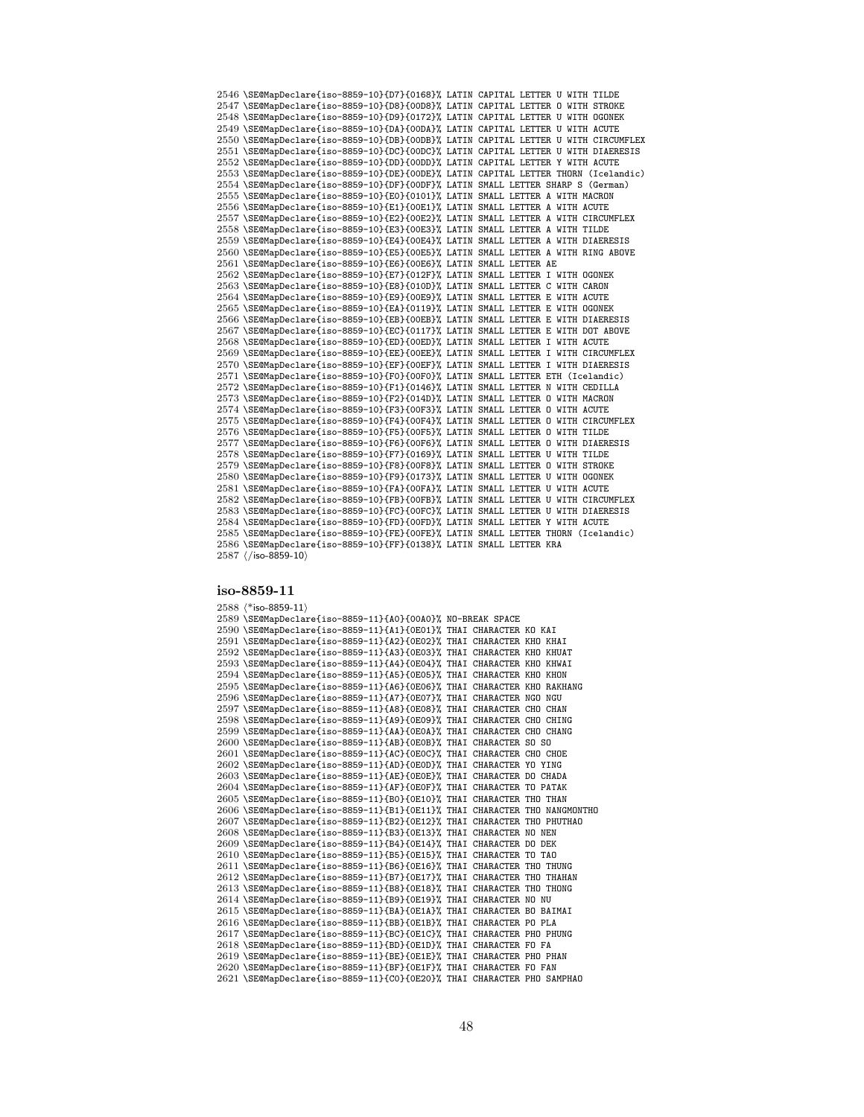```
2546 \SE@MapDeclare{iso-8859-10}{D7}{0168}% LATIN CAPITAL LETTER U WITH TILDE
2547 \SE@MapDeclare{iso-8859-10}{D8}{00D8}% LATIN CAPITAL LETTER O WITH STROKE
2548 \SE@MapDeclare{iso-8859-10}{D9}{0172}% LATIN CAPITAL LETTER U WITH OGONEK
2549 \SE@MapDeclare{iso-8859-10}{DA}{00DA}% LATIN CAPITAL LETTER U WITH ACUTE
2550 \SE@MapDeclare{iso-8859-10}{DB}{00DB}% LATIN CAPITAL LETTER U WITH CIRCUMFLEX
2551 \SE@MapDeclare{iso-8859-10}{DC}{00DC}% LATIN CAPITAL LETTER U WITH DIAERESIS
2552 \SE@MapDeclare{iso-8859-10}{DD}{00DD}% LATIN CAPITAL LETTER Y WITH ACUTE
2553 \SE@MapDeclare{iso-8859-10}{DE}{00DE}% LATIN CAPITAL LETTER THORN (Icelandic)
2554 \SE@MapDeclare{iso-8859-10}{DF}{00DF}% LATIN SMALL LETTER SHARP S (German)
2555 \SE@MapDeclare{iso-8859-10}{E0}{0101}% LATIN SMALL LETTER A WITH MACRON
2556 \SE@MapDeclare{iso-8859-10}{E1}{00E1}% LATIN SMALL LETTER A WITH ACUTE
2557 \SE@MapDeclare{iso-8859-10}{E2}{00E2}% LATIN SMALL LETTER A WITH CIRCUMFLEX
2558 \SE@MapDeclare{iso-8859-10}{E3}{00E3}% LATIN SMALL LETTER A WITH TILDE
2559 \SE@MapDeclare{iso-8859-10}{E4}{00E4}% LATIN SMALL LETTER A WITH DIAERESIS
2560 \SE@MapDeclare{iso-8859-10}{E5}{00E5}% LATIN SMALL LETTER A WITH RING ABOVE
2561 \SE@MapDeclare{iso-8859-10}{E6}{00E6}% LATIN SMALL LETTER AE
2562 \SE@MapDeclare{iso-8859-10}{E7}{012F}% LATIN SMALL LETTER I WITH OGONEK
2563 \SE@MapDeclare{iso-8859-10}{E8}{010D}% LATIN SMALL LETTER C WITH CARON
2564 \SE@MapDeclare{iso-8859-10}{E9}{00E9}% LATIN SMALL LETTER E WITH ACUTE
2565 \SE@MapDeclare{iso-8859-10}{EA}{0119}% LATIN SMALL LETTER E WITH OGONEK
2566 \SE@MapDeclare{iso-8859-10}{EB}{00EB}% LATIN SMALL LETTER E WITH DIAERESIS
2567 \SE@MapDeclare{iso-8859-10}{EC}{0117}% LATIN SMALL LETTER E WITH DOT ABOVE
2568 \SE@MapDeclare{iso-8859-10}{ED}{00ED}% LATIN SMALL LETTER I WITH ACUTE
2569 \SE@MapDeclare{iso-8859-10}{EE}{00EE}% LATIN SMALL LETTER I WITH CIRCUMFLEX
2570 \SE@MapDeclare{iso-8859-10}{EF}{00EF}% LATIN SMALL LETTER I WITH DIAERESIS
2571 \SE@MapDeclare{iso-8859-10}{F0}{00F0}% LATIN SMALL LETTER ETH (Icelandic)
2572 \SE@MapDeclare{iso-8859-10}{F1}{0146}% LATIN SMALL LETTER N WITH CEDILLA
2573 \SE@MapDeclare{iso-8859-10}{F2}{014D}% LATIN SMALL LETTER O WITH MACRON
2574 \SE@MapDeclare{iso-8859-10}{F3}{00F3}% LATIN SMALL LETTER O WITH ACUTE
2575 \SE@MapDeclare{iso-8859-10}{F4}{00F4}% LATIN SMALL LETTER O WITH CIRCUMFLEX
2576 \SE@MapDeclare{iso-8859-10}{F5}{00F5}% LATIN SMALL LETTER O WITH TILDE
2577 \SE@MapDeclare{iso-8859-10}{F6}{00F6}% LATIN SMALL LETTER O WITH DIAERESIS
2578 \SE@MapDeclare{iso-8859-10}{F7}{0169}% LATIN SMALL LETTER U WITH TILDE
2579 \SE@MapDeclare{iso-8859-10}{F8}{00F8}% LATIN SMALL LETTER O WITH STROKE
2580 \SE@MapDeclare{iso-8859-10}{F9}{0173}% LATIN SMALL LETTER U WITH OGONEK
2581 \SE@MapDeclare{iso-8859-10}{FA}{00FA}% LATIN SMALL LETTER U WITH ACUTE
2582 \SE@MapDeclare{iso-8859-10}{FB}{00FB}% LATIN SMALL LETTER U WITH CIRCUMFLEX
2583 \SE@MapDeclare{iso-8859-10}{FC}{00FC}% LATIN SMALL LETTER U WITH DIAERESIS
2584 \SE@MapDeclare{iso-8859-10}{FD}{00FD}% LATIN SMALL LETTER Y WITH ACUTE
2585 \SE@MapDeclare{iso-8859-10}{FE}{00FE}% LATIN SMALL LETTER THORN (Icelandic)
2586 \SE@MapDeclare{iso-8859-10}{FF}{0138}% LATIN SMALL LETTER KRA
2587 \; \langle \rangleiso-8859-10)
```
  $(*$ iso-8859-11) \SE@MapDeclare{iso-8859-11}{A0}{00A0}% NO-BREAK SPACE \SE@MapDeclare{iso-8859-11}{A1}{0E01}% THAI CHARACTER KO KAI \SE@MapDeclare{iso-8859-11}{A2}{0E02}% THAI CHARACTER KHO KHAI \SE@MapDeclare{iso-8859-11}{A3}{0E03}% THAI CHARACTER KHO KHUAT \SE@MapDeclare{iso-8859-11}{A4}{0E04}% THAI CHARACTER KHO KHWAI \SE@MapDeclare{iso-8859-11}{A5}{0E05}% THAI CHARACTER KHO KHON \SE@MapDeclare{iso-8859-11}{A6}{0E06}% THAI CHARACTER KHO RAKHANG \SE@MapDeclare{iso-8859-11}{A7}{0E07}% THAI CHARACTER NGO NGU \SE@MapDeclare{iso-8859-11}{A8}{0E08}% THAI CHARACTER CHO CHAN \SE@MapDeclare{iso-8859-11}{A9}{0E09}% THAI CHARACTER CHO CHING \SE@MapDeclare{iso-8859-11}{AA}{0E0A}% THAI CHARACTER CHO CHANG \SE@MapDeclare{iso-8859-11}{AB}{0E0B}% THAI CHARACTER SO SO \SE@MapDeclare{iso-8859-11}{AC}{0E0C}% THAI CHARACTER CHO CHOE \SE@MapDeclare{iso-8859-11}{AD}{0E0D}% THAI CHARACTER YO YING \SE@MapDeclare{iso-8859-11}{AE}{0E0E}% THAI CHARACTER DO CHADA \SE@MapDeclare{iso-8859-11}{AF}{0E0F}% THAI CHARACTER TO PATAK \SE@MapDeclare{iso-8859-11}{B0}{0E10}% THAI CHARACTER THO THAN \SE@MapDeclare{iso-8859-11}{B1}{0E11}% THAI CHARACTER THO NANGMONTHO \SE@MapDeclare{iso-8859-11}{B2}{0E12}% THAI CHARACTER THO PHUTHAO \SE@MapDeclare{iso-8859-11}{B3}{0E13}% THAI CHARACTER NO NEN \SE@MapDeclare{iso-8859-11}{B4}{0E14}% THAI CHARACTER DO DEK \SE@MapDeclare{iso-8859-11}{B5}{0E15}% THAI CHARACTER TO TAO \SE@MapDeclare{iso-8859-11}{B6}{0E16}% THAI CHARACTER THO THUNG \SE@MapDeclare{iso-8859-11}{B7}{0E17}% THAI CHARACTER THO THAHAN \SE@MapDeclare{iso-8859-11}{B8}{0E18}% THAI CHARACTER THO THONG \SE@MapDeclare{iso-8859-11}{B9}{0E19}% THAI CHARACTER NO NU \SE@MapDeclare{iso-8859-11}{BA}{0E1A}% THAI CHARACTER BO BAIMAI \SE@MapDeclare{iso-8859-11}{BB}{0E1B}% THAI CHARACTER PO PLA \SE@MapDeclare{iso-8859-11}{BC}{0E1C}% THAI CHARACTER PHO PHUNG \SE@MapDeclare{iso-8859-11}{BD}{0E1D}% THAI CHARACTER FO FA \SE@MapDeclare{iso-8859-11}{BE}{0E1E}% THAI CHARACTER PHO PHAN \SE@MapDeclare{iso-8859-11}{BF}{0E1F}% THAI CHARACTER FO FAN \SE@MapDeclare{iso-8859-11}{C0}{0E20}% THAI CHARACTER PHO SAMPHAO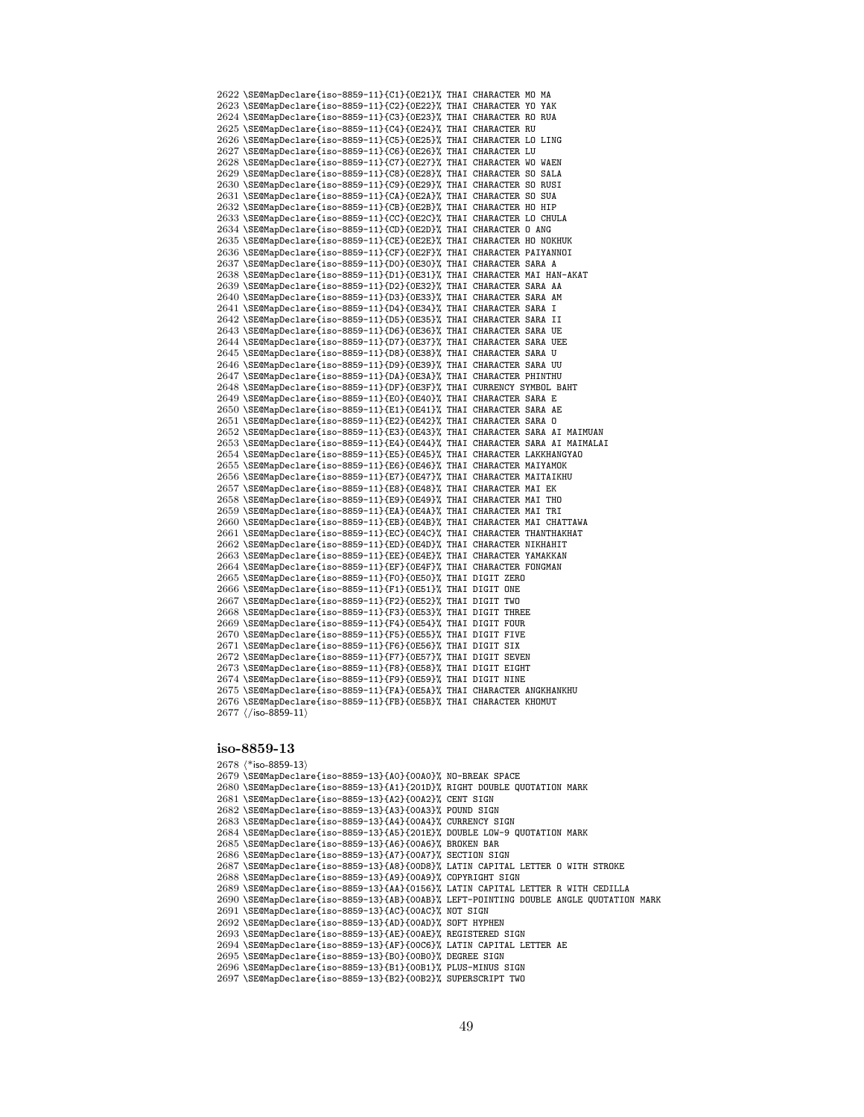\SE@MapDeclare{iso-8859-11}{C1}{0E21}% THAI CHARACTER MO MA \SE@MapDeclare{iso-8859-11}{C2}{0E22}% THAI CHARACTER YO YAK \SE@MapDeclare{iso-8859-11}{C3}{0E23}% THAI CHARACTER RO RUA \SE@MapDeclare{iso-8859-11}{C4}{0E24}% THAI CHARACTER RU \SE@MapDeclare{iso-8859-11}{C5}{0E25}% THAI CHARACTER LO LING \SE@MapDeclare{iso-8859-11}{C6}{0E26}% THAI CHARACTER LU \SE@MapDeclare{iso-8859-11}{C7}{0E27}% THAI CHARACTER WO WAEN \SE@MapDeclare{iso-8859-11}{C8}{0E28}% THAI CHARACTER SO SALA \SE@MapDeclare{iso-8859-11}{C9}{0E29}% THAI CHARACTER SO RUSI \SE@MapDeclare{iso-8859-11}{CA}{0E2A}% THAI CHARACTER SO SUA \SE@MapDeclare{iso-8859-11}{CB}{0E2B}% THAI CHARACTER HO HIP \SE@MapDeclare{iso-8859-11}{CC}{0E2C}% THAI CHARACTER LO CHULA \SE@MapDeclare{iso-8859-11}{CD}{0E2D}% THAI CHARACTER O ANG \SE@MapDeclare{iso-8859-11}{CE}{0E2E}% THAI CHARACTER HO NOKHUK \SE@MapDeclare{iso-8859-11}{CF}{0E2F}% THAI CHARACTER PAIYANNOI \SE@MapDeclare{iso-8859-11}{D0}{0E30}% THAI CHARACTER SARA A \SE@MapDeclare{iso-8859-11}{D1}{0E31}% THAI CHARACTER MAI HAN-AKAT \SE@MapDeclare{iso-8859-11}{D2}{0E32}% THAI CHARACTER SARA AA \SE@MapDeclare{iso-8859-11}{D3}{0E33}% THAI CHARACTER SARA AM \SE@MapDeclare{iso-8859-11}{D4}{0E34}% THAI CHARACTER SARA I \SE@MapDeclare{iso-8859-11}{D5}{0E35}% THAI CHARACTER SARA II \SE@MapDeclare{iso-8859-11}{D6}{0E36}% THAI CHARACTER SARA UE \SE@MapDeclare{iso-8859-11}{D7}{0E37}% THAI CHARACTER SARA UEE \SE@MapDeclare{iso-8859-11}{D8}{0E38}% THAI CHARACTER SARA U \SE@MapDeclare{iso-8859-11}{D9}{0E39}% THAI CHARACTER SARA UU \SE@MapDeclare{iso-8859-11}{DA}{0E3A}% THAI CHARACTER PHINTHU \SE@MapDeclare{iso-8859-11}{DF}{0E3F}% THAI CURRENCY SYMBOL BAHT \SE@MapDeclare{iso-8859-11}{E0}{0E40}% THAI CHARACTER SARA E \SE@MapDeclare{iso-8859-11}{E1}{0E41}% THAI CHARACTER SARA AE \SE@MapDeclare{iso-8859-11}{E2}{0E42}% THAI CHARACTER SARA O \SE@MapDeclare{iso-8859-11}{E3}{0E43}% THAI CHARACTER SARA AI MAIMUAN \SE@MapDeclare{iso-8859-11}{E4}{0E44}% THAI CHARACTER SARA AI MAIMALAI \SE@MapDeclare{iso-8859-11}{E5}{0E45}% THAI CHARACTER LAKKHANGYAO \SE@MapDeclare{iso-8859-11}{E6}{0E46}% THAI CHARACTER MAIYAMOK \SE@MapDeclare{iso-8859-11}{E7}{0E47}% THAI CHARACTER MAITAIKHU \SE@MapDeclare{iso-8859-11}{E8}{0E48}% THAI CHARACTER MAI EK \SE@MapDeclare{iso-8859-11}{E9}{0E49}% THAI CHARACTER MAI THO \SE@MapDeclare{iso-8859-11}{EA}{0E4A}% THAI CHARACTER MAI TRI \SE@MapDeclare{iso-8859-11}{EB}{0E4B}% THAI CHARACTER MAI CHATTAWA \SE@MapDeclare{iso-8859-11}{EC}{0E4C}% THAI CHARACTER THANTHAKHAT \SE@MapDeclare{iso-8859-11}{ED}{0E4D}% THAI CHARACTER NIKHAHIT \SE@MapDeclare{iso-8859-11}{EE}{0E4E}% THAI CHARACTER YAMAKKAN \SE@MapDeclare{iso-8859-11}{EF}{0E4F}% THAI CHARACTER FONGMAN \SE@MapDeclare{iso-8859-11}{F0}{0E50}% THAI DIGIT ZERO \SE@MapDeclare{iso-8859-11}{F1}{0E51}% THAI DIGIT ONE \SE@MapDeclare{iso-8859-11}{F2}{0E52}% THAI DIGIT TWO \SE@MapDeclare{iso-8859-11}{F3}{0E53}% THAI DIGIT THREE \SE@MapDeclare{iso-8859-11}{F4}{0E54}% THAI DIGIT FOUR \SE@MapDeclare{iso-8859-11}{F5}{0E55}% THAI DIGIT FIVE \SE@MapDeclare{iso-8859-11}{F6}{0E56}% THAI DIGIT SIX \SE@MapDeclare{iso-8859-11}{F7}{0E57}% THAI DIGIT SEVEN \SE@MapDeclare{iso-8859-11}{F8}{0E58}% THAI DIGIT EIGHT \SE@MapDeclare{iso-8859-11}{F9}{0E59}% THAI DIGIT NINE \SE@MapDeclare{iso-8859-11}{FA}{0E5A}% THAI CHARACTER ANGKHANKHU \SE@MapDeclare{iso-8859-11}{FB}{0E5B}% THAI CHARACTER KHOMUT 2677 (/iso-8859-11)

# iso-8859-13

2678 (\*iso-8859-13) \SE@MapDeclare{iso-8859-13}{A0}{00A0}% NO-BREAK SPACE \SE@MapDeclare{iso-8859-13}{A1}{201D}% RIGHT DOUBLE QUOTATION MARK \SE@MapDeclare{iso-8859-13}{A2}{00A2}% CENT SIGN \SE@MapDeclare{iso-8859-13}{A3}{00A3}% POUND SIGN \SE@MapDeclare{iso-8859-13}{A4}{00A4}% CURRENCY SIGN \SE@MapDeclare{iso-8859-13}{A5}{201E}% DOUBLE LOW-9 QUOTATION MARK \SE@MapDeclare{iso-8859-13}{A6}{00A6}% BROKEN BAR \SE@MapDeclare{iso-8859-13}{A7}{00A7}% SECTION SIGN \SE@MapDeclare{iso-8859-13}{A8}{00D8}% LATIN CAPITAL LETTER O WITH STROKE \SE@MapDeclare{iso-8859-13}{A9}{00A9}% COPYRIGHT SIGN \SE@MapDeclare{iso-8859-13}{AA}{0156}% LATIN CAPITAL LETTER R WITH CEDILLA \SE@MapDeclare{iso-8859-13}{AB}{00AB}% LEFT-POINTING DOUBLE ANGLE QUOTATION MARK \SE@MapDeclare{iso-8859-13}{AC}{00AC}% NOT SIGN \SE@MapDeclare{iso-8859-13}{AD}{00AD}% SOFT HYPHEN \SE@MapDeclare{iso-8859-13}{AE}{00AE}% REGISTERED SIGN \SE@MapDeclare{iso-8859-13}{AF}{00C6}% LATIN CAPITAL LETTER AE \SE@MapDeclare{iso-8859-13}{B0}{00B0}% DEGREE SIGN \SE@MapDeclare{iso-8859-13}{B1}{00B1}% PLUS-MINUS SIGN \SE@MapDeclare{iso-8859-13}{B2}{00B2}% SUPERSCRIPT TWO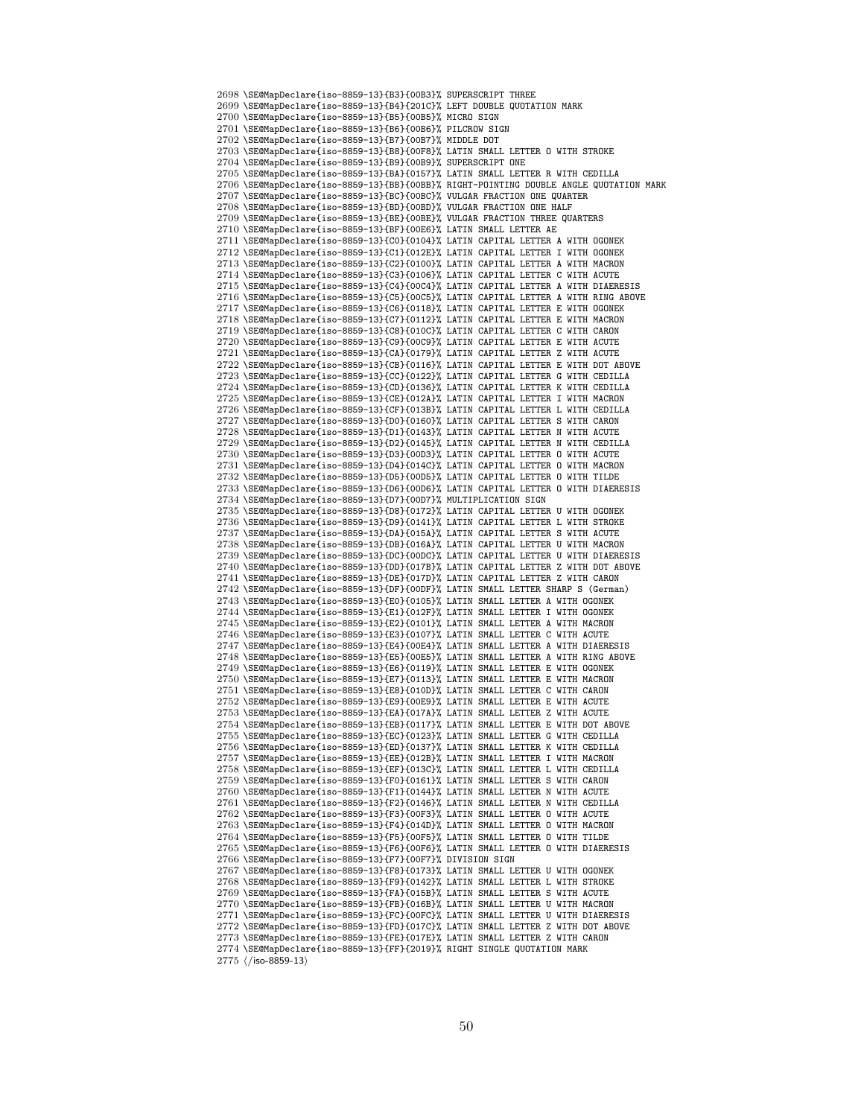\SE@MapDeclare{iso-8859-13}{B3}{00B3}% SUPERSCRIPT THREE \SE@MapDeclare{iso-8859-13}{B4}{201C}% LEFT DOUBLE QUOTATION MARK \SE@MapDeclare{iso-8859-13}{B5}{00B5}% MICRO SIGN \SE@MapDeclare{iso-8859-13}{B6}{00B6}% PILCROW SIGN \SE@MapDeclare{iso-8859-13}{B7}{00B7}% MIDDLE DOT \SE@MapDeclare{iso-8859-13}{B8}{00F8}% LATIN SMALL LETTER O WITH STROKE \SE@MapDeclare{iso-8859-13}{B9}{00B9}% SUPERSCRIPT ONE \SE@MapDeclare{iso-8859-13}{BA}{0157}% LATIN SMALL LETTER R WITH CEDILLA \SE@MapDeclare{iso-8859-13}{BB}{00BB}% RIGHT-POINTING DOUBLE ANGLE QUOTATION MARK \SE@MapDeclare{iso-8859-13}{BC}{00BC}% VULGAR FRACTION ONE QUARTER \SE@MapDeclare{iso-8859-13}{BD}{00BD}% VULGAR FRACTION ONE HALF \SE@MapDeclare{iso-8859-13}{BE}{00BE}% VULGAR FRACTION THREE QUARTERS \SE@MapDeclare{iso-8859-13}{BF}{00E6}% LATIN SMALL LETTER AE \SE@MapDeclare{iso-8859-13}{C0}{0104}% LATIN CAPITAL LETTER A WITH OGONEK \SE@MapDeclare{iso-8859-13}{C1}{012E}% LATIN CAPITAL LETTER I WITH OGONEK \SE@MapDeclare{iso-8859-13}{C2}{0100}% LATIN CAPITAL LETTER A WITH MACRON \SE@MapDeclare{iso-8859-13}{C3}{0106}% LATIN CAPITAL LETTER C WITH ACUTE \SE@MapDeclare{iso-8859-13}{C4}{00C4}% LATIN CAPITAL LETTER A WITH DIAERESIS \SE@MapDeclare{iso-8859-13}{C5}{00C5}% LATIN CAPITAL LETTER A WITH RING ABOVE \SE@MapDeclare{iso-8859-13}{C6}{0118}% LATIN CAPITAL LETTER E WITH OGONEK \SE@MapDeclare{iso-8859-13}{C7}{0112}% LATIN CAPITAL LETTER E WITH MACRON \SE@MapDeclare{iso-8859-13}{C8}{010C}% LATIN CAPITAL LETTER C WITH CARON \SE@MapDeclare{iso-8859-13}{C9}{00C9}% LATIN CAPITAL LETTER E WITH ACUTE \SE@MapDeclare{iso-8859-13}{CA}{0179}% LATIN CAPITAL LETTER Z WITH ACUTE \SE@MapDeclare{iso-8859-13}{CB}{0116}% LATIN CAPITAL LETTER E WITH DOT ABOVE \SE@MapDeclare{iso-8859-13}{CC}{0122}% LATIN CAPITAL LETTER G WITH CEDILLA \SE@MapDeclare{iso-8859-13}{CD}{0136}% LATIN CAPITAL LETTER K WITH CEDILLA \SE@MapDeclare{iso-8859-13}{CE}{012A}% LATIN CAPITAL LETTER I WITH MACRON \SE@MapDeclare{iso-8859-13}{CF}{013B}% LATIN CAPITAL LETTER L WITH CEDILLA \SE@MapDeclare{iso-8859-13}{D0}{0160}% LATIN CAPITAL LETTER S WITH CARON \SE@MapDeclare{iso-8859-13}{D1}{0143}% LATIN CAPITAL LETTER N WITH ACUTE \SE@MapDeclare{iso-8859-13}{D2}{0145}% LATIN CAPITAL LETTER N WITH CEDILLA \SE@MapDeclare{iso-8859-13}{D3}{00D3}% LATIN CAPITAL LETTER O WITH ACUTE \SE@MapDeclare{iso-8859-13}{D4}{014C}% LATIN CAPITAL LETTER O WITH MACRON \SE@MapDeclare{iso-8859-13}{D5}{00D5}% LATIN CAPITAL LETTER O WITH TILDE \SE@MapDeclare{iso-8859-13}{D6}{00D6}% LATIN CAPITAL LETTER O WITH DIAERESIS \SE@MapDeclare{iso-8859-13}{D7}{00D7}% MULTIPLICATION SIGN \SE@MapDeclare{iso-8859-13}{D8}{0172}% LATIN CAPITAL LETTER U WITH OGONEK \SE@MapDeclare{iso-8859-13}{D9}{0141}% LATIN CAPITAL LETTER L WITH STROKE \SE@MapDeclare{iso-8859-13}{DA}{015A}% LATIN CAPITAL LETTER S WITH ACUTE \SE@MapDeclare{iso-8859-13}{DB}{016A}% LATIN CAPITAL LETTER U WITH MACRON \SE@MapDeclare{iso-8859-13}{DC}{00DC}% LATIN CAPITAL LETTER U WITH DIAERESIS \SE@MapDeclare{iso-8859-13}{DD}{017B}% LATIN CAPITAL LETTER Z WITH DOT ABOVE \SE@MapDeclare{iso-8859-13}{DE}{017D}% LATIN CAPITAL LETTER Z WITH CARON \SE@MapDeclare{iso-8859-13}{DF}{00DF}% LATIN SMALL LETTER SHARP S (German) \SE@MapDeclare{iso-8859-13}{E0}{0105}% LATIN SMALL LETTER A WITH OGONEK \SE@MapDeclare{iso-8859-13}{E1}{012F}% LATIN SMALL LETTER I WITH OGONEK \SE@MapDeclare{iso-8859-13}{E2}{0101}% LATIN SMALL LETTER A WITH MACRON \SE@MapDeclare{iso-8859-13}{E3}{0107}% LATIN SMALL LETTER C WITH ACUTE \SE@MapDeclare{iso-8859-13}{E4}{00E4}% LATIN SMALL LETTER A WITH DIAERESIS \SE@MapDeclare{iso-8859-13}{E5}{00E5}% LATIN SMALL LETTER A WITH RING ABOVE \SE@MapDeclare{iso-8859-13}{E6}{0119}% LATIN SMALL LETTER E WITH OGONEK \SE@MapDeclare{iso-8859-13}{E7}{0113}% LATIN SMALL LETTER E WITH MACRON \SE@MapDeclare{iso-8859-13}{E8}{010D}% LATIN SMALL LETTER C WITH CARON \SE@MapDeclare{iso-8859-13}{E9}{00E9}% LATIN SMALL LETTER E WITH ACUTE \SE@MapDeclare{iso-8859-13}{EA}{017A}% LATIN SMALL LETTER Z WITH ACUTE \SE@MapDeclare{iso-8859-13}{EB}{0117}% LATIN SMALL LETTER E WITH DOT ABOVE \SE@MapDeclare{iso-8859-13}{EC}{0123}% LATIN SMALL LETTER G WITH CEDILLA \SE@MapDeclare{iso-8859-13}{ED}{0137}% LATIN SMALL LETTER K WITH CEDILLA \SE@MapDeclare{iso-8859-13}{EE}{012B}% LATIN SMALL LETTER I WITH MACRON \SE@MapDeclare{iso-8859-13}{EF}{013C}% LATIN SMALL LETTER L WITH CEDILLA \SE@MapDeclare{iso-8859-13}{F0}{0161}% LATIN SMALL LETTER S WITH CARON \SE@MapDeclare{iso-8859-13}{F1}{0144}% LATIN SMALL LETTER N WITH ACUTE \SE@MapDeclare{iso-8859-13}{F2}{0146}% LATIN SMALL LETTER N WITH CEDILLA \SE@MapDeclare{iso-8859-13}{F3}{00F3}% LATIN SMALL LETTER O WITH ACUTE \SE@MapDeclare{iso-8859-13}{F4}{014D}% LATIN SMALL LETTER O WITH MACRON \SE@MapDeclare{iso-8859-13}{F5}{00F5}% LATIN SMALL LETTER O WITH TILDE \SE@MapDeclare{iso-8859-13}{F6}{00F6}% LATIN SMALL LETTER O WITH DIAERESIS \SE@MapDeclare{iso-8859-13}{F7}{00F7}% DIVISION SIGN \SE@MapDeclare{iso-8859-13}{F8}{0173}% LATIN SMALL LETTER U WITH OGONEK \SE@MapDeclare{iso-8859-13}{F9}{0142}% LATIN SMALL LETTER L WITH STROKE \SE@MapDeclare{iso-8859-13}{FA}{015B}% LATIN SMALL LETTER S WITH ACUTE \SE@MapDeclare{iso-8859-13}{FB}{016B}% LATIN SMALL LETTER U WITH MACRON \SE@MapDeclare{iso-8859-13}{FC}{00FC}% LATIN SMALL LETTER U WITH DIAERESIS \SE@MapDeclare{iso-8859-13}{FD}{017C}% LATIN SMALL LETTER Z WITH DOT ABOVE \SE@MapDeclare{iso-8859-13}{FE}{017E}% LATIN SMALL LETTER Z WITH CARON \SE@MapDeclare{iso-8859-13}{FF}{2019}% RIGHT SINGLE QUOTATION MARK

(/iso-8859-13)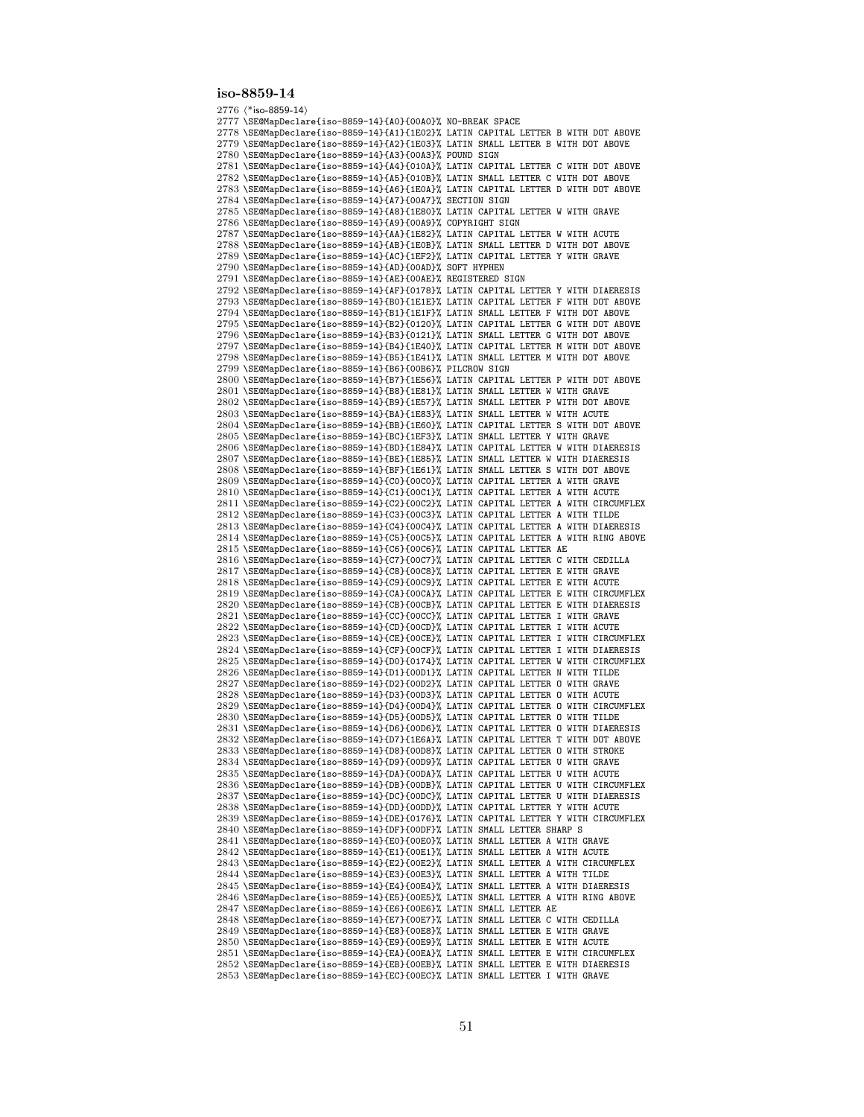/\*iso-8859-14) \SE@MapDeclare{iso-8859-14}{A0}{00A0}% NO-BREAK SPACE \SE@MapDeclare{iso-8859-14}{A1}{1E02}% LATIN CAPITAL LETTER B WITH DOT ABOVE \SE@MapDeclare{iso-8859-14}{A2}{1E03}% LATIN SMALL LETTER B WITH DOT ABOVE \SE@MapDeclare{iso-8859-14}{A3}{00A3}% POUND SIGN \SE@MapDeclare{iso-8859-14}{A4}{010A}% LATIN CAPITAL LETTER C WITH DOT ABOVE \SE@MapDeclare{iso-8859-14}{A5}{010B}% LATIN SMALL LETTER C WITH DOT ABOVE \SE@MapDeclare{iso-8859-14}{A6}{1E0A}% LATIN CAPITAL LETTER D WITH DOT ABOVE \SE@MapDeclare{iso-8859-14}{A7}{00A7}% SECTION SIGN \SE@MapDeclare{iso-8859-14}{A8}{1E80}% LATIN CAPITAL LETTER W WITH GRAVE \SE@MapDeclare{iso-8859-14}{A9}{00A9}% COPYRIGHT SIGN \SE@MapDeclare{iso-8859-14}{AA}{1E82}% LATIN CAPITAL LETTER W WITH ACUTE \SE@MapDeclare{iso-8859-14}{AB}{1E0B}% LATIN SMALL LETTER D WITH DOT ABOVE \SE@MapDeclare{iso-8859-14}{AC}{1EF2}% LATIN CAPITAL LETTER Y WITH GRAVE \SE@MapDeclare{iso-8859-14}{AD}{00AD}% SOFT HYPHEN \SE@MapDeclare{iso-8859-14}{AE}{00AE}% REGISTERED SIGN \SE@MapDeclare{iso-8859-14}{AF}{0178}% LATIN CAPITAL LETTER Y WITH DIAERESIS \SE@MapDeclare{iso-8859-14}{B0}{1E1E}% LATIN CAPITAL LETTER F WITH DOT ABOVE \SE@MapDeclare{iso-8859-14}{B1}{1E1F}% LATIN SMALL LETTER F WITH DOT ABOVE \SE@MapDeclare{iso-8859-14}{B2}{0120}% LATIN CAPITAL LETTER G WITH DOT ABOVE \SE@MapDeclare{iso-8859-14}{B3}{0121}% LATIN SMALL LETTER G WITH DOT ABOVE \SE@MapDeclare{iso-8859-14}{B4}{1E40}% LATIN CAPITAL LETTER M WITH DOT ABOVE \SE@MapDeclare{iso-8859-14}{B5}{1E41}% LATIN SMALL LETTER M WITH DOT ABOVE \SE@MapDeclare{iso-8859-14}{B6}{00B6}% PILCROW SIGN \SE@MapDeclare{iso-8859-14}{B7}{1E56}% LATIN CAPITAL LETTER P WITH DOT ABOVE \SE@MapDeclare{iso-8859-14}{B8}{1E81}% LATIN SMALL LETTER W WITH GRAVE \SE@MapDeclare{iso-8859-14}{B9}{1E57}% LATIN SMALL LETTER P WITH DOT ABOVE \SE@MapDeclare{iso-8859-14}{BA}{1E83}% LATIN SMALL LETTER W WITH ACUTE \SE@MapDeclare{iso-8859-14}{BB}{1E60}% LATIN CAPITAL LETTER S WITH DOT ABOVE \SE@MapDeclare{iso-8859-14}{BC}{1EF3}% LATIN SMALL LETTER Y WITH GRAVE \SE@MapDeclare{iso-8859-14}{BD}{1E84}% LATIN CAPITAL LETTER W WITH DIAERESIS \SE@MapDeclare{iso-8859-14}{BE}{1E85}% LATIN SMALL LETTER W WITH DIAERESIS \SE@MapDeclare{iso-8859-14}{BF}{1E61}% LATIN SMALL LETTER S WITH DOT ABOVE \SE@MapDeclare{iso-8859-14}{C0}{00C0}% LATIN CAPITAL LETTER A WITH GRAVE \SE@MapDeclare{iso-8859-14}{C1}{00C1}% LATIN CAPITAL LETTER A WITH ACUTE \SE@MapDeclare{iso-8859-14}{C2}{00C2}% LATIN CAPITAL LETTER A WITH CIRCUMFLEX \SE@MapDeclare{iso-8859-14}{C3}{00C3}% LATIN CAPITAL LETTER A WITH TILDE \SE@MapDeclare{iso-8859-14}{C4}{00C4}% LATIN CAPITAL LETTER A WITH DIAERESIS \SE@MapDeclare{iso-8859-14}{C5}{00C5}% LATIN CAPITAL LETTER A WITH RING ABOVE \SE@MapDeclare{iso-8859-14}{C6}{00C6}% LATIN CAPITAL LETTER AE \SE@MapDeclare{iso-8859-14}{C7}{00C7}% LATIN CAPITAL LETTER C WITH CEDILLA \SE@MapDeclare{iso-8859-14}{C8}{00C8}% LATIN CAPITAL LETTER E WITH GRAVE \SE@MapDeclare{iso-8859-14}{C9}{00C9}% LATIN CAPITAL LETTER E WITH ACUTE \SE@MapDeclare{iso-8859-14}{CA}{00CA}% LATIN CAPITAL LETTER E WITH CIRCUMFLEX \SE@MapDeclare{iso-8859-14}{CB}{00CB}% LATIN CAPITAL LETTER E WITH DIAERESIS \SE@MapDeclare{iso-8859-14}{CC}{00CC}% LATIN CAPITAL LETTER I WITH GRAVE \SE@MapDeclare{iso-8859-14}{CD}{00CD}% LATIN CAPITAL LETTER I WITH ACUTE \SE@MapDeclare{iso-8859-14}{CE}{00CE}% LATIN CAPITAL LETTER I WITH CIRCUMFLEX \SE@MapDeclare{iso-8859-14}{CF}{00CF}% LATIN CAPITAL LETTER I WITH DIAERESIS \SE@MapDeclare{iso-8859-14}{D0}{0174}% LATIN CAPITAL LETTER W WITH CIRCUMFLEX \SE@MapDeclare{iso-8859-14}{D1}{00D1}% LATIN CAPITAL LETTER N WITH TILDE \SE@MapDeclare{iso-8859-14}{D2}{00D2}% LATIN CAPITAL LETTER O WITH GRAVE \SE@MapDeclare{iso-8859-14}{D3}{00D3}% LATIN CAPITAL LETTER O WITH ACUTE \SE@MapDeclare{iso-8859-14}{D4}{00D4}% LATIN CAPITAL LETTER O WITH CIRCUMFLEX \SE@MapDeclare{iso-8859-14}{D5}{00D5}% LATIN CAPITAL LETTER O WITH TILDE \SE@MapDeclare{iso-8859-14}{D6}{00D6}% LATIN CAPITAL LETTER O WITH DIAERESIS \SE@MapDeclare{iso-8859-14}{D7}{1E6A}% LATIN CAPITAL LETTER T WITH DOT ABOVE \SE@MapDeclare{iso-8859-14}{D8}{00D8}% LATIN CAPITAL LETTER O WITH STROKE \SE@MapDeclare{iso-8859-14}{D9}{00D9}% LATIN CAPITAL LETTER U WITH GRAVE \SE@MapDeclare{iso-8859-14}{DA}{00DA}% LATIN CAPITAL LETTER U WITH ACUTE \SE@MapDeclare{iso-8859-14}{DB}{00DB}% LATIN CAPITAL LETTER U WITH CIRCUMFLEX \SE@MapDeclare{iso-8859-14}{DC}{00DC}% LATIN CAPITAL LETTER U WITH DIAERESIS \SE@MapDeclare{iso-8859-14}{DD}{00DD}% LATIN CAPITAL LETTER Y WITH ACUTE \SE@MapDeclare{iso-8859-14}{DE}{0176}% LATIN CAPITAL LETTER Y WITH CIRCUMFLEX \SE@MapDeclare{iso-8859-14}{DF}{00DF}% LATIN SMALL LETTER SHARP S \SE@MapDeclare{iso-8859-14}{E0}{00E0}% LATIN SMALL LETTER A WITH GRAVE \SE@MapDeclare{iso-8859-14}{E1}{00E1}% LATIN SMALL LETTER A WITH ACUTE \SE@MapDeclare{iso-8859-14}{E2}{00E2}% LATIN SMALL LETTER A WITH CIRCUMFLEX \SE@MapDeclare{iso-8859-14}{E3}{00E3}% LATIN SMALL LETTER A WITH TILDE \SE@MapDeclare{iso-8859-14}{E4}{00E4}% LATIN SMALL LETTER A WITH DIAERESIS \SE@MapDeclare{iso-8859-14}{E5}{00E5}% LATIN SMALL LETTER A WITH RING ABOVE \SE@MapDeclare{iso-8859-14}{E6}{00E6}% LATIN SMALL LETTER AE \SE@MapDeclare{iso-8859-14}{E7}{00E7}% LATIN SMALL LETTER C WITH CEDILLA \SE@MapDeclare{iso-8859-14}{E8}{00E8}% LATIN SMALL LETTER E WITH GRAVE \SE@MapDeclare{iso-8859-14}{E9}{00E9}% LATIN SMALL LETTER E WITH ACUTE \SE@MapDeclare{iso-8859-14}{EA}{00EA}% LATIN SMALL LETTER E WITH CIRCUMFLEX \SE@MapDeclare{iso-8859-14}{EB}{00EB}% LATIN SMALL LETTER E WITH DIAERESIS \SE@MapDeclare{iso-8859-14}{EC}{00EC}% LATIN SMALL LETTER I WITH GRAVE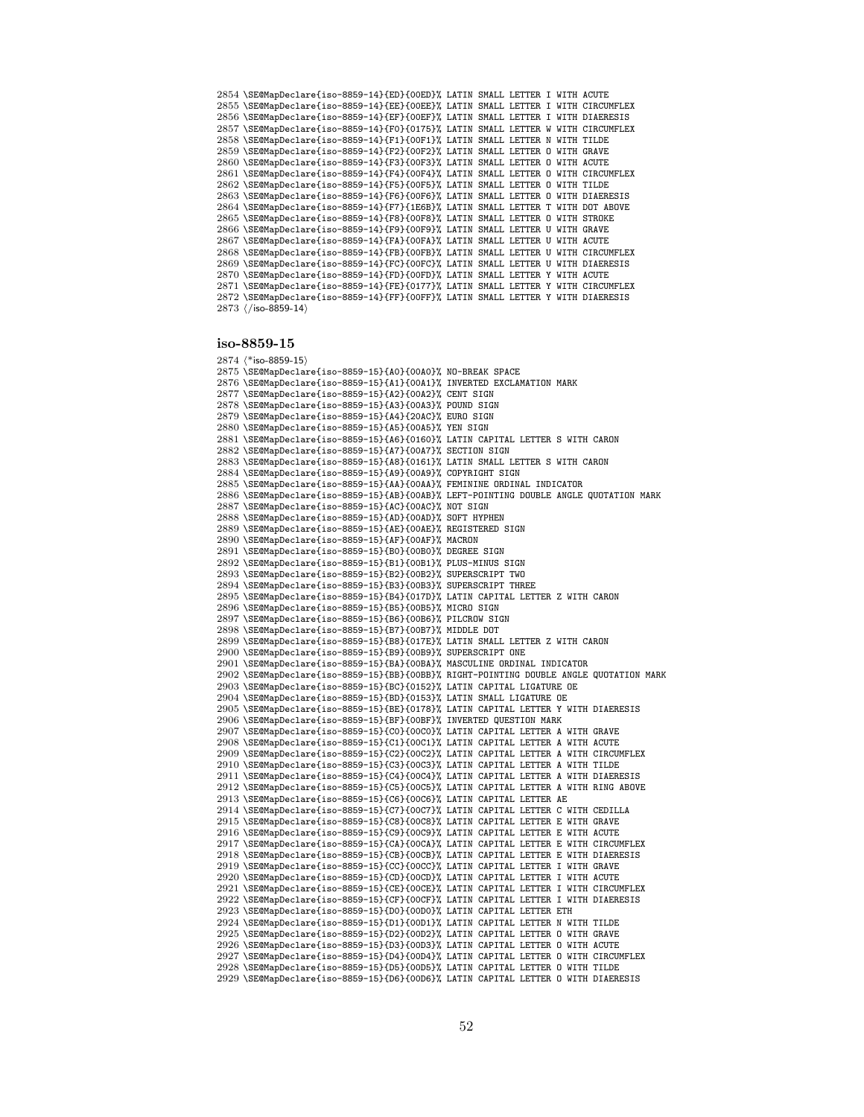```
2854 \SE@MapDeclare{iso-8859-14}{ED}{00ED}% LATIN SMALL LETTER I WITH ACUTE
2855 \SE@MapDeclare{iso-8859-14}{EE}{00EE}% LATIN SMALL LETTER I WITH CIRCUMFLEX
2856 \SE@MapDeclare{iso-8859-14}{EF}{00EF}% LATIN SMALL LETTER I WITH DIAERESIS
2857 \SE@MapDeclare{iso-8859-14}{F0}{0175}% LATIN SMALL LETTER W WITH CIRCUMFLEX
2858 \SE@MapDeclare{iso-8859-14}{F1}{00F1}% LATIN SMALL LETTER N WITH TILDE
2859 \SE@MapDeclare{iso-8859-14}{F2}{00F2}% LATIN SMALL LETTER O WITH GRAVE
2860 \SE@MapDeclare{iso-8859-14}{F3}{00F3}% LATIN SMALL LETTER O WITH ACUTE
2861 \SE@MapDeclare{iso-8859-14}{F4}{00F4}% LATIN SMALL LETTER O WITH CIRCUMFLEX
2862 \SE@MapDeclare{iso-8859-14}{F5}{00F5}% LATIN SMALL LETTER O WITH TILDE
2863 \SE@MapDeclare{iso-8859-14}{F6}{00F6}% LATIN SMALL LETTER O WITH DIAERESIS
2864 \SE@MapDeclare{iso-8859-14}{F7}{1E6B}% LATIN SMALL LETTER T WITH DOT ABOVE
2865 \SE@MapDeclare{iso-8859-14}{F8}{00F8}% LATIN SMALL LETTER O WITH STROKE
2866 \SE@MapDeclare{iso-8859-14}{F9}{00F9}% LATIN SMALL LETTER U WITH GRAVE
2867 \SE@MapDeclare{iso-8859-14}{FA}{00FA}% LATIN SMALL LETTER U WITH ACUTE
2868 \SE@MapDeclare{iso-8859-14}{FB}{00FB}% LATIN SMALL LETTER U WITH CIRCUMFLEX
2869 \SE@MapDeclare{iso-8859-14}{FC}{00FC}% LATIN SMALL LETTER U WITH DIAERESIS
2870 \SE@MapDeclare{iso-8859-14}{FD}{00FD}% LATIN SMALL LETTER Y WITH ACUTE
2871 \SE@MapDeclare{iso-8859-14}{FE}{0177}% LATIN SMALL LETTER Y WITH CIRCUMFLEX
2872 \SE@MapDeclare{iso-8859-14}{FF}{00FF}% LATIN SMALL LETTER Y WITH DIAERESIS
2873 (/iso-8859-14)
```
  $(*$  iso-8859-15) \SE@MapDeclare{iso-8859-15}{A0}{00A0}% NO-BREAK SPACE \SE@MapDeclare{iso-8859-15}{A1}{00A1}% INVERTED EXCLAMATION MARK \SE@MapDeclare{iso-8859-15}{A2}{00A2}% CENT SIGN \SE@MapDeclare{iso-8859-15}{A3}{00A3}% POUND SIGN \SE@MapDeclare{iso-8859-15}{A4}{20AC}% EURO SIGN \SE@MapDeclare{iso-8859-15}{A5}{00A5}% YEN SIGN \SE@MapDeclare{iso-8859-15}{A6}{0160}% LATIN CAPITAL LETTER S WITH CARON \SE@MapDeclare{iso-8859-15}{A7}{00A7}% SECTION SIGN \SE@MapDeclare{iso-8859-15}{A8}{0161}% LATIN SMALL LETTER S WITH CARON \SE@MapDeclare{iso-8859-15}{A9}{00A9}% COPYRIGHT SIGN \SE@MapDeclare{iso-8859-15}{AA}{00AA}% FEMININE ORDINAL INDICATOR \SE@MapDeclare{iso-8859-15}{AB}{00AB}% LEFT-POINTING DOUBLE ANGLE QUOTATION MARK \SE@MapDeclare{iso-8859-15}{AC}{00AC}% NOT SIGN \SE@MapDeclare{iso-8859-15}{AD}{00AD}% SOFT HYPHEN \SE@MapDeclare{iso-8859-15}{AE}{00AE}% REGISTERED SIGN \SE@MapDeclare{iso-8859-15}{AF}{00AF}% MACRON \SE@MapDeclare{iso-8859-15}{B0}{00B0}% DEGREE SIGN \SE@MapDeclare{iso-8859-15}{B1}{00B1}% PLUS-MINUS SIGN \SE@MapDeclare{iso-8859-15}{B2}{00B2}% SUPERSCRIPT TWO \SE@MapDeclare{iso-8859-15}{B3}{00B3}% SUPERSCRIPT THREE \SE@MapDeclare{iso-8859-15}{B4}{017D}% LATIN CAPITAL LETTER Z WITH CARON \SE@MapDeclare{iso-8859-15}{B5}{00B5}% MICRO SIGN \SE@MapDeclare{iso-8859-15}{B6}{00B6}% PILCROW SIGN \SE@MapDeclare{iso-8859-15}{B7}{00B7}% MIDDLE DOT \SE@MapDeclare{iso-8859-15}{B8}{017E}% LATIN SMALL LETTER Z WITH CARON \SE@MapDeclare{iso-8859-15}{B9}{00B9}% SUPERSCRIPT ONE \SE@MapDeclare{iso-8859-15}{BA}{00BA}% MASCULINE ORDINAL INDICATOR \SE@MapDeclare{iso-8859-15}{BB}{00BB}% RIGHT-POINTING DOUBLE ANGLE QUOTATION MARK \SE@MapDeclare{iso-8859-15}{BC}{0152}% LATIN CAPITAL LIGATURE OE \SE@MapDeclare{iso-8859-15}{BD}{0153}% LATIN SMALL LIGATURE OE \SE@MapDeclare{iso-8859-15}{BE}{0178}% LATIN CAPITAL LETTER Y WITH DIAERESIS \SE@MapDeclare{iso-8859-15}{BF}{00BF}% INVERTED QUESTION MARK \SE@MapDeclare{iso-8859-15}{C0}{00C0}% LATIN CAPITAL LETTER A WITH GRAVE \SE@MapDeclare{iso-8859-15}{C1}{00C1}% LATIN CAPITAL LETTER A WITH ACUTE \SE@MapDeclare{iso-8859-15}{C2}{00C2}% LATIN CAPITAL LETTER A WITH CIRCUMFLEX \SE@MapDeclare{iso-8859-15}{C3}{00C3}% LATIN CAPITAL LETTER A WITH TILDE \SE@MapDeclare{iso-8859-15}{C4}{00C4}% LATIN CAPITAL LETTER A WITH DIAERESIS \SE@MapDeclare{iso-8859-15}{C5}{00C5}% LATIN CAPITAL LETTER A WITH RING ABOVE \SE@MapDeclare{iso-8859-15}{C6}{00C6}% LATIN CAPITAL LETTER AE \SE@MapDeclare{iso-8859-15}{C7}{00C7}% LATIN CAPITAL LETTER C WITH CEDILLA \SE@MapDeclare{iso-8859-15}{C8}{00C8}% LATIN CAPITAL LETTER E WITH GRAVE \SE@MapDeclare{iso-8859-15}{C9}{00C9}% LATIN CAPITAL LETTER E WITH ACUTE \SE@MapDeclare{iso-8859-15}{CA}{00CA}% LATIN CAPITAL LETTER E WITH CIRCUMFLEX \SE@MapDeclare{iso-8859-15}{CB}{00CB}% LATIN CAPITAL LETTER E WITH DIAERESIS \SE@MapDeclare{iso-8859-15}{CC}{00CC}% LATIN CAPITAL LETTER I WITH GRAVE \SE@MapDeclare{iso-8859-15}{CD}{00CD}% LATIN CAPITAL LETTER I WITH ACUTE \SE@MapDeclare{iso-8859-15}{CE}{00CE}% LATIN CAPITAL LETTER I WITH CIRCUMFLEX \SE@MapDeclare{iso-8859-15}{CF}{00CF}% LATIN CAPITAL LETTER I WITH DIAERESIS \SE@MapDeclare{iso-8859-15}{D0}{00D0}% LATIN CAPITAL LETTER ETH \SE@MapDeclare{iso-8859-15}{D1}{00D1}% LATIN CAPITAL LETTER N WITH TILDE \SE@MapDeclare{iso-8859-15}{D2}{00D2}% LATIN CAPITAL LETTER O WITH GRAVE \SE@MapDeclare{iso-8859-15}{D3}{00D3}% LATIN CAPITAL LETTER O WITH ACUTE \SE@MapDeclare{iso-8859-15}{D4}{00D4}% LATIN CAPITAL LETTER O WITH CIRCUMFLEX \SE@MapDeclare{iso-8859-15}{D5}{00D5}% LATIN CAPITAL LETTER O WITH TILDE \SE@MapDeclare{iso-8859-15}{D6}{00D6}% LATIN CAPITAL LETTER O WITH DIAERESIS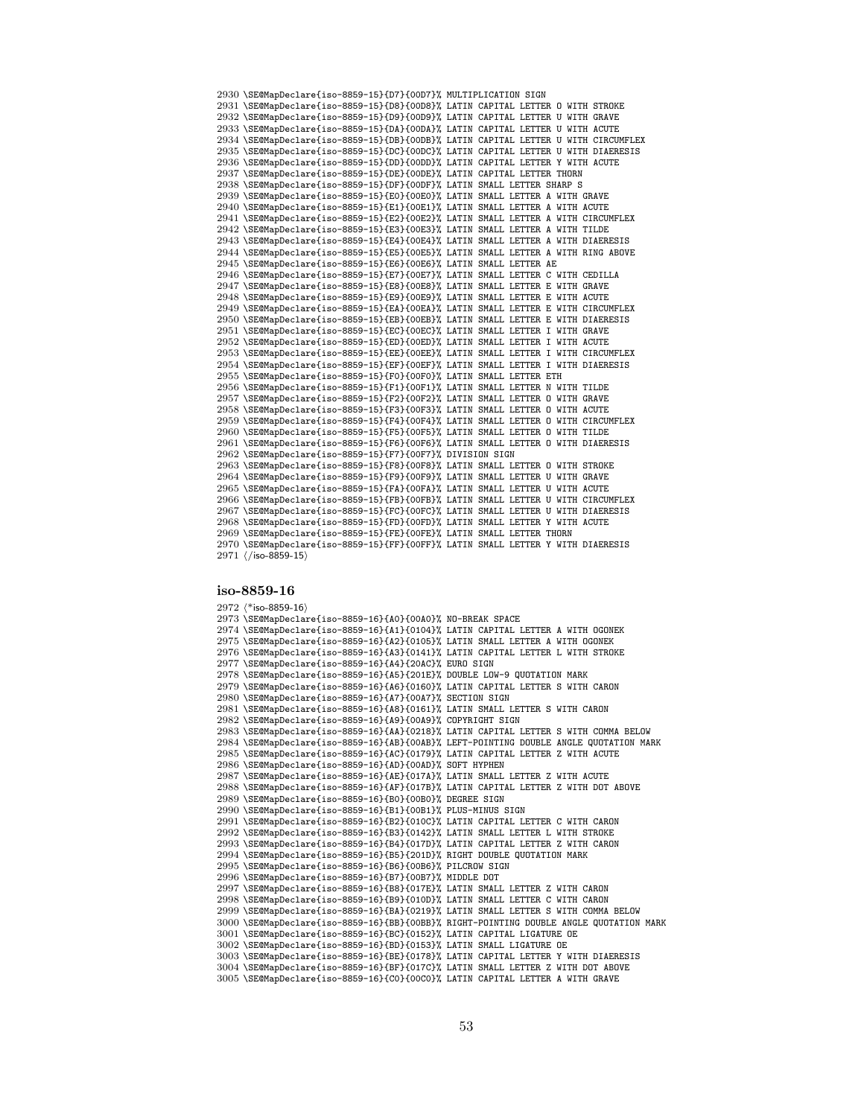```
2930 \SE@MapDeclare{iso-8859-15}{D7}{00D7}% MULTIPLICATION SIGN
2931 \SE@MapDeclare{iso-8859-15}{D8}{00D8}% LATIN CAPITAL LETTER O WITH STROKE
2932 \SE@MapDeclare{iso-8859-15}{D9}{00D9}% LATIN CAPITAL LETTER U WITH GRAVE
2933 \SE@MapDeclare{iso-8859-15}{DA}{00DA}% LATIN CAPITAL LETTER U WITH ACUTE
2934 \SE@MapDeclare{iso-8859-15}{DB}{00DB}% LATIN CAPITAL LETTER U WITH CIRCUMFLEX
2935 \SE@MapDeclare{iso-8859-15}{DC}{00DC}% LATIN CAPITAL LETTER U WITH DIAERESIS
2936 \SE@MapDeclare{iso-8859-15}{DD}{00DD}% LATIN CAPITAL LETTER Y WITH ACUTE
2937 \SE@MapDeclare{iso-8859-15}{DE}{00DE}% LATIN CAPITAL LETTER THORN
2938 \SE@MapDeclare{iso-8859-15}{DF}{00DF}% LATIN SMALL LETTER SHARP S
2939 \SE@MapDeclare{iso-8859-15}{E0}{00E0}% LATIN SMALL LETTER A WITH GRAVE
2940 \SE@MapDeclare{iso-8859-15}{E1}{00E1}% LATIN SMALL LETTER A WITH ACUTE
2941 \SE@MapDeclare{iso-8859-15}{E2}{00E2}% LATIN SMALL LETTER A WITH CIRCUMFLEX
2942 \SE@MapDeclare{iso-8859-15}{E3}{00E3}% LATIN SMALL LETTER A WITH TILDE
2943 \SE@MapDeclare{iso-8859-15}{E4}{00E4}% LATIN SMALL LETTER A WITH DIAERESIS
2944 \SE@MapDeclare{iso-8859-15}{E5}{00E5}% LATIN SMALL LETTER A WITH RING ABOVE
2945 \SE@MapDeclare{iso-8859-15}{E6}{00E6}% LATIN SMALL LETTER AE
2946 \SE@MapDeclare{iso-8859-15}{E7}{00E7}% LATIN SMALL LETTER C WITH CEDILLA
2947 \SE@MapDeclare{iso-8859-15}{E8}{00E8}% LATIN SMALL LETTER E WITH GRAVE
2948 \SE@MapDeclare{iso-8859-15}{E9}{00E9}% LATIN SMALL LETTER E WITH ACUTE
2949 \SE@MapDeclare{iso-8859-15}{EA}{00EA}% LATIN SMALL LETTER E WITH CIRCUMFLEX
2950 \SE@MapDeclare{iso-8859-15}{EB}{00EB}% LATIN SMALL LETTER E WITH DIAERESIS
2951 \SE@MapDeclare{iso-8859-15}{EC}{00EC}% LATIN SMALL LETTER I WITH GRAVE
2952 \SE@MapDeclare{iso-8859-15}{ED}{00ED}% LATIN SMALL LETTER I WITH ACUTE
2953 \SE@MapDeclare{iso-8859-15}{EE}{00EE}% LATIN SMALL LETTER I WITH CIRCUMFLEX
2954 \SE@MapDeclare{iso-8859-15}{EF}{00EF}% LATIN SMALL LETTER I WITH DIAERESIS
2955 \SE@MapDeclare{iso-8859-15}{F0}{00F0}% LATIN SMALL LETTER ETH
2956 \SE@MapDeclare{iso-8859-15}{F1}{00F1}% LATIN SMALL LETTER N WITH TILDE
2957 \SE@MapDeclare{iso-8859-15}{F2}{00F2}% LATIN SMALL LETTER O WITH GRAVE
2958 \SE@MapDeclare{iso-8859-15}{F3}{00F3}% LATIN SMALL LETTER O WITH ACUTE
2959 \SE@MapDeclare{iso-8859-15}{F4}{00F4}% LATIN SMALL LETTER O WITH CIRCUMFLEX
2960 \SE@MapDeclare{iso-8859-15}{F5}{00F5}% LATIN SMALL LETTER O WITH TILDE
2961 \SE@MapDeclare{iso-8859-15}{F6}{00F6}% LATIN SMALL LETTER O WITH DIAERESIS
2962 \SE@MapDeclare{iso-8859-15}{F7}{00F7}% DIVISION SIGN
2963 \SE@MapDeclare{iso-8859-15}{F8}{00F8}% LATIN SMALL LETTER O WITH STROKE
2964 \SE@MapDeclare{iso-8859-15}{F9}{00F9}% LATIN SMALL LETTER U WITH GRAVE
2965 \SE@MapDeclare{iso-8859-15}{FA}{00FA}% LATIN SMALL LETTER U WITH ACUTE
2966 \SE@MapDeclare{iso-8859-15}{FB}{00FB}% LATIN SMALL LETTER U WITH CIRCUMFLEX
2967 \SE@MapDeclare{iso-8859-15}{FC}{00FC}% LATIN SMALL LETTER U WITH DIAERESIS
2968 \SE@MapDeclare{iso-8859-15}{FD}{00FD}% LATIN SMALL LETTER Y WITH ACUTE
2969 \SE@MapDeclare{iso-8859-15}{FE}{00FE}% LATIN SMALL LETTER THORN
2970 \SE@MapDeclare{iso-8859-15}{FF}{00FF}% LATIN SMALL LETTER Y WITH DIAERESIS
2971 \; \langle \rangleiso-8859-15)
```
2972 (\*iso-8859-16) \SE@MapDeclare{iso-8859-16}{A0}{00A0}% NO-BREAK SPACE \SE@MapDeclare{iso-8859-16}{A1}{0104}% LATIN CAPITAL LETTER A WITH OGONEK \SE@MapDeclare{iso-8859-16}{A2}{0105}% LATIN SMALL LETTER A WITH OGONEK \SE@MapDeclare{iso-8859-16}{A3}{0141}% LATIN CAPITAL LETTER L WITH STROKE \SE@MapDeclare{iso-8859-16}{A4}{20AC}% EURO SIGN \SE@MapDeclare{iso-8859-16}{A5}{201E}% DOUBLE LOW-9 QUOTATION MARK \SE@MapDeclare{iso-8859-16}{A6}{0160}% LATIN CAPITAL LETTER S WITH CARON \SE@MapDeclare{iso-8859-16}{A7}{00A7}% SECTION SIGN \SE@MapDeclare{iso-8859-16}{A8}{0161}% LATIN SMALL LETTER S WITH CARON \SE@MapDeclare{iso-8859-16}{A9}{00A9}% COPYRIGHT SIGN \SE@MapDeclare{iso-8859-16}{AA}{0218}% LATIN CAPITAL LETTER S WITH COMMA BELOW \SE@MapDeclare{iso-8859-16}{AB}{00AB}% LEFT-POINTING DOUBLE ANGLE QUOTATION MARK \SE@MapDeclare{iso-8859-16}{AC}{0179}% LATIN CAPITAL LETTER Z WITH ACUTE \SE@MapDeclare{iso-8859-16}{AD}{00AD}% SOFT HYPHEN \SE@MapDeclare{iso-8859-16}{AE}{017A}% LATIN SMALL LETTER Z WITH ACUTE \SE@MapDeclare{iso-8859-16}{AF}{017B}% LATIN CAPITAL LETTER Z WITH DOT ABOVE \SE@MapDeclare{iso-8859-16}{B0}{00B0}% DEGREE SIGN \SE@MapDeclare{iso-8859-16}{B1}{00B1}% PLUS-MINUS SIGN \SE@MapDeclare{iso-8859-16}{B2}{010C}% LATIN CAPITAL LETTER C WITH CARON \SE@MapDeclare{iso-8859-16}{B3}{0142}% LATIN SMALL LETTER L WITH STROKE \SE@MapDeclare{iso-8859-16}{B4}{017D}% LATIN CAPITAL LETTER Z WITH CARON \SE@MapDeclare{iso-8859-16}{B5}{201D}% RIGHT DOUBLE QUOTATION MARK \SE@MapDeclare{iso-8859-16}{B6}{00B6}% PILCROW SIGN \SE@MapDeclare{iso-8859-16}{B7}{00B7}% MIDDLE DOT \SE@MapDeclare{iso-8859-16}{B8}{017E}% LATIN SMALL LETTER Z WITH CARON \SE@MapDeclare{iso-8859-16}{B9}{010D}% LATIN SMALL LETTER C WITH CARON \SE@MapDeclare{iso-8859-16}{BA}{0219}% LATIN SMALL LETTER S WITH COMMA BELOW \SE@MapDeclare{iso-8859-16}{BB}{00BB}% RIGHT-POINTING DOUBLE ANGLE QUOTATION MARK \SE@MapDeclare{iso-8859-16}{BC}{0152}% LATIN CAPITAL LIGATURE OE \SE@MapDeclare{iso-8859-16}{BD}{0153}% LATIN SMALL LIGATURE OE \SE@MapDeclare{iso-8859-16}{BE}{0178}% LATIN CAPITAL LETTER Y WITH DIAERESIS \SE@MapDeclare{iso-8859-16}{BF}{017C}% LATIN SMALL LETTER Z WITH DOT ABOVE \SE@MapDeclare{iso-8859-16}{C0}{00C0}% LATIN CAPITAL LETTER A WITH GRAVE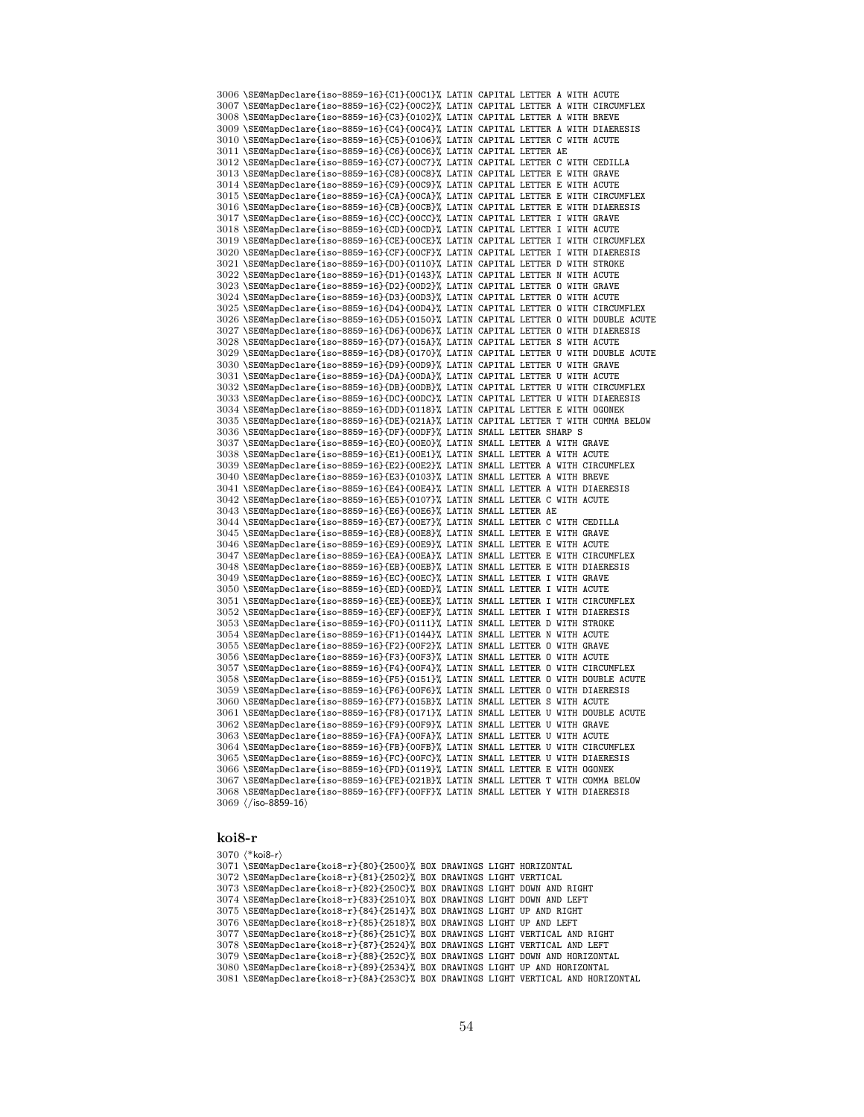\SE@MapDeclare{iso-8859-16}{C1}{00C1}% LATIN CAPITAL LETTER A WITH ACUTE \SE@MapDeclare{iso-8859-16}{C2}{00C2}% LATIN CAPITAL LETTER A WITH CIRCUMFLEX \SE@MapDeclare{iso-8859-16}{C3}{0102}% LATIN CAPITAL LETTER A WITH BREVE \SE@MapDeclare{iso-8859-16}{C4}{00C4}% LATIN CAPITAL LETTER A WITH DIAERESIS \SE@MapDeclare{iso-8859-16}{C5}{0106}% LATIN CAPITAL LETTER C WITH ACUTE \SE@MapDeclare{iso-8859-16}{C6}{00C6}% LATIN CAPITAL LETTER AE \SE@MapDeclare{iso-8859-16}{C7}{00C7}% LATIN CAPITAL LETTER C WITH CEDILLA \SE@MapDeclare{iso-8859-16}{C8}{00C8}% LATIN CAPITAL LETTER E WITH GRAVE \SE@MapDeclare{iso-8859-16}{C9}{00C9}% LATIN CAPITAL LETTER E WITH ACUTE \SE@MapDeclare{iso-8859-16}{CA}{00CA}% LATIN CAPITAL LETTER E WITH CIRCUMFLEX \SE@MapDeclare{iso-8859-16}{CB}{00CB}% LATIN CAPITAL LETTER E WITH DIAERESIS \SE@MapDeclare{iso-8859-16}{CC}{00CC}% LATIN CAPITAL LETTER I WITH GRAVE \SE@MapDeclare{iso-8859-16}{CD}{00CD}% LATIN CAPITAL LETTER I WITH ACUTE \SE@MapDeclare{iso-8859-16}{CE}{00CE}% LATIN CAPITAL LETTER I WITH CIRCUMFLEX \SE@MapDeclare{iso-8859-16}{CF}{00CF}% LATIN CAPITAL LETTER I WITH DIAERESIS \SE@MapDeclare{iso-8859-16}{D0}{0110}% LATIN CAPITAL LETTER D WITH STROKE \SE@MapDeclare{iso-8859-16}{D1}{0143}% LATIN CAPITAL LETTER N WITH ACUTE \SE@MapDeclare{iso-8859-16}{D2}{00D2}% LATIN CAPITAL LETTER O WITH GRAVE \SE@MapDeclare{iso-8859-16}{D3}{00D3}% LATIN CAPITAL LETTER O WITH ACUTE \SE@MapDeclare{iso-8859-16}{D4}{00D4}% LATIN CAPITAL LETTER O WITH CIRCUMFLEX \SE@MapDeclare{iso-8859-16}{D5}{0150}% LATIN CAPITAL LETTER O WITH DOUBLE ACUTE \SE@MapDeclare{iso-8859-16}{D6}{00D6}% LATIN CAPITAL LETTER O WITH DIAERESIS \SE@MapDeclare{iso-8859-16}{D7}{015A}% LATIN CAPITAL LETTER S WITH ACUTE \SE@MapDeclare{iso-8859-16}{D8}{0170}% LATIN CAPITAL LETTER U WITH DOUBLE ACUTE \SE@MapDeclare{iso-8859-16}{D9}{00D9}% LATIN CAPITAL LETTER U WITH GRAVE \SE@MapDeclare{iso-8859-16}{DA}{00DA}% LATIN CAPITAL LETTER U WITH ACUTE \SE@MapDeclare{iso-8859-16}{DB}{00DB}% LATIN CAPITAL LETTER U WITH CIRCUMFLEX \SE@MapDeclare{iso-8859-16}{DC}{00DC}% LATIN CAPITAL LETTER U WITH DIAERESIS \SE@MapDeclare{iso-8859-16}{DD}{0118}% LATIN CAPITAL LETTER E WITH OGONEK \SE@MapDeclare{iso-8859-16}{DE}{021A}% LATIN CAPITAL LETTER T WITH COMMA BELOW \SE@MapDeclare{iso-8859-16}{DF}{00DF}% LATIN SMALL LETTER SHARP S \SE@MapDeclare{iso-8859-16}{E0}{00E0}% LATIN SMALL LETTER A WITH GRAVE \SE@MapDeclare{iso-8859-16}{E1}{00E1}% LATIN SMALL LETTER A WITH ACUTE \SE@MapDeclare{iso-8859-16}{E2}{00E2}% LATIN SMALL LETTER A WITH CIRCUMFLEX \SE@MapDeclare{iso-8859-16}{E3}{0103}% LATIN SMALL LETTER A WITH BREVE \SE@MapDeclare{iso-8859-16}{E4}{00E4}% LATIN SMALL LETTER A WITH DIAERESIS \SE@MapDeclare{iso-8859-16}{E5}{0107}% LATIN SMALL LETTER C WITH ACUTE \SE@MapDeclare{iso-8859-16}{E6}{00E6}% LATIN SMALL LETTER AE \SE@MapDeclare{iso-8859-16}{E7}{00E7}% LATIN SMALL LETTER C WITH CEDILLA \SE@MapDeclare{iso-8859-16}{E8}{00E8}% LATIN SMALL LETTER E WITH GRAVE \SE@MapDeclare{iso-8859-16}{E9}{00E9}% LATIN SMALL LETTER E WITH ACUTE \SE@MapDeclare{iso-8859-16}{EA}{00EA}% LATIN SMALL LETTER E WITH CIRCUMFLEX \SE@MapDeclare{iso-8859-16}{EB}{00EB}% LATIN SMALL LETTER E WITH DIAERESIS \SE@MapDeclare{iso-8859-16}{EC}{00EC}% LATIN SMALL LETTER I WITH GRAVE \SE@MapDeclare{iso-8859-16}{ED}{00ED}% LATIN SMALL LETTER I WITH ACUTE \SE@MapDeclare{iso-8859-16}{EE}{00EE}% LATIN SMALL LETTER I WITH CIRCUMFLEX \SE@MapDeclare{iso-8859-16}{EF}{00EF}% LATIN SMALL LETTER I WITH DIAERESIS \SE@MapDeclare{iso-8859-16}{F0}{0111}% LATIN SMALL LETTER D WITH STROKE \SE@MapDeclare{iso-8859-16}{F1}{0144}% LATIN SMALL LETTER N WITH ACUTE \SE@MapDeclare{iso-8859-16}{F2}{00F2}% LATIN SMALL LETTER O WITH GRAVE \SE@MapDeclare{iso-8859-16}{F3}{00F3}% LATIN SMALL LETTER O WITH ACUTE \SE@MapDeclare{iso-8859-16}{F4}{00F4}% LATIN SMALL LETTER O WITH CIRCUMFLEX \SE@MapDeclare{iso-8859-16}{F5}{0151}% LATIN SMALL LETTER O WITH DOUBLE ACUTE \SE@MapDeclare{iso-8859-16}{F6}{00F6}% LATIN SMALL LETTER O WITH DIAERESIS \SE@MapDeclare{iso-8859-16}{F7}{015B}% LATIN SMALL LETTER S WITH ACUTE \SE@MapDeclare{iso-8859-16}{F8}{0171}% LATIN SMALL LETTER U WITH DOUBLE ACUTE \SE@MapDeclare{iso-8859-16}{F9}{00F9}% LATIN SMALL LETTER U WITH GRAVE \SE@MapDeclare{iso-8859-16}{FA}{00FA}% LATIN SMALL LETTER U WITH ACUTE \SE@MapDeclare{iso-8859-16}{FB}{00FB}% LATIN SMALL LETTER U WITH CIRCUMFLEX \SE@MapDeclare{iso-8859-16}{FC}{00FC}% LATIN SMALL LETTER U WITH DIAERESIS \SE@MapDeclare{iso-8859-16}{FD}{0119}% LATIN SMALL LETTER E WITH OGONEK \SE@MapDeclare{iso-8859-16}{FE}{021B}% LATIN SMALL LETTER T WITH COMMA BELOW \SE@MapDeclare{iso-8859-16}{FF}{00FF}% LATIN SMALL LETTER Y WITH DIAERESIS  $\langle$ /iso-8859-16)

# koi8-r

 /\*koi8-r) \SE@MapDeclare{koi8-r}{80}{2500}% BOX DRAWINGS LIGHT HORIZONTAL \SE@MapDeclare{koi8-r}{81}{2502}% BOX DRAWINGS LIGHT VERTICAL \SE@MapDeclare{koi8-r}{82}{250C}% BOX DRAWINGS LIGHT DOWN AND RIGHT \SE@MapDeclare{koi8-r}{83}{2510}% BOX DRAWINGS LIGHT DOWN AND LEFT \SE@MapDeclare{koi8-r}{84}{2514}% BOX DRAWINGS LIGHT UP AND RIGHT \SE@MapDeclare{koi8-r}{85}{2518}% BOX DRAWINGS LIGHT UP AND LEFT \SE@MapDeclare{koi8-r}{86}{251C}% BOX DRAWINGS LIGHT VERTICAL AND RIGHT \SE@MapDeclare{koi8-r}{87}{2524}% BOX DRAWINGS LIGHT VERTICAL AND LEFT \SE@MapDeclare{koi8-r}{88}{252C}% BOX DRAWINGS LIGHT DOWN AND HORIZONTAL \SE@MapDeclare{koi8-r}{89}{2534}% BOX DRAWINGS LIGHT UP AND HORIZONTAL \SE@MapDeclare{koi8-r}{8A}{253C}% BOX DRAWINGS LIGHT VERTICAL AND HORIZONTAL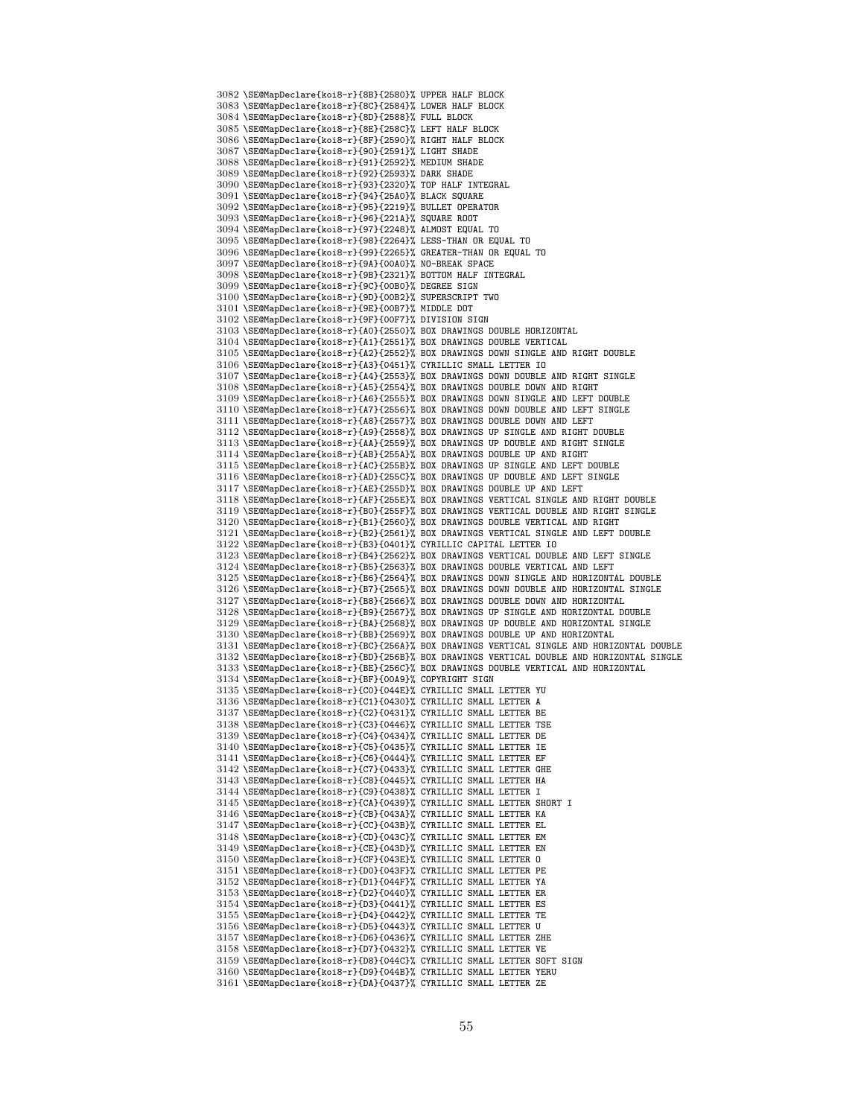\SE@MapDeclare{koi8-r}{8B}{2580}% UPPER HALF BLOCK \SE@MapDeclare{koi8-r}{8C}{2584}% LOWER HALF BLOCK \SE@MapDeclare{koi8-r}{8D}{2588}% FULL BLOCK \SE@MapDeclare{koi8-r}{8E}{258C}% LEFT HALF BLOCK \SE@MapDeclare{koi8-r}{8F}{2590}% RIGHT HALF BLOCK \SE@MapDeclare{koi8-r}{90}{2591}% LIGHT SHADE \SE@MapDeclare{koi8-r}{91}{2592}% MEDIUM SHADE \SE@MapDeclare{koi8-r}{92}{2593}% DARK SHADE \SE@MapDeclare{koi8-r}{93}{2320}% TOP HALF INTEGRAL \SE@MapDeclare{koi8-r}{94}{25A0}% BLACK SQUARE \SE@MapDeclare{koi8-r}{95}{2219}% BULLET OPERATOR \SE@MapDeclare{koi8-r}{96}{221A}% SQUARE ROOT \SE@MapDeclare{koi8-r}{97}{2248}% ALMOST EQUAL TO \SE@MapDeclare{koi8-r}{98}{2264}% LESS-THAN OR EQUAL TO \SE@MapDeclare{koi8-r}{99}{2265}% GREATER-THAN OR EQUAL TO \SE@MapDeclare{koi8-r}{9A}{00A0}% NO-BREAK SPACE \SE@MapDeclare{koi8-r}{9B}{2321}% BOTTOM HALF INTEGRAL \SE@MapDeclare{koi8-r}{9C}{00B0}% DEGREE SIGN \SE@MapDeclare{koi8-r}{9D}{00B2}% SUPERSCRIPT TWO \SE@MapDeclare{koi8-r}{9E}{00B7}% MIDDLE DOT \SE@MapDeclare{koi8-r}{9F}{00F7}% DIVISION SIGN \SE@MapDeclare{koi8-r}{A0}{2550}% BOX DRAWINGS DOUBLE HORIZONTAL \SE@MapDeclare{koi8-r}{A1}{2551}% BOX DRAWINGS DOUBLE VERTICAL \SE@MapDeclare{koi8-r}{A2}{2552}% BOX DRAWINGS DOWN SINGLE AND RIGHT DOUBLE \SE@MapDeclare{koi8-r}{A3}{0451}% CYRILLIC SMALL LETTER IO \SE@MapDeclare{koi8-r}{A4}{2553}% BOX DRAWINGS DOWN DOUBLE AND RIGHT SINGLE \SE@MapDeclare{koi8-r}{A5}{2554}% BOX DRAWINGS DOUBLE DOWN AND RIGHT \SE@MapDeclare{koi8-r}{A6}{2555}% BOX DRAWINGS DOWN SINGLE AND LEFT DOUBLE \SE@MapDeclare{koi8-r}{A7}{2556}% BOX DRAWINGS DOWN DOUBLE AND LEFT SINGLE \SE@MapDeclare{koi8-r}{A8}{2557}% BOX DRAWINGS DOUBLE DOWN AND LEFT \SE@MapDeclare{koi8-r}{A9}{2558}% BOX DRAWINGS UP SINGLE AND RIGHT DOUBLE \SE@MapDeclare{koi8-r}{AA}{2559}% BOX DRAWINGS UP DOUBLE AND RIGHT SINGLE \SE@MapDeclare{koi8-r}{AB}{255A}% BOX DRAWINGS DOUBLE UP AND RIGHT \SE@MapDeclare{koi8-r}{AC}{255B}% BOX DRAWINGS UP SINGLE AND LEFT DOUBLE \SE@MapDeclare{koi8-r}{AD}{255C}% BOX DRAWINGS UP DOUBLE AND LEFT SINGLE \SE@MapDeclare{koi8-r}{AE}{255D}% BOX DRAWINGS DOUBLE UP AND LEFT \SE@MapDeclare{koi8-r}{AF}{255E}% BOX DRAWINGS VERTICAL SINGLE AND RIGHT DOUBLE \SE@MapDeclare{koi8-r}{B0}{255F}% BOX DRAWINGS VERTICAL DOUBLE AND RIGHT SINGLE \SE@MapDeclare{koi8-r}{B1}{2560}% BOX DRAWINGS DOUBLE VERTICAL AND RIGHT \SE@MapDeclare{koi8-r}{B2}{2561}% BOX DRAWINGS VERTICAL SINGLE AND LEFT DOUBLE \SE@MapDeclare{koi8-r}{B3}{0401}% CYRILLIC CAPITAL LETTER IO \SE@MapDeclare{koi8-r}{B4}{2562}% BOX DRAWINGS VERTICAL DOUBLE AND LEFT SINGLE \SE@MapDeclare{koi8-r}{B5}{2563}% BOX DRAWINGS DOUBLE VERTICAL AND LEFT \SE@MapDeclare{koi8-r}{B6}{2564}% BOX DRAWINGS DOWN SINGLE AND HORIZONTAL DOUBLE \SE@MapDeclare{koi8-r}{B7}{2565}% BOX DRAWINGS DOWN DOUBLE AND HORIZONTAL SINGLE \SE@MapDeclare{koi8-r}{B8}{2566}% BOX DRAWINGS DOUBLE DOWN AND HORIZONTAL \SE@MapDeclare{koi8-r}{B9}{2567}% BOX DRAWINGS UP SINGLE AND HORIZONTAL DOUBLE \SE@MapDeclare{koi8-r}{BA}{2568}% BOX DRAWINGS UP DOUBLE AND HORIZONTAL SINGLE \SE@MapDeclare{koi8-r}{BB}{2569}% BOX DRAWINGS DOUBLE UP AND HORIZONTAL \SE@MapDeclare{koi8-r}{BC}{256A}% BOX DRAWINGS VERTICAL SINGLE AND HORIZONTAL DOUBLE \SE@MapDeclare{koi8-r}{BD}{256B}% BOX DRAWINGS VERTICAL DOUBLE AND HORIZONTAL SINGLE \SE@MapDeclare{koi8-r}{BE}{256C}% BOX DRAWINGS DOUBLE VERTICAL AND HORIZONTAL \SE@MapDeclare{koi8-r}{BF}{00A9}% COPYRIGHT SIGN \SE@MapDeclare{koi8-r}{C0}{044E}% CYRILLIC SMALL LETTER YU \SE@MapDeclare{koi8-r}{C1}{0430}% CYRILLIC SMALL LETTER A \SE@MapDeclare{koi8-r}{C2}{0431}% CYRILLIC SMALL LETTER BE \SE@MapDeclare{koi8-r}{C3}{0446}% CYRILLIC SMALL LETTER TSE \SE@MapDeclare{koi8-r}{C4}{0434}% CYRILLIC SMALL LETTER DE \SE@MapDeclare{koi8-r}{C5}{0435}% CYRILLIC SMALL LETTER IE \SE@MapDeclare{koi8-r}{C6}{0444}% CYRILLIC SMALL LETTER EF \SE@MapDeclare{koi8-r}{C7}{0433}% CYRILLIC SMALL LETTER GHE \SE@MapDeclare{koi8-r}{C8}{0445}% CYRILLIC SMALL LETTER HA \SE@MapDeclare{koi8-r}{C9}{0438}% CYRILLIC SMALL LETTER I \SE@MapDeclare{koi8-r}{CA}{0439}% CYRILLIC SMALL LETTER SHORT I \SE@MapDeclare{koi8-r}{CB}{043A}% CYRILLIC SMALL LETTER KA \SE@MapDeclare{koi8-r}{CC}{043B}% CYRILLIC SMALL LETTER EL \SE@MapDeclare{koi8-r}{CD}{043C}% CYRILLIC SMALL LETTER EM \SE@MapDeclare{koi8-r}{CE}{043D}% CYRILLIC SMALL LETTER EN \SE@MapDeclare{koi8-r}{CF}{043E}% CYRILLIC SMALL LETTER O \SE@MapDeclare{koi8-r}{D0}{043F}% CYRILLIC SMALL LETTER PE \SE@MapDeclare{koi8-r}{D1}{044F}% CYRILLIC SMALL LETTER YA \SE@MapDeclare{koi8-r}{D2}{0440}% CYRILLIC SMALL LETTER ER \SE@MapDeclare{koi8-r}{D3}{0441}% CYRILLIC SMALL LETTER ES \SE@MapDeclare{koi8-r}{D4}{0442}% CYRILLIC SMALL LETTER TE \SE@MapDeclare{koi8-r}{D5}{0443}% CYRILLIC SMALL LETTER U \SE@MapDeclare{koi8-r}{D6}{0436}% CYRILLIC SMALL LETTER ZHE \SE@MapDeclare{koi8-r}{D7}{0432}% CYRILLIC SMALL LETTER VE \SE@MapDeclare{koi8-r}{D8}{044C}% CYRILLIC SMALL LETTER SOFT SIGN \SE@MapDeclare{koi8-r}{D9}{044B}% CYRILLIC SMALL LETTER YERU \SE@MapDeclare{koi8-r}{DA}{0437}% CYRILLIC SMALL LETTER ZE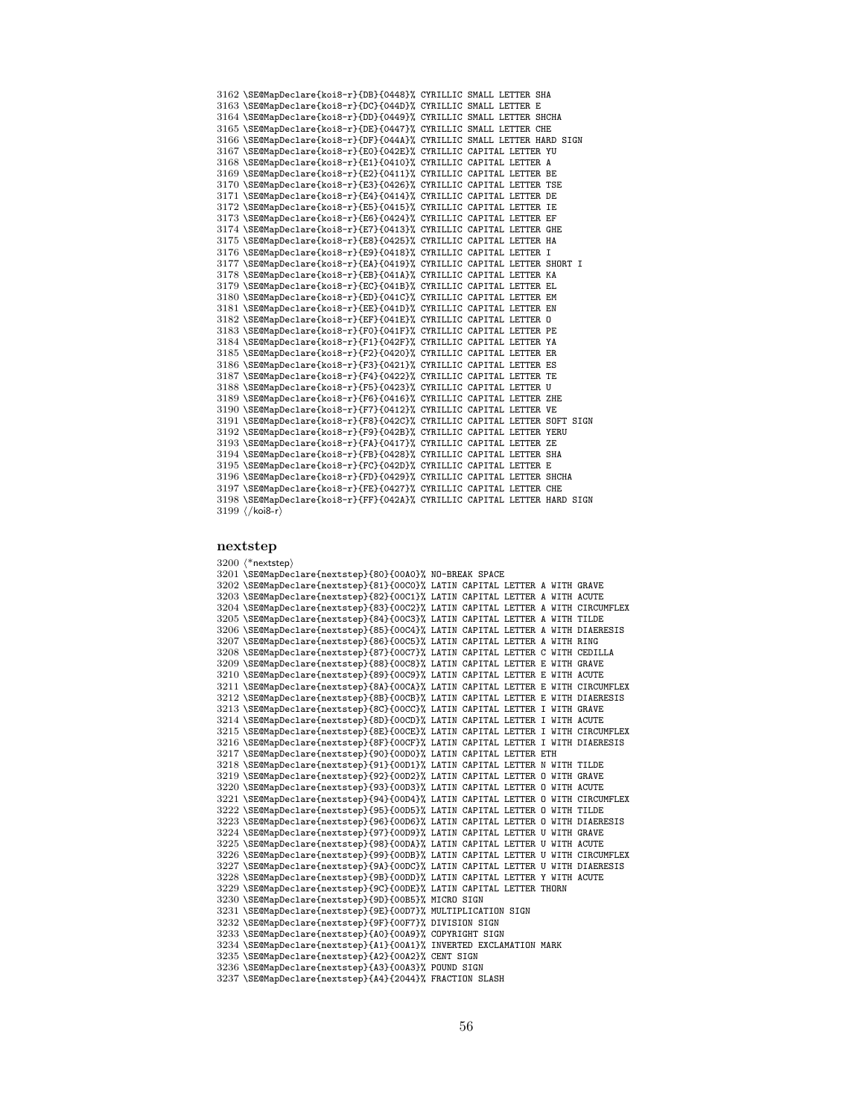```
3162 \SE@MapDeclare{koi8-r}{DB}{0448}% CYRILLIC SMALL LETTER SHA
3163 \SE@MapDeclare{koi8-r}{DC}{044D}% CYRILLIC SMALL LETTER E
3164 \SE@MapDeclare{koi8-r}{DD}{0449}% CYRILLIC SMALL LETTER SHCHA
3165 \SE@MapDeclare{koi8-r}{DE}{0447}% CYRILLIC SMALL LETTER CHE
3166 \SE@MapDeclare{koi8-r}{DF}{044A}% CYRILLIC SMALL LETTER HARD SIGN
3167 \SE@MapDeclare{koi8-r}{E0}{042E}% CYRILLIC CAPITAL LETTER YU
3168 \SE@MapDeclare{koi8-r}{E1}{0410}% CYRILLIC CAPITAL LETTER A
3169 \SE@MapDeclare{koi8-r}{E2}{0411}% CYRILLIC CAPITAL LETTER BE
3170 \SE@MapDeclare{koi8-r}{E3}{0426}% CYRILLIC CAPITAL LETTER TSE
3171 \SE@MapDeclare{koi8-r}{E4}{0414}% CYRILLIC CAPITAL LETTER DE
3172 \SE@MapDeclare{koi8-r}{E5}{0415}% CYRILLIC CAPITAL LETTER IE
3173 \SE@MapDeclare{koi8-r}{E6}{0424}% CYRILLIC CAPITAL LETTER EF
3174 \SE@MapDeclare{koi8-r}{E7}{0413}% CYRILLIC CAPITAL LETTER GHE
3175 \SE@MapDeclare{koi8-r}{E8}{0425}% CYRILLIC CAPITAL LETTER HA
3176 \SE@MapDeclare{koi8-r}{E9}{0418}% CYRILLIC CAPITAL LETTER I
3177 \SE@MapDeclare{koi8-r}{EA}{0419}% CYRILLIC CAPITAL LETTER SHORT I
3178 \SE@MapDeclare{koi8-r}{EB}{041A}% CYRILLIC CAPITAL LETTER KA
3179 \SE@MapDeclare{koi8-r}{EC}{041B}% CYRILLIC CAPITAL LETTER EL
3180 \SE@MapDeclare{koi8-r}{ED}{041C}% CYRILLIC CAPITAL LETTER EM
3181 \SE@MapDeclare{koi8-r}{EE}{041D}% CYRILLIC CAPITAL LETTER EN
3182 \SE@MapDeclare{koi8-r}{EF}{041E}% CYRILLIC CAPITAL LETTER O
3183 \SE@MapDeclare{koi8-r}{F0}{041F}% CYRILLIC CAPITAL LETTER PE
3184 \SE@MapDeclare{koi8-r}{F1}{042F}% CYRILLIC CAPITAL LETTER YA
3185 \SE@MapDeclare{koi8-r}{F2}{0420}% CYRILLIC CAPITAL LETTER ER
3186 \SE@MapDeclare{koi8-r}{F3}{0421}% CYRILLIC CAPITAL LETTER ES
3187 \SE@MapDeclare{koi8-r}{F4}{0422}% CYRILLIC CAPITAL LETTER TE
3188 \SE@MapDeclare{koi8-r}{F5}{0423}% CYRILLIC CAPITAL LETTER U
3189 \SE@MapDeclare{koi8-r}{F6}{0416}% CYRILLIC CAPITAL LETTER ZHE
3190 \SE@MapDeclare{koi8-r}{F7}{0412}% CYRILLIC CAPITAL LETTER VE
3191 \SE@MapDeclare{koi8-r}{F8}{042C}% CYRILLIC CAPITAL LETTER SOFT SIGN
3192 \SE@MapDeclare{koi8-r}{F9}{042B}% CYRILLIC CAPITAL LETTER YERU
3193 \SE@MapDeclare{koi8-r}{FA}{0417}% CYRILLIC CAPITAL LETTER ZE
3194 \SE@MapDeclare{koi8-r}{FB}{0428}% CYRILLIC CAPITAL LETTER SHA
3195 \SE@MapDeclare{koi8-r}{FC}{042D}% CYRILLIC CAPITAL LETTER E
3196 \SE@MapDeclare{koi8-r}{FD}{0429}% CYRILLIC CAPITAL LETTER SHCHA
3197 \SE@MapDeclare{koi8-r}{FE}{0427}% CYRILLIC CAPITAL LETTER CHE
3198 \SE@MapDeclare{koi8-r}{FF}{042A}% CYRILLIC CAPITAL LETTER HARD SIGN
3199 \langle / \text{koi8-r} \rangle
```
#### nextstep

3200 (\*nextstep) \SE@MapDeclare{nextstep}{80}{00A0}% NO-BREAK SPACE \SE@MapDeclare{nextstep}{81}{00C0}% LATIN CAPITAL LETTER A WITH GRAVE \SE@MapDeclare{nextstep}{82}{00C1}% LATIN CAPITAL LETTER A WITH ACUTE \SE@MapDeclare{nextstep}{83}{00C2}% LATIN CAPITAL LETTER A WITH CIRCUMFLEX \SE@MapDeclare{nextstep}{84}{00C3}% LATIN CAPITAL LETTER A WITH TILDE \SE@MapDeclare{nextstep}{85}{00C4}% LATIN CAPITAL LETTER A WITH DIAERESIS \SE@MapDeclare{nextstep}{86}{00C5}% LATIN CAPITAL LETTER A WITH RING \SE@MapDeclare{nextstep}{87}{00C7}% LATIN CAPITAL LETTER C WITH CEDILLA \SE@MapDeclare{nextstep}{88}{00C8}% LATIN CAPITAL LETTER E WITH GRAVE \SE@MapDeclare{nextstep}{89}{00C9}% LATIN CAPITAL LETTER E WITH ACUTE \SE@MapDeclare{nextstep}{8A}{00CA}% LATIN CAPITAL LETTER E WITH CIRCUMFLEX \SE@MapDeclare{nextstep}{8B}{00CB}% LATIN CAPITAL LETTER E WITH DIAERESIS \SE@MapDeclare{nextstep}{8C}{00CC}% LATIN CAPITAL LETTER I WITH GRAVE \SE@MapDeclare{nextstep}{8D}{00CD}% LATIN CAPITAL LETTER I WITH ACUTE \SE@MapDeclare{nextstep}{8E}{00CE}% LATIN CAPITAL LETTER I WITH CIRCUMFLEX \SE@MapDeclare{nextstep}{8F}{00CF}% LATIN CAPITAL LETTER I WITH DIAERESIS \SE@MapDeclare{nextstep}{90}{00D0}% LATIN CAPITAL LETTER ETH \SE@MapDeclare{nextstep}{91}{00D1}% LATIN CAPITAL LETTER N WITH TILDE \SE@MapDeclare{nextstep}{92}{00D2}% LATIN CAPITAL LETTER O WITH GRAVE \SE@MapDeclare{nextstep}{93}{00D3}% LATIN CAPITAL LETTER O WITH ACUTE \SE@MapDeclare{nextstep}{94}{00D4}% LATIN CAPITAL LETTER O WITH CIRCUMFLEX \SE@MapDeclare{nextstep}{95}{00D5}% LATIN CAPITAL LETTER O WITH TILDE \SE@MapDeclare{nextstep}{96}{00D6}% LATIN CAPITAL LETTER O WITH DIAERESIS \SE@MapDeclare{nextstep}{97}{00D9}% LATIN CAPITAL LETTER U WITH GRAVE \SE@MapDeclare{nextstep}{98}{00DA}% LATIN CAPITAL LETTER U WITH ACUTE \SE@MapDeclare{nextstep}{99}{00DB}% LATIN CAPITAL LETTER U WITH CIRCUMFLEX \SE@MapDeclare{nextstep}{9A}{00DC}% LATIN CAPITAL LETTER U WITH DIAERESIS \SE@MapDeclare{nextstep}{9B}{00DD}% LATIN CAPITAL LETTER Y WITH ACUTE \SE@MapDeclare{nextstep}{9C}{00DE}% LATIN CAPITAL LETTER THORN \SE@MapDeclare{nextstep}{9D}{00B5}% MICRO SIGN \SE@MapDeclare{nextstep}{9E}{00D7}% MULTIPLICATION SIGN \SE@MapDeclare{nextstep}{9F}{00F7}% DIVISION SIGN \SE@MapDeclare{nextstep}{A0}{00A9}% COPYRIGHT SIGN \SE@MapDeclare{nextstep}{A1}{00A1}% INVERTED EXCLAMATION MARK \SE@MapDeclare{nextstep}{A2}{00A2}% CENT SIGN \SE@MapDeclare{nextstep}{A3}{00A3}% POUND SIGN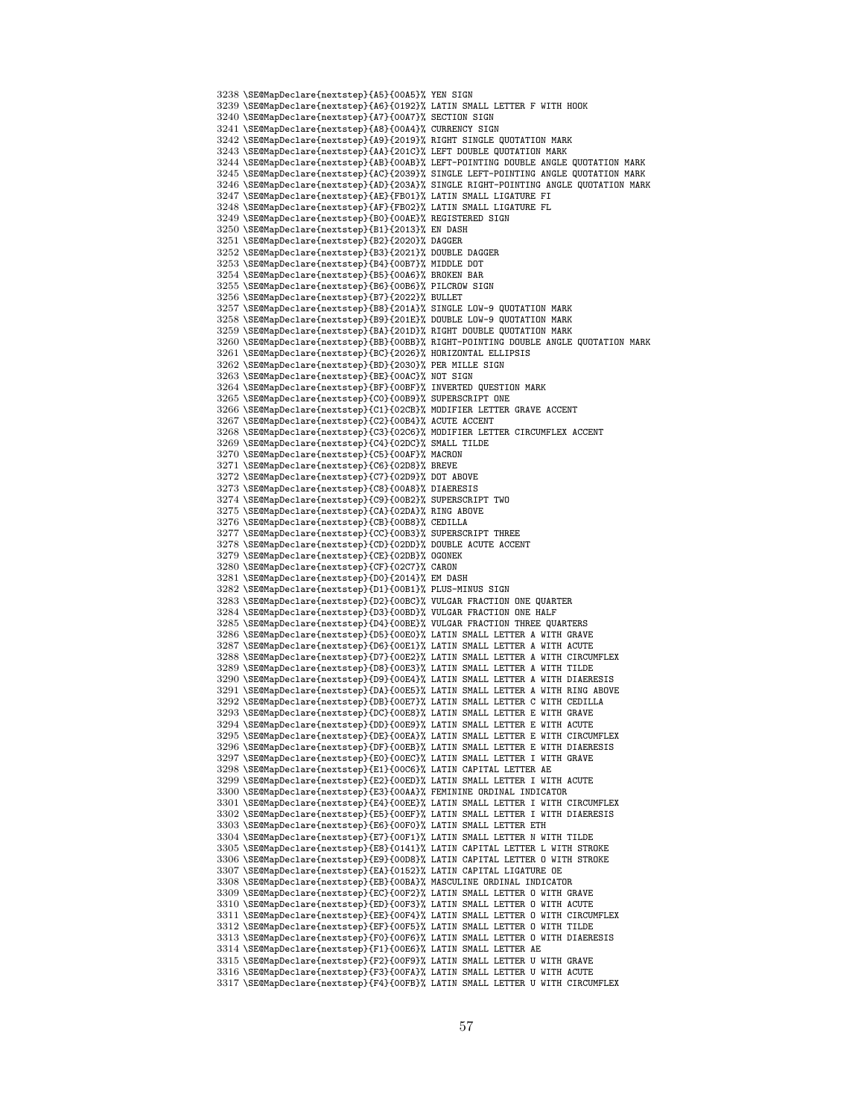\SE@MapDeclare{nextstep}{A5}{00A5}% YEN SIGN \SE@MapDeclare{nextstep}{A6}{0192}% LATIN SMALL LETTER F WITH HOOK \SE@MapDeclare{nextstep}{A7}{00A7}% SECTION SIGN \SE@MapDeclare{nextstep}{A8}{00A4}% CURRENCY SIGN \SE@MapDeclare{nextstep}{A9}{2019}% RIGHT SINGLE QUOTATION MARK \SE@MapDeclare{nextstep}{AA}{201C}% LEFT DOUBLE QUOTATION MARK \SE@MapDeclare{nextstep}{AB}{00AB}% LEFT-POINTING DOUBLE ANGLE QUOTATION MARK \SE@MapDeclare{nextstep}{AC}{2039}% SINGLE LEFT-POINTING ANGLE QUOTATION MARK \SE@MapDeclare{nextstep}{AD}{203A}% SINGLE RIGHT-POINTING ANGLE QUOTATION MARK \SE@MapDeclare{nextstep}{AE}{FB01}% LATIN SMALL LIGATURE FI \SE@MapDeclare{nextstep}{AF}{FB02}% LATIN SMALL LIGATURE FL \SE@MapDeclare{nextstep}{B0}{00AE}% REGISTERED SIGN \SE@MapDeclare{nextstep}{B1}{2013}% EN DASH \SE@MapDeclare{nextstep}{B2}{2020}% DAGGER \SE@MapDeclare{nextstep}{B3}{2021}% DOUBLE DAGGER \SE@MapDeclare{nextstep}{B4}{00B7}% MIDDLE DOT \SE@MapDeclare{nextstep}{B5}{00A6}% BROKEN BAR \SE@MapDeclare{nextstep}{B6}{00B6}% PILCROW SIGN \SE@MapDeclare{nextstep}{B7}{2022}% BULLET \SE@MapDeclare{nextstep}{B8}{201A}% SINGLE LOW-9 QUOTATION MARK \SE@MapDeclare{nextstep}{B9}{201E}% DOUBLE LOW-9 QUOTATION MARK \SE@MapDeclare{nextstep}{BA}{201D}% RIGHT DOUBLE QUOTATION MARK \SE@MapDeclare{nextstep}{BB}{00BB}% RIGHT-POINTING DOUBLE ANGLE QUOTATION MARK \SE@MapDeclare{nextstep}{BC}{2026}% HORIZONTAL ELLIPSIS \SE@MapDeclare{nextstep}{BD}{2030}% PER MILLE SIGN \SE@MapDeclare{nextstep}{BE}{00AC}% NOT SIGN \SE@MapDeclare{nextstep}{BF}{00BF}% INVERTED QUESTION MARK \SE@MapDeclare{nextstep}{C0}{00B9}% SUPERSCRIPT ONE \SE@MapDeclare{nextstep}{C1}{02CB}% MODIFIER LETTER GRAVE ACCENT \SE@MapDeclare{nextstep}{C2}{00B4}% ACUTE ACCENT \SE@MapDeclare{nextstep}{C3}{02C6}% MODIFIER LETTER CIRCUMFLEX ACCENT \SE@MapDeclare{nextstep}{C4}{02DC}% SMALL TILDE \SE@MapDeclare{nextstep}{C5}{00AF}% MACRON \SE@MapDeclare{nextstep}{C6}{02D8}% BREVE \SE@MapDeclare{nextstep}{C7}{02D9}% DOT ABOVE \SE@MapDeclare{nextstep}{C8}{00A8}% DIAERESIS \SE@MapDeclare{nextstep}{C9}{00B2}% SUPERSCRIPT TWO \SE@MapDeclare{nextstep}{CA}{02DA}% RING ABOVE \SE@MapDeclare{nextstep}{CB}{00B8}% CEDILLA \SE@MapDeclare{nextstep}{CC}{00B3}% SUPERSCRIPT THREE \SE@MapDeclare{nextstep}{CD}{02DD}% DOUBLE ACUTE ACCENT \SE@MapDeclare{nextstep}{CE}{02DB}% OGONEK \SE@MapDeclare{nextstep}{CF}{02C7}% CARON \SE@MapDeclare{nextstep}{D0}{2014}% EM DASH \SE@MapDeclare{nextstep}{D1}{00B1}% PLUS-MINUS SIGN \SE@MapDeclare{nextstep}{D2}{00BC}% VULGAR FRACTION ONE QUARTER \SE@MapDeclare{nextstep}{D3}{00BD}% VULGAR FRACTION ONE HALF \SE@MapDeclare{nextstep}{D4}{00BE}% VULGAR FRACTION THREE QUARTERS \SE@MapDeclare{nextstep}{D5}{00E0}% LATIN SMALL LETTER A WITH GRAVE \SE@MapDeclare{nextstep}{D6}{00E1}% LATIN SMALL LETTER A WITH ACUTE \SE@MapDeclare{nextstep}{D7}{00E2}% LATIN SMALL LETTER A WITH CIRCUMFLEX \SE@MapDeclare{nextstep}{D8}{00E3}% LATIN SMALL LETTER A WITH TILDE \SE@MapDeclare{nextstep}{D9}{00E4}% LATIN SMALL LETTER A WITH DIAERESIS \SE@MapDeclare{nextstep}{DA}{00E5}% LATIN SMALL LETTER A WITH RING ABOVE \SE@MapDeclare{nextstep}{DB}{00E7}% LATIN SMALL LETTER C WITH CEDILLA \SE@MapDeclare{nextstep}{DC}{00E8}% LATIN SMALL LETTER E WITH GRAVE \SE@MapDeclare{nextstep}{DD}{00E9}% LATIN SMALL LETTER E WITH ACUTE \SE@MapDeclare{nextstep}{DE}{00EA}% LATIN SMALL LETTER E WITH CIRCUMFLEX \SE@MapDeclare{nextstep}{DF}{00EB}% LATIN SMALL LETTER E WITH DIAERESIS \SE@MapDeclare{nextstep}{E0}{00EC}% LATIN SMALL LETTER I WITH GRAVE \SE@MapDeclare{nextstep}{E1}{00C6}% LATIN CAPITAL LETTER AE \SE@MapDeclare{nextstep}{E2}{00ED}% LATIN SMALL LETTER I WITH ACUTE \SE@MapDeclare{nextstep}{E3}{00AA}% FEMININE ORDINAL INDICATOR \SE@MapDeclare{nextstep}{E4}{00EE}% LATIN SMALL LETTER I WITH CIRCUMFLEX \SE@MapDeclare{nextstep}{E5}{00EF}% LATIN SMALL LETTER I WITH DIAERESIS \SE@MapDeclare{nextstep}{E6}{00F0}% LATIN SMALL LETTER ETH \SE@MapDeclare{nextstep}{E7}{00F1}% LATIN SMALL LETTER N WITH TILDE \SE@MapDeclare{nextstep}{E8}{0141}% LATIN CAPITAL LETTER L WITH STROKE \SE@MapDeclare{nextstep}{E9}{00D8}% LATIN CAPITAL LETTER O WITH STROKE \SE@MapDeclare{nextstep}{EA}{0152}% LATIN CAPITAL LIGATURE OE \SE@MapDeclare{nextstep}{EB}{00BA}% MASCULINE ORDINAL INDICATOR \SE@MapDeclare{nextstep}{EC}{00F2}% LATIN SMALL LETTER O WITH GRAVE \SE@MapDeclare{nextstep}{ED}{00F3}% LATIN SMALL LETTER O WITH ACUTE \SE@MapDeclare{nextstep}{EE}{00F4}% LATIN SMALL LETTER O WITH CIRCUMFLEX \SE@MapDeclare{nextstep}{EF}{00F5}% LATIN SMALL LETTER O WITH TILDE \SE@MapDeclare{nextstep}{F0}{00F6}% LATIN SMALL LETTER O WITH DIAERESIS \SE@MapDeclare{nextstep}{F1}{00E6}% LATIN SMALL LETTER AE \SE@MapDeclare{nextstep}{F2}{00F9}% LATIN SMALL LETTER U WITH GRAVE \SE@MapDeclare{nextstep}{F3}{00FA}% LATIN SMALL LETTER U WITH ACUTE \SE@MapDeclare{nextstep}{F4}{00FB}% LATIN SMALL LETTER U WITH CIRCUMFLEX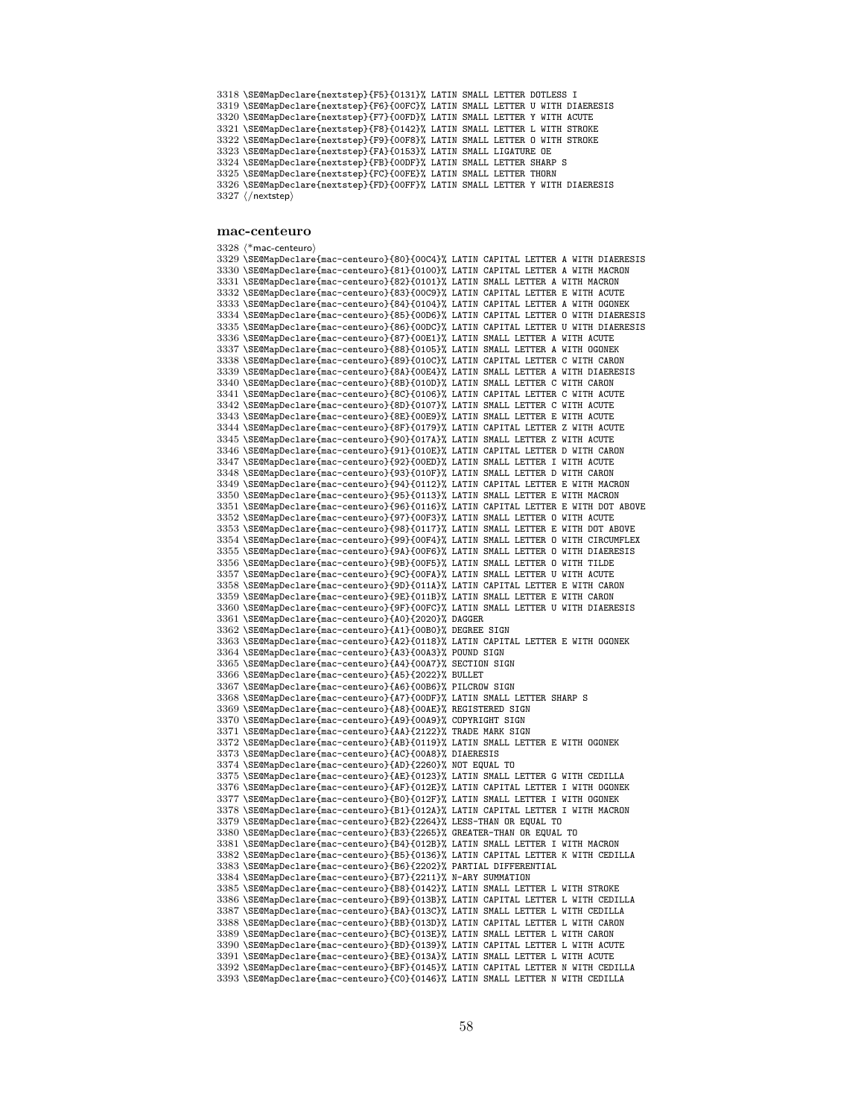- \SE@MapDeclare{nextstep}{F5}{0131}% LATIN SMALL LETTER DOTLESS I \SE@MapDeclare{nextstep}{F6}{00FC}% LATIN SMALL LETTER U WITH DIAERESIS \SE@MapDeclare{nextstep}{F7}{00FD}% LATIN SMALL LETTER Y WITH ACUTE \SE@MapDeclare{nextstep}{F8}{0142}% LATIN SMALL LETTER L WITH STROKE \SE@MapDeclare{nextstep}{F9}{00F8}% LATIN SMALL LETTER O WITH STROKE \SE@MapDeclare{nextstep}{FA}{0153}% LATIN SMALL LIGATURE OE \SE@MapDeclare{nextstep}{FB}{00DF}% LATIN SMALL LETTER SHARP S \SE@MapDeclare{nextstep}{FC}{00FE}% LATIN SMALL LETTER THORN \SE@MapDeclare{nextstep}{FD}{00FF}% LATIN SMALL LETTER Y WITH DIAERESIS
- 3327 (/nextstep)

## mac-centeuro

 $\langle$ \*mac-centeuro $\rangle$  \SE@MapDeclare{mac-centeuro}{80}{00C4}% LATIN CAPITAL LETTER A WITH DIAERESIS \SE@MapDeclare{mac-centeuro}{81}{0100}% LATIN CAPITAL LETTER A WITH MACRON \SE@MapDeclare{mac-centeuro}{82}{0101}% LATIN SMALL LETTER A WITH MACRON \SE@MapDeclare{mac-centeuro}{83}{00C9}% LATIN CAPITAL LETTER E WITH ACUTE \SE@MapDeclare{mac-centeuro}{84}{0104}% LATIN CAPITAL LETTER A WITH OGONEK \SE@MapDeclare{mac-centeuro}{85}{00D6}% LATIN CAPITAL LETTER O WITH DIAERESIS \SE@MapDeclare{mac-centeuro}{86}{00DC}% LATIN CAPITAL LETTER U WITH DIAERESIS \SE@MapDeclare{mac-centeuro}{87}{00E1}% LATIN SMALL LETTER A WITH ACUTE \SE@MapDeclare{mac-centeuro}{88}{0105}% LATIN SMALL LETTER A WITH OGONEK \SE@MapDeclare{mac-centeuro}{89}{010C}% LATIN CAPITAL LETTER C WITH CARON \SE@MapDeclare{mac-centeuro}{8A}{00E4}% LATIN SMALL LETTER A WITH DIAERESIS \SE@MapDeclare{mac-centeuro}{8B}{010D}% LATIN SMALL LETTER C WITH CARON \SE@MapDeclare{mac-centeuro}{8C}{0106}% LATIN CAPITAL LETTER C WITH ACUTE \SE@MapDeclare{mac-centeuro}{8D}{0107}% LATIN SMALL LETTER C WITH ACUTE \SE@MapDeclare{mac-centeuro}{8E}{00E9}% LATIN SMALL LETTER E WITH ACUTE \SE@MapDeclare{mac-centeuro}{8F}{0179}% LATIN CAPITAL LETTER Z WITH ACUTE \SE@MapDeclare{mac-centeuro}{90}{017A}% LATIN SMALL LETTER Z WITH ACUTE \SE@MapDeclare{mac-centeuro}{91}{010E}% LATIN CAPITAL LETTER D WITH CARON \SE@MapDeclare{mac-centeuro}{92}{00ED}% LATIN SMALL LETTER I WITH ACUTE \SE@MapDeclare{mac-centeuro}{93}{010F}% LATIN SMALL LETTER D WITH CARON \SE@MapDeclare{mac-centeuro}{94}{0112}% LATIN CAPITAL LETTER E WITH MACRON \SE@MapDeclare{mac-centeuro}{95}{0113}% LATIN SMALL LETTER E WITH MACRON \SE@MapDeclare{mac-centeuro}{96}{0116}% LATIN CAPITAL LETTER E WITH DOT ABOVE \SE@MapDeclare{mac-centeuro}{97}{00F3}% LATIN SMALL LETTER O WITH ACUTE \SE@MapDeclare{mac-centeuro}{98}{0117}% LATIN SMALL LETTER E WITH DOT ABOVE \SE@MapDeclare{mac-centeuro}{99}{00F4}% LATIN SMALL LETTER O WITH CIRCUMFLEX \SE@MapDeclare{mac-centeuro}{9A}{00F6}% LATIN SMALL LETTER O WITH DIAERESIS \SE@MapDeclare{mac-centeuro}{9B}{00F5}% LATIN SMALL LETTER O WITH TILDE \SE@MapDeclare{mac-centeuro}{9C}{00FA}% LATIN SMALL LETTER U WITH ACUTE \SE@MapDeclare{mac-centeuro}{9D}{011A}% LATIN CAPITAL LETTER E WITH CARON \SE@MapDeclare{mac-centeuro}{9E}{011B}% LATIN SMALL LETTER E WITH CARON \SE@MapDeclare{mac-centeuro}{9F}{00FC}% LATIN SMALL LETTER U WITH DIAERESIS \SE@MapDeclare{mac-centeuro}{A0}{2020}% DAGGER \SE@MapDeclare{mac-centeuro}{A1}{00B0}% DEGREE SIGN \SE@MapDeclare{mac-centeuro}{A2}{0118}% LATIN CAPITAL LETTER E WITH OGONEK \SE@MapDeclare{mac-centeuro}{A3}{00A3}% POUND SIGN \SE@MapDeclare{mac-centeuro}{A4}{00A7}% SECTION SIGN \SE@MapDeclare{mac-centeuro}{A5}{2022}% BULLET \SE@MapDeclare{mac-centeuro}{A6}{00B6}% PILCROW SIGN \SE@MapDeclare{mac-centeuro}{A7}{00DF}% LATIN SMALL LETTER SHARP S \SE@MapDeclare{mac-centeuro}{A8}{00AE}% REGISTERED SIGN \SE@MapDeclare{mac-centeuro}{A9}{00A9}% COPYRIGHT SIGN \SE@MapDeclare{mac-centeuro}{AA}{2122}% TRADE MARK SIGN \SE@MapDeclare{mac-centeuro}{AB}{0119}% LATIN SMALL LETTER E WITH OGONEK \SE@MapDeclare{mac-centeuro}{AC}{00A8}% DIAERESIS \SE@MapDeclare{mac-centeuro}{AD}{2260}% NOT EQUAL TO \SE@MapDeclare{mac-centeuro}{AE}{0123}% LATIN SMALL LETTER G WITH CEDILLA \SE@MapDeclare{mac-centeuro}{AF}{012E}% LATIN CAPITAL LETTER I WITH OGONEK \SE@MapDeclare{mac-centeuro}{B0}{012F}% LATIN SMALL LETTER I WITH OGONEK \SE@MapDeclare{mac-centeuro}{B1}{012A}% LATIN CAPITAL LETTER I WITH MACRON \SE@MapDeclare{mac-centeuro}{B2}{2264}% LESS-THAN OR EQUAL TO \SE@MapDeclare{mac-centeuro}{B3}{2265}% GREATER-THAN OR EQUAL TO \SE@MapDeclare{mac-centeuro}{B4}{012B}% LATIN SMALL LETTER I WITH MACRON \SE@MapDeclare{mac-centeuro}{B5}{0136}% LATIN CAPITAL LETTER K WITH CEDILLA \SE@MapDeclare{mac-centeuro}{B6}{2202}% PARTIAL DIFFERENTIAL \SE@MapDeclare{mac-centeuro}{B7}{2211}% N-ARY SUMMATION \SE@MapDeclare{mac-centeuro}{B8}{0142}% LATIN SMALL LETTER L WITH STROKE \SE@MapDeclare{mac-centeuro}{B9}{013B}% LATIN CAPITAL LETTER L WITH CEDILLA \SE@MapDeclare{mac-centeuro}{BA}{013C}% LATIN SMALL LETTER L WITH CEDILLA \SE@MapDeclare{mac-centeuro}{BB}{013D}% LATIN CAPITAL LETTER L WITH CARON \SE@MapDeclare{mac-centeuro}{BC}{013E}% LATIN SMALL LETTER L WITH CARON \SE@MapDeclare{mac-centeuro}{BD}{0139}% LATIN CAPITAL LETTER L WITH ACUTE \SE@MapDeclare{mac-centeuro}{BE}{013A}% LATIN SMALL LETTER L WITH ACUTE \SE@MapDeclare{mac-centeuro}{BF}{0145}% LATIN CAPITAL LETTER N WITH CEDILLA \SE@MapDeclare{mac-centeuro}{C0}{0146}% LATIN SMALL LETTER N WITH CEDILLA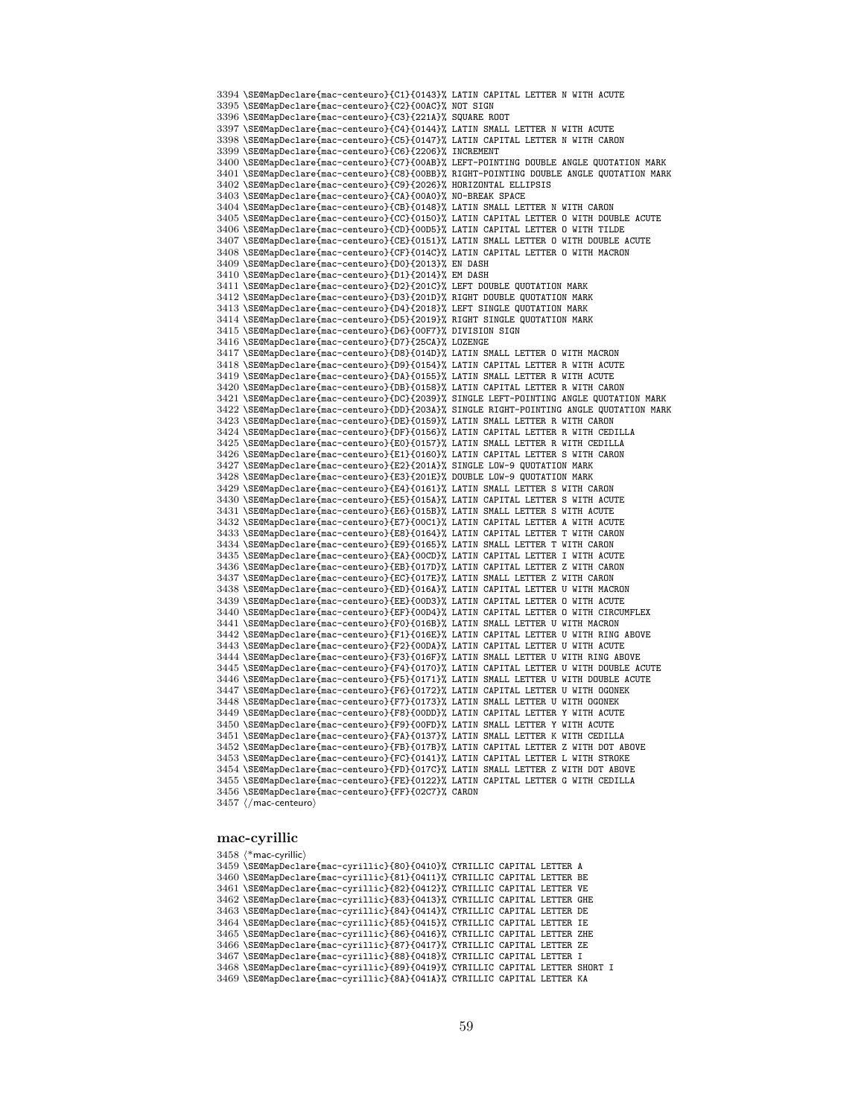\SE@MapDeclare{mac-centeuro}{C1}{0143}% LATIN CAPITAL LETTER N WITH ACUTE \SE@MapDeclare{mac-centeuro}{C2}{00AC}% NOT SIGN \SE@MapDeclare{mac-centeuro}{C3}{221A}% SQUARE ROOT \SE@MapDeclare{mac-centeuro}{C4}{0144}% LATIN SMALL LETTER N WITH ACUTE \SE@MapDeclare{mac-centeuro}{C5}{0147}% LATIN CAPITAL LETTER N WITH CARON \SE@MapDeclare{mac-centeuro}{C6}{2206}% INCREMENT \SE@MapDeclare{mac-centeuro}{C7}{00AB}% LEFT-POINTING DOUBLE ANGLE QUOTATION MARK \SE@MapDeclare{mac-centeuro}{C8}{00BB}% RIGHT-POINTING DOUBLE ANGLE QUOTATION MARK \SE@MapDeclare{mac-centeuro}{C9}{2026}% HORIZONTAL ELLIPSIS \SE@MapDeclare{mac-centeuro}{CA}{00A0}% NO-BREAK SPACE \SE@MapDeclare{mac-centeuro}{CB}{0148}% LATIN SMALL LETTER N WITH CARON \SE@MapDeclare{mac-centeuro}{CC}{0150}% LATIN CAPITAL LETTER O WITH DOUBLE ACUTE \SE@MapDeclare{mac-centeuro}{CD}{00D5}% LATIN CAPITAL LETTER O WITH TILDE \SE@MapDeclare{mac-centeuro}{CE}{0151}% LATIN SMALL LETTER O WITH DOUBLE ACUTE \SE@MapDeclare{mac-centeuro}{CF}{014C}% LATIN CAPITAL LETTER O WITH MACRON \SE@MapDeclare{mac-centeuro}{D0}{2013}% EN DASH \SE@MapDeclare{mac-centeuro}{D1}{2014}% EM DASH \SE@MapDeclare{mac-centeuro}{D2}{201C}% LEFT DOUBLE QUOTATION MARK \SE@MapDeclare{mac-centeuro}{D3}{201D}% RIGHT DOUBLE QUOTATION MARK \SE@MapDeclare{mac-centeuro}{D4}{2018}% LEFT SINGLE QUOTATION MARK \SE@MapDeclare{mac-centeuro}{D5}{2019}% RIGHT SINGLE QUOTATION MARK \SE@MapDeclare{mac-centeuro}{D6}{00F7}% DIVISION SIGN \SE@MapDeclare{mac-centeuro}{D7}{25CA}% LOZENGE \SE@MapDeclare{mac-centeuro}{D8}{014D}% LATIN SMALL LETTER O WITH MACRON \SE@MapDeclare{mac-centeuro}{D9}{0154}% LATIN CAPITAL LETTER R WITH ACUTE \SE@MapDeclare{mac-centeuro}{DA}{0155}% LATIN SMALL LETTER R WITH ACUTE \SE@MapDeclare{mac-centeuro}{DB}{0158}% LATIN CAPITAL LETTER R WITH CARON \SE@MapDeclare{mac-centeuro}{DC}{2039}% SINGLE LEFT-POINTING ANGLE QUOTATION MARK \SE@MapDeclare{mac-centeuro}{DD}{203A}% SINGLE RIGHT-POINTING ANGLE QUOTATION MARK \SE@MapDeclare{mac-centeuro}{DE}{0159}% LATIN SMALL LETTER R WITH CARON \SE@MapDeclare{mac-centeuro}{DF}{0156}% LATIN CAPITAL LETTER R WITH CEDILLA \SE@MapDeclare{mac-centeuro}{E0}{0157}% LATIN SMALL LETTER R WITH CEDILLA \SE@MapDeclare{mac-centeuro}{E1}{0160}% LATIN CAPITAL LETTER S WITH CARON \SE@MapDeclare{mac-centeuro}{E2}{201A}% SINGLE LOW-9 QUOTATION MARK \SE@MapDeclare{mac-centeuro}{E3}{201E}% DOUBLE LOW-9 QUOTATION MARK \SE@MapDeclare{mac-centeuro}{E4}{0161}% LATIN SMALL LETTER S WITH CARON \SE@MapDeclare{mac-centeuro}{E5}{015A}% LATIN CAPITAL LETTER S WITH ACUTE \SE@MapDeclare{mac-centeuro}{E6}{015B}% LATIN SMALL LETTER S WITH ACUTE \SE@MapDeclare{mac-centeuro}{E7}{00C1}% LATIN CAPITAL LETTER A WITH ACUTE \SE@MapDeclare{mac-centeuro}{E8}{0164}% LATIN CAPITAL LETTER T WITH CARON \SE@MapDeclare{mac-centeuro}{E9}{0165}% LATIN SMALL LETTER T WITH CARON \SE@MapDeclare{mac-centeuro}{EA}{00CD}% LATIN CAPITAL LETTER I WITH ACUTE \SE@MapDeclare{mac-centeuro}{EB}{017D}% LATIN CAPITAL LETTER Z WITH CARON \SE@MapDeclare{mac-centeuro}{EC}{017E}% LATIN SMALL LETTER Z WITH CARON \SE@MapDeclare{mac-centeuro}{ED}{016A}% LATIN CAPITAL LETTER U WITH MACRON \SE@MapDeclare{mac-centeuro}{EE}{00D3}% LATIN CAPITAL LETTER O WITH ACUTE \SE@MapDeclare{mac-centeuro}{EF}{00D4}% LATIN CAPITAL LETTER O WITH CIRCUMFLEX \SE@MapDeclare{mac-centeuro}{F0}{016B}% LATIN SMALL LETTER U WITH MACRON \SE@MapDeclare{mac-centeuro}{F1}{016E}% LATIN CAPITAL LETTER U WITH RING ABOVE \SE@MapDeclare{mac-centeuro}{F2}{00DA}% LATIN CAPITAL LETTER U WITH ACUTE \SE@MapDeclare{mac-centeuro}{F3}{016F}% LATIN SMALL LETTER U WITH RING ABOVE \SE@MapDeclare{mac-centeuro}{F4}{0170}% LATIN CAPITAL LETTER U WITH DOUBLE ACUTE \SE@MapDeclare{mac-centeuro}{F5}{0171}% LATIN SMALL LETTER U WITH DOUBLE ACUTE \SE@MapDeclare{mac-centeuro}{F6}{0172}% LATIN CAPITAL LETTER U WITH OGONEK \SE@MapDeclare{mac-centeuro}{F7}{0173}% LATIN SMALL LETTER U WITH OGONEK \SE@MapDeclare{mac-centeuro}{F8}{00DD}% LATIN CAPITAL LETTER Y WITH ACUTE \SE@MapDeclare{mac-centeuro}{F9}{00FD}% LATIN SMALL LETTER Y WITH ACUTE \SE@MapDeclare{mac-centeuro}{FA}{0137}% LATIN SMALL LETTER K WITH CEDILLA \SE@MapDeclare{mac-centeuro}{FB}{017B}% LATIN CAPITAL LETTER Z WITH DOT ABOVE \SE@MapDeclare{mac-centeuro}{FC}{0141}% LATIN CAPITAL LETTER L WITH STROKE \SE@MapDeclare{mac-centeuro}{FD}{017C}% LATIN SMALL LETTER Z WITH DOT ABOVE \SE@MapDeclare{mac-centeuro}{FE}{0122}% LATIN CAPITAL LETTER G WITH CEDILLA \SE@MapDeclare{mac-centeuro}{FF}{02C7}% CARON 3457 (/mac-centeuro)

# mac-cyrillic

  $\langle$ \*mac-cyrillic $\rangle$  \SE@MapDeclare{mac-cyrillic}{80}{0410}% CYRILLIC CAPITAL LETTER A \SE@MapDeclare{mac-cyrillic}{81}{0411}% CYRILLIC CAPITAL LETTER BE \SE@MapDeclare{mac-cyrillic}{82}{0412}% CYRILLIC CAPITAL LETTER VE \SE@MapDeclare{mac-cyrillic}{83}{0413}% CYRILLIC CAPITAL LETTER GHE \SE@MapDeclare{mac-cyrillic}{84}{0414}% CYRILLIC CAPITAL LETTER DE \SE@MapDeclare{mac-cyrillic}{85}{0415}% CYRILLIC CAPITAL LETTER IE \SE@MapDeclare{mac-cyrillic}{86}{0416}% CYRILLIC CAPITAL LETTER ZHE \SE@MapDeclare{mac-cyrillic}{87}{0417}% CYRILLIC CAPITAL LETTER ZE \SE@MapDeclare{mac-cyrillic}{88}{0418}% CYRILLIC CAPITAL LETTER I \SE@MapDeclare{mac-cyrillic}{89}{0419}% CYRILLIC CAPITAL LETTER SHORT I \SE@MapDeclare{mac-cyrillic}{8A}{041A}% CYRILLIC CAPITAL LETTER KA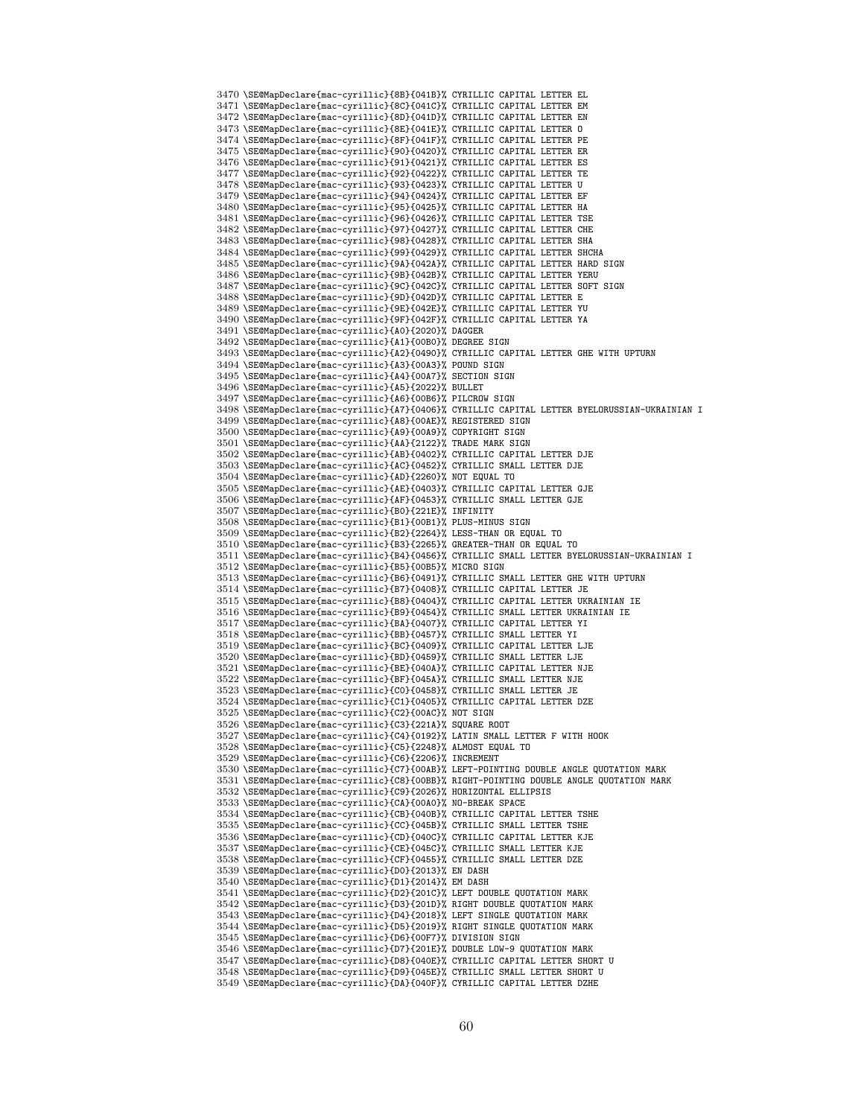\SE@MapDeclare{mac-cyrillic}{8B}{041B}% CYRILLIC CAPITAL LETTER EL \SE@MapDeclare{mac-cyrillic}{8C}{041C}% CYRILLIC CAPITAL LETTER EM \SE@MapDeclare{mac-cyrillic}{8D}{041D}% CYRILLIC CAPITAL LETTER EN \SE@MapDeclare{mac-cyrillic}{8E}{041E}% CYRILLIC CAPITAL LETTER O \SE@MapDeclare{mac-cyrillic}{8F}{041F}% CYRILLIC CAPITAL LETTER PE \SE@MapDeclare{mac-cyrillic}{90}{0420}% CYRILLIC CAPITAL LETTER ER \SE@MapDeclare{mac-cyrillic}{91}{0421}% CYRILLIC CAPITAL LETTER ES \SE@MapDeclare{mac-cyrillic}{92}{0422}% CYRILLIC CAPITAL LETTER TE \SE@MapDeclare{mac-cyrillic}{93}{0423}% CYRILLIC CAPITAL LETTER U \SE@MapDeclare{mac-cyrillic}{94}{0424}% CYRILLIC CAPITAL LETTER EF \SE@MapDeclare{mac-cyrillic}{95}{0425}% CYRILLIC CAPITAL LETTER HA \SE@MapDeclare{mac-cyrillic}{96}{0426}% CYRILLIC CAPITAL LETTER TSE \SE@MapDeclare{mac-cyrillic}{97}{0427}% CYRILLIC CAPITAL LETTER CHE \SE@MapDeclare{mac-cyrillic}{98}{0428}% CYRILLIC CAPITAL LETTER SHA \SE@MapDeclare{mac-cyrillic}{99}{0429}% CYRILLIC CAPITAL LETTER SHCHA \SE@MapDeclare{mac-cyrillic}{9A}{042A}% CYRILLIC CAPITAL LETTER HARD SIGN \SE@MapDeclare{mac-cyrillic}{9B}{042B}% CYRILLIC CAPITAL LETTER YERU \SE@MapDeclare{mac-cyrillic}{9C}{042C}% CYRILLIC CAPITAL LETTER SOFT SIGN \SE@MapDeclare{mac-cyrillic}{9D}{042D}% CYRILLIC CAPITAL LETTER E \SE@MapDeclare{mac-cyrillic}{9E}{042E}% CYRILLIC CAPITAL LETTER YU \SE@MapDeclare{mac-cyrillic}{9F}{042F}% CYRILLIC CAPITAL LETTER YA \SE@MapDeclare{mac-cyrillic}{A0}{2020}% DAGGER \SE@MapDeclare{mac-cyrillic}{A1}{00B0}% DEGREE SIGN \SE@MapDeclare{mac-cyrillic}{A2}{0490}% CYRILLIC CAPITAL LETTER GHE WITH UPTURN \SE@MapDeclare{mac-cyrillic}{A3}{00A3}% POUND SIGN \SE@MapDeclare{mac-cyrillic}{A4}{00A7}% SECTION SIGN \SE@MapDeclare{mac-cyrillic}{A5}{2022}% BULLET \SE@MapDeclare{mac-cyrillic}{A6}{00B6}% PILCROW SIGN \SE@MapDeclare{mac-cyrillic}{A7}{0406}% CYRILLIC CAPITAL LETTER BYELORUSSIAN-UKRAINIAN I \SE@MapDeclare{mac-cyrillic}{A8}{00AE}% REGISTERED SIGN \SE@MapDeclare{mac-cyrillic}{A9}{00A9}% COPYRIGHT SIGN \SE@MapDeclare{mac-cyrillic}{AA}{2122}% TRADE MARK SIGN \SE@MapDeclare{mac-cyrillic}{AB}{0402}% CYRILLIC CAPITAL LETTER DJE \SE@MapDeclare{mac-cyrillic}{AC}{0452}% CYRILLIC SMALL LETTER DJE \SE@MapDeclare{mac-cyrillic}{AD}{2260}% NOT EQUAL TO \SE@MapDeclare{mac-cyrillic}{AE}{0403}% CYRILLIC CAPITAL LETTER GJE \SE@MapDeclare{mac-cyrillic}{AF}{0453}% CYRILLIC SMALL LETTER GJE \SE@MapDeclare{mac-cyrillic}{B0}{221E}% INFINITY \SE@MapDeclare{mac-cyrillic}{B1}{00B1}% PLUS-MINUS SIGN \SE@MapDeclare{mac-cyrillic}{B2}{2264}% LESS-THAN OR EQUAL TO \SE@MapDeclare{mac-cyrillic}{B3}{2265}% GREATER-THAN OR EQUAL TO \SE@MapDeclare{mac-cyrillic}{B4}{0456}% CYRILLIC SMALL LETTER BYELORUSSIAN-UKRAINIAN I \SE@MapDeclare{mac-cyrillic}{B5}{00B5}% MICRO SIGN \SE@MapDeclare{mac-cyrillic}{B6}{0491}% CYRILLIC SMALL LETTER GHE WITH UPTURN \SE@MapDeclare{mac-cyrillic}{B7}{0408}% CYRILLIC CAPITAL LETTER JE \SE@MapDeclare{mac-cyrillic}{B8}{0404}% CYRILLIC CAPITAL LETTER UKRAINIAN IE \SE@MapDeclare{mac-cyrillic}{B9}{0454}% CYRILLIC SMALL LETTER UKRAINIAN IE 3517 \SE@MapDeclare{mac-cyrillic}{BA}{0407}% CYRILLIC CAPITAL LETTER YI \SE@MapDeclare{mac-cyrillic}{BB}{0457}% CYRILLIC SMALL LETTER YI \SE@MapDeclare{mac-cyrillic}{BC}{0409}% CYRILLIC CAPITAL LETTER LJE \SE@MapDeclare{mac-cyrillic}{BD}{0459}% CYRILLIC SMALL LETTER LJE \SE@MapDeclare{mac-cyrillic}{BE}{040A}% CYRILLIC CAPITAL LETTER NJE \SE@MapDeclare{mac-cyrillic}{BF}{045A}% CYRILLIC SMALL LETTER NJE \SE@MapDeclare{mac-cyrillic}{C0}{0458}% CYRILLIC SMALL LETTER JE \SE@MapDeclare{mac-cyrillic}{C1}{0405}% CYRILLIC CAPITAL LETTER DZE \SE@MapDeclare{mac-cyrillic}{C2}{00AC}% NOT SIGN \SE@MapDeclare{mac-cyrillic}{C3}{221A}% SQUARE ROOT \SE@MapDeclare{mac-cyrillic}{C4}{0192}% LATIN SMALL LETTER F WITH HOOK \SE@MapDeclare{mac-cyrillic}{C5}{2248}% ALMOST EQUAL TO \SE@MapDeclare{mac-cyrillic}{C6}{2206}% INCREMENT \SE@MapDeclare{mac-cyrillic}{C7}{00AB}% LEFT-POINTING DOUBLE ANGLE QUOTATION MARK \SE@MapDeclare{mac-cyrillic}{C8}{00BB}% RIGHT-POINTING DOUBLE ANGLE QUOTATION MARK \SE@MapDeclare{mac-cyrillic}{C9}{2026}% HORIZONTAL ELLIPSIS \SE@MapDeclare{mac-cyrillic}{CA}{00A0}% NO-BREAK SPACE \SE@MapDeclare{mac-cyrillic}{CB}{040B}% CYRILLIC CAPITAL LETTER TSHE \SE@MapDeclare{mac-cyrillic}{CC}{045B}% CYRILLIC SMALL LETTER TSHE \SE@MapDeclare{mac-cyrillic}{CD}{040C}% CYRILLIC CAPITAL LETTER KJE \SE@MapDeclare{mac-cyrillic}{CE}{045C}% CYRILLIC SMALL LETTER KJE \SE@MapDeclare{mac-cyrillic}{CF}{0455}% CYRILLIC SMALL LETTER DZE \SE@MapDeclare{mac-cyrillic}{D0}{2013}% EN DASH \SE@MapDeclare{mac-cyrillic}{D1}{2014}% EM DASH \SE@MapDeclare{mac-cyrillic}{D2}{201C}% LEFT DOUBLE QUOTATION MARK \SE@MapDeclare{mac-cyrillic}{D3}{201D}% RIGHT DOUBLE QUOTATION MARK \SE@MapDeclare{mac-cyrillic}{D4}{2018}% LEFT SINGLE QUOTATION MARK \SE@MapDeclare{mac-cyrillic}{D5}{2019}% RIGHT SINGLE QUOTATION MARK \SE@MapDeclare{mac-cyrillic}{D6}{00F7}% DIVISION SIGN \SE@MapDeclare{mac-cyrillic}{D7}{201E}% DOUBLE LOW-9 QUOTATION MARK \SE@MapDeclare{mac-cyrillic}{D8}{040E}% CYRILLIC CAPITAL LETTER SHORT U \SE@MapDeclare{mac-cyrillic}{D9}{045E}% CYRILLIC SMALL LETTER SHORT U \SE@MapDeclare{mac-cyrillic}{DA}{040F}% CYRILLIC CAPITAL LETTER DZHE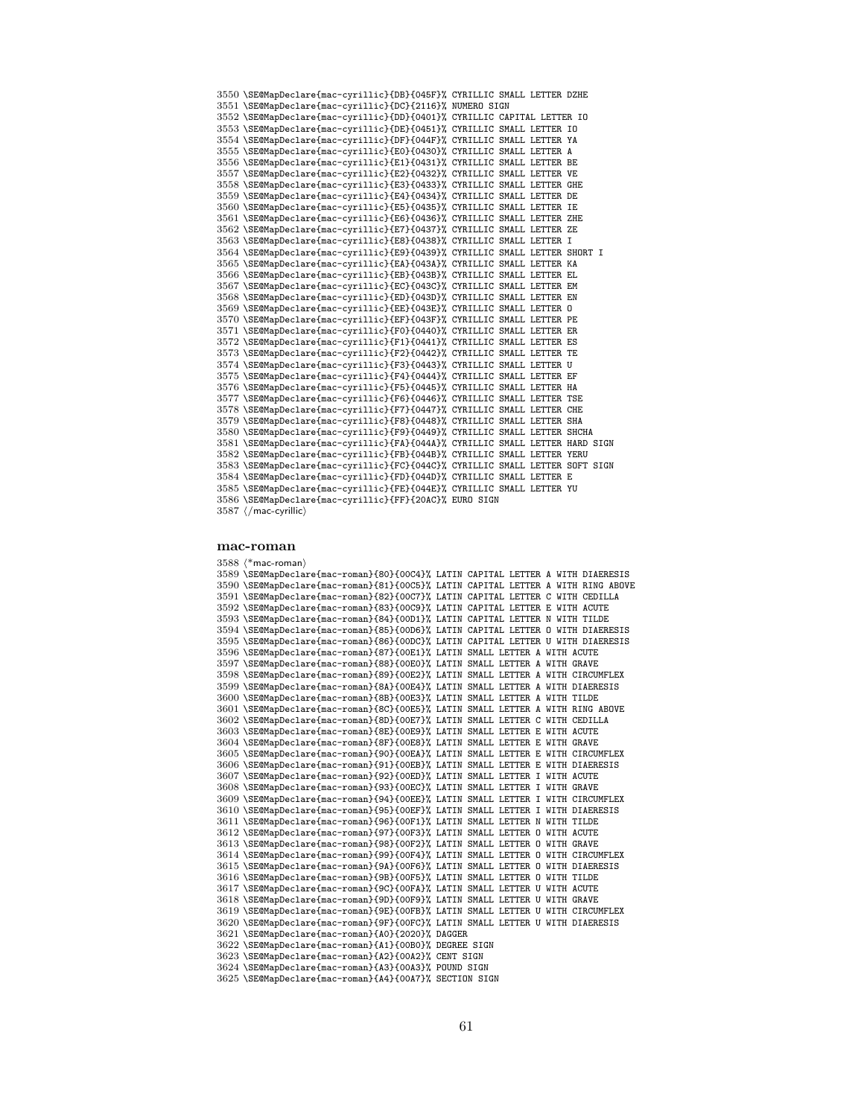\SE@MapDeclare{mac-cyrillic}{DB}{045F}% CYRILLIC SMALL LETTER DZHE \SE@MapDeclare{mac-cyrillic}{DC}{2116}% NUMERO SIGN \SE@MapDeclare{mac-cyrillic}{DD}{0401}% CYRILLIC CAPITAL LETTER IO \SE@MapDeclare{mac-cyrillic}{DE}{0451}% CYRILLIC SMALL LETTER IO \SE@MapDeclare{mac-cyrillic}{DF}{044F}% CYRILLIC SMALL LETTER YA \SE@MapDeclare{mac-cyrillic}{E0}{0430}% CYRILLIC SMALL LETTER A \SE@MapDeclare{mac-cyrillic}{E1}{0431}% CYRILLIC SMALL LETTER BE \SE@MapDeclare{mac-cyrillic}{E2}{0432}% CYRILLIC SMALL LETTER VE \SE@MapDeclare{mac-cyrillic}{E3}{0433}% CYRILLIC SMALL LETTER GHE \SE@MapDeclare{mac-cyrillic}{E4}{0434}% CYRILLIC SMALL LETTER DE \SE@MapDeclare{mac-cyrillic}{E5}{0435}% CYRILLIC SMALL LETTER IE \SE@MapDeclare{mac-cyrillic}{E6}{0436}% CYRILLIC SMALL LETTER ZHE \SE@MapDeclare{mac-cyrillic}{E7}{0437}% CYRILLIC SMALL LETTER ZE \SE@MapDeclare{mac-cyrillic}{E8}{0438}% CYRILLIC SMALL LETTER I \SE@MapDeclare{mac-cyrillic}{E9}{0439}% CYRILLIC SMALL LETTER SHORT I \SE@MapDeclare{mac-cyrillic}{EA}{043A}% CYRILLIC SMALL LETTER KA \SE@MapDeclare{mac-cyrillic}{EB}{043B}% CYRILLIC SMALL LETTER EL \SE@MapDeclare{mac-cyrillic}{EC}{043C}% CYRILLIC SMALL LETTER EM \SE@MapDeclare{mac-cyrillic}{ED}{043D}% CYRILLIC SMALL LETTER EN \SE@MapDeclare{mac-cyrillic}{EE}{043E}% CYRILLIC SMALL LETTER O \SE@MapDeclare{mac-cyrillic}{EF}{043F}% CYRILLIC SMALL LETTER PE \SE@MapDeclare{mac-cyrillic}{F0}{0440}% CYRILLIC SMALL LETTER ER \SE@MapDeclare{mac-cyrillic}{F1}{0441}% CYRILLIC SMALL LETTER ES \SE@MapDeclare{mac-cyrillic}{F2}{0442}% CYRILLIC SMALL LETTER TE \SE@MapDeclare{mac-cyrillic}{F3}{0443}% CYRILLIC SMALL LETTER U \SE@MapDeclare{mac-cyrillic}{F4}{0444}% CYRILLIC SMALL LETTER EF \SE@MapDeclare{mac-cyrillic}{F5}{0445}% CYRILLIC SMALL LETTER HA \SE@MapDeclare{mac-cyrillic}{F6}{0446}% CYRILLIC SMALL LETTER TSE \SE@MapDeclare{mac-cyrillic}{F7}{0447}% CYRILLIC SMALL LETTER CHE \SE@MapDeclare{mac-cyrillic}{F8}{0448}% CYRILLIC SMALL LETTER SHA \SE@MapDeclare{mac-cyrillic}{F9}{0449}% CYRILLIC SMALL LETTER SHCHA \SE@MapDeclare{mac-cyrillic}{FA}{044A}% CYRILLIC SMALL LETTER HARD SIGN \SE@MapDeclare{mac-cyrillic}{FB}{044B}% CYRILLIC SMALL LETTER YERU \SE@MapDeclare{mac-cyrillic}{FC}{044C}% CYRILLIC SMALL LETTER SOFT SIGN \SE@MapDeclare{mac-cyrillic}{FD}{044D}% CYRILLIC SMALL LETTER E \SE@MapDeclare{mac-cyrillic}{FE}{044E}% CYRILLIC SMALL LETTER YU \SE@MapDeclare{mac-cyrillic}{FF}{20AC}% EURO SIGN

 $\langle$ /mac-cyrillic $\rangle$ 

#### mac-roman

 (\*mac-roman) \SE@MapDeclare{mac-roman}{80}{00C4}% LATIN CAPITAL LETTER A WITH DIAERESIS \SE@MapDeclare{mac-roman}{81}{00C5}% LATIN CAPITAL LETTER A WITH RING ABOVE \SE@MapDeclare{mac-roman}{82}{00C7}% LATIN CAPITAL LETTER C WITH CEDILLA \SE@MapDeclare{mac-roman}{83}{00C9}% LATIN CAPITAL LETTER E WITH ACUTE \SE@MapDeclare{mac-roman}{84}{00D1}% LATIN CAPITAL LETTER N WITH TILDE \SE@MapDeclare{mac-roman}{85}{00D6}% LATIN CAPITAL LETTER O WITH DIAERESIS \SE@MapDeclare{mac-roman}{86}{00DC}% LATIN CAPITAL LETTER U WITH DIAERESIS \SE@MapDeclare{mac-roman}{87}{00E1}% LATIN SMALL LETTER A WITH ACUTE \SE@MapDeclare{mac-roman}{88}{00E0}% LATIN SMALL LETTER A WITH GRAVE \SE@MapDeclare{mac-roman}{89}{00E2}% LATIN SMALL LETTER A WITH CIRCUMFLEX \SE@MapDeclare{mac-roman}{8A}{00E4}% LATIN SMALL LETTER A WITH DIAERESIS \SE@MapDeclare{mac-roman}{8B}{00E3}% LATIN SMALL LETTER A WITH TILDE \SE@MapDeclare{mac-roman}{8C}{00E5}% LATIN SMALL LETTER A WITH RING ABOVE \SE@MapDeclare{mac-roman}{8D}{00E7}% LATIN SMALL LETTER C WITH CEDILLA \SE@MapDeclare{mac-roman}{8E}{00E9}% LATIN SMALL LETTER E WITH ACUTE \SE@MapDeclare{mac-roman}{8F}{00E8}% LATIN SMALL LETTER E WITH GRAVE \SE@MapDeclare{mac-roman}{90}{00EA}% LATIN SMALL LETTER E WITH CIRCUMFLEX \SE@MapDeclare{mac-roman}{91}{00EB}% LATIN SMALL LETTER E WITH DIAERESIS \SE@MapDeclare{mac-roman}{92}{00ED}% LATIN SMALL LETTER I WITH ACUTE \SE@MapDeclare{mac-roman}{93}{00EC}% LATIN SMALL LETTER I WITH GRAVE \SE@MapDeclare{mac-roman}{94}{00EE}% LATIN SMALL LETTER I WITH CIRCUMFLEX \SE@MapDeclare{mac-roman}{95}{00EF}% LATIN SMALL LETTER I WITH DIAERESIS \SE@MapDeclare{mac-roman}{96}{00F1}% LATIN SMALL LETTER N WITH TILDE \SE@MapDeclare{mac-roman}{97}{00F3}% LATIN SMALL LETTER O WITH ACUTE \SE@MapDeclare{mac-roman}{98}{00F2}% LATIN SMALL LETTER O WITH GRAVE \SE@MapDeclare{mac-roman}{99}{00F4}% LATIN SMALL LETTER O WITH CIRCUMFLEX \SE@MapDeclare{mac-roman}{9A}{00F6}% LATIN SMALL LETTER O WITH DIAERESIS \SE@MapDeclare{mac-roman}{9B}{00F5}% LATIN SMALL LETTER O WITH TILDE \SE@MapDeclare{mac-roman}{9C}{00FA}% LATIN SMALL LETTER U WITH ACUTE \SE@MapDeclare{mac-roman}{9D}{00F9}% LATIN SMALL LETTER U WITH GRAVE \SE@MapDeclare{mac-roman}{9E}{00FB}% LATIN SMALL LETTER U WITH CIRCUMFLEX \SE@MapDeclare{mac-roman}{9F}{00FC}% LATIN SMALL LETTER U WITH DIAERESIS \SE@MapDeclare{mac-roman}{A0}{2020}% DAGGER \SE@MapDeclare{mac-roman}{A1}{00B0}% DEGREE SIGN \SE@MapDeclare{mac-roman}{A2}{00A2}% CENT SIGN \SE@MapDeclare{mac-roman}{A3}{00A3}% POUND SIGN \SE@MapDeclare{mac-roman}{A4}{00A7}% SECTION SIGN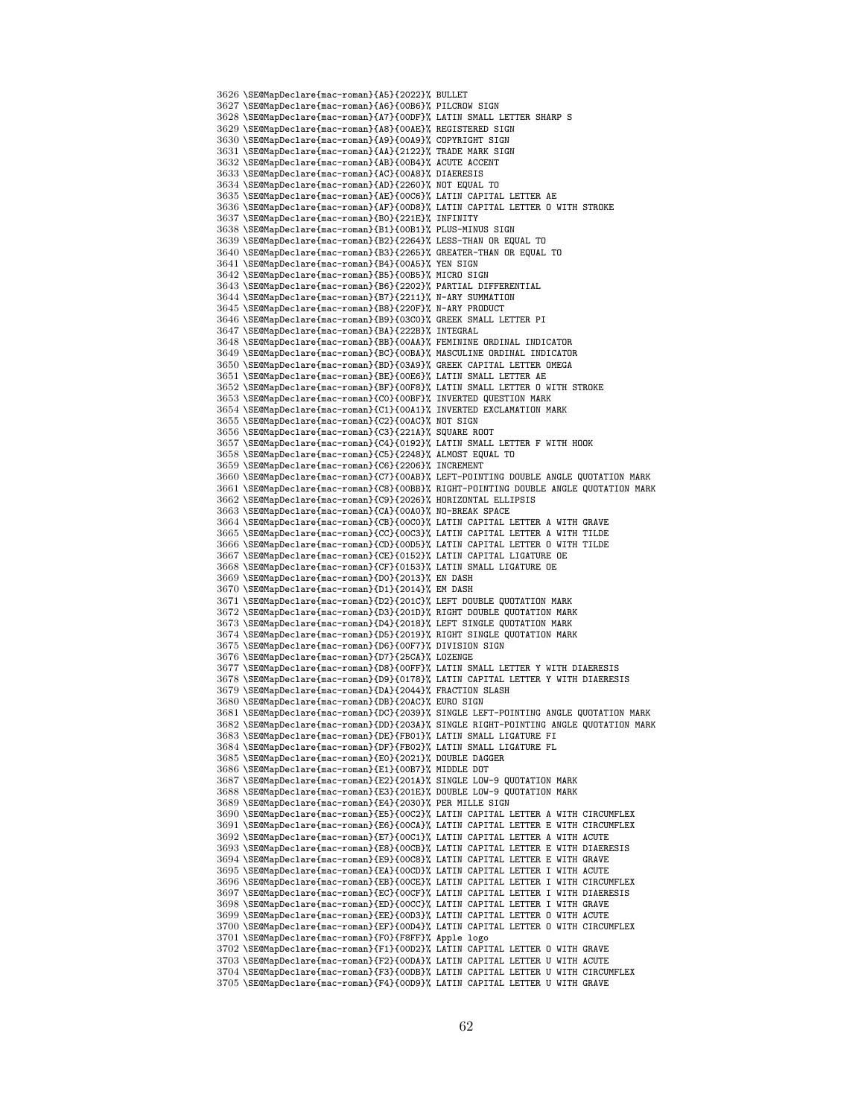\SE@MapDeclare{mac-roman}{A5}{2022}% BULLET \SE@MapDeclare{mac-roman}{A6}{00B6}% PILCROW SIGN \SE@MapDeclare{mac-roman}{A7}{00DF}% LATIN SMALL LETTER SHARP S \SE@MapDeclare{mac-roman}{A8}{00AE}% REGISTERED SIGN \SE@MapDeclare{mac-roman}{A9}{00A9}% COPYRIGHT SIGN \SE@MapDeclare{mac-roman}{AA}{2122}% TRADE MARK SIGN \SE@MapDeclare{mac-roman}{AB}{00B4}% ACUTE ACCENT \SE@MapDeclare{mac-roman}{AC}{00A8}% DIAERESIS \SE@MapDeclare{mac-roman}{AD}{2260}% NOT EQUAL TO \SE@MapDeclare{mac-roman}{AE}{00C6}% LATIN CAPITAL LETTER AE \SE@MapDeclare{mac-roman}{AF}{00D8}% LATIN CAPITAL LETTER O WITH STROKE \SE@MapDeclare{mac-roman}{B0}{221E}% INFINITY \SE@MapDeclare{mac-roman}{B1}{00B1}% PLUS-MINUS SIGN \SE@MapDeclare{mac-roman}{B2}{2264}% LESS-THAN OR EQUAL TO \SE@MapDeclare{mac-roman}{B3}{2265}% GREATER-THAN OR EQUAL TO \SE@MapDeclare{mac-roman}{B4}{00A5}% YEN SIGN \SE@MapDeclare{mac-roman}{B5}{00B5}% MICRO SIGN \SE@MapDeclare{mac-roman}{B6}{2202}% PARTIAL DIFFERENTIAL \SE@MapDeclare{mac-roman}{B7}{2211}% N-ARY SUMMATION \SE@MapDeclare{mac-roman}{B8}{220F}% N-ARY PRODUCT \SE@MapDeclare{mac-roman}{B9}{03C0}% GREEK SMALL LETTER PI \SE@MapDeclare{mac-roman}{BA}{222B}% INTEGRAL \SE@MapDeclare{mac-roman}{BB}{00AA}% FEMININE ORDINAL INDICATOR \SE@MapDeclare{mac-roman}{BC}{00BA}% MASCULINE ORDINAL INDICATOR \SE@MapDeclare{mac-roman}{BD}{03A9}% GREEK CAPITAL LETTER OMEGA \SE@MapDeclare{mac-roman}{BE}{00E6}% LATIN SMALL LETTER AE \SE@MapDeclare{mac-roman}{BF}{00F8}% LATIN SMALL LETTER O WITH STROKE \SE@MapDeclare{mac-roman}{C0}{00BF}% INVERTED QUESTION MARK \SE@MapDeclare{mac-roman}{C1}{00A1}% INVERTED EXCLAMATION MARK \SE@MapDeclare{mac-roman}{C2}{00AC}% NOT SIGN \SE@MapDeclare{mac-roman}{C3}{221A}% SQUARE ROOT \SE@MapDeclare{mac-roman}{C4}{0192}% LATIN SMALL LETTER F WITH HOOK \SE@MapDeclare{mac-roman}{C5}{2248}% ALMOST EQUAL TO \SE@MapDeclare{mac-roman}{C6}{2206}% INCREMENT \SE@MapDeclare{mac-roman}{C7}{00AB}% LEFT-POINTING DOUBLE ANGLE QUOTATION MARK \SE@MapDeclare{mac-roman}{C8}{00BB}% RIGHT-POINTING DOUBLE ANGLE QUOTATION MARK \SE@MapDeclare{mac-roman}{C9}{2026}% HORIZONTAL ELLIPSIS \SE@MapDeclare{mac-roman}{CA}{00A0}% NO-BREAK SPACE \SE@MapDeclare{mac-roman}{CB}{00C0}% LATIN CAPITAL LETTER A WITH GRAVE \SE@MapDeclare{mac-roman}{CC}{00C3}% LATIN CAPITAL LETTER A WITH TILDE \SE@MapDeclare{mac-roman}{CD}{00D5}% LATIN CAPITAL LETTER O WITH TILDE \SE@MapDeclare{mac-roman}{CE}{0152}% LATIN CAPITAL LIGATURE OE \SE@MapDeclare{mac-roman}{CF}{0153}% LATIN SMALL LIGATURE OE \SE@MapDeclare{mac-roman}{D0}{2013}% EN DASH \SE@MapDeclare{mac-roman}{D1}{2014}% EM DASH \SE@MapDeclare{mac-roman}{D2}{201C}% LEFT DOUBLE QUOTATION MARK \SE@MapDeclare{mac-roman}{D3}{201D}% RIGHT DOUBLE QUOTATION MARK \SE@MapDeclare{mac-roman}{D4}{2018}% LEFT SINGLE QUOTATION MARK \SE@MapDeclare{mac-roman}{D5}{2019}% RIGHT SINGLE QUOTATION MARK \SE@MapDeclare{mac-roman}{D6}{00F7}% DIVISION SIGN \SE@MapDeclare{mac-roman}{D7}{25CA}% LOZENGE \SE@MapDeclare{mac-roman}{D8}{00FF}% LATIN SMALL LETTER Y WITH DIAERESIS \SE@MapDeclare{mac-roman}{D9}{0178}% LATIN CAPITAL LETTER Y WITH DIAERESIS \SE@MapDeclare{mac-roman}{DA}{2044}% FRACTION SLASH \SE@MapDeclare{mac-roman}{DB}{20AC}% EURO SIGN \SE@MapDeclare{mac-roman}{DC}{2039}% SINGLE LEFT-POINTING ANGLE QUOTATION MARK \SE@MapDeclare{mac-roman}{DD}{203A}% SINGLE RIGHT-POINTING ANGLE QUOTATION MARK \SE@MapDeclare{mac-roman}{DE}{FB01}% LATIN SMALL LIGATURE FI \SE@MapDeclare{mac-roman}{DF}{FB02}% LATIN SMALL LIGATURE FL \SE@MapDeclare{mac-roman}{E0}{2021}% DOUBLE DAGGER \SE@MapDeclare{mac-roman}{E1}{00B7}% MIDDLE DOT \SE@MapDeclare{mac-roman}{E2}{201A}% SINGLE LOW-9 QUOTATION MARK \SE@MapDeclare{mac-roman}{E3}{201E}% DOUBLE LOW-9 QUOTATION MARK \SE@MapDeclare{mac-roman}{E4}{2030}% PER MILLE SIGN \SE@MapDeclare{mac-roman}{E5}{00C2}% LATIN CAPITAL LETTER A WITH CIRCUMFLEX \SE@MapDeclare{mac-roman}{E6}{00CA}% LATIN CAPITAL LETTER E WITH CIRCUMFLEX \SE@MapDeclare{mac-roman}{E7}{00C1}% LATIN CAPITAL LETTER A WITH ACUTE \SE@MapDeclare{mac-roman}{E8}{00CB}% LATIN CAPITAL LETTER E WITH DIAERESIS \SE@MapDeclare{mac-roman}{E9}{00C8}% LATIN CAPITAL LETTER E WITH GRAVE \SE@MapDeclare{mac-roman}{EA}{00CD}% LATIN CAPITAL LETTER I WITH ACUTE \SE@MapDeclare{mac-roman}{EB}{00CE}% LATIN CAPITAL LETTER I WITH CIRCUMFLEX \SE@MapDeclare{mac-roman}{EC}{00CF}% LATIN CAPITAL LETTER I WITH DIAERESIS \SE@MapDeclare{mac-roman}{ED}{00CC}% LATIN CAPITAL LETTER I WITH GRAVE \SE@MapDeclare{mac-roman}{EE}{00D3}% LATIN CAPITAL LETTER O WITH ACUTE \SE@MapDeclare{mac-roman}{EF}{00D4}% LATIN CAPITAL LETTER O WITH CIRCUMFLEX \SE@MapDeclare{mac-roman}{F0}{F8FF}% Apple logo \SE@MapDeclare{mac-roman}{F1}{00D2}% LATIN CAPITAL LETTER O WITH GRAVE \SE@MapDeclare{mac-roman}{F2}{00DA}% LATIN CAPITAL LETTER U WITH ACUTE \SE@MapDeclare{mac-roman}{F3}{00DB}% LATIN CAPITAL LETTER U WITH CIRCUMFLEX \SE@MapDeclare{mac-roman}{F4}{00D9}% LATIN CAPITAL LETTER U WITH GRAVE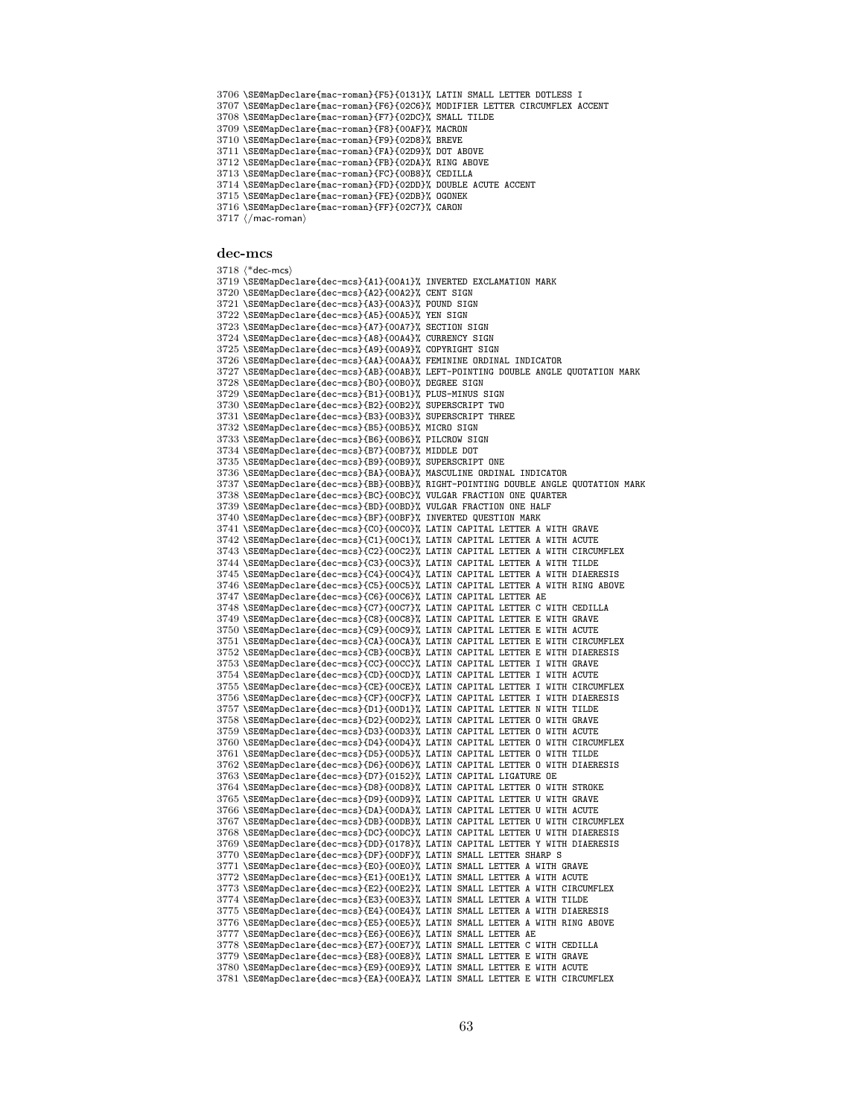\SE@MapDeclare{mac-roman}{F5}{0131}% LATIN SMALL LETTER DOTLESS I \SE@MapDeclare{mac-roman}{F6}{02C6}% MODIFIER LETTER CIRCUMFLEX ACCENT \SE@MapDeclare{mac-roman}{F7}{02DC}% SMALL TILDE \SE@MapDeclare{mac-roman}{F8}{00AF}% MACRON \SE@MapDeclare{mac-roman}{F9}{02D8}% BREVE \SE@MapDeclare{mac-roman}{FA}{02D9}% DOT ABOVE \SE@MapDeclare{mac-roman}{FB}{02DA}% RING ABOVE \SE@MapDeclare{mac-roman}{FC}{00B8}% CEDILLA \SE@MapDeclare{mac-roman}{FD}{02DD}% DOUBLE ACUTE ACCENT \SE@MapDeclare{mac-roman}{FE}{02DB}% OGONEK \SE@MapDeclare{mac-roman}{FF}{02C7}% CARON

 $\langle$ /mac-roman $\rangle$ 

# dec-mcs

  $*$ dec-mcs) \SE@MapDeclare{dec-mcs}{A1}{00A1}% INVERTED EXCLAMATION MARK \SE@MapDeclare{dec-mcs}{A2}{00A2}% CENT SIGN \SE@MapDeclare{dec-mcs}{A3}{00A3}% POUND SIGN \SE@MapDeclare{dec-mcs}{A5}{00A5}% YEN SIGN \SE@MapDeclare{dec-mcs}{A7}{00A7}% SECTION SIGN \SE@MapDeclare{dec-mcs}{A8}{00A4}% CURRENCY SIGN \SE@MapDeclare{dec-mcs}{A9}{00A9}% COPYRIGHT SIGN \SE@MapDeclare{dec-mcs}{AA}{00AA}% FEMININE ORDINAL INDICATOR \SE@MapDeclare{dec-mcs}{AB}{00AB}% LEFT-POINTING DOUBLE ANGLE QUOTATION MARK \SE@MapDeclare{dec-mcs}{B0}{00B0}% DEGREE SIGN \SE@MapDeclare{dec-mcs}{B1}{00B1}% PLUS-MINUS SIGN \SE@MapDeclare{dec-mcs}{B2}{00B2}% SUPERSCRIPT TWO \SE@MapDeclare{dec-mcs}{B3}{00B3}% SUPERSCRIPT THREE \SE@MapDeclare{dec-mcs}{B5}{00B5}% MICRO SIGN \SE@MapDeclare{dec-mcs}{B6}{00B6}% PILCROW SIGN \SE@MapDeclare{dec-mcs}{B7}{00B7}% MIDDLE DOT \SE@MapDeclare{dec-mcs}{B9}{00B9}% SUPERSCRIPT ONE \SE@MapDeclare{dec-mcs}{BA}{00BA}% MASCULINE ORDINAL INDICATOR \SE@MapDeclare{dec-mcs}{BB}{00BB}% RIGHT-POINTING DOUBLE ANGLE QUOTATION MARK \SE@MapDeclare{dec-mcs}{BC}{00BC}% VULGAR FRACTION ONE QUARTER \SE@MapDeclare{dec-mcs}{BD}{00BD}% VULGAR FRACTION ONE HALF \SE@MapDeclare{dec-mcs}{BF}{00BF}% INVERTED QUESTION MARK \SE@MapDeclare{dec-mcs}{C0}{00C0}% LATIN CAPITAL LETTER A WITH GRAVE \SE@MapDeclare{dec-mcs}{C1}{00C1}% LATIN CAPITAL LETTER A WITH ACUTE \SE@MapDeclare{dec-mcs}{C2}{00C2}% LATIN CAPITAL LETTER A WITH CIRCUMFLEX \SE@MapDeclare{dec-mcs}{C3}{00C3}% LATIN CAPITAL LETTER A WITH TILDE \SE@MapDeclare{dec-mcs}{C4}{00C4}% LATIN CAPITAL LETTER A WITH DIAERESIS \SE@MapDeclare{dec-mcs}{C5}{00C5}% LATIN CAPITAL LETTER A WITH RING ABOVE \SE@MapDeclare{dec-mcs}{C6}{00C6}% LATIN CAPITAL LETTER AE \SE@MapDeclare{dec-mcs}{C7}{00C7}% LATIN CAPITAL LETTER C WITH CEDILLA \SE@MapDeclare{dec-mcs}{C8}{00C8}% LATIN CAPITAL LETTER E WITH GRAVE \SE@MapDeclare{dec-mcs}{C9}{00C9}% LATIN CAPITAL LETTER E WITH ACUTE \SE@MapDeclare{dec-mcs}{CA}{00CA}% LATIN CAPITAL LETTER E WITH CIRCUMFLEX \SE@MapDeclare{dec-mcs}{CB}{00CB}% LATIN CAPITAL LETTER E WITH DIAERESIS \SE@MapDeclare{dec-mcs}{CC}{00CC}% LATIN CAPITAL LETTER I WITH GRAVE \SE@MapDeclare{dec-mcs}{CD}{00CD}% LATIN CAPITAL LETTER I WITH ACUTE \SE@MapDeclare{dec-mcs}{CE}{00CE}% LATIN CAPITAL LETTER I WITH CIRCUMFLEX \SE@MapDeclare{dec-mcs}{CF}{00CF}% LATIN CAPITAL LETTER I WITH DIAERESIS \SE@MapDeclare{dec-mcs}{D1}{00D1}% LATIN CAPITAL LETTER N WITH TILDE \SE@MapDeclare{dec-mcs}{D2}{00D2}% LATIN CAPITAL LETTER O WITH GRAVE \SE@MapDeclare{dec-mcs}{D3}{00D3}% LATIN CAPITAL LETTER O WITH ACUTE \SE@MapDeclare{dec-mcs}{D4}{00D4}% LATIN CAPITAL LETTER O WITH CIRCUMFLEX \SE@MapDeclare{dec-mcs}{D5}{00D5}% LATIN CAPITAL LETTER O WITH TILDE \SE@MapDeclare{dec-mcs}{D6}{00D6}% LATIN CAPITAL LETTER O WITH DIAERESIS \SE@MapDeclare{dec-mcs}{D7}{0152}% LATIN CAPITAL LIGATURE OE \SE@MapDeclare{dec-mcs}{D8}{00D8}% LATIN CAPITAL LETTER O WITH STROKE \SE@MapDeclare{dec-mcs}{D9}{00D9}% LATIN CAPITAL LETTER U WITH GRAVE \SE@MapDeclare{dec-mcs}{DA}{00DA}% LATIN CAPITAL LETTER U WITH ACUTE \SE@MapDeclare{dec-mcs}{DB}{00DB}% LATIN CAPITAL LETTER U WITH CIRCUMFLEX \SE@MapDeclare{dec-mcs}{DC}{00DC}% LATIN CAPITAL LETTER U WITH DIAERESIS \SE@MapDeclare{dec-mcs}{DD}{0178}% LATIN CAPITAL LETTER Y WITH DIAERESIS \SE@MapDeclare{dec-mcs}{DF}{00DF}% LATIN SMALL LETTER SHARP S \SE@MapDeclare{dec-mcs}{E0}{00E0}% LATIN SMALL LETTER A WITH GRAVE \SE@MapDeclare{dec-mcs}{E1}{00E1}% LATIN SMALL LETTER A WITH ACUTE \SE@MapDeclare{dec-mcs}{E2}{00E2}% LATIN SMALL LETTER A WITH CIRCUMFLEX \SE@MapDeclare{dec-mcs}{E3}{00E3}% LATIN SMALL LETTER A WITH TILDE \SE@MapDeclare{dec-mcs}{E4}{00E4}% LATIN SMALL LETTER A WITH DIAERESIS \SE@MapDeclare{dec-mcs}{E5}{00E5}% LATIN SMALL LETTER A WITH RING ABOVE \SE@MapDeclare{dec-mcs}{E6}{00E6}% LATIN SMALL LETTER AE \SE@MapDeclare{dec-mcs}{E7}{00E7}% LATIN SMALL LETTER C WITH CEDILLA \SE@MapDeclare{dec-mcs}{E8}{00E8}% LATIN SMALL LETTER E WITH GRAVE \SE@MapDeclare{dec-mcs}{E9}{00E9}% LATIN SMALL LETTER E WITH ACUTE \SE@MapDeclare{dec-mcs}{EA}{00EA}% LATIN SMALL LETTER E WITH CIRCUMFLEX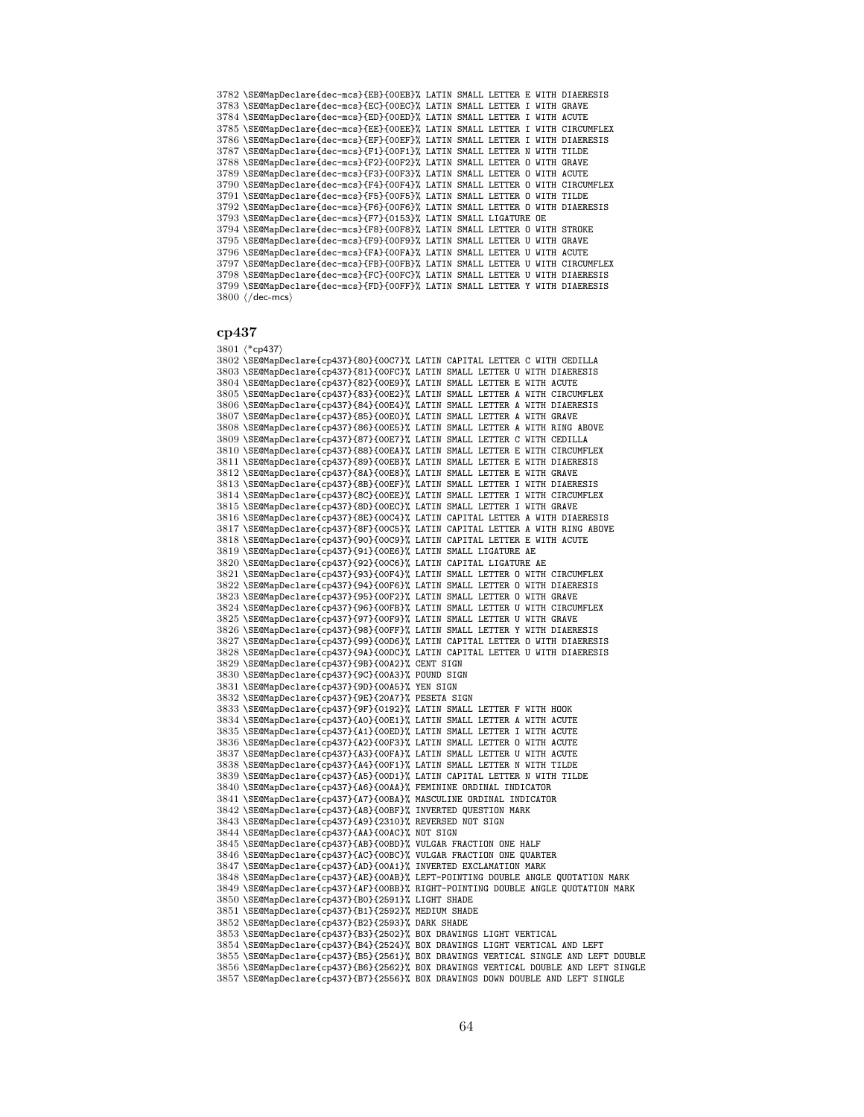\SE@MapDeclare{dec-mcs}{EB}{00EB}% LATIN SMALL LETTER E WITH DIAERESIS \SE@MapDeclare{dec-mcs}{EC}{00EC}% LATIN SMALL LETTER I WITH GRAVE \SE@MapDeclare{dec-mcs}{ED}{00ED}% LATIN SMALL LETTER I WITH ACUTE \SE@MapDeclare{dec-mcs}{EE}{00EE}% LATIN SMALL LETTER I WITH CIRCUMFLEX \SE@MapDeclare{dec-mcs}{EF}{00EF}% LATIN SMALL LETTER I WITH DIAERESIS \SE@MapDeclare{dec-mcs}{F1}{00F1}% LATIN SMALL LETTER N WITH TILDE \SE@MapDeclare{dec-mcs}{F2}{00F2}% LATIN SMALL LETTER O WITH GRAVE \SE@MapDeclare{dec-mcs}{F3}{00F3}% LATIN SMALL LETTER O WITH ACUTE \SE@MapDeclare{dec-mcs}{F4}{00F4}% LATIN SMALL LETTER O WITH CIRCUMFLEX \SE@MapDeclare{dec-mcs}{F5}{00F5}% LATIN SMALL LETTER O WITH TILDE \SE@MapDeclare{dec-mcs}{F6}{00F6}% LATIN SMALL LETTER O WITH DIAERESIS \SE@MapDeclare{dec-mcs}{F7}{0153}% LATIN SMALL LIGATURE OE \SE@MapDeclare{dec-mcs}{F8}{00F8}% LATIN SMALL LETTER O WITH STROKE \SE@MapDeclare{dec-mcs}{F9}{00F9}% LATIN SMALL LETTER U WITH GRAVE \SE@MapDeclare{dec-mcs}{FA}{00FA}% LATIN SMALL LETTER U WITH ACUTE \SE@MapDeclare{dec-mcs}{FB}{00FB}% LATIN SMALL LETTER U WITH CIRCUMFLEX \SE@MapDeclare{dec-mcs}{FC}{00FC}% LATIN SMALL LETTER U WITH DIAERESIS \SE@MapDeclare{dec-mcs}{FD}{00FF}% LATIN SMALL LETTER Y WITH DIAERESIS  $3800 \ \langle / \text{dec-mcs} \rangle$ 

## cp437

 $\langle$ \*cp437 $\rangle$  \SE@MapDeclare{cp437}{80}{00C7}% LATIN CAPITAL LETTER C WITH CEDILLA \SE@MapDeclare{cp437}{81}{00FC}% LATIN SMALL LETTER U WITH DIAERESIS \SE@MapDeclare{cp437}{82}{00E9}% LATIN SMALL LETTER E WITH ACUTE \SE@MapDeclare{cp437}{83}{00E2}% LATIN SMALL LETTER A WITH CIRCUMFLEX \SE@MapDeclare{cp437}{84}{00E4}% LATIN SMALL LETTER A WITH DIAERESIS \SE@MapDeclare{cp437}{85}{00E0}% LATIN SMALL LETTER A WITH GRAVE \SE@MapDeclare{cp437}{86}{00E5}% LATIN SMALL LETTER A WITH RING ABOVE \SE@MapDeclare{cp437}{87}{00E7}% LATIN SMALL LETTER C WITH CEDILLA \SE@MapDeclare{cp437}{88}{00EA}% LATIN SMALL LETTER E WITH CIRCUMFLEX \SE@MapDeclare{cp437}{89}{00EB}% LATIN SMALL LETTER E WITH DIAERESIS \SE@MapDeclare{cp437}{8A}{00E8}% LATIN SMALL LETTER E WITH GRAVE \SE@MapDeclare{cp437}{8B}{00EF}% LATIN SMALL LETTER I WITH DIAERESIS \SE@MapDeclare{cp437}{8C}{00EE}% LATIN SMALL LETTER I WITH CIRCUMFLEX \SE@MapDeclare{cp437}{8D}{00EC}% LATIN SMALL LETTER I WITH GRAVE \SE@MapDeclare{cp437}{8E}{00C4}% LATIN CAPITAL LETTER A WITH DIAERESIS \SE@MapDeclare{cp437}{8F}{00C5}% LATIN CAPITAL LETTER A WITH RING ABOVE \SE@MapDeclare{cp437}{90}{00C9}% LATIN CAPITAL LETTER E WITH ACUTE \SE@MapDeclare{cp437}{91}{00E6}% LATIN SMALL LIGATURE AE \SE@MapDeclare{cp437}{92}{00C6}% LATIN CAPITAL LIGATURE AE \SE@MapDeclare{cp437}{93}{00F4}% LATIN SMALL LETTER O WITH CIRCUMFLEX \SE@MapDeclare{cp437}{94}{00F6}% LATIN SMALL LETTER O WITH DIAERESIS \SE@MapDeclare{cp437}{95}{00F2}% LATIN SMALL LETTER O WITH GRAVE \SE@MapDeclare{cp437}{96}{00FB}% LATIN SMALL LETTER U WITH CIRCUMFLEX \SE@MapDeclare{cp437}{97}{00F9}% LATIN SMALL LETTER U WITH GRAVE \SE@MapDeclare{cp437}{98}{00FF}% LATIN SMALL LETTER Y WITH DIAERESIS \SE@MapDeclare{cp437}{99}{00D6}% LATIN CAPITAL LETTER O WITH DIAERESIS \SE@MapDeclare{cp437}{9A}{00DC}% LATIN CAPITAL LETTER U WITH DIAERESIS \SE@MapDeclare{cp437}{9B}{00A2}% CENT SIGN \SE@MapDeclare{cp437}{9C}{00A3}% POUND SIGN \SE@MapDeclare{cp437}{9D}{00A5}% YEN SIGN \SE@MapDeclare{cp437}{9E}{20A7}% PESETA SIGN \SE@MapDeclare{cp437}{9F}{0192}% LATIN SMALL LETTER F WITH HOOK \SE@MapDeclare{cp437}{A0}{00E1}% LATIN SMALL LETTER A WITH ACUTE \SE@MapDeclare{cp437}{A1}{00ED}% LATIN SMALL LETTER I WITH ACUTE \SE@MapDeclare{cp437}{A2}{00F3}% LATIN SMALL LETTER O WITH ACUTE \SE@MapDeclare{cp437}{A3}{00FA}% LATIN SMALL LETTER U WITH ACUTE \SE@MapDeclare{cp437}{A4}{00F1}% LATIN SMALL LETTER N WITH TILDE \SE@MapDeclare{cp437}{A5}{00D1}% LATIN CAPITAL LETTER N WITH TILDE \SE@MapDeclare{cp437}{A6}{00AA}% FEMININE ORDINAL INDICATOR \SE@MapDeclare{cp437}{A7}{00BA}% MASCULINE ORDINAL INDICATOR \SE@MapDeclare{cp437}{A8}{00BF}% INVERTED QUESTION MARK \SE@MapDeclare{cp437}{A9}{2310}% REVERSED NOT SIGN \SE@MapDeclare{cp437}{AA}{00AC}% NOT SIGN \SE@MapDeclare{cp437}{AB}{00BD}% VULGAR FRACTION ONE HALF \SE@MapDeclare{cp437}{AC}{00BC}% VULGAR FRACTION ONE QUARTER \SE@MapDeclare{cp437}{AD}{00A1}% INVERTED EXCLAMATION MARK \SE@MapDeclare{cp437}{AE}{00AB}% LEFT-POINTING DOUBLE ANGLE QUOTATION MARK \SE@MapDeclare{cp437}{AF}{00BB}% RIGHT-POINTING DOUBLE ANGLE QUOTATION MARK \SE@MapDeclare{cp437}{B0}{2591}% LIGHT SHADE \SE@MapDeclare{cp437}{B1}{2592}% MEDIUM SHADE \SE@MapDeclare{cp437}{B2}{2593}% DARK SHADE \SE@MapDeclare{cp437}{B3}{2502}% BOX DRAWINGS LIGHT VERTICAL \SE@MapDeclare{cp437}{B4}{2524}% BOX DRAWINGS LIGHT VERTICAL AND LEFT \SE@MapDeclare{cp437}{B5}{2561}% BOX DRAWINGS VERTICAL SINGLE AND LEFT DOUBLE \SE@MapDeclare{cp437}{B6}{2562}% BOX DRAWINGS VERTICAL DOUBLE AND LEFT SINGLE \SE@MapDeclare{cp437}{B7}{2556}% BOX DRAWINGS DOWN DOUBLE AND LEFT SINGLE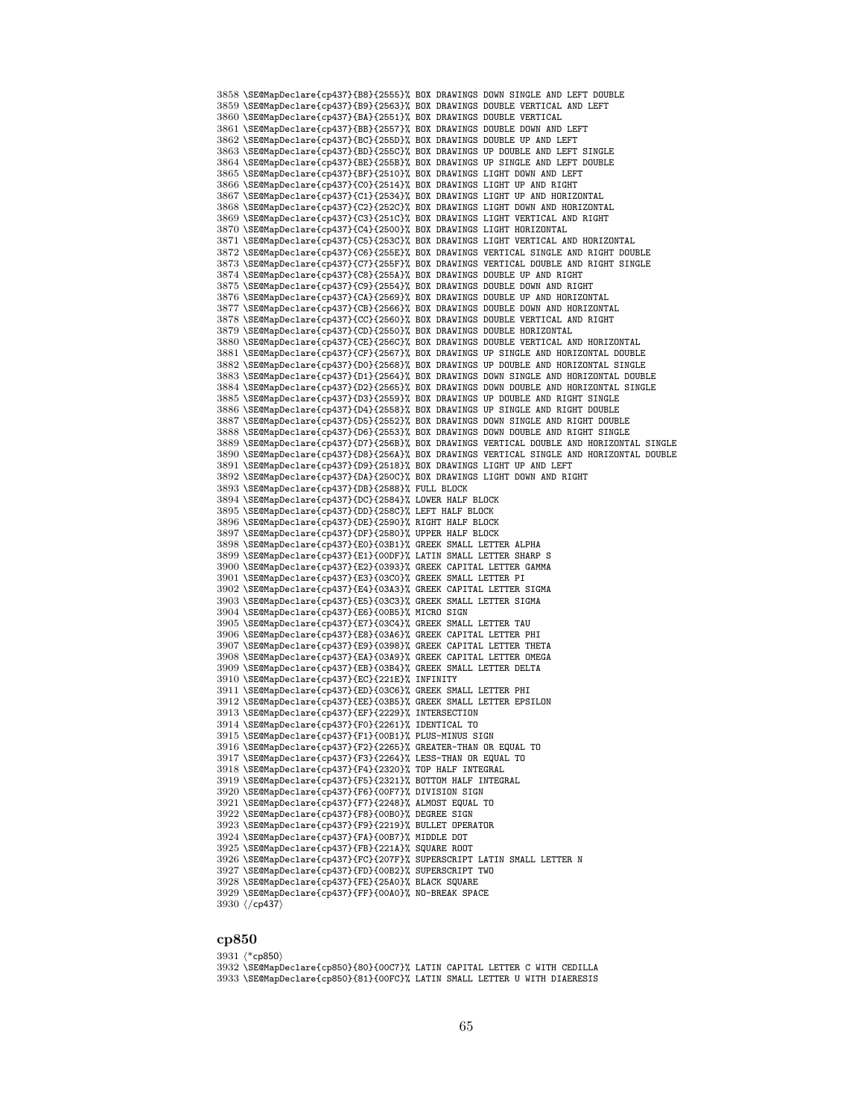\SE@MapDeclare{cp437}{B8}{2555}% BOX DRAWINGS DOWN SINGLE AND LEFT DOUBLE \SE@MapDeclare{cp437}{B9}{2563}% BOX DRAWINGS DOUBLE VERTICAL AND LEFT \SE@MapDeclare{cp437}{BA}{2551}% BOX DRAWINGS DOUBLE VERTICAL \SE@MapDeclare{cp437}{BB}{2557}% BOX DRAWINGS DOUBLE DOWN AND LEFT \SE@MapDeclare{cp437}{BC}{255D}% BOX DRAWINGS DOUBLE UP AND LEFT \SE@MapDeclare{cp437}{BD}{255C}% BOX DRAWINGS UP DOUBLE AND LEFT SINGLE \SE@MapDeclare{cp437}{BE}{255B}% BOX DRAWINGS UP SINGLE AND LEFT DOUBLE \SE@MapDeclare{cp437}{BF}{2510}% BOX DRAWINGS LIGHT DOWN AND LEFT \SE@MapDeclare{cp437}{C0}{2514}% BOX DRAWINGS LIGHT UP AND RIGHT \SE@MapDeclare{cp437}{C1}{2534}% BOX DRAWINGS LIGHT UP AND HORIZONTAL \SE@MapDeclare{cp437}{C2}{252C}% BOX DRAWINGS LIGHT DOWN AND HORIZONTAL \SE@MapDeclare{cp437}{C3}{251C}% BOX DRAWINGS LIGHT VERTICAL AND RIGHT \SE@MapDeclare{cp437}{C4}{2500}% BOX DRAWINGS LIGHT HORIZONTAL \SE@MapDeclare{cp437}{C5}{253C}% BOX DRAWINGS LIGHT VERTICAL AND HORIZONTAL \SE@MapDeclare{cp437}{C6}{255E}% BOX DRAWINGS VERTICAL SINGLE AND RIGHT DOUBLE \SE@MapDeclare{cp437}{C7}{255F}% BOX DRAWINGS VERTICAL DOUBLE AND RIGHT SINGLE \SE@MapDeclare{cp437}{C8}{255A}% BOX DRAWINGS DOUBLE UP AND RIGHT \SE@MapDeclare{cp437}{C9}{2554}% BOX DRAWINGS DOUBLE DOWN AND RIGHT \SE@MapDeclare{cp437}{CA}{2569}% BOX DRAWINGS DOUBLE UP AND HORIZONTAL \SE@MapDeclare{cp437}{CB}{2566}% BOX DRAWINGS DOUBLE DOWN AND HORIZONTAL \SE@MapDeclare{cp437}{CC}{2560}% BOX DRAWINGS DOUBLE VERTICAL AND RIGHT \SE@MapDeclare{cp437}{CD}{2550}% BOX DRAWINGS DOUBLE HORIZONTAL \SE@MapDeclare{cp437}{CE}{256C}% BOX DRAWINGS DOUBLE VERTICAL AND HORIZONTAL \SE@MapDeclare{cp437}{CF}{2567}% BOX DRAWINGS UP SINGLE AND HORIZONTAL DOUBLE \SE@MapDeclare{cp437}{D0}{2568}% BOX DRAWINGS UP DOUBLE AND HORIZONTAL SINGLE \SE@MapDeclare{cp437}{D1}{2564}% BOX DRAWINGS DOWN SINGLE AND HORIZONTAL DOUBLE \SE@MapDeclare{cp437}{D2}{2565}% BOX DRAWINGS DOWN DOUBLE AND HORIZONTAL SINGLE \SE@MapDeclare{cp437}{D3}{2559}% BOX DRAWINGS UP DOUBLE AND RIGHT SINGLE \SE@MapDeclare{cp437}{D4}{2558}% BOX DRAWINGS UP SINGLE AND RIGHT DOUBLE \SE@MapDeclare{cp437}{D5}{2552}% BOX DRAWINGS DOWN SINGLE AND RIGHT DOUBLE \SE@MapDeclare{cp437}{D6}{2553}% BOX DRAWINGS DOWN DOUBLE AND RIGHT SINGLE \SE@MapDeclare{cp437}{D7}{256B}% BOX DRAWINGS VERTICAL DOUBLE AND HORIZONTAL SINGLE \SE@MapDeclare{cp437}{D8}{256A}% BOX DRAWINGS VERTICAL SINGLE AND HORIZONTAL DOUBLE \SE@MapDeclare{cp437}{D9}{2518}% BOX DRAWINGS LIGHT UP AND LEFT \SE@MapDeclare{cp437}{DA}{250C}% BOX DRAWINGS LIGHT DOWN AND RIGHT \SE@MapDeclare{cp437}{DB}{2588}% FULL BLOCK \SE@MapDeclare{cp437}{DC}{2584}% LOWER HALF BLOCK \SE@MapDeclare{cp437}{DD}{258C}% LEFT HALF BLOCK \SE@MapDeclare{cp437}{DE}{2590}% RIGHT HALF BLOCK \SE@MapDeclare{cp437}{DF}{2580}% UPPER HALF BLOCK \SE@MapDeclare{cp437}{E0}{03B1}% GREEK SMALL LETTER ALPHA \SE@MapDeclare{cp437}{E1}{00DF}% LATIN SMALL LETTER SHARP S \SE@MapDeclare{cp437}{E2}{0393}% GREEK CAPITAL LETTER GAMMA \SE@MapDeclare{cp437}{E3}{03C0}% GREEK SMALL LETTER PI \SE@MapDeclare{cp437}{E4}{03A3}% GREEK CAPITAL LETTER SIGMA \SE@MapDeclare{cp437}{E5}{03C3}% GREEK SMALL LETTER SIGMA \SE@MapDeclare{cp437}{E6}{00B5}% MICRO SIGN \SE@MapDeclare{cp437}{E7}{03C4}% GREEK SMALL LETTER TAU \SE@MapDeclare{cp437}{E8}{03A6}% GREEK CAPITAL LETTER PHI \SE@MapDeclare{cp437}{E9}{0398}% GREEK CAPITAL LETTER THETA \SE@MapDeclare{cp437}{EA}{03A9}% GREEK CAPITAL LETTER OMEGA \SE@MapDeclare{cp437}{EB}{03B4}% GREEK SMALL LETTER DELTA \SE@MapDeclare{cp437}{EC}{221E}% INFINITY \SE@MapDeclare{cp437}{ED}{03C6}% GREEK SMALL LETTER PHI \SE@MapDeclare{cp437}{EE}{03B5}% GREEK SMALL LETTER EPSILON \SE@MapDeclare{cp437}{EF}{2229}% INTERSECTION \SE@MapDeclare{cp437}{F0}{2261}% IDENTICAL TO \SE@MapDeclare{cp437}{F1}{00B1}% PLUS-MINUS SIGN \SE@MapDeclare{cp437}{F2}{2265}% GREATER-THAN OR EQUAL TO \SE@MapDeclare{cp437}{F3}{2264}% LESS-THAN OR EQUAL TO \SE@MapDeclare{cp437}{F4}{2320}% TOP HALF INTEGRAL \SE@MapDeclare{cp437}{F5}{2321}% BOTTOM HALF INTEGRAL \SE@MapDeclare{cp437}{F6}{00F7}% DIVISION SIGN \SE@MapDeclare{cp437}{F7}{2248}% ALMOST EQUAL TO \SE@MapDeclare{cp437}{F8}{00B0}% DEGREE SIGN \SE@MapDeclare{cp437}{F9}{2219}% BULLET OPERATOR \SE@MapDeclare{cp437}{FA}{00B7}% MIDDLE DOT \SE@MapDeclare{cp437}{FB}{221A}% SQUARE ROOT \SE@MapDeclare{cp437}{FC}{207F}% SUPERSCRIPT LATIN SMALL LETTER N \SE@MapDeclare{cp437}{FD}{00B2}% SUPERSCRIPT TWO \SE@MapDeclare{cp437}{FE}{25A0}% BLACK SQUARE \SE@MapDeclare{cp437}{FF}{00A0}% NO-BREAK SPACE 3930 (/cp437)

# cp850

3931 (\*cp850) \SE@MapDeclare{cp850}{80}{00C7}% LATIN CAPITAL LETTER C WITH CEDILLA \SE@MapDeclare{cp850}{81}{00FC}% LATIN SMALL LETTER U WITH DIAERESIS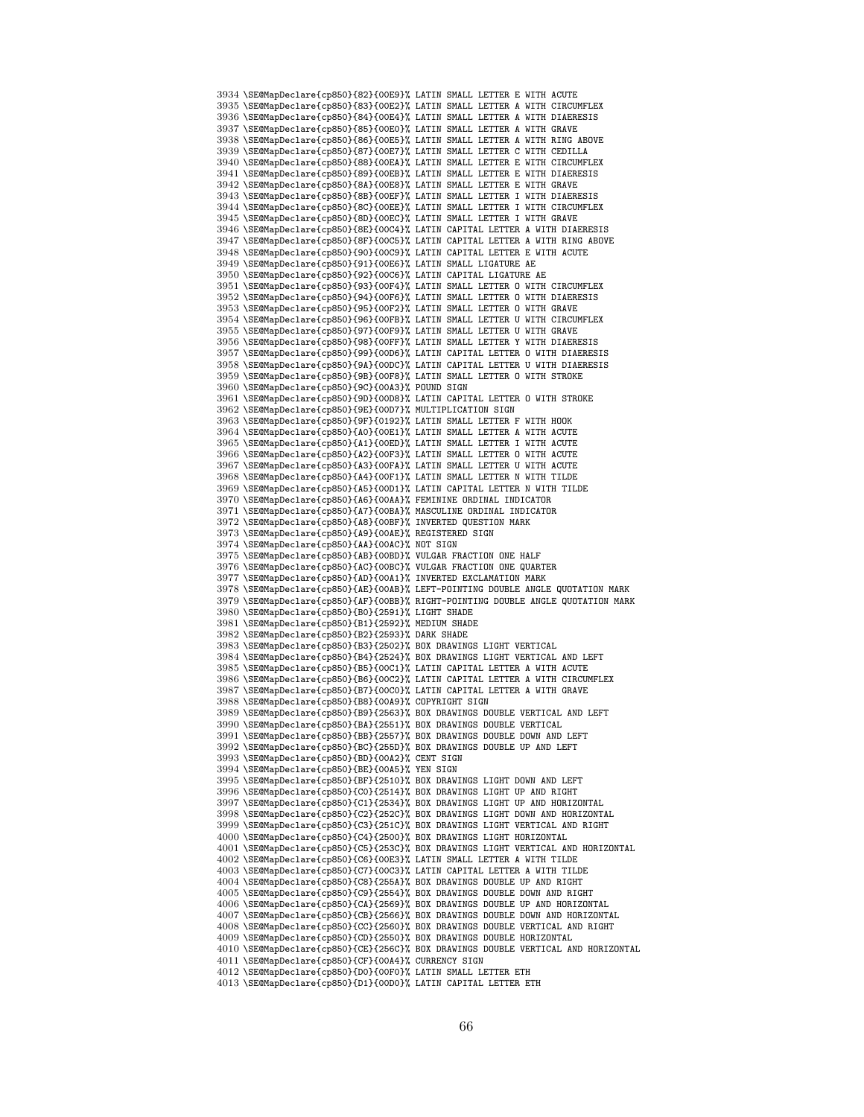\SE@MapDeclare{cp850}{82}{00E9}% LATIN SMALL LETTER E WITH ACUTE \SE@MapDeclare{cp850}{83}{00E2}% LATIN SMALL LETTER A WITH CIRCUMFLEX \SE@MapDeclare{cp850}{84}{00E4}% LATIN SMALL LETTER A WITH DIAERESIS \SE@MapDeclare{cp850}{85}{00E0}% LATIN SMALL LETTER A WITH GRAVE \SE@MapDeclare{cp850}{86}{00E5}% LATIN SMALL LETTER A WITH RING ABOVE \SE@MapDeclare{cp850}{87}{00E7}% LATIN SMALL LETTER C WITH CEDILLA \SE@MapDeclare{cp850}{88}{00EA}% LATIN SMALL LETTER E WITH CIRCUMFLEX \SE@MapDeclare{cp850}{89}{00EB}% LATIN SMALL LETTER E WITH DIAERESIS \SE@MapDeclare{cp850}{8A}{00E8}% LATIN SMALL LETTER E WITH GRAVE \SE@MapDeclare{cp850}{8B}{00EF}% LATIN SMALL LETTER I WITH DIAERESIS \SE@MapDeclare{cp850}{8C}{00EE}% LATIN SMALL LETTER I WITH CIRCUMFLEX \SE@MapDeclare{cp850}{8D}{00EC}% LATIN SMALL LETTER I WITH GRAVE \SE@MapDeclare{cp850}{8E}{00C4}% LATIN CAPITAL LETTER A WITH DIAERESIS \SE@MapDeclare{cp850}{8F}{00C5}% LATIN CAPITAL LETTER A WITH RING ABOVE \SE@MapDeclare{cp850}{90}{00C9}% LATIN CAPITAL LETTER E WITH ACUTE \SE@MapDeclare{cp850}{91}{00E6}% LATIN SMALL LIGATURE AE \SE@MapDeclare{cp850}{92}{00C6}% LATIN CAPITAL LIGATURE AE \SE@MapDeclare{cp850}{93}{00F4}% LATIN SMALL LETTER O WITH CIRCUMFLEX \SE@MapDeclare{cp850}{94}{00F6}% LATIN SMALL LETTER O WITH DIAERESIS \SE@MapDeclare{cp850}{95}{00F2}% LATIN SMALL LETTER O WITH GRAVE \SE@MapDeclare{cp850}{96}{00FB}% LATIN SMALL LETTER U WITH CIRCUMFLEX \SE@MapDeclare{cp850}{97}{00F9}% LATIN SMALL LETTER U WITH GRAVE \SE@MapDeclare{cp850}{98}{00FF}% LATIN SMALL LETTER Y WITH DIAERESIS \SE@MapDeclare{cp850}{99}{00D6}% LATIN CAPITAL LETTER O WITH DIAERESIS \SE@MapDeclare{cp850}{9A}{00DC}% LATIN CAPITAL LETTER U WITH DIAERESIS \SE@MapDeclare{cp850}{9B}{00F8}% LATIN SMALL LETTER O WITH STROKE \SE@MapDeclare{cp850}{9C}{00A3}% POUND SIGN \SE@MapDeclare{cp850}{9D}{00D8}% LATIN CAPITAL LETTER O WITH STROKE \SE@MapDeclare{cp850}{9E}{00D7}% MULTIPLICATION SIGN \SE@MapDeclare{cp850}{9F}{0192}% LATIN SMALL LETTER F WITH HOOK \SE@MapDeclare{cp850}{A0}{00E1}% LATIN SMALL LETTER A WITH ACUTE \SE@MapDeclare{cp850}{A1}{00ED}% LATIN SMALL LETTER I WITH ACUTE \SE@MapDeclare{cp850}{A2}{00F3}% LATIN SMALL LETTER O WITH ACUTE \SE@MapDeclare{cp850}{A3}{00FA}% LATIN SMALL LETTER U WITH ACUTE \SE@MapDeclare{cp850}{A4}{00F1}% LATIN SMALL LETTER N WITH TILDE \SE@MapDeclare{cp850}{A5}{00D1}% LATIN CAPITAL LETTER N WITH TILDE \SE@MapDeclare{cp850}{A6}{00AA}% FEMININE ORDINAL INDICATOR \SE@MapDeclare{cp850}{A7}{00BA}% MASCULINE ORDINAL INDICATOR \SE@MapDeclare{cp850}{A8}{00BF}% INVERTED QUESTION MARK \SE@MapDeclare{cp850}{A9}{00AE}% REGISTERED SIGN \SE@MapDeclare{cp850}{AA}{00AC}% NOT SIGN \SE@MapDeclare{cp850}{AB}{00BD}% VULGAR FRACTION ONE HALF \SE@MapDeclare{cp850}{AC}{00BC}% VULGAR FRACTION ONE QUARTER \SE@MapDeclare{cp850}{AD}{00A1}% INVERTED EXCLAMATION MARK \SE@MapDeclare{cp850}{AE}{00AB}% LEFT-POINTING DOUBLE ANGLE QUOTATION MARK \SE@MapDeclare{cp850}{AF}{00BB}% RIGHT-POINTING DOUBLE ANGLE QUOTATION MARK \SE@MapDeclare{cp850}{B0}{2591}% LIGHT SHADE \SE@MapDeclare{cp850}{B1}{2592}% MEDIUM SHADE \SE@MapDeclare{cp850}{B2}{2593}% DARK SHADE \SE@MapDeclare{cp850}{B3}{2502}% BOX DRAWINGS LIGHT VERTICAL \SE@MapDeclare{cp850}{B4}{2524}% BOX DRAWINGS LIGHT VERTICAL AND LEFT \SE@MapDeclare{cp850}{B5}{00C1}% LATIN CAPITAL LETTER A WITH ACUTE \SE@MapDeclare{cp850}{B6}{00C2}% LATIN CAPITAL LETTER A WITH CIRCUMFLEX \SE@MapDeclare{cp850}{B7}{00C0}% LATIN CAPITAL LETTER A WITH GRAVE \SE@MapDeclare{cp850}{B8}{00A9}% COPYRIGHT SIGN \SE@MapDeclare{cp850}{B9}{2563}% BOX DRAWINGS DOUBLE VERTICAL AND LEFT \SE@MapDeclare{cp850}{BA}{2551}% BOX DRAWINGS DOUBLE VERTICAL \SE@MapDeclare{cp850}{BB}{2557}% BOX DRAWINGS DOUBLE DOWN AND LEFT \SE@MapDeclare{cp850}{BC}{255D}% BOX DRAWINGS DOUBLE UP AND LEFT \SE@MapDeclare{cp850}{BD}{00A2}% CENT SIGN \SE@MapDeclare{cp850}{BE}{00A5}% YEN SIGN \SE@MapDeclare{cp850}{BF}{2510}% BOX DRAWINGS LIGHT DOWN AND LEFT \SE@MapDeclare{cp850}{C0}{2514}% BOX DRAWINGS LIGHT UP AND RIGHT \SE@MapDeclare{cp850}{C1}{2534}% BOX DRAWINGS LIGHT UP AND HORIZONTAL \SE@MapDeclare{cp850}{C2}{252C}% BOX DRAWINGS LIGHT DOWN AND HORIZONTAL \SE@MapDeclare{cp850}{C3}{251C}% BOX DRAWINGS LIGHT VERTICAL AND RIGHT \SE@MapDeclare{cp850}{C4}{2500}% BOX DRAWINGS LIGHT HORIZONTAL \SE@MapDeclare{cp850}{C5}{253C}% BOX DRAWINGS LIGHT VERTICAL AND HORIZONTAL \SE@MapDeclare{cp850}{C6}{00E3}% LATIN SMALL LETTER A WITH TILDE \SE@MapDeclare{cp850}{C7}{00C3}% LATIN CAPITAL LETTER A WITH TILDE \SE@MapDeclare{cp850}{C8}{255A}% BOX DRAWINGS DOUBLE UP AND RIGHT \SE@MapDeclare{cp850}{C9}{2554}% BOX DRAWINGS DOUBLE DOWN AND RIGHT \SE@MapDeclare{cp850}{CA}{2569}% BOX DRAWINGS DOUBLE UP AND HORIZONTAL \SE@MapDeclare{cp850}{CB}{2566}% BOX DRAWINGS DOUBLE DOWN AND HORIZONTAL \SE@MapDeclare{cp850}{CC}{2560}% BOX DRAWINGS DOUBLE VERTICAL AND RIGHT \SE@MapDeclare{cp850}{CD}{2550}% BOX DRAWINGS DOUBLE HORIZONTAL \SE@MapDeclare{cp850}{CE}{256C}% BOX DRAWINGS DOUBLE VERTICAL AND HORIZONTAL \SE@MapDeclare{cp850}{CF}{00A4}% CURRENCY SIGN \SE@MapDeclare{cp850}{D0}{00F0}% LATIN SMALL LETTER ETH

\SE@MapDeclare{cp850}{D1}{00D0}% LATIN CAPITAL LETTER ETH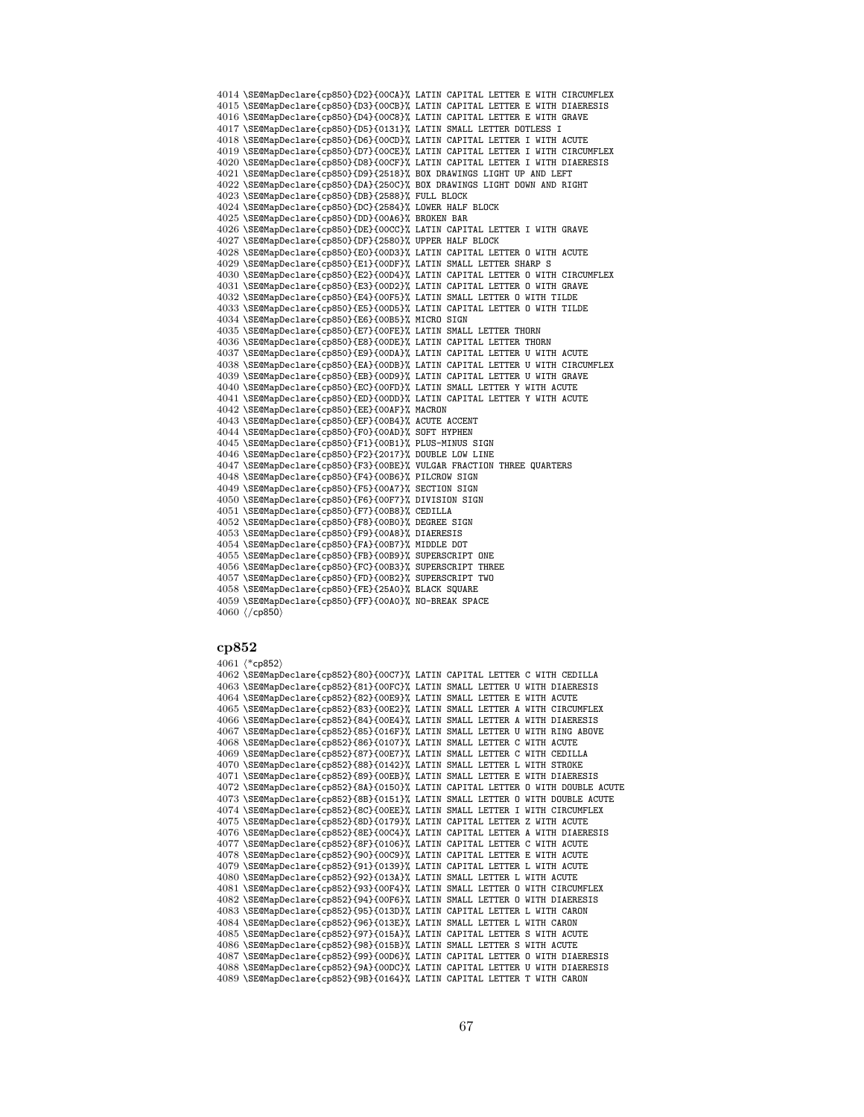\SE@MapDeclare{cp850}{D2}{00CA}% LATIN CAPITAL LETTER E WITH CIRCUMFLEX \SE@MapDeclare{cp850}{D3}{00CB}% LATIN CAPITAL LETTER E WITH DIAERESIS \SE@MapDeclare{cp850}{D4}{00C8}% LATIN CAPITAL LETTER E WITH GRAVE \SE@MapDeclare{cp850}{D5}{0131}% LATIN SMALL LETTER DOTLESS I \SE@MapDeclare{cp850}{D6}{00CD}% LATIN CAPITAL LETTER I WITH ACUTE \SE@MapDeclare{cp850}{D7}{00CE}% LATIN CAPITAL LETTER I WITH CIRCUMFLEX \SE@MapDeclare{cp850}{D8}{00CF}% LATIN CAPITAL LETTER I WITH DIAERESIS \SE@MapDeclare{cp850}{D9}{2518}% BOX DRAWINGS LIGHT UP AND LEFT \SE@MapDeclare{cp850}{DA}{250C}% BOX DRAWINGS LIGHT DOWN AND RIGHT \SE@MapDeclare{cp850}{DB}{2588}% FULL BLOCK \SE@MapDeclare{cp850}{DC}{2584}% LOWER HALF BLOCK \SE@MapDeclare{cp850}{DD}{00A6}% BROKEN BAR \SE@MapDeclare{cp850}{DE}{00CC}% LATIN CAPITAL LETTER I WITH GRAVE \SE@MapDeclare{cp850}{DF}{2580}% UPPER HALF BLOCK \SE@MapDeclare{cp850}{E0}{00D3}% LATIN CAPITAL LETTER O WITH ACUTE \SE@MapDeclare{cp850}{E1}{00DF}% LATIN SMALL LETTER SHARP S \SE@MapDeclare{cp850}{E2}{00D4}% LATIN CAPITAL LETTER O WITH CIRCUMFLEX \SE@MapDeclare{cp850}{E3}{00D2}% LATIN CAPITAL LETTER O WITH GRAVE \SE@MapDeclare{cp850}{E4}{00F5}% LATIN SMALL LETTER O WITH TILDE \SE@MapDeclare{cp850}{E5}{00D5}% LATIN CAPITAL LETTER O WITH TILDE \SE@MapDeclare{cp850}{E6}{00B5}% MICRO SIGN \SE@MapDeclare{cp850}{E7}{00FE}% LATIN SMALL LETTER THORN \SE@MapDeclare{cp850}{E8}{00DE}% LATIN CAPITAL LETTER THORN \SE@MapDeclare{cp850}{E9}{00DA}% LATIN CAPITAL LETTER U WITH ACUTE \SE@MapDeclare{cp850}{EA}{00DB}% LATIN CAPITAL LETTER U WITH CIRCUMFLEX \SE@MapDeclare{cp850}{EB}{00D9}% LATIN CAPITAL LETTER U WITH GRAVE \SE@MapDeclare{cp850}{EC}{00FD}% LATIN SMALL LETTER Y WITH ACUTE \SE@MapDeclare{cp850}{ED}{00DD}% LATIN CAPITAL LETTER Y WITH ACUTE \SE@MapDeclare{cp850}{EE}{00AF}% MACRON \SE@MapDeclare{cp850}{EF}{00B4}% ACUTE ACCENT \SE@MapDeclare{cp850}{F0}{00AD}% SOFT HYPHEN \SE@MapDeclare{cp850}{F1}{00B1}% PLUS-MINUS SIGN \SE@MapDeclare{cp850}{F2}{2017}% DOUBLE LOW LINE \SE@MapDeclare{cp850}{F3}{00BE}% VULGAR FRACTION THREE QUARTERS \SE@MapDeclare{cp850}{F4}{00B6}% PILCROW SIGN \SE@MapDeclare{cp850}{F5}{00A7}% SECTION SIGN \SE@MapDeclare{cp850}{F6}{00F7}% DIVISION SIGN \SE@MapDeclare{cp850}{F7}{00B8}% CEDILLA \SE@MapDeclare{cp850}{F8}{00B0}% DEGREE SIGN \SE@MapDeclare{cp850}{F9}{00A8}% DIAERESIS \SE@MapDeclare{cp850}{FA}{00B7}% MIDDLE DOT \SE@MapDeclare{cp850}{FB}{00B9}% SUPERSCRIPT ONE \SE@MapDeclare{cp850}{FC}{00B3}% SUPERSCRIPT THREE \SE@MapDeclare{cp850}{FD}{00B2}% SUPERSCRIPT TWO \SE@MapDeclare{cp850}{FE}{25A0}% BLACK SQUARE \SE@MapDeclare{cp850}{FF}{00A0}% NO-BREAK SPACE  $\langle$ /cp850)

### cp852

```
4061 (*cp852)
```

```
4062 \SE@MapDeclare{cp852}{80}{00C7}% LATIN CAPITAL LETTER C WITH CEDILLA
4063 \SE@MapDeclare{cp852}{81}{00FC}% LATIN SMALL LETTER U WITH DIAERESIS
4064 \SE@MapDeclare{cp852}{82}{00E9}% LATIN SMALL LETTER E WITH ACUTE
4065 \SE@MapDeclare{cp852}{83}{00E2}% LATIN SMALL LETTER A WITH CIRCUMFLEX
4066 \SE@MapDeclare{cp852}{84}{00E4}% LATIN SMALL LETTER A WITH DIAERESIS
4067 \SE@MapDeclare{cp852}{85}{016F}% LATIN SMALL LETTER U WITH RING ABOVE
4068 \SE@MapDeclare{cp852}{86}{0107}% LATIN SMALL LETTER C WITH ACUTE
4069 \SE@MapDeclare{cp852}{87}{00E7}% LATIN SMALL LETTER C WITH CEDILLA
4070 \SE@MapDeclare{cp852}{88}{0142}% LATIN SMALL LETTER L WITH STROKE
4071 \SE@MapDeclare{cp852}{89}{00EB}% LATIN SMALL LETTER E WITH DIAERESIS
4072 \SE@MapDeclare{cp852}{8A}{0150}% LATIN CAPITAL LETTER O WITH DOUBLE ACUTE
4073 \SE@MapDeclare{cp852}{8B}{0151}% LATIN SMALL LETTER O WITH DOUBLE ACUTE
4074 \SE@MapDeclare{cp852}{8C}{00EE}% LATIN SMALL LETTER I WITH CIRCUMFLEX
4075 \SE@MapDeclare{cp852}{8D}{0179}% LATIN CAPITAL LETTER Z WITH ACUTE
4076 \SE@MapDeclare{cp852}{8E}{00C4}% LATIN CAPITAL LETTER A WITH DIAERESIS
4077 \SE@MapDeclare{cp852}{8F}{0106}% LATIN CAPITAL LETTER C WITH ACUTE
4078 \SE@MapDeclare{cp852}{90}{00C9}% LATIN CAPITAL LETTER E WITH ACUTE
4079 \SE@MapDeclare{cp852}{91}{0139}% LATIN CAPITAL LETTER L WITH ACUTE
4080 \SE@MapDeclare{cp852}{92}{013A}% LATIN SMALL LETTER L WITH ACUTE
4081 \SE@MapDeclare{cp852}{93}{00F4}% LATIN SMALL LETTER O WITH CIRCUMFLEX
4082 \SE@MapDeclare{cp852}{94}{00F6}% LATIN SMALL LETTER O WITH DIAERESIS
4083 \SE@MapDeclare{cp852}{95}{013D}% LATIN CAPITAL LETTER L WITH CARON
4084 \SE@MapDeclare{cp852}{96}{013E}% LATIN SMALL LETTER L WITH CARON
4085 \SE@MapDeclare{cp852}{97}{015A}% LATIN CAPITAL LETTER S WITH ACUTE
4086 \SE@MapDeclare{cp852}{98}{015B}% LATIN SMALL LETTER S WITH ACUTE
4087 \SE@MapDeclare{cp852}{99}{00D6}% LATIN CAPITAL LETTER O WITH DIAERESIS
4088 \SE@MapDeclare{cp852}{9A}{00DC}% LATIN CAPITAL LETTER U WITH DIAERESIS
4089 \SE@MapDeclare{cp852}{9B}{0164}% LATIN CAPITAL LETTER T WITH CARON
```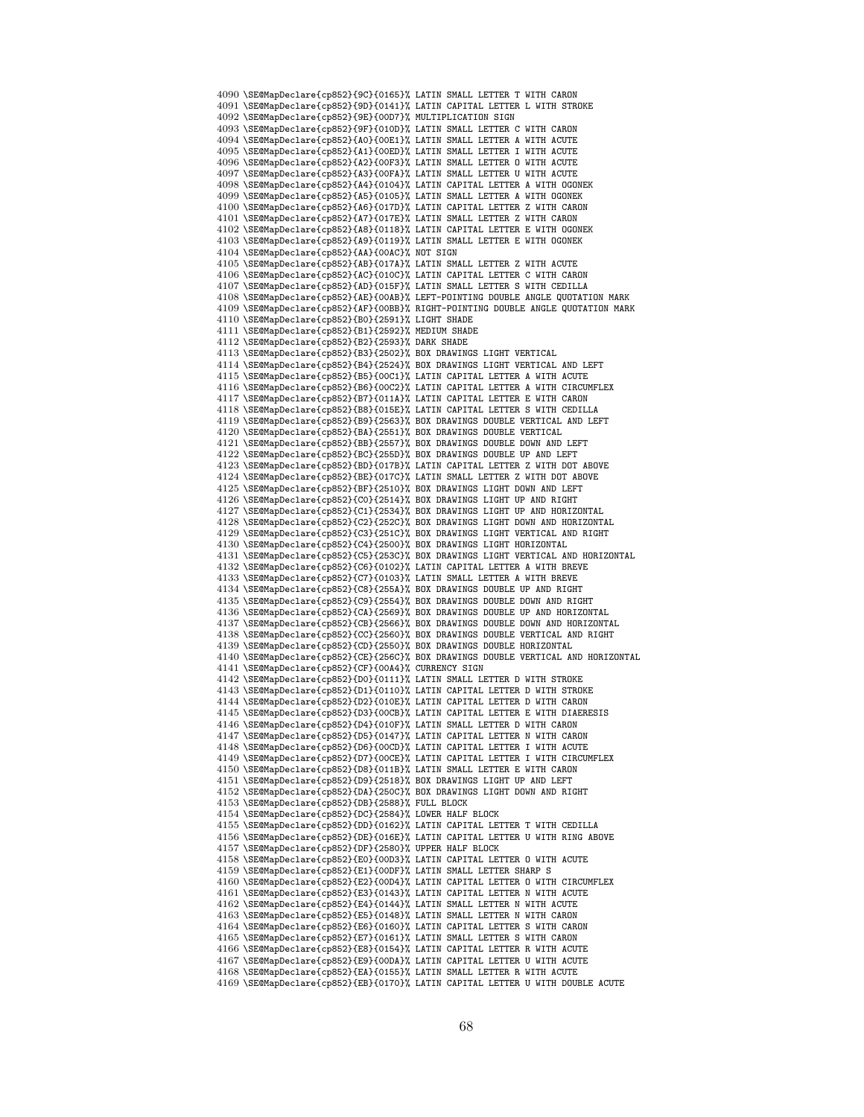\SE@MapDeclare{cp852}{9C}{0165}% LATIN SMALL LETTER T WITH CARON \SE@MapDeclare{cp852}{9D}{0141}% LATIN CAPITAL LETTER L WITH STROKE \SE@MapDeclare{cp852}{9E}{00D7}% MULTIPLICATION SIGN \SE@MapDeclare{cp852}{9F}{010D}% LATIN SMALL LETTER C WITH CARON \SE@MapDeclare{cp852}{A0}{00E1}% LATIN SMALL LETTER A WITH ACUTE \SE@MapDeclare{cp852}{A1}{00ED}% LATIN SMALL LETTER I WITH ACUTE \SE@MapDeclare{cp852}{A2}{00F3}% LATIN SMALL LETTER O WITH ACUTE \SE@MapDeclare{cp852}{A3}{00FA}% LATIN SMALL LETTER U WITH ACUTE \SE@MapDeclare{cp852}{A4}{0104}% LATIN CAPITAL LETTER A WITH OGONEK \SE@MapDeclare{cp852}{A5}{0105}% LATIN SMALL LETTER A WITH OGONEK \SE@MapDeclare{cp852}{A6}{017D}% LATIN CAPITAL LETTER Z WITH CARON \SE@MapDeclare{cp852}{A7}{017E}% LATIN SMALL LETTER Z WITH CARON \SE@MapDeclare{cp852}{A8}{0118}% LATIN CAPITAL LETTER E WITH OGONEK \SE@MapDeclare{cp852}{A9}{0119}% LATIN SMALL LETTER E WITH OGONEK \SE@MapDeclare{cp852}{AA}{00AC}% NOT SIGN \SE@MapDeclare{cp852}{AB}{017A}% LATIN SMALL LETTER Z WITH ACUTE \SE@MapDeclare{cp852}{AC}{010C}% LATIN CAPITAL LETTER C WITH CARON \SE@MapDeclare{cp852}{AD}{015F}% LATIN SMALL LETTER S WITH CEDILLA \SE@MapDeclare{cp852}{AE}{00AB}% LEFT-POINTING DOUBLE ANGLE QUOTATION MARK \SE@MapDeclare{cp852}{AF}{00BB}% RIGHT-POINTING DOUBLE ANGLE QUOTATION MARK \SE@MapDeclare{cp852}{B0}{2591}% LIGHT SHADE \SE@MapDeclare{cp852}{B1}{2592}% MEDIUM SHADE \SE@MapDeclare{cp852}{B2}{2593}% DARK SHADE \SE@MapDeclare{cp852}{B3}{2502}% BOX DRAWINGS LIGHT VERTICAL \SE@MapDeclare{cp852}{B4}{2524}% BOX DRAWINGS LIGHT VERTICAL AND LEFT \SE@MapDeclare{cp852}{B5}{00C1}% LATIN CAPITAL LETTER A WITH ACUTE \SE@MapDeclare{cp852}{B6}{00C2}% LATIN CAPITAL LETTER A WITH CIRCUMFLEX \SE@MapDeclare{cp852}{B7}{011A}% LATIN CAPITAL LETTER E WITH CARON \SE@MapDeclare{cp852}{B8}{015E}% LATIN CAPITAL LETTER S WITH CEDILLA \SE@MapDeclare{cp852}{B9}{2563}% BOX DRAWINGS DOUBLE VERTICAL AND LEFT \SE@MapDeclare{cp852}{BA}{2551}% BOX DRAWINGS DOUBLE VERTICAL \SE@MapDeclare{cp852}{BB}{2557}% BOX DRAWINGS DOUBLE DOWN AND LEFT \SE@MapDeclare{cp852}{BC}{255D}% BOX DRAWINGS DOUBLE UP AND LEFT \SE@MapDeclare{cp852}{BD}{017B}% LATIN CAPITAL LETTER Z WITH DOT ABOVE \SE@MapDeclare{cp852}{BE}{017C}% LATIN SMALL LETTER Z WITH DOT ABOVE \SE@MapDeclare{cp852}{BF}{2510}% BOX DRAWINGS LIGHT DOWN AND LEFT \SE@MapDeclare{cp852}{C0}{2514}% BOX DRAWINGS LIGHT UP AND RIGHT \SE@MapDeclare{cp852}{C1}{2534}% BOX DRAWINGS LIGHT UP AND HORIZONTAL \SE@MapDeclare{cp852}{C2}{252C}% BOX DRAWINGS LIGHT DOWN AND HORIZONTAL \SE@MapDeclare{cp852}{C3}{251C}% BOX DRAWINGS LIGHT VERTICAL AND RIGHT \SE@MapDeclare{cp852}{C4}{2500}% BOX DRAWINGS LIGHT HORIZONTAL \SE@MapDeclare{cp852}{C5}{253C}% BOX DRAWINGS LIGHT VERTICAL AND HORIZONTAL \SE@MapDeclare{cp852}{C6}{0102}% LATIN CAPITAL LETTER A WITH BREVE \SE@MapDeclare{cp852}{C7}{0103}% LATIN SMALL LETTER A WITH BREVE \SE@MapDeclare{cp852}{C8}{255A}% BOX DRAWINGS DOUBLE UP AND RIGHT \SE@MapDeclare{cp852}{C9}{2554}% BOX DRAWINGS DOUBLE DOWN AND RIGHT \SE@MapDeclare{cp852}{CA}{2569}% BOX DRAWINGS DOUBLE UP AND HORIZONTAL \SE@MapDeclare{cp852}{CB}{2566}% BOX DRAWINGS DOUBLE DOWN AND HORIZONTAL \SE@MapDeclare{cp852}{CC}{2560}% BOX DRAWINGS DOUBLE VERTICAL AND RIGHT \SE@MapDeclare{cp852}{CD}{2550}% BOX DRAWINGS DOUBLE HORIZONTAL \SE@MapDeclare{cp852}{CE}{256C}% BOX DRAWINGS DOUBLE VERTICAL AND HORIZONTAL \SE@MapDeclare{cp852}{CF}{00A4}% CURRENCY SIGN \SE@MapDeclare{cp852}{D0}{0111}% LATIN SMALL LETTER D WITH STROKE \SE@MapDeclare{cp852}{D1}{0110}% LATIN CAPITAL LETTER D WITH STROKE \SE@MapDeclare{cp852}{D2}{010E}% LATIN CAPITAL LETTER D WITH CARON \SE@MapDeclare{cp852}{D3}{00CB}% LATIN CAPITAL LETTER E WITH DIAERESIS \SE@MapDeclare{cp852}{D4}{010F}% LATIN SMALL LETTER D WITH CARON \SE@MapDeclare{cp852}{D5}{0147}% LATIN CAPITAL LETTER N WITH CARON \SE@MapDeclare{cp852}{D6}{00CD}% LATIN CAPITAL LETTER I WITH ACUTE \SE@MapDeclare{cp852}{D7}{00CE}% LATIN CAPITAL LETTER I WITH CIRCUMFLEX \SE@MapDeclare{cp852}{D8}{011B}% LATIN SMALL LETTER E WITH CARON \SE@MapDeclare{cp852}{D9}{2518}% BOX DRAWINGS LIGHT UP AND LEFT \SE@MapDeclare{cp852}{DA}{250C}% BOX DRAWINGS LIGHT DOWN AND RIGHT \SE@MapDeclare{cp852}{DB}{2588}% FULL BLOCK \SE@MapDeclare{cp852}{DC}{2584}% LOWER HALF BLOCK \SE@MapDeclare{cp852}{DD}{0162}% LATIN CAPITAL LETTER T WITH CEDILLA \SE@MapDeclare{cp852}{DE}{016E}% LATIN CAPITAL LETTER U WITH RING ABOVE \SE@MapDeclare{cp852}{DF}{2580}% UPPER HALF BLOCK \SE@MapDeclare{cp852}{E0}{00D3}% LATIN CAPITAL LETTER O WITH ACUTE \SE@MapDeclare{cp852}{E1}{00DF}% LATIN SMALL LETTER SHARP S \SE@MapDeclare{cp852}{E2}{00D4}% LATIN CAPITAL LETTER O WITH CIRCUMFLEX \SE@MapDeclare{cp852}{E3}{0143}% LATIN CAPITAL LETTER N WITH ACUTE \SE@MapDeclare{cp852}{E4}{0144}% LATIN SMALL LETTER N WITH ACUTE \SE@MapDeclare{cp852}{E5}{0148}% LATIN SMALL LETTER N WITH CARON \SE@MapDeclare{cp852}{E6}{0160}% LATIN CAPITAL LETTER S WITH CARON \SE@MapDeclare{cp852}{E7}{0161}% LATIN SMALL LETTER S WITH CARON \SE@MapDeclare{cp852}{E8}{0154}% LATIN CAPITAL LETTER R WITH ACUTE \SE@MapDeclare{cp852}{E9}{00DA}% LATIN CAPITAL LETTER U WITH ACUTE \SE@MapDeclare{cp852}{EA}{0155}% LATIN SMALL LETTER R WITH ACUTE \SE@MapDeclare{cp852}{EB}{0170}% LATIN CAPITAL LETTER U WITH DOUBLE ACUTE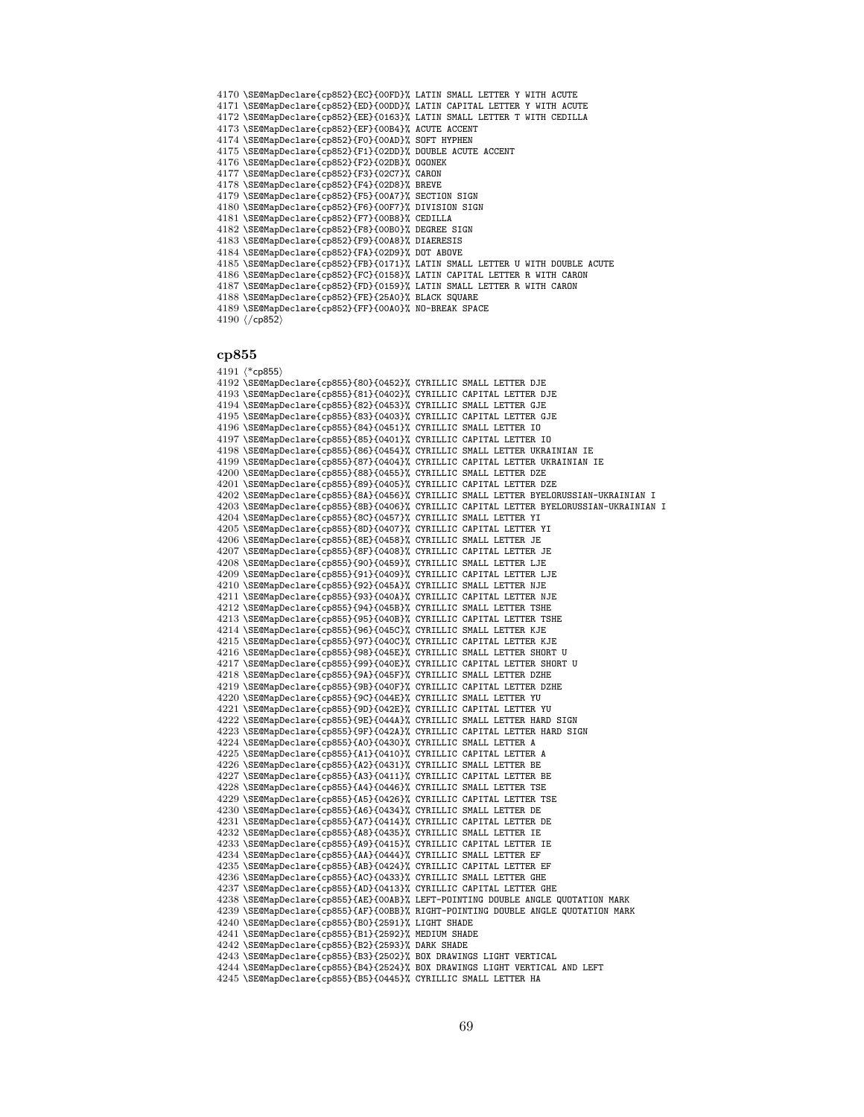```
4170 \SE@MapDeclare{cp852}{EC}{00FD}% LATIN SMALL LETTER Y WITH ACUTE
4171 \SE@MapDeclare{cp852}{ED}{00DD}% LATIN CAPITAL LETTER Y WITH ACUTE
4172 \SE@MapDeclare{cp852}{EE}{0163}% LATIN SMALL LETTER T WITH CEDILLA
4173 \SE@MapDeclare{cp852}{EF}{00B4}% ACUTE ACCENT
4174 \SE@MapDeclare{cp852}{F0}{00AD}% SOFT HYPHEN
4175 \SE@MapDeclare{cp852}{F1}{02DD}% DOUBLE ACUTE ACCENT
4176 \SE@MapDeclare{cp852}{F2}{02DB}% OGONEK
4177 \SE@MapDeclare{cp852}{F3}{02C7}% CARON
4178 \SE@MapDeclare{cp852}{F4}{02D8}% BREVE
4179 \SE@MapDeclare{cp852}{F5}{00A7}% SECTION SIGN
4180 \SE@MapDeclare{cp852}{F6}{00F7}% DIVISION SIGN
4181 \SE@MapDeclare{cp852}{F7}{00B8}% CEDILLA
4182 \SE@MapDeclare{cp852}{F8}{00B0}% DEGREE SIGN
4183 \SE@MapDeclare{cp852}{F9}{00A8}% DIAERESIS
4184 \SE@MapDeclare{cp852}{FA}{02D9}% DOT ABOVE
4185 \SE@MapDeclare{cp852}{FB}{0171}% LATIN SMALL LETTER U WITH DOUBLE ACUTE
4186 \SE@MapDeclare{cp852}{FC}{0158}% LATIN CAPITAL LETTER R WITH CARON
4187 \SE@MapDeclare{cp852}{FD}{0159}% LATIN SMALL LETTER R WITH CARON
4188 \SE@MapDeclare{cp852}{FE}{25A0}% BLACK SQUARE
4189 \SE@MapDeclare{cp852}{FF}{00A0}% NO-BREAK SPACE
4190 \langle/cp852)
```
#### cp855

 $\langle$ \*cp855) \SE@MapDeclare{cp855}{80}{0452}% CYRILLIC SMALL LETTER DJE \SE@MapDeclare{cp855}{81}{0402}% CYRILLIC CAPITAL LETTER DJE \SE@MapDeclare{cp855}{82}{0453}% CYRILLIC SMALL LETTER GJE \SE@MapDeclare{cp855}{83}{0403}% CYRILLIC CAPITAL LETTER GJE \SE@MapDeclare{cp855}{84}{0451}% CYRILLIC SMALL LETTER IO \SE@MapDeclare{cp855}{85}{0401}% CYRILLIC CAPITAL LETTER IO \SE@MapDeclare{cp855}{86}{0454}% CYRILLIC SMALL LETTER UKRAINIAN IE \SE@MapDeclare{cp855}{87}{0404}% CYRILLIC CAPITAL LETTER UKRAINIAN IE \SE@MapDeclare{cp855}{88}{0455}% CYRILLIC SMALL LETTER DZE \SE@MapDeclare{cp855}{89}{0405}% CYRILLIC CAPITAL LETTER DZE \SE@MapDeclare{cp855}{8A}{0456}% CYRILLIC SMALL LETTER BYELORUSSIAN-UKRAINIAN I \SE@MapDeclare{cp855}{8B}{0406}% CYRILLIC CAPITAL LETTER BYELORUSSIAN-UKRAINIAN I \SE@MapDeclare{cp855}{8C}{0457}% CYRILLIC SMALL LETTER YI \SE@MapDeclare{cp855}{8D}{0407}% CYRILLIC CAPITAL LETTER YI \SE@MapDeclare{cp855}{8E}{0458}% CYRILLIC SMALL LETTER JE \SE@MapDeclare{cp855}{8F}{0408}% CYRILLIC CAPITAL LETTER JE \SE@MapDeclare{cp855}{90}{0459}% CYRILLIC SMALL LETTER LJE \SE@MapDeclare{cp855}{91}{0409}% CYRILLIC CAPITAL LETTER LJE \SE@MapDeclare{cp855}{92}{045A}% CYRILLIC SMALL LETTER NJE \SE@MapDeclare{cp855}{93}{040A}% CYRILLIC CAPITAL LETTER NJE \SE@MapDeclare{cp855}{94}{045B}% CYRILLIC SMALL LETTER TSHE \SE@MapDeclare{cp855}{95}{040B}% CYRILLIC CAPITAL LETTER TSHE \SE@MapDeclare{cp855}{96}{045C}% CYRILLIC SMALL LETTER KJE \SE@MapDeclare{cp855}{97}{040C}% CYRILLIC CAPITAL LETTER KJE \SE@MapDeclare{cp855}{98}{045E}% CYRILLIC SMALL LETTER SHORT U \SE@MapDeclare{cp855}{99}{040E}% CYRILLIC CAPITAL LETTER SHORT U 4218 \SE@MapDeclare{cp855}{9A}{045F}% CYRILLIC SMALL LETTER DZHE \SE@MapDeclare{cp855}{9B}{040F}% CYRILLIC CAPITAL LETTER DZHE \SE@MapDeclare{cp855}{9C}{044E}% CYRILLIC SMALL LETTER YU 4221 \SE@MapDeclare{cp855}{9D}{042E}% CYRILLIC CAPITAL LETTER YU \SE@MapDeclare{cp855}{9E}{044A}% CYRILLIC SMALL LETTER HARD SIGN 4223 \SE@MapDeclare{cp855}{9F}{042A}% CYRILLIC CAPITAL LETTER HARD SIGN \SE@MapDeclare{cp855}{A0}{0430}% CYRILLIC SMALL LETTER A \SE@MapDeclare{cp855}{A1}{0410}% CYRILLIC CAPITAL LETTER A \SE@MapDeclare{cp855}{A2}{0431}% CYRILLIC SMALL LETTER BE \SE@MapDeclare{cp855}{A3}{0411}% CYRILLIC CAPITAL LETTER BE \SE@MapDeclare{cp855}{A4}{0446}% CYRILLIC SMALL LETTER TSE \SE@MapDeclare{cp855}{A5}{0426}% CYRILLIC CAPITAL LETTER TSE \SE@MapDeclare{cp855}{A6}{0434}% CYRILLIC SMALL LETTER DE \SE@MapDeclare{cp855}{A7}{0414}% CYRILLIC CAPITAL LETTER DE \SE@MapDeclare{cp855}{A8}{0435}% CYRILLIC SMALL LETTER IE \SE@MapDeclare{cp855}{A9}{0415}% CYRILLIC CAPITAL LETTER IE \SE@MapDeclare{cp855}{AA}{0444}% CYRILLIC SMALL LETTER EF \SE@MapDeclare{cp855}{AB}{0424}% CYRILLIC CAPITAL LETTER EF \SE@MapDeclare{cp855}{AC}{0433}% CYRILLIC SMALL LETTER GHE \SE@MapDeclare{cp855}{AD}{0413}% CYRILLIC CAPITAL LETTER GHE \SE@MapDeclare{cp855}{AE}{00AB}% LEFT-POINTING DOUBLE ANGLE QUOTATION MARK \SE@MapDeclare{cp855}{AF}{00BB}% RIGHT-POINTING DOUBLE ANGLE QUOTATION MARK \SE@MapDeclare{cp855}{B0}{2591}% LIGHT SHADE \SE@MapDeclare{cp855}{B1}{2592}% MEDIUM SHADE \SE@MapDeclare{cp855}{B2}{2593}% DARK SHADE \SE@MapDeclare{cp855}{B3}{2502}% BOX DRAWINGS LIGHT VERTICAL \SE@MapDeclare{cp855}{B4}{2524}% BOX DRAWINGS LIGHT VERTICAL AND LEFT \SE@MapDeclare{cp855}{B5}{0445}% CYRILLIC SMALL LETTER HA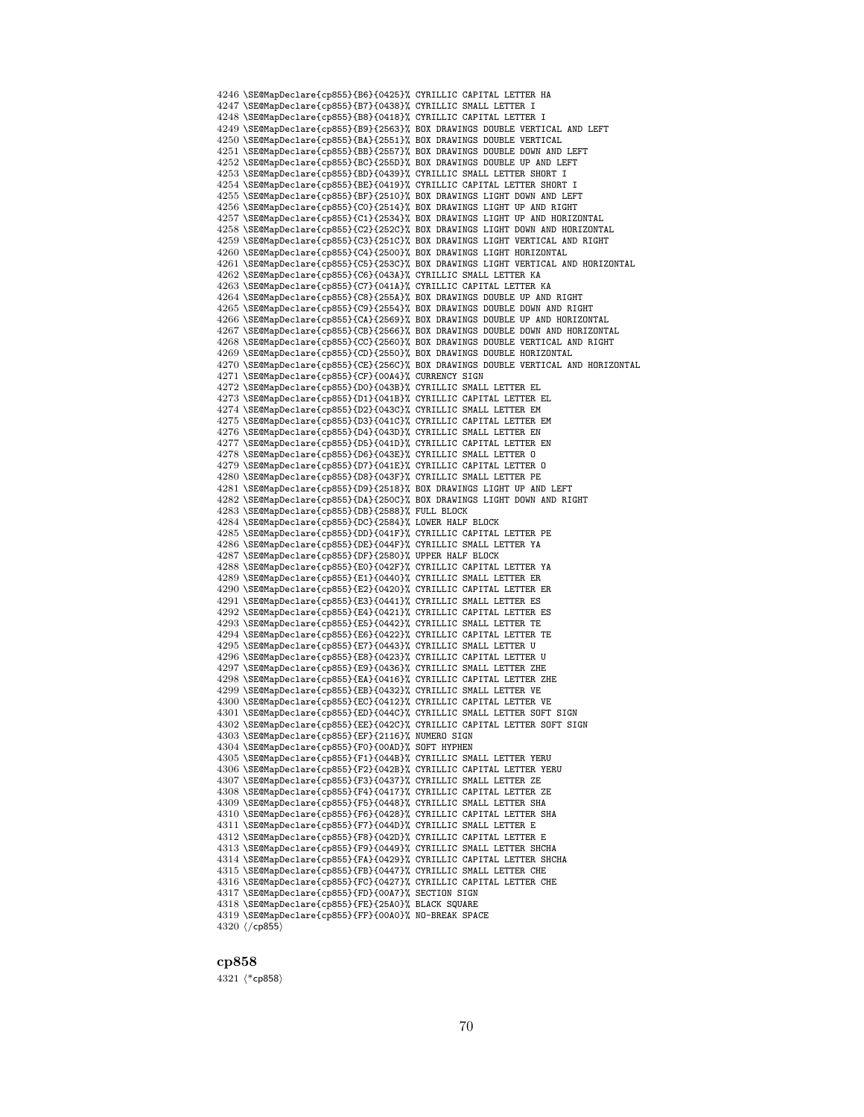\SE@MapDeclare{cp855}{B6}{0425}% CYRILLIC CAPITAL LETTER HA \SE@MapDeclare{cp855}{B7}{0438}% CYRILLIC SMALL LETTER I \SE@MapDeclare{cp855}{B8}{0418}% CYRILLIC CAPITAL LETTER I \SE@MapDeclare{cp855}{B9}{2563}% BOX DRAWINGS DOUBLE VERTICAL AND LEFT \SE@MapDeclare{cp855}{BA}{2551}% BOX DRAWINGS DOUBLE VERTICAL \SE@MapDeclare{cp855}{BB}{2557}% BOX DRAWINGS DOUBLE DOWN AND LEFT \SE@MapDeclare{cp855}{BC}{255D}% BOX DRAWINGS DOUBLE UP AND LEFT \SE@MapDeclare{cp855}{BD}{0439}% CYRILLIC SMALL LETTER SHORT I \SE@MapDeclare{cp855}{BE}{0419}% CYRILLIC CAPITAL LETTER SHORT I \SE@MapDeclare{cp855}{BF}{2510}% BOX DRAWINGS LIGHT DOWN AND LEFT \SE@MapDeclare{cp855}{C0}{2514}% BOX DRAWINGS LIGHT UP AND RIGHT \SE@MapDeclare{cp855}{C1}{2534}% BOX DRAWINGS LIGHT UP AND HORIZONTAL \SE@MapDeclare{cp855}{C2}{252C}% BOX DRAWINGS LIGHT DOWN AND HORIZONTAL \SE@MapDeclare{cp855}{C3}{251C}% BOX DRAWINGS LIGHT VERTICAL AND RIGHT \SE@MapDeclare{cp855}{C4}{2500}% BOX DRAWINGS LIGHT HORIZONTAL \SE@MapDeclare{cp855}{C5}{253C}% BOX DRAWINGS LIGHT VERTICAL AND HORIZONTAL \SE@MapDeclare{cp855}{C6}{043A}% CYRILLIC SMALL LETTER KA \SE@MapDeclare{cp855}{C7}{041A}% CYRILLIC CAPITAL LETTER KA \SE@MapDeclare{cp855}{C8}{255A}% BOX DRAWINGS DOUBLE UP AND RIGHT \SE@MapDeclare{cp855}{C9}{2554}% BOX DRAWINGS DOUBLE DOWN AND RIGHT \SE@MapDeclare{cp855}{CA}{2569}% BOX DRAWINGS DOUBLE UP AND HORIZONTAL \SE@MapDeclare{cp855}{CB}{2566}% BOX DRAWINGS DOUBLE DOWN AND HORIZONTAL \SE@MapDeclare{cp855}{CC}{2560}% BOX DRAWINGS DOUBLE VERTICAL AND RIGHT \SE@MapDeclare{cp855}{CD}{2550}% BOX DRAWINGS DOUBLE HORIZONTAL \SE@MapDeclare{cp855}{CE}{256C}% BOX DRAWINGS DOUBLE VERTICAL AND HORIZONTAL \SE@MapDeclare{cp855}{CF}{00A4}% CURRENCY SIGN \SE@MapDeclare{cp855}{D0}{043B}% CYRILLIC SMALL LETTER EL \SE@MapDeclare{cp855}{D1}{041B}% CYRILLIC CAPITAL LETTER EL \SE@MapDeclare{cp855}{D2}{043C}% CYRILLIC SMALL LETTER EM \SE@MapDeclare{cp855}{D3}{041C}% CYRILLIC CAPITAL LETTER EM \SE@MapDeclare{cp855}{D4}{043D}% CYRILLIC SMALL LETTER EN \SE@MapDeclare{cp855}{D5}{041D}% CYRILLIC CAPITAL LETTER EN \SE@MapDeclare{cp855}{D6}{043E}% CYRILLIC SMALL LETTER O \SE@MapDeclare{cp855}{D7}{041E}% CYRILLIC CAPITAL LETTER O \SE@MapDeclare{cp855}{D8}{043F}% CYRILLIC SMALL LETTER PE \SE@MapDeclare{cp855}{D9}{2518}% BOX DRAWINGS LIGHT UP AND LEFT \SE@MapDeclare{cp855}{DA}{250C}% BOX DRAWINGS LIGHT DOWN AND RIGHT \SE@MapDeclare{cp855}{DB}{2588}% FULL BLOCK \SE@MapDeclare{cp855}{DC}{2584}% LOWER HALF BLOCK \SE@MapDeclare{cp855}{DD}{041F}% CYRILLIC CAPITAL LETTER PE \SE@MapDeclare{cp855}{DE}{044F}% CYRILLIC SMALL LETTER YA \SE@MapDeclare{cp855}{DF}{2580}% UPPER HALF BLOCK \SE@MapDeclare{cp855}{E0}{042F}% CYRILLIC CAPITAL LETTER YA \SE@MapDeclare{cp855}{E1}{0440}% CYRILLIC SMALL LETTER ER \SE@MapDeclare{cp855}{E2}{0420}% CYRILLIC CAPITAL LETTER ER \SE@MapDeclare{cp855}{E3}{0441}% CYRILLIC SMALL LETTER ES \SE@MapDeclare{cp855}{E4}{0421}% CYRILLIC CAPITAL LETTER ES 4293 \SE@MapDeclare{cp855}{E5}{0442}% CYRILLIC SMALL LETTER TE \SE@MapDeclare{cp855}{E6}{0422}% CYRILLIC CAPITAL LETTER TE 4295 \SE@MapDeclare{cp855}{E7}{0443}% CYRILLIC SMALL LETTER U \SE@MapDeclare{cp855}{E8}{0423}% CYRILLIC CAPITAL LETTER U \SE@MapDeclare{cp855}{E9}{0436}% CYRILLIC SMALL LETTER ZHE \SE@MapDeclare{cp855}{EA}{0416}% CYRILLIC CAPITAL LETTER ZHE \SE@MapDeclare{cp855}{EB}{0432}% CYRILLIC SMALL LETTER VE \SE@MapDeclare{cp855}{EC}{0412}% CYRILLIC CAPITAL LETTER VE \SE@MapDeclare{cp855}{ED}{044C}% CYRILLIC SMALL LETTER SOFT SIGN \SE@MapDeclare{cp855}{EE}{042C}% CYRILLIC CAPITAL LETTER SOFT SIGN \SE@MapDeclare{cp855}{EF}{2116}% NUMERO SIGN \SE@MapDeclare{cp855}{F0}{00AD}% SOFT HYPHEN \SE@MapDeclare{cp855}{F1}{044B}% CYRILLIC SMALL LETTER YERU \SE@MapDeclare{cp855}{F2}{042B}% CYRILLIC CAPITAL LETTER YERU \SE@MapDeclare{cp855}{F3}{0437}% CYRILLIC SMALL LETTER ZE \SE@MapDeclare{cp855}{F4}{0417}% CYRILLIC CAPITAL LETTER ZE \SE@MapDeclare{cp855}{F5}{0448}% CYRILLIC SMALL LETTER SHA \SE@MapDeclare{cp855}{F6}{0428}% CYRILLIC CAPITAL LETTER SHA \SE@MapDeclare{cp855}{F7}{044D}% CYRILLIC SMALL LETTER E \SE@MapDeclare{cp855}{F8}{042D}% CYRILLIC CAPITAL LETTER E \SE@MapDeclare{cp855}{F9}{0449}% CYRILLIC SMALL LETTER SHCHA \SE@MapDeclare{cp855}{FA}{0429}% CYRILLIC CAPITAL LETTER SHCHA \SE@MapDeclare{cp855}{FB}{0447}% CYRILLIC SMALL LETTER CHE \SE@MapDeclare{cp855}{FC}{0427}% CYRILLIC CAPITAL LETTER CHE \SE@MapDeclare{cp855}{FD}{00A7}% SECTION SIGN \SE@MapDeclare{cp855}{FE}{25A0}% BLACK SQUARE \SE@MapDeclare{cp855}{FF}{00A0}% NO-BREAK SPACE  $\langle$ /cp855}

## cp858

4321 (\*cp858)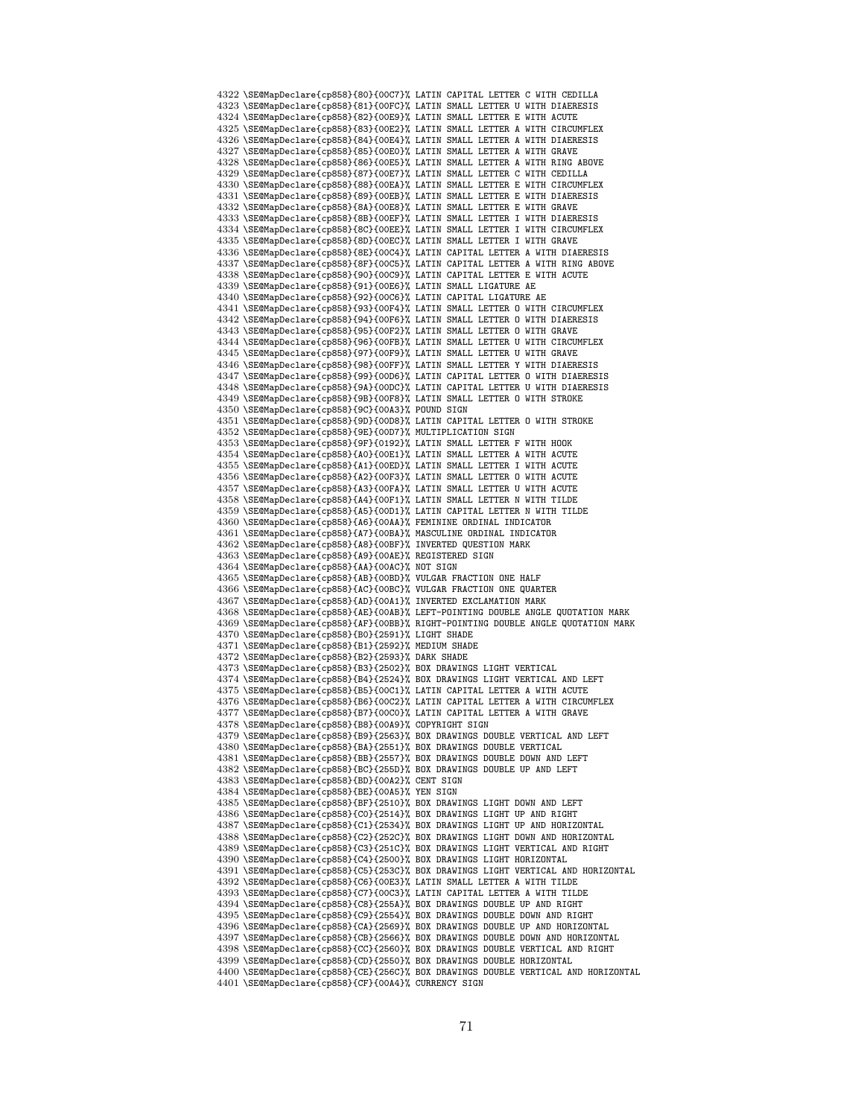\SE@MapDeclare{cp858}{80}{00C7}% LATIN CAPITAL LETTER C WITH CEDILLA \SE@MapDeclare{cp858}{81}{00FC}% LATIN SMALL LETTER U WITH DIAERESIS \SE@MapDeclare{cp858}{82}{00E9}% LATIN SMALL LETTER E WITH ACUTE \SE@MapDeclare{cp858}{83}{00E2}% LATIN SMALL LETTER A WITH CIRCUMFLEX \SE@MapDeclare{cp858}{84}{00E4}% LATIN SMALL LETTER A WITH DIAERESIS \SE@MapDeclare{cp858}{85}{00E0}% LATIN SMALL LETTER A WITH GRAVE \SE@MapDeclare{cp858}{86}{00E5}% LATIN SMALL LETTER A WITH RING ABOVE \SE@MapDeclare{cp858}{87}{00E7}% LATIN SMALL LETTER C WITH CEDILLA \SE@MapDeclare{cp858}{88}{00EA}% LATIN SMALL LETTER E WITH CIRCUMFLEX \SE@MapDeclare{cp858}{89}{00EB}% LATIN SMALL LETTER E WITH DIAERESIS \SE@MapDeclare{cp858}{8A}{00E8}% LATIN SMALL LETTER E WITH GRAVE \SE@MapDeclare{cp858}{8B}{00EF}% LATIN SMALL LETTER I WITH DIAERESIS \SE@MapDeclare{cp858}{8C}{00EE}% LATIN SMALL LETTER I WITH CIRCUMFLEX \SE@MapDeclare{cp858}{8D}{00EC}% LATIN SMALL LETTER I WITH GRAVE \SE@MapDeclare{cp858}{8E}{00C4}% LATIN CAPITAL LETTER A WITH DIAERESIS \SE@MapDeclare{cp858}{8F}{00C5}% LATIN CAPITAL LETTER A WITH RING ABOVE \SE@MapDeclare{cp858}{90}{00C9}% LATIN CAPITAL LETTER E WITH ACUTE \SE@MapDeclare{cp858}{91}{00E6}% LATIN SMALL LIGATURE AE \SE@MapDeclare{cp858}{92}{00C6}% LATIN CAPITAL LIGATURE AE \SE@MapDeclare{cp858}{93}{00F4}% LATIN SMALL LETTER O WITH CIRCUMFLEX \SE@MapDeclare{cp858}{94}{00F6}% LATIN SMALL LETTER O WITH DIAERESIS \SE@MapDeclare{cp858}{95}{00F2}% LATIN SMALL LETTER O WITH GRAVE \SE@MapDeclare{cp858}{96}{00FB}% LATIN SMALL LETTER U WITH CIRCUMFLEX \SE@MapDeclare{cp858}{97}{00F9}% LATIN SMALL LETTER U WITH GRAVE \SE@MapDeclare{cp858}{98}{00FF}% LATIN SMALL LETTER Y WITH DIAERESIS \SE@MapDeclare{cp858}{99}{00D6}% LATIN CAPITAL LETTER O WITH DIAERESIS \SE@MapDeclare{cp858}{9A}{00DC}% LATIN CAPITAL LETTER U WITH DIAERESIS \SE@MapDeclare{cp858}{9B}{00F8}% LATIN SMALL LETTER O WITH STROKE \SE@MapDeclare{cp858}{9C}{00A3}% POUND SIGN \SE@MapDeclare{cp858}{9D}{00D8}% LATIN CAPITAL LETTER O WITH STROKE \SE@MapDeclare{cp858}{9E}{00D7}% MULTIPLICATION SIGN \SE@MapDeclare{cp858}{9F}{0192}% LATIN SMALL LETTER F WITH HOOK \SE@MapDeclare{cp858}{A0}{00E1}% LATIN SMALL LETTER A WITH ACUTE \SE@MapDeclare{cp858}{A1}{00ED}% LATIN SMALL LETTER I WITH ACUTE \SE@MapDeclare{cp858}{A2}{00F3}% LATIN SMALL LETTER O WITH ACUTE \SE@MapDeclare{cp858}{A3}{00FA}% LATIN SMALL LETTER U WITH ACUTE \SE@MapDeclare{cp858}{A4}{00F1}% LATIN SMALL LETTER N WITH TILDE \SE@MapDeclare{cp858}{A5}{00D1}% LATIN CAPITAL LETTER N WITH TILDE \SE@MapDeclare{cp858}{A6}{00AA}% FEMININE ORDINAL INDICATOR \SE@MapDeclare{cp858}{A7}{00BA}% MASCULINE ORDINAL INDICATOR \SE@MapDeclare{cp858}{A8}{00BF}% INVERTED QUESTION MARK \SE@MapDeclare{cp858}{A9}{00AE}% REGISTERED SIGN \SE@MapDeclare{cp858}{AA}{00AC}% NOT SIGN \SE@MapDeclare{cp858}{AB}{00BD}% VULGAR FRACTION ONE HALF \SE@MapDeclare{cp858}{AC}{00BC}% VULGAR FRACTION ONE QUARTER \SE@MapDeclare{cp858}{AD}{00A1}% INVERTED EXCLAMATION MARK \SE@MapDeclare{cp858}{AE}{00AB}% LEFT-POINTING DOUBLE ANGLE QUOTATION MARK \SE@MapDeclare{cp858}{AF}{00BB}% RIGHT-POINTING DOUBLE ANGLE QUOTATION MARK \SE@MapDeclare{cp858}{B0}{2591}% LIGHT SHADE \SE@MapDeclare{cp858}{B1}{2592}% MEDIUM SHADE \SE@MapDeclare{cp858}{B2}{2593}% DARK SHADE \SE@MapDeclare{cp858}{B3}{2502}% BOX DRAWINGS LIGHT VERTICAL \SE@MapDeclare{cp858}{B4}{2524}% BOX DRAWINGS LIGHT VERTICAL AND LEFT \SE@MapDeclare{cp858}{B5}{00C1}% LATIN CAPITAL LETTER A WITH ACUTE \SE@MapDeclare{cp858}{B6}{00C2}% LATIN CAPITAL LETTER A WITH CIRCUMFLEX \SE@MapDeclare{cp858}{B7}{00C0}% LATIN CAPITAL LETTER A WITH GRAVE \SE@MapDeclare{cp858}{B8}{00A9}% COPYRIGHT SIGN \SE@MapDeclare{cp858}{B9}{2563}% BOX DRAWINGS DOUBLE VERTICAL AND LEFT \SE@MapDeclare{cp858}{BA}{2551}% BOX DRAWINGS DOUBLE VERTICAL \SE@MapDeclare{cp858}{BB}{2557}% BOX DRAWINGS DOUBLE DOWN AND LEFT \SE@MapDeclare{cp858}{BC}{255D}% BOX DRAWINGS DOUBLE UP AND LEFT \SE@MapDeclare{cp858}{BD}{00A2}% CENT SIGN \SE@MapDeclare{cp858}{BE}{00A5}% YEN SIGN \SE@MapDeclare{cp858}{BF}{2510}% BOX DRAWINGS LIGHT DOWN AND LEFT \SE@MapDeclare{cp858}{C0}{2514}% BOX DRAWINGS LIGHT UP AND RIGHT \SE@MapDeclare{cp858}{C1}{2534}% BOX DRAWINGS LIGHT UP AND HORIZONTAL \SE@MapDeclare{cp858}{C2}{252C}% BOX DRAWINGS LIGHT DOWN AND HORIZONTAL \SE@MapDeclare{cp858}{C3}{251C}% BOX DRAWINGS LIGHT VERTICAL AND RIGHT \SE@MapDeclare{cp858}{C4}{2500}% BOX DRAWINGS LIGHT HORIZONTAL \SE@MapDeclare{cp858}{C5}{253C}% BOX DRAWINGS LIGHT VERTICAL AND HORIZONTAL \SE@MapDeclare{cp858}{C6}{00E3}% LATIN SMALL LETTER A WITH TILDE \SE@MapDeclare{cp858}{C7}{00C3}% LATIN CAPITAL LETTER A WITH TILDE \SE@MapDeclare{cp858}{C8}{255A}% BOX DRAWINGS DOUBLE UP AND RIGHT \SE@MapDeclare{cp858}{C9}{2554}% BOX DRAWINGS DOUBLE DOWN AND RIGHT \SE@MapDeclare{cp858}{CA}{2569}% BOX DRAWINGS DOUBLE UP AND HORIZONTAL \SE@MapDeclare{cp858}{CB}{2566}% BOX DRAWINGS DOUBLE DOWN AND HORIZONTAL \SE@MapDeclare{cp858}{CC}{2560}% BOX DRAWINGS DOUBLE VERTICAL AND RIGHT \SE@MapDeclare{cp858}{CD}{2550}% BOX DRAWINGS DOUBLE HORIZONTAL \SE@MapDeclare{cp858}{CE}{256C}% BOX DRAWINGS DOUBLE VERTICAL AND HORIZONTAL \SE@MapDeclare{cp858}{CF}{00A4}% CURRENCY SIGN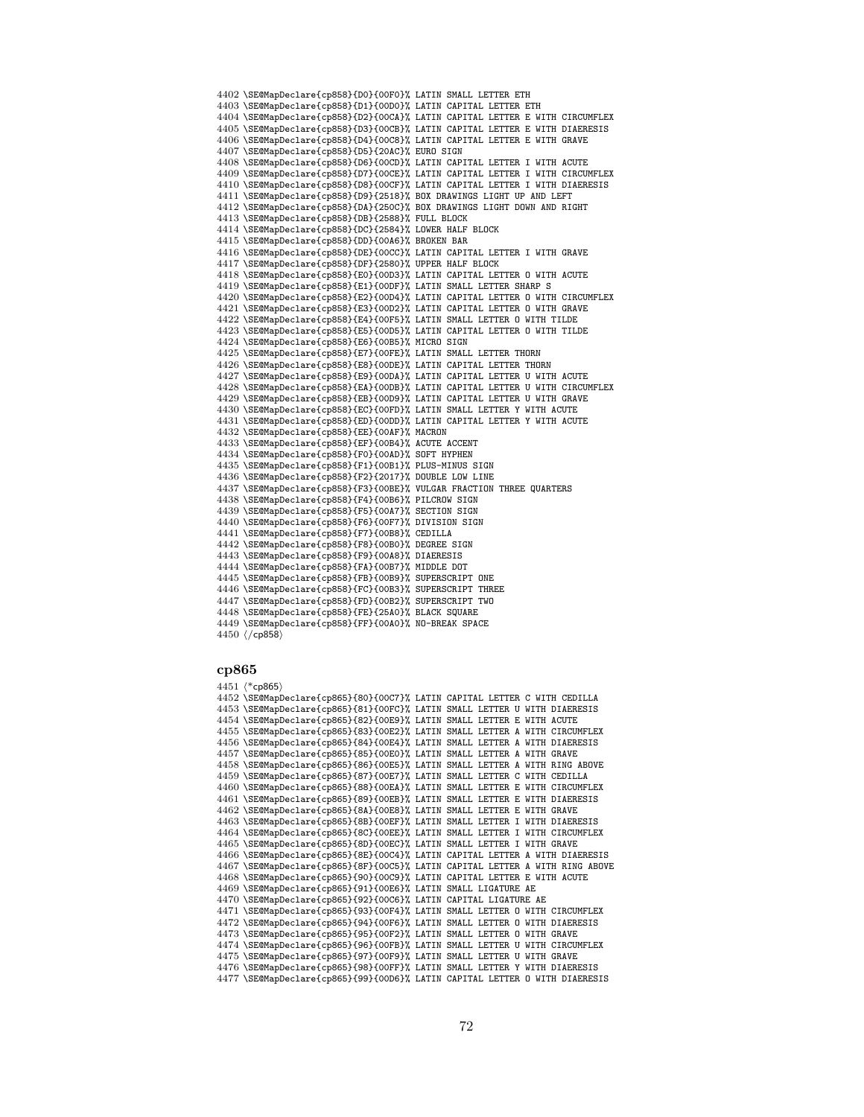\SE@MapDeclare{cp858}{D0}{00F0}% LATIN SMALL LETTER ETH \SE@MapDeclare{cp858}{D1}{00D0}% LATIN CAPITAL LETTER ETH \SE@MapDeclare{cp858}{D2}{00CA}% LATIN CAPITAL LETTER E WITH CIRCUMFLEX \SE@MapDeclare{cp858}{D3}{00CB}% LATIN CAPITAL LETTER E WITH DIAERESIS \SE@MapDeclare{cp858}{D4}{00C8}% LATIN CAPITAL LETTER E WITH GRAVE \SE@MapDeclare{cp858}{D5}{20AC}% EURO SIGN \SE@MapDeclare{cp858}{D6}{00CD}% LATIN CAPITAL LETTER I WITH ACUTE \SE@MapDeclare{cp858}{D7}{00CE}% LATIN CAPITAL LETTER I WITH CIRCUMFLEX \SE@MapDeclare{cp858}{D8}{00CF}% LATIN CAPITAL LETTER I WITH DIAERESIS \SE@MapDeclare{cp858}{D9}{2518}% BOX DRAWINGS LIGHT UP AND LEFT \SE@MapDeclare{cp858}{DA}{250C}% BOX DRAWINGS LIGHT DOWN AND RIGHT \SE@MapDeclare{cp858}{DB}{2588}% FULL BLOCK \SE@MapDeclare{cp858}{DC}{2584}% LOWER HALF BLOCK \SE@MapDeclare{cp858}{DD}{00A6}% BROKEN BAR \SE@MapDeclare{cp858}{DE}{00CC}% LATIN CAPITAL LETTER I WITH GRAVE \SE@MapDeclare{cp858}{DF}{2580}% UPPER HALF BLOCK \SE@MapDeclare{cp858}{E0}{00D3}% LATIN CAPITAL LETTER O WITH ACUTE \SE@MapDeclare{cp858}{E1}{00DF}% LATIN SMALL LETTER SHARP S \SE@MapDeclare{cp858}{E2}{00D4}% LATIN CAPITAL LETTER O WITH CIRCUMFLEX \SE@MapDeclare{cp858}{E3}{00D2}% LATIN CAPITAL LETTER O WITH GRAVE \SE@MapDeclare{cp858}{E4}{00F5}% LATIN SMALL LETTER O WITH TILDE \SE@MapDeclare{cp858}{E5}{00D5}% LATIN CAPITAL LETTER O WITH TILDE \SE@MapDeclare{cp858}{E6}{00B5}% MICRO SIGN \SE@MapDeclare{cp858}{E7}{00FE}% LATIN SMALL LETTER THORN \SE@MapDeclare{cp858}{E8}{00DE}% LATIN CAPITAL LETTER THORN \SE@MapDeclare{cp858}{E9}{00DA}% LATIN CAPITAL LETTER U WITH ACUTE \SE@MapDeclare{cp858}{EA}{00DB}% LATIN CAPITAL LETTER U WITH CIRCUMFLEX \SE@MapDeclare{cp858}{EB}{00D9}% LATIN CAPITAL LETTER U WITH GRAVE \SE@MapDeclare{cp858}{EC}{00FD}% LATIN SMALL LETTER Y WITH ACUTE \SE@MapDeclare{cp858}{ED}{00DD}% LATIN CAPITAL LETTER Y WITH ACUTE \SE@MapDeclare{cp858}{EE}{00AF}% MACRON \SE@MapDeclare{cp858}{EF}{00B4}% ACUTE ACCENT \SE@MapDeclare{cp858}{F0}{00AD}% SOFT HYPHEN \SE@MapDeclare{cp858}{F1}{00B1}% PLUS-MINUS SIGN \SE@MapDeclare{cp858}{F2}{2017}% DOUBLE LOW LINE \SE@MapDeclare{cp858}{F3}{00BE}% VULGAR FRACTION THREE QUARTERS \SE@MapDeclare{cp858}{F4}{00B6}% PILCROW SIGN \SE@MapDeclare{cp858}{F5}{00A7}% SECTION SIGN \SE@MapDeclare{cp858}{F6}{00F7}% DIVISION SIGN \SE@MapDeclare{cp858}{F7}{00B8}% CEDILLA \SE@MapDeclare{cp858}{F8}{00B0}% DEGREE SIGN \SE@MapDeclare{cp858}{F9}{00A8}% DIAERESIS \SE@MapDeclare{cp858}{FA}{00B7}% MIDDLE DOT \SE@MapDeclare{cp858}{FB}{00B9}% SUPERSCRIPT ONE \SE@MapDeclare{cp858}{FC}{00B3}% SUPERSCRIPT THREE \SE@MapDeclare{cp858}{FD}{00B2}% SUPERSCRIPT TWO \SE@MapDeclare{cp858}{FE}{25A0}% BLACK SQUARE \SE@MapDeclare{cp858}{FF}{00A0}% NO-BREAK SPACE  $\langle$ /cp858 $\rangle$ 

### cp865

```
4451 (*cp865)
4452 \SE@MapDeclare{cp865}{80}{00C7}% LATIN CAPITAL LETTER C WITH CEDILLA
4453 \SE@MapDeclare{cp865}{81}{00FC}% LATIN SMALL LETTER U WITH DIAERESIS
4454 \SE@MapDeclare{cp865}{82}{00E9}% LATIN SMALL LETTER E WITH ACUTE
4455 \SE@MapDeclare{cp865}{83}{00E2}% LATIN SMALL LETTER A WITH CIRCUMFLEX
4456 \SE@MapDeclare{cp865}{84}{00E4}% LATIN SMALL LETTER A WITH DIAERESIS
4457 \SE@MapDeclare{cp865}{85}{00E0}% LATIN SMALL LETTER A WITH GRAVE
4458 \SE@MapDeclare{cp865}{86}{00E5}% LATIN SMALL LETTER A WITH RING ABOVE
4459 \SE@MapDeclare{cp865}{87}{00E7}% LATIN SMALL LETTER C WITH CEDILLA
4460 \SE@MapDeclare{cp865}{88}{00EA}% LATIN SMALL LETTER E WITH CIRCUMFLEX
4461 \SE@MapDeclare{cp865}{89}{00EB}% LATIN SMALL LETTER E WITH DIAERESIS
4462 \SE@MapDeclare{cp865}{8A}{00E8}% LATIN SMALL LETTER E WITH GRAVE
4463 \SE@MapDeclare{cp865}{8B}{00EF}% LATIN SMALL LETTER I WITH DIAERESIS
4464 \SE@MapDeclare{cp865}{8C}{00EE}% LATIN SMALL LETTER I WITH CIRCUMFLEX
4465 \SE@MapDeclare{cp865}{8D}{00EC}% LATIN SMALL LETTER I WITH GRAVE
4466 \SE@MapDeclare{cp865}{8E}{00C4}% LATIN CAPITAL LETTER A WITH DIAERESIS
4467 \SE@MapDeclare{cp865}{8F}{00C5}% LATIN CAPITAL LETTER A WITH RING ABOVE
4468 \SE@MapDeclare{cp865}{90}{00C9}% LATIN CAPITAL LETTER E WITH ACUTE
4469 \SE@MapDeclare{cp865}{91}{00E6}% LATIN SMALL LIGATURE AE
4470 \SE@MapDeclare{cp865}{92}{00C6}% LATIN CAPITAL LIGATURE AE
4471 \SE@MapDeclare{cp865}{93}{00F4}% LATIN SMALL LETTER O WITH CIRCUMFLEX
4472 \SE@MapDeclare{cp865}{94}{00F6}% LATIN SMALL LETTER O WITH DIAERESIS
4473 \SE@MapDeclare{cp865}{95}{00F2}% LATIN SMALL LETTER O WITH GRAVE
4474 \SE@MapDeclare{cp865}{96}{00FB}% LATIN SMALL LETTER U WITH CIRCUMFLEX
4475 \SE@MapDeclare{cp865}{97}{00F9}% LATIN SMALL LETTER U WITH GRAVE
4476 \SE@MapDeclare{cp865}{98}{00FF}% LATIN SMALL LETTER Y WITH DIAERESIS
4477 \SE@MapDeclare{cp865}{99}{00D6}% LATIN CAPITAL LETTER O WITH DIAERESIS
```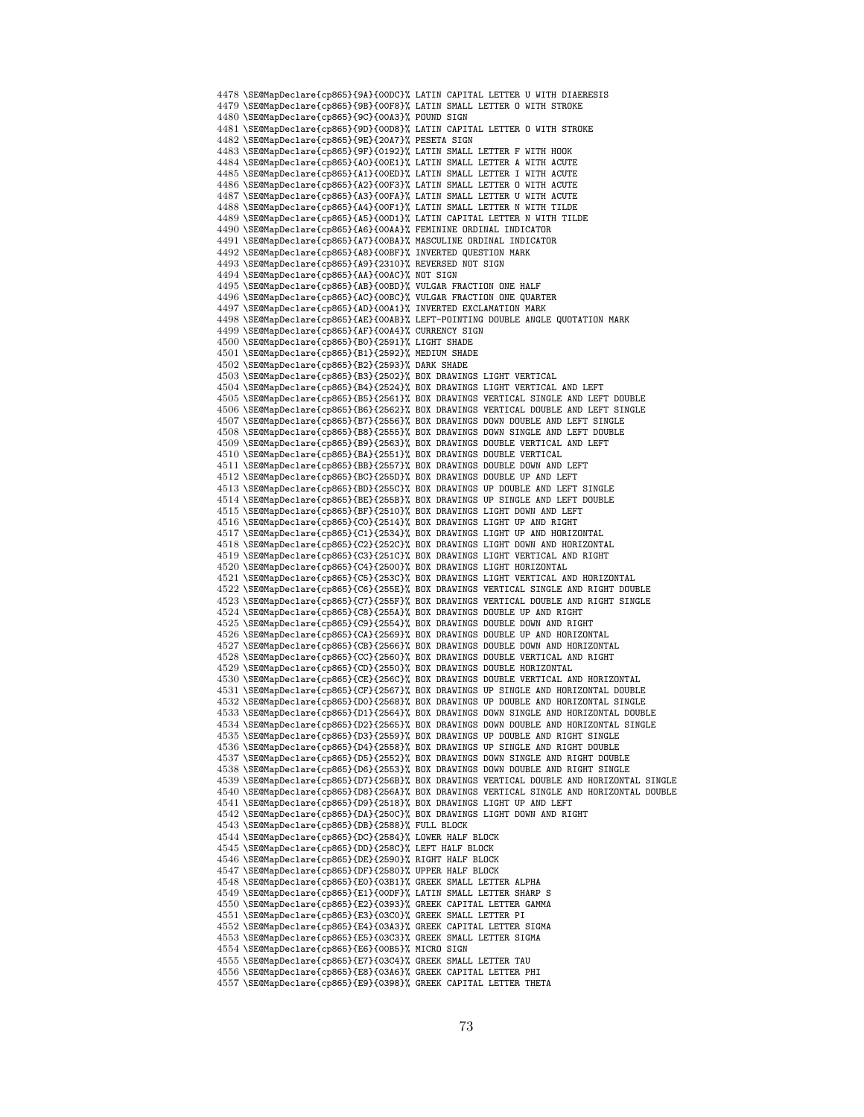<span id="page-72-79"></span><span id="page-72-78"></span><span id="page-72-77"></span><span id="page-72-76"></span><span id="page-72-75"></span><span id="page-72-74"></span><span id="page-72-73"></span><span id="page-72-72"></span><span id="page-72-71"></span><span id="page-72-70"></span><span id="page-72-69"></span><span id="page-72-68"></span><span id="page-72-67"></span><span id="page-72-66"></span><span id="page-72-65"></span><span id="page-72-64"></span><span id="page-72-63"></span><span id="page-72-62"></span><span id="page-72-61"></span><span id="page-72-60"></span><span id="page-72-59"></span><span id="page-72-58"></span><span id="page-72-57"></span><span id="page-72-56"></span><span id="page-72-55"></span><span id="page-72-54"></span><span id="page-72-53"></span><span id="page-72-52"></span><span id="page-72-51"></span><span id="page-72-50"></span><span id="page-72-49"></span><span id="page-72-48"></span><span id="page-72-47"></span><span id="page-72-46"></span><span id="page-72-45"></span><span id="page-72-44"></span><span id="page-72-43"></span><span id="page-72-42"></span><span id="page-72-41"></span><span id="page-72-40"></span><span id="page-72-39"></span><span id="page-72-38"></span><span id="page-72-37"></span><span id="page-72-36"></span><span id="page-72-35"></span><span id="page-72-34"></span><span id="page-72-33"></span><span id="page-72-32"></span><span id="page-72-31"></span><span id="page-72-30"></span><span id="page-72-29"></span><span id="page-72-28"></span><span id="page-72-27"></span><span id="page-72-26"></span><span id="page-72-25"></span><span id="page-72-24"></span><span id="page-72-23"></span><span id="page-72-22"></span><span id="page-72-21"></span><span id="page-72-20"></span><span id="page-72-19"></span><span id="page-72-18"></span><span id="page-72-17"></span><span id="page-72-16"></span><span id="page-72-15"></span><span id="page-72-14"></span><span id="page-72-13"></span><span id="page-72-12"></span><span id="page-72-11"></span><span id="page-72-10"></span><span id="page-72-9"></span><span id="page-72-8"></span><span id="page-72-7"></span><span id="page-72-6"></span><span id="page-72-5"></span><span id="page-72-4"></span><span id="page-72-3"></span><span id="page-72-2"></span><span id="page-72-1"></span><span id="page-72-0"></span> \SE@MapDeclare{cp865}{9A}{00DC}% LATIN CAPITAL LETTER U WITH DIAERESIS 4479 \SE@MapDeclare{cp865}{9B}{00F8}% LATIN SMALL LETTER O WITH STROKE \SE@MapDeclare{cp865}{9C}{00A3}% POUND SIGN \SE@MapDeclare{cp865}{9D}{00D8}% LATIN CAPITAL LETTER O WITH STROKE \SE@MapDeclare{cp865}{9E}{20A7}% PESETA SIGN \SE@MapDeclare{cp865}{9F}{0192}% LATIN SMALL LETTER F WITH HOOK \SE@MapDeclare{cp865}{A0}{00E1}% LATIN SMALL LETTER A WITH ACUTE \SE@MapDeclare{cp865}{A1}{00ED}% LATIN SMALL LETTER I WITH ACUTE \SE@MapDeclare{cp865}{A2}{00F3}% LATIN SMALL LETTER O WITH ACUTE \SE@MapDeclare{cp865}{A3}{00FA}% LATIN SMALL LETTER U WITH ACUTE \SE@MapDeclare{cp865}{A4}{00F1}% LATIN SMALL LETTER N WITH TILDE \SE@MapDeclare{cp865}{A5}{00D1}% LATIN CAPITAL LETTER N WITH TILDE \SE@MapDeclare{cp865}{A6}{00AA}% FEMININE ORDINAL INDICATOR \SE@MapDeclare{cp865}{A7}{00BA}% MASCULINE ORDINAL INDICATOR \SE@MapDeclare{cp865}{A8}{00BF}% INVERTED QUESTION MARK \SE@MapDeclare{cp865}{A9}{2310}% REVERSED NOT SIGN \SE@MapDeclare{cp865}{AA}{00AC}% NOT SIGN \SE@MapDeclare{cp865}{AB}{00BD}% VULGAR FRACTION ONE HALF \SE@MapDeclare{cp865}{AC}{00BC}% VULGAR FRACTION ONE QUARTER \SE@MapDeclare{cp865}{AD}{00A1}% INVERTED EXCLAMATION MARK \SE@MapDeclare{cp865}{AE}{00AB}% LEFT-POINTING DOUBLE ANGLE QUOTATION MARK \SE@MapDeclare{cp865}{AF}{00A4}% CURRENCY SIGN \SE@MapDeclare{cp865}{B0}{2591}% LIGHT SHADE \SE@MapDeclare{cp865}{B1}{2592}% MEDIUM SHADE \SE@MapDeclare{cp865}{B2}{2593}% DARK SHADE \SE@MapDeclare{cp865}{B3}{2502}% BOX DRAWINGS LIGHT VERTICAL \SE@MapDeclare{cp865}{B4}{2524}% BOX DRAWINGS LIGHT VERTICAL AND LEFT \SE@MapDeclare{cp865}{B5}{2561}% BOX DRAWINGS VERTICAL SINGLE AND LEFT DOUBLE \SE@MapDeclare{cp865}{B6}{2562}% BOX DRAWINGS VERTICAL DOUBLE AND LEFT SINGLE \SE@MapDeclare{cp865}{B7}{2556}% BOX DRAWINGS DOWN DOUBLE AND LEFT SINGLE \SE@MapDeclare{cp865}{B8}{2555}% BOX DRAWINGS DOWN SINGLE AND LEFT DOUBLE \SE@MapDeclare{cp865}{B9}{2563}% BOX DRAWINGS DOUBLE VERTICAL AND LEFT \SE@MapDeclare{cp865}{BA}{2551}% BOX DRAWINGS DOUBLE VERTICAL \SE@MapDeclare{cp865}{BB}{2557}% BOX DRAWINGS DOUBLE DOWN AND LEFT \SE@MapDeclare{cp865}{BC}{255D}% BOX DRAWINGS DOUBLE UP AND LEFT \SE@MapDeclare{cp865}{BD}{255C}% BOX DRAWINGS UP DOUBLE AND LEFT SINGLE \SE@MapDeclare{cp865}{BE}{255B}% BOX DRAWINGS UP SINGLE AND LEFT DOUBLE \SE@MapDeclare{cp865}{BF}{2510}% BOX DRAWINGS LIGHT DOWN AND LEFT \SE@MapDeclare{cp865}{C0}{2514}% BOX DRAWINGS LIGHT UP AND RIGHT \SE@MapDeclare{cp865}{C1}{2534}% BOX DRAWINGS LIGHT UP AND HORIZONTAL \SE@MapDeclare{cp865}{C2}{252C}% BOX DRAWINGS LIGHT DOWN AND HORIZONTAL \SE@MapDeclare{cp865}{C3}{251C}% BOX DRAWINGS LIGHT VERTICAL AND RIGHT \SE@MapDeclare{cp865}{C4}{2500}% BOX DRAWINGS LIGHT HORIZONTAL \SE@MapDeclare{cp865}{C5}{253C}% BOX DRAWINGS LIGHT VERTICAL AND HORIZONTAL \SE@MapDeclare{cp865}{C6}{255E}% BOX DRAWINGS VERTICAL SINGLE AND RIGHT DOUBLE \SE@MapDeclare{cp865}{C7}{255F}% BOX DRAWINGS VERTICAL DOUBLE AND RIGHT SINGLE \SE@MapDeclare{cp865}{C8}{255A}% BOX DRAWINGS DOUBLE UP AND RIGHT \SE@MapDeclare{cp865}{C9}{2554}% BOX DRAWINGS DOUBLE DOWN AND RIGHT \SE@MapDeclare{cp865}{CA}{2569}% BOX DRAWINGS DOUBLE UP AND HORIZONTAL \SE@MapDeclare{cp865}{CB}{2566}% BOX DRAWINGS DOUBLE DOWN AND HORIZONTAL \SE@MapDeclare{cp865}{CC}{2560}% BOX DRAWINGS DOUBLE VERTICAL AND RIGHT \SE@MapDeclare{cp865}{CD}{2550}% BOX DRAWINGS DOUBLE HORIZONTAL \SE@MapDeclare{cp865}{CE}{256C}% BOX DRAWINGS DOUBLE VERTICAL AND HORIZONTAL \SE@MapDeclare{cp865}{CF}{2567}% BOX DRAWINGS UP SINGLE AND HORIZONTAL DOUBLE \SE@MapDeclare{cp865}{D0}{2568}% BOX DRAWINGS UP DOUBLE AND HORIZONTAL SINGLE \SE@MapDeclare{cp865}{D1}{2564}% BOX DRAWINGS DOWN SINGLE AND HORIZONTAL DOUBLE \SE@MapDeclare{cp865}{D2}{2565}% BOX DRAWINGS DOWN DOUBLE AND HORIZONTAL SINGLE \SE@MapDeclare{cp865}{D3}{2559}% BOX DRAWINGS UP DOUBLE AND RIGHT SINGLE \SE@MapDeclare{cp865}{D4}{2558}% BOX DRAWINGS UP SINGLE AND RIGHT DOUBLE \SE@MapDeclare{cp865}{D5}{2552}% BOX DRAWINGS DOWN SINGLE AND RIGHT DOUBLE \SE@MapDeclare{cp865}{D6}{2553}% BOX DRAWINGS DOWN DOUBLE AND RIGHT SINGLE \SE@MapDeclare{cp865}{D7}{256B}% BOX DRAWINGS VERTICAL DOUBLE AND HORIZONTAL SINGLE \SE@MapDeclare{cp865}{D8}{256A}% BOX DRAWINGS VERTICAL SINGLE AND HORIZONTAL DOUBLE \SE@MapDeclare{cp865}{D9}{2518}% BOX DRAWINGS LIGHT UP AND LEFT \SE@MapDeclare{cp865}{DA}{250C}% BOX DRAWINGS LIGHT DOWN AND RIGHT \SE@MapDeclare{cp865}{DB}{2588}% FULL BLOCK \SE@MapDeclare{cp865}{DC}{2584}% LOWER HALF BLOCK \SE@MapDeclare{cp865}{DD}{258C}% LEFT HALF BLOCK \SE@MapDeclare{cp865}{DE}{2590}% RIGHT HALF BLOCK \SE@MapDeclare{cp865}{DF}{2580}% UPPER HALF BLOCK \SE@MapDeclare{cp865}{E0}{03B1}% GREEK SMALL LETTER ALPHA \SE@MapDeclare{cp865}{E1}{00DF}% LATIN SMALL LETTER SHARP S \SE@MapDeclare{cp865}{E2}{0393}% GREEK CAPITAL LETTER GAMMA \SE@MapDeclare{cp865}{E3}{03C0}% GREEK SMALL LETTER PI \SE@MapDeclare{cp865}{E4}{03A3}% GREEK CAPITAL LETTER SIGMA \SE@MapDeclare{cp865}{E5}{03C3}% GREEK SMALL LETTER SIGMA \SE@MapDeclare{cp865}{E6}{00B5}% MICRO SIGN \SE@MapDeclare{cp865}{E7}{03C4}% GREEK SMALL LETTER TAU \SE@MapDeclare{cp865}{E8}{03A6}% GREEK CAPITAL LETTER PHI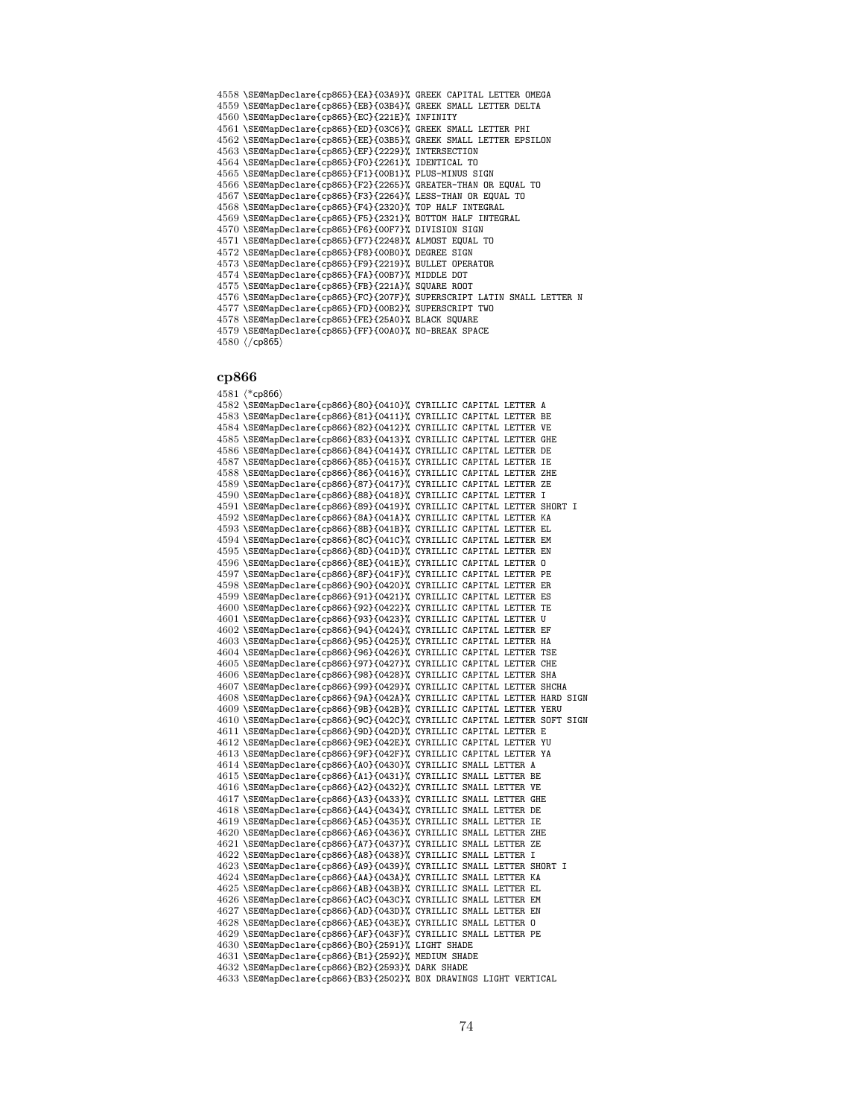<span id="page-73-12"></span><span id="page-73-11"></span><span id="page-73-10"></span><span id="page-73-9"></span><span id="page-73-8"></span><span id="page-73-7"></span><span id="page-73-6"></span><span id="page-73-5"></span><span id="page-73-4"></span><span id="page-73-3"></span><span id="page-73-2"></span><span id="page-73-1"></span><span id="page-73-0"></span> \SE@MapDeclare{cp865}{EA}{03A9}% GREEK CAPITAL LETTER OMEGA \SE@MapDeclare{cp865}{EB}{03B4}% GREEK SMALL LETTER DELTA \SE@MapDeclare{cp865}{EC}{221E}% INFINITY \SE@MapDeclare{cp865}{ED}{03C6}% GREEK SMALL LETTER PHI \SE@MapDeclare{cp865}{EE}{03B5}% GREEK SMALL LETTER EPSILON \SE@MapDeclare{cp865}{EF}{2229}% INTERSECTION \SE@MapDeclare{cp865}{F0}{2261}% IDENTICAL TO \SE@MapDeclare{cp865}{F1}{00B1}% PLUS-MINUS SIGN \SE@MapDeclare{cp865}{F2}{2265}% GREATER-THAN OR EQUAL TO \SE@MapDeclare{cp865}{F3}{2264}% LESS-THAN OR EQUAL TO \SE@MapDeclare{cp865}{F4}{2320}% TOP HALF INTEGRAL \SE@MapDeclare{cp865}{F5}{2321}% BOTTOM HALF INTEGRAL \SE@MapDeclare{cp865}{F6}{00F7}% DIVISION SIGN \SE@MapDeclare{cp865}{F7}{2248}% ALMOST EQUAL TO \SE@MapDeclare{cp865}{F8}{00B0}% DEGREE SIGN \SE@MapDeclare{cp865}{F9}{2219}% BULLET OPERATOR \SE@MapDeclare{cp865}{FA}{00B7}% MIDDLE DOT \SE@MapDeclare{cp865}{FB}{221A}% SQUARE ROOT \SE@MapDeclare{cp865}{FC}{207F}% SUPERSCRIPT LATIN SMALL LETTER N \SE@MapDeclare{cp865}{FD}{00B2}% SUPERSCRIPT TWO \SE@MapDeclare{cp865}{FE}{25A0}% BLACK SQUARE \SE@MapDeclare{cp865}{FF}{00A0}% NO-BREAK SPACE 4580 (/cp865)

#### <span id="page-73-21"></span><span id="page-73-20"></span><span id="page-73-19"></span><span id="page-73-18"></span><span id="page-73-17"></span><span id="page-73-16"></span><span id="page-73-15"></span><span id="page-73-14"></span><span id="page-73-13"></span>cp866

<span id="page-73-73"></span><span id="page-73-72"></span><span id="page-73-71"></span><span id="page-73-70"></span><span id="page-73-69"></span><span id="page-73-68"></span><span id="page-73-67"></span><span id="page-73-66"></span><span id="page-73-65"></span><span id="page-73-64"></span><span id="page-73-63"></span><span id="page-73-62"></span><span id="page-73-61"></span><span id="page-73-60"></span><span id="page-73-59"></span><span id="page-73-58"></span><span id="page-73-57"></span><span id="page-73-56"></span><span id="page-73-55"></span><span id="page-73-54"></span><span id="page-73-53"></span><span id="page-73-52"></span><span id="page-73-51"></span><span id="page-73-50"></span><span id="page-73-49"></span><span id="page-73-48"></span><span id="page-73-47"></span><span id="page-73-46"></span><span id="page-73-45"></span><span id="page-73-44"></span><span id="page-73-43"></span><span id="page-73-42"></span><span id="page-73-41"></span><span id="page-73-40"></span><span id="page-73-39"></span><span id="page-73-38"></span><span id="page-73-37"></span><span id="page-73-36"></span><span id="page-73-35"></span><span id="page-73-34"></span><span id="page-73-33"></span><span id="page-73-32"></span><span id="page-73-31"></span><span id="page-73-30"></span><span id="page-73-29"></span><span id="page-73-28"></span><span id="page-73-27"></span><span id="page-73-26"></span><span id="page-73-25"></span><span id="page-73-24"></span><span id="page-73-23"></span><span id="page-73-22"></span> $\langle$ \*cp866) \SE@MapDeclare{cp866}{80}{0410}% CYRILLIC CAPITAL LETTER A \SE@MapDeclare{cp866}{81}{0411}% CYRILLIC CAPITAL LETTER BE \SE@MapDeclare{cp866}{82}{0412}% CYRILLIC CAPITAL LETTER VE \SE@MapDeclare{cp866}{83}{0413}% CYRILLIC CAPITAL LETTER GHE \SE@MapDeclare{cp866}{84}{0414}% CYRILLIC CAPITAL LETTER DE \SE@MapDeclare{cp866}{85}{0415}% CYRILLIC CAPITAL LETTER IE \SE@MapDeclare{cp866}{86}{0416}% CYRILLIC CAPITAL LETTER ZHE \SE@MapDeclare{cp866}{87}{0417}% CYRILLIC CAPITAL LETTER ZE \SE@MapDeclare{cp866}{88}{0418}% CYRILLIC CAPITAL LETTER I \SE@MapDeclare{cp866}{89}{0419}% CYRILLIC CAPITAL LETTER SHORT I \SE@MapDeclare{cp866}{8A}{041A}% CYRILLIC CAPITAL LETTER KA \SE@MapDeclare{cp866}{8B}{041B}% CYRILLIC CAPITAL LETTER EL \SE@MapDeclare{cp866}{8C}{041C}% CYRILLIC CAPITAL LETTER EM \SE@MapDeclare{cp866}{8D}{041D}% CYRILLIC CAPITAL LETTER EN \SE@MapDeclare{cp866}{8E}{041E}% CYRILLIC CAPITAL LETTER O \SE@MapDeclare{cp866}{8F}{041F}% CYRILLIC CAPITAL LETTER PE \SE@MapDeclare{cp866}{90}{0420}% CYRILLIC CAPITAL LETTER ER \SE@MapDeclare{cp866}{91}{0421}% CYRILLIC CAPITAL LETTER ES \SE@MapDeclare{cp866}{92}{0422}% CYRILLIC CAPITAL LETTER TE \SE@MapDeclare{cp866}{93}{0423}% CYRILLIC CAPITAL LETTER U \SE@MapDeclare{cp866}{94}{0424}% CYRILLIC CAPITAL LETTER EF \SE@MapDeclare{cp866}{95}{0425}% CYRILLIC CAPITAL LETTER HA \SE@MapDeclare{cp866}{96}{0426}% CYRILLIC CAPITAL LETTER TSE \SE@MapDeclare{cp866}{97}{0427}% CYRILLIC CAPITAL LETTER CHE \SE@MapDeclare{cp866}{98}{0428}% CYRILLIC CAPITAL LETTER SHA \SE@MapDeclare{cp866}{99}{0429}% CYRILLIC CAPITAL LETTER SHCHA \SE@MapDeclare{cp866}{9A}{042A}% CYRILLIC CAPITAL LETTER HARD SIGN 4609 \SE@MapDeclare{cp866}{9B}{042B}% CYRILLIC CAPITAL LETTER YERU \SE@MapDeclare{cp866}{9C}{042C}% CYRILLIC CAPITAL LETTER SOFT SIGN \SE@MapDeclare{cp866}{9D}{042D}% CYRILLIC CAPITAL LETTER E \SE@MapDeclare{cp866}{9E}{042E}% CYRILLIC CAPITAL LETTER YU \SE@MapDeclare{cp866}{9F}{042F}% CYRILLIC CAPITAL LETTER YA \SE@MapDeclare{cp866}{A0}{0430}% CYRILLIC SMALL LETTER A \SE@MapDeclare{cp866}{A1}{0431}% CYRILLIC SMALL LETTER BE \SE@MapDeclare{cp866}{A2}{0432}% CYRILLIC SMALL LETTER VE \SE@MapDeclare{cp866}{A3}{0433}% CYRILLIC SMALL LETTER GHE \SE@MapDeclare{cp866}{A4}{0434}% CYRILLIC SMALL LETTER DE \SE@MapDeclare{cp866}{A5}{0435}% CYRILLIC SMALL LETTER IE \SE@MapDeclare{cp866}{A6}{0436}% CYRILLIC SMALL LETTER ZHE \SE@MapDeclare{cp866}{A7}{0437}% CYRILLIC SMALL LETTER ZE \SE@MapDeclare{cp866}{A8}{0438}% CYRILLIC SMALL LETTER I \SE@MapDeclare{cp866}{A9}{0439}% CYRILLIC SMALL LETTER SHORT I \SE@MapDeclare{cp866}{AA}{043A}% CYRILLIC SMALL LETTER KA \SE@MapDeclare{cp866}{AB}{043B}% CYRILLIC SMALL LETTER EL \SE@MapDeclare{cp866}{AC}{043C}% CYRILLIC SMALL LETTER EM \SE@MapDeclare{cp866}{AD}{043D}% CYRILLIC SMALL LETTER EN \SE@MapDeclare{cp866}{AE}{043E}% CYRILLIC SMALL LETTER O \SE@MapDeclare{cp866}{AF}{043F}% CYRILLIC SMALL LETTER PE \SE@MapDeclare{cp866}{B0}{2591}% LIGHT SHADE \SE@MapDeclare{cp866}{B1}{2592}% MEDIUM SHADE \SE@MapDeclare{cp866}{B2}{2593}% DARK SHADE \SE@MapDeclare{cp866}{B3}{2502}% BOX DRAWINGS LIGHT VERTICAL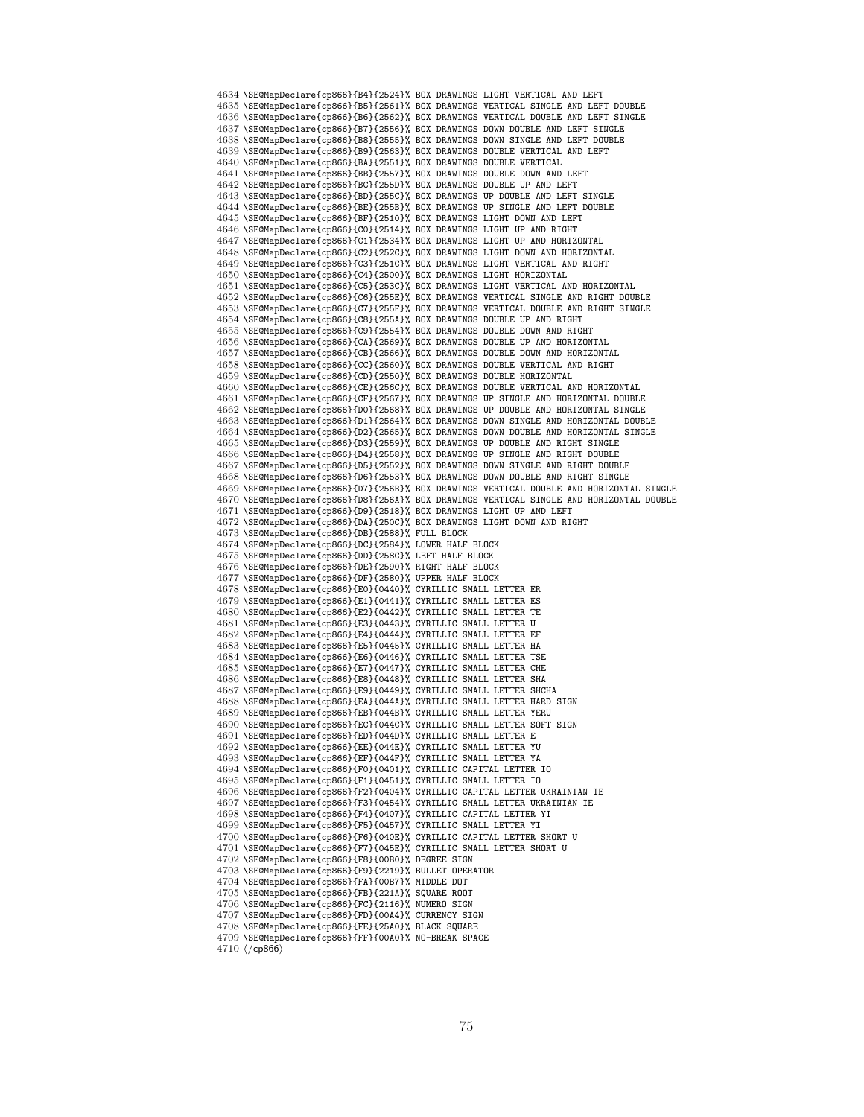<span id="page-74-75"></span><span id="page-74-74"></span><span id="page-74-73"></span><span id="page-74-72"></span><span id="page-74-71"></span><span id="page-74-70"></span><span id="page-74-69"></span><span id="page-74-68"></span><span id="page-74-67"></span><span id="page-74-66"></span><span id="page-74-65"></span><span id="page-74-64"></span><span id="page-74-63"></span><span id="page-74-62"></span><span id="page-74-61"></span><span id="page-74-60"></span><span id="page-74-59"></span><span id="page-74-58"></span><span id="page-74-57"></span><span id="page-74-56"></span><span id="page-74-55"></span><span id="page-74-54"></span><span id="page-74-53"></span><span id="page-74-52"></span><span id="page-74-51"></span><span id="page-74-50"></span><span id="page-74-49"></span><span id="page-74-48"></span><span id="page-74-47"></span><span id="page-74-46"></span><span id="page-74-45"></span><span id="page-74-44"></span><span id="page-74-43"></span><span id="page-74-42"></span><span id="page-74-41"></span><span id="page-74-40"></span><span id="page-74-39"></span><span id="page-74-38"></span><span id="page-74-37"></span><span id="page-74-36"></span><span id="page-74-35"></span><span id="page-74-34"></span><span id="page-74-33"></span><span id="page-74-32"></span><span id="page-74-31"></span><span id="page-74-30"></span><span id="page-74-29"></span><span id="page-74-28"></span><span id="page-74-27"></span><span id="page-74-26"></span><span id="page-74-25"></span><span id="page-74-24"></span><span id="page-74-23"></span><span id="page-74-22"></span><span id="page-74-21"></span><span id="page-74-20"></span><span id="page-74-19"></span><span id="page-74-18"></span><span id="page-74-17"></span><span id="page-74-16"></span><span id="page-74-15"></span><span id="page-74-14"></span><span id="page-74-13"></span><span id="page-74-12"></span><span id="page-74-11"></span><span id="page-74-10"></span><span id="page-74-9"></span><span id="page-74-8"></span><span id="page-74-7"></span><span id="page-74-6"></span><span id="page-74-5"></span><span id="page-74-4"></span><span id="page-74-3"></span><span id="page-74-2"></span><span id="page-74-1"></span><span id="page-74-0"></span> \SE@MapDeclare{cp866}{B4}{2524}% BOX DRAWINGS LIGHT VERTICAL AND LEFT \SE@MapDeclare{cp866}{B5}{2561}% BOX DRAWINGS VERTICAL SINGLE AND LEFT DOUBLE \SE@MapDeclare{cp866}{B6}{2562}% BOX DRAWINGS VERTICAL DOUBLE AND LEFT SINGLE \SE@MapDeclare{cp866}{B7}{2556}% BOX DRAWINGS DOWN DOUBLE AND LEFT SINGLE \SE@MapDeclare{cp866}{B8}{2555}% BOX DRAWINGS DOWN SINGLE AND LEFT DOUBLE \SE@MapDeclare{cp866}{B9}{2563}% BOX DRAWINGS DOUBLE VERTICAL AND LEFT \SE@MapDeclare{cp866}{BA}{2551}% BOX DRAWINGS DOUBLE VERTICAL \SE@MapDeclare{cp866}{BB}{2557}% BOX DRAWINGS DOUBLE DOWN AND LEFT \SE@MapDeclare{cp866}{BC}{255D}% BOX DRAWINGS DOUBLE UP AND LEFT \SE@MapDeclare{cp866}{BD}{255C}% BOX DRAWINGS UP DOUBLE AND LEFT SINGLE \SE@MapDeclare{cp866}{BE}{255B}% BOX DRAWINGS UP SINGLE AND LEFT DOUBLE \SE@MapDeclare{cp866}{BF}{2510}% BOX DRAWINGS LIGHT DOWN AND LEFT \SE@MapDeclare{cp866}{C0}{2514}% BOX DRAWINGS LIGHT UP AND RIGHT \SE@MapDeclare{cp866}{C1}{2534}% BOX DRAWINGS LIGHT UP AND HORIZONTAL \SE@MapDeclare{cp866}{C2}{252C}% BOX DRAWINGS LIGHT DOWN AND HORIZONTAL \SE@MapDeclare{cp866}{C3}{251C}% BOX DRAWINGS LIGHT VERTICAL AND RIGHT \SE@MapDeclare{cp866}{C4}{2500}% BOX DRAWINGS LIGHT HORIZONTAL \SE@MapDeclare{cp866}{C5}{253C}% BOX DRAWINGS LIGHT VERTICAL AND HORIZONTAL \SE@MapDeclare{cp866}{C6}{255E}% BOX DRAWINGS VERTICAL SINGLE AND RIGHT DOUBLE \SE@MapDeclare{cp866}{C7}{255F}% BOX DRAWINGS VERTICAL DOUBLE AND RIGHT SINGLE \SE@MapDeclare{cp866}{C8}{255A}% BOX DRAWINGS DOUBLE UP AND RIGHT \SE@MapDeclare{cp866}{C9}{2554}% BOX DRAWINGS DOUBLE DOWN AND RIGHT \SE@MapDeclare{cp866}{CA}{2569}% BOX DRAWINGS DOUBLE UP AND HORIZONTAL \SE@MapDeclare{cp866}{CB}{2566}% BOX DRAWINGS DOUBLE DOWN AND HORIZONTAL \SE@MapDeclare{cp866}{CC}{2560}% BOX DRAWINGS DOUBLE VERTICAL AND RIGHT \SE@MapDeclare{cp866}{CD}{2550}% BOX DRAWINGS DOUBLE HORIZONTAL \SE@MapDeclare{cp866}{CE}{256C}% BOX DRAWINGS DOUBLE VERTICAL AND HORIZONTAL \SE@MapDeclare{cp866}{CF}{2567}% BOX DRAWINGS UP SINGLE AND HORIZONTAL DOUBLE \SE@MapDeclare{cp866}{D0}{2568}% BOX DRAWINGS UP DOUBLE AND HORIZONTAL SINGLE \SE@MapDeclare{cp866}{D1}{2564}% BOX DRAWINGS DOWN SINGLE AND HORIZONTAL DOUBLE \SE@MapDeclare{cp866}{D2}{2565}% BOX DRAWINGS DOWN DOUBLE AND HORIZONTAL SINGLE \SE@MapDeclare{cp866}{D3}{2559}% BOX DRAWINGS UP DOUBLE AND RIGHT SINGLE \SE@MapDeclare{cp866}{D4}{2558}% BOX DRAWINGS UP SINGLE AND RIGHT DOUBLE \SE@MapDeclare{cp866}{D5}{2552}% BOX DRAWINGS DOWN SINGLE AND RIGHT DOUBLE \SE@MapDeclare{cp866}{D6}{2553}% BOX DRAWINGS DOWN DOUBLE AND RIGHT SINGLE \SE@MapDeclare{cp866}{D7}{256B}% BOX DRAWINGS VERTICAL DOUBLE AND HORIZONTAL SINGLE \SE@MapDeclare{cp866}{D8}{256A}% BOX DRAWINGS VERTICAL SINGLE AND HORIZONTAL DOUBLE \SE@MapDeclare{cp866}{D9}{2518}% BOX DRAWINGS LIGHT UP AND LEFT \SE@MapDeclare{cp866}{DA}{250C}% BOX DRAWINGS LIGHT DOWN AND RIGHT \SE@MapDeclare{cp866}{DB}{2588}% FULL BLOCK \SE@MapDeclare{cp866}{DC}{2584}% LOWER HALF BLOCK \SE@MapDeclare{cp866}{DD}{258C}% LEFT HALF BLOCK \SE@MapDeclare{cp866}{DE}{2590}% RIGHT HALF BLOCK \SE@MapDeclare{cp866}{DF}{2580}% UPPER HALF BLOCK \SE@MapDeclare{cp866}{E0}{0440}% CYRILLIC SMALL LETTER ER \SE@MapDeclare{cp866}{E1}{0441}% CYRILLIC SMALL LETTER ES \SE@MapDeclare{cp866}{E2}{0442}% CYRILLIC SMALL LETTER TE 4681 \SE@MapDeclare{cp866}{E3}{0443}% CYRILLIC SMALL LETTER U \SE@MapDeclare{cp866}{E4}{0444}% CYRILLIC SMALL LETTER EF 4683 \SE@MapDeclare{cp866}{E5}{0445}% CYRILLIC SMALL LETTER HA \SE@MapDeclare{cp866}{E6}{0446}% CYRILLIC SMALL LETTER TSE \SE@MapDeclare{cp866}{E7}{0447}% CYRILLIC SMALL LETTER CHE \SE@MapDeclare{cp866}{E8}{0448}% CYRILLIC SMALL LETTER SHA \SE@MapDeclare{cp866}{E9}{0449}% CYRILLIC SMALL LETTER SHCHA \SE@MapDeclare{cp866}{EA}{044A}% CYRILLIC SMALL LETTER HARD SIGN \SE@MapDeclare{cp866}{EB}{044B}% CYRILLIC SMALL LETTER YERU \SE@MapDeclare{cp866}{EC}{044C}% CYRILLIC SMALL LETTER SOFT SIGN \SE@MapDeclare{cp866}{ED}{044D}% CYRILLIC SMALL LETTER E \SE@MapDeclare{cp866}{EE}{044E}% CYRILLIC SMALL LETTER YU \SE@MapDeclare{cp866}{EF}{044F}% CYRILLIC SMALL LETTER YA \SE@MapDeclare{cp866}{F0}{0401}% CYRILLIC CAPITAL LETTER IO \SE@MapDeclare{cp866}{F1}{0451}% CYRILLIC SMALL LETTER IO \SE@MapDeclare{cp866}{F2}{0404}% CYRILLIC CAPITAL LETTER UKRAINIAN IE \SE@MapDeclare{cp866}{F3}{0454}% CYRILLIC SMALL LETTER UKRAINIAN IE \SE@MapDeclare{cp866}{F4}{0407}% CYRILLIC CAPITAL LETTER YI \SE@MapDeclare{cp866}{F5}{0457}% CYRILLIC SMALL LETTER YI \SE@MapDeclare{cp866}{F6}{040E}% CYRILLIC CAPITAL LETTER SHORT U \SE@MapDeclare{cp866}{F7}{045E}% CYRILLIC SMALL LETTER SHORT U \SE@MapDeclare{cp866}{F8}{00B0}% DEGREE SIGN \SE@MapDeclare{cp866}{F9}{2219}% BULLET OPERATOR \SE@MapDeclare{cp866}{FA}{00B7}% MIDDLE DOT \SE@MapDeclare{cp866}{FB}{221A}% SQUARE ROOT \SE@MapDeclare{cp866}{FC}{2116}% NUMERO SIGN \SE@MapDeclare{cp866}{FD}{00A4}% CURRENCY SIGN \SE@MapDeclare{cp866}{FE}{25A0}% BLACK SQUARE \SE@MapDeclare{cp866}{FF}{00A0}% NO-BREAK SPACE  $4710 \; \langle \text{/cp866} \rangle$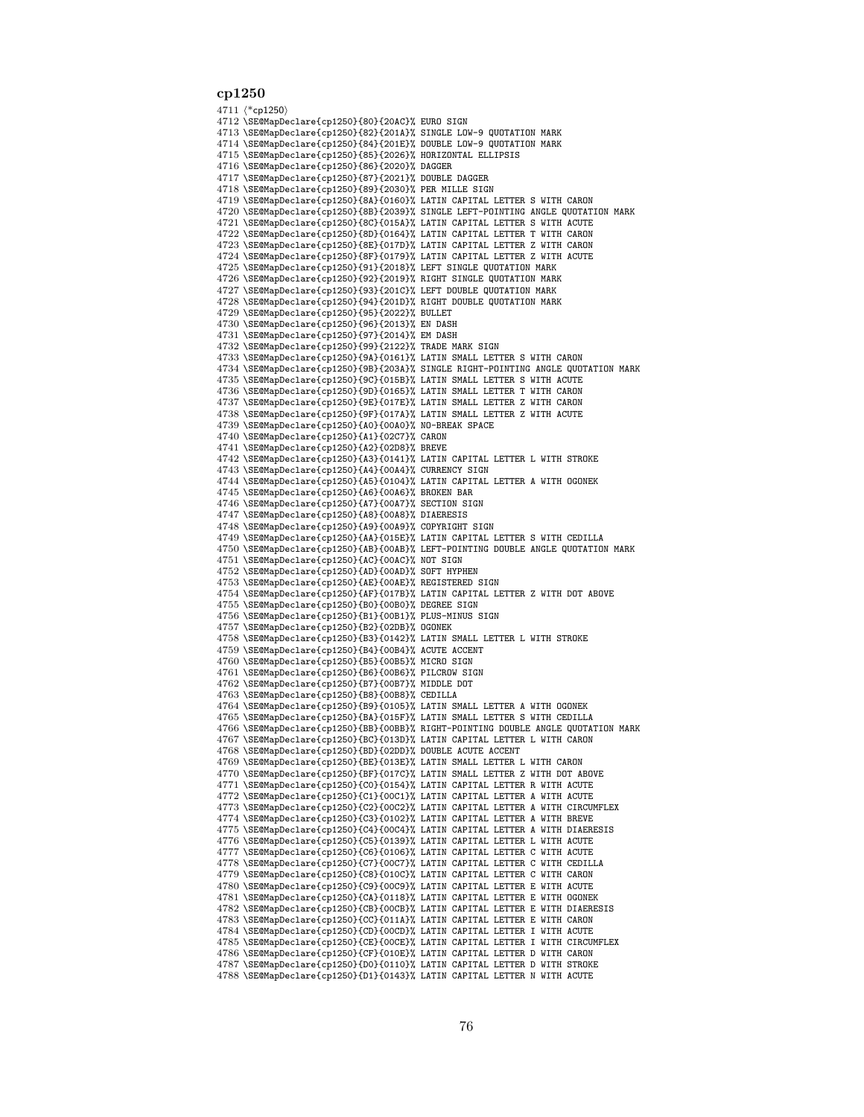#### cp1250

<span id="page-75-76"></span><span id="page-75-75"></span><span id="page-75-74"></span><span id="page-75-73"></span><span id="page-75-72"></span><span id="page-75-71"></span><span id="page-75-70"></span><span id="page-75-69"></span><span id="page-75-68"></span><span id="page-75-67"></span><span id="page-75-66"></span><span id="page-75-65"></span><span id="page-75-64"></span><span id="page-75-63"></span><span id="page-75-62"></span><span id="page-75-61"></span><span id="page-75-60"></span><span id="page-75-59"></span><span id="page-75-58"></span><span id="page-75-57"></span><span id="page-75-56"></span><span id="page-75-55"></span><span id="page-75-54"></span><span id="page-75-53"></span><span id="page-75-52"></span><span id="page-75-51"></span><span id="page-75-50"></span><span id="page-75-49"></span><span id="page-75-48"></span><span id="page-75-47"></span><span id="page-75-46"></span><span id="page-75-45"></span><span id="page-75-44"></span><span id="page-75-43"></span><span id="page-75-42"></span><span id="page-75-41"></span><span id="page-75-40"></span><span id="page-75-39"></span><span id="page-75-38"></span><span id="page-75-37"></span><span id="page-75-36"></span><span id="page-75-35"></span><span id="page-75-34"></span><span id="page-75-33"></span><span id="page-75-32"></span><span id="page-75-31"></span><span id="page-75-30"></span><span id="page-75-29"></span><span id="page-75-28"></span><span id="page-75-27"></span><span id="page-75-26"></span><span id="page-75-25"></span><span id="page-75-24"></span><span id="page-75-23"></span><span id="page-75-22"></span><span id="page-75-21"></span><span id="page-75-20"></span><span id="page-75-19"></span><span id="page-75-18"></span><span id="page-75-17"></span><span id="page-75-16"></span><span id="page-75-15"></span><span id="page-75-14"></span><span id="page-75-13"></span><span id="page-75-12"></span><span id="page-75-11"></span><span id="page-75-10"></span><span id="page-75-9"></span><span id="page-75-8"></span><span id="page-75-7"></span><span id="page-75-6"></span><span id="page-75-5"></span><span id="page-75-4"></span><span id="page-75-3"></span><span id="page-75-2"></span><span id="page-75-1"></span><span id="page-75-0"></span>4711  $(*cp1250)$  \SE@MapDeclare{cp1250}{80}{20AC}% EURO SIGN \SE@MapDeclare{cp1250}{82}{201A}% SINGLE LOW-9 QUOTATION MARK \SE@MapDeclare{cp1250}{84}{201E}% DOUBLE LOW-9 QUOTATION MARK \SE@MapDeclare{cp1250}{85}{2026}% HORIZONTAL ELLIPSIS \SE@MapDeclare{cp1250}{86}{2020}% DAGGER \SE@MapDeclare{cp1250}{87}{2021}% DOUBLE DAGGER \SE@MapDeclare{cp1250}{89}{2030}% PER MILLE SIGN \SE@MapDeclare{cp1250}{8A}{0160}% LATIN CAPITAL LETTER S WITH CARON \SE@MapDeclare{cp1250}{8B}{2039}% SINGLE LEFT-POINTING ANGLE QUOTATION MARK \SE@MapDeclare{cp1250}{8C}{015A}% LATIN CAPITAL LETTER S WITH ACUTE \SE@MapDeclare{cp1250}{8D}{0164}% LATIN CAPITAL LETTER T WITH CARON \SE@MapDeclare{cp1250}{8E}{017D}% LATIN CAPITAL LETTER Z WITH CARON \SE@MapDeclare{cp1250}{8F}{0179}% LATIN CAPITAL LETTER Z WITH ACUTE \SE@MapDeclare{cp1250}{91}{2018}% LEFT SINGLE QUOTATION MARK \SE@MapDeclare{cp1250}{92}{2019}% RIGHT SINGLE QUOTATION MARK \SE@MapDeclare{cp1250}{93}{201C}% LEFT DOUBLE QUOTATION MARK \SE@MapDeclare{cp1250}{94}{201D}% RIGHT DOUBLE QUOTATION MARK \SE@MapDeclare{cp1250}{95}{2022}% BULLET \SE@MapDeclare{cp1250}{96}{2013}% EN DASH \SE@MapDeclare{cp1250}{97}{2014}% EM DASH \SE@MapDeclare{cp1250}{99}{2122}% TRADE MARK SIGN \SE@MapDeclare{cp1250}{9A}{0161}% LATIN SMALL LETTER S WITH CARON \SE@MapDeclare{cp1250}{9B}{203A}% SINGLE RIGHT-POINTING ANGLE QUOTATION MARK \SE@MapDeclare{cp1250}{9C}{015B}% LATIN SMALL LETTER S WITH ACUTE \SE@MapDeclare{cp1250}{9D}{0165}% LATIN SMALL LETTER T WITH CARON \SE@MapDeclare{cp1250}{9E}{017E}% LATIN SMALL LETTER Z WITH CARON \SE@MapDeclare{cp1250}{9F}{017A}% LATIN SMALL LETTER Z WITH ACUTE \SE@MapDeclare{cp1250}{A0}{00A0}% NO-BREAK SPACE \SE@MapDeclare{cp1250}{A1}{02C7}% CARON \SE@MapDeclare{cp1250}{A2}{02D8}% BREVE \SE@MapDeclare{cp1250}{A3}{0141}% LATIN CAPITAL LETTER L WITH STROKE \SE@MapDeclare{cp1250}{A4}{00A4}% CURRENCY SIGN \SE@MapDeclare{cp1250}{A5}{0104}% LATIN CAPITAL LETTER A WITH OGONEK \SE@MapDeclare{cp1250}{A6}{00A6}% BROKEN BAR \SE@MapDeclare{cp1250}{A7}{00A7}% SECTION SIGN \SE@MapDeclare{cp1250}{A8}{00A8}% DIAERESIS \SE@MapDeclare{cp1250}{A9}{00A9}% COPYRIGHT SIGN \SE@MapDeclare{cp1250}{AA}{015E}% LATIN CAPITAL LETTER S WITH CEDILLA \SE@MapDeclare{cp1250}{AB}{00AB}% LEFT-POINTING DOUBLE ANGLE QUOTATION MARK \SE@MapDeclare{cp1250}{AC}{00AC}% NOT SIGN \SE@MapDeclare{cp1250}{AD}{00AD}% SOFT HYPHEN \SE@MapDeclare{cp1250}{AE}{00AE}% REGISTERED SIGN \SE@MapDeclare{cp1250}{AF}{017B}% LATIN CAPITAL LETTER Z WITH DOT ABOVE \SE@MapDeclare{cp1250}{B0}{00B0}% DEGREE SIGN \SE@MapDeclare{cp1250}{B1}{00B1}% PLUS-MINUS SIGN \SE@MapDeclare{cp1250}{B2}{02DB}% OGONEK \SE@MapDeclare{cp1250}{B3}{0142}% LATIN SMALL LETTER L WITH STROKE \SE@MapDeclare{cp1250}{B4}{00B4}% ACUTE ACCENT \SE@MapDeclare{cp1250}{B5}{00B5}% MICRO SIGN \SE@MapDeclare{cp1250}{B6}{00B6}% PILCROW SIGN \SE@MapDeclare{cp1250}{B7}{00B7}% MIDDLE DOT \SE@MapDeclare{cp1250}{B8}{00B8}% CEDILLA \SE@MapDeclare{cp1250}{B9}{0105}% LATIN SMALL LETTER A WITH OGONEK \SE@MapDeclare{cp1250}{BA}{015F}% LATIN SMALL LETTER S WITH CEDILLA \SE@MapDeclare{cp1250}{BB}{00BB}% RIGHT-POINTING DOUBLE ANGLE QUOTATION MARK \SE@MapDeclare{cp1250}{BC}{013D}% LATIN CAPITAL LETTER L WITH CARON \SE@MapDeclare{cp1250}{BD}{02DD}% DOUBLE ACUTE ACCENT \SE@MapDeclare{cp1250}{BE}{013E}% LATIN SMALL LETTER L WITH CARON \SE@MapDeclare{cp1250}{BF}{017C}% LATIN SMALL LETTER Z WITH DOT ABOVE \SE@MapDeclare{cp1250}{C0}{0154}% LATIN CAPITAL LETTER R WITH ACUTE \SE@MapDeclare{cp1250}{C1}{00C1}% LATIN CAPITAL LETTER A WITH ACUTE \SE@MapDeclare{cp1250}{C2}{00C2}% LATIN CAPITAL LETTER A WITH CIRCUMFLEX \SE@MapDeclare{cp1250}{C3}{0102}% LATIN CAPITAL LETTER A WITH BREVE \SE@MapDeclare{cp1250}{C4}{00C4}% LATIN CAPITAL LETTER A WITH DIAERESIS \SE@MapDeclare{cp1250}{C5}{0139}% LATIN CAPITAL LETTER L WITH ACUTE \SE@MapDeclare{cp1250}{C6}{0106}% LATIN CAPITAL LETTER C WITH ACUTE \SE@MapDeclare{cp1250}{C7}{00C7}% LATIN CAPITAL LETTER C WITH CEDILLA \SE@MapDeclare{cp1250}{C8}{010C}% LATIN CAPITAL LETTER C WITH CARON \SE@MapDeclare{cp1250}{C9}{00C9}% LATIN CAPITAL LETTER E WITH ACUTE \SE@MapDeclare{cp1250}{CA}{0118}% LATIN CAPITAL LETTER E WITH OGONEK \SE@MapDeclare{cp1250}{CB}{00CB}% LATIN CAPITAL LETTER E WITH DIAERESIS \SE@MapDeclare{cp1250}{CC}{011A}% LATIN CAPITAL LETTER E WITH CARON \SE@MapDeclare{cp1250}{CD}{00CD}% LATIN CAPITAL LETTER I WITH ACUTE \SE@MapDeclare{cp1250}{CE}{00CE}% LATIN CAPITAL LETTER I WITH CIRCUMFLEX \SE@MapDeclare{cp1250}{CF}{010E}% LATIN CAPITAL LETTER D WITH CARON \SE@MapDeclare{cp1250}{D0}{0110}% LATIN CAPITAL LETTER D WITH STROKE \SE@MapDeclare{cp1250}{D1}{0143}% LATIN CAPITAL LETTER N WITH ACUTE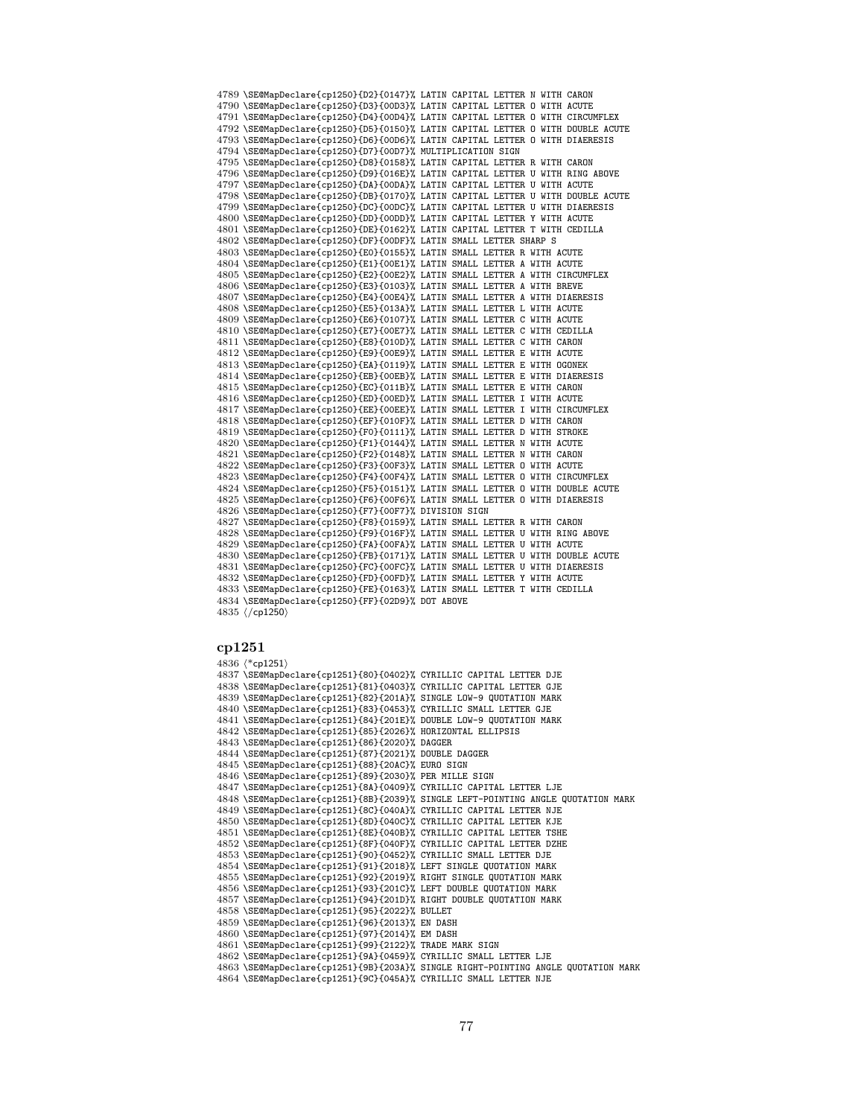<span id="page-76-24"></span><span id="page-76-23"></span><span id="page-76-22"></span><span id="page-76-21"></span><span id="page-76-20"></span><span id="page-76-19"></span><span id="page-76-18"></span><span id="page-76-17"></span><span id="page-76-16"></span><span id="page-76-15"></span><span id="page-76-14"></span><span id="page-76-13"></span><span id="page-76-12"></span><span id="page-76-11"></span><span id="page-76-10"></span><span id="page-76-9"></span><span id="page-76-8"></span><span id="page-76-7"></span><span id="page-76-6"></span><span id="page-76-5"></span><span id="page-76-4"></span><span id="page-76-3"></span><span id="page-76-2"></span><span id="page-76-1"></span><span id="page-76-0"></span> \SE@MapDeclare{cp1250}{D2}{0147}% LATIN CAPITAL LETTER N WITH CARON \SE@MapDeclare{cp1250}{D3}{00D3}% LATIN CAPITAL LETTER O WITH ACUTE \SE@MapDeclare{cp1250}{D4}{00D4}% LATIN CAPITAL LETTER O WITH CIRCUMFLEX \SE@MapDeclare{cp1250}{D5}{0150}% LATIN CAPITAL LETTER O WITH DOUBLE ACUTE \SE@MapDeclare{cp1250}{D6}{00D6}% LATIN CAPITAL LETTER O WITH DIAERESIS \SE@MapDeclare{cp1250}{D7}{00D7}% MULTIPLICATION SIGN \SE@MapDeclare{cp1250}{D8}{0158}% LATIN CAPITAL LETTER R WITH CARON \SE@MapDeclare{cp1250}{D9}{016E}% LATIN CAPITAL LETTER U WITH RING ABOVE \SE@MapDeclare{cp1250}{DA}{00DA}% LATIN CAPITAL LETTER U WITH ACUTE \SE@MapDeclare{cp1250}{DB}{0170}% LATIN CAPITAL LETTER U WITH DOUBLE ACUTE \SE@MapDeclare{cp1250}{DC}{00DC}% LATIN CAPITAL LETTER U WITH DIAERESIS \SE@MapDeclare{cp1250}{DD}{00DD}% LATIN CAPITAL LETTER Y WITH ACUTE \SE@MapDeclare{cp1250}{DE}{0162}% LATIN CAPITAL LETTER T WITH CEDILLA \SE@MapDeclare{cp1250}{DF}{00DF}% LATIN SMALL LETTER SHARP S \SE@MapDeclare{cp1250}{E0}{0155}% LATIN SMALL LETTER R WITH ACUTE \SE@MapDeclare{cp1250}{E1}{00E1}% LATIN SMALL LETTER A WITH ACUTE \SE@MapDeclare{cp1250}{E2}{00E2}% LATIN SMALL LETTER A WITH CIRCUMFLEX \SE@MapDeclare{cp1250}{E3}{0103}% LATIN SMALL LETTER A WITH BREVE \SE@MapDeclare{cp1250}{E4}{00E4}% LATIN SMALL LETTER A WITH DIAERESIS \SE@MapDeclare{cp1250}{E5}{013A}% LATIN SMALL LETTER L WITH ACUTE \SE@MapDeclare{cp1250}{E6}{0107}% LATIN SMALL LETTER C WITH ACUTE \SE@MapDeclare{cp1250}{E7}{00E7}% LATIN SMALL LETTER C WITH CEDILLA \SE@MapDeclare{cp1250}{E8}{010D}% LATIN SMALL LETTER C WITH CARON \SE@MapDeclare{cp1250}{E9}{00E9}% LATIN SMALL LETTER E WITH ACUTE \SE@MapDeclare{cp1250}{EA}{0119}% LATIN SMALL LETTER E WITH OGONEK \SE@MapDeclare{cp1250}{EB}{00EB}% LATIN SMALL LETTER E WITH DIAERESIS \SE@MapDeclare{cp1250}{EC}{011B}% LATIN SMALL LETTER E WITH CARON \SE@MapDeclare{cp1250}{ED}{00ED}% LATIN SMALL LETTER I WITH ACUTE \SE@MapDeclare{cp1250}{EE}{00EE}% LATIN SMALL LETTER I WITH CIRCUMFLEX \SE@MapDeclare{cp1250}{EF}{010F}% LATIN SMALL LETTER D WITH CARON \SE@MapDeclare{cp1250}{F0}{0111}% LATIN SMALL LETTER D WITH STROKE \SE@MapDeclare{cp1250}{F1}{0144}% LATIN SMALL LETTER N WITH ACUTE \SE@MapDeclare{cp1250}{F2}{0148}% LATIN SMALL LETTER N WITH CARON \SE@MapDeclare{cp1250}{F3}{00F3}% LATIN SMALL LETTER O WITH ACUTE \SE@MapDeclare{cp1250}{F4}{00F4}% LATIN SMALL LETTER O WITH CIRCUMFLEX \SE@MapDeclare{cp1250}{F5}{0151}% LATIN SMALL LETTER O WITH DOUBLE ACUTE \SE@MapDeclare{cp1250}{F6}{00F6}% LATIN SMALL LETTER O WITH DIAERESIS \SE@MapDeclare{cp1250}{F7}{00F7}% DIVISION SIGN \SE@MapDeclare{cp1250}{F8}{0159}% LATIN SMALL LETTER R WITH CARON \SE@MapDeclare{cp1250}{F9}{016F}% LATIN SMALL LETTER U WITH RING ABOVE \SE@MapDeclare{cp1250}{FA}{00FA}% LATIN SMALL LETTER U WITH ACUTE \SE@MapDeclare{cp1250}{FB}{0171}% LATIN SMALL LETTER U WITH DOUBLE ACUTE \SE@MapDeclare{cp1250}{FC}{00FC}% LATIN SMALL LETTER U WITH DIAERESIS \SE@MapDeclare{cp1250}{FD}{00FD}% LATIN SMALL LETTER Y WITH ACUTE \SE@MapDeclare{cp1250}{FE}{0163}% LATIN SMALL LETTER T WITH CEDILLA \SE@MapDeclare{cp1250}{FF}{02D9}% DOT ABOVE 4835 (/cp1250)

#### <span id="page-76-45"></span><span id="page-76-44"></span><span id="page-76-43"></span><span id="page-76-42"></span><span id="page-76-41"></span><span id="page-76-40"></span><span id="page-76-39"></span><span id="page-76-38"></span><span id="page-76-37"></span><span id="page-76-36"></span><span id="page-76-35"></span><span id="page-76-34"></span><span id="page-76-33"></span><span id="page-76-32"></span><span id="page-76-31"></span><span id="page-76-30"></span><span id="page-76-29"></span><span id="page-76-28"></span><span id="page-76-27"></span><span id="page-76-26"></span><span id="page-76-25"></span>cp1251

```
4836 (*cp1251)4837 \SE@MapDeclare{cp1251}{80}{0402}% CYRILLIC CAPITAL LETTER DJE
4838 \SE@MapDeclare{cp1251}{81}{0403}% CYRILLIC CAPITAL LETTER GJE
4839 \SE@MapDeclare{cp1251}{82}{201A}% SINGLE LOW-9 QUOTATION MARK
4840 \SE@MapDeclare{cp1251}{83}{0453}% CYRILLIC SMALL LETTER GJE
4841 \SE@MapDeclare{cp1251}{84}{201E}% DOUBLE LOW-9 QUOTATION MARK
4842 \SE@MapDeclare{cp1251}{85}{2026}% HORIZONTAL ELLIPSIS
4843 \SE@MapDeclare{cp1251}{86}{2020}% DAGGER
4844 \SE@MapDeclare{cp1251}{87}{2021}% DOUBLE DAGGER
4845 \SE@MapDeclare{cp1251}{88}{20AC}% EURO SIGN
4846 \SE@MapDeclare{cp1251}{89}{2030}% PER MILLE SIGN
4847 \SE@MapDeclare{cp1251}{8A}{0409}% CYRILLIC CAPITAL LETTER LJE
4848 \SE@MapDeclare{cp1251}{8B}{2039}% SINGLE LEFT-POINTING ANGLE QUOTATION MARK
4849 \SE@MapDeclare{cp1251}{8C}{040A}% CYRILLIC CAPITAL LETTER NJE
4850 \SE@MapDeclare{cp1251}{8D}{040C}% CYRILLIC CAPITAL LETTER KJE
4851 \SE@MapDeclare{cp1251}{8E}{040B}% CYRILLIC CAPITAL LETTER TSHE
4852 \SE@MapDeclare{cp1251}{8F}{040F}% CYRILLIC CAPITAL LETTER DZHE
4853 \SE@MapDeclare{cp1251}{90}{0452}% CYRILLIC SMALL LETTER DJE
4854 \SE@MapDeclare{cp1251}{91}{2018}% LEFT SINGLE QUOTATION MARK
4855 \SE@MapDeclare{cp1251}{92}{2019}% RIGHT SINGLE QUOTATION MARK
4856 \SE@MapDeclare{cp1251}{93}{201C}% LEFT DOUBLE QUOTATION MARK
4857 \SE@MapDeclare{cp1251}{94}{201D}% RIGHT DOUBLE QUOTATION MARK
4858 \SE@MapDeclare{cp1251}{95}{2022}% BULLET
4859 \SE@MapDeclare{cp1251}{96}{2013}% EN DASH
4860 \SE@MapDeclare{cp1251}{97}{2014}% EM DASH
4861 \SE@MapDeclare{cp1251}{99}{2122}% TRADE MARK SIGN
4862 \SE@MapDeclare{cp1251}{9A}{0459}% CYRILLIC SMALL LETTER LJE
4863 \SE@MapDeclare{cp1251}{9B}{203A}% SINGLE RIGHT-POINTING ANGLE QUOTATION MARK
4864 \SE@MapDeclare{cp1251}{9C}{045A}% CYRILLIC SMALL LETTER NJE
```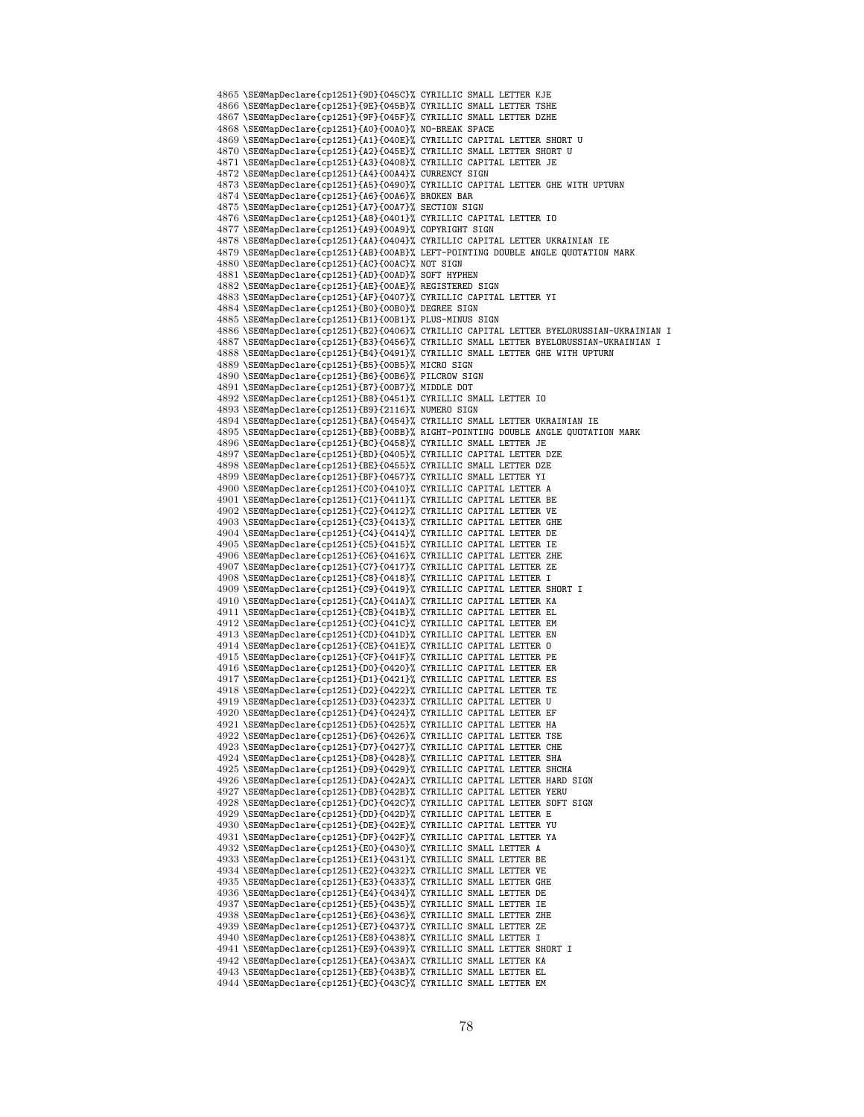<span id="page-77-79"></span><span id="page-77-78"></span><span id="page-77-77"></span><span id="page-77-76"></span><span id="page-77-75"></span><span id="page-77-74"></span><span id="page-77-73"></span><span id="page-77-72"></span><span id="page-77-71"></span><span id="page-77-70"></span><span id="page-77-69"></span><span id="page-77-68"></span><span id="page-77-67"></span><span id="page-77-66"></span><span id="page-77-65"></span><span id="page-77-64"></span><span id="page-77-63"></span><span id="page-77-62"></span><span id="page-77-61"></span><span id="page-77-60"></span><span id="page-77-59"></span><span id="page-77-58"></span><span id="page-77-57"></span><span id="page-77-56"></span><span id="page-77-55"></span><span id="page-77-54"></span><span id="page-77-53"></span><span id="page-77-52"></span><span id="page-77-51"></span><span id="page-77-50"></span><span id="page-77-49"></span><span id="page-77-48"></span><span id="page-77-47"></span><span id="page-77-46"></span><span id="page-77-45"></span><span id="page-77-44"></span><span id="page-77-43"></span><span id="page-77-42"></span><span id="page-77-41"></span><span id="page-77-40"></span><span id="page-77-39"></span><span id="page-77-38"></span><span id="page-77-37"></span><span id="page-77-36"></span><span id="page-77-35"></span><span id="page-77-34"></span><span id="page-77-33"></span><span id="page-77-32"></span><span id="page-77-31"></span><span id="page-77-30"></span><span id="page-77-29"></span><span id="page-77-28"></span><span id="page-77-27"></span><span id="page-77-26"></span><span id="page-77-25"></span><span id="page-77-24"></span><span id="page-77-23"></span><span id="page-77-22"></span><span id="page-77-21"></span><span id="page-77-20"></span><span id="page-77-19"></span><span id="page-77-18"></span><span id="page-77-17"></span><span id="page-77-16"></span><span id="page-77-15"></span><span id="page-77-14"></span><span id="page-77-13"></span><span id="page-77-12"></span><span id="page-77-11"></span><span id="page-77-10"></span><span id="page-77-9"></span><span id="page-77-8"></span><span id="page-77-7"></span><span id="page-77-6"></span><span id="page-77-5"></span><span id="page-77-4"></span><span id="page-77-3"></span><span id="page-77-2"></span><span id="page-77-1"></span><span id="page-77-0"></span> \SE@MapDeclare{cp1251}{9D}{045C}% CYRILLIC SMALL LETTER KJE \SE@MapDeclare{cp1251}{9E}{045B}% CYRILLIC SMALL LETTER TSHE \SE@MapDeclare{cp1251}{9F}{045F}% CYRILLIC SMALL LETTER DZHE \SE@MapDeclare{cp1251}{A0}{00A0}% NO-BREAK SPACE \SE@MapDeclare{cp1251}{A1}{040E}% CYRILLIC CAPITAL LETTER SHORT U \SE@MapDeclare{cp1251}{A2}{045E}% CYRILLIC SMALL LETTER SHORT U \SE@MapDeclare{cp1251}{A3}{0408}% CYRILLIC CAPITAL LETTER JE \SE@MapDeclare{cp1251}{A4}{00A4}% CURRENCY SIGN \SE@MapDeclare{cp1251}{A5}{0490}% CYRILLIC CAPITAL LETTER GHE WITH UPTURN \SE@MapDeclare{cp1251}{A6}{00A6}% BROKEN BAR \SE@MapDeclare{cp1251}{A7}{00A7}% SECTION SIGN \SE@MapDeclare{cp1251}{A8}{0401}% CYRILLIC CAPITAL LETTER IO \SE@MapDeclare{cp1251}{A9}{00A9}% COPYRIGHT SIGN \SE@MapDeclare{cp1251}{AA}{0404}% CYRILLIC CAPITAL LETTER UKRAINIAN IE \SE@MapDeclare{cp1251}{AB}{00AB}% LEFT-POINTING DOUBLE ANGLE QUOTATION MARK \SE@MapDeclare{cp1251}{AC}{00AC}% NOT SIGN \SE@MapDeclare{cp1251}{AD}{00AD}% SOFT HYPHEN \SE@MapDeclare{cp1251}{AE}{00AE}% REGISTERED SIGN \SE@MapDeclare{cp1251}{AF}{0407}% CYRILLIC CAPITAL LETTER YI \SE@MapDeclare{cp1251}{B0}{00B0}% DEGREE SIGN \SE@MapDeclare{cp1251}{B1}{00B1}% PLUS-MINUS SIGN \SE@MapDeclare{cp1251}{B2}{0406}% CYRILLIC CAPITAL LETTER BYELORUSSIAN-UKRAINIAN I \SE@MapDeclare{cp1251}{B3}{0456}% CYRILLIC SMALL LETTER BYELORUSSIAN-UKRAINIAN I \SE@MapDeclare{cp1251}{B4}{0491}% CYRILLIC SMALL LETTER GHE WITH UPTURN \SE@MapDeclare{cp1251}{B5}{00B5}% MICRO SIGN \SE@MapDeclare{cp1251}{B6}{00B6}% PILCROW SIGN \SE@MapDeclare{cp1251}{B7}{00B7}% MIDDLE DOT \SE@MapDeclare{cp1251}{B8}{0451}% CYRILLIC SMALL LETTER IO \SE@MapDeclare{cp1251}{B9}{2116}% NUMERO SIGN \SE@MapDeclare{cp1251}{BA}{0454}% CYRILLIC SMALL LETTER UKRAINIAN IE \SE@MapDeclare{cp1251}{BB}{00BB}% RIGHT-POINTING DOUBLE ANGLE QUOTATION MARK \SE@MapDeclare{cp1251}{BC}{0458}% CYRILLIC SMALL LETTER JE \SE@MapDeclare{cp1251}{BD}{0405}% CYRILLIC CAPITAL LETTER DZE \SE@MapDeclare{cp1251}{BE}{0455}% CYRILLIC SMALL LETTER DZE \SE@MapDeclare{cp1251}{BF}{0457}% CYRILLIC SMALL LETTER YI \SE@MapDeclare{cp1251}{C0}{0410}% CYRILLIC CAPITAL LETTER A \SE@MapDeclare{cp1251}{C1}{0411}% CYRILLIC CAPITAL LETTER BE \SE@MapDeclare{cp1251}{C2}{0412}% CYRILLIC CAPITAL LETTER VE \SE@MapDeclare{cp1251}{C3}{0413}% CYRILLIC CAPITAL LETTER GHE \SE@MapDeclare{cp1251}{C4}{0414}% CYRILLIC CAPITAL LETTER DE \SE@MapDeclare{cp1251}{C5}{0415}% CYRILLIC CAPITAL LETTER IE \SE@MapDeclare{cp1251}{C6}{0416}% CYRILLIC CAPITAL LETTER ZHE \SE@MapDeclare{cp1251}{C7}{0417}% CYRILLIC CAPITAL LETTER ZE \SE@MapDeclare{cp1251}{C8}{0418}% CYRILLIC CAPITAL LETTER I \SE@MapDeclare{cp1251}{C9}{0419}% CYRILLIC CAPITAL LETTER SHORT I \SE@MapDeclare{cp1251}{CA}{041A}% CYRILLIC CAPITAL LETTER KA \SE@MapDeclare{cp1251}{CB}{041B}% CYRILLIC CAPITAL LETTER EL 4912 \SE@MapDeclare{cp1251}{CC}{041C}% CYRILLIC CAPITAL LETTER EM \SE@MapDeclare{cp1251}{CD}{041D}% CYRILLIC CAPITAL LETTER EN \SE@MapDeclare{cp1251}{CE}{041E}% CYRILLIC CAPITAL LETTER O \SE@MapDeclare{cp1251}{CF}{041F}% CYRILLIC CAPITAL LETTER PE \SE@MapDeclare{cp1251}{D0}{0420}% CYRILLIC CAPITAL LETTER ER \SE@MapDeclare{cp1251}{D1}{0421}% CYRILLIC CAPITAL LETTER ES \SE@MapDeclare{cp1251}{D2}{0422}% CYRILLIC CAPITAL LETTER TE \SE@MapDeclare{cp1251}{D3}{0423}% CYRILLIC CAPITAL LETTER U \SE@MapDeclare{cp1251}{D4}{0424}% CYRILLIC CAPITAL LETTER EF \SE@MapDeclare{cp1251}{D5}{0425}% CYRILLIC CAPITAL LETTER HA \SE@MapDeclare{cp1251}{D6}{0426}% CYRILLIC CAPITAL LETTER TSE \SE@MapDeclare{cp1251}{D7}{0427}% CYRILLIC CAPITAL LETTER CHE \SE@MapDeclare{cp1251}{D8}{0428}% CYRILLIC CAPITAL LETTER SHA \SE@MapDeclare{cp1251}{D9}{0429}% CYRILLIC CAPITAL LETTER SHCHA \SE@MapDeclare{cp1251}{DA}{042A}% CYRILLIC CAPITAL LETTER HARD SIGN \SE@MapDeclare{cp1251}{DB}{042B}% CYRILLIC CAPITAL LETTER YERU \SE@MapDeclare{cp1251}{DC}{042C}% CYRILLIC CAPITAL LETTER SOFT SIGN \SE@MapDeclare{cp1251}{DD}{042D}% CYRILLIC CAPITAL LETTER E \SE@MapDeclare{cp1251}{DE}{042E}% CYRILLIC CAPITAL LETTER YU \SE@MapDeclare{cp1251}{DF}{042F}% CYRILLIC CAPITAL LETTER YA \SE@MapDeclare{cp1251}{E0}{0430}% CYRILLIC SMALL LETTER A \SE@MapDeclare{cp1251}{E1}{0431}% CYRILLIC SMALL LETTER BE \SE@MapDeclare{cp1251}{E2}{0432}% CYRILLIC SMALL LETTER VE \SE@MapDeclare{cp1251}{E3}{0433}% CYRILLIC SMALL LETTER GHE \SE@MapDeclare{cp1251}{E4}{0434}% CYRILLIC SMALL LETTER DE \SE@MapDeclare{cp1251}{E5}{0435}% CYRILLIC SMALL LETTER IE \SE@MapDeclare{cp1251}{E6}{0436}% CYRILLIC SMALL LETTER ZHE \SE@MapDeclare{cp1251}{E7}{0437}% CYRILLIC SMALL LETTER ZE \SE@MapDeclare{cp1251}{E8}{0438}% CYRILLIC SMALL LETTER I \SE@MapDeclare{cp1251}{E9}{0439}% CYRILLIC SMALL LETTER SHORT I \SE@MapDeclare{cp1251}{EA}{043A}% CYRILLIC SMALL LETTER KA \SE@MapDeclare{cp1251}{EB}{043B}% CYRILLIC SMALL LETTER EL \SE@MapDeclare{cp1251}{EC}{043C}% CYRILLIC SMALL LETTER EM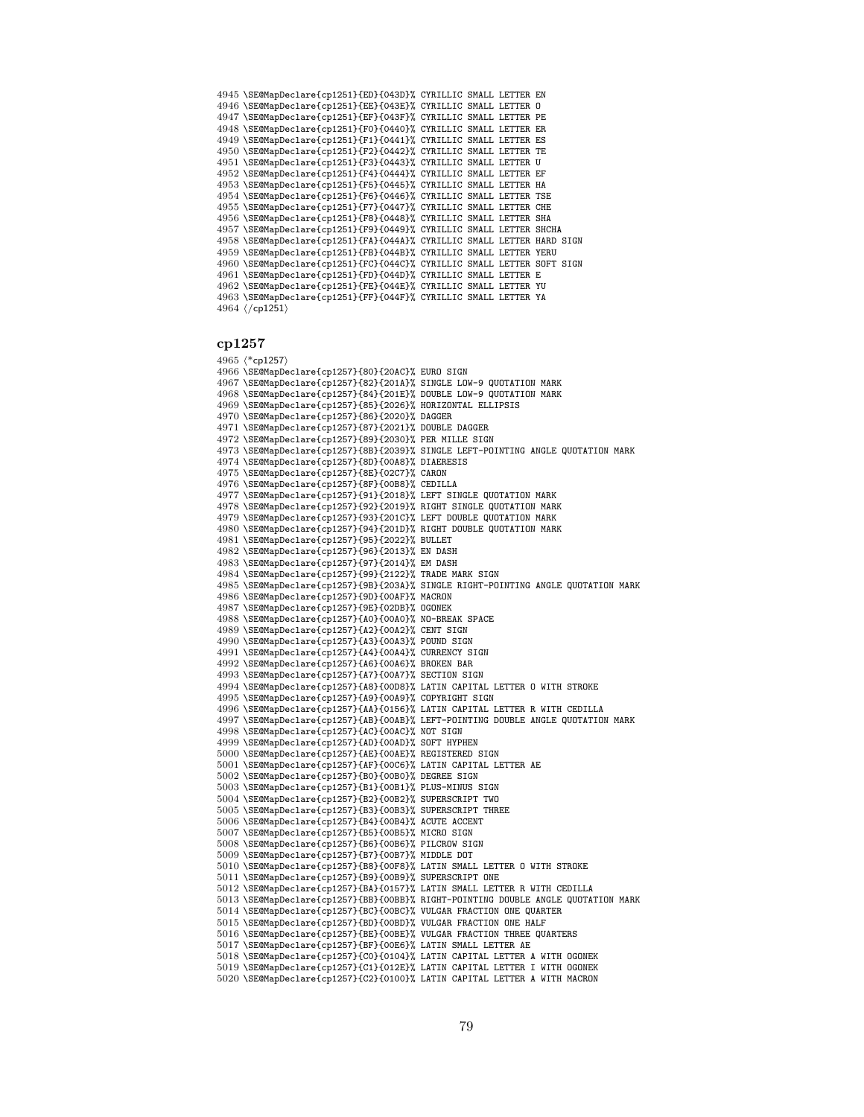```
4945 \SE@MapDeclare{cp1251}{ED}{043D}% CYRILLIC SMALL LETTER EN
4946 \SE@MapDeclare{cp1251}{EE}{043E}% CYRILLIC SMALL LETTER O
4947 \SE@MapDeclare{cp1251}{EF}{043F}% CYRILLIC SMALL LETTER PE
4948 \SE@MapDeclare{cp1251}{F0}{0440}% CYRILLIC SMALL LETTER ER
4949 \SE@MapDeclare{cp1251}{F1}{0441}% CYRILLIC SMALL LETTER ES
4950 \SE@MapDeclare{cp1251}{F2}{0442}% CYRILLIC SMALL LETTER TE
4951 \SE@MapDeclare{cp1251}{F3}{0443}% CYRILLIC SMALL LETTER U
4952 \SE@MapDeclare{cp1251}{F4}{0444}% CYRILLIC SMALL LETTER EF
4953 \SE@MapDeclare{cp1251}{F5}{0445}% CYRILLIC SMALL LETTER HA
4954 \SE@MapDeclare{cp1251}{F6}{0446}% CYRILLIC SMALL LETTER TSE
4955 \SE@MapDeclare{cp1251}{F7}{0447}% CYRILLIC SMALL LETTER CHE
4956 \SE@MapDeclare{cp1251}{F8}{0448}% CYRILLIC SMALL LETTER SHA
4957 \SE@MapDeclare{cp1251}{F9}{0449}% CYRILLIC SMALL LETTER SHCHA
4958 \SE@MapDeclare{cp1251}{FA}{044A}% CYRILLIC SMALL LETTER HARD SIGN
4959 \SE@MapDeclare{cp1251}{FB}{044B}% CYRILLIC SMALL LETTER YERU
4960 \SE@MapDeclare{cp1251}{FC}{044C}% CYRILLIC SMALL LETTER SOFT SIGN
4961 \SE@MapDeclare{cp1251}{FD}{044D}% CYRILLIC SMALL LETTER E
4962 \SE@MapDeclare{cp1251}{FE}{044E}% CYRILLIC SMALL LETTER YU
4963 \SE@MapDeclare{cp1251}{FF}{044F}% CYRILLIC SMALL LETTER YA
4964 \langle/cp1251)
```
#### <span id="page-78-18"></span><span id="page-78-17"></span><span id="page-78-16"></span><span id="page-78-15"></span><span id="page-78-14"></span><span id="page-78-13"></span><span id="page-78-12"></span>cp1257

<span id="page-78-73"></span><span id="page-78-72"></span><span id="page-78-71"></span><span id="page-78-70"></span><span id="page-78-69"></span><span id="page-78-68"></span><span id="page-78-67"></span><span id="page-78-66"></span><span id="page-78-65"></span><span id="page-78-64"></span><span id="page-78-63"></span><span id="page-78-62"></span><span id="page-78-61"></span><span id="page-78-60"></span><span id="page-78-59"></span><span id="page-78-58"></span><span id="page-78-57"></span><span id="page-78-56"></span><span id="page-78-55"></span><span id="page-78-54"></span><span id="page-78-53"></span><span id="page-78-52"></span><span id="page-78-51"></span><span id="page-78-50"></span><span id="page-78-49"></span><span id="page-78-48"></span><span id="page-78-47"></span><span id="page-78-46"></span><span id="page-78-45"></span><span id="page-78-44"></span><span id="page-78-43"></span><span id="page-78-42"></span><span id="page-78-41"></span><span id="page-78-40"></span><span id="page-78-39"></span><span id="page-78-38"></span><span id="page-78-37"></span><span id="page-78-36"></span><span id="page-78-35"></span><span id="page-78-34"></span><span id="page-78-33"></span><span id="page-78-32"></span><span id="page-78-31"></span><span id="page-78-30"></span><span id="page-78-29"></span><span id="page-78-28"></span><span id="page-78-27"></span><span id="page-78-26"></span><span id="page-78-25"></span><span id="page-78-24"></span><span id="page-78-23"></span><span id="page-78-22"></span><span id="page-78-21"></span><span id="page-78-20"></span><span id="page-78-19"></span>4965 (\*cp1257) \SE@MapDeclare{cp1257}{80}{20AC}% EURO SIGN \SE@MapDeclare{cp1257}{82}{201A}% SINGLE LOW-9 QUOTATION MARK \SE@MapDeclare{cp1257}{84}{201E}% DOUBLE LOW-9 QUOTATION MARK \SE@MapDeclare{cp1257}{85}{2026}% HORIZONTAL ELLIPSIS \SE@MapDeclare{cp1257}{86}{2020}% DAGGER \SE@MapDeclare{cp1257}{87}{2021}% DOUBLE DAGGER \SE@MapDeclare{cp1257}{89}{2030}% PER MILLE SIGN \SE@MapDeclare{cp1257}{8B}{2039}% SINGLE LEFT-POINTING ANGLE QUOTATION MARK \SE@MapDeclare{cp1257}{8D}{00A8}% DIAERESIS \SE@MapDeclare{cp1257}{8E}{02C7}% CARON \SE@MapDeclare{cp1257}{8F}{00B8}% CEDILLA \SE@MapDeclare{cp1257}{91}{2018}% LEFT SINGLE QUOTATION MARK \SE@MapDeclare{cp1257}{92}{2019}% RIGHT SINGLE QUOTATION MARK \SE@MapDeclare{cp1257}{93}{201C}% LEFT DOUBLE QUOTATION MARK \SE@MapDeclare{cp1257}{94}{201D}% RIGHT DOUBLE QUOTATION MARK \SE@MapDeclare{cp1257}{95}{2022}% BULLET \SE@MapDeclare{cp1257}{96}{2013}% EN DASH \SE@MapDeclare{cp1257}{97}{2014}% EM DASH \SE@MapDeclare{cp1257}{99}{2122}% TRADE MARK SIGN \SE@MapDeclare{cp1257}{9B}{203A}% SINGLE RIGHT-POINTING ANGLE QUOTATION MARK \SE@MapDeclare{cp1257}{9D}{00AF}% MACRON \SE@MapDeclare{cp1257}{9E}{02DB}% OGONEK \SE@MapDeclare{cp1257}{A0}{00A0}% NO-BREAK SPACE \SE@MapDeclare{cp1257}{A2}{00A2}% CENT SIGN \SE@MapDeclare{cp1257}{A3}{00A3}% POUND SIGN \SE@MapDeclare{cp1257}{A4}{00A4}% CURRENCY SIGN \SE@MapDeclare{cp1257}{A6}{00A6}% BROKEN BAR \SE@MapDeclare{cp1257}{A7}{00A7}% SECTION SIGN \SE@MapDeclare{cp1257}{A8}{00D8}% LATIN CAPITAL LETTER O WITH STROKE \SE@MapDeclare{cp1257}{A9}{00A9}% COPYRIGHT SIGN \SE@MapDeclare{cp1257}{AA}{0156}% LATIN CAPITAL LETTER R WITH CEDILLA \SE@MapDeclare{cp1257}{AB}{00AB}% LEFT-POINTING DOUBLE ANGLE QUOTATION MARK \SE@MapDeclare{cp1257}{AC}{00AC}% NOT SIGN \SE@MapDeclare{cp1257}{AD}{00AD}% SOFT HYPHEN \SE@MapDeclare{cp1257}{AE}{00AE}% REGISTERED SIGN \SE@MapDeclare{cp1257}{AF}{00C6}% LATIN CAPITAL LETTER AE \SE@MapDeclare{cp1257}{B0}{00B0}% DEGREE SIGN \SE@MapDeclare{cp1257}{B1}{00B1}% PLUS-MINUS SIGN \SE@MapDeclare{cp1257}{B2}{00B2}% SUPERSCRIPT TWO \SE@MapDeclare{cp1257}{B3}{00B3}% SUPERSCRIPT THREE \SE@MapDeclare{cp1257}{B4}{00B4}% ACUTE ACCENT \SE@MapDeclare{cp1257}{B5}{00B5}% MICRO SIGN \SE@MapDeclare{cp1257}{B6}{00B6}% PILCROW SIGN \SE@MapDeclare{cp1257}{B7}{00B7}% MIDDLE DOT \SE@MapDeclare{cp1257}{B8}{00F8}% LATIN SMALL LETTER O WITH STROKE \SE@MapDeclare{cp1257}{B9}{00B9}% SUPERSCRIPT ONE \SE@MapDeclare{cp1257}{BA}{0157}% LATIN SMALL LETTER R WITH CEDILLA \SE@MapDeclare{cp1257}{BB}{00BB}% RIGHT-POINTING DOUBLE ANGLE QUOTATION MARK \SE@MapDeclare{cp1257}{BC}{00BC}% VULGAR FRACTION ONE QUARTER \SE@MapDeclare{cp1257}{BD}{00BD}% VULGAR FRACTION ONE HALF \SE@MapDeclare{cp1257}{BE}{00BE}% VULGAR FRACTION THREE QUARTERS \SE@MapDeclare{cp1257}{BF}{00E6}% LATIN SMALL LETTER AE \SE@MapDeclare{cp1257}{C0}{0104}% LATIN CAPITAL LETTER A WITH OGONEK \SE@MapDeclare{cp1257}{C1}{012E}% LATIN CAPITAL LETTER I WITH OGONEK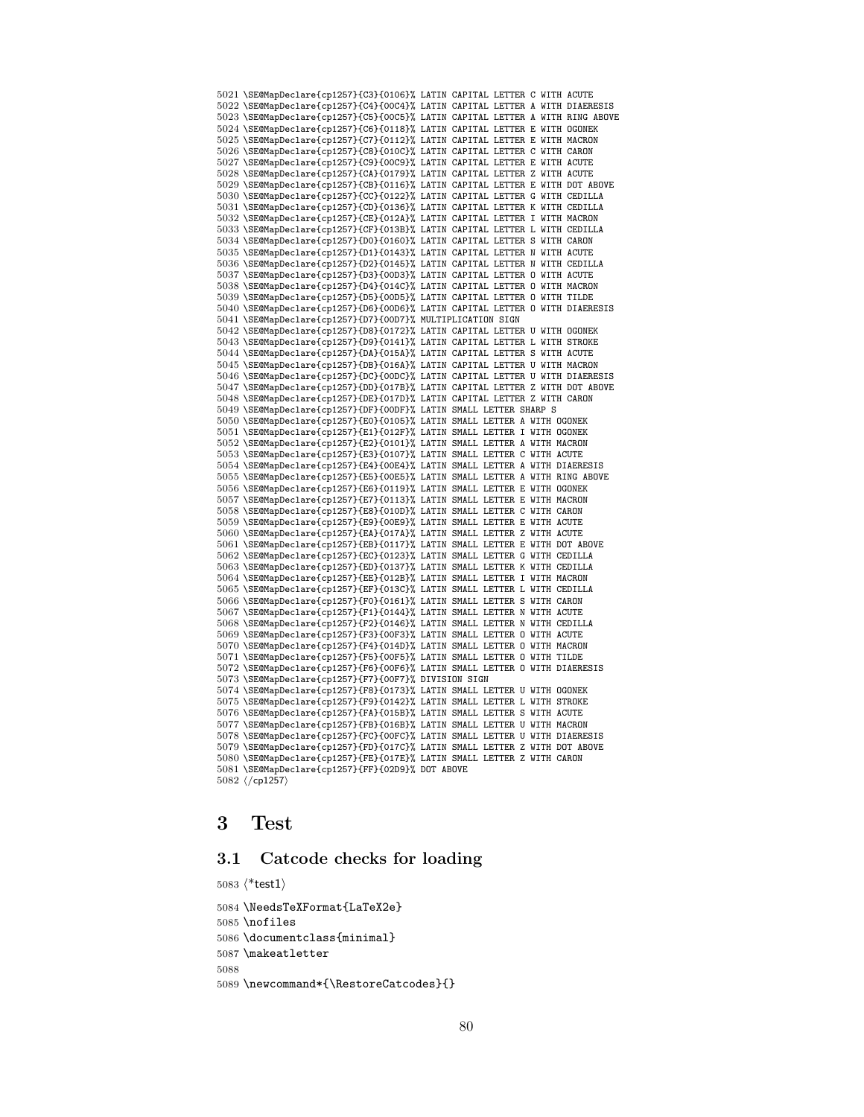<span id="page-79-37"></span><span id="page-79-36"></span><span id="page-79-35"></span><span id="page-79-34"></span><span id="page-79-33"></span><span id="page-79-32"></span><span id="page-79-31"></span><span id="page-79-30"></span><span id="page-79-29"></span><span id="page-79-28"></span><span id="page-79-27"></span><span id="page-79-26"></span><span id="page-79-25"></span><span id="page-79-24"></span><span id="page-79-23"></span><span id="page-79-22"></span><span id="page-79-21"></span><span id="page-79-20"></span><span id="page-79-19"></span><span id="page-79-18"></span><span id="page-79-17"></span><span id="page-79-16"></span><span id="page-79-15"></span><span id="page-79-14"></span><span id="page-79-13"></span><span id="page-79-12"></span><span id="page-79-11"></span><span id="page-79-10"></span><span id="page-79-9"></span><span id="page-79-8"></span><span id="page-79-7"></span><span id="page-79-6"></span><span id="page-79-5"></span> \SE@MapDeclare{cp1257}{C3}{0106}% LATIN CAPITAL LETTER C WITH ACUTE \SE@MapDeclare{cp1257}{C4}{00C4}% LATIN CAPITAL LETTER A WITH DIAERESIS \SE@MapDeclare{cp1257}{C5}{00C5}% LATIN CAPITAL LETTER A WITH RING ABOVE \SE@MapDeclare{cp1257}{C6}{0118}% LATIN CAPITAL LETTER E WITH OGONEK \SE@MapDeclare{cp1257}{C7}{0112}% LATIN CAPITAL LETTER E WITH MACRON \SE@MapDeclare{cp1257}{C8}{010C}% LATIN CAPITAL LETTER C WITH CARON \SE@MapDeclare{cp1257}{C9}{00C9}% LATIN CAPITAL LETTER E WITH ACUTE \SE@MapDeclare{cp1257}{CA}{0179}% LATIN CAPITAL LETTER Z WITH ACUTE \SE@MapDeclare{cp1257}{CB}{0116}% LATIN CAPITAL LETTER E WITH DOT ABOVE \SE@MapDeclare{cp1257}{CC}{0122}% LATIN CAPITAL LETTER G WITH CEDILLA \SE@MapDeclare{cp1257}{CD}{0136}% LATIN CAPITAL LETTER K WITH CEDILLA \SE@MapDeclare{cp1257}{CE}{012A}% LATIN CAPITAL LETTER I WITH MACRON \SE@MapDeclare{cp1257}{CF}{013B}% LATIN CAPITAL LETTER L WITH CEDILLA \SE@MapDeclare{cp1257}{D0}{0160}% LATIN CAPITAL LETTER S WITH CARON \SE@MapDeclare{cp1257}{D1}{0143}% LATIN CAPITAL LETTER N WITH ACUTE \SE@MapDeclare{cp1257}{D2}{0145}% LATIN CAPITAL LETTER N WITH CEDILLA \SE@MapDeclare{cp1257}{D3}{00D3}% LATIN CAPITAL LETTER O WITH ACUTE \SE@MapDeclare{cp1257}{D4}{014C}% LATIN CAPITAL LETTER O WITH MACRON \SE@MapDeclare{cp1257}{D5}{00D5}% LATIN CAPITAL LETTER O WITH TILDE \SE@MapDeclare{cp1257}{D6}{00D6}% LATIN CAPITAL LETTER O WITH DIAERESIS \SE@MapDeclare{cp1257}{D7}{00D7}% MULTIPLICATION SIGN \SE@MapDeclare{cp1257}{D8}{0172}% LATIN CAPITAL LETTER U WITH OGONEK \SE@MapDeclare{cp1257}{D9}{0141}% LATIN CAPITAL LETTER L WITH STROKE \SE@MapDeclare{cp1257}{DA}{015A}% LATIN CAPITAL LETTER S WITH ACUTE \SE@MapDeclare{cp1257}{DB}{016A}% LATIN CAPITAL LETTER U WITH MACRON \SE@MapDeclare{cp1257}{DC}{00DC}% LATIN CAPITAL LETTER U WITH DIAERESIS \SE@MapDeclare{cp1257}{DD}{017B}% LATIN CAPITAL LETTER Z WITH DOT ABOVE \SE@MapDeclare{cp1257}{DE}{017D}% LATIN CAPITAL LETTER Z WITH CARON \SE@MapDeclare{cp1257}{DF}{00DF}% LATIN SMALL LETTER SHARP S \SE@MapDeclare{cp1257}{E0}{0105}% LATIN SMALL LETTER A WITH OGONEK \SE@MapDeclare{cp1257}{E1}{012F}% LATIN SMALL LETTER I WITH OGONEK \SE@MapDeclare{cp1257}{E2}{0101}% LATIN SMALL LETTER A WITH MACRON \SE@MapDeclare{cp1257}{E3}{0107}% LATIN SMALL LETTER C WITH ACUTE \SE@MapDeclare{cp1257}{E4}{00E4}% LATIN SMALL LETTER A WITH DIAERESIS \SE@MapDeclare{cp1257}{E5}{00E5}% LATIN SMALL LETTER A WITH RING ABOVE \SE@MapDeclare{cp1257}{E6}{0119}% LATIN SMALL LETTER E WITH OGONEK \SE@MapDeclare{cp1257}{E7}{0113}% LATIN SMALL LETTER E WITH MACRON \SE@MapDeclare{cp1257}{E8}{010D}% LATIN SMALL LETTER C WITH CARON \SE@MapDeclare{cp1257}{E9}{00E9}% LATIN SMALL LETTER E WITH ACUTE \SE@MapDeclare{cp1257}{EA}{017A}% LATIN SMALL LETTER Z WITH ACUTE \SE@MapDeclare{cp1257}{EB}{0117}% LATIN SMALL LETTER E WITH DOT ABOVE \SE@MapDeclare{cp1257}{EC}{0123}% LATIN SMALL LETTER G WITH CEDILLA \SE@MapDeclare{cp1257}{ED}{0137}% LATIN SMALL LETTER K WITH CEDILLA \SE@MapDeclare{cp1257}{EE}{012B}% LATIN SMALL LETTER I WITH MACRON \SE@MapDeclare{cp1257}{EF}{013C}% LATIN SMALL LETTER L WITH CEDILLA \SE@MapDeclare{cp1257}{F0}{0161}% LATIN SMALL LETTER S WITH CARON \SE@MapDeclare{cp1257}{F1}{0144}% LATIN SMALL LETTER N WITH ACUTE 5068 \SE@MapDeclare{cp1257}{F2}{0146}% LATIN SMALL LETTER N WITH CEDILLA \SE@MapDeclare{cp1257}{F3}{00F3}% LATIN SMALL LETTER O WITH ACUTE \SE@MapDeclare{cp1257}{F4}{014D}% LATIN SMALL LETTER O WITH MACRON \SE@MapDeclare{cp1257}{F5}{00F5}% LATIN SMALL LETTER O WITH TILDE \SE@MapDeclare{cp1257}{F6}{00F6}% LATIN SMALL LETTER O WITH DIAERESIS \SE@MapDeclare{cp1257}{F7}{00F7}% DIVISION SIGN \SE@MapDeclare{cp1257}{F8}{0173}% LATIN SMALL LETTER U WITH OGONEK \SE@MapDeclare{cp1257}{F9}{0142}% LATIN SMALL LETTER L WITH STROKE \SE@MapDeclare{cp1257}{FA}{015B}% LATIN SMALL LETTER S WITH ACUTE \SE@MapDeclare{cp1257}{FB}{016B}% LATIN SMALL LETTER U WITH MACRON \SE@MapDeclare{cp1257}{FC}{00FC}% LATIN SMALL LETTER U WITH DIAERESIS \SE@MapDeclare{cp1257}{FD}{017C}% LATIN SMALL LETTER Z WITH DOT ABOVE \SE@MapDeclare{cp1257}{FE}{017E}% LATIN SMALL LETTER Z WITH CARON \SE@MapDeclare{cp1257}{FF}{02D9}% DOT ABOVE 5082 (/cp1257)

# <span id="page-79-65"></span><span id="page-79-64"></span><span id="page-79-63"></span><span id="page-79-62"></span><span id="page-79-61"></span><span id="page-79-60"></span><span id="page-79-59"></span><span id="page-79-58"></span><span id="page-79-57"></span><span id="page-79-56"></span><span id="page-79-55"></span><span id="page-79-54"></span><span id="page-79-53"></span><span id="page-79-52"></span><span id="page-79-51"></span><span id="page-79-50"></span><span id="page-79-49"></span><span id="page-79-48"></span><span id="page-79-47"></span><span id="page-79-46"></span><span id="page-79-45"></span><span id="page-79-44"></span><span id="page-79-43"></span><span id="page-79-42"></span><span id="page-79-41"></span><span id="page-79-40"></span><span id="page-79-39"></span><span id="page-79-38"></span>3 Test

### 3.1 Catcode checks for loading

```
5083 \langle*test1\rangle5084 \NeedsTeXFormat{LaTeX2e}
5085 \nofiles
5086 \documentclass{minimal}
5087 \makeatletter
5088
5089 \newcommand*{\RestoreCatcodes}{}
```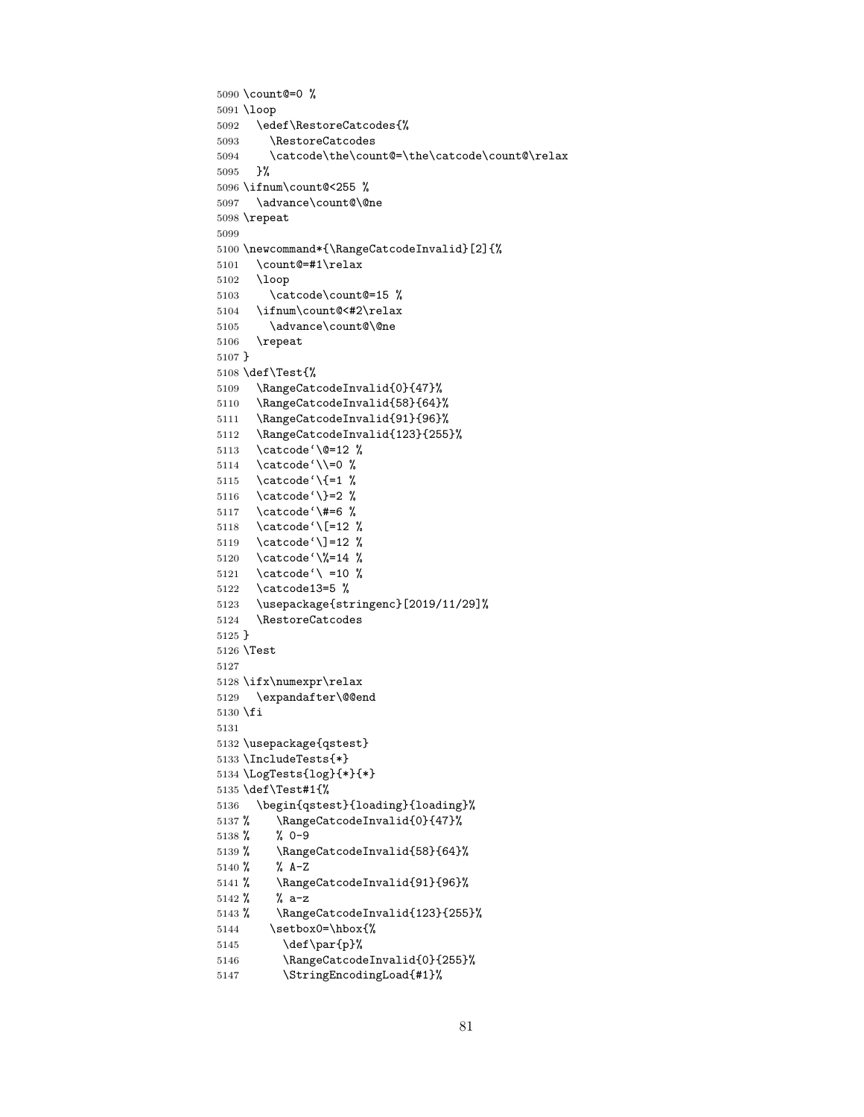```
5090 \count@=0 %
5091 \loop
5092 \edef\RestoreCatcodes{%
5093 \RestoreCatcodes
5094 \catcode\the\count@=\the\catcode\count@\relax
5095 }%
5096 \ifnum\count@<255 %
5097 \advance\count@\@ne
5098 \repeat
5099
5100 \newcommand*{\RangeCatcodeInvalid}[2]{%
5101 \count@=#1\relax
5102 \loop
5103 \catcode\count@=15 %
5104 \ifnum\count@<#2\relax
5105 \advance\count@\@ne
5106 \repeat
5107 }
5108 \def\Test{%
5109 \RangeCatcodeInvalid{0}{47}%
5110 \RangeCatcodeInvalid{58}{64}%
5111 \RangeCatcodeInvalid{91}{96}%
5112 \RangeCatcodeInvalid{123}{255}%
5113 \catcode'\@=12 %
5114 \catcode'\\=0 %
5115 \catcode'\\{=1\%5116 \catcode'\}=2 %
5117 \catcode'\#=6 %
5118 \catcode'\[=12 %
5119 \catcode'\]=12 %
5120 \catcode'\%=14 %
5121 \catcode'\ =10 %
5122 \catcode13=5 %
5123 \usepackage{stringenc}[2019/11/29]%
5124 \RestoreCatcodes
5125 }
5126 \Test
5127
5128 \ifx\numexpr\relax
5129 \expandafter\@@end
5130 \fi
5131
5132 \usepackage{qstest}
5133 \IncludeTests{*}
5134 \LogTests{log}{*}{*}
5135 \def\Test#1{%
5136 \begin{qstest}{loading}{loading}%
5137 % \RangeCatcodeInvalid{0}{47}%
5138 % % 0-9
5139 % \RangeCatcodeInvalid{58}{64}%
5140 % % A-Z
5141 % \RangeCatcodeInvalid{91}{96}%
5142 % % a-z
5143 % \RangeCatcodeInvalid{123}{255}%
5144 \setbox0=\hbox{%
5145 \def\ par{p}5146 \RangeCatcodeInvalid{0}{255}%
5147 \StringEncodingLoad{#1}%
```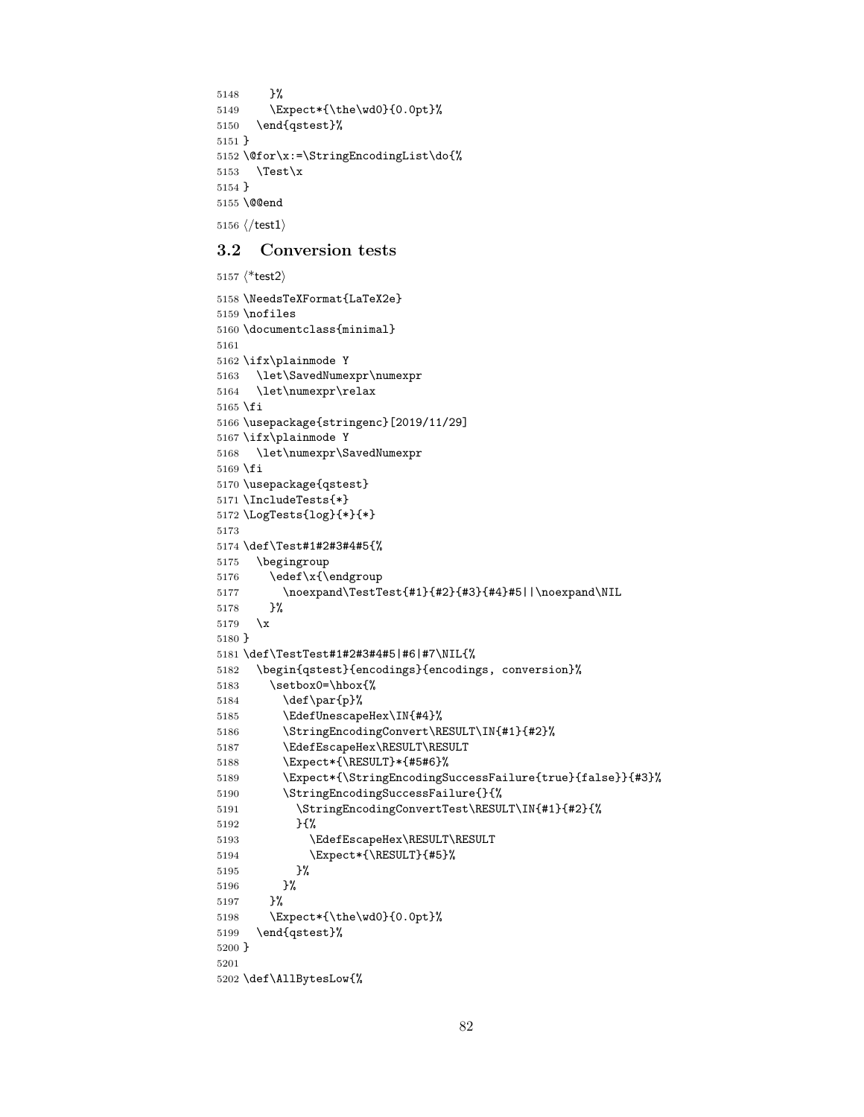```
5148 }%
5149 \Expect*{\the\wd0}{0.0pt}%
5150 \end{qstest}%
5151 }
5152 \@for\x:=\StringEncodingList\do{%
5153 \Test\x
5154 }
5155 \@@end
5156 \langle /test1 \rangle
```
## <span id="page-81-0"></span>3.2 Conversion tests

```
5157 \langle*test2\rangle5158 \NeedsTeXFormat{LaTeX2e}
5159 \nofiles
5160 \documentclass{minimal}
5161
5162 \ifx\plainmode Y
5163 \let\SavedNumexpr\numexpr
5164 \let\numexpr\relax
5165 \fi
5166 \usepackage{stringenc}[2019/11/29]
5167 \ifx\plainmode Y
5168 \let\numexpr\SavedNumexpr
5169 \fi
5170 \usepackage{qstest}
5171 \IncludeTests{*}
5172 \LogTests{log}{*}{*}
5173
5174 \def\Test#1#2#3#4#5{%
5175 \begingroup
5176 \edef\x{\endgroup
5177 \noexpand\TestTest{#1}{#2}{#3}{#4}#5||\noexpand\NIL
5178 }%
5179 \x
5180 }
5181 \def\TestTest#1#2#3#4#5|#6|#7\NIL{%
5182 \begin{qstest}{encodings}{encodings, conversion}%
5183 \setbox0=\hbox{%
5184 \def\parals\rangle5185 \EdefUnescapeHex\IN{#4}%
5186 \StringEncodingConvert\RESULT\IN{#1}{#2}%
5187 \EdefEscapeHex\RESULT\RESULT
5188 \Expect*{\RESULT}*{#5#6}%
5189 \Expect*{\StringEncodingSuccessFailure{true}{false}}{#3}%
5190 \StringEncodingSuccessFailure{}{%
5191 \StringEncodingConvertTest\RESULT\IN{#1}{#2}{%
5192 }{%
5193 \EdefEscapeHex\RESULT\RESULT
5194 \Expect*{\RESULT}{#5}%
5195 }%
5196 }%
5197 }%
5198 \Expect*{\the\wd0}{0.0pt}%
5199 \end{qstest}%
5200 }
5201
5202 \def\AllBytesLow{%
```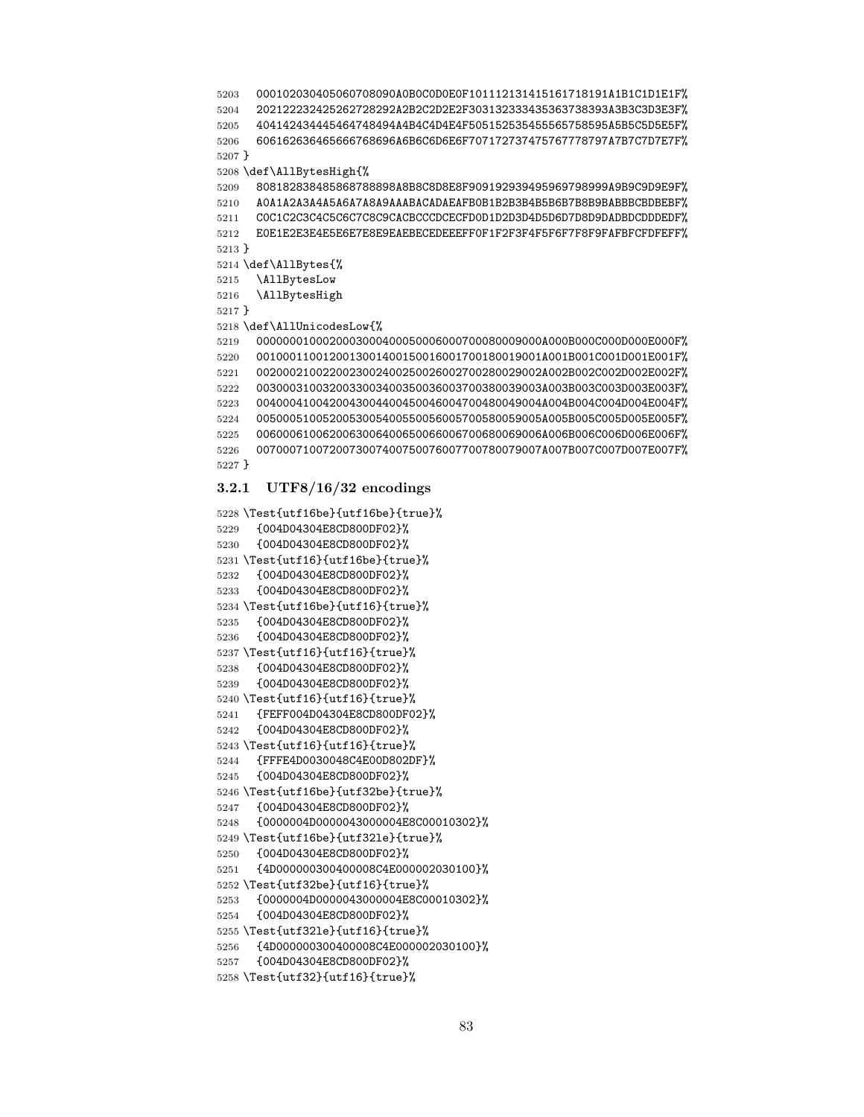```
5203 000102030405060708090A0B0C0D0E0F101112131415161718191A1B1C1D1E1F%
5204 202122232425262728292A2B2C2D2E2F303132333435363738393A3B3C3D3E3F%
5205 404142434445464748494A4B4C4D4E4F505152535455565758595A5B5C5D5E5F%
5206 606162636465666768696A6B6C6D6E6F707172737475767778797A7B7C7D7E7F%
5207 }
5208 \def\AllBytesHigh{%
5209 808182838485868788898A8B8C8D8E8F909192939495969798999A9B9C9D9E9F%
5210 A0A1A2A3A4A5A6A7A8A9AAABACADAEAFB0B1B2B3B4B5B6B7B8B9BABBBCBDBEBF%
5211 C0C1C2C3C4C5C6C7C8C9CACBCCCDCECFD0D1D2D3D4D5D6D7D8D9DADBDCDDDEDF%
5212 E0E1E2E3E4E5E6E7E8E9EAEBECEDEEEFF0F1F2F3F4F5F6F7F8F9FAFBFCFDFEFF%
5213 }
5214 \def\AllBytes{%
5215 \AllBytesLow
5216 \AllBytesHigh
5217 }
5218 \def\AllUnicodesLow{%
5219 0000000100020003000400050006000700080009000A000B000C000D000E000F%
5220 0010001100120013001400150016001700180019001A001B001C001D001E001F%
5221 0020002100220023002400250026002700280029002A002B002C002D002E002F%
5222 0030003100320033003400350036003700380039003A003B003C003D003E003F%
5223 0040004100420043004400450046004700480049004A004B004C004D004E004F%
5224 0050005100520053005400550056005700580059005A005B005C005D005E005F%
5225 0060006100620063006400650066006700680069006A006B006C006D006E006F%
5226 0070007100720073007400750076007700780079007A007B007C007D007E007F%
5227 }
```
### <span id="page-82-4"></span><span id="page-82-2"></span>3.2.1 UTF8/16/32 encodings

```
5228 \Test{utf16be}{utf16be}{true}%
5229 {004D04304E8CD800DF02}%
5230 {004D04304E8CD800DF02}%
5231 \Test{utf16}{utf16be}{true}%
5232 {004D04304E8CD800DF02}%
5233 {004D04304E8CD800DF02}%
5234 \Test{utf16be}{utf16}{true}%
5235 {004D04304E8CD800DF02}%
5236 {004D04304E8CD800DF02}%
5237 \Test{utf16}{utf16}{true}%
5238 {004D04304E8CD800DF02}%
5239 {004D04304E8CD800DF02}%
5240 \Test{utf16}{utf16}{true}%
5241 {FEFF004D04304E8CD800DF02}%
5242 {004D04304E8CD800DF02}%
5243 \Test{utf16}{utf16}{true}%
5244 {FFFE4D0030048C4E00D802DF}%
5245 {004D04304E8CD800DF02}%
5246 \Test{utf16be}{utf32be}{true}%
5247 {004D04304E8CD800DF02}%
5248 {0000004D0000043000004E8C00010302}%
5249 \Test{utf16be}{utf32le}{true}%
5250 {004D04304E8CD800DF02}%
5251 {4D000000300400008C4E000002030100}%
5252 \Test{utf32be}{utf16}{true}%
5253 {0000004D0000043000004E8C00010302}%
5254 {004D04304E8CD800DF02}%
5255 \Test{utf32le}{utf16}{true}%
5256 {4D000000300400008C4E000002030100}%
5257 {004D04304E8CD800DF02}%
5258 \Test{utf32}{utf16}{true}%
```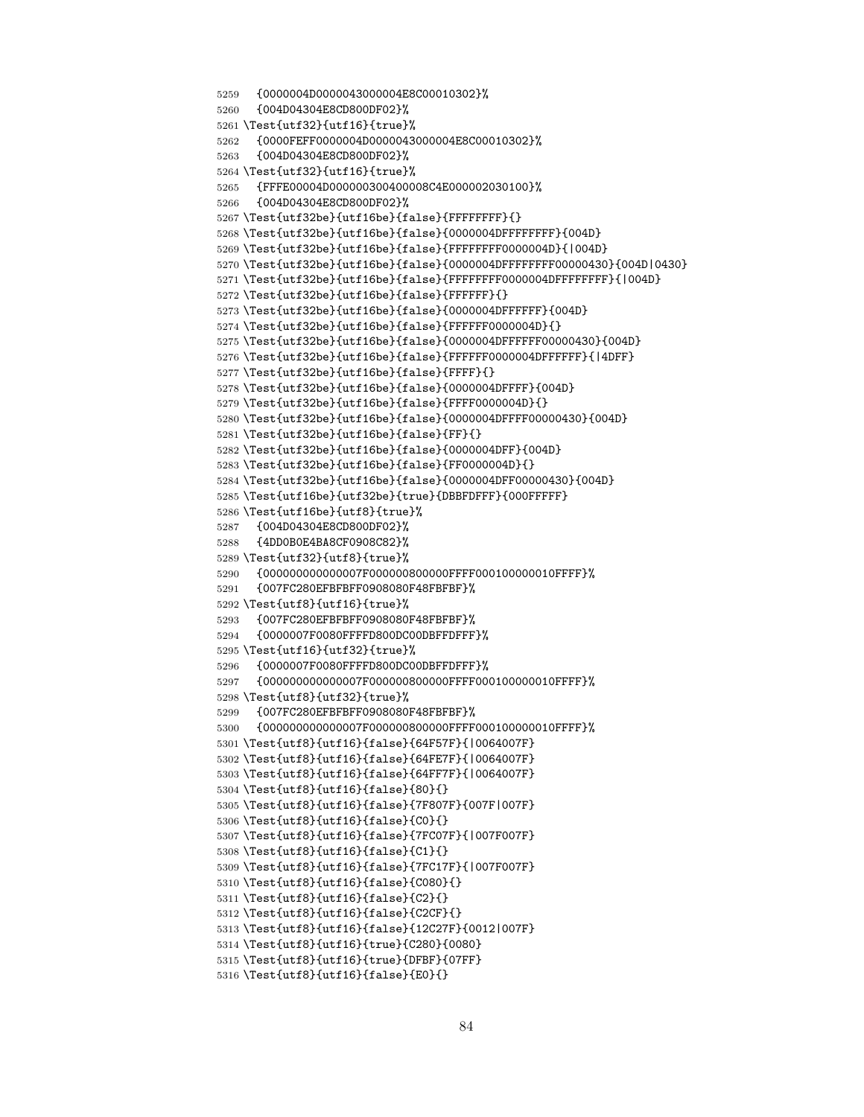```
5259 {0000004D0000043000004E8C00010302}%
5260 {004D04304E8CD800DF02}%
5261 \Test{utf32}{utf16}{true}%
5262 {0000FEFF0000004D0000043000004E8C00010302}%
5263 {004D04304E8CD800DF02}%
5264 \Test{utf32}{utf16}{true}%
5265 {FFFE00004D000000300400008C4E000002030100}%
5266 {004D04304E8CD800DF02}%
5267 \Test{utf32be}{utf16be}{false}{FFFFFFFF}{}
5268 \Test{utf32be}{utf16be}{false}{0000004DFFFFFFFF}{004D}
5269 \Test{utf32be}{utf16be}{false}{FFFFFFFF0000004D}{|004D}
5270 \Test{utf32be}{utf16be}{false}{0000004DFFFFFFFF00000430}{004D|0430}
5271 \Test{utf32be}{utf16be}{false}{FFFFFFFF0000004DFFFFFFFF}{|004D}
5272 \Test{utf32be}{utf16be}{false}{FFFFFF}{}
5273 \Test{utf32be}{utf16be}{false}{0000004DFFFFFF}{004D}
5274 \Test{utf32be}{utf16be}{false}{FFFFFF0000004D}{}
5275 \Test{utf32be}{utf16be}{false}{0000004DFFFFFF00000430}{004D}
5276 \Test{utf32be}{utf16be}{false}{FFFFFF0000004DFFFFFF}{|4DFF}
5277 \Test{utf32be}{utf16be}{false}{FFFF}{}
5278 \Test{utf32be}{utf16be}{false}{0000004DFFFF}{004D}
5279 \Test{utf32be}{utf16be}{false}{FFFF0000004D}{}
5280 \Test{utf32be}{utf16be}{false}{0000004DFFFF00000430}{004D}
5281 \Test{utf32be}{utf16be}{false}{FF}{}
5282 \Test{utf32be}{utf16be}{false}{0000004DFF}{004D}
5283 \Test{utf32be}{utf16be}{false}{FF0000004D}{}
5284 \Test{utf32be}{utf16be}{false}{0000004DFF00000430}{004D}
5285 \Test{utf16be}{utf32be}{true}{DBBFDFFF}{000FFFFF}
5286 \Test{utf16be}{utf8}{true}%
5287 {004D04304E8CD800DF02}%
5288 {4DD0B0E4BA8CF0908C82}%
5289 \Test{utf32}{utf8}{true}%
5290 {000000000000007F000000800000FFFF000100000010FFFF}%
5291 {007FC280EFBFBFF0908080F48FBFBF}%
5292 \Test{utf8}{utf16}{true}%
5293 {007FC280EFBFBFF0908080F48FBFBF}%
5294 {0000007F0080FFFFD800DC00DBFFDFFF}%
5295 \Test{utf16}{utf32}{true}%
5296 {0000007F0080FFFFD800DC00DBFFDFFF}%
5297 {000000000000007F000000800000FFFF000100000010FFFF}%
5298 \Test{utf8}{utf32}{true}%
5299 {007FC280EFBFBFF0908080F48FBFBF}%
5300 {000000000000007F000000800000FFFF000100000010FFFF}%
5301 \Test{utf8}{utf16}{false}{64F57F}{|0064007F}
5302 \Test{utf8}{utf16}{false}{64FE7F}{|0064007F}
5303 \Test{utf8}{utf16}{false}{64FF7F}{|0064007F}
5304 \Test{utf8}{utf16}{false}{80}{}
5305 \Test{utf8}{utf16}{false}{7F807F}{007F|007F}
5306 \Test{utf8}{utf16}{false}{C0}{}
5307 \Test{utf8}{utf16}{false}{7FC07F}{|007F007F}
5308 \Test{utf8}{utf16}{false}{C1}{}
5309 \Test{utf8}{utf16}{false}{7FC17F}{|007F007F}
5310 \Test{utf8}{utf16}{false}{C080}{}
5311 \Test{utf8}{utf16}{false}{C2}{}
5312 \Test{utf8}{utf16}{false}{C2CF}{}
5313 \Test{utf8}{utf16}{false}{12C27F}{0012|007F}
5314 \Test{utf8}{utf16}{true}{C280}{0080}
5315 \Test{utf8}{utf16}{true}{DFBF}{07FF}
```

```
5316 \Test{utf8}{utf16}{false}{E0}{}
```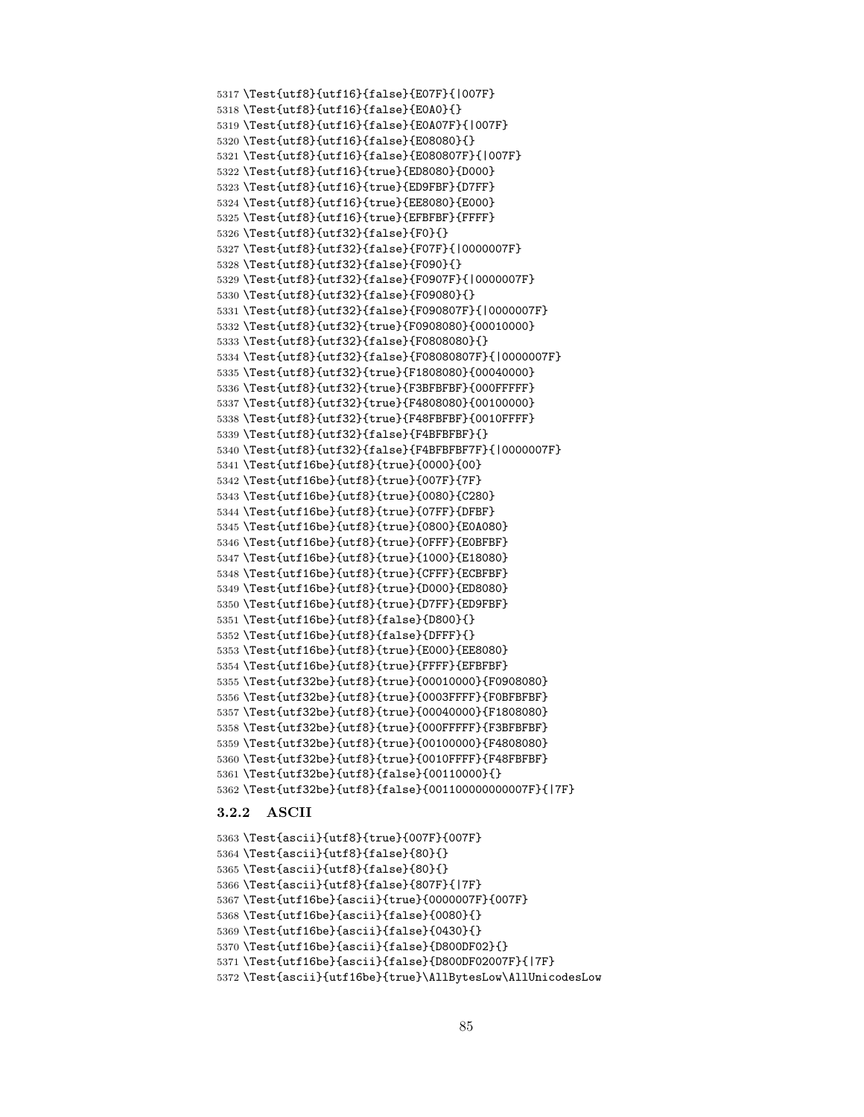```
5317 \Test{utf8}{utf16}{false}{E07F}{|007F}
5318 \Test{utf8}{utf16}{false}{E0A0}{}
5319 \Test{utf8}{utf16}{false}{E0A07F}{|007F}
5320 \Test{utf8}{utf16}{false}{E08080}{}
5321 \Test{utf8}{utf16}{false}{E080807F}{|007F}
5322 \Test{utf8}{utf16}{true}{ED8080}{D000}
5323 \Test{utf8}{utf16}{true}{ED9FBF}{D7FF}
5324 \Test{utf8}{utf16}{true}{EE8080}{E000}
5325 \Test{utf8}{utf16}{true}{EFBFBF}{FFFF}
5326 \Test{utf8}{utf32}{false}{F0}{}
5327 \Test{utf8}{utf32}{false}{F07F}{|0000007F}
5328 \Test{utf8}{utf32}{false}{F090}{}
5329 \Test{utf8}{utf32}{false}{F0907F}{|0000007F}
5330 \Test{utf8}{utf32}{false}{F09080}{}
5331 \Test{utf8}{utf32}{false}{F090807F}{|0000007F}
5332 \Test{utf8}{utf32}{true}{F0908080}{00010000}
5333 \Test{utf8}{utf32}{false}{F0808080}{}
5334 \Test{utf8}{utf32}{false}{F08080807F}{|0000007F}
5335 \Test{utf8}{utf32}{true}{F1808080}{00040000}
5336 \Test{utf8}{utf32}{true}{F3BFBFBF}{000FFFFF}
5337 \Test{utf8}{utf32}{true}{F4808080}{00100000}
5338 \Test{utf8}{utf32}{true}{F48FBFBF}{0010FFFF}
5339 \Test{utf8}{utf32}{false}{F4BFBFBF}{}
5340 \Test{utf8}{utf32}{false}{F4BFBFBF7F}{|0000007F}
5341 \Test{utf16be}{utf8}{true}{0000}{00}
5342 \Test{utf16be}{utf8}{true}{007F}{7F}
5343 \Test{utf16be}{utf8}{true}{0080}{C280}
5344 \Test{utf16be}{utf8}{true}{07FF}{DFBF}
5345 \Test{utf16be}{utf8}{true}{0800}{E0A080}
5346 \Test{utf16be}{utf8}{true}{0FFF}{E0BFBF}
5347 \Test{utf16be}{utf8}{true}{1000}{E18080}
5348 \Test{utf16be}{utf8}{true}{CFFF}{ECBFBF}
5349 \Test{utf16be}{utf8}{true}{D000}{ED8080}
5350 \Test{utf16be}{utf8}{true}{D7FF}{ED9FBF}
5351 \Test{utf16be}{utf8}{false}{D800}{}
5352 \Test{utf16be}{utf8}{false}{DFFF}{}
5353 \Test{utf16be}{utf8}{true}{E000}{EE8080}
5354 \Test{utf16be}{utf8}{true}{FFFF}{EFBFBF}
5355 \Test{utf32be}{utf8}{true}{00010000}{F0908080}
5356 \Test{utf32be}{utf8}{true}{0003FFFF}{F0BFBFBF}
5357 \Test{utf32be}{utf8}{true}{00040000}{F1808080}
5358 \Test{utf32be}{utf8}{true}{000FFFFF}{F3BFBFBF}
5359 \Test{utf32be}{utf8}{true}{00100000}{F4808080}
5360 \Test{utf32be}{utf8}{true}{0010FFFF}{F48FBFBF}
5361 \Test{utf32be}{utf8}{false}{00110000}{}
5362 \Test{utf32be}{utf8}{false}{001100000000007F}{|7F}
```
#### <span id="page-84-46"></span><span id="page-84-45"></span><span id="page-84-44"></span><span id="page-84-43"></span><span id="page-84-42"></span><span id="page-84-41"></span><span id="page-84-40"></span><span id="page-84-39"></span><span id="page-84-38"></span><span id="page-84-37"></span><span id="page-84-36"></span><span id="page-84-35"></span><span id="page-84-34"></span><span id="page-84-33"></span><span id="page-84-32"></span><span id="page-84-31"></span><span id="page-84-30"></span><span id="page-84-29"></span><span id="page-84-28"></span><span id="page-84-27"></span><span id="page-84-26"></span><span id="page-84-25"></span>3.2.2 ASCII

```
5363 \Test{ascii}{utf8}{true}{007F}{007F}
5364 \Test{ascii}{utf8}{false}{80}{}
5365 \Test{ascii}{utf8}{false}{80}{}
5366 \Test{ascii}{utf8}{false}{807F}{|7F}
5367 \Test{utf16be}{ascii}{true}{0000007F}{007F}
5368 \Test{utf16be}{ascii}{false}{0080}{}
5369 \Test{utf16be}{ascii}{false}{0430}{}
5370 \Test{utf16be}{ascii}{false}{D800DF02}{}
5371 \Test{utf16be}{ascii}{false}{D800DF02007F}{|7F}
5372 \Test{ascii}{utf16be}{true}\AllBytesLow\AllUnicodesLow
```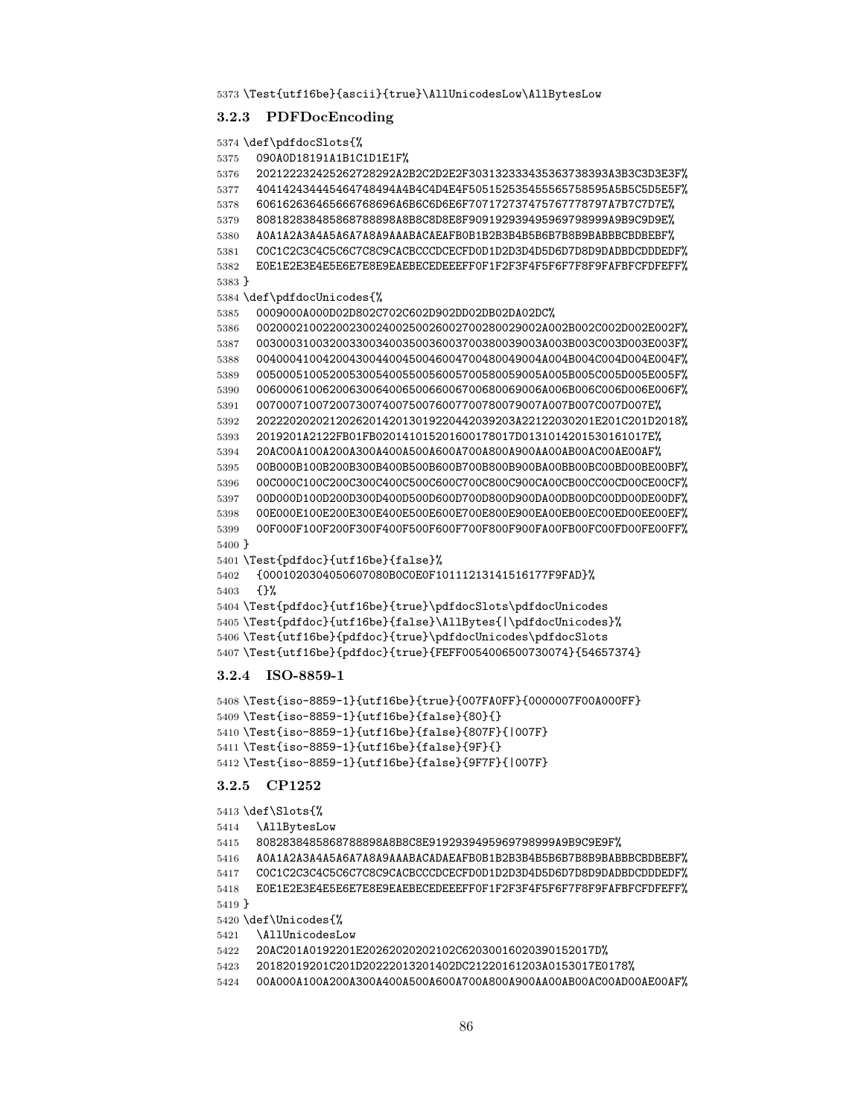<span id="page-85-1"></span>\Test{utf16be}{ascii}{true}\AllUnicodesLow\AllBytesLow

#### 3.2.3 PDFDocEncoding

```
5374 \def\pdfdocSlots{%
5375 090A0D18191A1B1C1D1E1F%
5376 202122232425262728292A2B2C2D2E2F303132333435363738393A3B3C3D3E3F%
5377 404142434445464748494A4B4C4D4E4F505152535455565758595A5B5C5D5E5F%
5378 606162636465666768696A6B6C6D6E6F707172737475767778797A7B7C7D7E%
5379 808182838485868788898A8B8C8D8E8F909192939495969798999A9B9C9D9E%
5380 A0A1A2A3A4A5A6A7A8A9AAABACAEAFB0B1B2B3B4B5B6B7B8B9BABBBCBDBEBF%
5381 C0C1C2C3C4C5C6C7C8C9CACBCCCDCECFD0D1D2D3D4D5D6D7D8D9DADBDCDDDEDF%
5382 E0E1E2E3E4E5E6E7E8E9EAEBECEDEEEFF0F1F2F3F4F5F6F7F8F9FAFBFCFDFEFF%
5383 }
5384 \def\pdfdocUnicodes{%
5385 0009000A000D02D802C702C602D902DD02DB02DA02DC%
5386 0020002100220023002400250026002700280029002A002B002C002D002E002F%
5387 0030003100320033003400350036003700380039003A003B003C003D003E003F%
5388 0040004100420043004400450046004700480049004A004B004C004D004E004F%
5389 0050005100520053005400550056005700580059005A005B005C005D005E005F%
5390 0060006100620063006400650066006700680069006A006B006C006D006E006F%
5391 0070007100720073007400750076007700780079007A007B007C007D007E%
5392 202220202021202620142013019220442039203A22122030201E201C201D2018%
5393 2019201A2122FB01FB020141015201600178017D0131014201530161017E%
5394 20AC00A100A200A300A400A500A600A700A800A900AA00AB00AC00AE00AF%
5395 00B000B100B200B300B400B500B600B700B800B900BA00BB00BC00BD00BE00BF%
5396 00C000C100C200C300C400C500C600C700C800C900CA00CB00CC00CD00CE00CF%
5397 00D000D100D200D300D400D500D600D700D800D900DA00DB00DC00DD00DE00DF%
5398 00E000E100E200E300E400E500E600E700E800E900EA00EB00EC00ED00EE00EF%
5399 00F000F100F200F300F400F500F600F700F800F900FA00FB00FC00FD00FE00FF%
5400 }
5401 \Test{pdfdoc}{utf16be}{false}%
5402 {0001020304050607080B0C0E0F10111213141516177F9FAD}%
5403 {}%
5404 \Test{pdfdoc}{utf16be}{true}\pdfdocSlots\pdfdocUnicodes
5405 \Test{pdfdoc}{utf16be}{false}\AllBytes{|\pdfdocUnicodes}%
5406 \Test{utf16be}{pdfdoc}{true}\pdfdocUnicodes\pdfdocSlots
```

```
5407 \Test{utf16be}{pdfdoc}{true}{FEFF0054006500730074}{54657374}
```
#### 3.2.4 ISO-8859-1

```
5408 \Test{iso-8859-1}{utf16be}{true}{007FA0FF}{0000007F00A000FF}
5409 \Test{iso-8859-1}{utf16be}{false}{80}{}
5410 \Test{iso-8859-1}{utf16be}{false}{807F}{|007F}
5411 \Test{iso-8859-1}{utf16be}{false}{9F}{}
5412 \Test{iso-8859-1}{utf16be}{false}{9F7F}{|007F}
```
#### <span id="page-85-15"></span><span id="page-85-14"></span>3.2.5 CP1252

```
5413 \def\Slots{%
5414 \AllBytesLow
5415 8082838485868788898A8B8C8E9192939495969798999A9B9C9E9F%
5416 A0A1A2A3A4A5A6A7A8A9AAABACADAEAFB0B1B2B3B4B5B6B7B8B9BABBBCBDBEBF%
5417 C0C1C2C3C4C5C6C7C8C9CACBCCCDCECFD0D1D2D3D4D5D6D7D8D9DADBDCDDDEDF%
5418 E0E1E2E3E4E5E6E7E8E9EAEBECEDEEEFF0F1F2F3F4F5F6F7F8F9FAFBFCFDFEFF%
5419 }
5420 \def\Unicodes{%
5421 \AllUnicodesLow
5422 20AC201A0192201E20262020202102C62030016020390152017D%
5423 20182019201C201D20222013201402DC21220161203A0153017E0178%
```

```
5424 00A000A100A200A300A400A500A600A700A800A900AA00AB00AC00AD00AE00AF%
```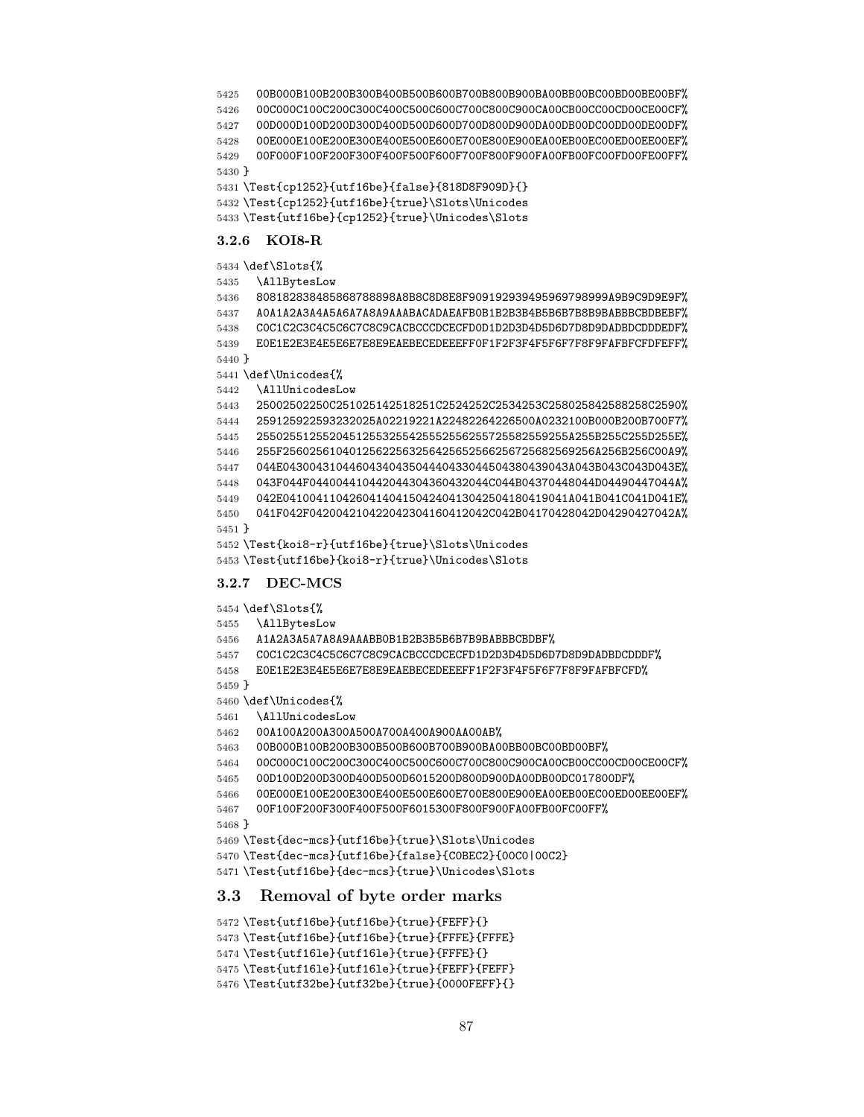```
5435 \AllBytesLow
5436 808182838485868788898A8B8C8D8E8F909192939495969798999A9B9C9D9E9F%
5437 A0A1A2A3A4A5A6A7A8A9AAABACADAEAFB0B1B2B3B4B5B6B7B8B9BABBBCBDBEBF%
5438 C0C1C2C3C4C5C6C7C8C9CACBCCCDCECFD0D1D2D3D4D5D6D7D8D9DADBDCDDDEDF%
5439 E0E1E2E3E4E5E6E7E8E9EAEBECEDEEEFF0F1F2F3F4F5F6F7F8F9FAFBFCFDFEFF%
5440 }
5441 \def\Unicodes{%
5442 \AllUnicodesLow
5443 25002502250C251025142518251C2524252C2534253C258025842588258C2590%
5444 259125922593232025A02219221A22482264226500A0232100B000B200B700F7%
5445 25502551255204512553255425552556255725582559255A255B255C255D255E%
5446 255F25602561040125622563256425652566256725682569256A256B256C00A9%
5447 044E0430043104460434043504440433044504380439043A043B043C043D043E%
5448 043F044F044004410442044304360432044C044B04370448044D04490447044A%
5449 042E0410041104260414041504240413042504180419041A041B041C041D041E%
5450 041F042F042004210422042304160412042C042B04170428042D04290427042A%
5451 }
5452 \Test{koi8-r}{utf16be}{true}\Slots\Unicodes
```
 00B000B100B200B300B400B500B600B700B800B900BA00BB00BC00BD00BE00BF% 00C000C100C200C300C400C500C600C700C800C900CA00CB00CC00CD00CE00CF% 00D000D100D200D300D400D500D600D700D800D900DA00DB00DC00DD00DE00DF% 00E000E100E200E300E400E500E600E700E800E900EA00EB00EC00ED00EE00EF% 00F000F100F200F300F400F500F600F700F800F900FA00FB00FC00FD00FE00FF%

<span id="page-86-12"></span><span id="page-86-4"></span> \Test{cp1252}{utf16be}{false}{818D8F909D}{} \Test{cp1252}{utf16be}{true}\Slots\Unicodes \Test{utf16be}{cp1252}{true}\Unicodes\Slots

<span id="page-86-8"></span><span id="page-86-7"></span>\Test{utf16be}{koi8-r}{true}\Unicodes\Slots

#### 3.2.7 DEC-MCS

}

<span id="page-86-5"></span>3.2.6 KOI8-R \def\Slots{%

```
5454 \def\Slots{%
5455 \AllBytesLow
5456 A1A2A3A5A7A8A9AAABB0B1B2B3B5B6B7B9BABBBCBDBF%
5457 C0C1C2C3C4C5C6C7C8C9CACBCCCDCECFD1D2D3D4D5D6D7D8D9DADBDCDDDF%
5458 E0E1E2E3E4E5E6E7E8E9EAEBECEDEEEFF1F2F3F4F5F6F7F8F9FAFBFCFD%
5459 }
5460 \def\Unicodes{%
5461 \AllUnicodesLow
5462 00A100A200A300A500A700A400A900AA00AB%
5463 00B000B100B200B300B500B600B700B900BA00BB00BC00BD00BF%
5464 00C000C100C200C300C400C500C600C700C800C900CA00CB00CC00CD00CE00CF%
5465 00D100D200D300D400D500D6015200D800D900DA00DB00DC017800DF%
5466 00E000E100E200E300E400E500E600E700E800E900EA00EB00EC00ED00EE00EF%
5467 00F100F200F300F400F500F6015300F800F900FA00FB00FC00FF%
5468 }
5469 \Test{dec-mcs}{utf16be}{true}\Slots\Unicodes
5470 \Test{dec-mcs}{utf16be}{false}{C0BEC2}{00C0|00C2}
5471 \Test{utf16be}{dec-mcs}{true}\Unicodes\Slots
```
## <span id="page-86-13"></span><span id="page-86-11"></span><span id="page-86-10"></span>3.3 Removal of byte order marks

```
5472 \Test{utf16be}{utf16be}{true}{FEFF}{}
5473 \Test{utf16be}{utf16be}{true}{FFFE}{FFFE}
5474 \Test{utf16le}{utf16le}{true}{FFFE}{}
5475 \Test{utf16le}{utf16le}{true}{FEFF}{FEFF}
5476 \Test{utf32be}{utf32be}{true}{0000FEFF}{}
```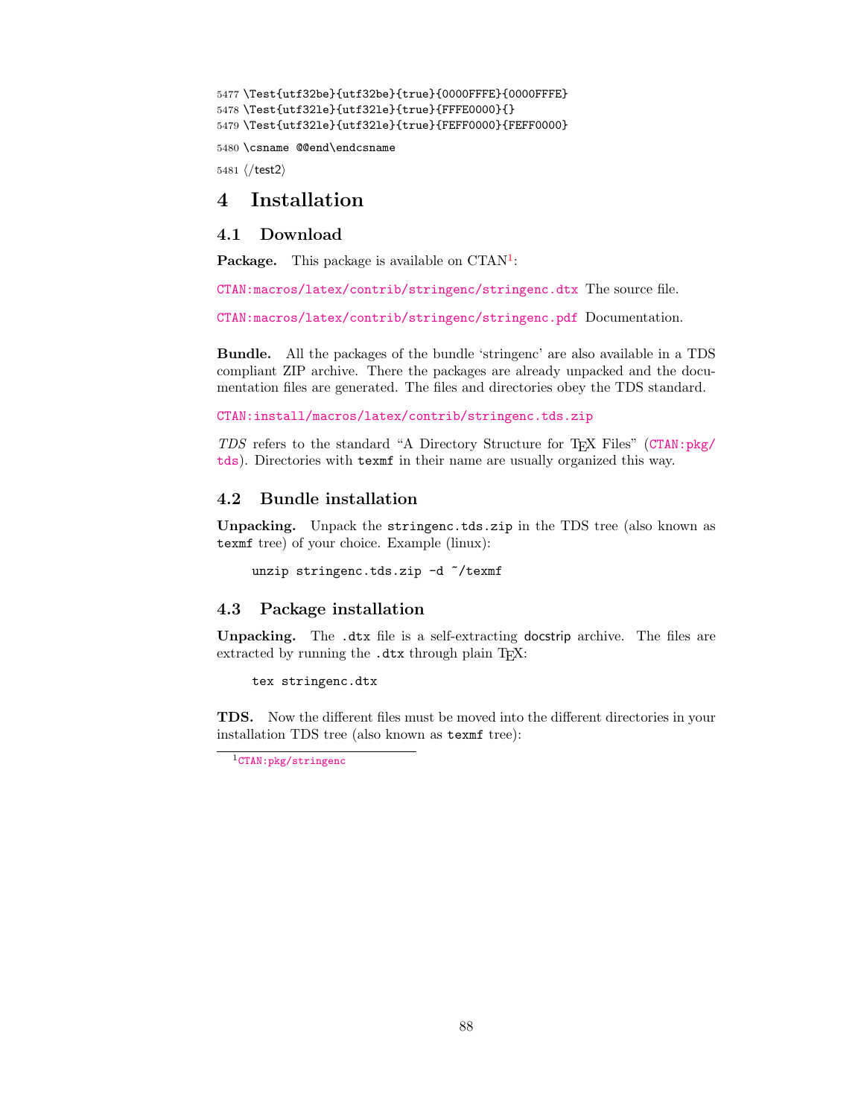```
5477 \Test{utf32be}{utf32be}{true}{0000FFFE}{0000FFFE}
5478 \Test{utf32le}{utf32le}{true}{FFFE0000}{}
5479 \Test{utf32le}{utf32le}{true}{FEFF0000}{FEFF0000}
5480 \csname @@end\endcsname
```
<span id="page-87-1"></span>5481  $\langle /test2 \rangle$ 

# 4 Installation

#### 4.1 Download

**Package.** This package is available on  $CTAN^1$  $CTAN^1$ :

[CTAN:macros/latex/contrib/stringenc/stringenc.dtx](https://ctan.org/tex-archive/macros/latex/contrib/stringenc/stringenc.dtx) The source file.

[CTAN:macros/latex/contrib/stringenc/stringenc.pdf](https://ctan.org/tex-archive/macros/latex/contrib/stringenc/stringenc.pdf) Documentation.

Bundle. All the packages of the bundle 'stringenc' are also available in a TDS compliant ZIP archive. There the packages are already unpacked and the documentation files are generated. The files and directories obey the TDS standard.

[CTAN:install/macros/latex/contrib/stringenc.tds.zip](http://mirrors.ctan.org/install/macros/latex/contrib/stringenc.tds.zip)

TDS refers to the standard "A Directory Structure for T<sub>E</sub>X Files" ([CTAN:pkg/](http://ctan.org/pkg/tds) [tds](http://ctan.org/pkg/tds)). Directories with texmf in their name are usually organized this way.

#### 4.2 Bundle installation

Unpacking. Unpack the stringenc.tds.zip in the TDS tree (also known as texmf tree) of your choice. Example (linux):

```
unzip stringenc.tds.zip -d ~/texmf
```
#### 4.3 Package installation

Unpacking. The .dtx file is a self-extracting docstrip archive. The files are extracted by running the .dtx through plain T<sub>E</sub>X:

tex stringenc.dtx

TDS. Now the different files must be moved into the different directories in your installation TDS tree (also known as texmf tree):

<span id="page-87-0"></span><sup>1</sup>[CTAN:pkg/stringenc](http://ctan.org/pkg/stringenc)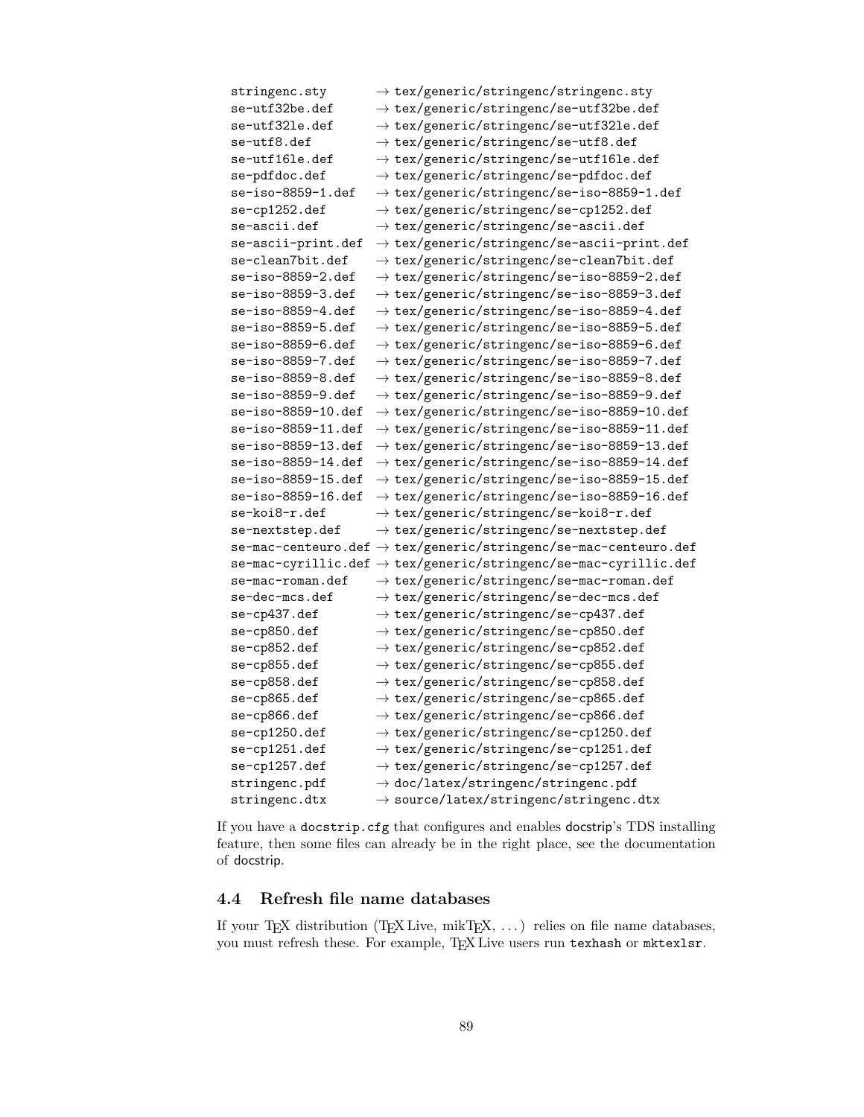| stringenc.sty      | $\rightarrow$ tex/generic/stringenc/stringenc.sty                                      |
|--------------------|----------------------------------------------------------------------------------------|
| se-utf32be.def     | $\rightarrow$ tex/generic/stringenc/se-utf32be.def                                     |
| se-utf32le.def     | $\rightarrow$ tex/generic/stringenc/se-utf32le.def                                     |
| se-utf8.def        | $\rightarrow$ tex/generic/stringenc/se-utf8.def                                        |
| se-utf16le.def     | $\rightarrow$ tex/generic/stringenc/se-utf16le.def                                     |
| se-pdfdoc.def      | $\rightarrow$ tex/generic/stringenc/se-pdfdoc.def                                      |
| se-iso-8859-1.def  | $\rightarrow$ tex/generic/stringenc/se-iso-8859-1.def                                  |
| se-cp1252.def      | $\rightarrow$ tex/generic/stringenc/se-cp1252.def                                      |
| se-ascii.def       | $\rightarrow$ tex/generic/stringenc/se-ascii.def                                       |
| se-ascii-print.def | $\rightarrow$ tex/generic/stringenc/se-ascii-print.def                                 |
| se-clean7bit.def   | $\rightarrow$ tex/generic/stringenc/se-clean7bit.def                                   |
| se-iso-8859-2.def  | $\rightarrow$ tex/generic/stringenc/se-iso-8859-2.def                                  |
| se-iso-8859-3.def  | $\rightarrow$ tex/generic/stringenc/se-iso-8859-3.def                                  |
| se-iso-8859-4.def  | $\rightarrow$ tex/generic/stringenc/se-iso-8859-4.def                                  |
| se-iso-8859-5.def  | $\rightarrow$ tex/generic/stringenc/se-iso-8859-5.def                                  |
| se-iso-8859-6.def  | $\rightarrow$ tex/generic/stringenc/se-iso-8859-6.def                                  |
| se-iso-8859-7.def  | $\rightarrow$ tex/generic/stringenc/se-iso-8859-7.def                                  |
| se-iso-8859-8.def  | $\rightarrow$ tex/generic/stringenc/se-iso-8859-8.def                                  |
| se-iso-8859-9.def  | $\rightarrow$ tex/generic/stringenc/se-iso-8859-9.def                                  |
| se-iso-8859-10.def | $\rightarrow$ tex/generic/stringenc/se-iso-8859-10.def                                 |
| se-iso-8859-11.def | $\rightarrow$ tex/generic/stringenc/se-iso-8859-11.def                                 |
| se-iso-8859-13.def | $\rightarrow$ tex/generic/stringenc/se-iso-8859-13.def                                 |
| se-iso-8859-14.def | $\rightarrow$ tex/generic/stringenc/se-iso-8859-14.def                                 |
| se-iso-8859-15.def | $\rightarrow$ tex/generic/stringenc/se-iso-8859-15.def                                 |
| se-iso-8859-16.def | $\rightarrow$ tex/generic/stringenc/se-iso-8859-16.def                                 |
| se-koi8-r.def      | $\rightarrow$ tex/generic/stringenc/se-koi8-r.def                                      |
| se-nextstep.def    | $\rightarrow$ tex/generic/stringenc/se-nextstep.def                                    |
|                    | $\texttt{se-mac-centeuro.def} \rightarrow \texttt{tex/stringenc/sec-mac-centeuro.def}$ |
|                    | $\texttt{se-mac-cyrillic.def} \rightarrow \texttt{tex/stringenc/sec-mac-cyrillic.def}$ |
| se-mac-roman.def   | $\rightarrow$ tex/generic/stringenc/se-mac-roman.def                                   |
| se-dec-mcs.def     | $\rightarrow$ tex/generic/stringenc/se-dec-mcs.def                                     |
| se-cp437.def       | $\rightarrow$ tex/generic/stringenc/se-cp437.def                                       |
| se-cp850.def       | $\rightarrow$ tex/generic/stringenc/se-cp850.def                                       |
| se-cp852.def       | $\rightarrow$ tex/generic/stringenc/se-cp852.def                                       |
| se-cp855.def       | $\rightarrow$ tex/generic/stringenc/se-cp855.def                                       |
| se-cp858.def       | $\rightarrow$ tex/generic/stringenc/se-cp858.def                                       |
| se-cp865.def       | $\rightarrow$ tex/generic/stringenc/se-cp865.def                                       |
| se-cp866.def       | $\rightarrow$ tex/generic/stringenc/se-cp866.def                                       |
| se-cp1250.def      | $\rightarrow$ tex/generic/stringenc/se-cp1250.def                                      |
| se-cp1251.def      | $\rightarrow$ tex/generic/stringenc/se-cp1251.def                                      |
| se-cp1257.def      | $\rightarrow$ tex/generic/stringenc/se-cp1257.def                                      |
| stringenc.pdf      | $\rightarrow$ doc/latex/stringenc/stringenc.pdf                                        |
| stringenc.dtx      | $\rightarrow$ source/latex/stringenc/stringenc.dtx                                     |

If you have a docstrip.cfg that configures and enables docstrip's TDS installing feature, then some files can already be in the right place, see the documentation of docstrip.

## 4.4 Refresh file name databases

If your TEX distribution (TEX Live, mikTEX,  $\ldots$  ) relies on file name databases, you must refresh these. For example, TEX Live users run texhash or mktexlsr.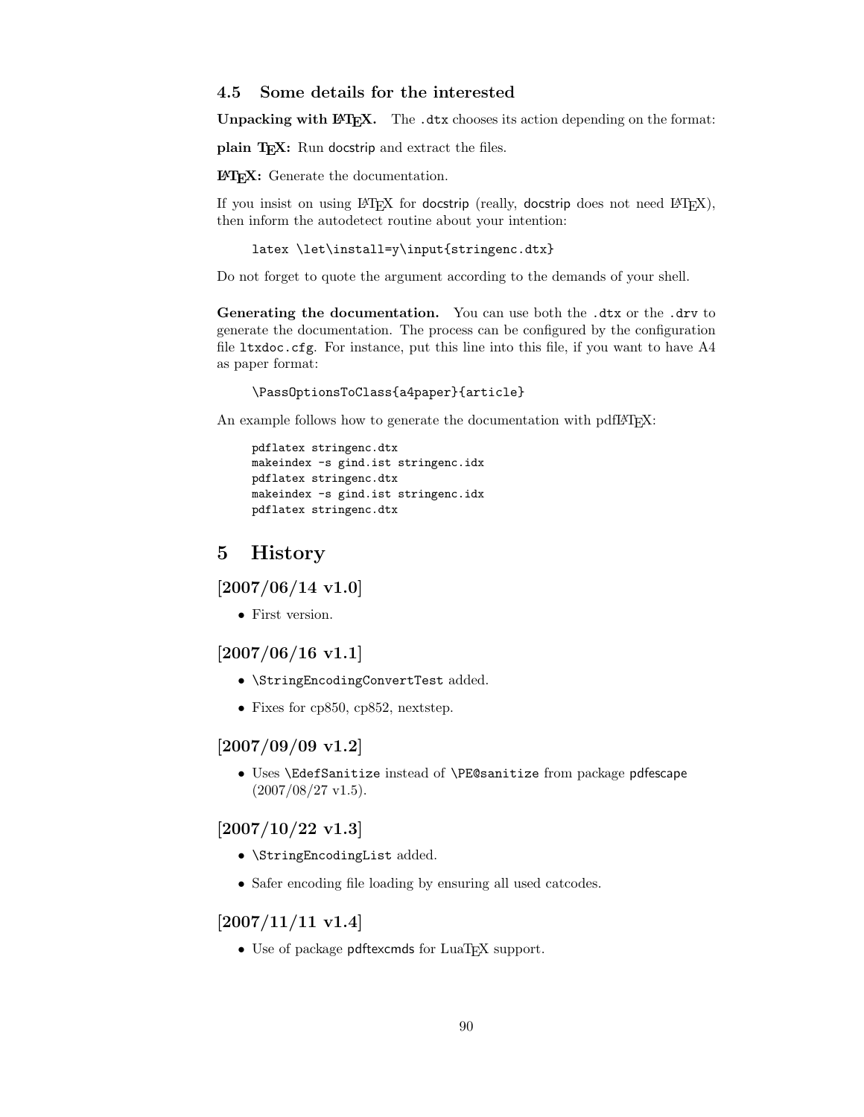#### 4.5 Some details for the interested

**Unpacking with LATEX.** The  $\cdot$  dtx chooses its action depending on the format:

plain T<sub>E</sub>X: Run docstrip and extract the files.

LATEX: Generate the documentation.

If you insist on using  $L^2T_FX$  for docstrip (really, docstrip does not need  $L^2T_FX$ ), then inform the autodetect routine about your intention:

```
latex \let\install=y\input{stringenc.dtx}
```
Do not forget to quote the argument according to the demands of your shell.

Generating the documentation. You can use both the .dtx or the .drv to generate the documentation. The process can be configured by the configuration file ltxdoc.cfg. For instance, put this line into this file, if you want to have A4 as paper format:

\PassOptionsToClass{a4paper}{article}

An example follows how to generate the documentation with pdfI $\Delta T$ <sub>F</sub>X:

```
pdflatex stringenc.dtx
makeindex -s gind.ist stringenc.idx
pdflatex stringenc.dtx
makeindex -s gind.ist stringenc.idx
pdflatex stringenc.dtx
```
# 5 History

 $[2007/06/14 \text{ v}1.0]$ 

• First version.

# $[2007/06/16 \text{ v}1.1]$

- \StringEncodingConvertTest added.
- Fixes for cp850, cp852, nextstep.

## [2007/09/09 v1.2]

• Uses \EdefSanitize instead of \PE@sanitize from package pdfescape  $(2007/08/27 \text{ v}1.5).$ 

# $[2007/10/22 \text{ v}1.3]$

- \StringEncodingList added.
- Safer encoding file loading by ensuring all used catcodes.

# $[2007/11/11 \text{ v}1.4]$

• Use of package pdftexcmds for LuaT<sub>F</sub>X support.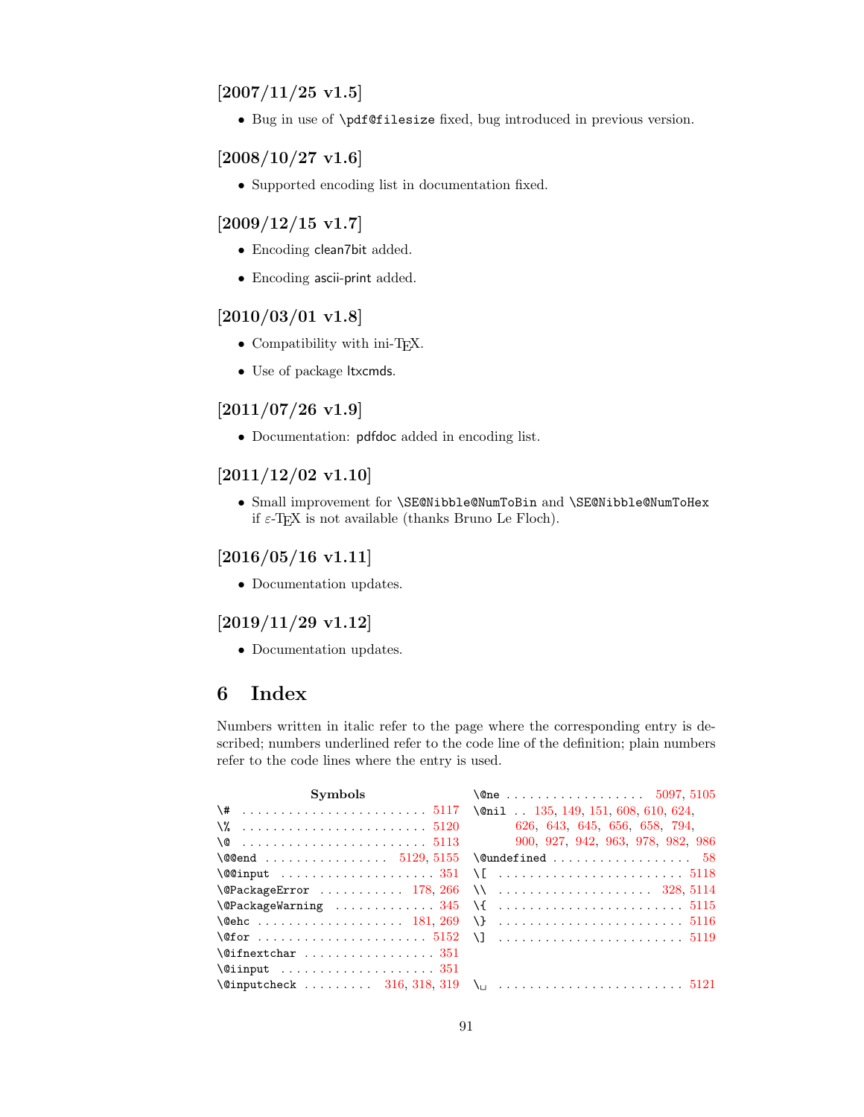# $[2007/11/25 \text{ v}1.5]$

• Bug in use of \pdf@filesize fixed, bug introduced in previous version.

# $[2008/10/27 \text{ v}1.6]$

• Supported encoding list in documentation fixed.

# $[2009/12/15 \text{ v}1.7]$

- Encoding clean7bit added.
- Encoding ascii-print added.

## $[2010/03/01 \text{ v}1.8]$

- Compatibility with ini-T<sub>E</sub>X.
- Use of package ltxcmds.

# $[2011/07/26 \text{ v}1.9]$

• Documentation: pdfdoc added in encoding list.

# $[2011/12/02 \text{ v}1.10]$

• Small improvement for \SE@Nibble@NumToBin and \SE@Nibble@NumToHex if  $\varepsilon$ -T<sub>E</sub>X is not available (thanks Bruno Le Floch).

# [2016/05/16 v1.11]

• Documentation updates.

# $[2019/11/29 \text{ v}1.12]$

• Documentation updates.

# 6 Index

Numbers written in italic refer to the page where the corresponding entry is described; numbers underlined refer to the code line of the definition; plain numbers refer to the code lines where the entry is used.

| <b>Symbols</b>                         | $\{\text{One } \dots \dots \dots \dots \dots \dots \quad 5097, 5105\}$ |  |  |  |  |
|----------------------------------------|------------------------------------------------------------------------|--|--|--|--|
|                                        |                                                                        |  |  |  |  |
|                                        | 626, 643, 645, 656, 658, 794,                                          |  |  |  |  |
|                                        |                                                                        |  |  |  |  |
| \@@end  5129,5155 \@undefined  58      |                                                                        |  |  |  |  |
|                                        |                                                                        |  |  |  |  |
| \@PackageError  178, 266 \\  328, 5114 |                                                                        |  |  |  |  |
|                                        |                                                                        |  |  |  |  |
|                                        |                                                                        |  |  |  |  |
|                                        |                                                                        |  |  |  |  |
| $\setminus$ @ifnextchar  351           |                                                                        |  |  |  |  |
|                                        |                                                                        |  |  |  |  |
|                                        |                                                                        |  |  |  |  |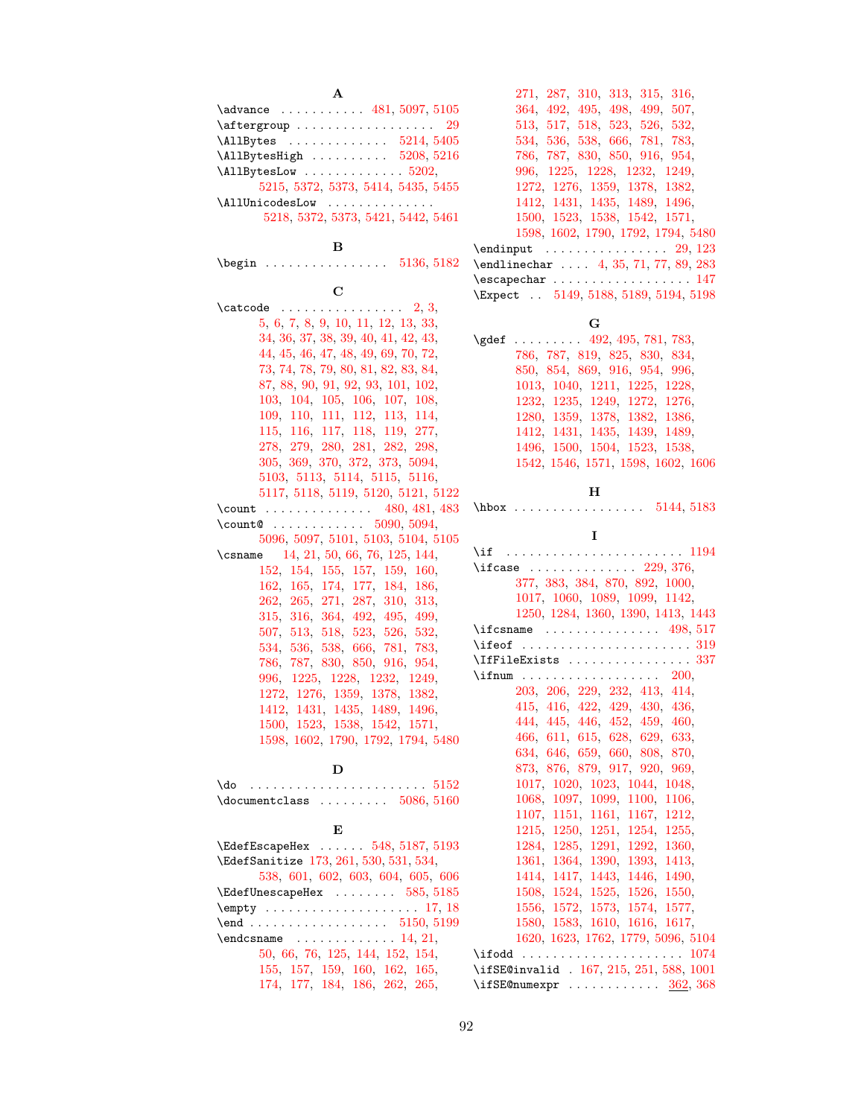| A                                                                                                                  |            |
|--------------------------------------------------------------------------------------------------------------------|------------|
| $\{\text{advance } \dots \dots \dots \ 481, 5097, 5105\}$                                                          |            |
| \aftergroup<br>29                                                                                                  |            |
| \AllBytes $\ldots \ldots \ldots \ldots 5214, 5405$                                                                 |            |
| $\lambda$ AllBytesHigh  5208, 5216                                                                                 |            |
| $\Lambda$ llBytesLow 5202,                                                                                         |            |
| 5215, 5372, 5373, 5414, 5435, 5455                                                                                 |            |
| \AllUnicodesLow                                                                                                    |            |
| 5218, 5372, 5373, 5421, 5442, 5461                                                                                 |            |
|                                                                                                                    |            |
| в                                                                                                                  | \end       |
| $\begin{array}{ccccccccc}\n\text{begin} 136,5182\n\end{array}$                                                     | \end       |
|                                                                                                                    | \esc       |
| $\mathbf C$                                                                                                        | \Exp       |
| $\text{2, 3,}$                                                                                                     |            |
| 5, 6, 7, 8, 9, 10, 11, 12, 13, 33,                                                                                 |            |
| 34, 36, 37, 38, 39, 40, 41, 42, 43,                                                                                | \gde       |
| 44, 45, 46, 47, 48, 49, 69, 70, 72,                                                                                |            |
| 73, 74, 78, 79, 80, 81, 82, 83, 84,                                                                                |            |
| 87, 88, 90, 91, 92, 93, 101, 102,                                                                                  |            |
| 103, 104, 105, 106, 107, 108,                                                                                      |            |
| 109, 110, 111, 112, 113, 114,                                                                                      |            |
| 115, 116, 117, 118, 119, 277,                                                                                      |            |
| $\begin{array}{c} 278, \ 279, \ 280, \ 281, \ 282, \ 298, \\ 305, \ 369, \ 370, \ 372, \ 373, \ 5094, \end{array}$ |            |
| 5103, 5113, 5114, 5115, 5116,                                                                                      |            |
| 5117, 5118, 5119, 5120, 5121, 5122                                                                                 |            |
| \count  480, 481, 483                                                                                              | \hbc       |
| \count@ $5090, 5094,$                                                                                              |            |
| 5096, 5097, 5101, 5103, 5104, 5105                                                                                 |            |
| \csname $14, 21, 50, 66, 76, 125, 144,$                                                                            | \if        |
| 152, 154, 155, 157, 159, 160,                                                                                      | \ifc       |
| 162, 165, 174, 177, 184, 186,                                                                                      |            |
| $262,\ 265,\ 271,\ 287,\ 310,\ 313,$                                                                               |            |
|                                                                                                                    |            |
| $315, 316, 364, 492, 495, 499, 507, 513, 518, 523, 526, 532,$                                                      | \ifc       |
| 534, 536, 538, 666, 781, 783,                                                                                      | \ife       |
| 786, 787, 830, 850, 916, 954,                                                                                      | \IfF       |
| 996, 1225, 1228, 1232, 1249,                                                                                       | \ifn       |
| $1272, \ 1276, \ 1359, \ 1378, \ 1382,$                                                                            |            |
| 1412, 1431, 1435, 1489, 1496,                                                                                      |            |
| 1500, 1523, 1538, 1542, 1571,                                                                                      |            |
| 1598, 1602, 1790, 1792, 1794, 5480                                                                                 |            |
|                                                                                                                    |            |
| D                                                                                                                  |            |
|                                                                                                                    |            |
| $\lambda$ documentclass $5086, 5160$                                                                               |            |
| E                                                                                                                  |            |
| $\text{XEdefEscapeHex } \ldots \ldots 548, 5187, 5193$                                                             |            |
| \EdefSanitize 173, 261, 530, 531, 534,                                                                             |            |
| 538, 601, 602, 603, 604, 605, 606                                                                                  |            |
| $\text{XEdefUnescapeHex } \ldots \ldots \quad 585, 5185$                                                           |            |
|                                                                                                                    |            |
| $\text{end}$ 5150, 5199                                                                                            |            |
|                                                                                                                    |            |
| 50, 66, 76, 125, 144, 152, 154,                                                                                    | $\int$ ifc |
| 155, 157, 159, 160, 162, 165,                                                                                      | \ifS       |
| 174, 177, 184, 186, 262, 265,                                                                                      | \ifS       |

[271,](#page-8-4) [287,](#page-9-12) [310,](#page-9-13) [313,](#page-9-14) [315,](#page-9-15) [316,](#page-9-0) [364,](#page-10-6) [492,](#page-13-0) [495,](#page-13-1) [498,](#page-13-11) [499,](#page-13-2) [507,](#page-13-3) [513,](#page-13-4) [517,](#page-13-12) [518,](#page-13-5) [523,](#page-13-6) [526,](#page-13-7) [532,](#page-13-8) [534,](#page-14-0) [536,](#page-14-1) [538,](#page-14-2) [666,](#page-16-6) [781,](#page-19-1) [783,](#page-19-2) [786,](#page-19-3) [787,](#page-19-4) [830,](#page-20-0) [850,](#page-20-1) [916,](#page-21-2) [954,](#page-22-5) [996,](#page-23-0) [1225,](#page-27-0) [1228,](#page-27-1) [1232,](#page-27-2) [1249,](#page-27-3) [1272,](#page-27-4) [1276,](#page-28-0) [1359,](#page-29-0) [1378,](#page-29-1) [1382,](#page-29-2) [1412,](#page-30-0) [1431,](#page-30-1) [1435,](#page-30-2) [1489,](#page-31-0) [1496,](#page-31-1) [1500,](#page-31-2) [1523,](#page-32-0) [1538,](#page-32-1) [1542,](#page-32-2) [1571,](#page-33-0) [1598,](#page-33-1) [1602,](#page-33-2) [1790,](#page-37-0) [1792,](#page-37-1) [1794,](#page-37-2) [5480](#page-87-1)  $\text{dinput}$  . . . . . . . . . . . . . . . . [29,](#page-3-0) [123](#page-5-27) ilinechar  $\ldots$  [4,](#page-3-16) [35,](#page-4-32) [71,](#page-4-33) [77,](#page-4-34) [89,](#page-5-28) [283](#page-9-16)  $\verb|capechar |\dots |\dots |\dots |\dots |\dots | 147$  $\verb|capechar |\dots |\dots |\dots |\dots |\dots | 147$  $\texttt{pect}$  . . [5149,](#page-81-10) [5188,](#page-81-11) [5189,](#page-81-12) [5194,](#page-81-13) [5198](#page-81-14)

#### G

 $\alpha$ f . . . . . . . . . [492,](#page-13-0) [495,](#page-13-1) [781,](#page-19-1) [783,](#page-19-2) [786,](#page-19-3) [787,](#page-19-4) [819,](#page-19-5) [825,](#page-19-6) [830,](#page-20-0) [834,](#page-20-2) [850,](#page-20-1) [854,](#page-20-3) [869,](#page-20-4) [916,](#page-21-2) [954,](#page-22-5) [996,](#page-23-0) [1013,](#page-23-1) [1040,](#page-23-2) [1211,](#page-26-0) [1225,](#page-27-0) [1228,](#page-27-1) [1232,](#page-27-2) [1235,](#page-27-5) [1249,](#page-27-3) [1272,](#page-27-4) [1276,](#page-28-0) [1280,](#page-28-1) [1359,](#page-29-0) [1378,](#page-29-1) [1382,](#page-29-2) [1386,](#page-29-3) [1412,](#page-30-0) [1431,](#page-30-1) [1435,](#page-30-2) [1439,](#page-30-3) [1489,](#page-31-0) [1496,](#page-31-1) [1500,](#page-31-2) [1504,](#page-32-3) [1523,](#page-32-0) [1538,](#page-32-1) [1542,](#page-32-2) [1546,](#page-32-4) [1571,](#page-33-0) [1598,](#page-33-1) [1602,](#page-33-2) [1606](#page-33-3)

#### H

 $\hbox{ex}$  . . . . . . . . . . . . . . . . . . [5144,](#page-80-20) [5183](#page-81-15)

| I                                                                                                                                                                                                                                                                                                                                     |  |  |  |  |  |  |  |
|---------------------------------------------------------------------------------------------------------------------------------------------------------------------------------------------------------------------------------------------------------------------------------------------------------------------------------------|--|--|--|--|--|--|--|
| . 1194<br>\if                                                                                                                                                                                                                                                                                                                         |  |  |  |  |  |  |  |
| \ifcase $229, 376,$                                                                                                                                                                                                                                                                                                                   |  |  |  |  |  |  |  |
| 377, 383, 384, 870, 892, 1000,                                                                                                                                                                                                                                                                                                        |  |  |  |  |  |  |  |
| 1017, 1060, 1089, 1099, 1142,                                                                                                                                                                                                                                                                                                         |  |  |  |  |  |  |  |
| 1250, 1284, 1360, 1390, 1413, 1443                                                                                                                                                                                                                                                                                                    |  |  |  |  |  |  |  |
| $\frac{498,517}{ }$                                                                                                                                                                                                                                                                                                                   |  |  |  |  |  |  |  |
|                                                                                                                                                                                                                                                                                                                                       |  |  |  |  |  |  |  |
| $\left\{\text{IfFileExists } \dots \dots \dots \dots \quad 337\right\}$                                                                                                                                                                                                                                                               |  |  |  |  |  |  |  |
| $\sim 200$ .                                                                                                                                                                                                                                                                                                                          |  |  |  |  |  |  |  |
| 203, 206, 229, 232, 413, 414,                                                                                                                                                                                                                                                                                                         |  |  |  |  |  |  |  |
| 415, 416, 422, 429, 430, 436,                                                                                                                                                                                                                                                                                                         |  |  |  |  |  |  |  |
| 444, 445, 446, 452, 459, 460,                                                                                                                                                                                                                                                                                                         |  |  |  |  |  |  |  |
| 466, 611, 615, 628, 629, 633,                                                                                                                                                                                                                                                                                                         |  |  |  |  |  |  |  |
| 634, 646, 659, 660, 808, 870,                                                                                                                                                                                                                                                                                                         |  |  |  |  |  |  |  |
| 873, 876, 879, 917, 920, 969,                                                                                                                                                                                                                                                                                                         |  |  |  |  |  |  |  |
| 1017, 1020, 1023, 1044, 1048,                                                                                                                                                                                                                                                                                                         |  |  |  |  |  |  |  |
| 1068, 1097, 1099, 1100, 1106,                                                                                                                                                                                                                                                                                                         |  |  |  |  |  |  |  |
| 1107, 1151, 1161, 1167, 1212,                                                                                                                                                                                                                                                                                                         |  |  |  |  |  |  |  |
| 1215, 1250, 1251, 1254, 1255,                                                                                                                                                                                                                                                                                                         |  |  |  |  |  |  |  |
| 1284, 1285, 1291, 1292, 1360,                                                                                                                                                                                                                                                                                                         |  |  |  |  |  |  |  |
| 1361, 1364, 1390, 1393, 1413,                                                                                                                                                                                                                                                                                                         |  |  |  |  |  |  |  |
| 1414, 1417, 1443, 1446, 1490,                                                                                                                                                                                                                                                                                                         |  |  |  |  |  |  |  |
| 1508, 1524, 1525, 1526, 1550,                                                                                                                                                                                                                                                                                                         |  |  |  |  |  |  |  |
| 1556, 1572, 1573, 1574, 1577,                                                                                                                                                                                                                                                                                                         |  |  |  |  |  |  |  |
| 1580, 1583, 1610, 1616, 1617,                                                                                                                                                                                                                                                                                                         |  |  |  |  |  |  |  |
| 1620, 1623, 1762, 1779, 5096, 5104                                                                                                                                                                                                                                                                                                    |  |  |  |  |  |  |  |
| $\iota$ : $\iota$ : $\iota$ : $\iota$ : $\iota$ : $\iota$ : $\iota$ : $\iota$ : $\iota$ : $\iota$ : $\iota$ : $\iota$ : $\iota$ : $\iota$ : $\iota$ : $\iota$ : $\iota$ : $\iota$ : $\iota$ : $\iota$ : $\iota$ : $\iota$ : $\iota$ : $\iota$ : $\iota$ : $\iota$ : $\iota$ : $\iota$ : $\iota$ : $\iota$ : $\iota$ : $\iota$<br>1074 |  |  |  |  |  |  |  |
| \ifSE@invalid . 167, 215, 251, 588, 1001                                                                                                                                                                                                                                                                                              |  |  |  |  |  |  |  |
| $\ifS \texttt{E@numexpr} \dots \dots \dots \underbrace{362, 368}$                                                                                                                                                                                                                                                                     |  |  |  |  |  |  |  |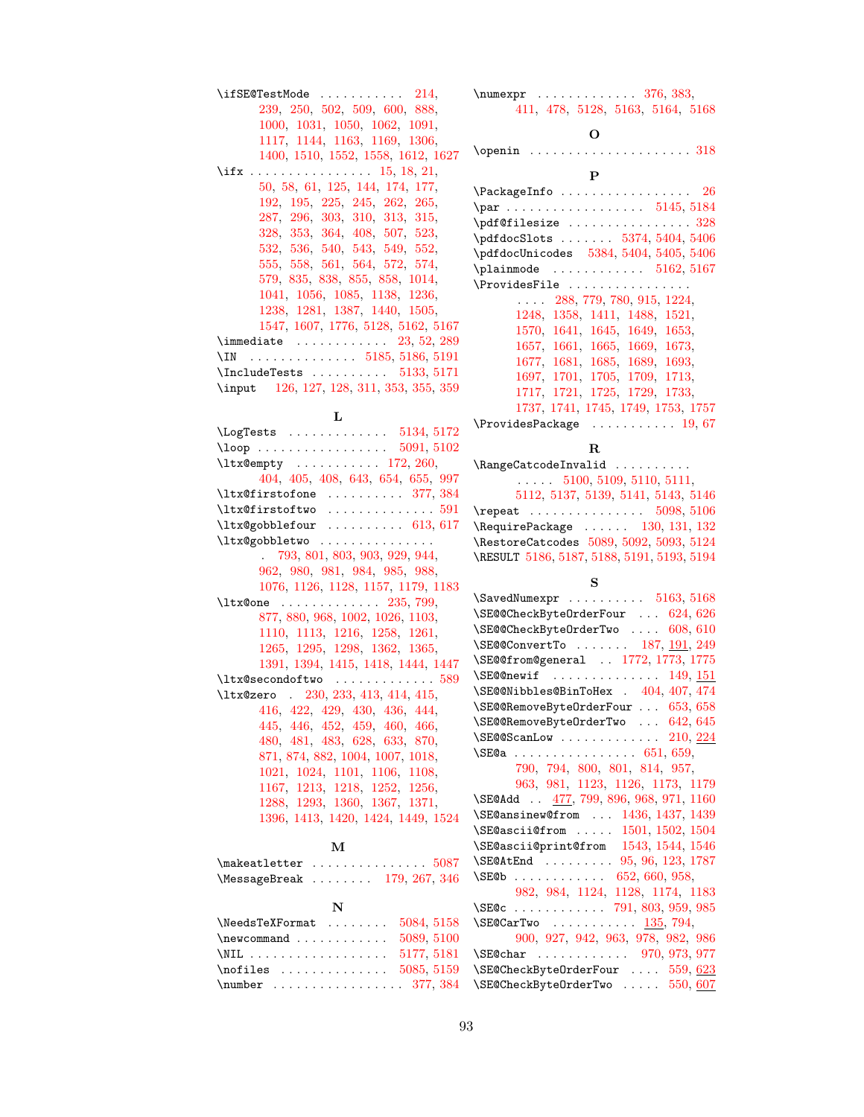$\iint \texttt{SE@TestMode} \dots \dots \dots \quad 214,$  $\iint \texttt{SE@TestMode} \dots \dots \dots \quad 214,$ [239,](#page-8-9) [250,](#page-8-10) [502,](#page-13-13) [509,](#page-13-14) [600,](#page-15-10) [888,](#page-21-6) [1000,](#page-23-3) [1031,](#page-23-10) [1050,](#page-23-11) [1062,](#page-24-9) [1091,](#page-24-10) [1117,](#page-25-3) [1144,](#page-25-4) [1163,](#page-25-5) [1169,](#page-26-5) [1306,](#page-28-6) [1400,](#page-30-9) [1510,](#page-32-11) [1552,](#page-32-12) [1558,](#page-32-13) [1612,](#page-33-11) [1627](#page-34-4) \ifx . . . . . . . . . . . . . . . . [15,](#page-3-17) [18,](#page-3-15) [21,](#page-3-13) [50,](#page-4-29) [58,](#page-4-0) [61,](#page-4-35) [125,](#page-5-26) [144,](#page-6-2) [174,](#page-7-2) [177,](#page-7-3) [192,](#page-7-11) [195,](#page-7-12) [225,](#page-7-13) [245,](#page-8-11) [262,](#page-8-2) [265,](#page-8-3) [287,](#page-9-12) [296,](#page-9-17) [303,](#page-9-18) [310,](#page-9-13) [313,](#page-9-14) [315,](#page-9-15) [328,](#page-9-3) [353,](#page-10-12) [364,](#page-10-6) [408,](#page-11-9) [507,](#page-13-3) [523,](#page-13-6) [532,](#page-13-8) [536,](#page-14-1) [540,](#page-14-6) [543,](#page-14-7) [549,](#page-14-8) [552,](#page-14-9) [555,](#page-14-10) [558,](#page-14-11) [561,](#page-14-12) [564,](#page-14-13) [572,](#page-14-14) [574,](#page-14-15) [579,](#page-14-16) [835,](#page-20-9) [838,](#page-20-10) [855,](#page-20-11) [858,](#page-20-12) [1014,](#page-23-12) [1041,](#page-23-13) [1056,](#page-24-11) [1085,](#page-24-12) [1138,](#page-25-6) [1236,](#page-27-10) [1238,](#page-27-11) [1281,](#page-28-7) [1387,](#page-30-10) [1440,](#page-30-11) [1505,](#page-32-14) [1547,](#page-32-15) [1607,](#page-33-12) [1776,](#page-36-2) [5128,](#page-80-21) [5162,](#page-81-16) [5167](#page-81-17) \immediate . . . . . . . . . . . [23,](#page-3-18) [52,](#page-4-36) [289](#page-9-19) \IN . . . . . . . . . . . . . . [5185,](#page-81-7) [5186,](#page-81-18) [5191](#page-81-19) \IncludeTests ......... [5133,](#page-80-22) [5171](#page-81-20) \input [126,](#page-5-29) [127,](#page-5-30) [128,](#page-5-31) [311,](#page-9-20) [353,](#page-10-12) [355,](#page-10-13) [359](#page-10-14)

L

| \LogTests  5134, 5172                                    |
|----------------------------------------------------------|
| $\lambda$ 100p 5091, 5102                                |
| $\texttt{ltxQempty}$ 172, 260,                           |
| 404, 405, 408, 643, 654, 655, 997                        |
| $\texttt{ltx@firstofone} \dots \dots \dots \ 377, \,384$ |
| $\texttt{ltx@firstoftwo}$ 591                            |
| $\texttt{ltx@gobblefour} \dots \dots \dots \ 613, 617$   |
| \ltx@gobbletwo                                           |
| . 793, 801, 803, 903, 929, 944,                          |
| 962, 980, 981, 984, 985, 988,                            |
| 1076, 1126, 1128, 1157, 1179, 1183                       |
| $\texttt{ltx@one}$ 235, 799,                             |
| 877, 880, 968, 1002, 1026, 1103,                         |
| 1110, 1113, 1216, 1258, 1261,                            |
| 1265, 1295, 1298, 1362, 1365,                            |
| 1391, 1394, 1415, 1418, 1444, 1447                       |
| $\texttt{ltx@secondoftwo}$ 589                           |
| \ltx@zero . 230, 233, 413, 414, 415,                     |
| 416, 422, 429, 430, 436, 444,                            |
| 445, 446, 452, 459, 460, 466,                            |
| 480, 481, 483, 628, 633, 870,                            |
| 871, 874, 882, 1004, 1007, 1018,                         |
| 1021, 1024, 1101, 1106, 1108,                            |
| 1167, 1213, 1218, 1252, 1256,                            |
| 1288, 1293, 1360, 1367, 1371,                            |
| 1396, 1413, 1420, 1424, 1449, 1524                       |
| М                                                        |
| $\max_{\text{eat}}$<br>5087                              |

| $\mathcal{S}$ axeatletter 5087                   |
|--------------------------------------------------|
| $\text{MessageBreak} \dots 179, 267, 346$        |
| N                                                |
| $\text{NeedsTeXFormat} \dots \dots \ 5084, 5158$ |
| $\neq$ 089, 5100                                 |
| \NIL 5177, 5181                                  |
| \nofiles $5085, 5159$                            |
| \number  377, 384                                |

\numexpr . . . . . . . . . . . . [376,](#page-10-7) [383,](#page-11-0) [411,](#page-11-12) [478,](#page-12-11) [5128,](#page-80-21) [5163,](#page-81-26) [5164,](#page-81-27) [5168](#page-81-28)

#### O

\openin . . . . . . . . . . . . . . . . . . . . . [318](#page-9-1)

#### P

\PackageInfo . . . . . . . . . . . . . . . . . [26](#page-3-19) \par . . . . . . . . . . . . . . . . . . [5145,](#page-80-27) [5184](#page-81-29) \pdf@filesize . . . . . . . . . . . . . . . . [328](#page-9-3) \pdfdocSlots ...... [5374,](#page-85-4) [5404,](#page-85-5) [5406](#page-85-6) \pdfdocUnicodes [5384,](#page-85-7) [5404,](#page-85-5) [5405,](#page-85-0) [5406](#page-85-6)  $\alpha$  . . . . . . . . . . . . [5162,](#page-81-16) [5167](#page-81-17) \ProvidesFile . . . . . . . . . . . . . . . . . . . . [288,](#page-9-21) [779,](#page-19-12) [780,](#page-19-13) [915,](#page-21-9) [1224,](#page-27-17) [1248,](#page-27-18) [1358,](#page-29-11) [1411,](#page-30-19) [1488,](#page-31-9) [1521,](#page-32-16) [1570,](#page-33-13) [1641,](#page-34-5) [1645,](#page-34-6) [1649,](#page-34-7) [1653,](#page-34-8) [1657,](#page-34-9) [1661,](#page-34-10) [1665,](#page-34-11) [1669,](#page-34-12) [1673,](#page-35-0) [1677,](#page-35-1) [1681,](#page-35-2) [1685,](#page-35-3) [1689,](#page-35-4) [1693,](#page-35-5) [1697,](#page-35-6) [1701,](#page-35-7) [1705,](#page-35-8) [1709,](#page-35-9) [1713,](#page-35-10) [1717,](#page-35-11) [1721,](#page-35-12) [1725,](#page-35-13) [1729,](#page-36-3) [1733,](#page-36-4) [1737,](#page-36-5) [1741,](#page-36-6) [1745,](#page-36-7) [1749,](#page-36-8) [1753,](#page-36-9) [1757](#page-36-10) \ProvidesPackage . . . . . . . . . . . [19,](#page-3-20) [67](#page-4-37)

## R

| $\ldots$ 5100, 5109, 5110, 5111,                                        |
|-------------------------------------------------------------------------|
| 5112, 5137, 5139, 5141, 5143, 5146                                      |
|                                                                         |
| $\begin{bmatrix} \text{Required} & \dots & 130, 131, 132 \end{bmatrix}$ |
| \RestoreCatcodes 5089, 5092, 5093, 5124                                 |
| \RESULT 5186, 5187, 5188, 5191, 5193, 5194                              |
|                                                                         |

S

| $\S$ avedNumexpr  5163, 5168                |
|---------------------------------------------|
| \SE@@CheckByteOrderFour  624, 626           |
| $\setminus$ SE@@CheckByteOrderTwo  608, 610 |
| \SE@@ConvertTo  187, 191, 249               |
| \SE@@from@general  1772, 1773, 1775         |
| $\S$ E@Onewif  149, 151                     |
| \SE@@Nibbles@BinToHex . 404, 407, 474       |
| \SE@@RemoveByteOrderFour  653, 658          |
| \SE@@RemoveByteOrderTwo  642, 645           |
| $\S$ E@@ScanLow  210, 224                   |
| <b>\SE@a</b> 651, 659,                      |
| 790, 794, 800, 801, 814, 957,               |
| 963, 981, 1123, 1126, 1173, 1179            |
| \SE@Add  477, 799, 896, 968, 971, 1160      |
| \SE@ansinew@from  1436, 1437, 1439          |
| \SE@ascii@from  1501, 1502, 1504            |
| \SE@ascii@print@from 1543, 1544, 1546       |
| \SE@AtEnd  95, 96, 123, 1787                |
| \SE@b 652, 660, 958,                        |
| 982, 984, 1124, 1128, 1174, 1183            |
| \SEQc 791, 803, 959, 985                    |
| $\SECQarTwo$ $135, 794,$                    |
| 900, 927, 942, 963, 978, 982, 986           |
| \SE@char  970, 973, 977                     |
| \SE@CheckByte0rderFour  559, 623            |
| \SE@CheckByteOrderTwo  550, 607             |
|                                             |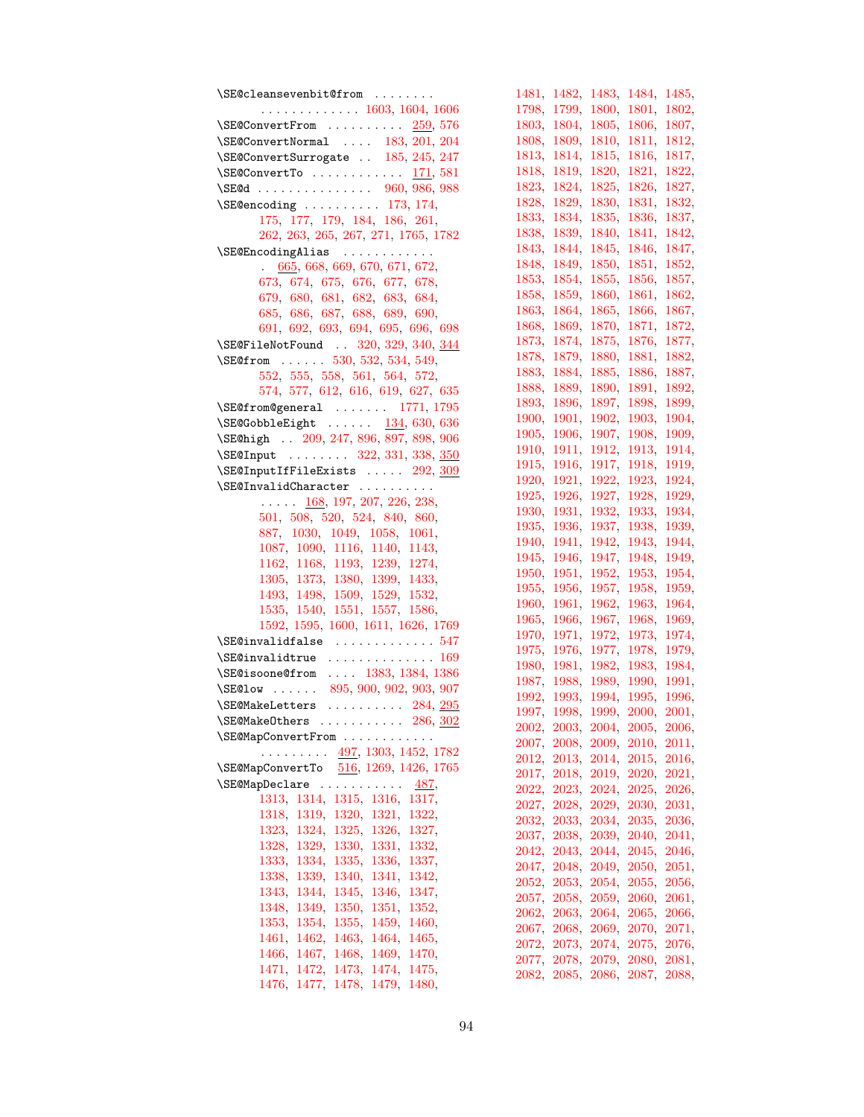| \SE@cleansevenbit@from                                                                                                                                   |
|----------------------------------------------------------------------------------------------------------------------------------------------------------|
| $\cdots \cdots \cdots \cdots 1603, 1604, 1606$                                                                                                           |
| $\S E@Convert From \dots \dots \S 259, 576$                                                                                                              |
| \SE@ConvertNormal  183, 201, 204                                                                                                                         |
| \SE@ConvertSurrogate  185, 245, 247                                                                                                                      |
|                                                                                                                                                          |
| $\SEC$ ConvertTo $171,581$                                                                                                                               |
| \SE@d  960, 986, 988<br>\SE@encoding  173, 174,                                                                                                          |
|                                                                                                                                                          |
| 175, 177, 179, 184, 186, 261,                                                                                                                            |
| 262, 263, 265, 267, 271, 1765, 1782                                                                                                                      |
| \SE@EncodingAlias                                                                                                                                        |
| . 665, 668, 669, 670, 671, 672,                                                                                                                          |
| 673, 674, 675, 676, 677, 678,                                                                                                                            |
| 679, 680, 681, 682, 683, 684,                                                                                                                            |
| 685, 686, 687, 688, 689, 690,                                                                                                                            |
| 691, 692, 693, 694, 695, 696, 698                                                                                                                        |
|                                                                                                                                                          |
| \SE@FileNotFound  320, 329, 340, 344                                                                                                                     |
| \SE@from  530, 532, 534, 549,                                                                                                                            |
| 552, 555, 558, 561, 564, 572,                                                                                                                            |
| 574, 577, 612, 616, 619, 627, 635                                                                                                                        |
| \SE@from@general  1771, 1795                                                                                                                             |
| $\S E@GobbleEight \dots 134, 630, 636$                                                                                                                   |
| \SE@high  209, 247, 896, 897, 898, 906                                                                                                                   |
| \SE@Input  322, 331, 338, 350                                                                                                                            |
|                                                                                                                                                          |
| \SE@InputIfFileExists  292, 309                                                                                                                          |
| \SE@InvalidCharacter                                                                                                                                     |
| $\ldots$ 168, 197, 207, 226, 238,                                                                                                                        |
| 501, 508, 520, 524, 840, 860,                                                                                                                            |
| 887, 1030, 1049, 1058, 1061,                                                                                                                             |
| 1087, 1090, 1116, 1140, 1143,                                                                                                                            |
| $\begin{array}{lll} 1162, \ 1168, \ 1193, \ 1239, \ 1274, \\ 1305, \ 1373, \ 1380, \ 1399, \ 1433, \\ 1493, \ 1498, \ 1509, \ 1529, \ 1532, \end{array}$ |
|                                                                                                                                                          |
|                                                                                                                                                          |
| 1535, 1540, 1551, 1557, 1586,                                                                                                                            |
| 1592, 1595, 1600, 1611, 1626, 1769                                                                                                                       |
|                                                                                                                                                          |
| $\setminus$ SE@invalidfalse 547                                                                                                                          |
| $\setminus$ SE@invalidtrue  169                                                                                                                          |
| $\verb+\SE@isone@from  1383, 1384, 1386$                                                                                                                 |
| \SE@low  895, 900, 902, 903, 907<br>\SE@MakeLetters  284, <u>295</u>                                                                                     |
|                                                                                                                                                          |
| 286, 302<br>\SE@MakeOthers                                                                                                                               |
| \SE@MapConvertFrom                                                                                                                                       |
| 497, 1303, 1452, 1782<br>$\alpha$ , $\alpha$ , $\alpha$ , $\alpha$                                                                                       |
| \SE@MapConvertTo 516, 1269, 1426, 1765                                                                                                                   |
|                                                                                                                                                          |
| \SE@MapDeclare<br>487,<br>$\mathbb{Z}$ . The set of the set of $\mathbb{Z}$                                                                              |
| 1313,<br>1314,<br>1315, 1316,<br>1317,                                                                                                                   |
| 1318,<br>1319,<br>1321,<br>1322,<br>1320.                                                                                                                |
| 1323, 1324,<br>1325,<br>1327,<br>1326,                                                                                                                   |
| 1328, 1329,<br>1330, 1331,<br>1332.                                                                                                                      |
| 1333,<br>1334,<br>1335, 1336,<br>1337,                                                                                                                   |
| 1338,<br>1339,<br>1340, 1341,<br>1342,                                                                                                                   |
| 1343.<br>1344,<br>1345,<br>1346,<br>1347,                                                                                                                |
| 1348,<br>1349,<br>1350,<br>1351,<br>1352,                                                                                                                |
| 1353,<br>1354,<br>1355, 1459,<br>1460,                                                                                                                   |
|                                                                                                                                                          |
| 1461,<br>1462,<br>1463, 1464,<br>1465,                                                                                                                   |
| 1466,<br>1467,<br>1468, 1469,<br>1470,                                                                                                                   |
| 1471,<br>1472,<br>1473, 1474,<br>1475,                                                                                                                   |
| 1476, 1477,<br>1478, 1479,<br>1480,                                                                                                                      |

| 1481,        | 1482, | 1483,        | 1484,    | 1485, |
|--------------|-------|--------------|----------|-------|
| 1798,        | 1799. | $1800_\odot$ | 1801,    | 1802, |
| $1803_\odot$ | 1804, | 1805,        | 1806,    | 1807, |
| 1808,        | 1809, | 1810,        | 1811,    | 1812, |
| 1813,        | 1814, | 1815,        | 1816,    | 1817, |
| 1818,        | 1819, | 1820,        | 1821,    | 1822, |
| 1823,        | 1824, | 1825,        | 1826,    | 1827, |
| 1828,        | 1829, | 1830,        | 1831,    | 1832, |
| 1833,        | 1834, | 1835,        | 1836,    | 1837, |
| 1838,        | 1839, | 1840,        | 1841,    | 1842, |
| 1843.        | 1844, | 1845,        | 1846,    | 1847, |
| 1848,        | 1849, | 1850,        | 1851,    | 1852, |
| 1853,        | 1854, | 1855,        | 1856,    | 1857, |
| 1858,        | 1859, |              | 1861,    | 1862, |
|              |       | 1860,        |          |       |
| 1863,        | 1864, | 1865,        | 1866,    | 1867, |
| 1868,        | 1869, | 1870,        | 1871,    | 1872, |
| 1873,        | 1874, | 1875,        | 1876,    | 1877, |
| 1878,        | 1879, | 1880,        | 1881,    | 1882, |
| 1883,        | 1884, | 1885,        | 1886,    | 1887, |
| 1888,        | 1889, | 1890,        | 1891,    | 1892, |
| 1893,        | 1896, | 1897,        | 1898,    | 1899, |
| 1900,        | 1901, | 1902,        | 1903,    | 1904, |
| 1905,        | 1906, | 1907,        | 1908,    | 1909, |
| 1910,        | 1911, | 1912,        | 1913,    | 1914, |
| 1915,        | 1916, | 1917,        | 1918,    | 1919, |
| 1920,        | 1921, | 1922,        | 1923,    | 1924, |
| 1925,        | 1926, | 1927,        | 1928,    | 1929, |
| 1930,        | 1931, | 1932,        | 1933,    | 1934, |
| 1935,        | 1936, | 1937,        | 1938,    | 1939, |
| 1940,        | 1941, | 1942,        | 1943,    | 1944, |
| 1945,        | 1946, | 1947,        | 1948,    | 1949, |
| 1950,        | 1951, | 1952,        | 1953,    | 1954, |
| 1955,        | 1956, | 1957,        | 1958,    | 1959, |
| 1960,        | 1961, | 1962,        | 1963,    | 1964, |
| 1965,        | 1966, | 1967,        | 1968,    | 1969, |
| 1970,        | 1971, | 1972,        | 1973,    | 1974, |
| 1975,        | 1976, | 1977,        | 1978,    | 1979, |
| 1980,        | 1981, | 1982,        | 1983,    | 1984, |
| 1987,        | 1988, | 1989,        | 1990,    | 1991, |
| 1992,        | 1993, | 1994,        | 1995,    | 1996, |
| 1997,        | 1998. | 1999.        | $2000\,$ | 2001, |
| 2002,        | 2003, | 2004,        | 2005,    | 2006, |
| 2007,        | 2008, | 2009,        | 2010,    | 2011, |
| 2012,        | 2013, | 2014,        | 2015,    | 2016, |
| 2017,        | 2018, | 2019,        | 2020,    | 2021, |
| 2022,        | 2023, | 2024.        | 2025,    | 2026, |
| 2027,        | 2028, | 2029,        | 2030,    | 2031, |
| 2032,        | 2033, | 2034,        | 2035,    | 2036, |
| 2037,        | 2038, | 2039,        | 2040,    | 2041, |
| 2042,        | 2043, | 2044,        | 2045,    | 2046, |
| $2047\,$     | 2048, | 2049,        | 2050,    | 2051, |
| 2052,        | 2053, | 2054.        | 2055,    | 2056, |
| 2057,        | 2058, | 2059,        | 2060,    | 2061, |
| 2062,        | 2063, | 2064,        | 2065,    | 2066, |
| 2067,        | 2068, | 2069,        | 2070,    | 2071, |
| 2072,        | 2073, | 2074,        | 2075,    | 2076, |
| 2077,        | 2078, | 2079,        | 2080,    | 2081, |
| 2082,        | 2085, | 2086,        | 2087,    | 2088, |
|              |       |              |          |       |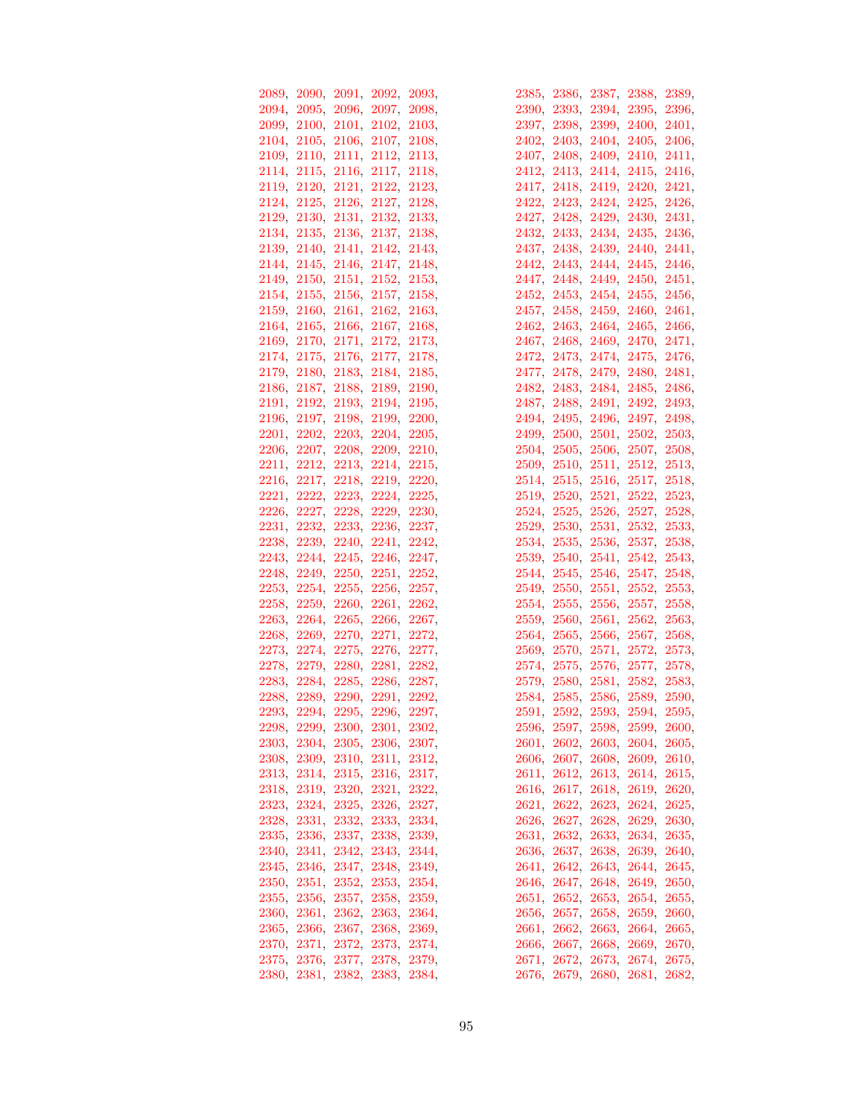|  | 2089, 2090, 2091, 2092, 2093, |  | 2385, 2386, 2387, 2388, 2389,                                  |  |  |
|--|-------------------------------|--|----------------------------------------------------------------|--|--|
|  | 2094, 2095, 2096, 2097, 2098, |  | 2390, 2393, 2394, 2395, 2396,                                  |  |  |
|  | 2099, 2100, 2101, 2102, 2103, |  | 2397, 2398, 2399, 2400, 2401,                                  |  |  |
|  | 2104, 2105, 2106, 2107, 2108, |  | 2402, 2403, 2404, 2405, 2406,                                  |  |  |
|  | 2109, 2110, 2111, 2112, 2113, |  | 2407, 2408, 2409, 2410, 2411,                                  |  |  |
|  | 2114, 2115, 2116, 2117, 2118, |  | 2412, 2413, 2414, 2415, 2416,                                  |  |  |
|  | 2119, 2120, 2121, 2122, 2123, |  | 2417, 2418, 2419, 2420, 2421,                                  |  |  |
|  | 2124, 2125, 2126, 2127, 2128, |  | 2422, 2423, 2424, 2425, 2426,                                  |  |  |
|  | 2129, 2130, 2131, 2132, 2133, |  | 2427, 2428, 2429, 2430, 2431,                                  |  |  |
|  | 2134, 2135, 2136, 2137, 2138, |  | 2432, 2433, 2434, 2435, 2436,                                  |  |  |
|  | 2139, 2140, 2141, 2142, 2143, |  | 2437, 2438, 2439, 2440, 2441,                                  |  |  |
|  | 2144, 2145, 2146, 2147, 2148, |  | 2442, 2443, 2444, 2445, 2446,                                  |  |  |
|  | 2149, 2150, 2151, 2152, 2153, |  | 2447, 2448, 2449, 2450, 2451,                                  |  |  |
|  | 2154, 2155, 2156, 2157, 2158, |  | 2452, 2453, 2454, 2455, 2456,                                  |  |  |
|  | 2159, 2160, 2161, 2162, 2163, |  | 2457, 2458, 2459, 2460, 2461,                                  |  |  |
|  | 2164, 2165, 2166, 2167, 2168, |  | 2462, 2463, 2464, 2465, 2466,                                  |  |  |
|  |                               |  | 2467, 2468, 2469, 2470, 2471,                                  |  |  |
|  | 2169, 2170, 2171, 2172, 2173, |  |                                                                |  |  |
|  | 2174, 2175, 2176, 2177, 2178, |  | 2472, 2473, 2474, 2475, 2476,<br>2477, 2478, 2479, 2480, 2481, |  |  |
|  | 2179, 2180, 2183, 2184, 2185, |  |                                                                |  |  |
|  | 2186, 2187, 2188, 2189, 2190, |  | 2482, 2483, 2484, 2485, 2486,                                  |  |  |
|  | 2191, 2192, 2193, 2194, 2195, |  | 2487, 2488, 2491, 2492, 2493,                                  |  |  |
|  | 2196, 2197, 2198, 2199, 2200, |  | 2494, 2495, 2496, 2497, 2498,                                  |  |  |
|  | 2201, 2202, 2203, 2204, 2205, |  | 2499, 2500, 2501, 2502, 2503,                                  |  |  |
|  | 2206, 2207, 2208, 2209, 2210, |  | 2504, 2505, 2506, 2507, 2508,                                  |  |  |
|  | 2211, 2212, 2213, 2214, 2215, |  | 2509, 2510, 2511, 2512, 2513,                                  |  |  |
|  | 2216, 2217, 2218, 2219, 2220, |  | 2514, 2515, 2516, 2517, 2518,                                  |  |  |
|  | 2221, 2222, 2223, 2224, 2225, |  | 2519, 2520, 2521, 2522, 2523,                                  |  |  |
|  | 2226, 2227, 2228, 2229, 2230, |  | 2524, 2525, 2526, 2527, 2528,                                  |  |  |
|  | 2231, 2232, 2233, 2236, 2237, |  | 2529, 2530, 2531, 2532, 2533,                                  |  |  |
|  | 2238, 2239, 2240, 2241, 2242, |  | 2534, 2535, 2536, 2537, 2538,                                  |  |  |
|  | 2243, 2244, 2245, 2246, 2247, |  | 2539, 2540, 2541, 2542, 2543,                                  |  |  |
|  | 2248, 2249, 2250, 2251, 2252, |  | 2544, 2545, 2546, 2547, 2548,                                  |  |  |
|  | 2253, 2254, 2255, 2256, 2257, |  | 2549, 2550, 2551, 2552, 2553,                                  |  |  |
|  | 2258, 2259, 2260, 2261, 2262, |  | 2554, 2555, 2556, 2557, 2558,                                  |  |  |
|  | 2263, 2264, 2265, 2266, 2267, |  | 2559, 2560, 2561, 2562, 2563,                                  |  |  |
|  | 2268, 2269, 2270, 2271, 2272, |  | 2564, 2565, 2566, 2567, 2568,                                  |  |  |
|  | 2273, 2274, 2275, 2276, 2277, |  | 2569, 2570, 2571, 2572, 2573,                                  |  |  |
|  | 2278, 2279, 2280, 2281, 2282, |  | 2574, 2575, 2576, 2577, 2578,                                  |  |  |
|  | 2283, 2284, 2285, 2286, 2287, |  | 2579, 2580, 2581, 2582, 2583,                                  |  |  |
|  | 2288, 2289, 2290, 2291, 2292, |  | 2584, 2585, 2586, 2589, 2590,                                  |  |  |
|  | 2293, 2294, 2295, 2296, 2297, |  | 2591, 2592, 2593, 2594, 2595,                                  |  |  |
|  | 2298, 2299, 2300, 2301, 2302, |  | 2596, 2597, 2598, 2599, 2600,                                  |  |  |
|  | 2303, 2304, 2305, 2306, 2307, |  | 2601, 2602, 2603, 2604, 2605,                                  |  |  |
|  | 2308, 2309, 2310, 2311, 2312, |  | 2606, 2607, 2608, 2609, 2610,                                  |  |  |
|  | 2313, 2314, 2315, 2316, 2317, |  | 2611, 2612, 2613, 2614, 2615,                                  |  |  |
|  | 2318, 2319, 2320, 2321, 2322, |  | 2616, 2617, 2618, 2619, 2620,                                  |  |  |
|  | 2323, 2324, 2325, 2326, 2327, |  | 2621, 2622, 2623, 2624, 2625,                                  |  |  |
|  | 2328, 2331, 2332, 2333, 2334, |  | 2626, 2627, 2628, 2629, 2630,                                  |  |  |
|  | 2335, 2336, 2337, 2338, 2339, |  | 2631, 2632, 2633, 2634, 2635,                                  |  |  |
|  | 2340, 2341, 2342, 2343, 2344, |  | 2636, 2637, 2638, 2639, 2640,                                  |  |  |
|  | 2345, 2346, 2347, 2348, 2349, |  | 2641, 2642, 2643, 2644, 2645,                                  |  |  |
|  | 2350, 2351, 2352, 2353, 2354, |  | 2646, 2647, 2648, 2649, 2650,                                  |  |  |
|  | 2355, 2356, 2357, 2358, 2359, |  | 2651, 2652, 2653, 2654, 2655,                                  |  |  |
|  | 2360, 2361, 2362, 2363, 2364, |  | 2656, 2657, 2658, 2659, 2660,                                  |  |  |
|  | 2365, 2366, 2367, 2368, 2369, |  | 2661, 2662, 2663, 2664, 2665,                                  |  |  |
|  | 2370, 2371, 2372, 2373, 2374, |  | 2666, 2667, 2668, 2669, 2670,                                  |  |  |
|  | 2375, 2376, 2377, 2378, 2379, |  | 2671, 2672, 2673, 2674, 2675,                                  |  |  |
|  | 2380, 2381, 2382, 2383, 2384, |  | 2676, 2679, 2680, 2681, 2682,                                  |  |  |
|  |                               |  |                                                                |  |  |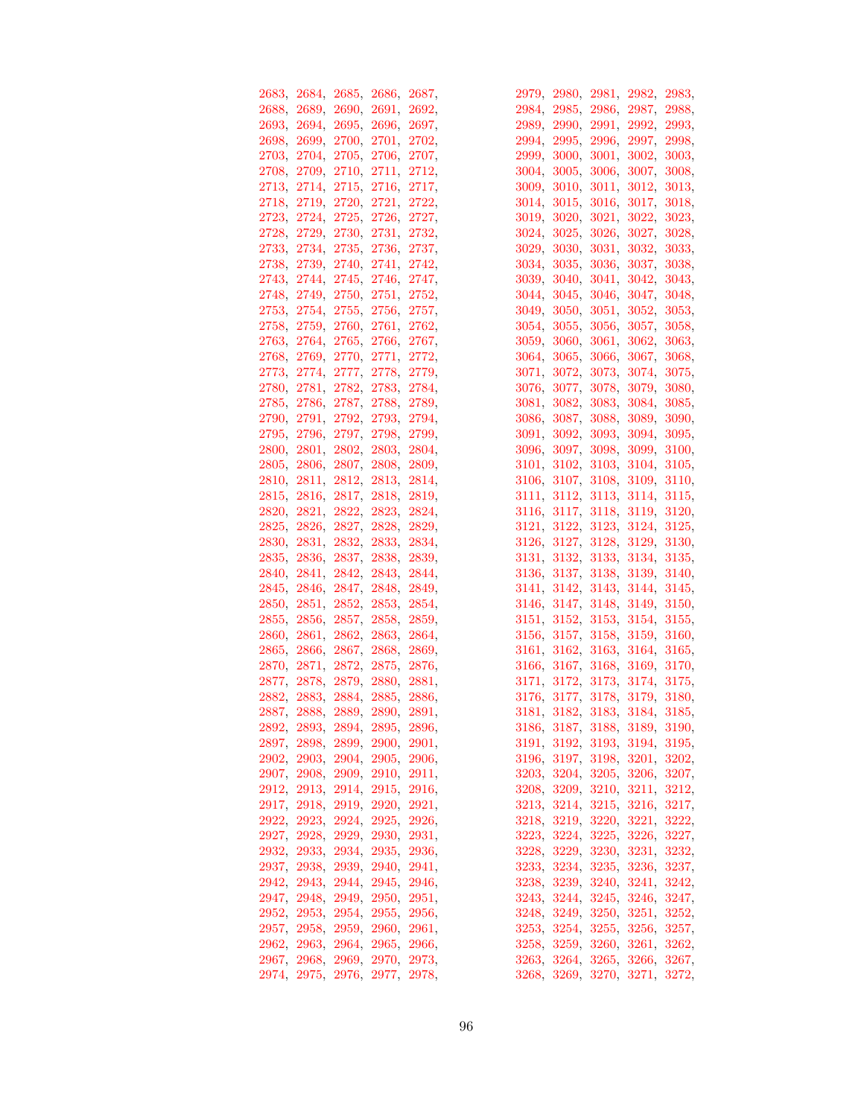| 2683, 2684, 2685, 2686, 2687, |  |  |  | 2979, 2980, 2981, 2982, 2983, |  |
|-------------------------------|--|--|--|-------------------------------|--|
| 2688, 2689, 2690, 2691, 2692, |  |  |  | 2984, 2985, 2986, 2987, 2988, |  |
| 2693, 2694, 2695, 2696, 2697, |  |  |  | 2989, 2990, 2991, 2992, 2993, |  |
| 2698, 2699, 2700, 2701, 2702, |  |  |  | 2994, 2995, 2996, 2997, 2998, |  |
| 2703, 2704, 2705, 2706, 2707, |  |  |  | 2999, 3000, 3001, 3002, 3003, |  |
| 2708, 2709, 2710, 2711, 2712, |  |  |  | 3004, 3005, 3006, 3007, 3008, |  |
|                               |  |  |  |                               |  |
| 2713, 2714, 2715, 2716, 2717, |  |  |  | 3009, 3010, 3011, 3012, 3013, |  |
| 2718, 2719, 2720, 2721, 2722, |  |  |  | 3014, 3015, 3016, 3017, 3018, |  |
| 2723, 2724, 2725, 2726, 2727, |  |  |  | 3019, 3020, 3021, 3022, 3023, |  |
| 2728, 2729, 2730, 2731, 2732, |  |  |  | 3024, 3025, 3026, 3027, 3028, |  |
| 2733, 2734, 2735, 2736, 2737, |  |  |  | 3029, 3030, 3031, 3032, 3033, |  |
| 2738, 2739, 2740, 2741, 2742, |  |  |  | 3034, 3035, 3036, 3037, 3038, |  |
| 2743, 2744, 2745, 2746, 2747, |  |  |  | 3039, 3040, 3041, 3042, 3043, |  |
| 2748, 2749, 2750, 2751, 2752, |  |  |  | 3044, 3045, 3046, 3047, 3048, |  |
| 2753, 2754, 2755, 2756, 2757, |  |  |  | 3049, 3050, 3051, 3052, 3053, |  |
| 2758, 2759, 2760, 2761, 2762, |  |  |  | 3054, 3055, 3056, 3057, 3058, |  |
| 2763, 2764, 2765, 2766, 2767, |  |  |  | 3059, 3060, 3061, 3062, 3063, |  |
| 2768, 2769, 2770, 2771, 2772, |  |  |  | 3064, 3065, 3066, 3067, 3068, |  |
| 2773, 2774, 2777, 2778, 2779, |  |  |  | 3071, 3072, 3073, 3074, 3075, |  |
| 2780, 2781, 2782, 2783, 2784, |  |  |  | 3076, 3077, 3078, 3079, 3080, |  |
| 2785, 2786, 2787, 2788, 2789, |  |  |  | 3081, 3082, 3083, 3084, 3085, |  |
| 2790, 2791, 2792, 2793, 2794, |  |  |  | 3086, 3087, 3088, 3089, 3090, |  |
| 2795, 2796, 2797, 2798, 2799, |  |  |  | 3091, 3092, 3093, 3094, 3095, |  |
| 2800, 2801, 2802, 2803, 2804, |  |  |  | 3096, 3097, 3098, 3099, 3100, |  |
|                               |  |  |  |                               |  |
| 2805, 2806, 2807, 2808, 2809, |  |  |  | 3101, 3102, 3103, 3104, 3105, |  |
| 2810, 2811, 2812, 2813, 2814, |  |  |  | 3106, 3107, 3108, 3109, 3110, |  |
| 2815, 2816, 2817, 2818, 2819, |  |  |  | 3111, 3112, 3113, 3114, 3115, |  |
| 2820, 2821, 2822, 2823, 2824, |  |  |  | 3116, 3117, 3118, 3119, 3120, |  |
| 2825, 2826, 2827, 2828, 2829, |  |  |  | 3121, 3122, 3123, 3124, 3125, |  |
| 2830, 2831, 2832, 2833, 2834, |  |  |  | 3126, 3127, 3128, 3129, 3130, |  |
| 2835, 2836, 2837, 2838, 2839, |  |  |  | 3131, 3132, 3133, 3134, 3135, |  |
| 2840, 2841, 2842, 2843, 2844, |  |  |  | 3136, 3137, 3138, 3139, 3140, |  |
| 2845, 2846, 2847, 2848, 2849, |  |  |  | 3141, 3142, 3143, 3144, 3145, |  |
| 2850, 2851, 2852, 2853, 2854, |  |  |  | 3146, 3147, 3148, 3149, 3150, |  |
| 2855, 2856, 2857, 2858, 2859, |  |  |  | 3151, 3152, 3153, 3154, 3155, |  |
| 2860, 2861, 2862, 2863, 2864, |  |  |  | 3156, 3157, 3158, 3159, 3160, |  |
| 2865, 2866, 2867, 2868, 2869, |  |  |  | 3161, 3162, 3163, 3164, 3165, |  |
| 2870, 2871, 2872, 2875, 2876, |  |  |  | 3166, 3167, 3168, 3169, 3170, |  |
| 2877, 2878, 2879, 2880, 2881, |  |  |  | 3171, 3172, 3173, 3174, 3175, |  |
| 2882, 2883, 2884, 2885, 2886, |  |  |  | 3176, 3177, 3178, 3179, 3180, |  |
| 2887, 2888, 2889, 2890, 2891, |  |  |  | 3181, 3182, 3183, 3184, 3185, |  |
| 2892, 2893, 2894, 2895, 2896, |  |  |  | 3186, 3187, 3188, 3189, 3190, |  |
| 2897, 2898, 2899, 2900, 2901, |  |  |  | 3191, 3192, 3193, 3194, 3195, |  |
| 2902, 2903, 2904, 2905, 2906, |  |  |  | 3196, 3197, 3198, 3201, 3202, |  |
|                               |  |  |  | 3203, 3204, 3205, 3206, 3207, |  |
| 2907, 2908, 2909, 2910, 2911, |  |  |  |                               |  |
| 2912, 2913, 2914, 2915, 2916, |  |  |  | 3208, 3209, 3210, 3211, 3212, |  |
| 2917, 2918, 2919, 2920, 2921, |  |  |  | 3213, 3214, 3215, 3216, 3217, |  |
| 2922, 2923, 2924, 2925, 2926, |  |  |  | 3218, 3219, 3220, 3221, 3222, |  |
| 2927, 2928, 2929, 2930, 2931, |  |  |  | 3223, 3224, 3225, 3226, 3227, |  |
| 2932, 2933, 2934, 2935, 2936, |  |  |  | 3228, 3229, 3230, 3231, 3232, |  |
| 2937, 2938, 2939, 2940, 2941, |  |  |  | 3233, 3234, 3235, 3236, 3237, |  |
| 2942, 2943, 2944, 2945, 2946, |  |  |  | 3238, 3239, 3240, 3241, 3242, |  |
| 2947, 2948, 2949, 2950, 2951, |  |  |  | 3243, 3244, 3245, 3246, 3247, |  |
| 2952, 2953, 2954, 2955, 2956, |  |  |  | 3248, 3249, 3250, 3251, 3252, |  |
| 2957, 2958, 2959, 2960, 2961, |  |  |  | 3253, 3254, 3255, 3256, 3257, |  |
| 2962, 2963, 2964, 2965, 2966, |  |  |  | 3258, 3259, 3260, 3261, 3262, |  |
| 2967, 2968, 2969, 2970, 2973, |  |  |  | 3263, 3264, 3265, 3266, 3267, |  |
| 2974, 2975, 2976, 2977, 2978, |  |  |  | 3268, 3269, 3270, 3271, 3272, |  |
|                               |  |  |  |                               |  |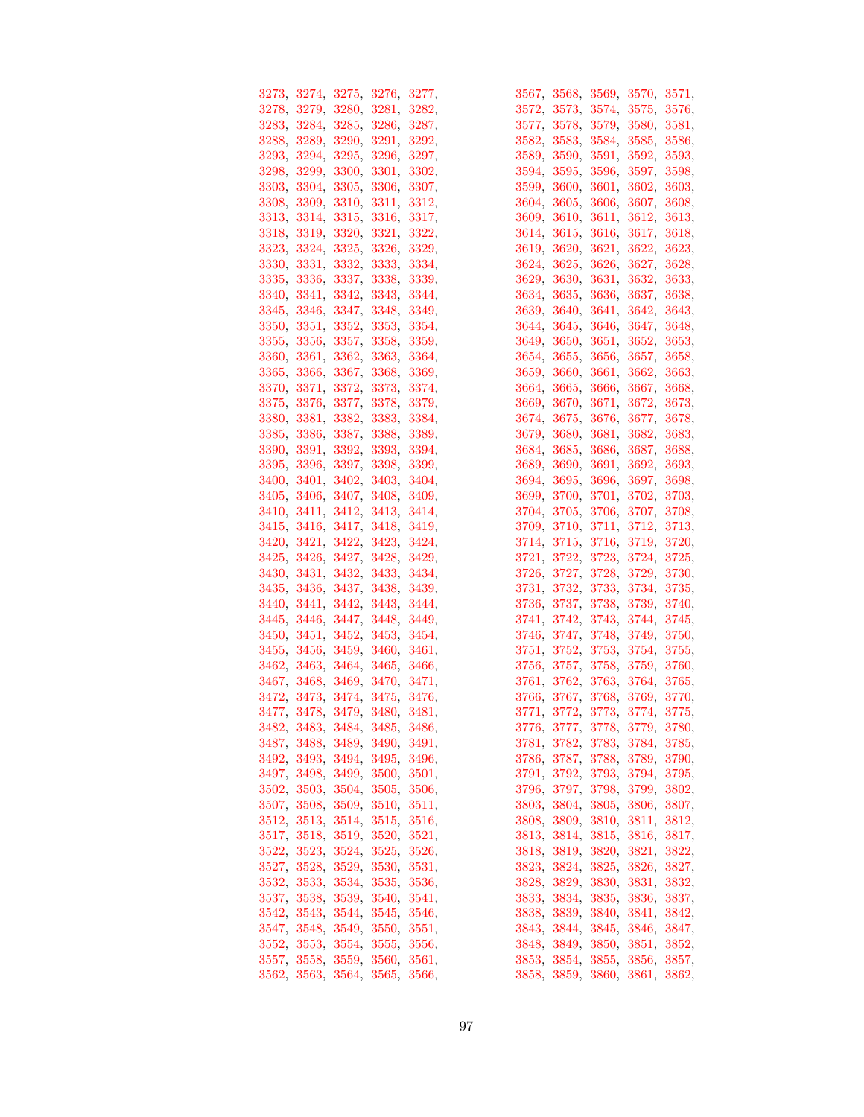| 3273, 3274, 3275, 3276, 3277, |  |  |                               |  | 3567, 3568, 3569, 3570, 3571, |
|-------------------------------|--|--|-------------------------------|--|-------------------------------|
| 3278, 3279, 3280, 3281, 3282, |  |  | 3572, 3573, 3574, 3575, 3576, |  |                               |
| 3283, 3284, 3285, 3286, 3287, |  |  | 3577, 3578, 3579, 3580, 3581, |  |                               |
| 3288, 3289, 3290, 3291, 3292, |  |  | 3582, 3583, 3584, 3585, 3586, |  |                               |
| 3293, 3294, 3295, 3296, 3297, |  |  | 3589, 3590, 3591, 3592, 3593, |  |                               |
| 3298, 3299, 3300, 3301, 3302, |  |  | 3594, 3595, 3596, 3597, 3598, |  |                               |
| 3303, 3304, 3305, 3306, 3307, |  |  | 3599, 3600, 3601, 3602, 3603, |  |                               |
| 3308, 3309, 3310, 3311, 3312, |  |  | 3604, 3605, 3606, 3607, 3608, |  |                               |
|                               |  |  |                               |  |                               |
| 3313, 3314, 3315, 3316, 3317, |  |  | 3609, 3610, 3611, 3612, 3613, |  |                               |
| 3318, 3319, 3320, 3321, 3322, |  |  | 3614, 3615, 3616, 3617, 3618, |  |                               |
| 3323, 3324, 3325, 3326, 3329, |  |  | 3619, 3620, 3621, 3622, 3623, |  |                               |
| 3330, 3331, 3332, 3333, 3334, |  |  | 3624, 3625, 3626, 3627, 3628, |  |                               |
| 3335, 3336, 3337, 3338, 3339, |  |  | 3629, 3630, 3631, 3632, 3633, |  |                               |
| 3340, 3341, 3342, 3343, 3344, |  |  | 3634, 3635, 3636, 3637, 3638, |  |                               |
| 3345, 3346, 3347, 3348, 3349, |  |  | 3639, 3640, 3641, 3642, 3643, |  |                               |
| 3350, 3351, 3352, 3353, 3354, |  |  | 3644, 3645, 3646, 3647, 3648, |  |                               |
| 3355, 3356, 3357, 3358, 3359, |  |  | 3649, 3650, 3651, 3652, 3653, |  |                               |
| 3360, 3361, 3362, 3363, 3364, |  |  | 3654, 3655, 3656, 3657, 3658, |  |                               |
| 3365, 3366, 3367, 3368, 3369, |  |  | 3659, 3660, 3661, 3662, 3663, |  |                               |
| 3370, 3371, 3372, 3373, 3374, |  |  | 3664, 3665, 3666, 3667, 3668, |  |                               |
| 3375, 3376, 3377, 3378, 3379, |  |  | 3669, 3670, 3671, 3672, 3673, |  |                               |
| 3380, 3381, 3382, 3383, 3384, |  |  | 3674, 3675, 3676, 3677, 3678, |  |                               |
| 3385, 3386, 3387, 3388, 3389, |  |  | 3679, 3680, 3681, 3682, 3683, |  |                               |
| 3390, 3391, 3392, 3393, 3394, |  |  | 3684, 3685, 3686, 3687, 3688, |  |                               |
| 3395, 3396, 3397, 3398, 3399, |  |  | 3689, 3690, 3691, 3692, 3693, |  |                               |
| 3400, 3401, 3402, 3403, 3404, |  |  | 3694, 3695, 3696, 3697, 3698, |  |                               |
|                               |  |  | 3699, 3700, 3701, 3702, 3703, |  |                               |
| 3405, 3406, 3407, 3408, 3409, |  |  |                               |  |                               |
| 3410, 3411, 3412, 3413, 3414, |  |  | 3704, 3705, 3706, 3707, 3708, |  |                               |
| 3415, 3416, 3417, 3418, 3419, |  |  | 3709, 3710, 3711, 3712, 3713, |  |                               |
| 3420, 3421, 3422, 3423, 3424, |  |  | 3714, 3715, 3716, 3719, 3720, |  |                               |
| 3425, 3426, 3427, 3428, 3429, |  |  | 3721, 3722, 3723, 3724, 3725, |  |                               |
| 3430, 3431, 3432, 3433, 3434, |  |  | 3726, 3727, 3728, 3729, 3730, |  |                               |
| 3435, 3436, 3437, 3438, 3439, |  |  | 3731, 3732, 3733, 3734, 3735, |  |                               |
| 3440, 3441, 3442, 3443, 3444, |  |  | 3736, 3737, 3738, 3739, 3740, |  |                               |
| 3445, 3446, 3447, 3448, 3449, |  |  | 3741, 3742, 3743, 3744, 3745, |  |                               |
| 3450, 3451, 3452, 3453, 3454, |  |  | 3746, 3747, 3748, 3749, 3750, |  |                               |
| 3455, 3456, 3459, 3460, 3461, |  |  | 3751, 3752, 3753, 3754, 3755, |  |                               |
| 3462, 3463, 3464, 3465, 3466, |  |  | 3756, 3757, 3758, 3759, 3760, |  |                               |
| 3467, 3468, 3469, 3470, 3471, |  |  | 3761, 3762, 3763, 3764, 3765, |  |                               |
| 3472, 3473, 3474, 3475, 3476, |  |  | 3766, 3767, 3768, 3769, 3770, |  |                               |
| 3477, 3478, 3479, 3480, 3481, |  |  | 3771, 3772, 3773, 3774, 3775, |  |                               |
| 3482, 3483, 3484, 3485, 3486, |  |  | 3776, 3777, 3778, 3779, 3780, |  |                               |
| 3487, 3488, 3489, 3490, 3491, |  |  | 3781, 3782, 3783, 3784, 3785, |  |                               |
| 3492, 3493, 3494, 3495, 3496, |  |  | 3786, 3787, 3788, 3789, 3790, |  |                               |
| 3497, 3498, 3499, 3500, 3501, |  |  | 3791, 3792, 3793, 3794, 3795, |  |                               |
| 3502, 3503, 3504, 3505, 3506, |  |  | 3796, 3797, 3798, 3799, 3802, |  |                               |
| 3507, 3508, 3509, 3510, 3511, |  |  | 3803, 3804, 3805, 3806, 3807, |  |                               |
| 3512, 3513, 3514, 3515, 3516, |  |  | 3808, 3809, 3810, 3811, 3812, |  |                               |
| 3517, 3518, 3519, 3520, 3521, |  |  | 3813, 3814, 3815, 3816, 3817, |  |                               |
| 3522, 3523, 3524, 3525, 3526, |  |  | 3818, 3819, 3820, 3821, 3822, |  |                               |
|                               |  |  |                               |  |                               |
| 3527, 3528, 3529, 3530, 3531, |  |  | 3823, 3824, 3825, 3826, 3827, |  |                               |
| 3532, 3533, 3534, 3535, 3536, |  |  | 3828, 3829, 3830, 3831, 3832, |  |                               |
| 3537, 3538, 3539, 3540, 3541, |  |  | 3833, 3834, 3835, 3836, 3837, |  |                               |
| 3542, 3543, 3544, 3545, 3546, |  |  | 3838, 3839, 3840, 3841, 3842, |  |                               |
| 3547, 3548, 3549, 3550, 3551, |  |  | 3843, 3844, 3845, 3846, 3847, |  |                               |
| 3552, 3553, 3554, 3555, 3556, |  |  | 3848, 3849, 3850, 3851, 3852, |  |                               |
| 3557, 3558, 3559, 3560, 3561, |  |  | 3853, 3854, 3855, 3856, 3857, |  |                               |
| 3562, 3563, 3564, 3565, 3566, |  |  | 3858, 3859, 3860, 3861, 3862, |  |                               |
|                               |  |  |                               |  |                               |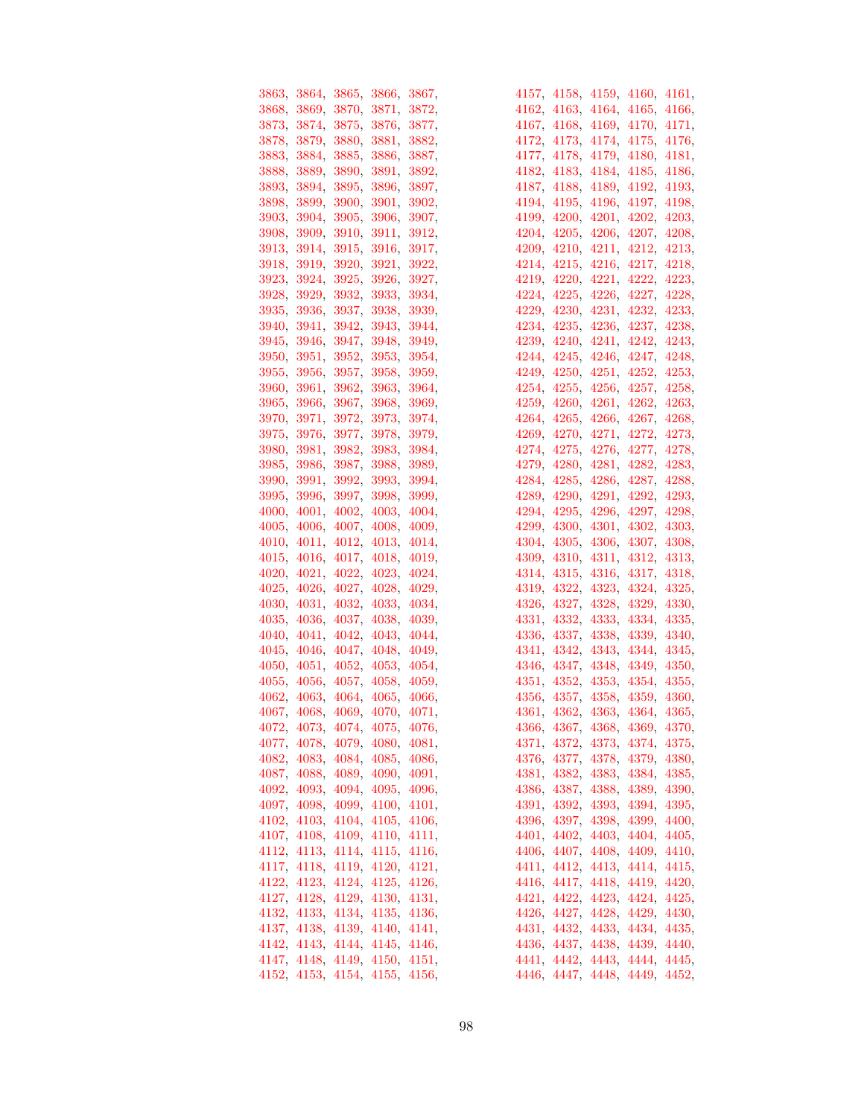| 3863, 3864, 3865, 3866, 3867, |  |  |  | 4157, 4158, 4159, 4160, 4161,                                  |  |
|-------------------------------|--|--|--|----------------------------------------------------------------|--|
| 3868, 3869, 3870, 3871, 3872, |  |  |  | 4162, 4163, 4164, 4165, 4166,                                  |  |
| 3873, 3874, 3875, 3876, 3877, |  |  |  | 4167, 4168, 4169, 4170, 4171,                                  |  |
| 3878, 3879, 3880, 3881, 3882, |  |  |  | 4172, 4173, 4174, 4175, 4176,                                  |  |
| 3883, 3884, 3885, 3886, 3887, |  |  |  | 4177, 4178, 4179, 4180, 4181,                                  |  |
| 3888, 3889, 3890, 3891, 3892, |  |  |  | 4182, 4183, 4184, 4185, 4186,                                  |  |
| 3893, 3894, 3895, 3896, 3897, |  |  |  | 4187, 4188, 4189, 4192, 4193,                                  |  |
| 3898, 3899, 3900, 3901, 3902, |  |  |  | 4194, 4195, 4196, 4197, 4198,                                  |  |
| 3903, 3904, 3905, 3906, 3907, |  |  |  | 4199, 4200, 4201, 4202, 4203,                                  |  |
| 3908, 3909, 3910, 3911, 3912, |  |  |  | 4204, 4205, 4206, 4207, 4208,                                  |  |
| 3913, 3914, 3915, 3916, 3917, |  |  |  | 4209, 4210, 4211, 4212, 4213,                                  |  |
| 3918, 3919, 3920, 3921, 3922, |  |  |  | 4214, 4215, 4216, 4217, 4218,                                  |  |
| 3923, 3924, 3925, 3926, 3927, |  |  |  | 4219, 4220, 4221, 4222, 4223,                                  |  |
| 3928, 3929, 3932, 3933, 3934, |  |  |  | 4224, 4225, 4226, 4227, 4228,                                  |  |
| 3935, 3936, 3937, 3938, 3939, |  |  |  | 4229, 4230, 4231, 4232, 4233,                                  |  |
| 3940, 3941, 3942, 3943, 3944, |  |  |  | 4234, 4235, 4236, 4237, 4238,                                  |  |
| 3945, 3946, 3947, 3948, 3949, |  |  |  | 4239, 4240, 4241, 4242, 4243,                                  |  |
| 3950, 3951, 3952, 3953, 3954, |  |  |  | 4244, 4245, 4246, 4247, 4248,                                  |  |
| 3955, 3956, 3957, 3958, 3959, |  |  |  | 4249, 4250, 4251, 4252, 4253,                                  |  |
| 3960, 3961, 3962, 3963, 3964, |  |  |  |                                                                |  |
|                               |  |  |  | 4254, 4255, 4256, 4257, 4258,<br>4259, 4260, 4261, 4262, 4263, |  |
| 3965, 3966, 3967, 3968, 3969, |  |  |  |                                                                |  |
| 3970, 3971, 3972, 3973, 3974, |  |  |  | 4264, 4265, 4266, 4267, 4268,                                  |  |
| 3975, 3976, 3977, 3978, 3979, |  |  |  | 4269, 4270, 4271, 4272, 4273,                                  |  |
| 3980, 3981, 3982, 3983, 3984, |  |  |  | 4274, 4275, 4276, 4277, 4278,                                  |  |
| 3985, 3986, 3987, 3988, 3989, |  |  |  | 4279, 4280, 4281, 4282, 4283,                                  |  |
| 3990, 3991, 3992, 3993, 3994, |  |  |  | 4284, 4285, 4286, 4287, 4288,                                  |  |
| 3995, 3996, 3997, 3998, 3999, |  |  |  | 4289, 4290, 4291, 4292, 4293,                                  |  |
| 4000, 4001, 4002, 4003, 4004, |  |  |  | 4294, 4295, 4296, 4297, 4298,                                  |  |
| 4005, 4006, 4007, 4008, 4009, |  |  |  | 4299, 4300, 4301, 4302, 4303,                                  |  |
| 4010, 4011, 4012, 4013, 4014, |  |  |  | 4304, 4305, 4306, 4307, 4308,                                  |  |
| 4015, 4016, 4017, 4018, 4019, |  |  |  | 4309, 4310, 4311, 4312, 4313,                                  |  |
| 4020, 4021, 4022, 4023, 4024, |  |  |  | 4314, 4315, 4316, 4317, 4318,                                  |  |
| 4025, 4026, 4027, 4028, 4029, |  |  |  | 4319, 4322, 4323, 4324, 4325,                                  |  |
| 4030, 4031, 4032, 4033, 4034, |  |  |  | 4326, 4327, 4328, 4329, 4330,                                  |  |
| 4035, 4036, 4037, 4038, 4039, |  |  |  | 4331, 4332, 4333, 4334, 4335,                                  |  |
| 4040, 4041, 4042, 4043, 4044, |  |  |  | 4336, 4337, 4338, 4339, 4340,                                  |  |
| 4045, 4046, 4047, 4048, 4049, |  |  |  | 4341, 4342, 4343, 4344, 4345,                                  |  |
| 4050, 4051, 4052, 4053, 4054, |  |  |  | 4346, 4347, 4348, 4349, 4350,                                  |  |
| 4055, 4056, 4057, 4058, 4059, |  |  |  | 4351, 4352, 4353, 4354, 4355,                                  |  |
| 4062, 4063, 4064, 4065, 4066, |  |  |  | 4356, 4357, 4358, 4359, 4360,                                  |  |
| 4067, 4068, 4069, 4070, 4071, |  |  |  | 4361, 4362, 4363, 4364, 4365,                                  |  |
| 4072, 4073, 4074, 4075, 4076, |  |  |  | 4366, 4367, 4368, 4369, 4370,                                  |  |
| 4077, 4078, 4079, 4080, 4081, |  |  |  | 4371, 4372, 4373, 4374, 4375,                                  |  |
| 4082, 4083, 4084, 4085, 4086, |  |  |  | 4376, 4377, 4378, 4379, 4380,                                  |  |
| 4087, 4088, 4089, 4090, 4091, |  |  |  | 4381, 4382, 4383, 4384, 4385,                                  |  |
| 4092, 4093, 4094, 4095, 4096, |  |  |  | 4386, 4387, 4388, 4389, 4390,                                  |  |
| 4097, 4098, 4099, 4100, 4101, |  |  |  | 4391, 4392, 4393, 4394, 4395,                                  |  |
| 4102, 4103, 4104, 4105, 4106, |  |  |  | 4396, 4397, 4398, 4399, 4400,                                  |  |
| 4107, 4108, 4109, 4110, 4111, |  |  |  | 4401, 4402, 4403, 4404, 4405,                                  |  |
| 4112, 4113, 4114, 4115, 4116, |  |  |  | 4406, 4407, 4408, 4409, 4410,                                  |  |
| 4117, 4118, 4119, 4120, 4121, |  |  |  | 4411, 4412, 4413, 4414, 4415,                                  |  |
| 4122, 4123, 4124, 4125, 4126, |  |  |  | 4416, 4417, 4418, 4419, 4420,                                  |  |
| 4127, 4128, 4129, 4130, 4131, |  |  |  | 4421, 4422, 4423, 4424, 4425,                                  |  |
| 4132, 4133, 4134, 4135, 4136, |  |  |  | 4426, 4427, 4428, 4429, 4430,                                  |  |
| 4137, 4138, 4139, 4140, 4141, |  |  |  | 4431, 4432, 4433, 4434, 4435,                                  |  |
| 4142, 4143, 4144, 4145, 4146, |  |  |  | 4436, 4437, 4438, 4439, 4440,                                  |  |
| 4147, 4148, 4149, 4150, 4151, |  |  |  | 4441, 4442, 4443, 4444, 4445,                                  |  |
| 4152, 4153, 4154, 4155, 4156, |  |  |  | 4446, 4447, 4448, 4449, 4452,                                  |  |
|                               |  |  |  |                                                                |  |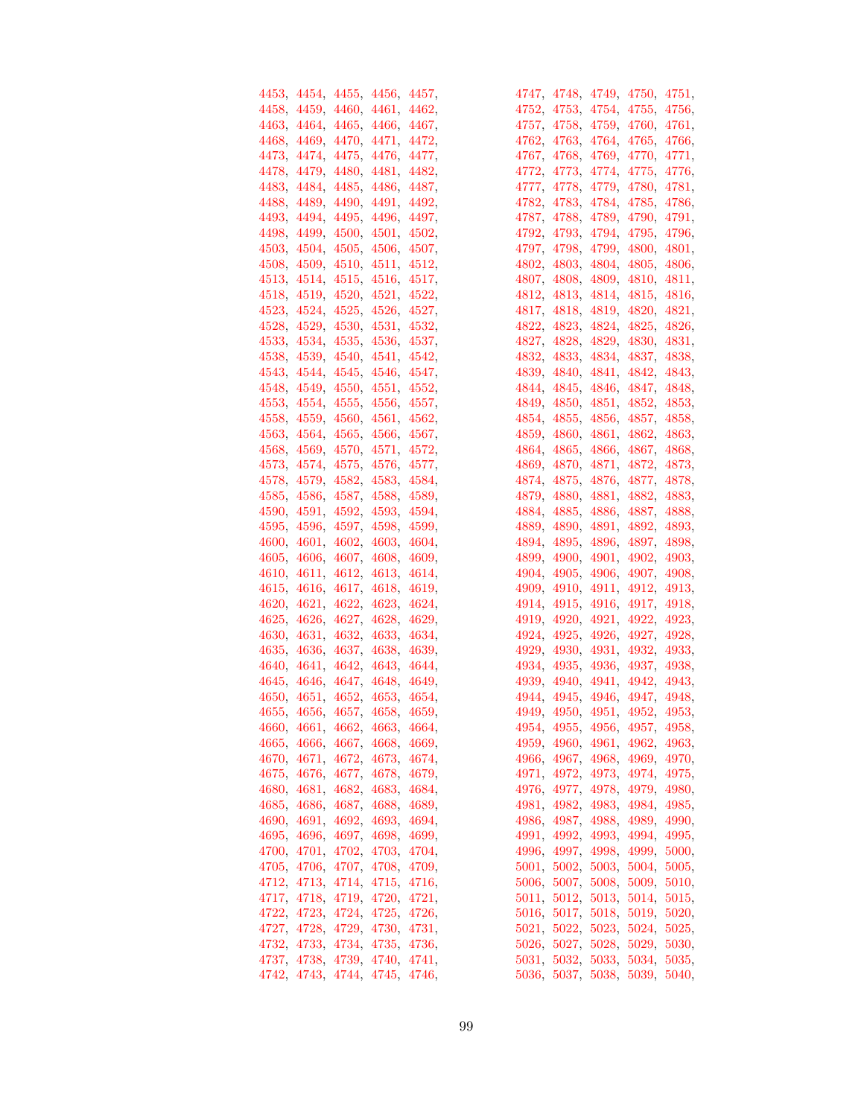| 4453, 4454, 4455, 4456, 4457, |  |  |  | 4747, 4748, 4749, 4750, 4751, |  |
|-------------------------------|--|--|--|-------------------------------|--|
| 4458, 4459, 4460, 4461, 4462, |  |  |  | 4752, 4753, 4754, 4755, 4756, |  |
| 4463, 4464, 4465, 4466, 4467, |  |  |  | 4757, 4758, 4759, 4760, 4761, |  |
| 4468, 4469, 4470, 4471, 4472, |  |  |  | 4762, 4763, 4764, 4765, 4766, |  |
| 4473, 4474, 4475, 4476, 4477, |  |  |  | 4767, 4768, 4769, 4770, 4771, |  |
| 4478, 4479, 4480, 4481, 4482, |  |  |  | 4772, 4773, 4774, 4775, 4776, |  |
| 4483, 4484, 4485, 4486, 4487, |  |  |  | 4777, 4778, 4779, 4780, 4781, |  |
| 4488, 4489, 4490, 4491, 4492, |  |  |  | 4782, 4783, 4784, 4785, 4786, |  |
| 4493, 4494, 4495, 4496, 4497, |  |  |  | 4787, 4788, 4789, 4790, 4791, |  |
| 4498, 4499, 4500, 4501, 4502, |  |  |  | 4792, 4793, 4794, 4795, 4796, |  |
| 4503, 4504, 4505, 4506, 4507, |  |  |  | 4797, 4798, 4799, 4800, 4801, |  |
| 4508, 4509, 4510, 4511, 4512, |  |  |  | 4802, 4803, 4804, 4805, 4806, |  |
| 4513, 4514, 4515, 4516, 4517, |  |  |  | 4807, 4808, 4809, 4810, 4811, |  |
| 4518, 4519, 4520, 4521, 4522, |  |  |  | 4812, 4813, 4814, 4815, 4816, |  |
| 4523, 4524, 4525, 4526, 4527, |  |  |  | 4817, 4818, 4819, 4820, 4821, |  |
| 4528, 4529, 4530, 4531, 4532, |  |  |  | 4822, 4823, 4824, 4825, 4826, |  |
|                               |  |  |  |                               |  |
| 4533, 4534, 4535, 4536, 4537, |  |  |  | 4827, 4828, 4829, 4830, 4831, |  |
| 4538, 4539, 4540, 4541, 4542, |  |  |  | 4832, 4833, 4834, 4837, 4838, |  |
| 4543, 4544, 4545, 4546, 4547, |  |  |  | 4839, 4840, 4841, 4842, 4843, |  |
| 4548, 4549, 4550, 4551, 4552, |  |  |  | 4844, 4845, 4846, 4847, 4848, |  |
| 4553, 4554, 4555, 4556, 4557, |  |  |  | 4849, 4850, 4851, 4852, 4853, |  |
| 4558, 4559, 4560, 4561, 4562, |  |  |  | 4854, 4855, 4856, 4857, 4858, |  |
| 4563, 4564, 4565, 4566, 4567, |  |  |  | 4859, 4860, 4861, 4862, 4863, |  |
| 4568, 4569, 4570, 4571, 4572, |  |  |  | 4864, 4865, 4866, 4867, 4868, |  |
| 4573, 4574, 4575, 4576, 4577, |  |  |  | 4869, 4870, 4871, 4872, 4873, |  |
| 4578, 4579, 4582, 4583, 4584, |  |  |  | 4874, 4875, 4876, 4877, 4878, |  |
| 4585, 4586, 4587, 4588, 4589, |  |  |  | 4879, 4880, 4881, 4882, 4883, |  |
| 4590, 4591, 4592, 4593, 4594, |  |  |  | 4884, 4885, 4886, 4887, 4888, |  |
| 4595, 4596, 4597, 4598, 4599, |  |  |  | 4889, 4890, 4891, 4892, 4893, |  |
| 4600, 4601, 4602, 4603, 4604, |  |  |  | 4894, 4895, 4896, 4897, 4898, |  |
| 4605, 4606, 4607, 4608, 4609, |  |  |  | 4899, 4900, 4901, 4902, 4903, |  |
| 4610, 4611, 4612, 4613, 4614, |  |  |  | 4904, 4905, 4906, 4907, 4908, |  |
| 4615, 4616, 4617, 4618, 4619, |  |  |  | 4909, 4910, 4911, 4912, 4913, |  |
| 4620, 4621, 4622, 4623, 4624, |  |  |  | 4914, 4915, 4916, 4917, 4918, |  |
| 4625, 4626, 4627, 4628, 4629, |  |  |  | 4919, 4920, 4921, 4922, 4923, |  |
| 4630, 4631, 4632, 4633, 4634, |  |  |  | 4924, 4925, 4926, 4927, 4928, |  |
| 4635, 4636, 4637, 4638, 4639, |  |  |  | 4929, 4930, 4931, 4932, 4933, |  |
| 4640, 4641, 4642, 4643, 4644, |  |  |  | 4934, 4935, 4936, 4937, 4938, |  |
| 4645, 4646, 4647, 4648, 4649, |  |  |  | 4939, 4940, 4941, 4942, 4943, |  |
| 4650, 4651, 4652, 4653, 4654, |  |  |  | 4944, 4945, 4946, 4947, 4948, |  |
| 4655, 4656, 4657, 4658, 4659, |  |  |  | 4949, 4950, 4951, 4952, 4953, |  |
| 4660, 4661, 4662, 4663, 4664, |  |  |  | 4954, 4955, 4956, 4957, 4958, |  |
| 4665, 4666, 4667, 4668, 4669, |  |  |  | 4959, 4960, 4961, 4962, 4963, |  |
| 4670, 4671, 4672, 4673, 4674, |  |  |  | 4966, 4967, 4968, 4969, 4970, |  |
| 4675, 4676, 4677, 4678, 4679, |  |  |  | 4971, 4972, 4973, 4974, 4975, |  |
| 4680, 4681, 4682, 4683, 4684, |  |  |  | 4976, 4977, 4978, 4979, 4980, |  |
| 4685, 4686, 4687, 4688, 4689, |  |  |  | 4981, 4982, 4983, 4984, 4985, |  |
| 4690, 4691, 4692, 4693, 4694, |  |  |  | 4986, 4987, 4988, 4989, 4990, |  |
| 4695, 4696, 4697, 4698, 4699, |  |  |  | 4991, 4992, 4993, 4994, 4995, |  |
| 4700, 4701, 4702, 4703, 4704, |  |  |  | 4996, 4997, 4998, 4999, 5000, |  |
| 4705, 4706, 4707, 4708, 4709, |  |  |  | 5001, 5002, 5003, 5004, 5005, |  |
| 4712, 4713, 4714, 4715, 4716, |  |  |  | 5006, 5007, 5008, 5009, 5010, |  |
| 4717, 4718, 4719, 4720, 4721, |  |  |  | 5011, 5012, 5013, 5014, 5015, |  |
| 4722, 4723, 4724, 4725, 4726, |  |  |  | 5016, 5017, 5018, 5019, 5020, |  |
|                               |  |  |  | 5021, 5022, 5023, 5024, 5025, |  |
| 4727, 4728, 4729, 4730, 4731, |  |  |  |                               |  |
| 4732, 4733, 4734, 4735, 4736, |  |  |  | 5026, 5027, 5028, 5029, 5030, |  |
| 4737, 4738, 4739, 4740, 4741, |  |  |  | 5031, 5032, 5033, 5034, 5035, |  |
| 4742, 4743, 4744, 4745, 4746, |  |  |  | 5036, 5037, 5038, 5039, 5040, |  |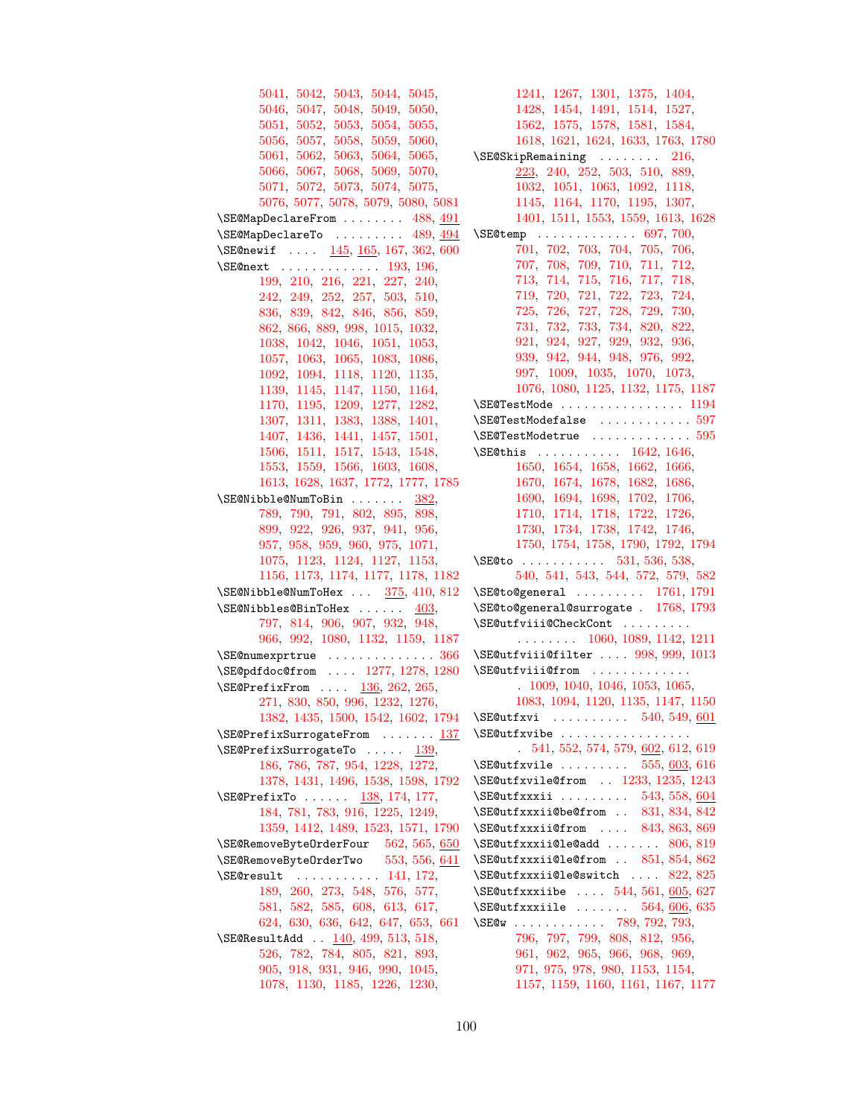[5041,](#page-79-25) [5042,](#page-79-26) [5043,](#page-79-27) [5044,](#page-79-28) [5045,](#page-79-29) [5046,](#page-79-30) [5047,](#page-79-31) [5048,](#page-79-32) [5049,](#page-79-33) [5050,](#page-79-34) [5051,](#page-79-35) [5052,](#page-79-36) [5053,](#page-79-37) [5054,](#page-79-38) [5055,](#page-79-39) [5056,](#page-79-40) [5057,](#page-79-41) [5058,](#page-79-42) [5059,](#page-79-43) [5060,](#page-79-44) [5061,](#page-79-45) [5062,](#page-79-46) [5063,](#page-79-47) [5064,](#page-79-48) [5065,](#page-79-49) [5066,](#page-79-50) [5067,](#page-79-51) [5068,](#page-79-52) [5069,](#page-79-53) [5070,](#page-79-54) [5071,](#page-79-55) [5072,](#page-79-56) [5073,](#page-79-57) [5074,](#page-79-58) [5075,](#page-79-59) [5076,](#page-79-60) [5077,](#page-79-61) [5078,](#page-79-62) [5079,](#page-79-63) [5080,](#page-79-64) [5081](#page-79-65) \SE@MapDeclareFrom ....... [488,](#page-13-22) [491](#page-13-23) \SE@MapDeclareTo ........ [489,](#page-13-24) [494](#page-13-25) \SE@newif .... [145,](#page-6-19) [165,](#page-6-20) [167,](#page-6-13) [362,](#page-10-22) [600](#page-15-10) \SE@next . . . . . . . . . . . . [193,](#page-7-27) [196,](#page-7-28) [199,](#page-7-29) [210,](#page-7-17) [216,](#page-7-30) [221,](#page-7-31) [227,](#page-8-23) [240,](#page-8-24) [242,](#page-8-25) [249,](#page-8-17) [252,](#page-8-26) [257,](#page-8-27) [503,](#page-13-26) [510,](#page-13-27) [836,](#page-20-20) [839,](#page-20-21) [842,](#page-20-22) [846,](#page-20-23) [856,](#page-20-24) [859,](#page-20-25) [862,](#page-20-26) [866,](#page-20-27) [889,](#page-21-18) [998,](#page-23-24) [1015,](#page-23-25) [1032,](#page-23-26) [1038,](#page-23-27) [1042,](#page-23-28) [1046,](#page-23-29) [1051,](#page-24-21) [1053,](#page-24-22) [1057,](#page-24-23) [1063,](#page-24-24) [1065,](#page-24-25) [1083,](#page-24-26) [1086,](#page-24-27) [1092,](#page-24-28) [1094,](#page-24-29) [1118,](#page-25-19) [1120,](#page-25-20) [1135,](#page-25-21) [1139,](#page-25-22) [1145,](#page-25-23) [1147,](#page-25-24) [1150,](#page-25-25) [1164,](#page-25-26) [1170,](#page-26-15) [1195,](#page-26-16) [1209,](#page-26-17) [1277,](#page-28-34) [1282,](#page-28-35) [1307,](#page-28-36) [1311,](#page-28-37) [1383,](#page-29-14) [1388,](#page-30-25) [1401,](#page-30-26) [1407,](#page-30-27) [1436,](#page-30-20) [1441,](#page-30-28) [1457,](#page-31-42) [1501,](#page-31-10) [1506,](#page-32-26) [1511,](#page-32-27) [1517,](#page-32-28) [1543,](#page-32-17) [1548,](#page-32-29) [1553,](#page-32-30) [1559,](#page-33-21) [1566,](#page-33-22) [1603,](#page-33-14) [1608,](#page-33-23) [1613,](#page-33-24) [1628,](#page-34-14) [1637,](#page-34-15) [1772,](#page-36-11) [1777,](#page-36-18) [1785](#page-36-19) \SE@Nibble@NumToBin ....... [382,](#page-11-14) [789,](#page-19-18) [790,](#page-19-14) [791,](#page-19-17) [802,](#page-19-19) [895,](#page-21-15) [898,](#page-21-12) [899,](#page-21-19) [922,](#page-21-20) [926,](#page-21-21) [937,](#page-21-22) [941,](#page-22-23) [956,](#page-22-24) [957,](#page-22-15) [958,](#page-22-17) [959,](#page-22-18) [960,](#page-22-22) [975,](#page-22-25) [1071,](#page-24-30) [1075,](#page-24-31) [1123,](#page-25-12) [1124,](#page-25-14) [1127,](#page-25-27) [1153,](#page-25-28) [1156,](#page-25-29) [1173,](#page-26-11) [1174,](#page-26-12) [1177,](#page-26-18) [1178,](#page-26-19) [1182](#page-26-20) \SE@Nibble@NumToHex . . . [375,](#page-10-23) [410,](#page-11-15) [812](#page-19-20) \SE@Nibbles@BinToHex ...... 403 [797,](#page-19-21) [814,](#page-19-16) [906,](#page-21-13) [907,](#page-21-17) [932,](#page-21-23) [948,](#page-22-26) [966,](#page-22-27) [992,](#page-22-28) [1080,](#page-24-32) [1132,](#page-25-30) [1159,](#page-25-31) [1187](#page-26-21) \SE@numexprtrue . . . . . . . . . . . . . . [366](#page-10-24) \SE@pdfdoc@from . . . . [1277,](#page-28-34) [1278,](#page-28-38) [1280](#page-28-1) \SE@PrefixFrom . . . . [136,](#page-5-39) [262,](#page-8-2) [265,](#page-8-3) [271,](#page-8-4) [830,](#page-20-0) [850,](#page-20-1) [996,](#page-23-0) [1232,](#page-27-2) [1276,](#page-28-0) [1382,](#page-29-2) [1435,](#page-30-2) [1500,](#page-31-2) [1542,](#page-32-2) [1602,](#page-33-2) [1794](#page-37-2) \SE@PrefixSurrogateFrom . . . . . . . [137](#page-6-21) \SE@PrefixSurrogateTo ..... [139,](#page-6-22) [186,](#page-7-5) [786,](#page-19-3) [787,](#page-19-4) [954,](#page-22-5) [1228,](#page-27-1) [1272,](#page-27-4) [1378,](#page-29-1) [1431,](#page-30-1) [1496,](#page-31-1) [1538,](#page-32-1) [1598,](#page-33-1) [1792](#page-37-1) \SE@PrefixTo ...... [138,](#page-6-23) [174,](#page-7-2) [177,](#page-7-3) [184,](#page-7-4) [781,](#page-19-1) [783,](#page-19-2) [916,](#page-21-2) [1225,](#page-27-0) [1249,](#page-27-3) [1359,](#page-29-0) [1412,](#page-30-0) [1489,](#page-31-0) [1523,](#page-32-0) [1571,](#page-33-0) [1790](#page-37-0) \SE@RemoveByteOrderFour [562,](#page-14-23) [565,](#page-14-24) [650](#page-16-26) \SE@RemoveByteOrderTwo [553,](#page-14-25) [556,](#page-14-26) [641](#page-16-27) \SE@result . . . . . . . . . . . [141,](#page-6-24) [172,](#page-6-14) [189,](#page-7-32) [260,](#page-8-12) [273,](#page-8-28) [548,](#page-14-3) [576,](#page-14-19) [577,](#page-14-21) [581,](#page-14-20) [582,](#page-14-27) [585,](#page-14-4) [608,](#page-15-0) [613,](#page-15-12) [617,](#page-15-13) [624,](#page-16-0) [630,](#page-16-24) [636,](#page-16-25) [642,](#page-16-17) [647,](#page-16-28) [653,](#page-16-16) [661](#page-16-29) \SE@ResultAdd .. [140,](#page-6-25) [499,](#page-13-2) [513,](#page-13-4) [518,](#page-13-5) [526,](#page-13-7) [782,](#page-19-22) [784,](#page-19-23) [805,](#page-19-24) [821,](#page-19-25) [893,](#page-21-24) [905,](#page-21-25) [918,](#page-21-26) [931,](#page-21-27) [946,](#page-22-29) [990,](#page-22-30) [1045,](#page-23-30) [1078,](#page-24-33) [1130,](#page-25-32) [1185,](#page-26-22) [1226,](#page-27-22) [1230,](#page-27-23)

[1241,](#page-27-24) [1267,](#page-27-25) [1301,](#page-28-39) [1375,](#page-29-39) [1404,](#page-30-29) [1428,](#page-30-30) [1454,](#page-31-43) [1491,](#page-31-44) [1514,](#page-32-31) [1527,](#page-32-32) [1562,](#page-33-25) [1575,](#page-33-26) [1578,](#page-33-27) [1581,](#page-33-28) [1584,](#page-33-29) [1618,](#page-34-16) [1621,](#page-34-17) [1624,](#page-34-18) [1633,](#page-34-19) [1763,](#page-36-20) [1780](#page-36-21)  $\verb|\SE@skipRemaining |\dots.216|,$ [223,](#page-7-33) [240,](#page-8-24) [252,](#page-8-26) [503,](#page-13-26) [510,](#page-13-27) [889,](#page-21-18) [1032,](#page-23-26) [1051,](#page-24-21) [1063,](#page-24-24) [1092,](#page-24-28) [1118,](#page-25-19) [1145,](#page-25-23) [1164,](#page-25-26) [1170,](#page-26-15) [1195,](#page-26-16) [1307,](#page-28-36) [1401,](#page-30-26) [1511,](#page-32-27) [1553,](#page-32-30) [1559,](#page-33-21) [1613,](#page-33-24) [1628](#page-34-14) \SE@temp . . . . . . . . . . . . . [697,](#page-17-29) [700,](#page-17-30) [701,](#page-17-31) [702,](#page-17-32) [703,](#page-17-33) [704,](#page-17-34) [705,](#page-17-35) [706,](#page-17-36) [707,](#page-17-37) [708,](#page-17-38) [709,](#page-17-39) [710,](#page-17-40) [711,](#page-17-41) [712,](#page-17-42) [713,](#page-17-43) [714,](#page-17-44) [715,](#page-17-45) [716,](#page-17-46) [717,](#page-17-47) [718,](#page-17-48) [719,](#page-17-49) [720,](#page-17-50) [721,](#page-17-51) [722,](#page-17-52) [723,](#page-17-53) [724,](#page-17-54) [725,](#page-17-55) [726,](#page-18-0) [727,](#page-18-1) [728,](#page-18-2) [729,](#page-18-3) [730,](#page-18-4) [731,](#page-18-5) [732,](#page-18-6) [733,](#page-18-7) [734,](#page-18-8) [820,](#page-19-26) [822,](#page-19-27) [921,](#page-21-28) [924,](#page-21-29) [927,](#page-21-1) [929,](#page-21-8) [932,](#page-21-23) [936,](#page-21-30) [939,](#page-22-31) [942,](#page-22-0) [944,](#page-22-7) [948,](#page-22-26) [976,](#page-22-32) [992,](#page-22-28) [997,](#page-23-14) [1009,](#page-23-31) [1035,](#page-23-32) [1070,](#page-24-34) [1073,](#page-24-35) [1076,](#page-24-13) [1080,](#page-24-32) [1125,](#page-25-33) [1132,](#page-25-30) [1175,](#page-26-23) [1187](#page-26-21) \SE@TestMode ............... [1194](#page-26-1) \SE@TestModefalse ............ [597](#page-15-20) \SE@TestModetrue . . . . . . . . . . . . . [595](#page-15-21) \SE@this . . . . . . . . . . . [1642,](#page-34-20) [1646,](#page-34-21) [1650,](#page-34-22) [1654,](#page-34-23) [1658,](#page-34-24) [1662,](#page-34-25) [1666,](#page-34-26) [1670,](#page-35-14) [1674,](#page-35-15) [1678,](#page-35-16) [1682,](#page-35-17) [1686,](#page-35-18) [1690,](#page-35-19) [1694,](#page-35-20) [1698,](#page-35-21) [1702,](#page-35-22) [1706,](#page-35-23) [1710,](#page-35-24) [1714,](#page-35-25) [1718,](#page-35-26) [1722,](#page-35-27) [1726,](#page-35-28) [1730,](#page-36-22) [1734,](#page-36-23) [1738,](#page-36-24) [1742,](#page-36-25) [1746,](#page-36-26) [1750,](#page-36-27) [1754,](#page-36-28) [1758,](#page-36-29) [1790,](#page-37-0) [1792,](#page-37-1) [1794](#page-37-2) \SE@to . . . . . . . . . . [531,](#page-13-10) [536,](#page-14-1) [538,](#page-14-2) [540,](#page-14-6) [541,](#page-14-28) [543,](#page-14-7) [544,](#page-14-29) [572,](#page-14-14) [579,](#page-14-16) [582](#page-14-27) \SE@to@general . . . . . . . . . [1761,](#page-36-30) [1791](#page-37-63) \SE@to@general@surrogate . [1768,](#page-36-31) [1793](#page-37-64) \SE@utfviii@CheckCont . . . . . . . . . . . . . . . . . [1060,](#page-24-0) [1089,](#page-24-1) [1142,](#page-25-0) [1211](#page-26-0) \SE@utfviii@filter . . . . [998,](#page-23-24) [999,](#page-23-33) [1013](#page-23-1) \SE@utfviii@from . . . . . . . . . . . . . . [1009,](#page-23-31) [1040,](#page-23-2) [1046,](#page-23-29) [1053,](#page-24-22) [1065,](#page-24-25) [1083,](#page-24-26) [1094,](#page-24-29) [1120,](#page-25-20) [1135,](#page-25-21) [1147,](#page-25-24) [1150](#page-25-25) \SE@utfxvi ......... [540,](#page-14-6) [549,](#page-14-8) [601](#page-15-22) \SE@utfxvibe . . . . . . . . . . . . . . . . .  $.541, 552, 574, 579, 602, 612, 619$  $.541, 552, 574, 579, 602, 612, 619$  $.541, 552, 574, 579, 602, 612, 619$  $.541, 552, 574, 579, 602, 612, 619$  $.541, 552, 574, 579, 602, 612, 619$  $.541, 552, 574, 579, 602, 612, 619$  $.541, 552, 574, 579, 602, 612, 619$  $.541, 552, 574, 579, 602, 612, 619$  $.541, 552, 574, 579, 602, 612, 619$  $.541, 552, 574, 579, 602, 612, 619$  $.541, 552, 574, 579, 602, 612, 619$  $.541, 552, 574, 579, 602, 612, 619$  $.541, 552, 574, 579, 602, 612, 619$  $.541, 552, 574, 579, 602, 612, 619$ \SE@utfxvile ........ [555,](#page-14-10) [603,](#page-15-24) [616](#page-15-18) \SE@utfxvile@from . . [1233,](#page-27-26) [1235,](#page-27-5) [1243](#page-27-27) \SE@utfxxxii . . . . . . . . . [543,](#page-14-7) [558,](#page-14-11) [604](#page-15-25) \SE@utfxxxii@be@from . . [831,](#page-20-28) [834,](#page-20-2) [842](#page-20-22) \SE@utfxxxii@from . . . . [843,](#page-20-29) [863,](#page-20-30) [869](#page-20-4)  $\S$ E@utfxxxii@le@add ....... [806,](#page-19-28) [819](#page-19-5) \SE@utfxxxii@le@from . . [851,](#page-20-31) [854,](#page-20-3) [862](#page-20-26) \SE@utfxxxii@le@switch . . . . [822,](#page-19-27) [825](#page-19-6) \SE@utfxxxiibe . . . . [544,](#page-14-29) [561,](#page-14-12) [605,](#page-15-26) [627](#page-16-22) \SE@utfxxxiile ....... [564,](#page-14-13) [606,](#page-15-27) [635](#page-16-23) \SE@w . . . . . . . . . . . . [789,](#page-19-18) [792,](#page-19-29) [793,](#page-19-8) [796,](#page-19-30) [797,](#page-19-21) [799,](#page-19-11) [808,](#page-19-7) [812,](#page-19-20) [956,](#page-22-24) [961,](#page-22-33) [962,](#page-22-8) [965,](#page-22-34) [966,](#page-22-27) [968,](#page-22-14) [969,](#page-22-6) [971,](#page-22-16) [975,](#page-22-25) [978,](#page-22-2) [980,](#page-22-9) [1153,](#page-25-28) [1154,](#page-25-34) [1157,](#page-25-9) [1159,](#page-25-31) [1160,](#page-25-13) [1161,](#page-25-2) [1167,](#page-26-2) [1177](#page-26-18)